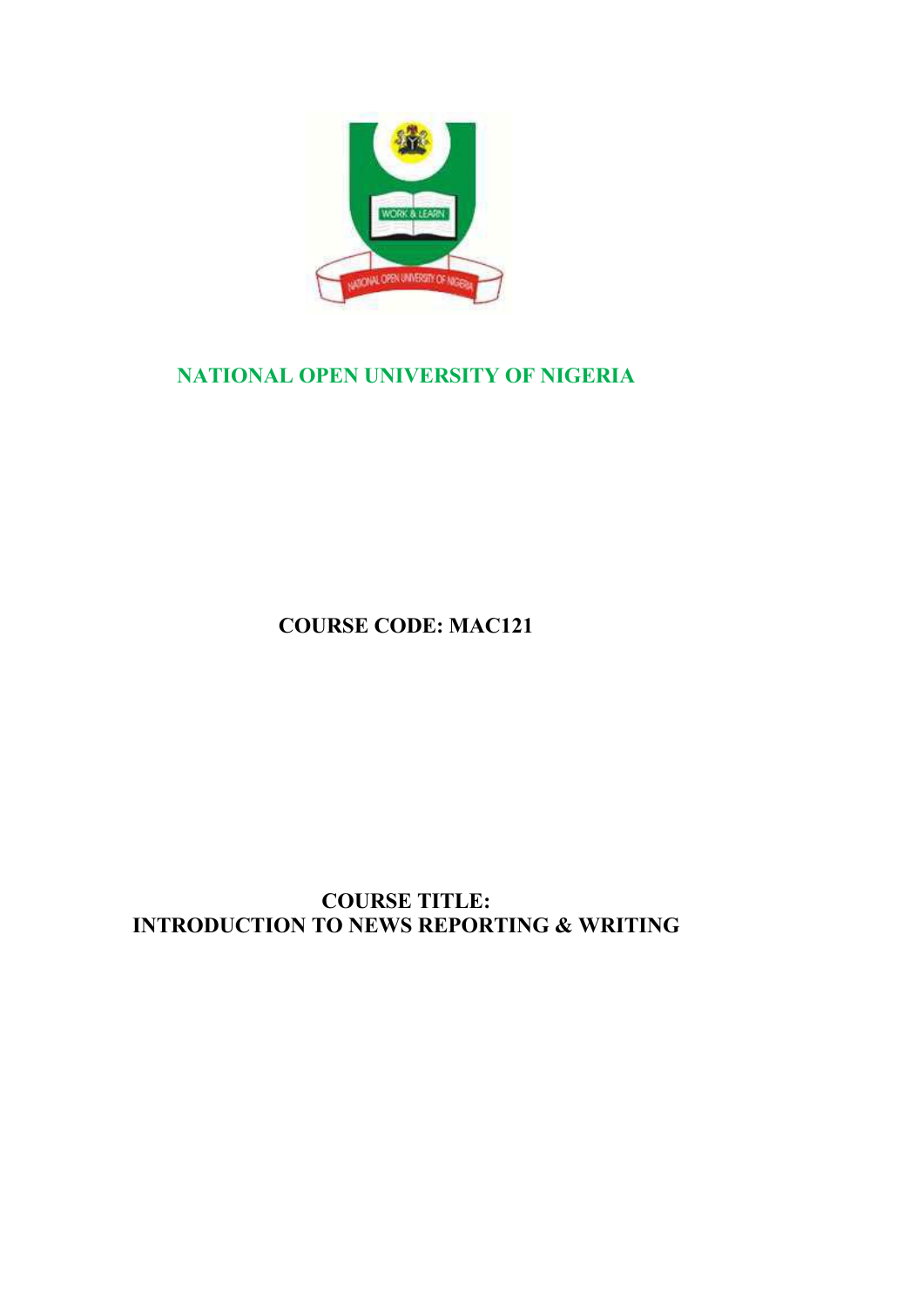

# **NATIONAL OPEN UNIVERSITY OF NIGERIA**

**COURSE CODE: MAC121**

**COURSE TITLE: INTRODUCTION TO NEWS REPORTING & WRITING**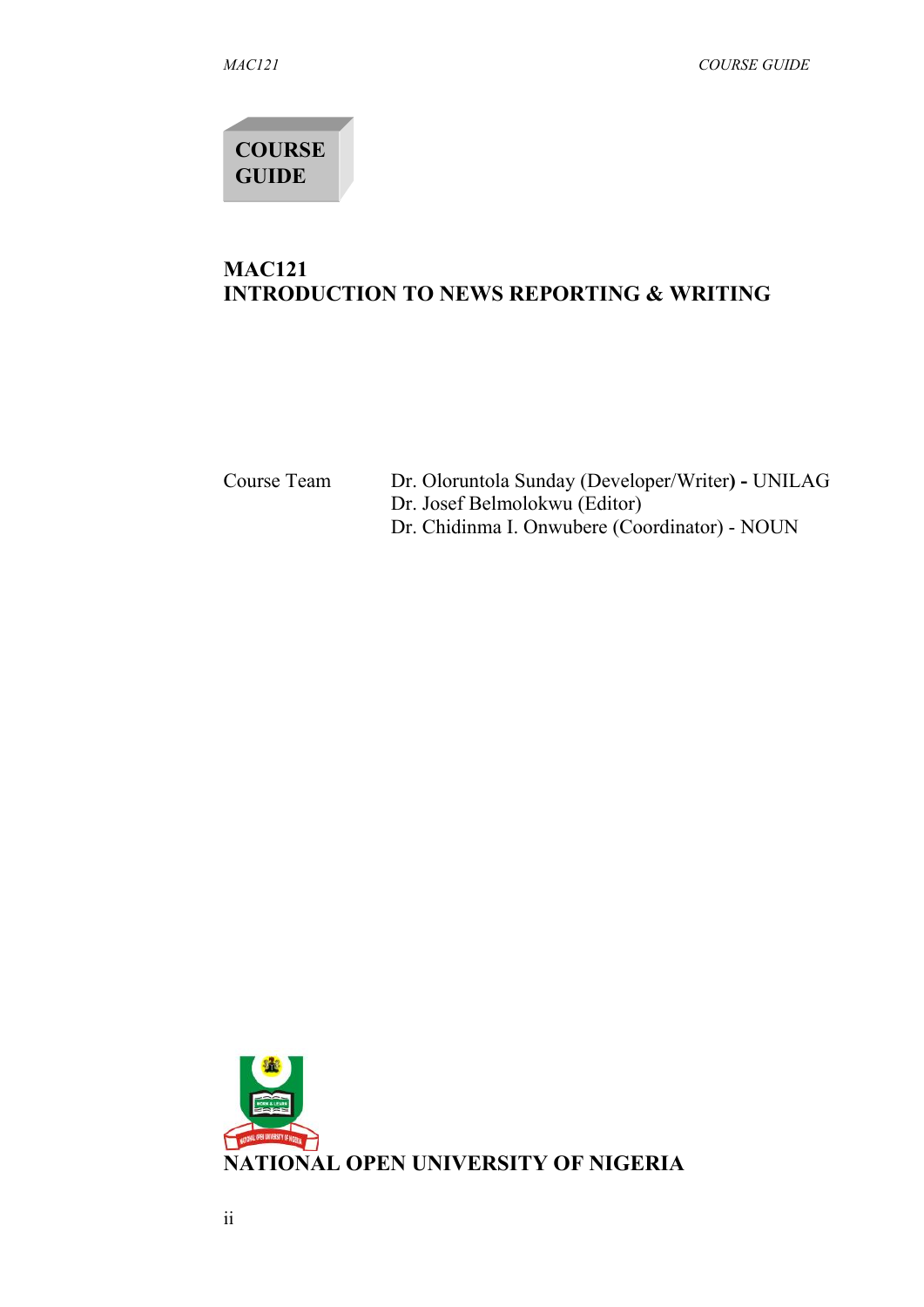**COURSE GUIDE**

# **MAC121 INTRODUCTION TO NEWS REPORTING & WRITING**

| Course Team | Dr. Oloruntola Sunday (Developer/Writer) - UNILAG |
|-------------|---------------------------------------------------|
|             | Dr. Josef Belmolokwu (Editor)                     |
|             | Dr. Chidinma I. Onwubere (Coordinator) - NOUN     |

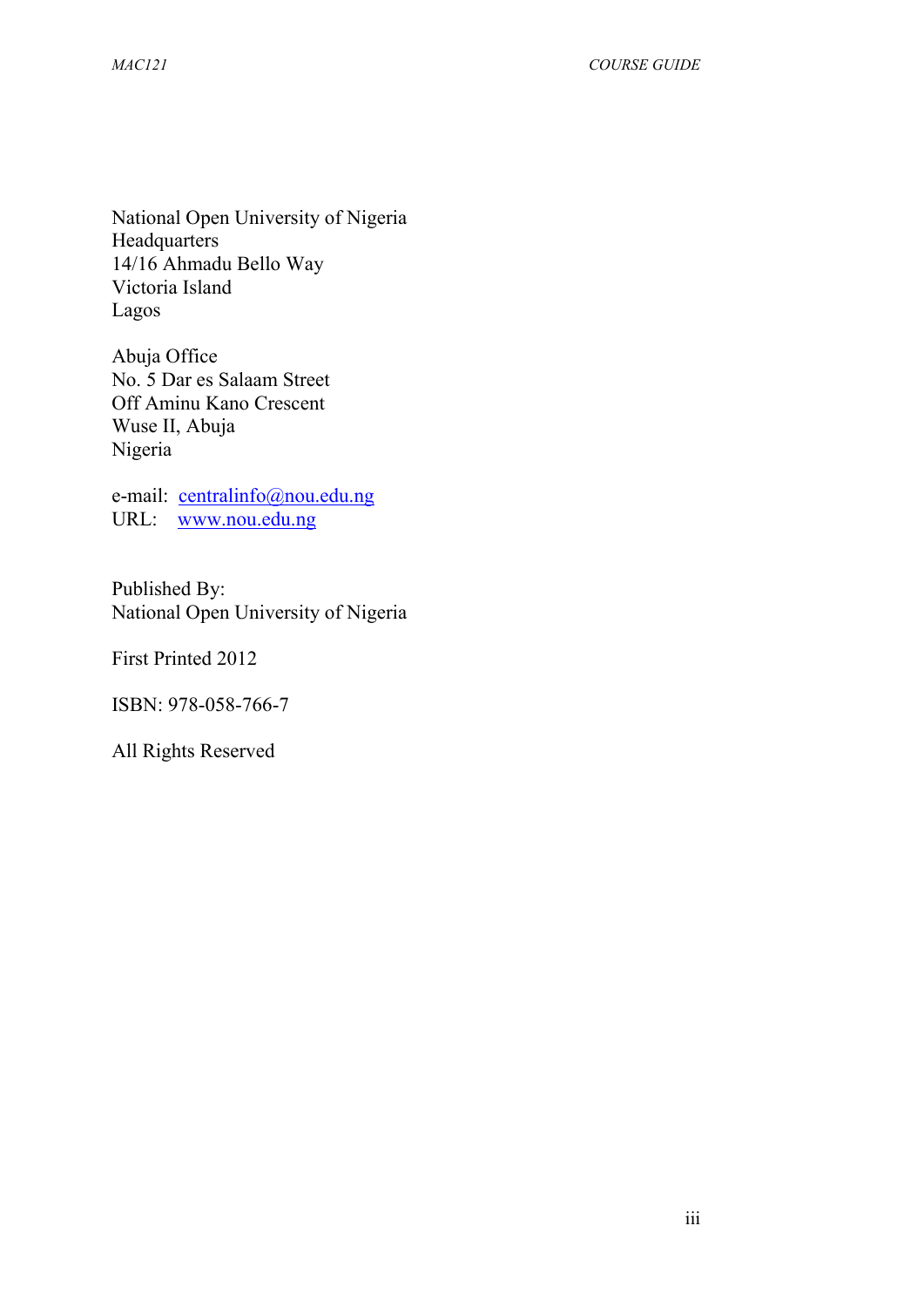National Open University of Nigeria Headquarters 14/16 Ahmadu Bello Way Victoria Island Lagos

Abuja Office No. 5 Dar es Salaam Street Off Aminu Kano Crescent Wuse II, Abuja Nigeria

e-mail: centralinfo@nou.edu.ng URL: www.nou.edu.ng

Published By: National Open University of Nigeria

First Printed 2012

ISBN: 978-058-766-7

All Rights Reserved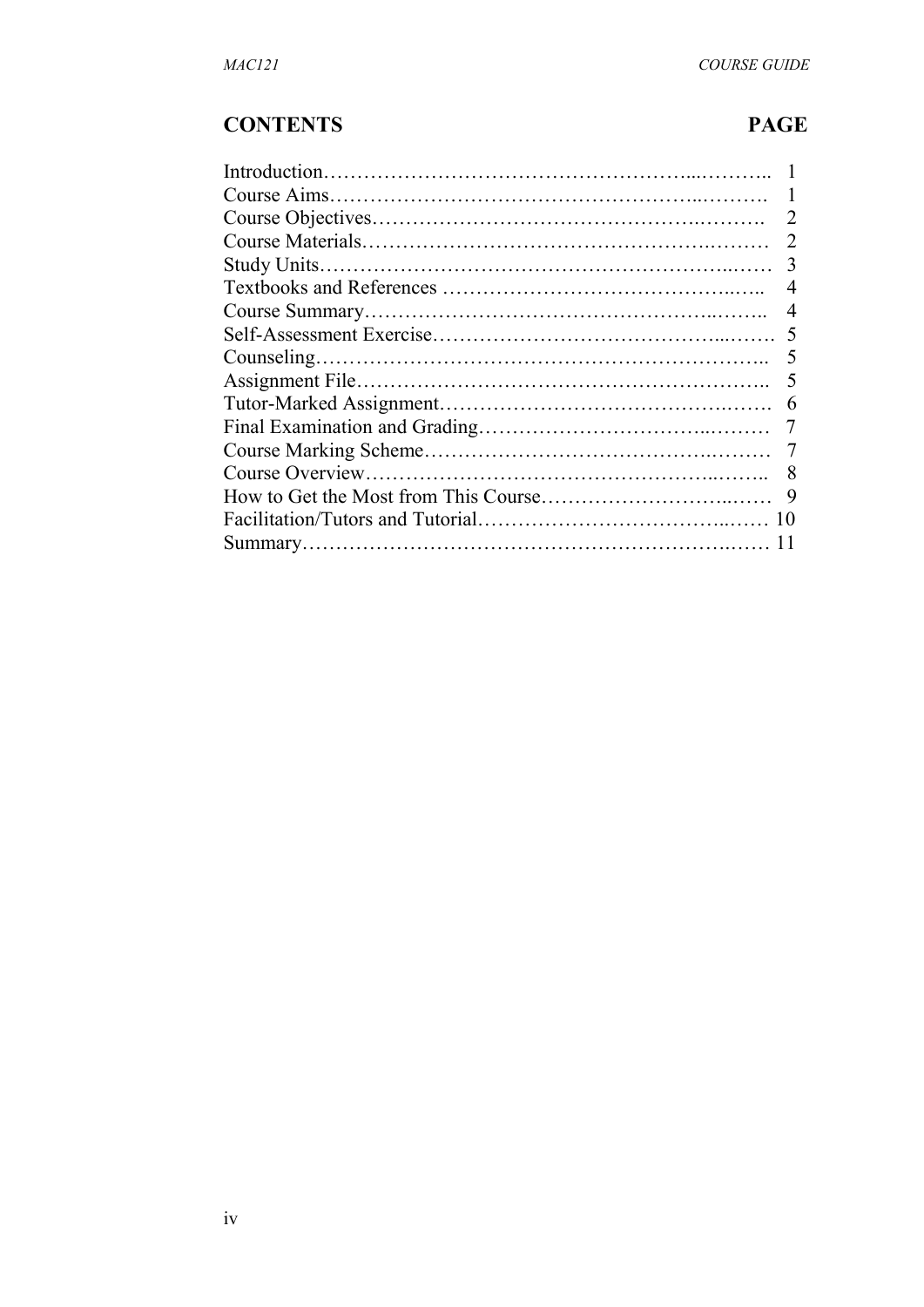# **CONTENTS PAGE**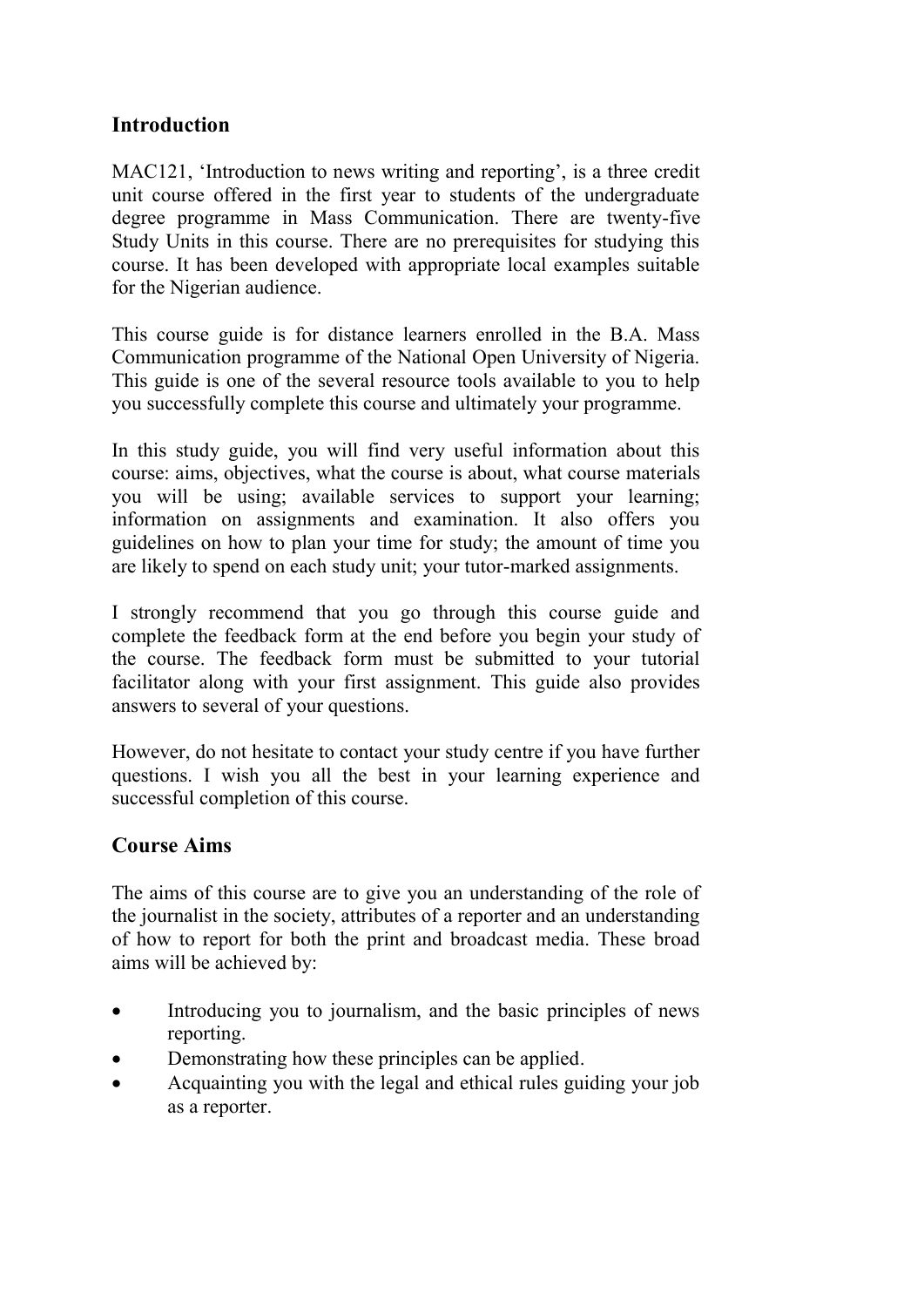# **Introduction**

MAC121, 'Introduction to news writing and reporting', is a three credit unit course offered in the first year to students of the undergraduate degree programme in Mass Communication. There are twenty-five Study Units in this course. There are no prerequisites for studying this course. It has been developed with appropriate local examples suitable for the Nigerian audience.

This course guide is for distance learners enrolled in the B.A. Mass Communication programme of the National Open University of Nigeria. This guide is one of the several resource tools available to you to help you successfully complete this course and ultimately your programme.

In this study guide, you will find very useful information about this course: aims, objectives, what the course is about, what course materials you will be using; available services to support your learning; information on assignments and examination. It also offers you guidelines on how to plan your time for study; the amount of time you are likely to spend on each study unit; your tutor-marked assignments.

I strongly recommend that you go through this course guide and complete the feedback form at the end before you begin your study of the course. The feedback form must be submitted to your tutorial facilitator along with your first assignment. This guide also provides answers to several of your questions.

However, do not hesitate to contact your study centre if you have further questions. I wish you all the best in your learning experience and successful completion of this course.

# **Course Aims**

The aims of this course are to give you an understanding of the role of the journalist in the society, attributes of a reporter and an understanding of how to report for both the print and broadcast media. These broad aims will be achieved by:

- Introducing you to journalism, and the basic principles of news reporting.
- Demonstrating how these principles can be applied.
- Acquainting you with the legal and ethical rules guiding your job as a reporter.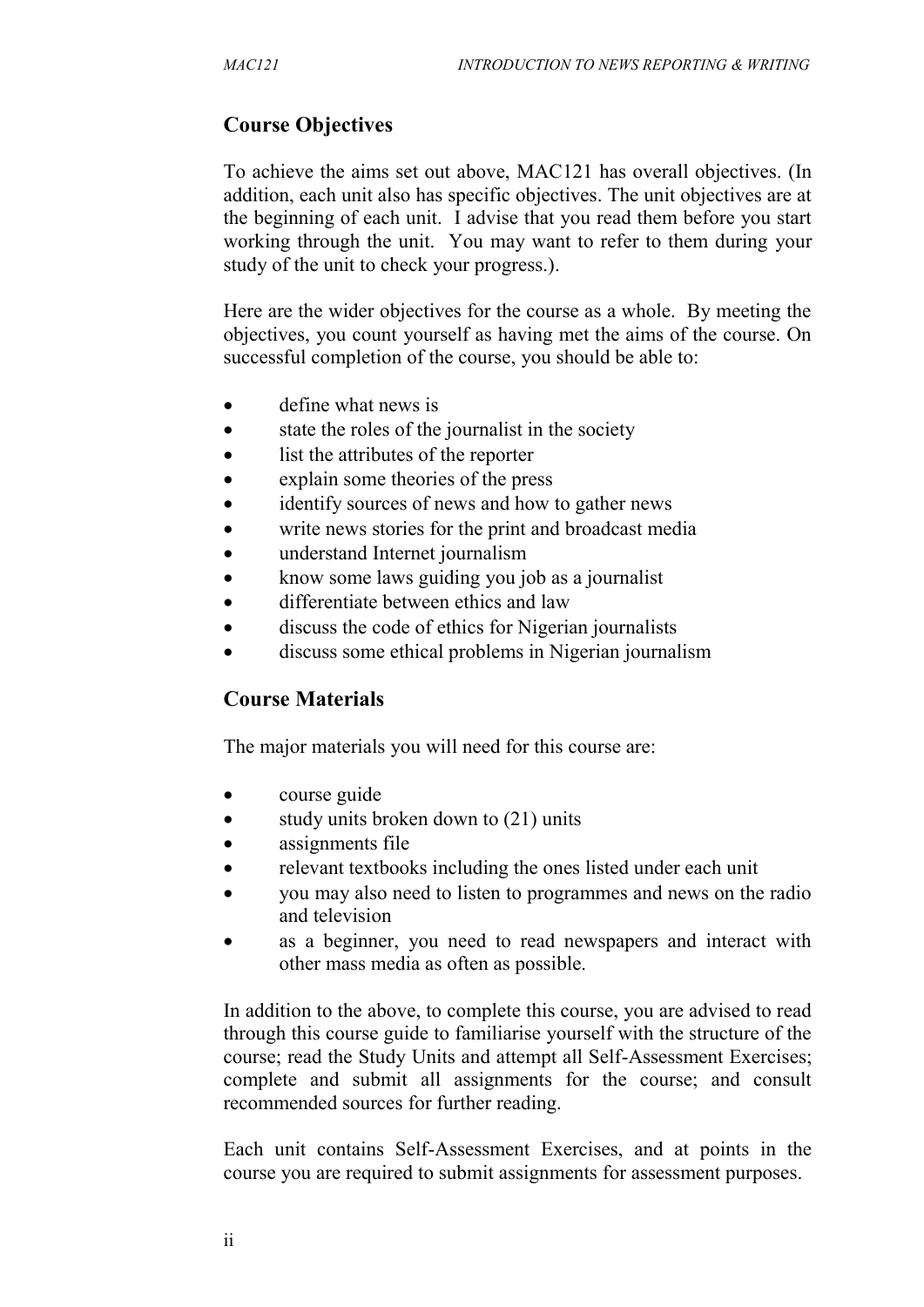# **Course Objectives**

To achieve the aims set out above, MAC121 has overall objectives. (In addition, each unit also has specific objectives. The unit objectives are at the beginning of each unit. I advise that you read them before you start working through the unit. You may want to refer to them during your study of the unit to check your progress.).

Here are the wider objectives for the course as a whole. By meeting the objectives, you count yourself as having met the aims of the course. On successful completion of the course, you should be able to:

- define what news is
- state the roles of the journalist in the society
- list the attributes of the reporter
- explain some theories of the press
- identify sources of news and how to gather news
- write news stories for the print and broadcast media
- understand Internet journalism
- know some laws guiding you job as a journalist
- differentiate between ethics and law
- discuss the code of ethics for Nigerian journalists
- discuss some ethical problems in Nigerian journalism

# **Course Materials**

The major materials you will need for this course are:

- course guide
- study units broken down to (21) units
- assignments file
- relevant textbooks including the ones listed under each unit
- you may also need to listen to programmes and news on the radio and television
- as a beginner, you need to read newspapers and interact with other mass media as often as possible.

In addition to the above, to complete this course, you are advised to read through this course guide to familiarise yourself with the structure of the course; read the Study Units and attempt all Self-Assessment Exercises; complete and submit all assignments for the course; and consult recommended sources for further reading.

Each unit contains Self-Assessment Exercises, and at points in the course you are required to submit assignments for assessment purposes.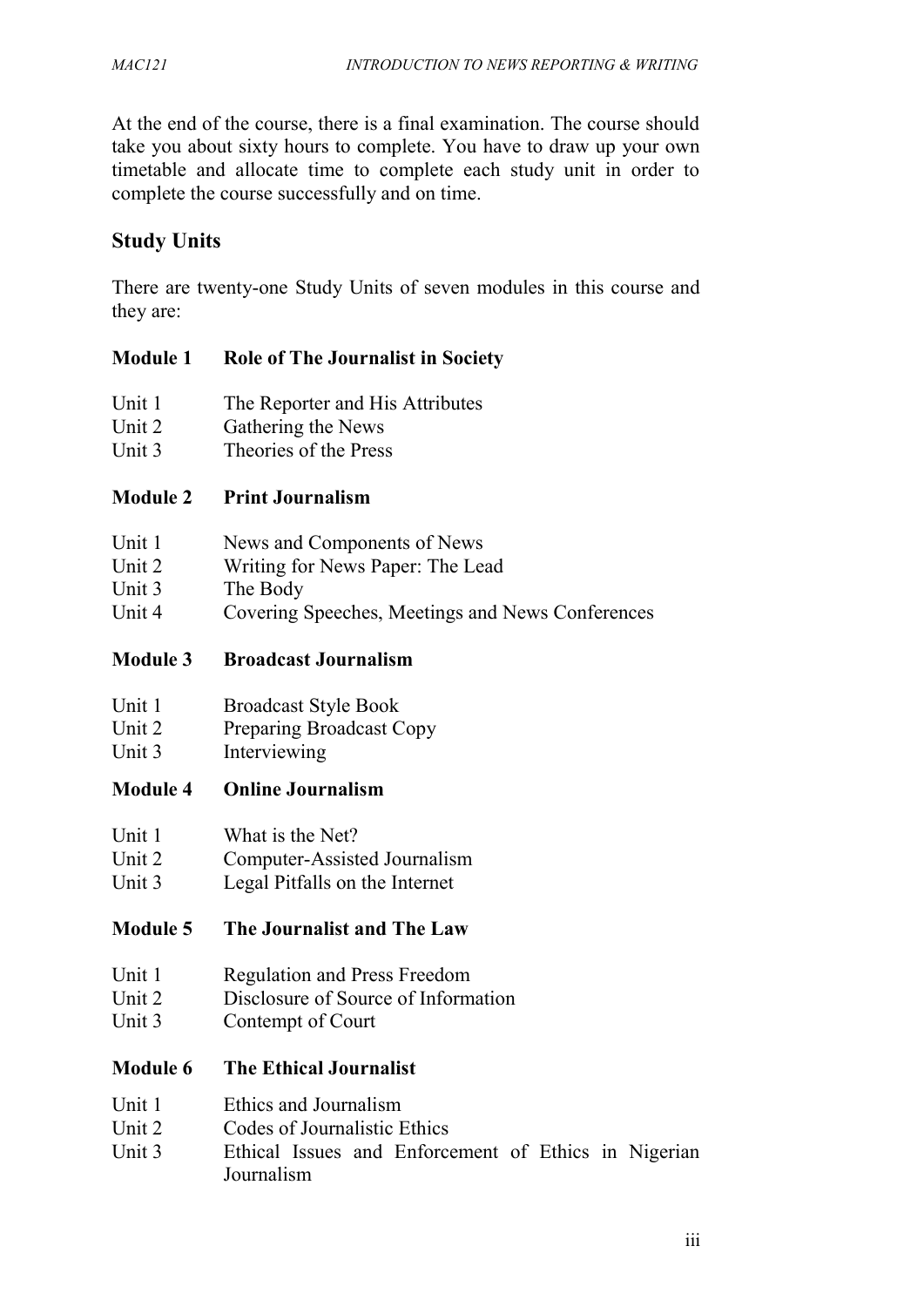At the end of the course, there is a final examination. The course should take you about sixty hours to complete. You have to draw up your own timetable and allocate time to complete each study unit in order to complete the course successfully and on time.

# **Study Units**

There are twenty-one Study Units of seven modules in this course and they are:

# **Module 1 Role of The Journalist in Society**

- Unit 1 The Reporter and His Attributes
- Unit 2 Gathering the News
- Unit 3 Theories of the Press

#### **Module 2 Print Journalism**

- Unit 1 News and Components of News
- Unit 2 Writing for News Paper: The Lead
- Unit 3 The Body
- Unit 4 Covering Speeches, Meetings and News Conferences

#### **Module 3 Broadcast Journalism**

- Unit 1 Broadcast Style Book
- Unit 2 Preparing Broadcast Copy
- Unit 3 Interviewing

# **Module 4 Online Journalism**

- Unit 1 What is the Net?
- Unit 2 Computer-Assisted Journalism
- Unit 3 Legal Pitfalls on the Internet

# **Module 5 The Journalist and The Law**

- Unit 1 Regulation and Press Freedom
- Unit 2 Disclosure of Source of Information
- Unit 3 Contempt of Court

# **Module 6 The Ethical Journalist**

- Unit 1 Ethics and Journalism
- Unit 2 Codes of Journalistic Ethics
- Unit 3 Ethical Issues and Enforcement of Ethics in Nigerian Journalism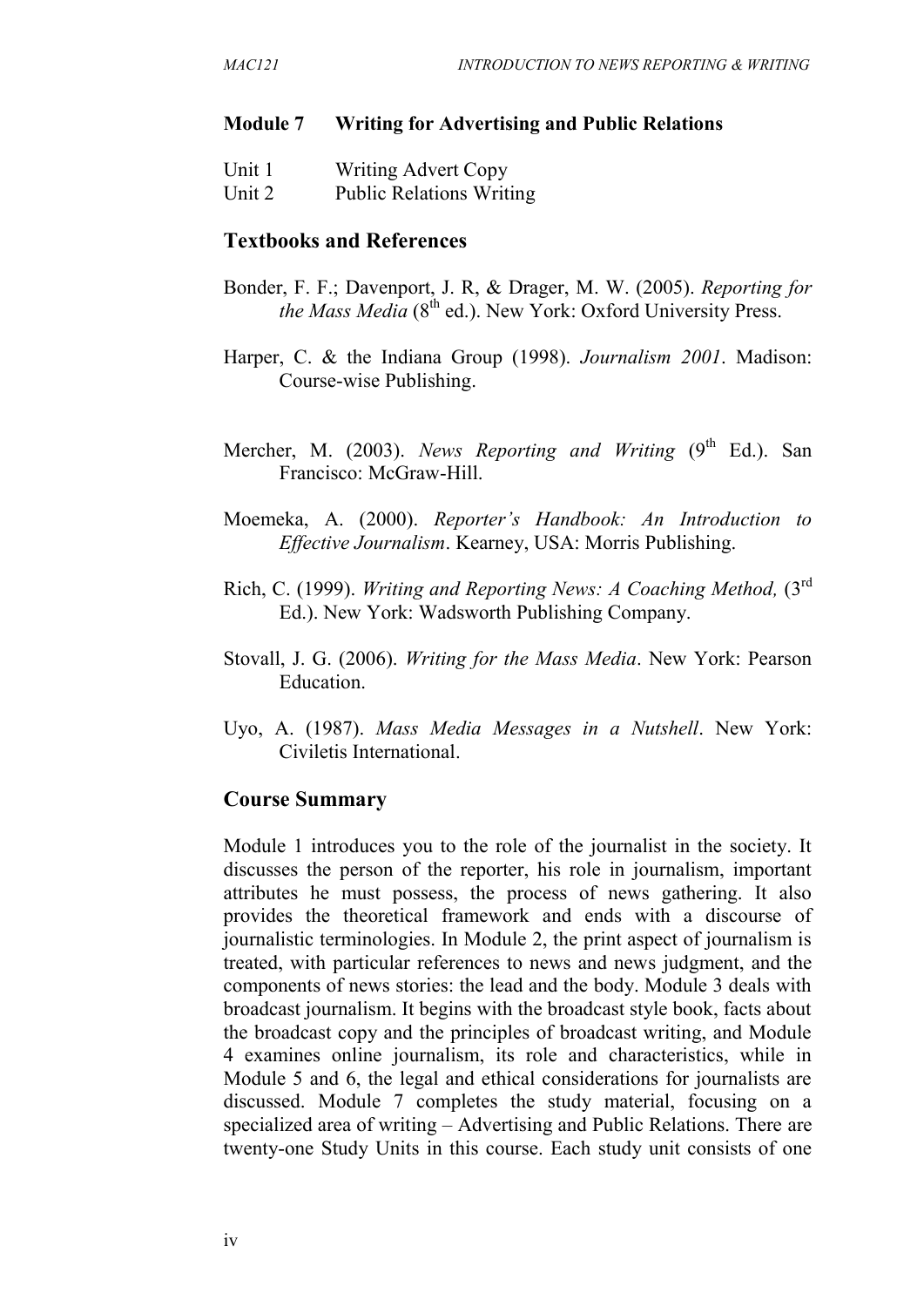#### **Module 7 Writing for Advertising and Public Relations**

| Unit 1 | <b>Writing Advert Copy</b>      |
|--------|---------------------------------|
| Unit 2 | <b>Public Relations Writing</b> |

#### **Textbooks and References**

- Bonder, F. F.; Davenport, J. R, & Drager, M. W. (2005). *Reporting for the Mass Media* (8<sup>th</sup> ed.). New York: Oxford University Press.
- Harper, C. & the Indiana Group (1998). *Journalism 2001*. Madison: Course-wise Publishing.
- Mercher, M. (2003). *News Reporting and Writing* (9<sup>th</sup> Ed.). San Francisco: McGraw-Hill.
- Moemeka, A. (2000). *Reporter's Handbook: An Introduction to Effective Journalism*. Kearney, USA: Morris Publishing.
- Rich, C. (1999). *Writing and Reporting News: A Coaching Method,* (3rd Ed.). New York: Wadsworth Publishing Company.
- Stovall, J. G. (2006). *Writing for the Mass Media*. New York: Pearson Education.
- Uyo, A. (1987). *Mass Media Messages in a Nutshell*. New York: Civiletis International.

#### **Course Summary**

Module 1 introduces you to the role of the journalist in the society. It discusses the person of the reporter, his role in journalism, important attributes he must possess, the process of news gathering. It also provides the theoretical framework and ends with a discourse of journalistic terminologies. In Module 2, the print aspect of journalism is treated, with particular references to news and news judgment, and the components of news stories: the lead and the body. Module 3 deals with broadcast journalism. It begins with the broadcast style book, facts about the broadcast copy and the principles of broadcast writing, and Module 4 examines online journalism, its role and characteristics, while in Module 5 and 6, the legal and ethical considerations for journalists are discussed. Module 7 completes the study material, focusing on a specialized area of writing – Advertising and Public Relations. There are twenty-one Study Units in this course. Each study unit consists of one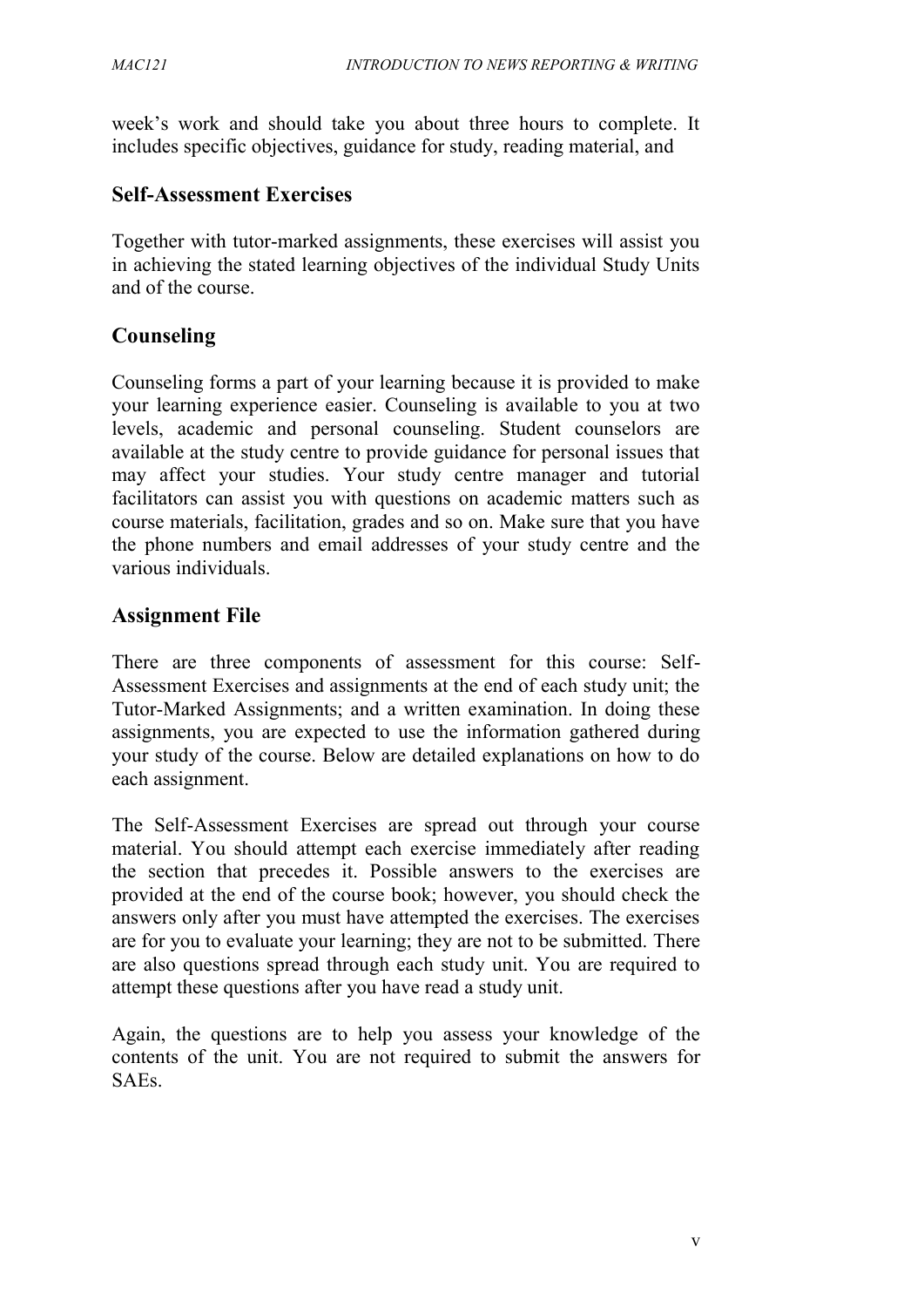week's work and should take you about three hours to complete. It includes specific objectives, guidance for study, reading material, and

# **Self-Assessment Exercises**

Together with tutor-marked assignments, these exercises will assist you in achieving the stated learning objectives of the individual Study Units and of the course.

# **Counseling**

Counseling forms a part of your learning because it is provided to make your learning experience easier. Counseling is available to you at two levels, academic and personal counseling. Student counselors are available at the study centre to provide guidance for personal issues that may affect your studies. Your study centre manager and tutorial facilitators can assist you with questions on academic matters such as course materials, facilitation, grades and so on. Make sure that you have the phone numbers and email addresses of your study centre and the various individuals.

# **Assignment File**

There are three components of assessment for this course: Self- Assessment Exercises and assignments at the end of each study unit; the Tutor-Marked Assignments; and a written examination. In doing these assignments, you are expected to use the information gathered during your study of the course. Below are detailed explanations on how to do each assignment.

The Self-Assessment Exercises are spread out through your course material. You should attempt each exercise immediately after reading the section that precedes it. Possible answers to the exercises are provided at the end of the course book; however, you should check the answers only after you must have attempted the exercises. The exercises are for you to evaluate your learning; they are not to be submitted. There are also questions spread through each study unit. You are required to attempt these questions after you have read a study unit.

Again, the questions are to help you assess your knowledge of the contents of the unit. You are not required to submit the answers for SAEs.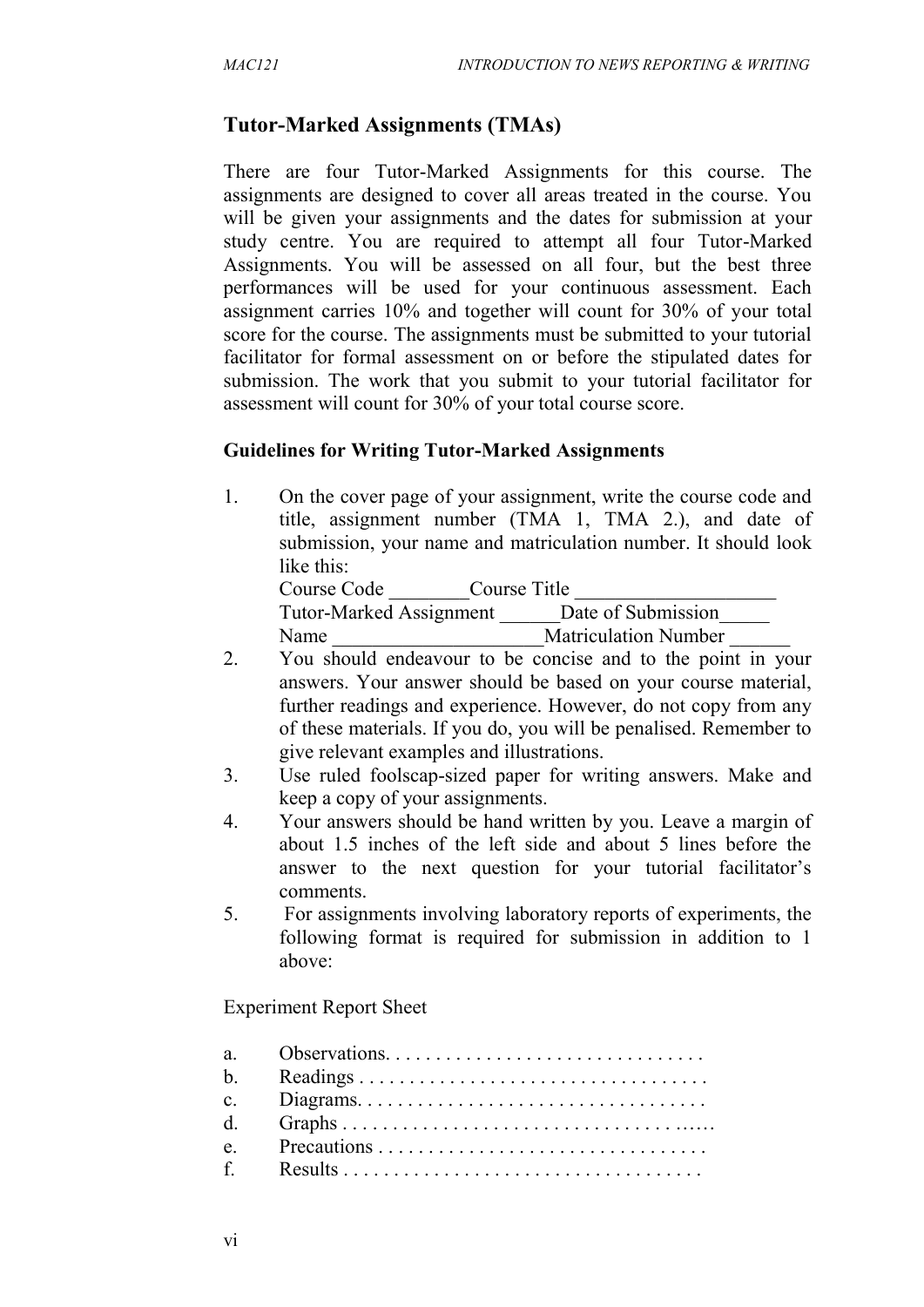# **Tutor-Marked Assignments (TMAs)**

There are four Tutor-Marked Assignments for this course. The assignments are designed to cover all areas treated in the course. You will be given your assignments and the dates for submission at your study centre. You are required to attempt all four Tutor-Marked Assignments. You will be assessed on all four, but the best three performances will be used for your continuous assessment. Each assignment carries 10% and together will count for 30% of your total score for the course. The assignments must be submitted to your tutorial facilitator for formal assessment on or before the stipulated dates for submission. The work that you submit to your tutorial facilitator for assessment will count for 30% of your total course score.

#### **Guidelines for Writing Tutor-Marked Assignments**

1. On the cover page of your assignment, write the course code and title, assignment number (TMA 1, TMA 2.), and date of submission, your name and matriculation number. It should look like this:

| Course Code                    | Course Title                |
|--------------------------------|-----------------------------|
| <b>Tutor-Marked Assignment</b> | Date of Submission          |
| Name                           | <b>Matriculation Number</b> |

- 2. You should endeavour to be concise and to the point in your answers. Your answer should be based on your course material, further readings and experience. However, do not copy from any of these materials. If you do, you will be penalised. Remember to give relevant examples and illustrations.
- 3. Use ruled foolscap-sized paper for writing answers. Make and keep a copy of your assignments.
- 4. Your answers should be hand written by you. Leave a margin of about 1.5 inches of the left side and about 5 lines before the answer to the next question for your tutorial facilitator's comments.
- 5. For assignments involving laboratory reports of experiments, the following format is required for submission in addition to 1 above:

#### Experiment Report Sheet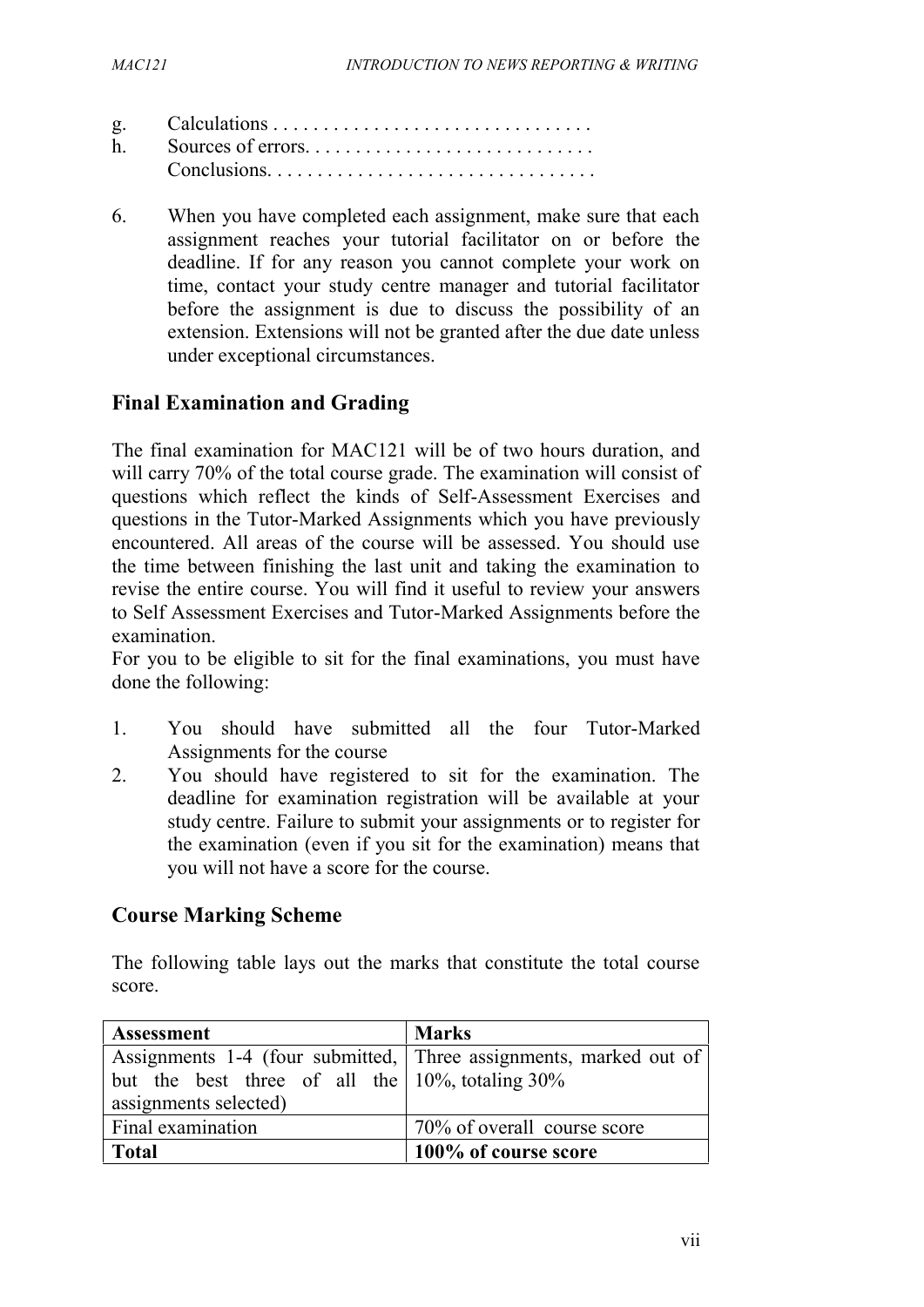6. When you have completed each assignment, make sure that each assignment reaches your tutorial facilitator on or before the deadline. If for any reason you cannot complete your work on time, contact your study centre manager and tutorial facilitator before the assignment is due to discuss the possibility of an extension. Extensions will not be granted after the due date unless under exceptional circumstances.

# **Final Examination and Grading**

The final examination for MAC121 will be of two hours duration, and will carry 70% of the total course grade. The examination will consist of questions which reflect the kinds of Self-Assessment Exercises and questions in the Tutor-Marked Assignments which you have previously encountered. All areas of the course will be assessed. You should use the time between finishing the last unit and taking the examination to revise the entire course. You will find it useful to review your answers to Self Assessment Exercises and Tutor-Marked Assignments before the examination.

For you to be eligible to sit for the final examinations, you must have done the following:

- 1. You should have submitted all the four Tutor-Marked Assignments for the course
- 2. You should have registered to sit for the examination. The deadline for examination registration will be available at your study centre. Failure to submit your assignments or to register for the examination (even if you sit for the examination) means that you will not have a score for the course.

# **Course Marking Scheme**

The following table lays out the marks that constitute the total course score.

| <b>Assessment</b>                                   | <b>Marks</b>                                                      |
|-----------------------------------------------------|-------------------------------------------------------------------|
|                                                     | Assignments 1-4 (four submitted, Three assignments, marked out of |
| but the best three of all the $10\%$ , totaling 30% |                                                                   |
| assignments selected)                               |                                                                   |
| Final examination                                   | 70% of overall course score                                       |
| <b>Total</b>                                        | 100% of course score                                              |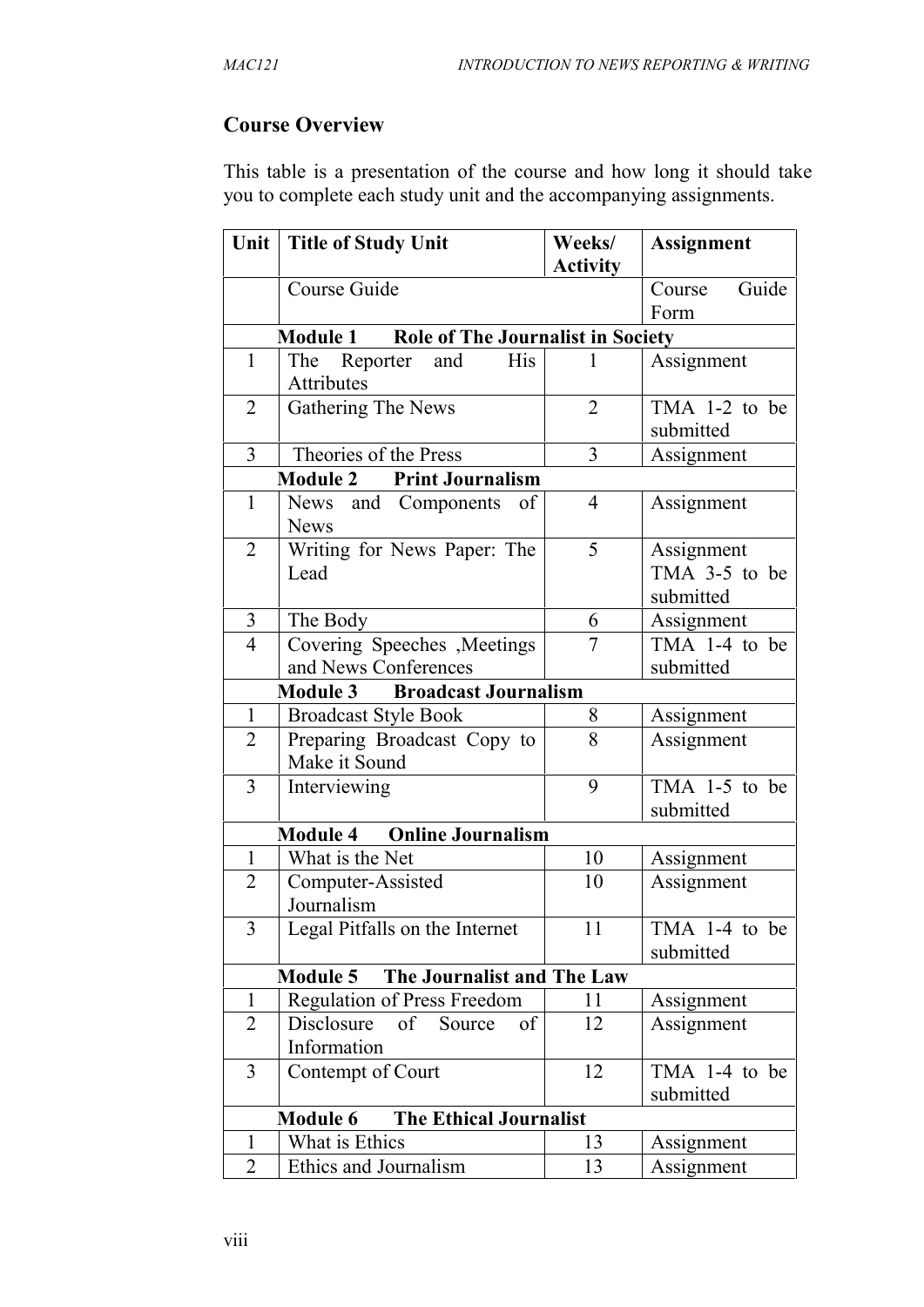# **Course Overview**

This table is a presentation of the course and how long it should take you to complete each study unit and the accompanying assignments.

| Unit $ $       | <b>Title of Study Unit</b>                                  | Weeks/<br><b>Activity</b> | <b>Assignment</b> |
|----------------|-------------------------------------------------------------|---------------------------|-------------------|
|                | Course Guide                                                |                           | Guide<br>Course   |
|                |                                                             |                           | Form              |
|                | <b>Role of The Journalist in Society</b><br><b>Module 1</b> |                           |                   |
| 1              | The<br>His<br>Reporter<br>and                               | 1                         | Assignment        |
|                | Attributes                                                  |                           |                   |
| $\overline{2}$ | <b>Gathering The News</b>                                   | $\overline{2}$            | TMA 1-2 to be     |
|                |                                                             |                           | submitted         |
| 3              | Theories of the Press                                       | $\overline{3}$            | Assignment        |
|                | <b>Module 2</b> Print Journalism                            |                           |                   |
| 1              | News and Components<br>- of<br><b>News</b>                  | $\overline{4}$            | Assignment        |
| $\overline{2}$ | Writing for News Paper: The                                 | 5                         | Assignment        |
|                | Lead                                                        |                           | TMA 3-5 to be     |
|                |                                                             |                           | submitted         |
| 3              | The Body                                                    | 6                         | Assignment        |
| $\overline{4}$ | Covering Speeches , Meetings                                | 7                         | TMA 1-4 to be     |
|                | and News Conferences                                        |                           | submitted         |
|                | <b>Module 3</b> Broadcast Journalism                        |                           |                   |
| $\mathbf{1}$   | <b>Broadcast Style Book</b>                                 | 8                         | Assignment        |
| $\overline{2}$ | Preparing Broadcast Copy to                                 | 8                         | Assignment        |
|                | Make it Sound                                               |                           |                   |
| 3              | Interviewing                                                | 9                         | TMA 1-5 to be     |
|                |                                                             |                           | submitted         |
|                | <b>Online Journalism</b><br><b>Module 4</b>                 |                           |                   |
| 1              | What is the Net                                             | 10                        | Assignment        |
| $\overline{2}$ | Computer-Assisted<br>Journalism                             | 10                        | Assignment        |
| 3              | Legal Pitfalls on the Internet                              | 11                        | TMA 1-4 to be     |
|                |                                                             |                           | submitted         |
|                | The Journalist and The Law<br><b>Module 5</b>               |                           |                   |
| $\mathbf{1}$   | <b>Regulation of Press Freedom</b>                          | 11                        | Assignment        |
| $\overline{2}$ | Disclosure<br>of<br>of<br>Source                            | 12                        | Assignment        |
|                | Information                                                 |                           |                   |
| 3              | Contempt of Court                                           | 12                        | TMA 1-4 to be     |
|                |                                                             |                           | submitted         |
|                | <b>The Ethical Journalist</b><br><b>Module 6</b>            |                           |                   |
| 1              | What is Ethics                                              | 13                        | Assignment        |
| 2              | Ethics and Journalism                                       | 13                        | Assignment        |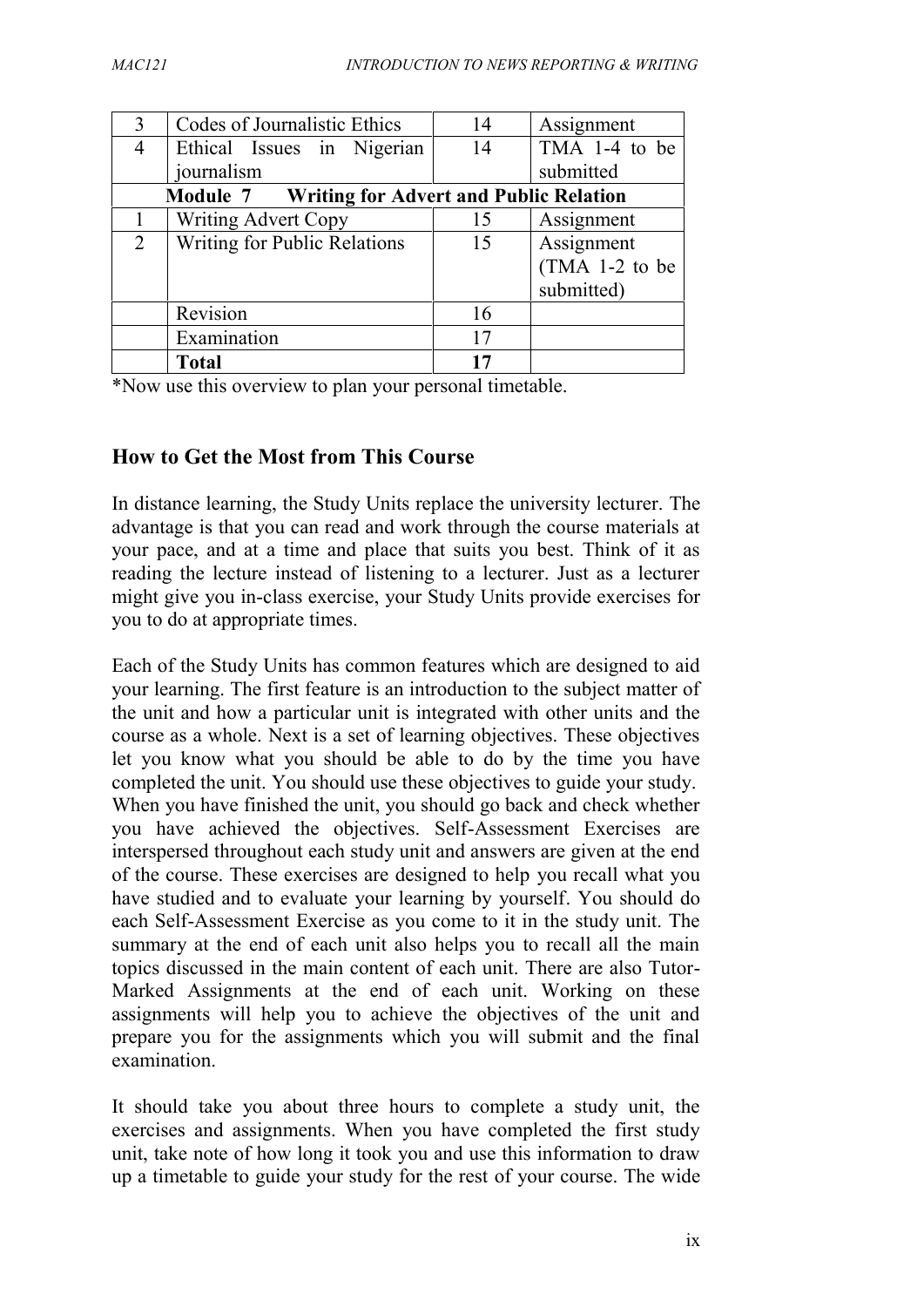| 3                                                                | Codes of Journalistic Ethics | 14 | Assignment                                   |
|------------------------------------------------------------------|------------------------------|----|----------------------------------------------|
| 4                                                                | Ethical Issues in Nigerian   | 14 | TMA 1-4 to be                                |
| journalism                                                       |                              |    | submitted                                    |
| <b>Module 7</b><br><b>Writing for Advert and Public Relation</b> |                              |    |                                              |
|                                                                  | <b>Writing Advert Copy</b>   | 15 | Assignment                                   |
| 2                                                                | Writing for Public Relations | 15 | Assignment<br>$(TMA 1-2 to be$<br>submitted) |
|                                                                  | Revision                     | 16 |                                              |
|                                                                  | Examination                  | 17 |                                              |
|                                                                  | <b>Total</b>                 | 17 |                                              |

\*Now use this overview to plan your personal timetable.

# **How to Get the Most from This Course**

In distance learning, the Study Units replace the university lecturer. The advantage is that you can read and work through the course materials at your pace, and at a time and place that suits you best. Think of it as reading the lecture instead of listening to a lecturer. Just as a lecturer might give you in-class exercise, your Study Units provide exercises for you to do at appropriate times.

Each of the Study Units has common features which are designed to aid your learning. The first feature is an introduction to the subject matter of the unit and how a particular unit is integrated with other units and the course as a whole. Next is a set of learning objectives. These objectives let you know what you should be able to do by the time you have completed the unit. You should use these objectives to guide your study. When you have finished the unit, you should go back and check whether you have achieved the objectives. Self-Assessment Exercises are interspersed throughout each study unit and answers are given at the end of the course. These exercises are designed to help you recall what you have studied and to evaluate your learning by yourself. You should do each Self-Assessment Exercise as you come to it in the study unit. The summary at the end of each unit also helps you to recall all the main topics discussed in the main content of each unit. There are also Tutor- Marked Assignments at the end of each unit. Working on these assignments will help you to achieve the objectives of the unit and prepare you for the assignments which you will submit and the final examination.

It should take you about three hours to complete a study unit, the exercises and assignments. When you have completed the first study unit, take note of how long it took you and use this information to draw up a timetable to guide your study for the rest of your course. The wide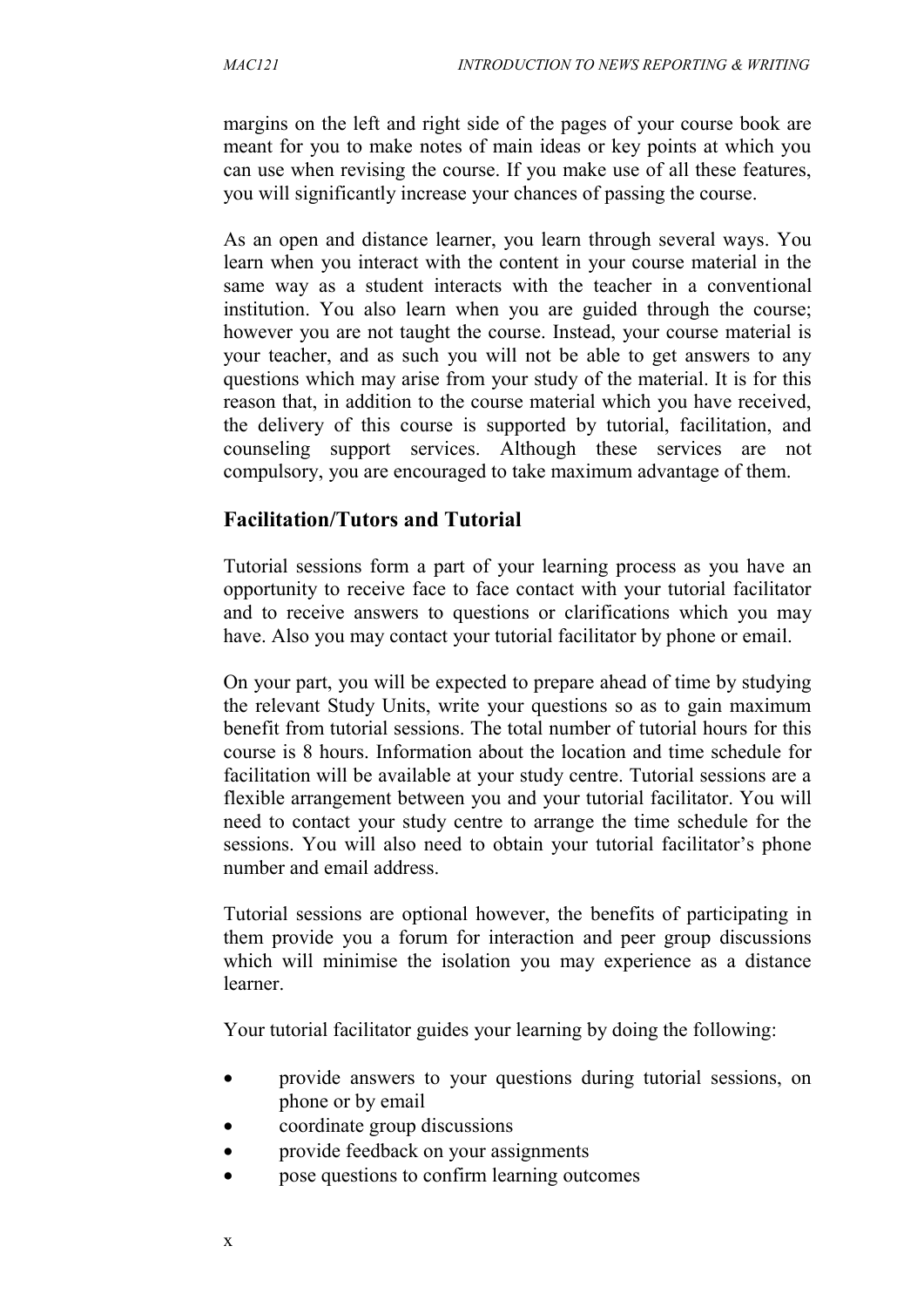margins on the left and right side of the pages of your course book are meant for you to make notes of main ideas or key points at which you can use when revising the course. If you make use of all these features, you will significantly increase your chances of passing the course.

As an open and distance learner, you learn through several ways. You learn when you interact with the content in your course material in the same way as a student interacts with the teacher in a conventional institution. You also learn when you are guided through the course; however you are not taught the course. Instead, your course material is your teacher, and as such you will not be able to get answers to any questions which may arise from your study of the material. It is for this reason that, in addition to the course material which you have received, the delivery of this course is supported by tutorial, facilitation, and counseling support services. Although these services are not compulsory, you are encouraged to take maximum advantage of them.

# **Facilitation/Tutors and Tutorial**

Tutorial sessions form a part of your learning process as you have an opportunity to receive face to face contact with your tutorial facilitator and to receive answers to questions or clarifications which you may have. Also you may contact your tutorial facilitator by phone or email.

On your part, you will be expected to prepare ahead of time by studying the relevant Study Units, write your questions so as to gain maximum benefit from tutorial sessions. The total number of tutorial hours for this course is 8 hours. Information about the location and time schedule for facilitation will be available at your study centre. Tutorial sessions are a flexible arrangement between you and your tutorial facilitator. You will need to contact your study centre to arrange the time schedule for the sessions. You will also need to obtain your tutorial facilitator's phone number and email address.

Tutorial sessions are optional however, the benefits of participating in them provide you a forum for interaction and peer group discussions which will minimise the isolation you may experience as a distance learner.

Your tutorial facilitator guides your learning by doing the following:

- provide answers to your questions during tutorial sessions, on phone or by email
- coordinate group discussions
- provide feedback on your assignments
- pose questions to confirm learning outcomes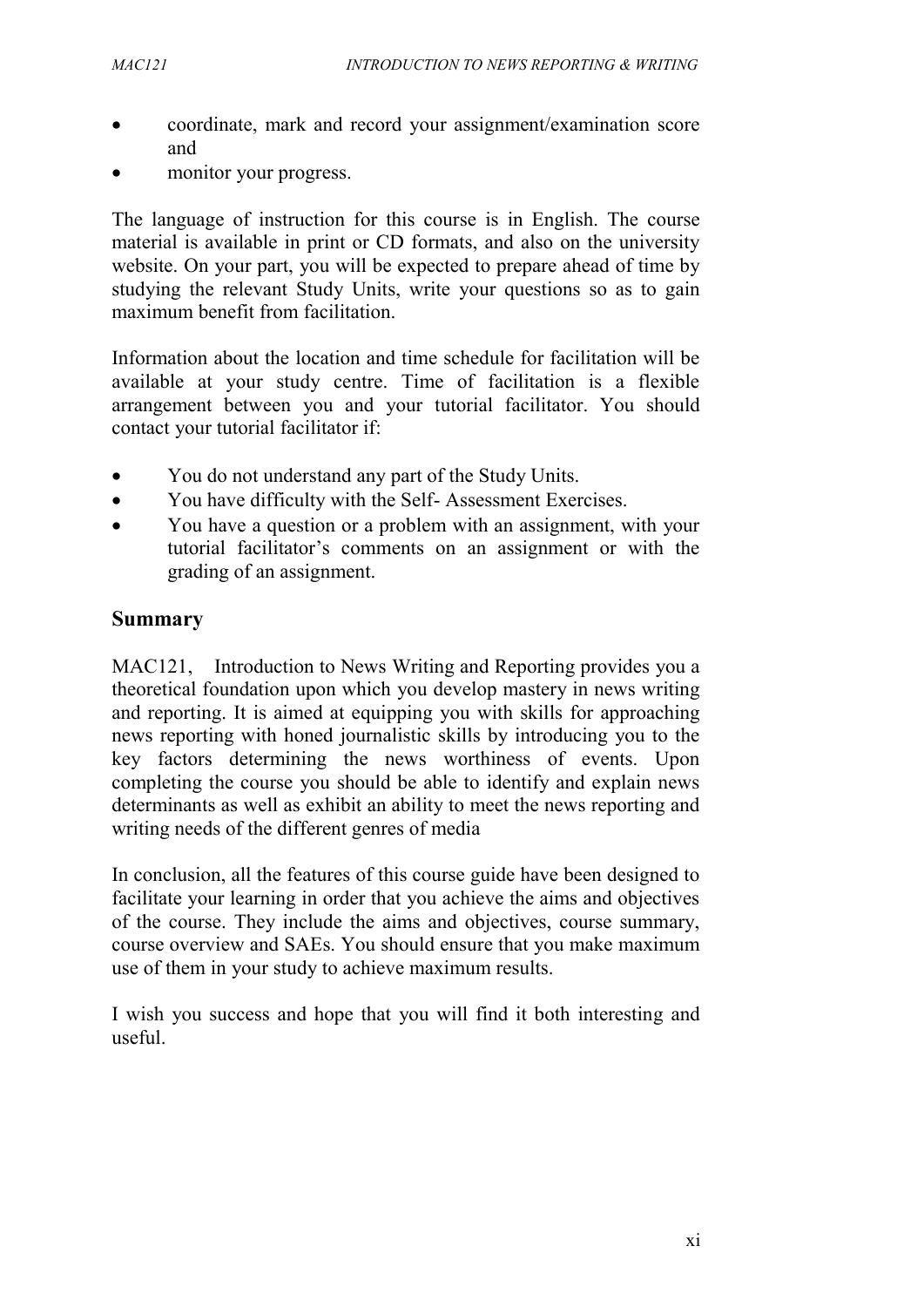- coordinate, mark and record your assignment/examination score and
- monitor your progress.

The language of instruction for this course is in English. The course material is available in print or CD formats, and also on the university website. On your part, you will be expected to prepare ahead of time by studying the relevant Study Units, write your questions so as to gain maximum benefit from facilitation.

Information about the location and time schedule for facilitation will be available at your study centre. Time of facilitation is a flexible arrangement between you and your tutorial facilitator. You should contact your tutorial facilitator if:

- You do not understand any part of the Study Units.
- You have difficulty with the Self- Assessment Exercises.
- You have a question or a problem with an assignment, with your tutorial facilitator's comments on an assignment or with the grading of an assignment.

#### **Summary**

MAC121, Introduction to News Writing and Reporting provides you a theoretical foundation upon which you develop mastery in news writing and reporting. It is aimed at equipping you with skills for approaching news reporting with honed journalistic skills by introducing you to the key factors determining the news worthiness of events. Upon completing the course you should be able to identify and explain news determinants as well as exhibit an ability to meet the news reporting and writing needs of the different genres of media

In conclusion, all the features of this course guide have been designed to facilitate your learning in order that you achieve the aims and objectives of the course. They include the aims and objectives, course summary, course overview and SAEs. You should ensure that you make maximum use of them in your study to achieve maximum results.

I wish you success and hope that you will find it both interesting and useful.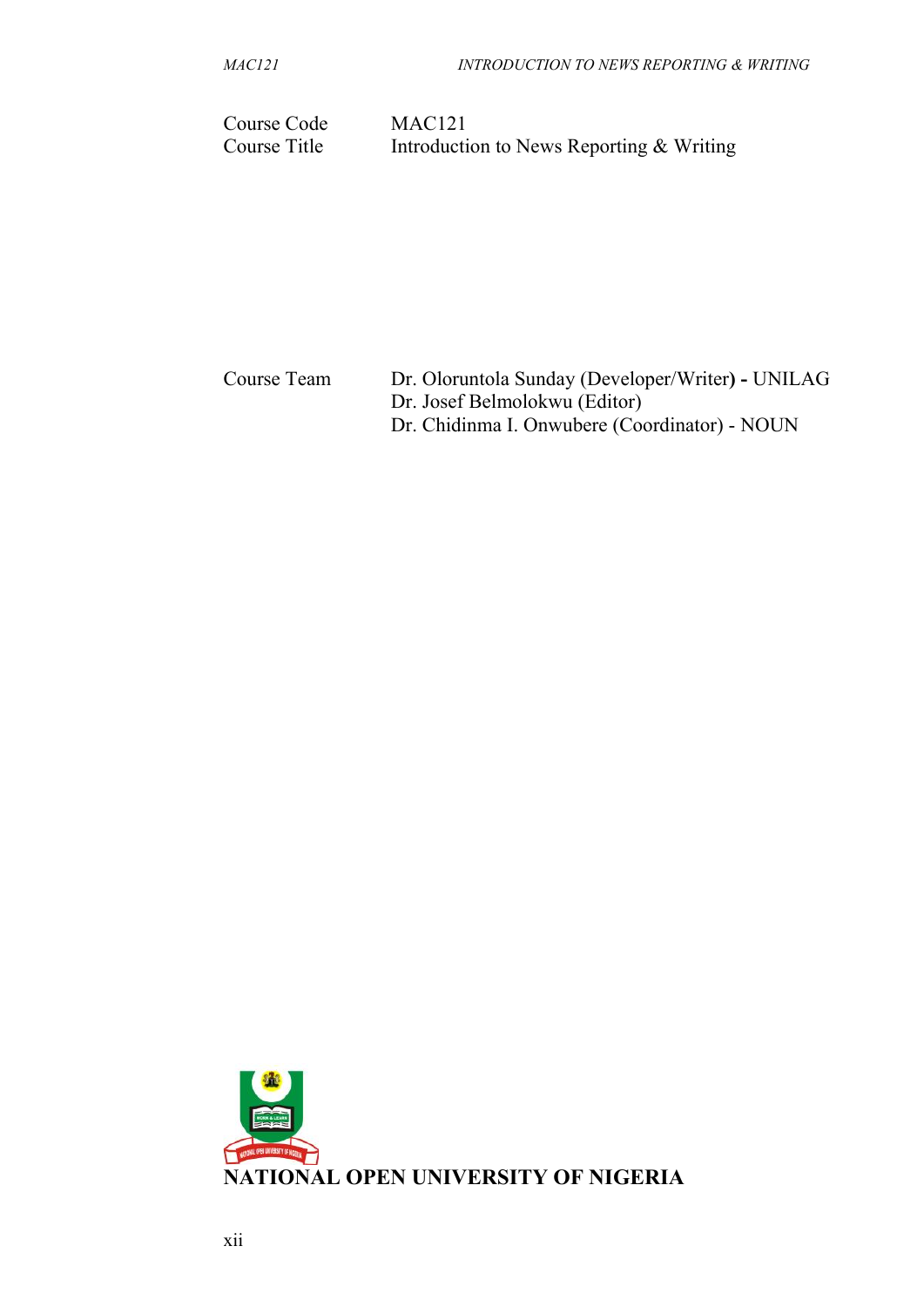*MAC121 INTRODUCTION TO NEWS REPORTING & WRITING*

Course Code MAC121 Course Title Introduction to News Reporting & Writing

Course Team Dr. Oloruntola Sunday (Developer/Writer**) -** UNILAG Dr. Josef Belmolokwu (Editor) Dr. Chidinma I. Onwubere (Coordinator) - NOUN

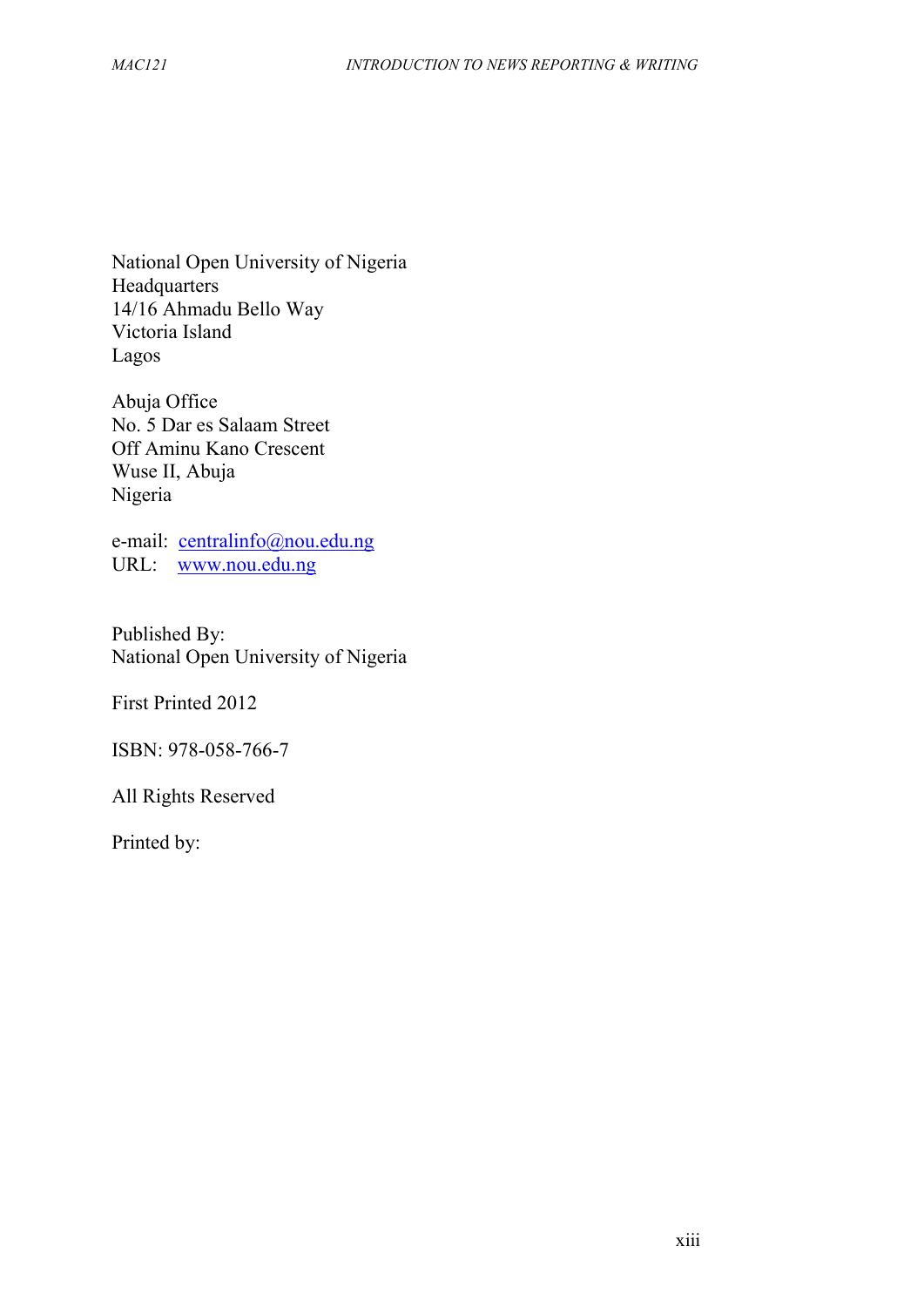National Open University of Nigeria **Headquarters** 14/16 Ahmadu Bello Way Victoria Island Lagos

Abuja Office No. 5 Dar es Salaam Street Off Aminu Kano Crescent Wuse II, Abuja Nigeria

e-mail: centralinfo@nou.edu.ng URL: www.nou.edu.ng

Published By: National Open University of Nigeria

First Printed 2012

ISBN: 978-058-766-7

All Rights Reserved

Printed by: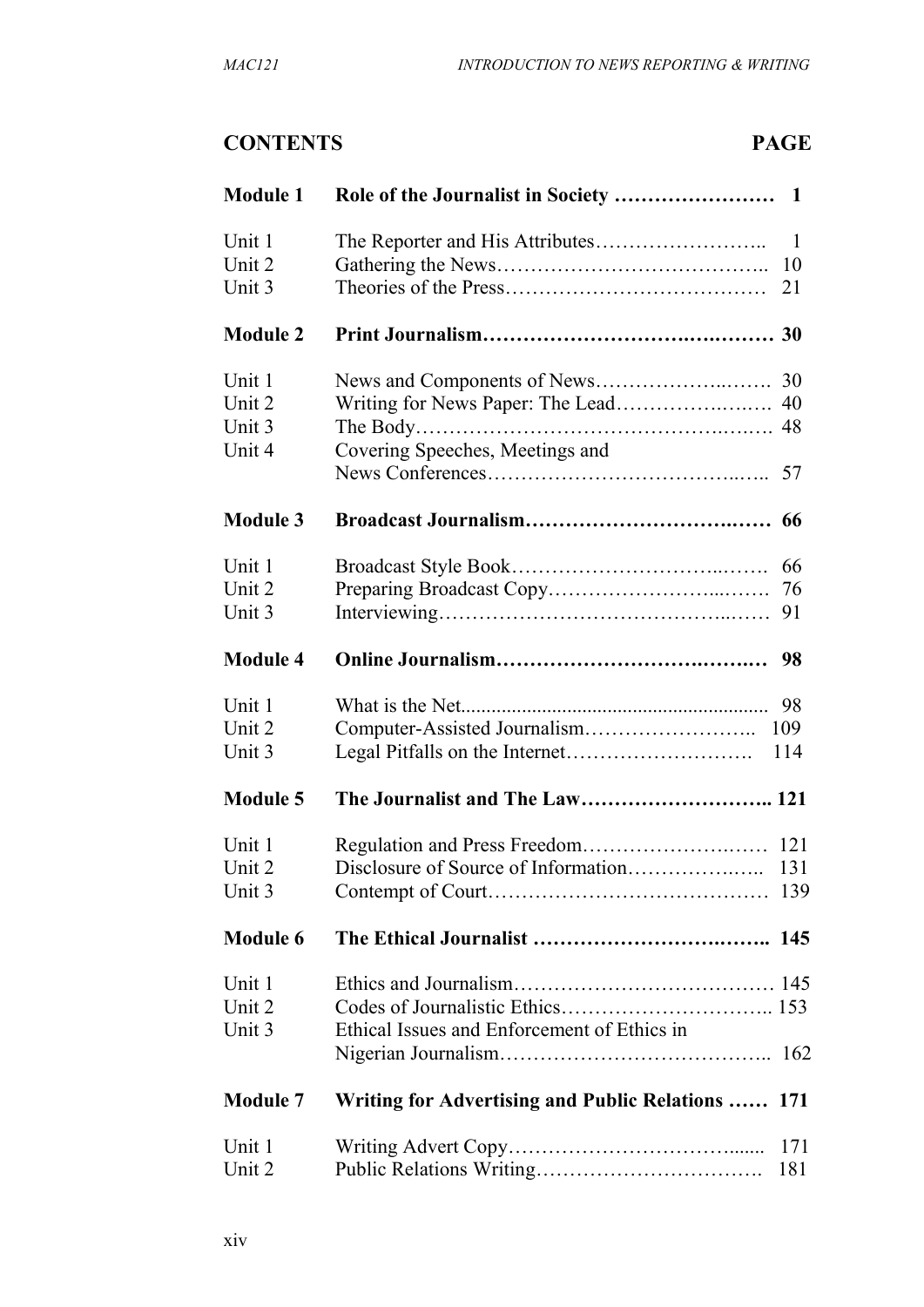# **CONTENTS PAGE**

| <b>Module 1</b> |                                                   |     |
|-----------------|---------------------------------------------------|-----|
| Unit 1          |                                                   | 1   |
| Unit 2          |                                                   | -10 |
| Unit 3          |                                                   | 21  |
| <b>Module 2</b> |                                                   |     |
| Unit 1          |                                                   |     |
| Unit 2          |                                                   |     |
| Unit 3          |                                                   |     |
| Unit 4          | Covering Speeches, Meetings and                   |     |
|                 |                                                   |     |
| <b>Module 3</b> |                                                   |     |
| Unit 1          |                                                   | 66  |
| Unit 2          |                                                   | 76  |
| Unit 3          |                                                   | 91  |
| <b>Module 4</b> |                                                   |     |
| Unit 1          |                                                   | 98  |
| Unit 2          |                                                   |     |
| Unit 3          |                                                   |     |
| <b>Module 5</b> | The Journalist and The Law 121                    |     |
| Unit 1          |                                                   |     |
| Unit 2          |                                                   | 131 |
| Unit 3          |                                                   |     |
| <b>Module 6</b> |                                                   |     |
| Unit 1          |                                                   |     |
| Unit 2          |                                                   |     |
| Unit 3          | Ethical Issues and Enforcement of Ethics in       |     |
|                 |                                                   |     |
| <b>Module 7</b> | Writing for Advertising and Public Relations  171 |     |
| Unit 1          |                                                   | 171 |
| Unit 2          |                                                   | 181 |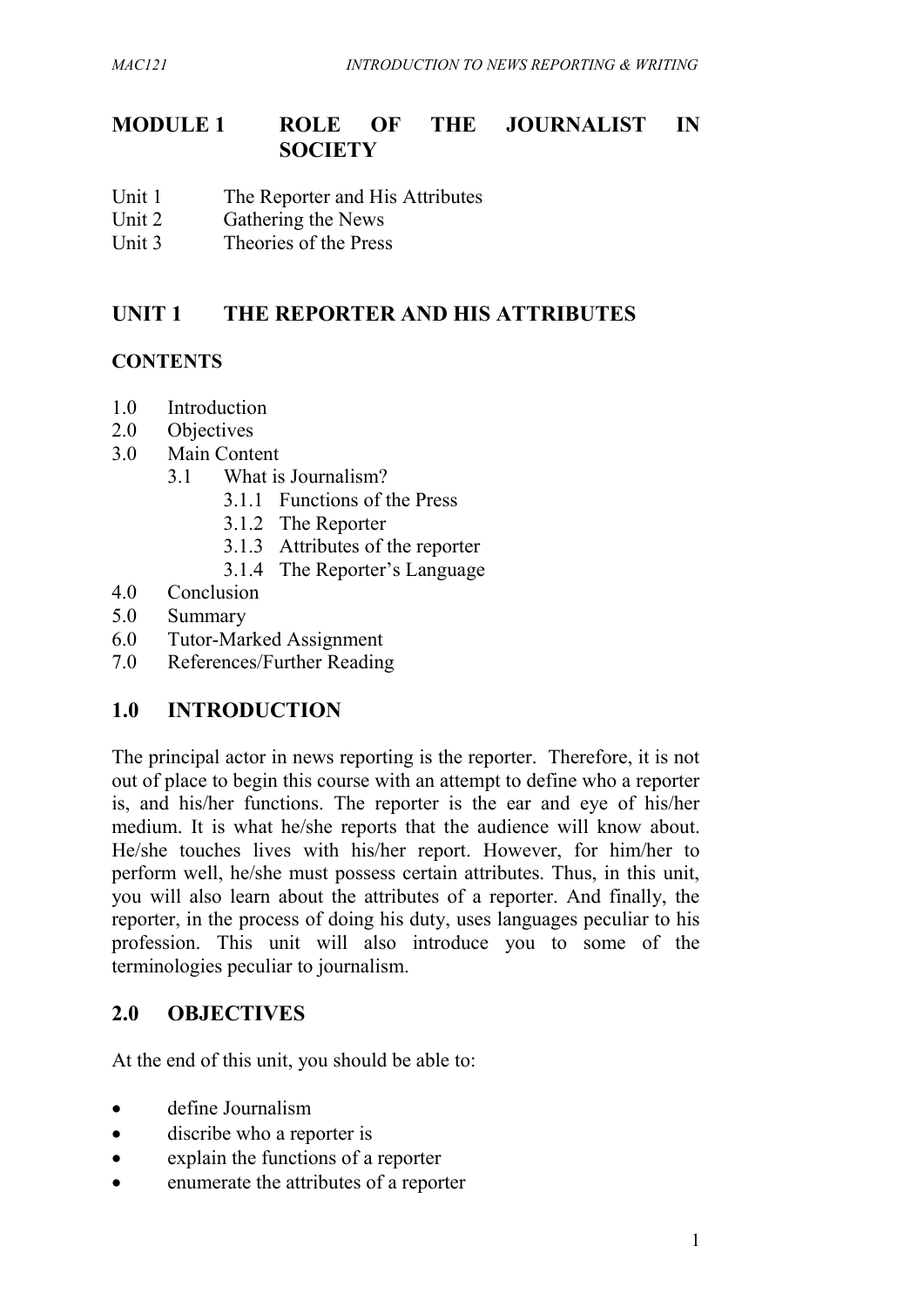# **MODULE 1 ROLE OF THE JOURNALIST IN SOCIETY**

- Unit 1 The Reporter and His Attributes
- Unit 2 Gathering the News
- Unit 3 Theories of the Press

# **UNIT 1 THE REPORTER AND HIS ATTRIBUTES**

# **CONTENTS**

- 1.0 Introduction
- 2.0 Objectives
- 3.0 Main Content
	- 3.1 What is Journalism?
		- 3.1.1 Functions of the Press
		- 3.1.2 The Reporter
		- 3.1.3 Attributes of the reporter
		- 3.1.4 The Reporter's Language
- 4.0 Conclusion
- 5.0 Summary
- 6.0 Tutor-Marked Assignment
- 7.0 References/Further Reading

# **1.0 INTRODUCTION**

The principal actor in news reporting is the reporter. Therefore, it is not out of place to begin this course with an attempt to define who a reporter is, and his/her functions. The reporter is the ear and eye of his/her medium. It is what he/she reports that the audience will know about. He/she touches lives with his/her report. However, for him/her to perform well, he/she must possess certain attributes. Thus, in this unit, you will also learn about the attributes of a reporter. And finally, the reporter, in the process of doing his duty, uses languages peculiar to his profession. This unit will also introduce you to some of the terminologies peculiar to journalism.

# **2.0 OBJECTIVES**

At the end of this unit, you should be able to:

- define Journalism
- discribe who a reporter is
- explain the functions of a reporter
- enumerate the attributes of a reporter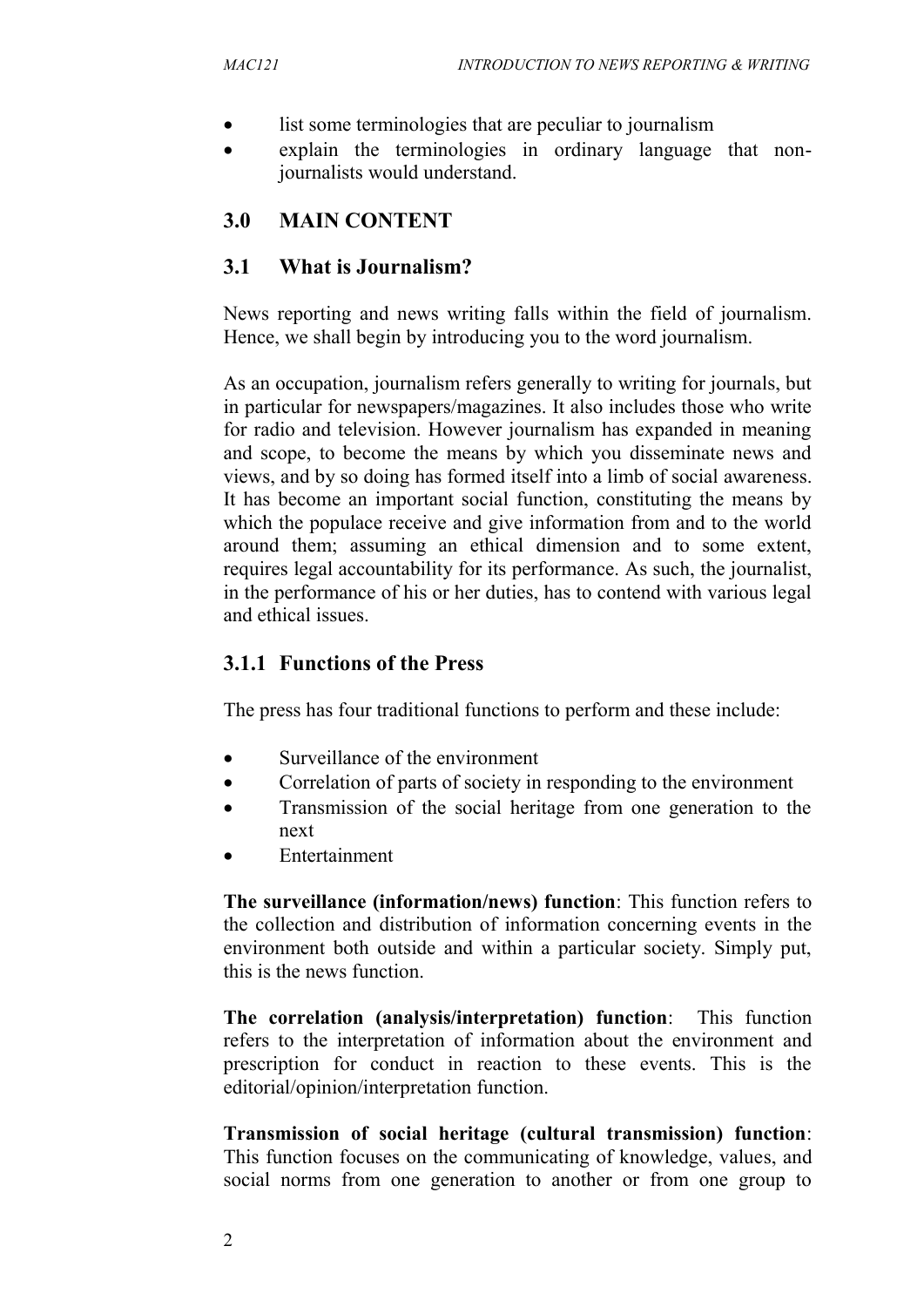- list some terminologies that are peculiar to journalism
- explain the terminologies in ordinary language that nonjournalists would understand.

# **3.0 MAIN CONTENT**

#### **3.1 What is Journalism?**

News reporting and news writing falls within the field of journalism. Hence, we shall begin by introducing you to the word journalism.

As an occupation, journalism refers generally to writing for journals, but in particular for newspapers/magazines. It also includes those who write for radio and television. However journalism has expanded in meaning and scope, to become the means by which you disseminate news and views, and by so doing has formed itself into a limb of social awareness. It has become an important social function, constituting the means by which the populace receive and give information from and to the world around them; assuming an ethical dimension and to some extent, requires legal accountability for its performance. As such, the journalist, in the performance of his or her duties, has to contend with various legal and ethical issues.

# **3.1.1 Functions of the Press**

The press has four traditional functions to perform and these include:

- Surveillance of the environment
- Correlation of parts of society in responding to the environment
- Transmission of the social heritage from one generation to the next
- Entertainment

**The surveillance (information/news) function**: This function refers to the collection and distribution of information concerning events in the environment both outside and within a particular society. Simply put, this is the news function.

**The correlation (analysis/interpretation) function**: This function refers to the interpretation of information about the environment and prescription for conduct in reaction to these events. This is the editorial/opinion/interpretation function.

**Transmission of social heritage (cultural transmission) function**: This function focuses on the communicating of knowledge, values, and social norms from one generation to another or from one group to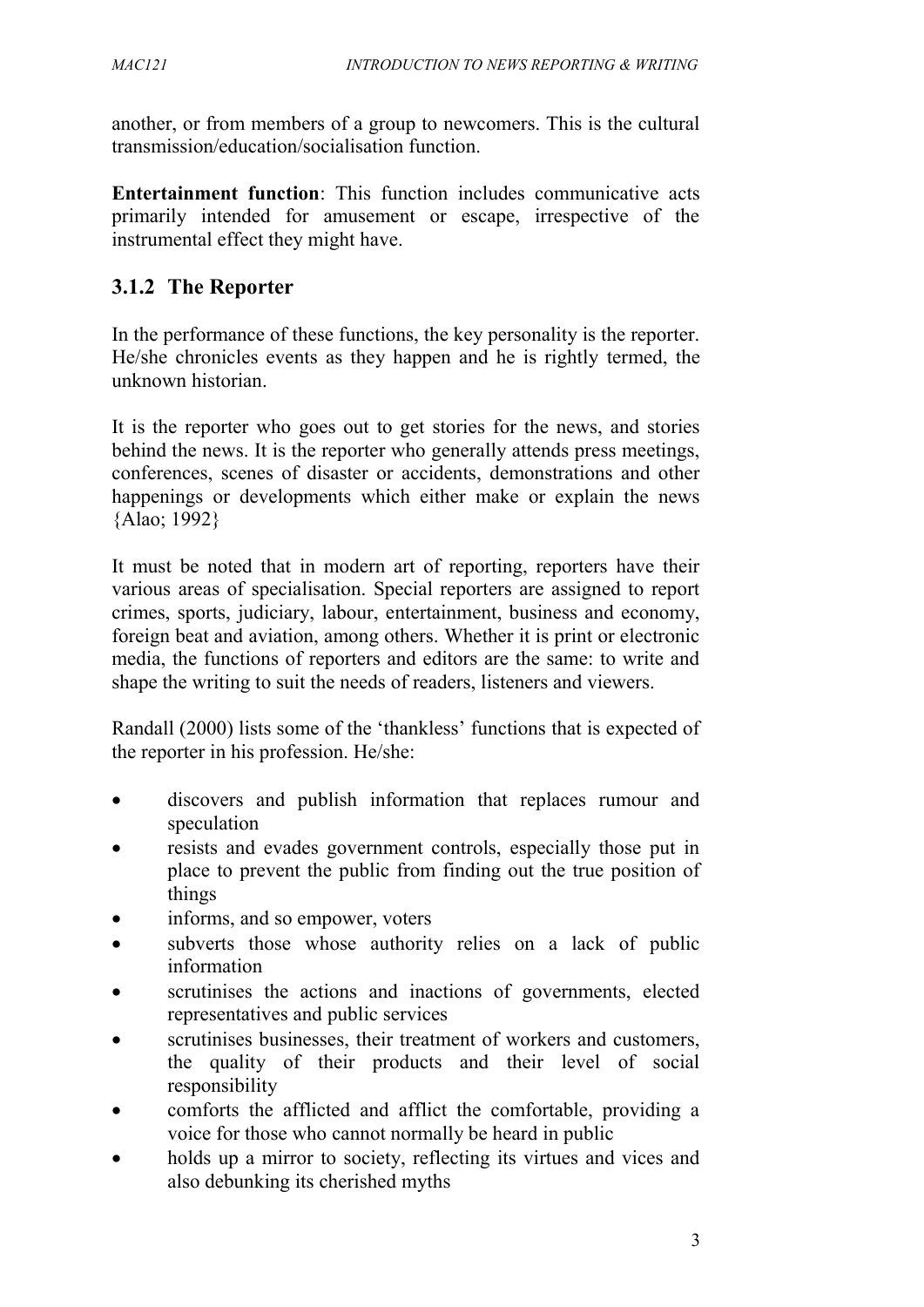another, or from members of a group to newcomers. This is the cultural transmission/education/socialisation function.

**Entertainment function**: This function includes communicative acts primarily intended for amusement or escape, irrespective of the instrumental effect they might have.

# **3.1.2 The Reporter**

In the performance of these functions, the key personality is the reporter. He/she chronicles events as they happen and he is rightly termed, the unknown historian.

It is the reporter who goes out to get stories for the news, and stories behind the news. It is the reporter who generally attends press meetings, conferences, scenes of disaster or accidents, demonstrations and other happenings or developments which either make or explain the news {Alao; 1992}

It must be noted that in modern art of reporting, reporters have their various areas of specialisation. Special reporters are assigned to report crimes, sports, judiciary, labour, entertainment, business and economy, foreign beat and aviation, among others. Whether it is print or electronic media, the functions of reporters and editors are the same: to write and shape the writing to suit the needs of readers, listeners and viewers.

Randall (2000) lists some of the 'thankless' functions that is expected of the reporter in his profession. He/she:

- discovers and publish information that replaces rumour and speculation
- resists and evades government controls, especially those put in place to prevent the public from finding out the true position of things
- informs, and so empower, voters
- subverts those whose authority relies on a lack of public information
- scrutinises the actions and inactions of governments, elected representatives and public services
- scrutinises businesses, their treatment of workers and customers, the quality of their products and their level of social responsibility
- comforts the afflicted and afflict the comfortable, providing a voice for those who cannot normally be heard in public
- holds up a mirror to society, reflecting its virtues and vices and also debunking its cherished myths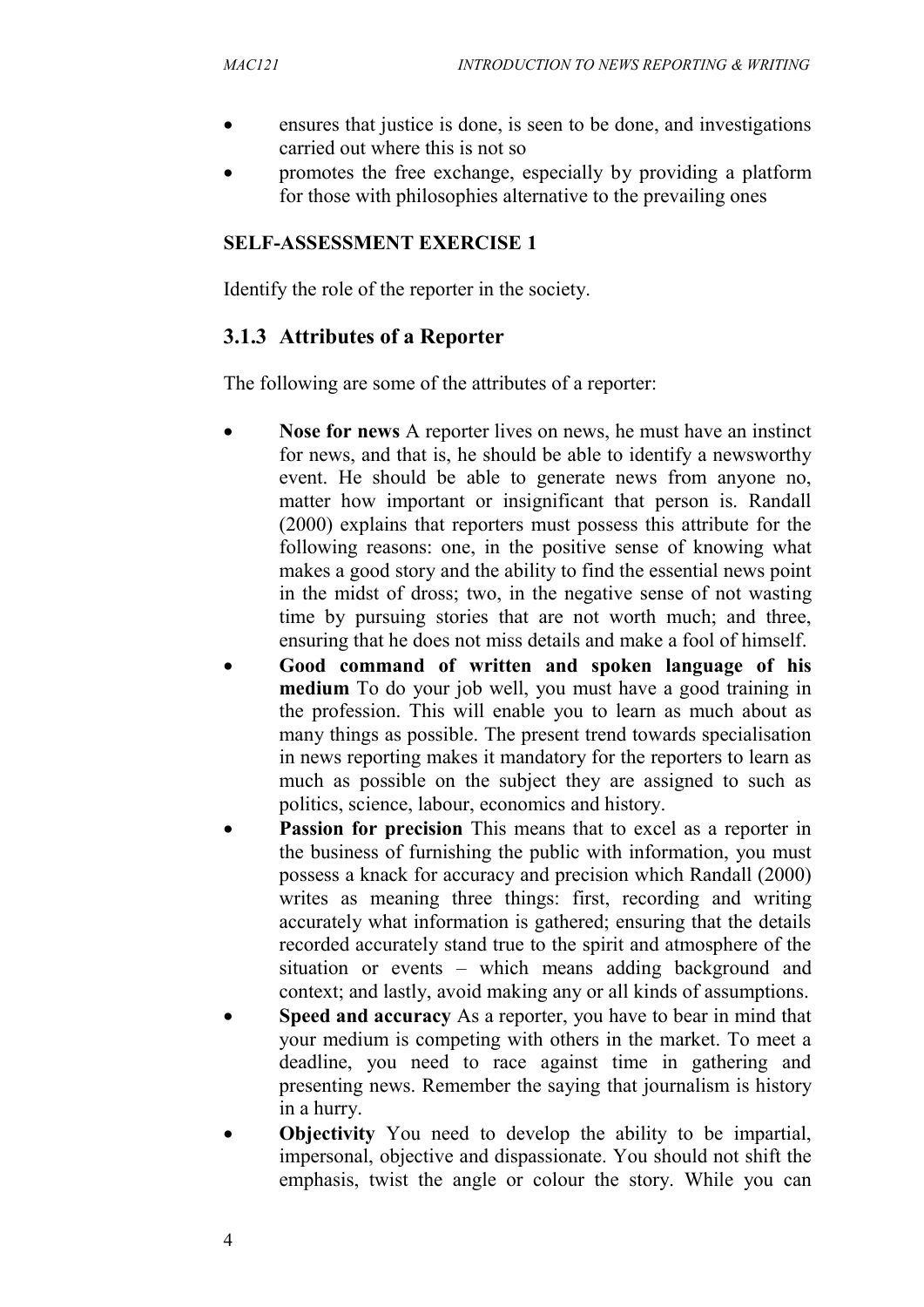- ensures that justice is done, is seen to be done, and investigations carried out where this is not so
- promotes the free exchange, especially by providing a platform for those with philosophies alternative to the prevailing ones

#### **SELF-ASSESSMENT EXERCISE 1**

Identify the role of the reporter in the society.

# **3.1.3 Attributes of a Reporter**

The following are some of the attributes of a reporter:

- **Nose for news** A reporter lives on news, he must have an instinct for news, and that is, he should be able to identify a newsworthy event. He should be able to generate news from anyone no, matter how important or insignificant that person is. Randall (2000) explains that reporters must possess this attribute for the following reasons: one, in the positive sense of knowing what makes a good story and the ability to find the essential news point in the midst of dross; two, in the negative sense of not wasting time by pursuing stories that are not worth much; and three, ensuring that he does not miss details and make a fool of himself.
- **Good command of written and spoken language of his medium** To do your job well, you must have a good training in the profession. This will enable you to learn as much about as many things as possible. The present trend towards specialisation in news reporting makes it mandatory for the reporters to learn as much as possible on the subject they are assigned to such as politics, science, labour, economics and history.
- **Passion for precision** This means that to excel as a reporter in the business of furnishing the public with information, you must possess a knack for accuracy and precision which Randall (2000) writes as meaning three things: first, recording and writing accurately what information is gathered; ensuring that the details recorded accurately stand true to the spirit and atmosphere of the situation or events – which means adding background and context; and lastly, avoid making any or all kinds of assumptions.
- **Speed and accuracy** As a reporter, you have to bear in mind that your medium is competing with others in the market. To meet a deadline, you need to race against time in gathering and presenting news. Remember the saying that journalism is history in a hurry.
- **Objectivity** You need to develop the ability to be impartial. impersonal, objective and dispassionate. You should not shift the emphasis, twist the angle or colour the story. While you can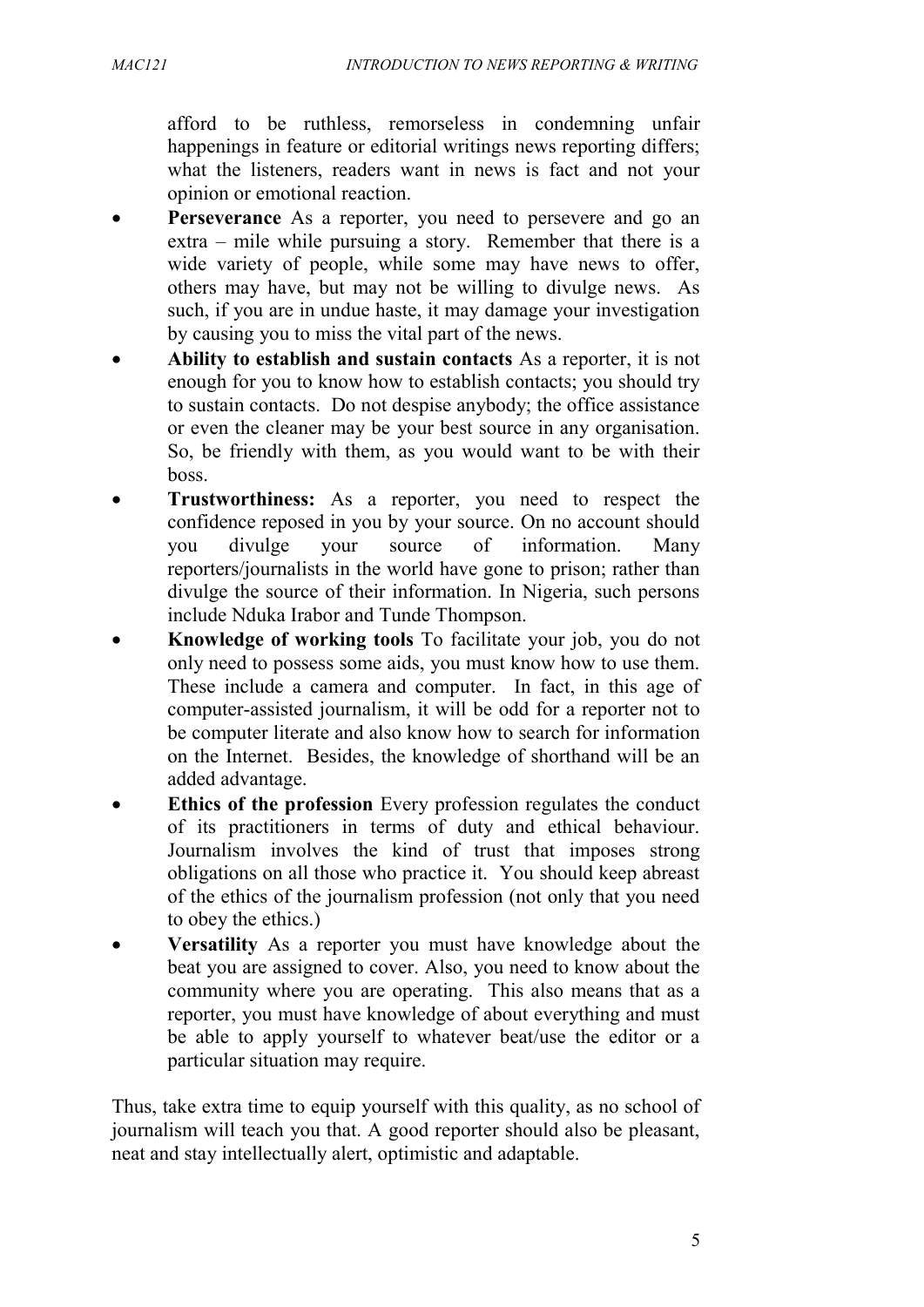afford to be ruthless, remorseless in condemning unfair happenings in feature or editorial writings news reporting differs; what the listeners, readers want in news is fact and not your opinion or emotional reaction.

- Perseverance As a reporter, you need to persevere and go an extra – mile while pursuing a story. Remember that there is a wide variety of people, while some may have news to offer, others may have, but may not be willing to divulge news. As such, if you are in undue haste, it may damage your investigation by causing you to miss the vital part of the news.
- **Ability to establish and sustain contacts** As a reporter, it is not enough for you to know how to establish contacts; you should try to sustain contacts. Do not despise anybody; the office assistance or even the cleaner may be your best source in any organisation. So, be friendly with them, as you would want to be with their boss.
- **Trustworthiness:** As a reporter, you need to respect the confidence reposed in you by your source. On no account should you divulge your source of information. Many reporters/journalists in the world have gone to prison; rather than divulge the source of their information. In Nigeria, such persons include Nduka Irabor and Tunde Thompson.
- **Knowledge of working tools** To facilitate your job, you do not only need to possess some aids, you must know how to use them. These include a camera and computer. In fact, in this age of computer-assisted journalism, it will be odd for a reporter not to be computer literate and also know how to search for information on the Internet. Besides, the knowledge of shorthand will be an added advantage.
- **Ethics of the profession** Every profession regulates the conduct of its practitioners in terms of duty and ethical behaviour. Journalism involves the kind of trust that imposes strong obligations on all those who practice it. You should keep abreast of the ethics of the journalism profession (not only that you need to obey the ethics.)
- **Versatility** As a reporter you must have knowledge about the beat you are assigned to cover. Also, you need to know about the community where you are operating. This also means that as a reporter, you must have knowledge of about everything and must be able to apply yourself to whatever beat/use the editor or a particular situation may require.

Thus, take extra time to equip yourself with this quality, as no school of journalism will teach you that. A good reporter should also be pleasant, neat and stay intellectually alert, optimistic and adaptable.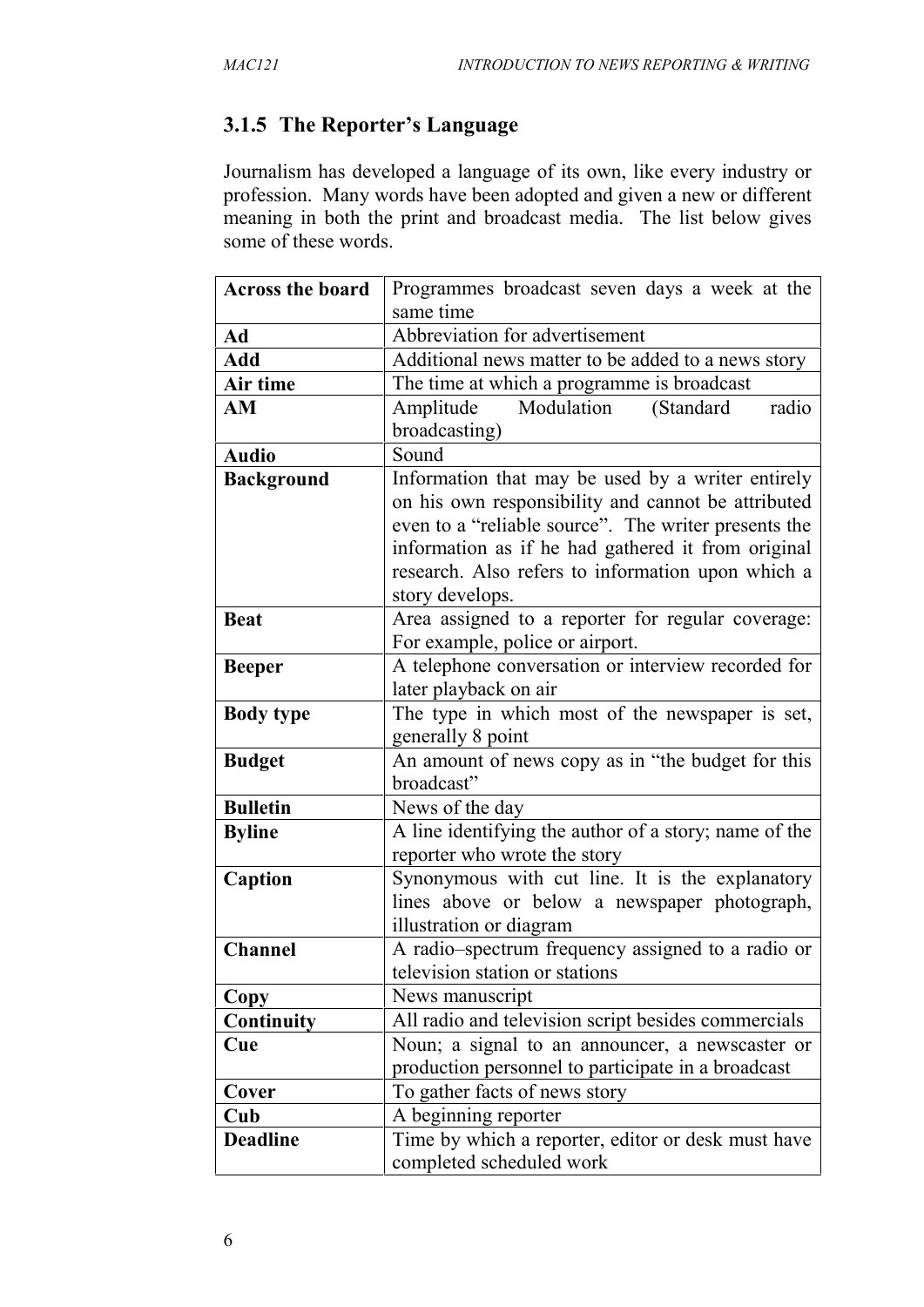# **3.1.5 The Reporter's Language**

Journalism has developed a language of its own, like every industry or profession. Many words have been adopted and given a new or different meaning in both the print and broadcast media. The list below gives some of these words.

| <b>Across the board</b> | Programmes broadcast seven days a week at the         |  |  |
|-------------------------|-------------------------------------------------------|--|--|
|                         | same time                                             |  |  |
| Ad                      | Abbreviation for advertisement                        |  |  |
| Add                     | Additional news matter to be added to a news story    |  |  |
| Air time                | The time at which a programme is broadcast            |  |  |
| AM                      | Modulation<br>Amplitude<br>(Standard<br>radio         |  |  |
|                         | broadcasting)                                         |  |  |
| <b>Audio</b>            | Sound                                                 |  |  |
| <b>Background</b>       | Information that may be used by a writer entirely     |  |  |
|                         | on his own responsibility and cannot be attributed    |  |  |
|                         | even to a "reliable source". The writer presents the  |  |  |
|                         | information as if he had gathered it from original    |  |  |
|                         | research. Also refers to information upon which a     |  |  |
|                         | story develops.                                       |  |  |
| <b>Beat</b>             | Area assigned to a reporter for regular coverage:     |  |  |
|                         | For example, police or airport.                       |  |  |
| <b>Beeper</b>           | A telephone conversation or interview recorded for    |  |  |
|                         | later playback on air                                 |  |  |
| <b>Body type</b>        | The type in which most of the newspaper is set,       |  |  |
|                         | generally 8 point                                     |  |  |
| <b>Budget</b>           | An amount of news copy as in "the budget for this     |  |  |
|                         | broadcast"                                            |  |  |
| <b>Bulletin</b>         | News of the day                                       |  |  |
| <b>Byline</b>           | A line identifying the author of a story; name of the |  |  |
|                         | reporter who wrote the story                          |  |  |
| Caption                 | Synonymous with cut line. It is the explanatory       |  |  |
|                         | lines above or below a newspaper photograph,          |  |  |
|                         | illustration or diagram                               |  |  |
| <b>Channel</b>          | A radio-spectrum frequency assigned to a radio or     |  |  |
|                         | television station or stations                        |  |  |
| Copy                    | News manuscript                                       |  |  |
| Continuity              | All radio and television script besides commercials   |  |  |
| Cue                     | Noun; a signal to an announcer, a newscaster or       |  |  |
|                         | production personnel to participate in a broadcast    |  |  |
| Cover                   | To gather facts of news story                         |  |  |
| Cub                     | A beginning reporter                                  |  |  |
| <b>Deadline</b>         | Time by which a reporter, editor or desk must have    |  |  |
|                         | completed scheduled work                              |  |  |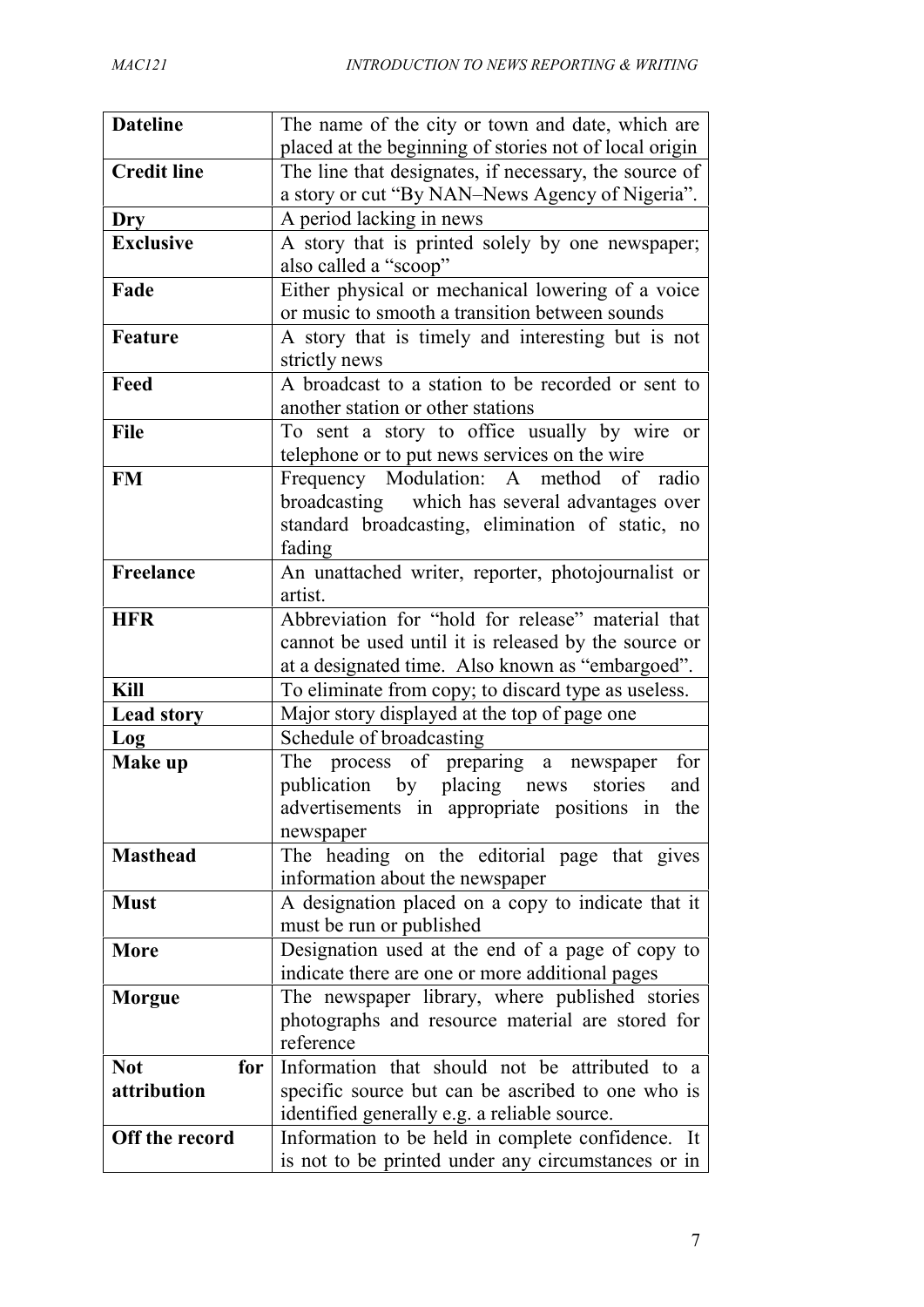| <b>Dateline</b>    | The name of the city or town and date, which are       |
|--------------------|--------------------------------------------------------|
|                    | placed at the beginning of stories not of local origin |
| <b>Credit line</b> | The line that designates, if necessary, the source of  |
|                    | a story or cut "By NAN-News Agency of Nigeria".        |
| Dry                | A period lacking in news                               |
| <b>Exclusive</b>   | A story that is printed solely by one newspaper;       |
|                    | also called a "scoop"                                  |
| Fade               | Either physical or mechanical lowering of a voice      |
|                    | or music to smooth a transition between sounds         |
| Feature            | A story that is timely and interesting but is not      |
|                    | strictly news                                          |
| Feed               | A broadcast to a station to be recorded or sent to     |
|                    | another station or other stations                      |
| File               | To sent a story to office usually by wire or           |
|                    | telephone or to put news services on the wire          |
| <b>FM</b>          | Frequency Modulation: A method of radio                |
|                    | broadcasting which has several advantages over         |
|                    | standard broadcasting, elimination of static, no       |
|                    | fading                                                 |
| Freelance          | An unattached writer, reporter, photojournalist or     |
|                    | artist.                                                |
| <b>HFR</b>         | Abbreviation for "hold for release" material that      |
|                    | cannot be used until it is released by the source or   |
|                    | at a designated time. Also known as "embargoed".       |
| Kill               | To eliminate from copy; to discard type as useless.    |
| <b>Lead story</b>  | Major story displayed at the top of page one           |
| Log                | Schedule of broadcasting                               |
| Make up            | The process of preparing a newspaper<br>for            |
|                    | publication by placing news stories<br>and             |
|                    | advertisements in appropriate positions in the         |
|                    | newspaper                                              |
| <b>Masthead</b>    | The heading on the editorial page that gives           |
|                    | information about the newspaper                        |
| <b>Must</b>        | A designation placed on a copy to indicate that it     |
|                    | must be run or published                               |
| <b>More</b>        | Designation used at the end of a page of copy to       |
|                    | indicate there are one or more additional pages        |
| <b>Morgue</b>      | The newspaper library, where published stories         |
|                    | photographs and resource material are stored for       |
|                    | reference                                              |
| <b>Not</b><br>for  | Information that should not be attributed to a         |
| attribution        | specific source but can be ascribed to one who is      |
|                    | identified generally e.g. a reliable source.           |
| Off the record     | Information to be held in complete confidence. It      |
|                    | is not to be printed under any circumstances or in     |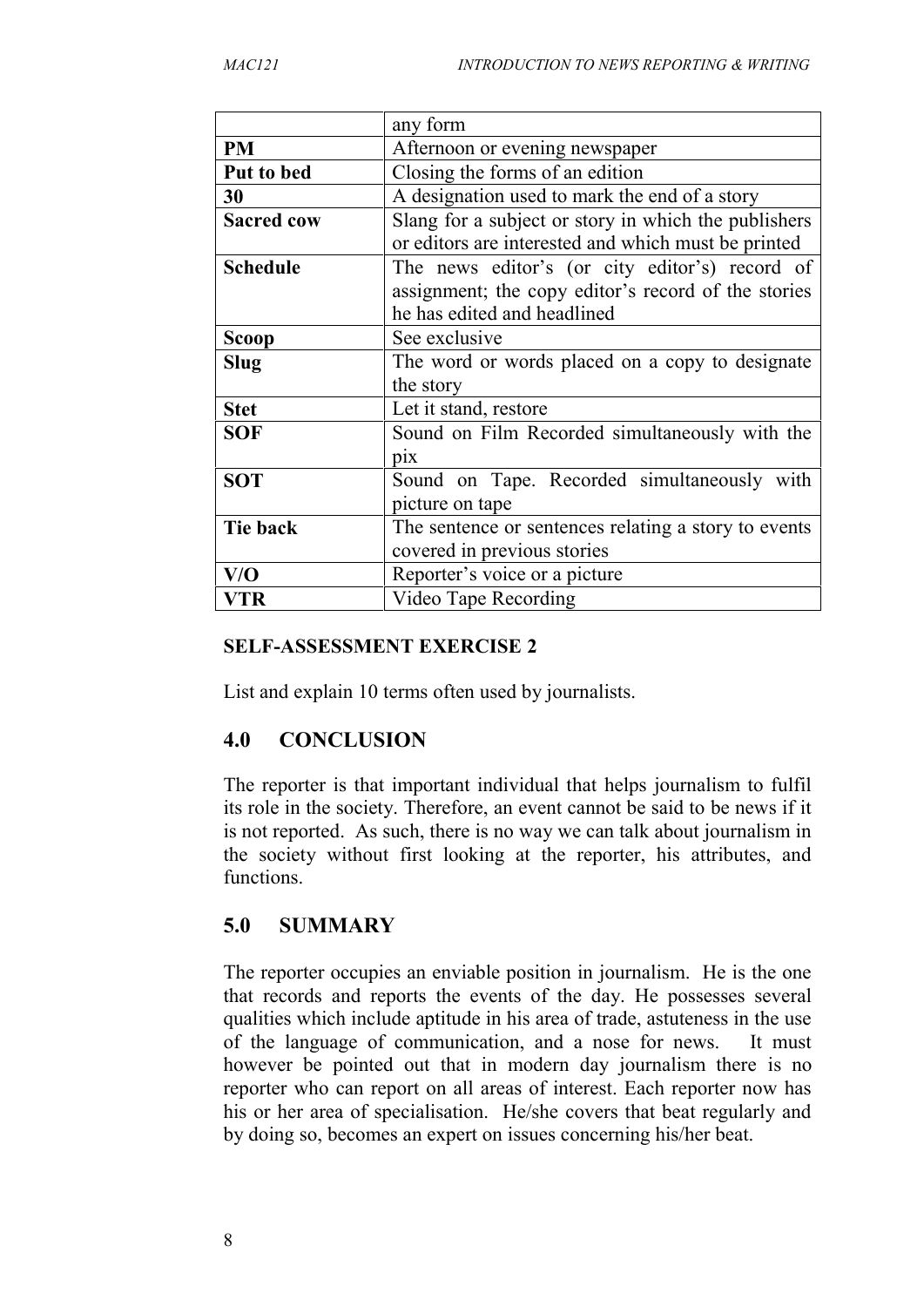|                   | any form                                             |
|-------------------|------------------------------------------------------|
| <b>PM</b>         | Afternoon or evening newspaper                       |
| Put to bed        | Closing the forms of an edition                      |
| 30                | A designation used to mark the end of a story        |
| <b>Sacred cow</b> | Slang for a subject or story in which the publishers |
|                   | or editors are interested and which must be printed  |
| <b>Schedule</b>   | The news editor's (or city editor's) record of       |
|                   | assignment; the copy editor's record of the stories  |
|                   | he has edited and headlined                          |
| Scoop             | See exclusive                                        |
| <b>Slug</b>       | The word or words placed on a copy to designate      |
|                   | the story                                            |
| <b>Stet</b>       | Let it stand, restore                                |
| <b>SOF</b>        | Sound on Film Recorded simultaneously with the       |
|                   | $\overline{p}$ <sub>IX</sub>                         |
| <b>SOT</b>        | Sound on Tape. Recorded simultaneously with          |
|                   | picture on tape                                      |
| Tie back          | The sentence or sentences relating a story to events |
|                   | covered in previous stories                          |
| V/O               | Reporter's voice or a picture                        |
| <b>VTR</b>        | Video Tape Recording                                 |

#### **SELF-ASSESSMENT EXERCISE 2**

List and explain 10 terms often used by journalists.

# **4.0 CONCLUSION**

The reporter is that important individual that helps journalism to fulfil its role in the society. Therefore, an event cannot be said to be news if it is not reported. As such, there is no way we can talk about journalism in the society without first looking at the reporter, his attributes, and functions.

# **5.0 SUMMARY**

The reporter occupies an enviable position in journalism. He is the one that records and reports the events of the day. He possesses several qualities which include aptitude in his area of trade, astuteness in the use of the language of communication, and a nose for news. It must however be pointed out that in modern day journalism there is no reporter who can report on all areas of interest. Each reporter now has his or her area of specialisation. He/she covers that beat regularly and by doing so, becomes an expert on issues concerning his/her beat.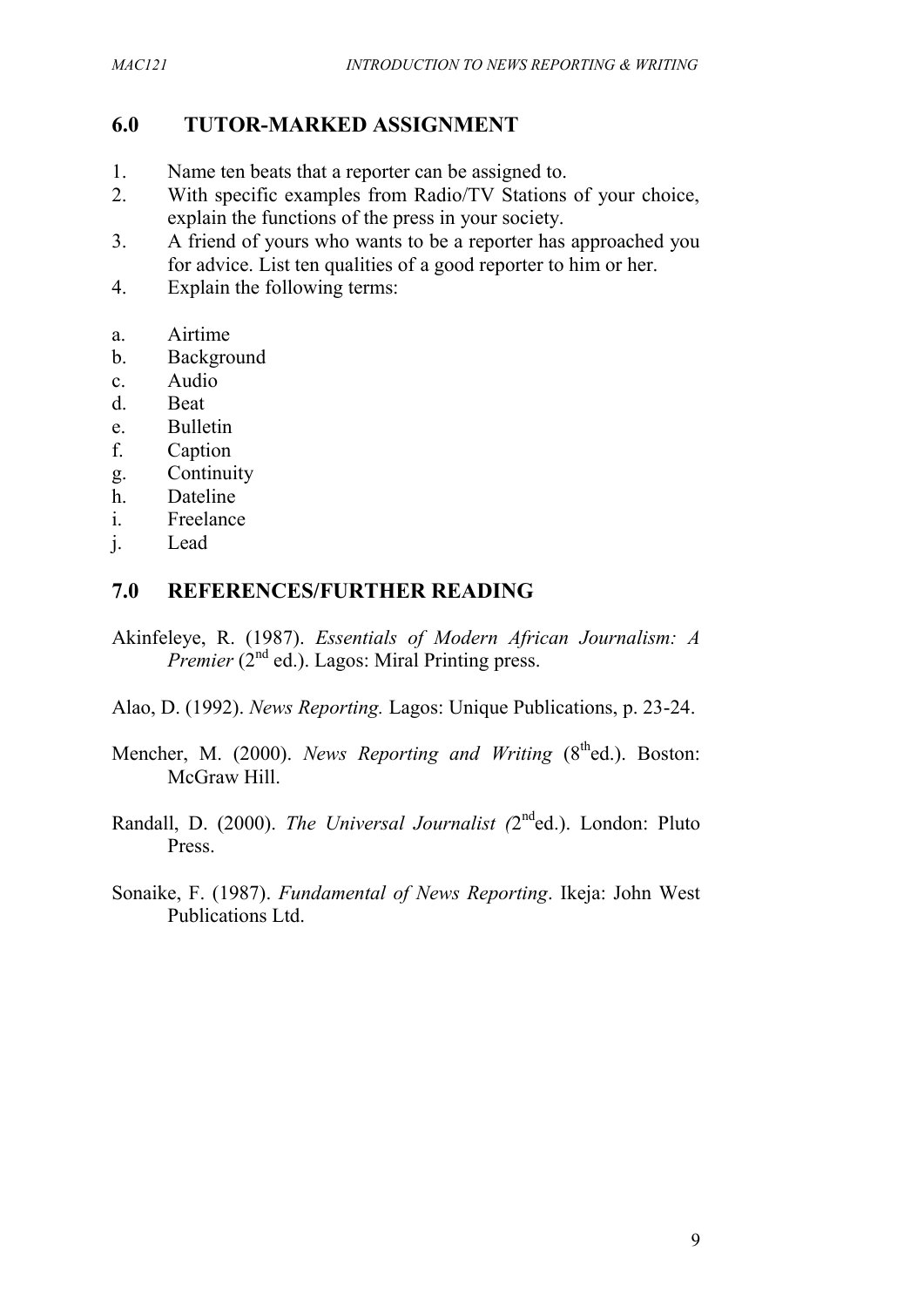# **6.0 TUTOR-MARKED ASSIGNMENT**

- 1. Name ten beats that a reporter can be assigned to.
- 2. With specific examples from Radio/TV Stations of your choice, explain the functions of the press in your society.
- 3. A friend of yours who wants to be a reporter has approached you for advice. List ten qualities of a good reporter to him or her.
- 4. Explain the following terms:
- a. Airtime
- b. Background
- c. Audio
- d. Beat
- e. Bulletin
- f. Caption
- g. Continuity
- h. Dateline
- i. Freelance
- j. Lead

#### **7.0 REFERENCES/FURTHER READING**

Akinfeleye, R. (1987). *Essentials of Modern African Journalism: A Premier* (2<sup>nd</sup> ed.). Lagos: Miral Printing press.

Alao, D. (1992). *News Reporting.* Lagos: Unique Publications, p. 23-24.

- Mencher, M. (2000). *News Reporting and Writing* (8<sup>th</sup>ed.). Boston: McGraw Hill.
- Randall, D. (2000). *The Universal Journalist (2*<sup>nd</sup>ed.). London: Pluto Press.
- Sonaike, F. (1987). *Fundamental of News Reporting*. Ikeja: John West Publications Ltd.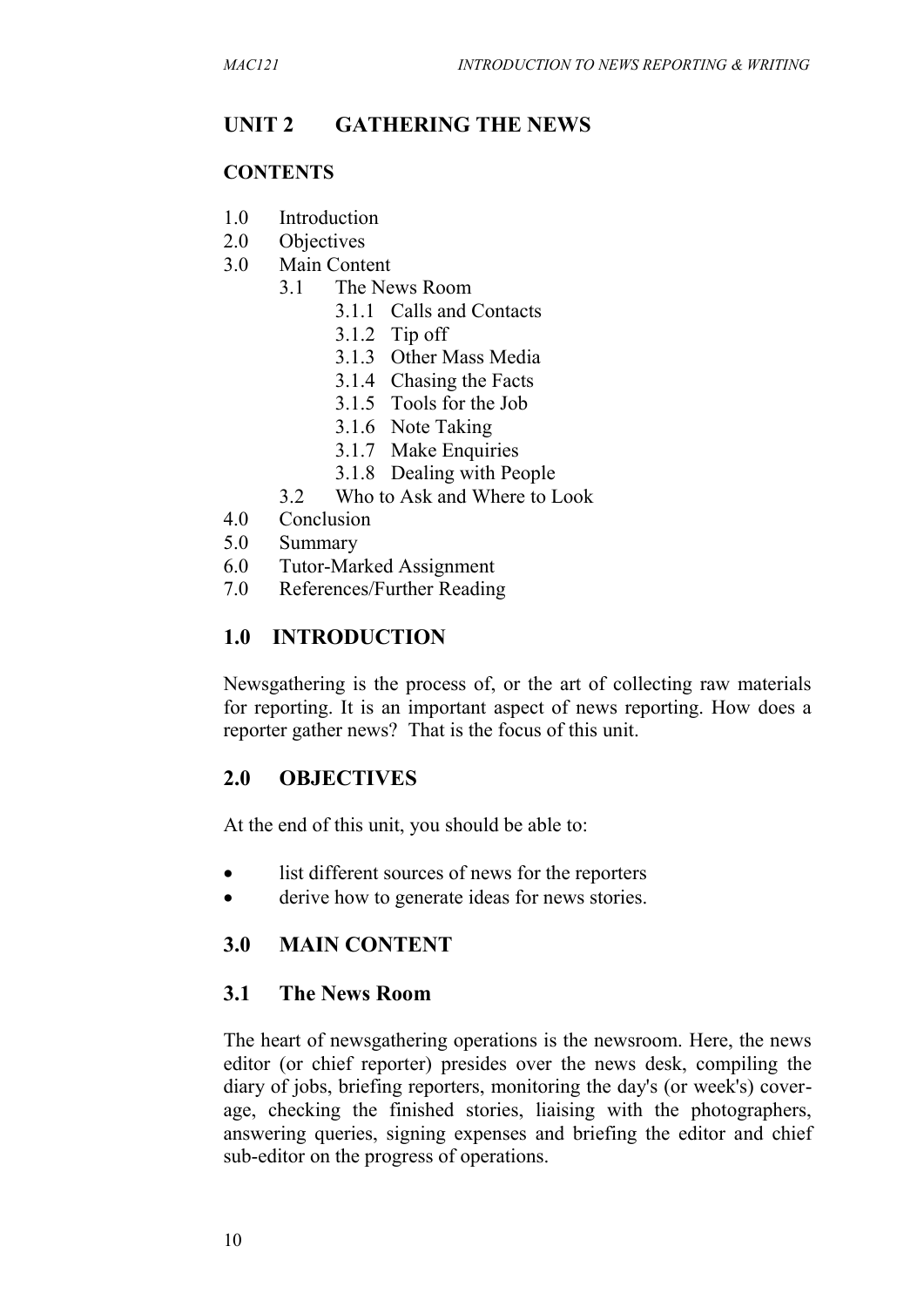# **UNIT 2 GATHERING THE NEWS**

#### **CONTENTS**

- 1.0 Introduction
- 2.0 Objectives
- 3.0 Main Content
	- 3.1 The News Room
		- 3.1.1 Calls and Contacts
		- 3.1.2 Tip off
		- 3.1.3 Other Mass Media
		- 3.1.4 Chasing the Facts
		- 3.1.5 Tools for the Job
		- 3.1.6 Note Taking
		- 3.1.7 Make Enquiries
		- 3.1.8 Dealing with People
		- 3.2 Who to Ask and Where to Look
- 4.0 Conclusion
- 5.0 Summary
- 6.0 Tutor-Marked Assignment
- 7.0 References/Further Reading

# **1.0 INTRODUCTION**

Newsgathering is the process of, or the art of collecting raw materials for reporting. It is an important aspect of news reporting. How does a reporter gather news? That is the focus of this unit.

# **2.0 OBJECTIVES**

At the end of this unit, you should be able to:

- list different sources of news for the reporters
- derive how to generate ideas for news stories.

# **3.0 MAIN CONTENT**

# **3.1 The News Room**

The heart of newsgathering operations is the newsroom. Here, the news editor (or chief reporter) presides over the news desk, compiling the diary of jobs, briefing reporters, monitoring the day's (or week's) cover age, checking the finished stories, liaising with the photographers, answering queries, signing expenses and briefing the editor and chief sub-editor on the progress of operations.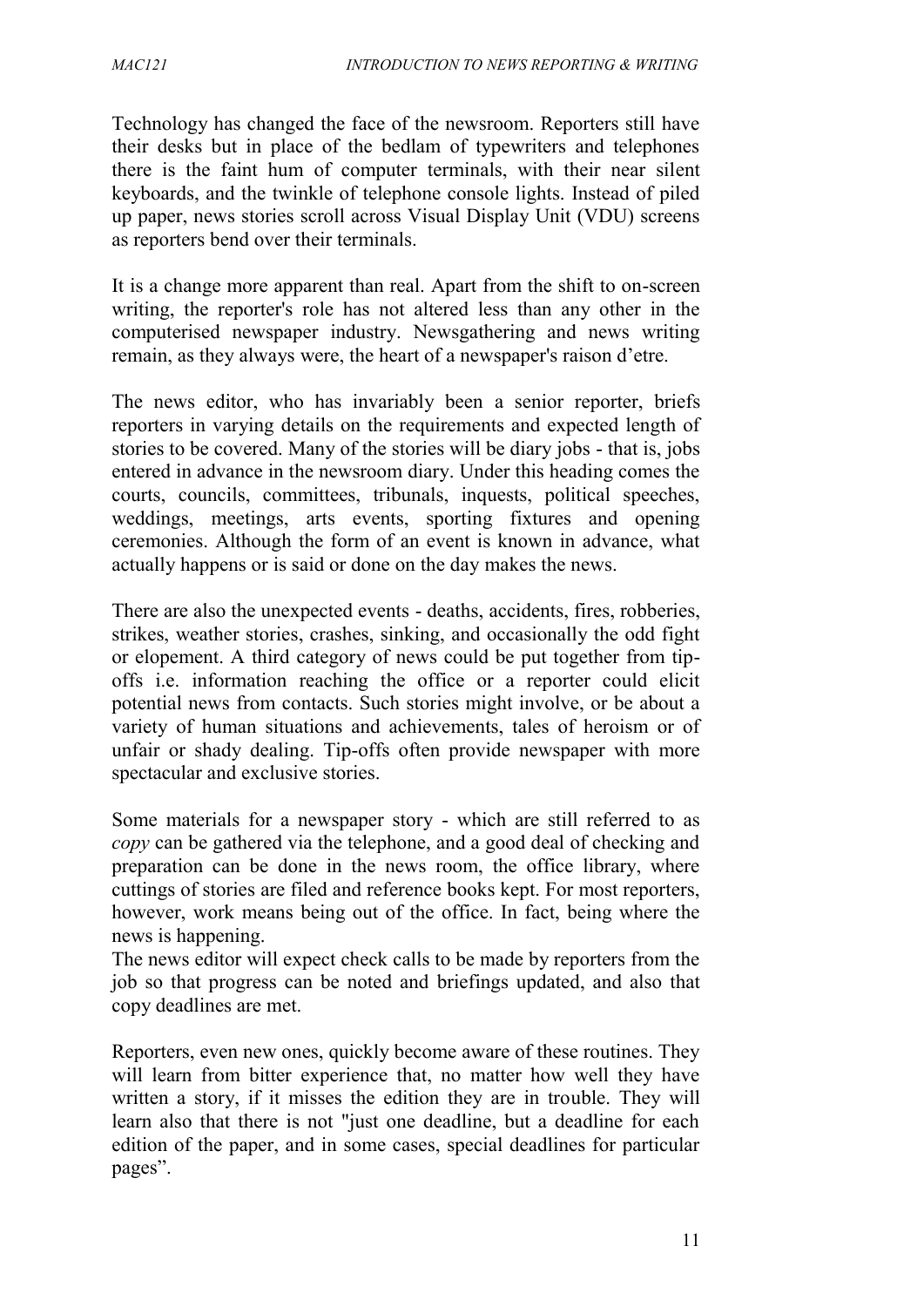Technology has changed the face of the newsroom. Reporters still have their desks but in place of the bedlam of typewriters and telephones there is the faint hum of computer terminals, with their near silent keyboards, and the twinkle of telephone console lights. Instead of piled up paper, news stories scroll across Visual Display Unit (VDU) screens as reporters bend over their terminals.

It is a change more apparent than real. Apart from the shift to on-screen writing, the reporter's role has not altered less than any other in the computerised newspaper industry. Newsgathering and news writing remain, as they always were, the heart of a newspaper's raison d'etre.

The news editor, who has invariably been a senior reporter, briefs reporters in varying details on the requirements and expected length of stories to be covered. Many of the stories will be diary jobs - that is, jobs entered in advance in the newsroom diary. Under this heading comes the courts, councils, committees, tribunals, inquests, political speeches, weddings, meetings, arts events, sporting fixtures and opening ceremonies. Although the form of an event is known in advance, what actually happens or is said or done on the day makes the news.

There are also the unexpected events - deaths, accidents, fires, robberies, strikes, weather stories, crashes, sinking, and occasionally the odd fight or elopement. A third category of news could be put together from tip offs i.e. information reaching the office or a reporter could elicit potential news from contacts. Such stories might involve, or be about a variety of human situations and achievements, tales of heroism or of unfair or shady dealing. Tip-offs often provide newspaper with more spectacular and exclusive stories.

Some materials for a newspaper story - which are still referred to as *copy* can be gathered via the telephone, and a good deal of checking and preparation can be done in the news room, the office library, where cuttings of stories are filed and reference books kept. For most reporters, however, work means being out of the office. In fact, being where the news is happening.

The news editor will expect check calls to be made by reporters from the job so that progress can be noted and briefings updated, and also that copy deadlines are met.

Reporters, even new ones, quickly become aware of these routines. They will learn from bitter experience that, no matter how well they have written a story, if it misses the edition they are in trouble. They will learn also that there is not "just one deadline, but a deadline for each edition of the paper, and in some cases, special deadlines for particular pages".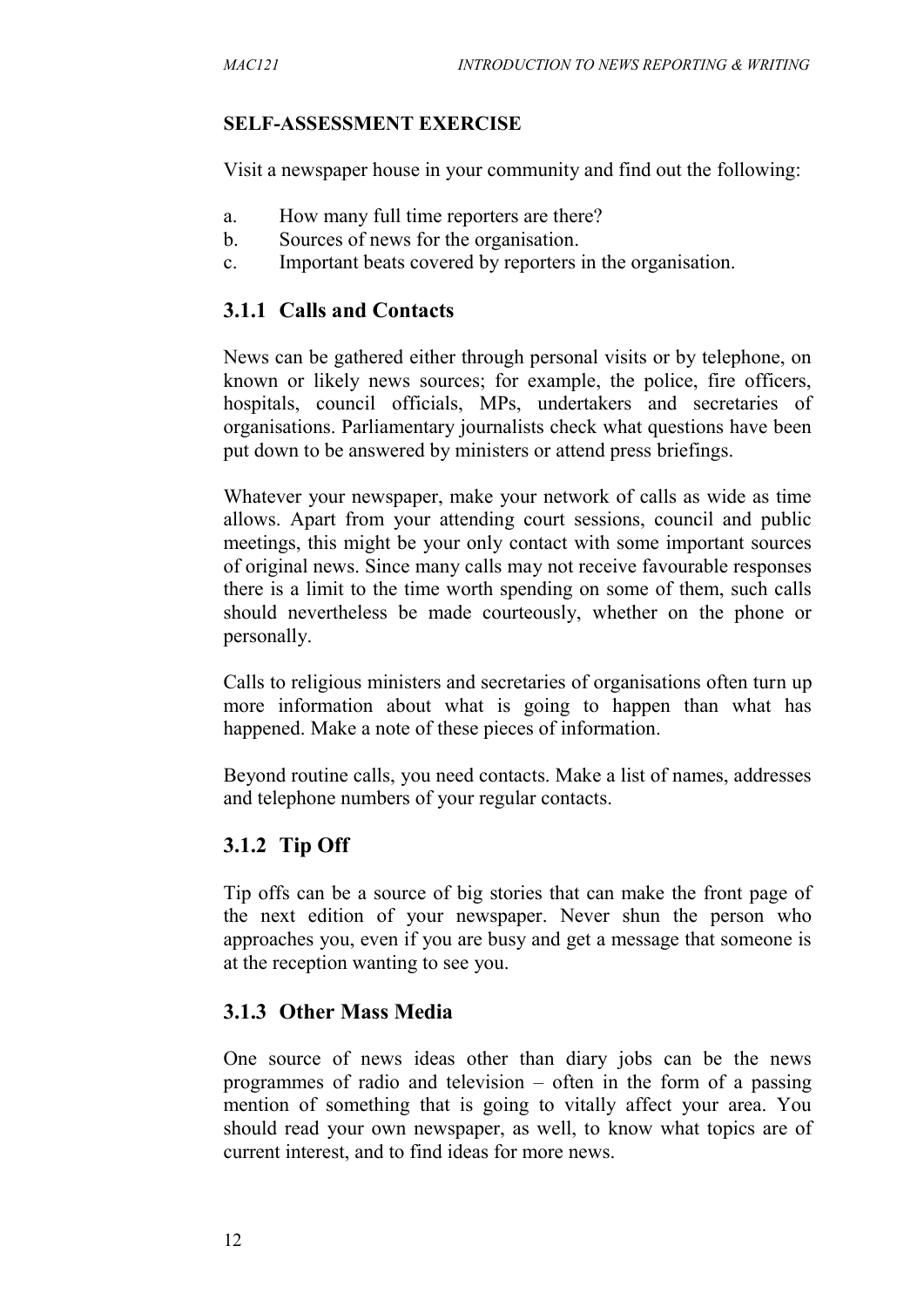# **SELF-ASSESSMENT EXERCISE**

Visit a newspaper house in your community and find out the following:

- a. How many full time reporters are there?
- b. Sources of news for the organisation.
- c. Important beats covered by reporters in the organisation.

# **3.1.1 Calls and Contacts**

News can be gathered either through personal visits or by telephone, on known or likely news sources; for example, the police, fire officers, hospitals, council officials, MPs, undertakers and secretaries of organisations. Parliamentary journalists check what questions have been put down to be answered by ministers or attend press briefings.

Whatever your newspaper, make your network of calls as wide as time allows. Apart from your attending court sessions, council and public meetings, this might be your only contact with some important sources of original news. Since many calls may not receive favourable responses there is a limit to the time worth spending on some of them, such calls should nevertheless be made courteously, whether on the phone or personally.

Calls to religious ministers and secretaries of organisations often turn up more information about what is going to happen than what has happened. Make a note of these pieces of information.

Beyond routine calls, you need contacts. Make a list of names, addresses and telephone numbers of your regular contacts.

# **3.1.2 Tip Off**

Tip offs can be a source of big stories that can make the front page of the next edition of your newspaper. Never shun the person who approaches you, even if you are busy and get a message that someone is at the reception wanting to see you.

# **3.1.3 Other Mass Media**

One source of news ideas other than diary jobs can be the news programmes of radio and television – often in the form of a passing mention of something that is going to vitally affect your area. You should read your own newspaper, as well, to know what topics are of current interest, and to find ideas for more news.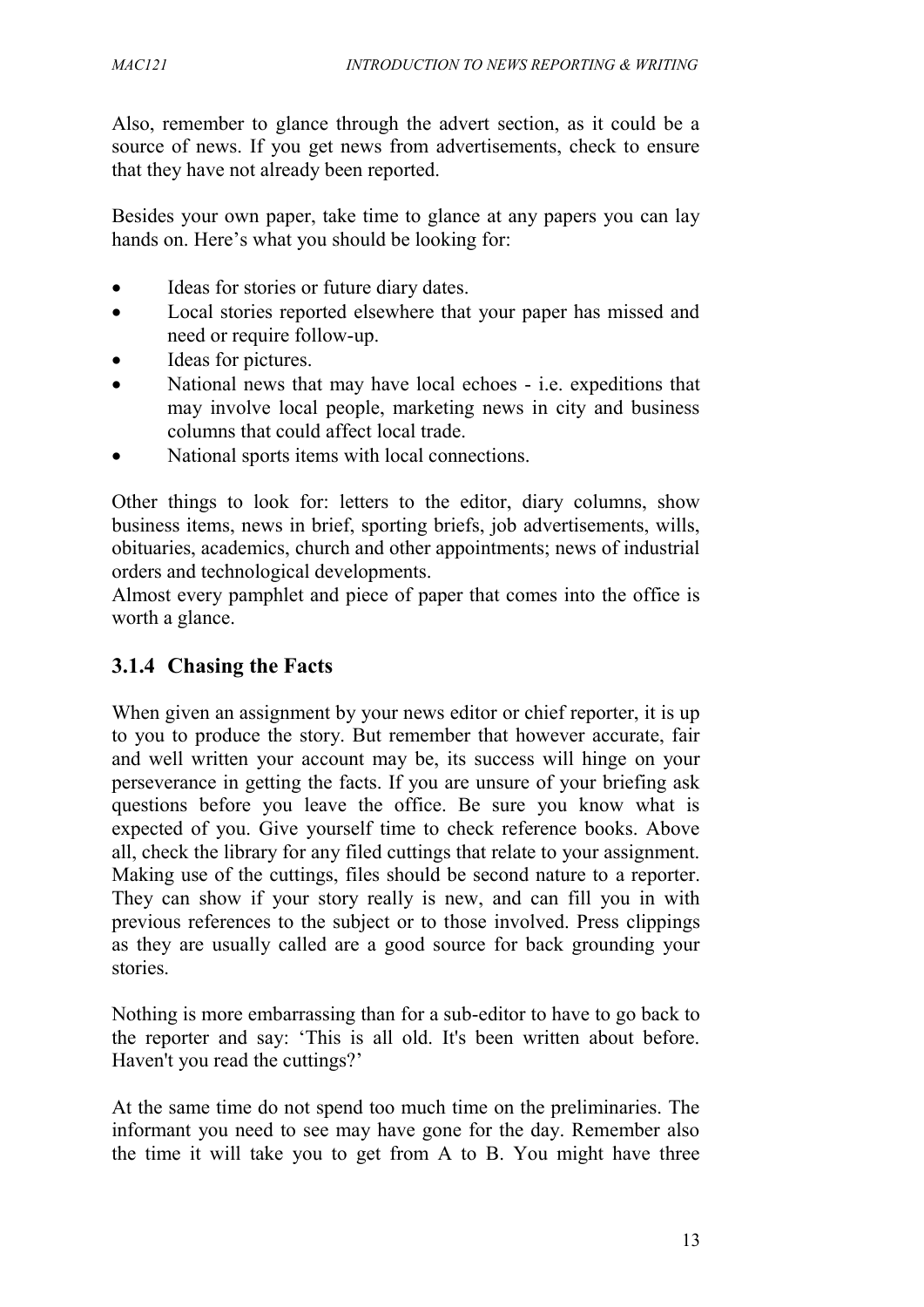Also, remember to glance through the advert section, as it could be a source of news. If you get news from advertisements, check to ensure that they have not already been reported.

Besides your own paper, take time to glance at any papers you can lay hands on. Here's what you should be looking for:

- Ideas for stories or future diary dates.
- Local stories reported elsewhere that your paper has missed and need or require follow-up.
- Ideas for pictures.
- National news that may have local echoes i.e. expeditions that may involve local people, marketing news in city and business columns that could affect local trade.
- National sports items with local connections.

Other things to look for: letters to the editor, diary columns, show business items, news in brief, sporting briefs, job advertisements, wills, obituaries, academics, church and other appointments; news of industrial orders and technological developments.

Almost every pamphlet and piece of paper that comes into the office is worth a glance.

# **3.1.4 Chasing the Facts**

When given an assignment by your news editor or chief reporter, it is up to you to produce the story. But remember that however accurate, fair and well written your account may be, its success will hinge on your perseverance in getting the facts. If you are unsure of your briefing ask questions before you leave the office. Be sure you know what is expected of you. Give yourself time to check reference books. Above all, check the library for any filed cuttings that relate to your assignment. Making use of the cuttings, files should be second nature to a reporter. They can show if your story really is new, and can fill you in with previous references to the subject or to those involved. Press clippings as they are usually called are a good source for back grounding your stories.

Nothing is more embarrassing than for a sub-editor to have to go back to the reporter and say: 'This is all old. It's been written about before. Haven't you read the cuttings?'

At the same time do not spend too much time on the preliminaries. The informant you need to see may have gone for the day. Remember also the time it will take you to get from A to B. You might have three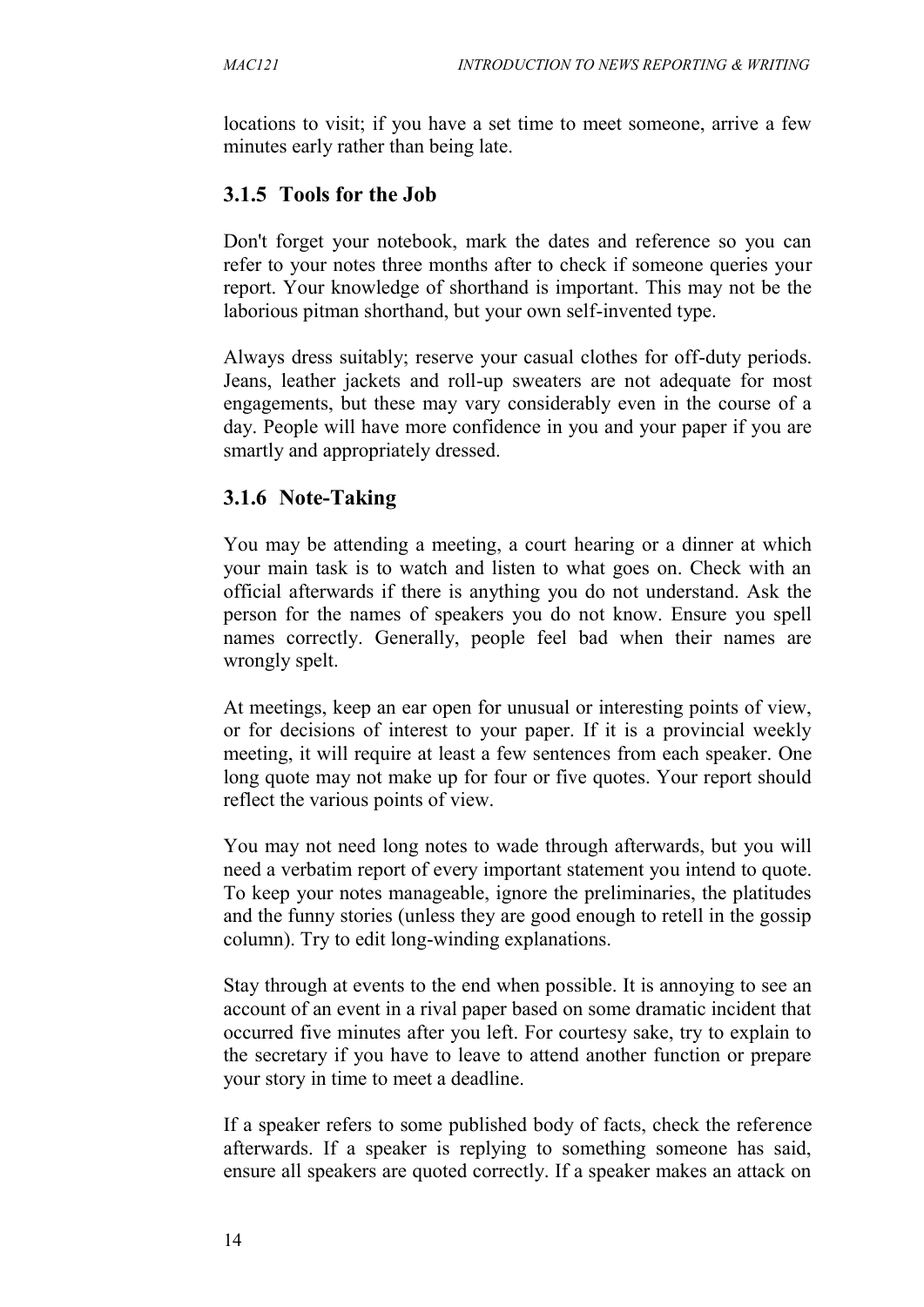locations to visit; if you have a set time to meet someone, arrive a few minutes early rather than being late.

# **3.1.5 Tools for the Job**

Don't forget your notebook, mark the dates and reference so you can refer to your notes three months after to check if someone queries your report. Your knowledge of shorthand is important. This may not be the laborious pitman shorthand, but your own self-invented type.

Always dress suitably; reserve your casual clothes for off-duty periods. Jeans, leather jackets and roll-up sweaters are not adequate for most engagements, but these may vary considerably even in the course of a day. People will have more confidence in you and your paper if you are smartly and appropriately dressed.

# **3.1.6 Note-Taking**

You may be attending a meeting, a court hearing or a dinner at which your main task is to watch and listen to what goes on. Check with an official afterwards if there is anything you do not understand. Ask the person for the names of speakers you do not know. Ensure you spell names correctly. Generally, people feel bad when their names are wrongly spelt.

At meetings, keep an ear open for unusual or interesting points of view, or for decisions of interest to your paper. If it is a provincial weekly meeting, it will require at least a few sentences from each speaker. One long quote may not make up for four or five quotes. Your report should reflect the various points of view.

You may not need long notes to wade through afterwards, but you will need a verbatim report of every important statement you intend to quote. To keep your notes manageable, ignore the preliminaries, the platitudes and the funny stories (unless they are good enough to retell in the gossip column). Try to edit long-winding explanations.

Stay through at events to the end when possible. It is annoying to see an account of an event in a rival paper based on some dramatic incident that occurred five minutes after you left. For courtesy sake, try to explain to the secretary if you have to leave to attend another function or prepare your story in time to meet a deadline.

If a speaker refers to some published body of facts, check the reference afterwards. If a speaker is replying to something someone has said, ensure all speakers are quoted correctly. If a speaker makes an attack on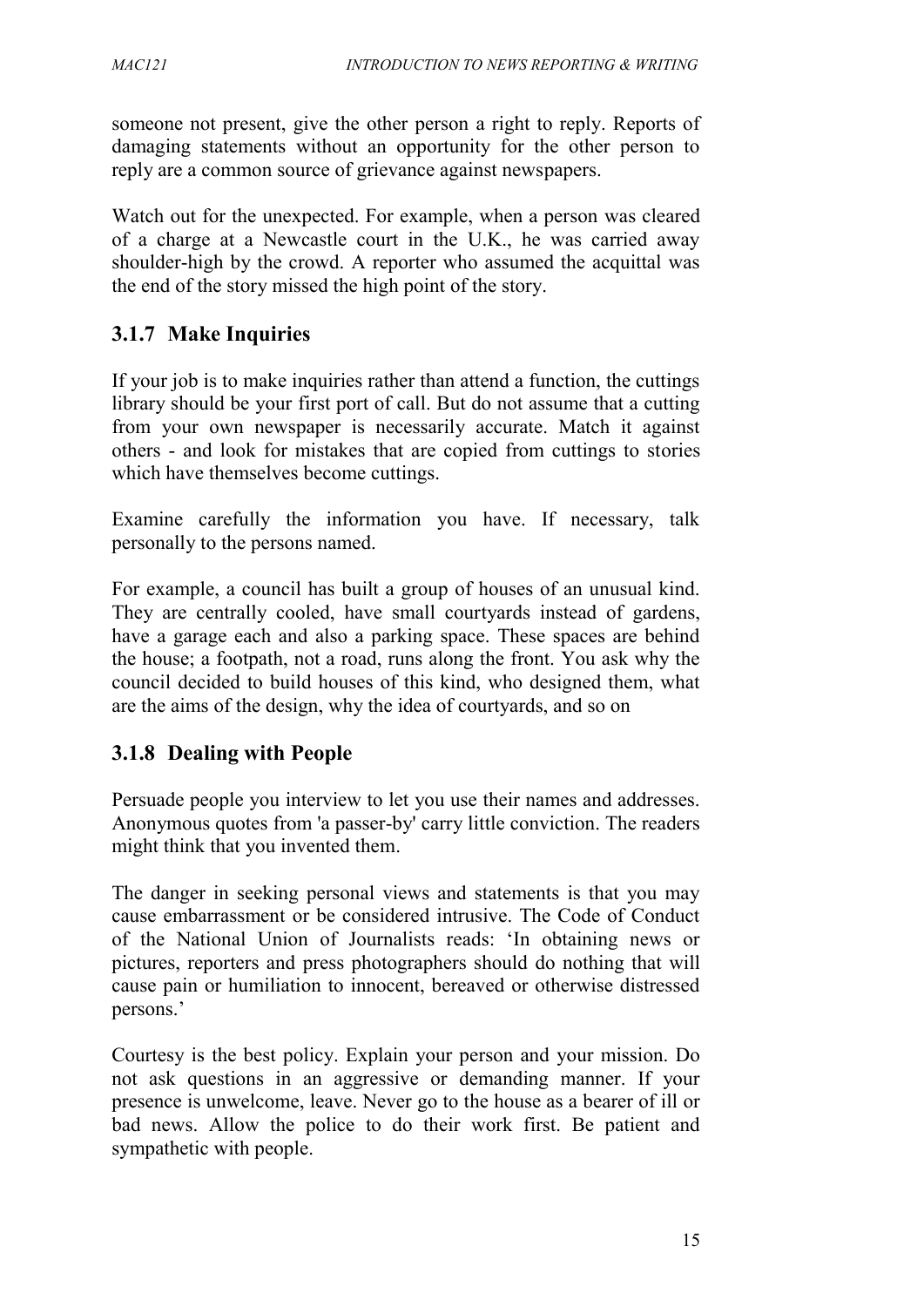someone not present, give the other person a right to reply. Reports of damaging statements without an opportunity for the other person to reply are a common source of grievance against newspapers.

Watch out for the unexpected. For example, when a person was cleared of a charge at a Newcastle court in the U.K., he was carried away shoulder-high by the crowd. A reporter who assumed the acquittal was the end of the story missed the high point of the story.

# **3.1.7 Make Inquiries**

If your job is to make inquiries rather than attend a function, the cuttings library should be your first port of call. But do not assume that a cutting from your own newspaper is necessarily accurate. Match it against others - and look for mistakes that are copied from cuttings to stories which have themselves become cuttings.

Examine carefully the information you have. If necessary, talk personally to the persons named.

For example, a council has built a group of houses of an unusual kind. They are centrally cooled, have small courtyards instead of gardens, have a garage each and also a parking space. These spaces are behind the house; a footpath, not a road, runs along the front. You ask why the council decided to build houses of this kind, who designed them, what are the aims of the design, why the idea of courtyards, and so on

# **3.1.8 Dealing with People**

Persuade people you interview to let you use their names and addresses. Anonymous quotes from 'a passer-by' carry little conviction. The readers might think that you invented them.

The danger in seeking personal views and statements is that you may cause embarrassment or be considered intrusive. The Code of Conduct of the National Union of Journalists reads: 'In obtaining news or pictures, reporters and press photographers should do nothing that will cause pain or humiliation to innocent, bereaved or otherwise distressed persons.'

Courtesy is the best policy. Explain your person and your mission. Do not ask questions in an aggressive or demanding manner. If your presence is unwelcome, leave. Never go to the house as a bearer of ill or bad news. Allow the police to do their work first. Be patient and sympathetic with people.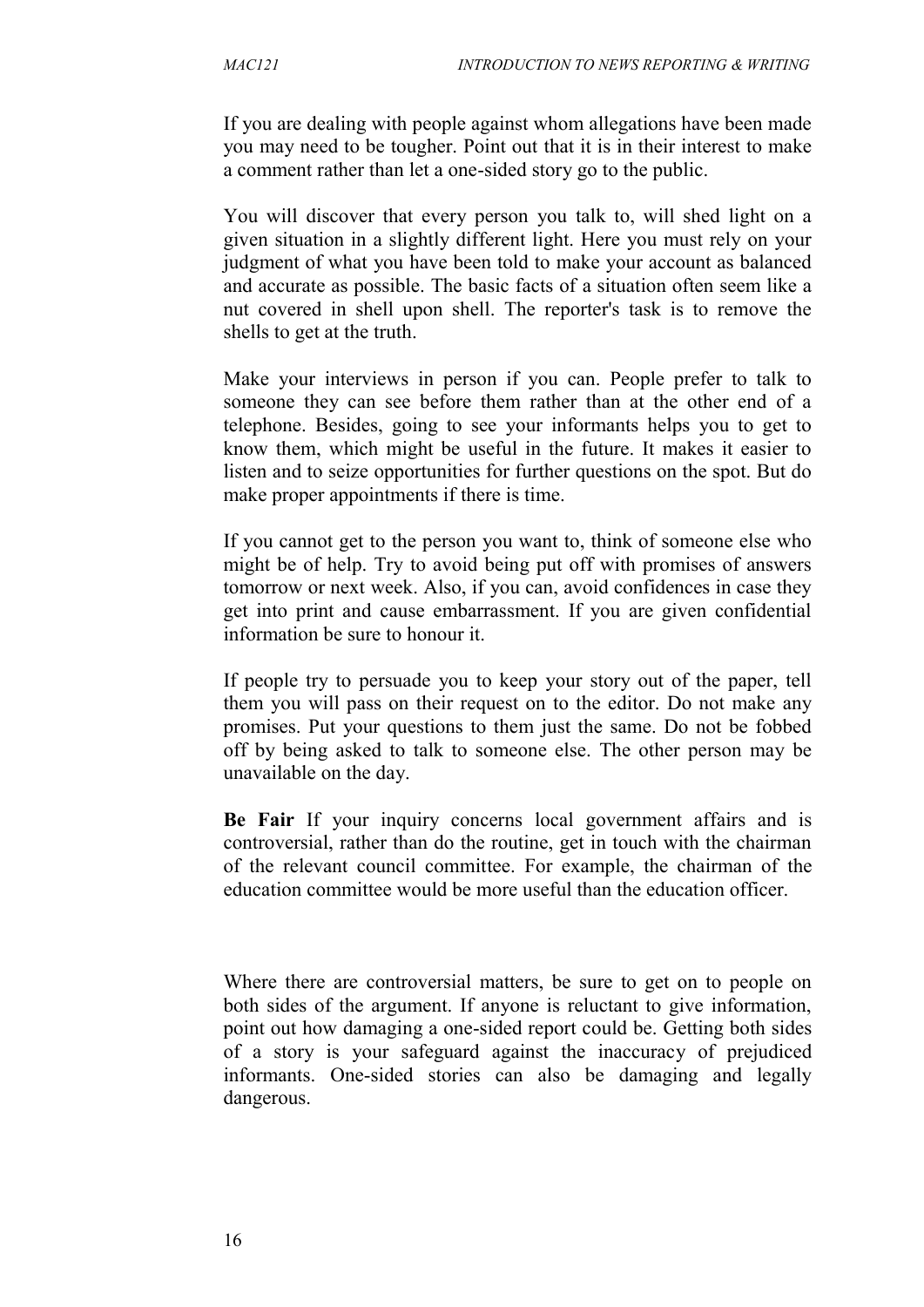If you are dealing with people against whom allegations have been made you may need to be tougher. Point out that it is in their interest to make a comment rather than let a one-sided story go to the public.

You will discover that every person you talk to, will shed light on a given situation in a slightly different light. Here you must rely on your judgment of what you have been told to make your account as balanced and accurate as possible. The basic facts of a situation often seem like a nut covered in shell upon shell. The reporter's task is to remove the shells to get at the truth.

Make your interviews in person if you can. People prefer to talk to someone they can see before them rather than at the other end of a telephone. Besides, going to see your informants helps you to get to know them, which might be useful in the future. It makes it easier to listen and to seize opportunities for further questions on the spot. But do make proper appointments if there is time.

If you cannot get to the person you want to, think of someone else who might be of help. Try to avoid being put off with promises of answers tomorrow or next week. Also, if you can, avoid confidences in case they get into print and cause embarrassment. If you are given confidential information be sure to honour it.

If people try to persuade you to keep your story out of the paper, tell them you will pass on their request on to the editor. Do not make any promises. Put your questions to them just the same. Do not be fobbed off by being asked to talk to someone else. The other person may be unavailable on the day.

**Be Fair** If your inquiry concerns local government affairs and is controversial, rather than do the routine, get in touch with the chairman of the relevant council committee. For example, the chairman of the education committee would be more useful than the education officer.

Where there are controversial matters, be sure to get on to people on both sides of the argument. If anyone is reluctant to give information, point out how damaging a one-sided report could be. Getting both sides of a story is your safeguard against the inaccuracy of prejudiced informants. One-sided stories can also be damaging and legally dangerous.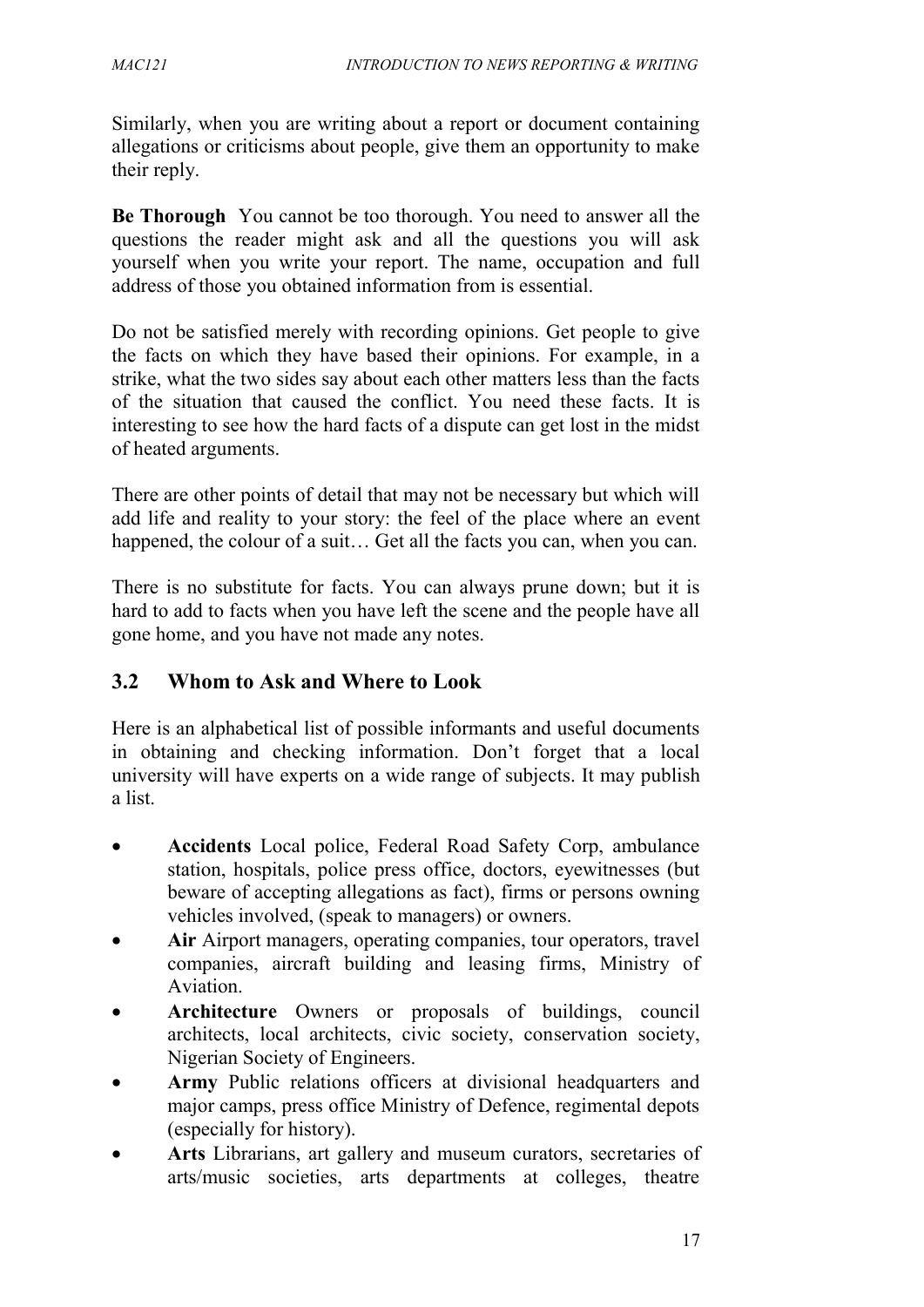Similarly, when you are writing about a report or document containing allegations or criticisms about people, give them an opportunity to make their reply.

**Be Thorough** You cannot be too thorough. You need to answer all the questions the reader might ask and all the questions you will ask yourself when you write your report. The name, occupation and full address of those you obtained information from is essential.

Do not be satisfied merely with recording opinions. Get people to give the facts on which they have based their opinions. For example, in a strike, what the two sides say about each other matters less than the facts of the situation that caused the conflict. You need these facts. It is interesting to see how the hard facts of a dispute can get lost in the midst of heated arguments.

There are other points of detail that may not be necessary but which will add life and reality to your story: the feel of the place where an event happened, the colour of a suit... Get all the facts you can, when you can.

There is no substitute for facts. You can always prune down; but it is hard to add to facts when you have left the scene and the people have all gone home, and you have not made any notes.

# **3.2 Whom to Ask and Where to Look**

Here is an alphabetical list of possible informants and useful documents in obtaining and checking information. Don't forget that a local university will have experts on a wide range of subjects. It may publish a list.

- **Accidents** Local police, Federal Road Safety Corp, ambulance station, hospitals, police press office, doctors, eyewitnesses (but beware of accepting allegations as fact), firms or persons owning vehicles involved, (speak to managers) or owners.
- **Air** Airport managers, operating companies, tour operators, travel companies, aircraft building and leasing firms, Ministry of Aviation.
- **Architecture** Owners or proposals of buildings, council architects, local architects, civic society, conservation society, Nigerian Society of Engineers.
- **Army** Public relations officers at divisional headquarters and major camps, press office Ministry of Defence, regimental depots (especially for history).
- **Arts** Librarians, art gallery and museum curators, secretaries of arts/music societies, arts departments at colleges, theatre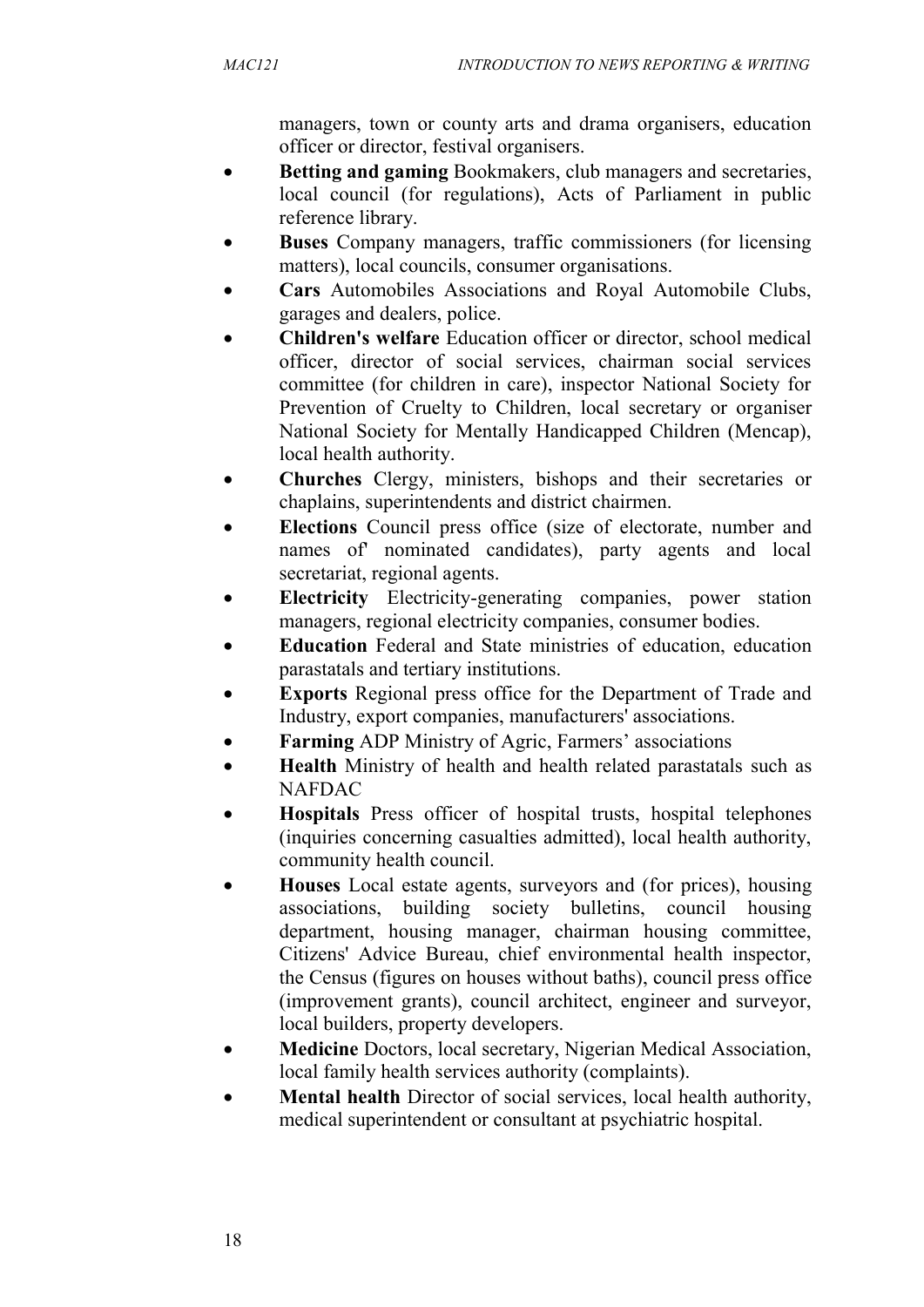managers, town or county arts and drama organisers, education officer or director, festival organisers.

- **Betting and gaming** Bookmakers, club managers and secretaries, local council (for regulations), Acts of Parliament in public reference library.
- **Buses** Company managers, traffic commissioners (for licensing matters), local councils, consumer organisations.
- **Cars** Automobiles Associations and Royal Automobile Clubs, garages and dealers, police.
- **Children's welfare** Education officer or director, school medical officer, director of social services, chairman social services committee (for children in care), inspector National Society for Prevention of Cruelty to Children, local secretary or organiser National Society for Mentally Handicapped Children (Mencap), local health authority.
- **Churches** Clergy, ministers, bishops and their secretaries or chaplains, superintendents and district chairmen.
- **Elections** Council press office (size of electorate, number and names of' nominated candidates), party agents and local secretariat, regional agents.
- **Electricity** Electricity-generating companies, power station managers, regional electricity companies, consumer bodies.
- **Education** Federal and State ministries of education, education parastatals and tertiary institutions.
- **Exports** Regional press office for the Department of Trade and Industry, export companies, manufacturers' associations.
- **Farming** ADP Ministry of Agric, Farmers' associations
- **Health** Ministry of health and health related parastatals such as NAFDAC
- **Hospitals** Press officer of hospital trusts, hospital telephones (inquiries concerning casualties admitted), local health authority, community health council.
- **Houses** Local estate agents, surveyors and (for prices), housing associations, building society bulletins, council housing department, housing manager, chairman housing committee, Citizens' Advice Bureau, chief environmental health inspector, the Census (figures on houses without baths), council press office (improvement grants), council architect, engineer and surveyor, local builders, property developers.
- **Medicine** Doctors, local secretary, Nigerian Medical Association, local family health services authority (complaints).
- **Mental health** Director of social services, local health authority, medical superintendent or consultant at psychiatric hospital.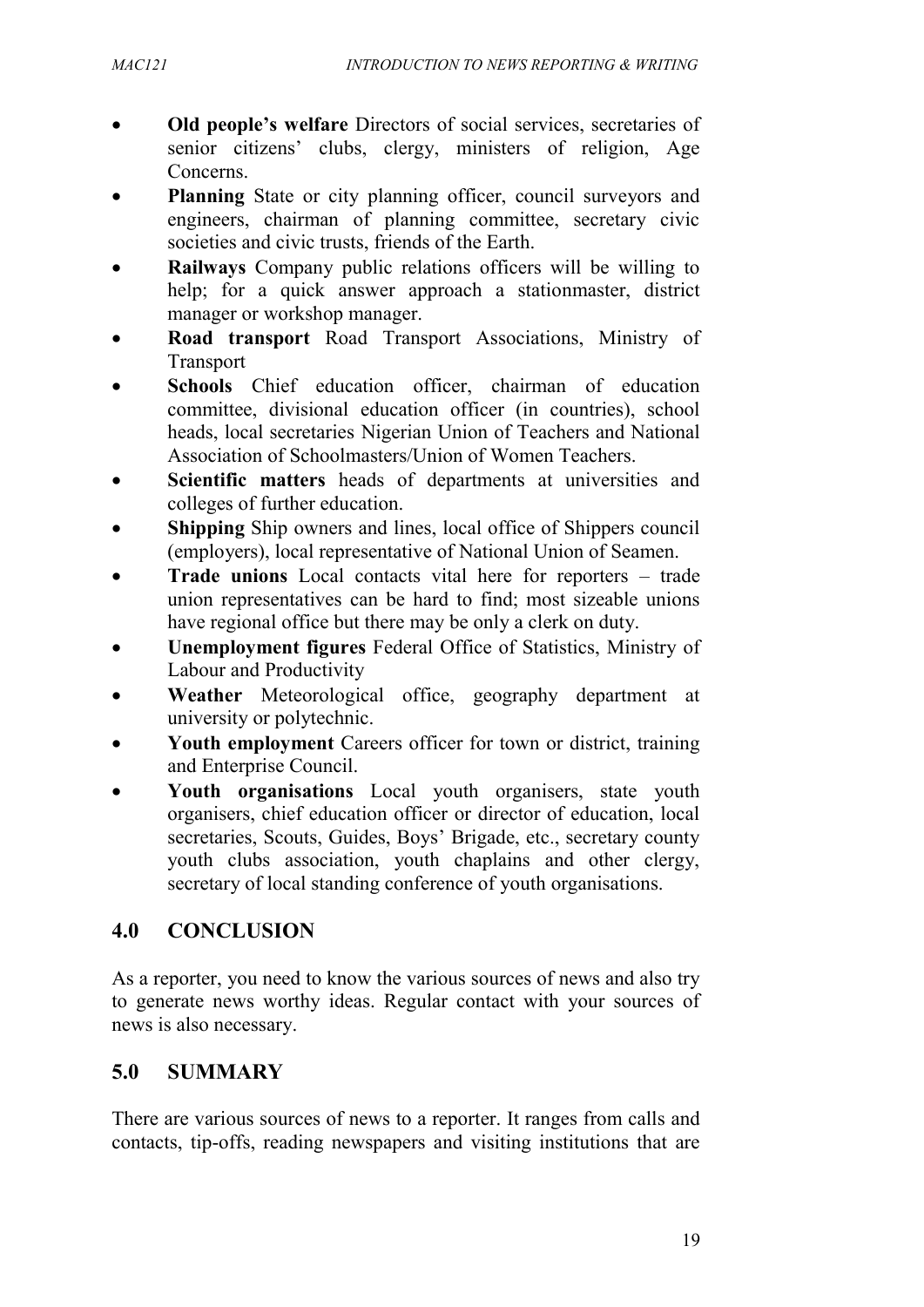- **Old people's welfare** Directors of social services, secretaries of senior citizens' clubs, clergy, ministers of religion, Age Concerns.
- **Planning** State or city planning officer, council surveyors and engineers, chairman of planning committee, secretary civic societies and civic trusts, friends of the Earth.
- **Railways** Company public relations officers will be willing to help; for a quick answer approach a stationmaster, district manager or workshop manager.
- **Road transport** Road Transport Associations, Ministry of Transport
- **Schools** Chief education officer, chairman of education committee, divisional education officer (in countries), school heads, local secretaries Nigerian Union of Teachers and National Association of Schoolmasters/Union of Women Teachers.
- **Scientific matters** heads of departments at universities and colleges of further education.
- **Shipping** Ship owners and lines, local office of Shippers council (employers), local representative of National Union of Seamen.
- **Trade unions** Local contacts vital here for reporters trade union representatives can be hard to find; most sizeable unions have regional office but there may be only a clerk on duty.
- **Unemployment figures** Federal Office of Statistics, Ministry of Labour and Productivity
- **Weather** Meteorological office, geography department at university or polytechnic.
- **Youth employment** Careers officer for town or district, training and Enterprise Council.
- Youth organisations Local youth organisers, state youth organisers, chief education officer or director of education, local secretaries, Scouts, Guides, Boys' Brigade, etc., secretary county youth clubs association, youth chaplains and other clergy, secretary of local standing conference of youth organisations.

## **4.0 CONCLUSION**

As a reporter, you need to know the various sources of news and also try to generate news worthy ideas. Regular contact with your sources of news is also necessary.

## **5.0 SUMMARY**

There are various sources of news to a reporter. It ranges from calls and contacts, tip-offs, reading newspapers and visiting institutions that are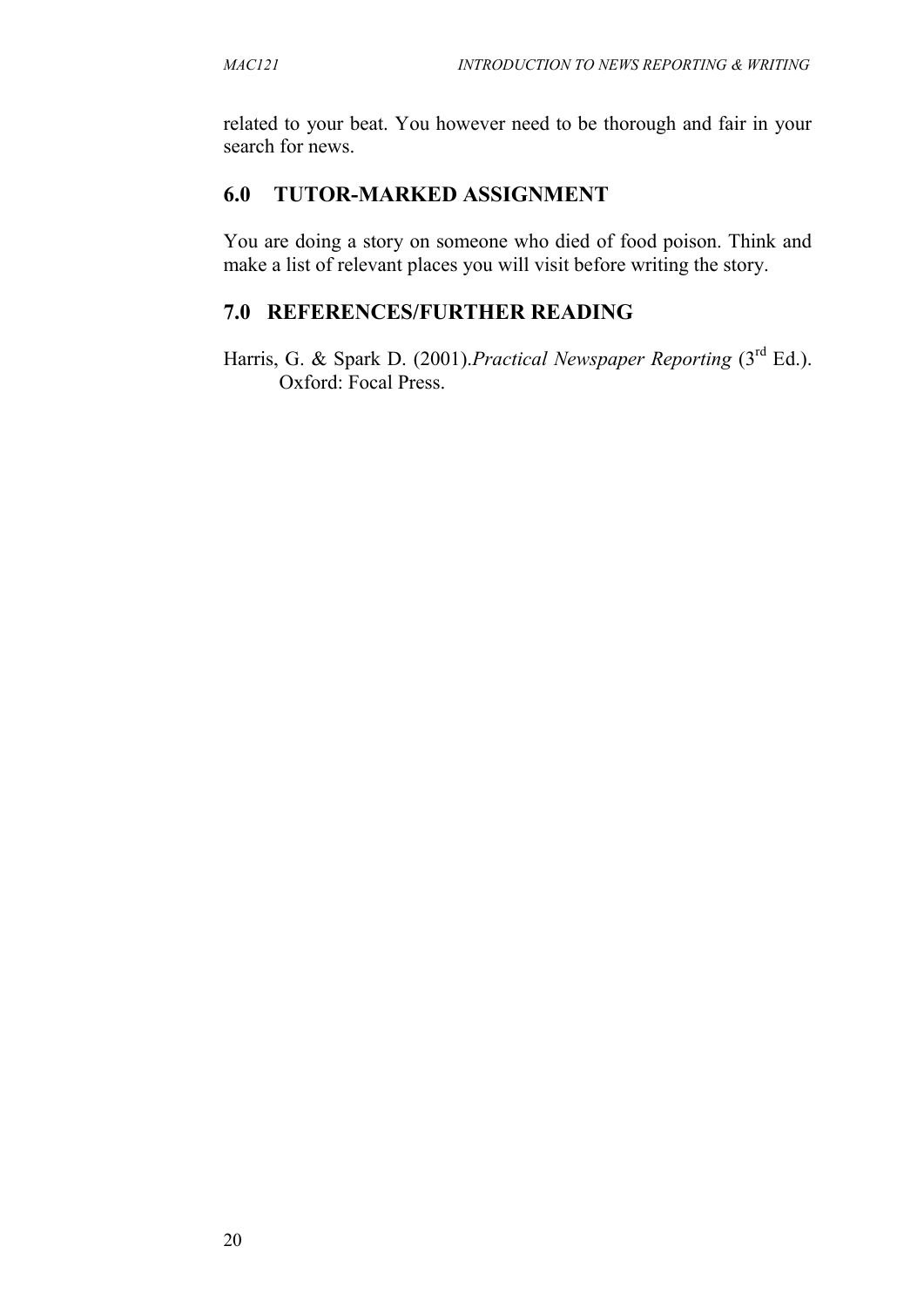related to your beat. You however need to be thorough and fair in your search for news.

## **6.0 TUTOR-MARKED ASSIGNMENT**

You are doing a story on someone who died of food poison. Think and make a list of relevant places you will visit before writing the story.

# **7.0 REFERENCES/FURTHER READING**

Harris, G. & Spark D. (2001).*Practical Newspaper Reporting* (3<sup>rd</sup> Ed.). Oxford: Focal Press.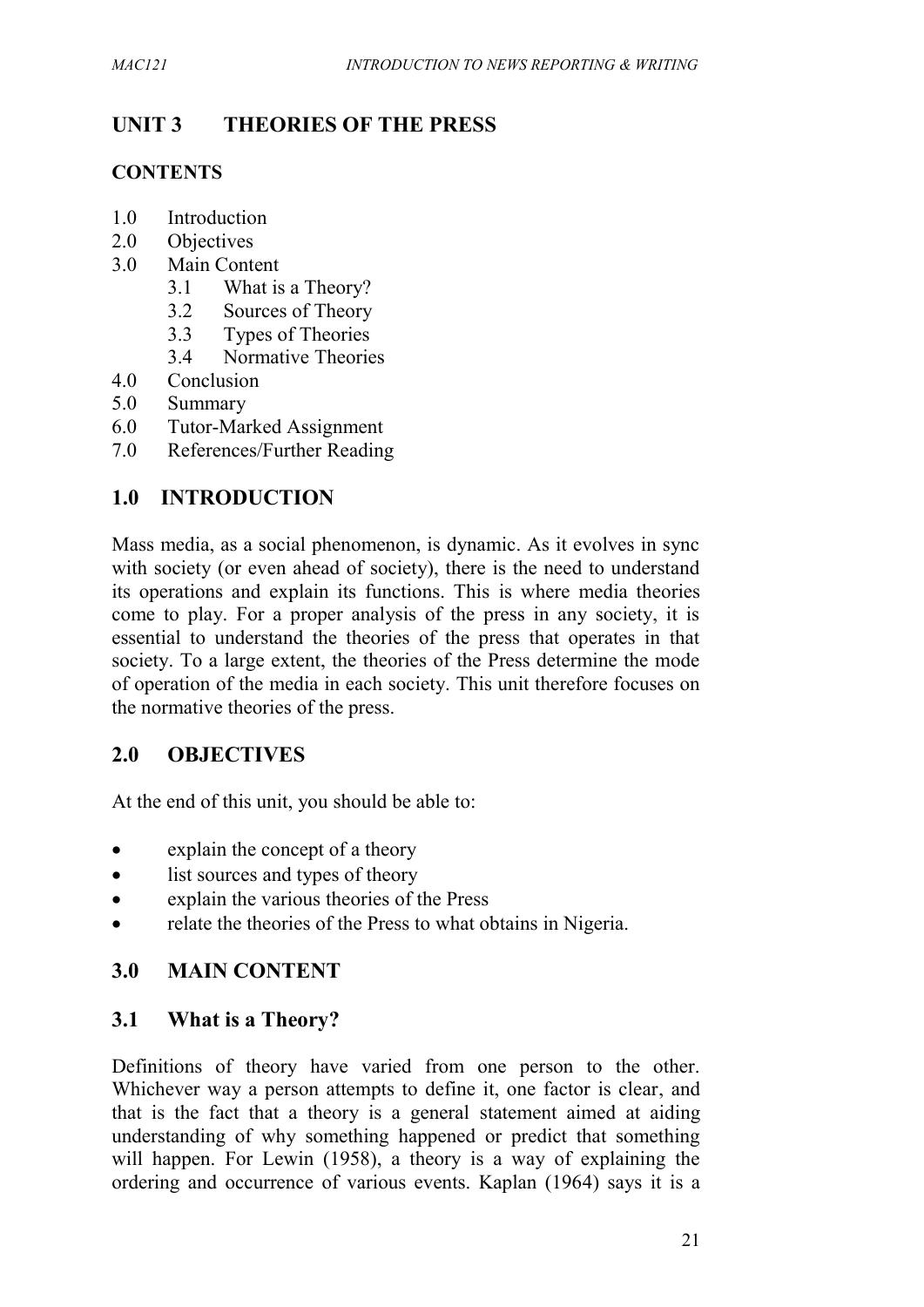# **UNIT 3 THEORIES OF THE PRESS**

#### **CONTENTS**

- 1.0 Introduction
- 2.0 Objectives
- 3.0 Main Content
	- 3.1 What is a Theory?
	- 3.2 Sources of Theory
	- 3.3 Types of Theories
	- 3.4 Normative Theories
- 4.0 Conclusion
- 5.0 Summary
- 6.0 Tutor-Marked Assignment
- 7.0 References/Further Reading

## **1.0 INTRODUCTION**

Mass media, as a social phenomenon, is dynamic. As it evolves in sync with society (or even ahead of society), there is the need to understand its operations and explain its functions. This is where media theories come to play. For a proper analysis of the press in any society, it is essential to understand the theories of the press that operates in that society. To a large extent, the theories of the Press determine the mode of operation of the media in each society. This unit therefore focuses on the normative theories of the press.

### **2.0 OBJECTIVES**

At the end of this unit, you should be able to:

- explain the concept of a theory
- list sources and types of theory
- explain the various theories of the Press
- relate the theories of the Press to what obtains in Nigeria.

### **3.0 MAIN CONTENT**

### **3.1 What is a Theory?**

Definitions of theory have varied from one person to the other. Whichever way a person attempts to define it, one factor is clear, and that is the fact that a theory is a general statement aimed at aiding understanding of why something happened or predict that something will happen. For Lewin (1958), a theory is a way of explaining the ordering and occurrence of various events. Kaplan (1964) says it is a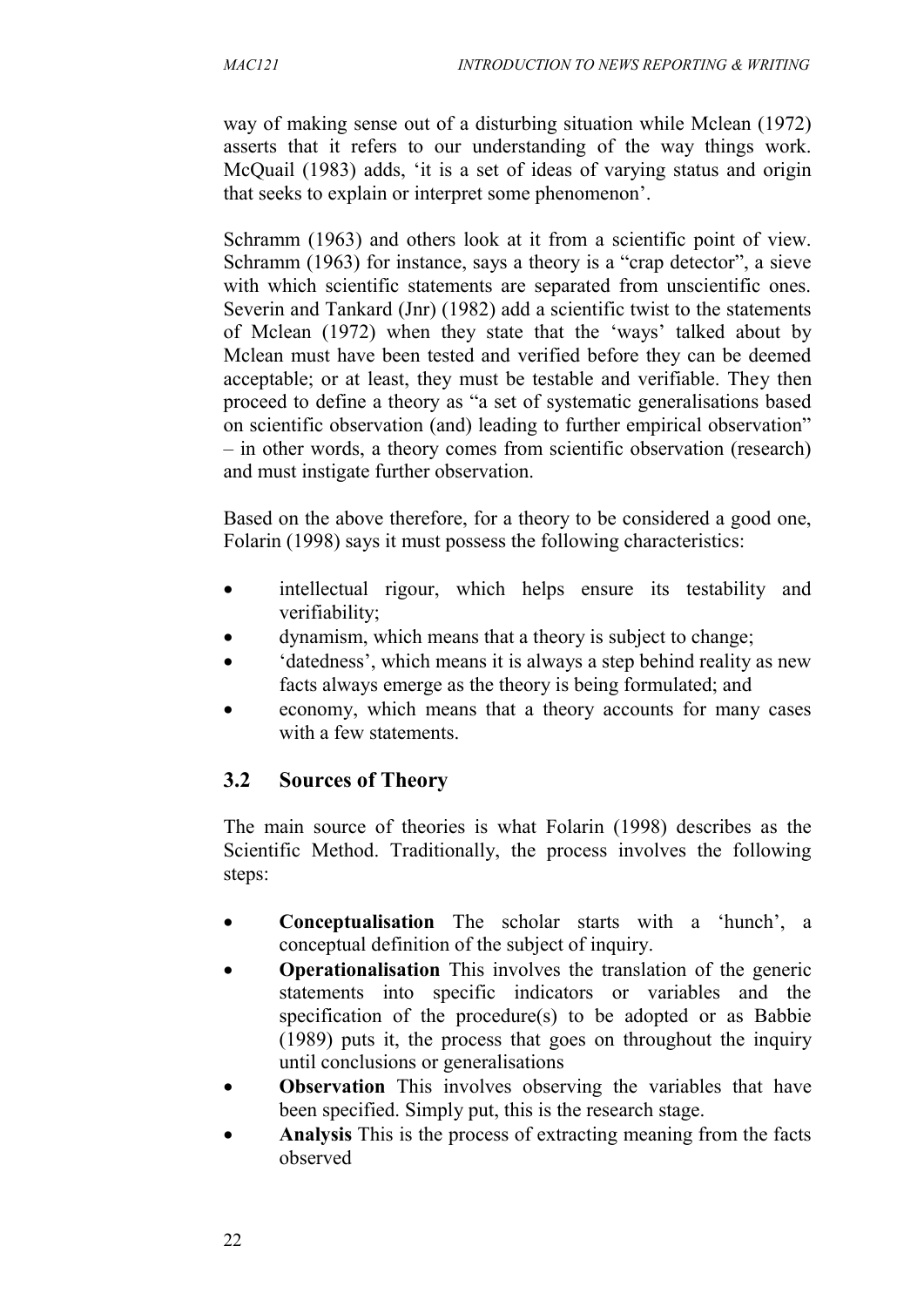way of making sense out of a disturbing situation while Mclean (1972) asserts that it refers to our understanding of the way things work. McQuail (1983) adds, 'it is a set of ideas of varying status and origin that seeks to explain or interpret some phenomenon'.

Schramm (1963) and others look at it from a scientific point of view. Schramm (1963) for instance, says a theory is a "crap detector", a sieve with which scientific statements are separated from unscientific ones. Severin and Tankard (Jnr) (1982) add a scientific twist to the statements of Mclean (1972) when they state that the 'ways' talked about by Mclean must have been tested and verified before they can be deemed acceptable; or at least, they must be testable and verifiable. They then proceed to define a theory as "a set of systematic generalisations based on scientific observation (and) leading to further empirical observation" – in other words, a theory comes from scientific observation (research) and must instigate further observation.

Based on the above therefore, for a theory to be considered a good one, Folarin (1998) says it must possess the following characteristics:

- intellectual rigour, which helps ensure its testability and verifiability;
- dynamism, which means that a theory is subject to change;
- 'datedness', which means it is always a step behind reality as new facts always emerge as the theory is being formulated; and
- economy, which means that a theory accounts for many cases with a few statements.

## **3.2 Sources of Theory**

The main source of theories is what Folarin (1998) describes as the Scientific Method. Traditionally, the process involves the following steps:

- **Conceptualisation** The scholar starts with a 'hunch', a conceptual definition of the subject of inquiry.
- **Operationalisation** This involves the translation of the generic statements into specific indicators or variables and the specification of the procedure(s) to be adopted or as Babbie (1989) puts it, the process that goes on throughout the inquiry until conclusions or generalisations
- **Observation** This involves observing the variables that have been specified. Simply put, this is the research stage.
- **Analysis** This is the process of extracting meaning from the facts observed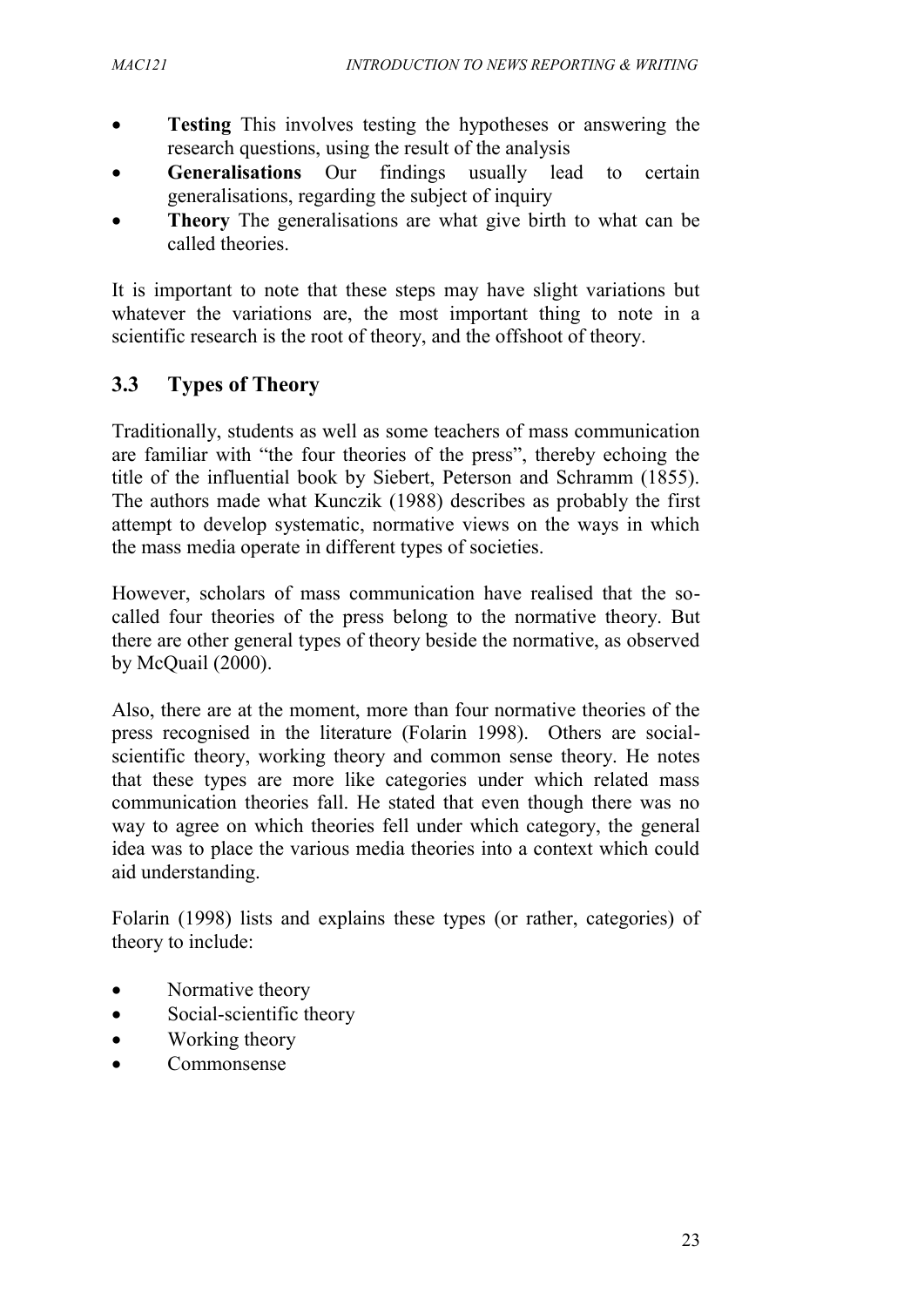- **Testing** This involves testing the hypotheses or answering the research questions, using the result of the analysis
- **Generalisations** Our findings usually lead to certain generalisations, regarding the subject of inquiry
- **Theory** The generalisations are what give birth to what can be called theories.

It is important to note that these steps may have slight variations but whatever the variations are, the most important thing to note in a scientific research is the root of theory, and the offshoot of theory.

## **3.3 Types of Theory**

Traditionally, students as well as some teachers of mass communication are familiar with "the four theories of the press", thereby echoing the title of the influential book by Siebert, Peterson and Schramm (1855). The authors made what Kunczik (1988) describes as probably the first attempt to develop systematic, normative views on the ways in which the mass media operate in different types of societies.

However, scholars of mass communication have realised that the so called four theories of the press belong to the normative theory. But there are other general types of theory beside the normative, as observed by McQuail (2000).

Also, there are at the moment, more than four normative theories of the press recognised in the literature (Folarin 1998). Others are social scientific theory, working theory and common sense theory. He notes that these types are more like categories under which related mass communication theories fall. He stated that even though there was no way to agree on which theories fell under which category, the general idea was to place the various media theories into a context which could aid understanding.

Folarin (1998) lists and explains these types (or rather, categories) of theory to include:

- Normative theory
- Social-scientific theory
- Working theory
- Commonsense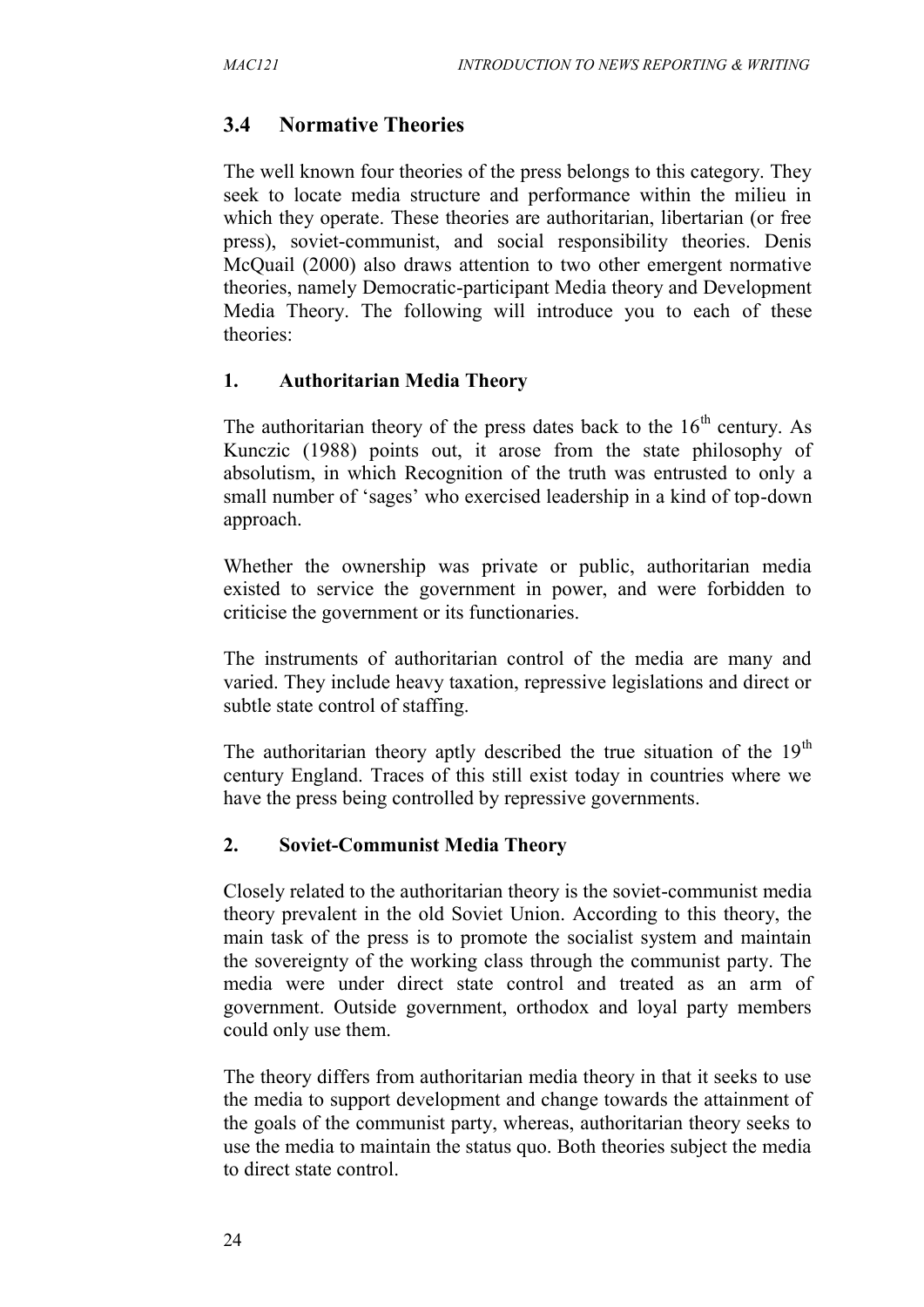# **3.4 Normative Theories**

The well known four theories of the press belongs to this category. They seek to locate media structure and performance within the milieu in which they operate. These theories are authoritarian, libertarian (or free press), soviet-communist, and social responsibility theories. Denis McQuail (2000) also draws attention to two other emergent normative theories, namely Democratic-participant Media theory and Development Media Theory. The following will introduce you to each of these theories:

### **1. Authoritarian Media Theory**

The authoritarian theory of the press dates back to the  $16<sup>th</sup>$  century. As Kunczic (1988) points out, it arose from the state philosophy of absolutism, in which Recognition of the truth was entrusted to only a small number of 'sages' who exercised leadership in a kind of top-down approach.

Whether the ownership was private or public, authoritarian media existed to service the government in power, and were forbidden to criticise the government or its functionaries.

The instruments of authoritarian control of the media are many and varied. They include heavy taxation, repressive legislations and direct or subtle state control of staffing.

The authoritarian theory aptly described the true situation of the  $19<sup>th</sup>$ century England. Traces of this still exist today in countries where we have the press being controlled by repressive governments.

### **2. Soviet-Communist Media Theory**

Closely related to the authoritarian theory is the soviet-communist media theory prevalent in the old Soviet Union. According to this theory, the main task of the press is to promote the socialist system and maintain the sovereignty of the working class through the communist party. The media were under direct state control and treated as an arm of government. Outside government, orthodox and loyal party members could only use them.

The theory differs from authoritarian media theory in that it seeks to use the media to support development and change towards the attainment of the goals of the communist party, whereas, authoritarian theory seeks to use the media to maintain the status quo. Both theories subject the media to direct state control.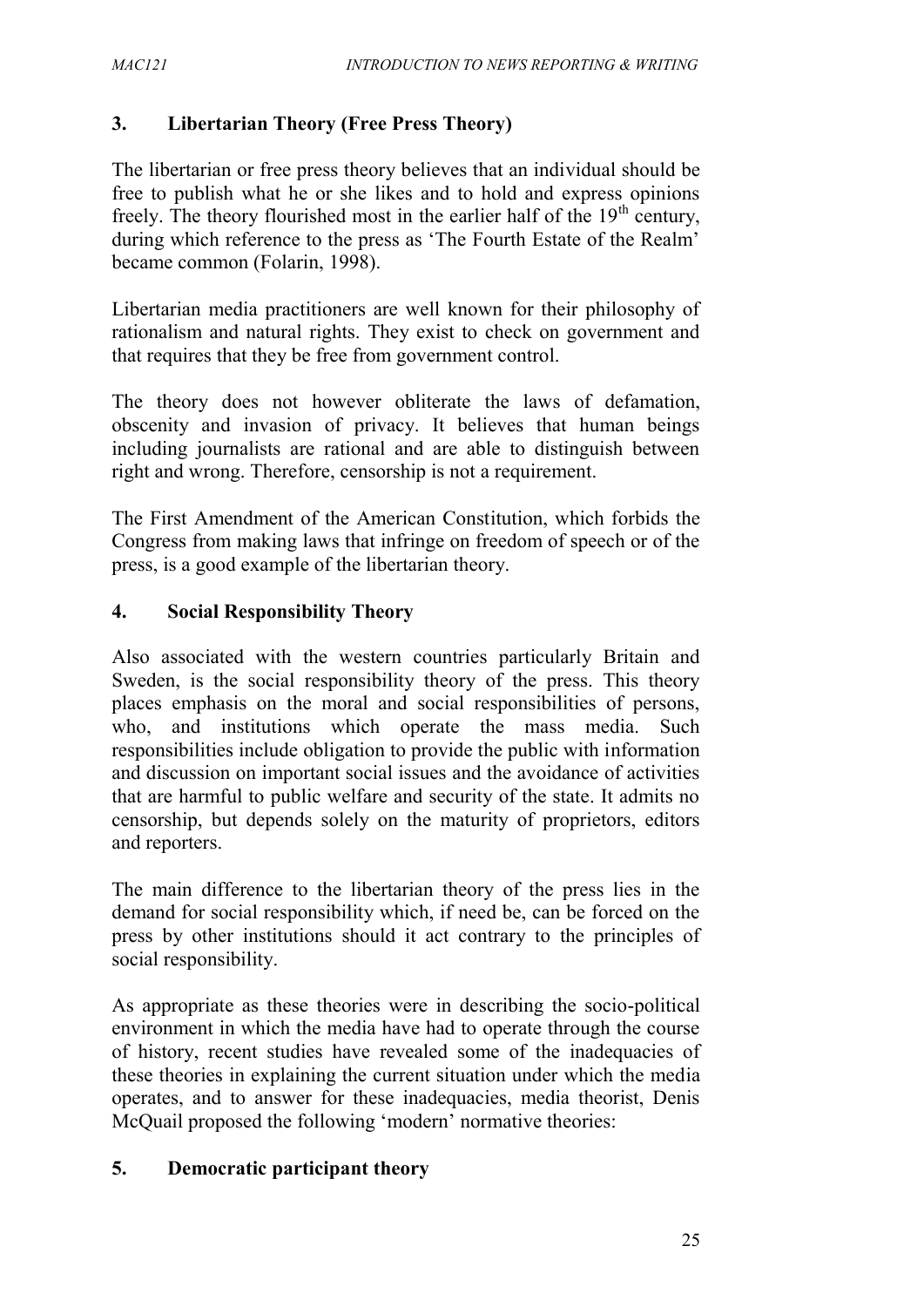### **3. Libertarian Theory (Free Press Theory)**

The libertarian or free press theory believes that an individual should be free to publish what he or she likes and to hold and express opinions freely. The theory flourished most in the earlier half of the  $19<sup>th</sup>$  century, during which reference to the press as 'The Fourth Estate of the Realm' became common (Folarin, 1998).

Libertarian media practitioners are well known for their philosophy of rationalism and natural rights. They exist to check on government and that requires that they be free from government control.

The theory does not however obliterate the laws of defamation, obscenity and invasion of privacy. It believes that human beings including journalists are rational and are able to distinguish between right and wrong. Therefore, censorship is not a requirement.

The First Amendment of the American Constitution, which forbids the Congress from making laws that infringe on freedom of speech or of the press, is a good example of the libertarian theory.

#### **4. Social Responsibility Theory**

Also associated with the western countries particularly Britain and Sweden, is the social responsibility theory of the press. This theory places emphasis on the moral and social responsibilities of persons, who, and institutions which operate the mass media. Such responsibilities include obligation to provide the public with information and discussion on important social issues and the avoidance of activities that are harmful to public welfare and security of the state. It admits no censorship, but depends solely on the maturity of proprietors, editors and reporters.

The main difference to the libertarian theory of the press lies in the demand for social responsibility which, if need be, can be forced on the press by other institutions should it act contrary to the principles of social responsibility.

As appropriate as these theories were in describing the socio-political environment in which the media have had to operate through the course of history, recent studies have revealed some of the inadequacies of these theories in explaining the current situation under which the media operates, and to answer for these inadequacies, media theorist, Denis McQuail proposed the following 'modern' normative theories:

### **5. Democratic participant theory**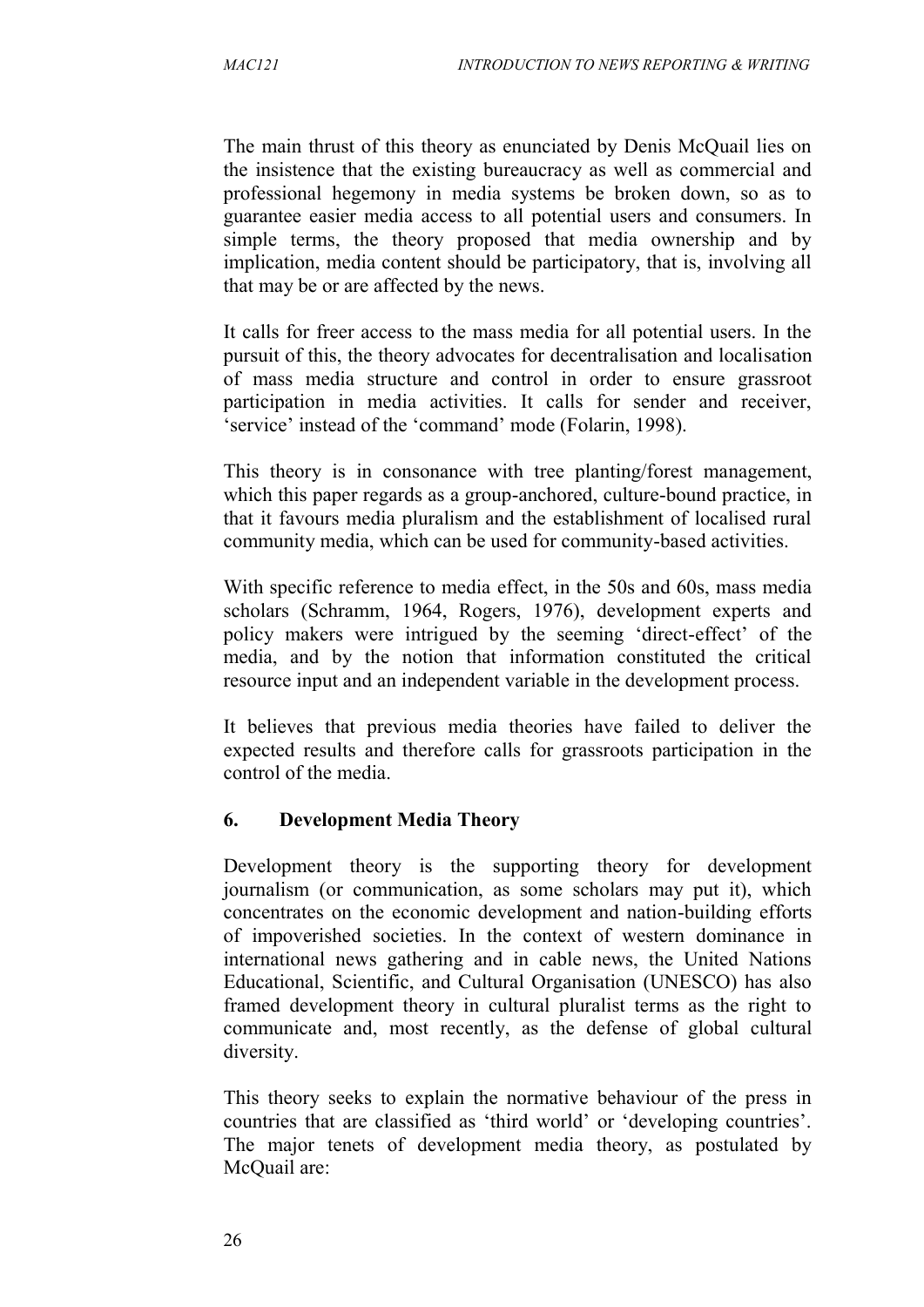The main thrust of this theory as enunciated by Denis McQuail lies on the insistence that the existing bureaucracy as well as commercial and professional hegemony in media systems be broken down, so as to guarantee easier media access to all potential users and consumers. In simple terms, the theory proposed that media ownership and by implication, media content should be participatory, that is, involving all that may be or are affected by the news.

It calls for freer access to the mass media for all potential users. In the pursuit of this, the theory advocates for decentralisation and localisation of mass media structure and control in order to ensure grassroot participation in media activities. It calls for sender and receiver, 'service' instead of the 'command' mode (Folarin, 1998).

This theory is in consonance with tree planting/forest management, which this paper regards as a group-anchored, culture-bound practice, in that it favours media pluralism and the establishment of localised rural community media, which can be used for community-based activities.

With specific reference to media effect, in the 50s and 60s, mass media scholars (Schramm, 1964, Rogers, 1976), development experts and policy makers were intrigued by the seeming 'direct-effect' of the media, and by the notion that information constituted the critical resource input and an independent variable in the development process.

It believes that previous media theories have failed to deliver the expected results and therefore calls for grassroots participation in the control of the media.

#### **6. Development Media Theory**

Development theory is the supporting theory for development journalism (or communication, as some scholars may put it), which concentrates on the economic development and nation-building efforts of impoverished societies. In the context of western dominance in international news gathering and in cable news, the United Nations Educational, Scientific, and Cultural Organisation (UNESCO) has also framed development theory in cultural pluralist terms as the right to communicate and, most recently, as the defense of global cultural diversity.

This theory seeks to explain the normative behaviour of the press in countries that are classified as 'third world' or 'developing countries'. The major tenets of development media theory, as postulated by McQuail are: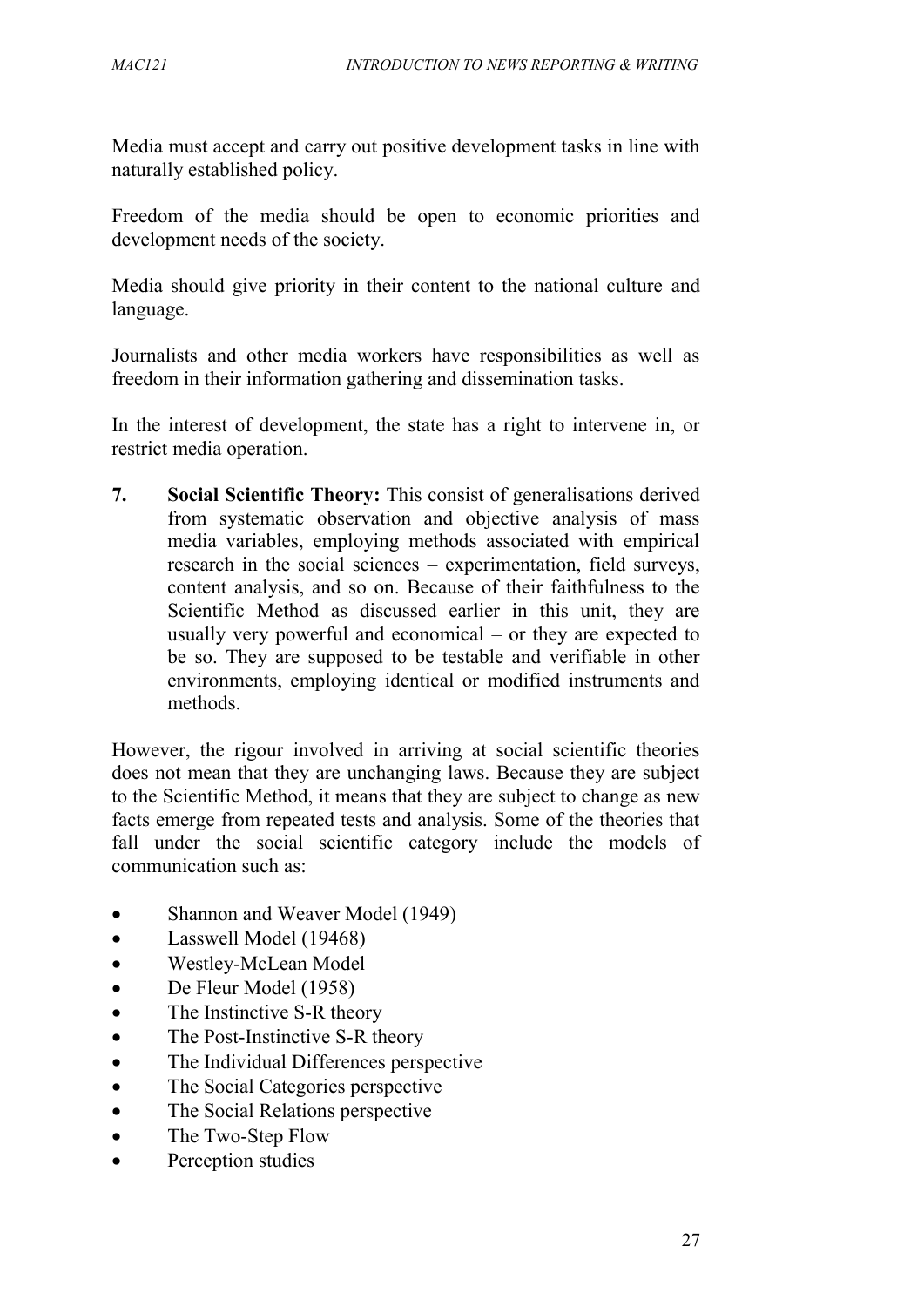Media must accept and carry out positive development tasks in line with naturally established policy.

Freedom of the media should be open to economic priorities and development needs of the society.

Media should give priority in their content to the national culture and language.

Journalists and other media workers have responsibilities as well as freedom in their information gathering and dissemination tasks.

In the interest of development, the state has a right to intervene in, or restrict media operation.

**7. Social Scientific Theory:** This consist of generalisations derived from systematic observation and objective analysis of mass media variables, employing methods associated with empirical research in the social sciences – experimentation, field surveys, content analysis, and so on. Because of their faithfulness to the Scientific Method as discussed earlier in this unit, they are usually very powerful and economical – or they are expected to be so. They are supposed to be testable and verifiable in other environments, employing identical or modified instruments and methods.

However, the rigour involved in arriving at social scientific theories does not mean that they are unchanging laws. Because they are subject to the Scientific Method, it means that they are subject to change as new facts emerge from repeated tests and analysis. Some of the theories that fall under the social scientific category include the models of communication such as:

- Shannon and Weaver Model (1949)
- Lasswell Model (19468)
- Westley-McLean Model
- De Fleur Model (1958)
- The Instinctive S-R theory
- The Post-Instinctive S-R theory
- The Individual Differences perspective
- The Social Categories perspective
- The Social Relations perspective
- The Two-Step Flow
- Perception studies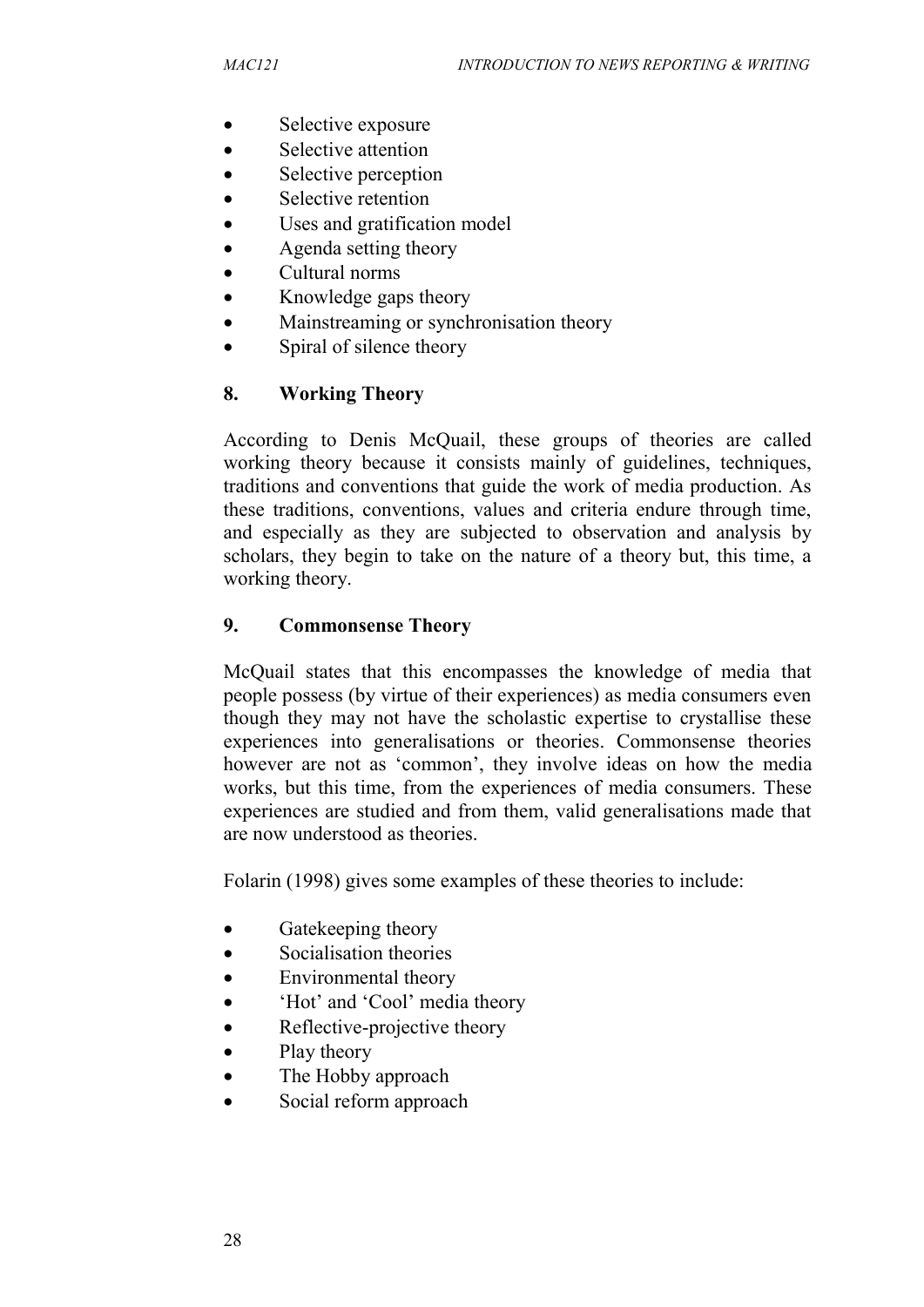- Selective exposure
- Selective attention
- Selective perception
- Selective retention
- Uses and gratification model
- Agenda setting theory
- Cultural norms
- Knowledge gaps theory
- Mainstreaming or synchronisation theory
- Spiral of silence theory

#### **8. Working Theory**

According to Denis McQuail, these groups of theories are called working theory because it consists mainly of guidelines, techniques, traditions and conventions that guide the work of media production. As these traditions, conventions, values and criteria endure through time, and especially as they are subjected to observation and analysis by scholars, they begin to take on the nature of a theory but, this time, a working theory.

#### **9. Commonsense Theory**

McQuail states that this encompasses the knowledge of media that people possess (by virtue of their experiences) as media consumers even though they may not have the scholastic expertise to crystallise these experiences into generalisations or theories. Commonsense theories however are not as 'common', they involve ideas on how the media works, but this time, from the experiences of media consumers. These experiences are studied and from them, valid generalisations made that are now understood as theories.

Folarin (1998) gives some examples of these theories to include:

- Gatekeeping theory
- Socialisation theories
- Environmental theory
- 'Hot' and 'Cool' media theory
- Reflective-projective theory
- Play theory
- The Hobby approach
- Social reform approach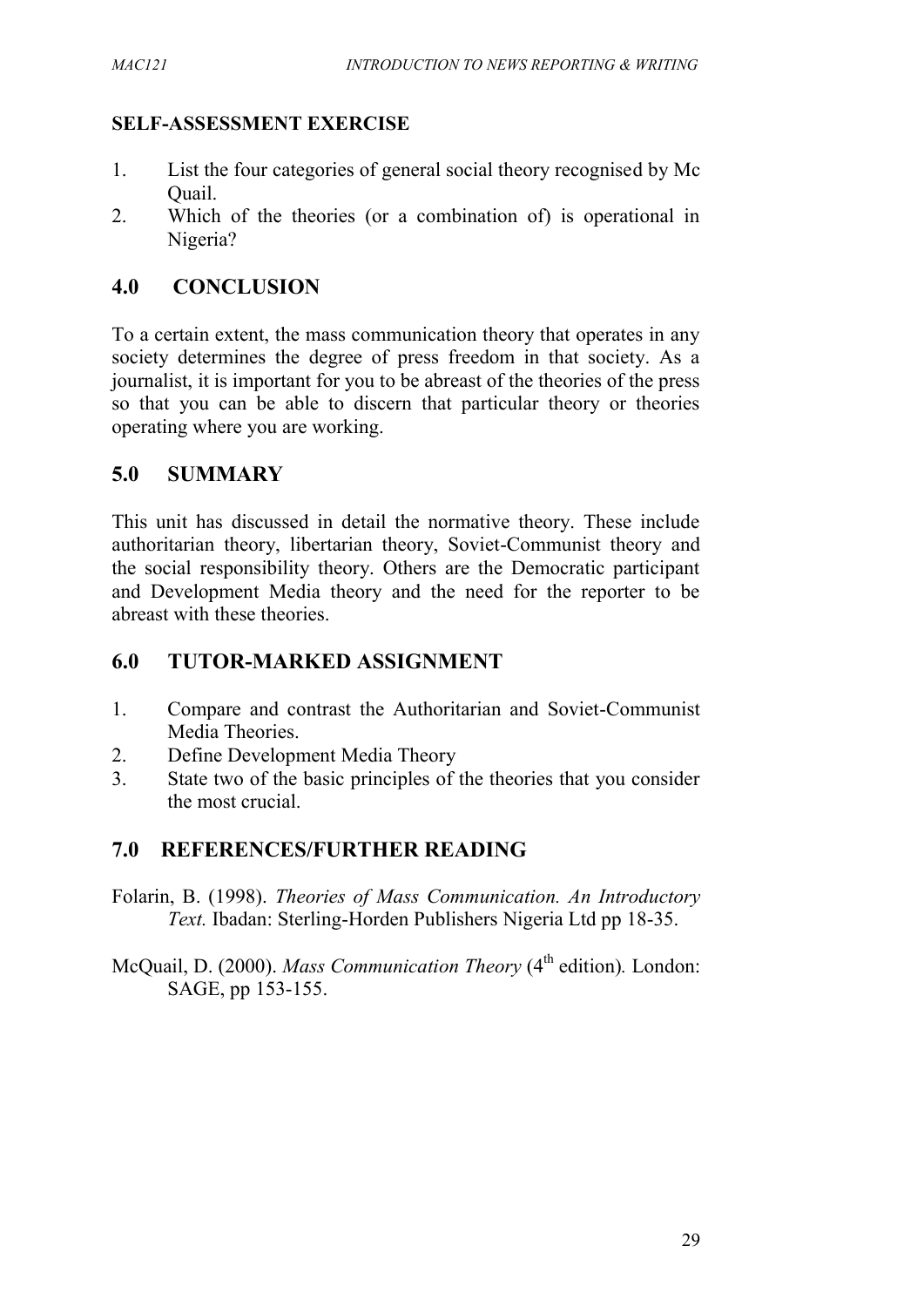### **SELF-ASSESSMENT EXERCISE**

- 1. List the four categories of general social theory recognised by Mc Quail.
- 2. Which of the theories (or a combination of) is operational in Nigeria?

## **4.0 CONCLUSION**

To a certain extent, the mass communication theory that operates in any society determines the degree of press freedom in that society. As a journalist, it is important for you to be abreast of the theories of the press so that you can be able to discern that particular theory or theories operating where you are working.

### **5.0 SUMMARY**

This unit has discussed in detail the normative theory. These include authoritarian theory, libertarian theory, Soviet-Communist theory and the social responsibility theory. Others are the Democratic participant and Development Media theory and the need for the reporter to be abreast with these theories.

## **6.0 TUTOR-MARKED ASSIGNMENT**

- 1. Compare and contrast the Authoritarian and Soviet-Communist Media Theories.
- 2. Define Development Media Theory
- 3. State two of the basic principles of the theories that you consider the most crucial.

## **7.0 REFERENCES/FURTHER READING**

- Folarin, B. (1998). *Theories of Mass Communication. An Introductory Text.* Ibadan: Sterling-Horden Publishers Nigeria Ltd pp 18-35.
- McQuail, D. (2000). *Mass Communication Theory* (4<sup>th</sup> edition). London: SAGE, pp 153-155.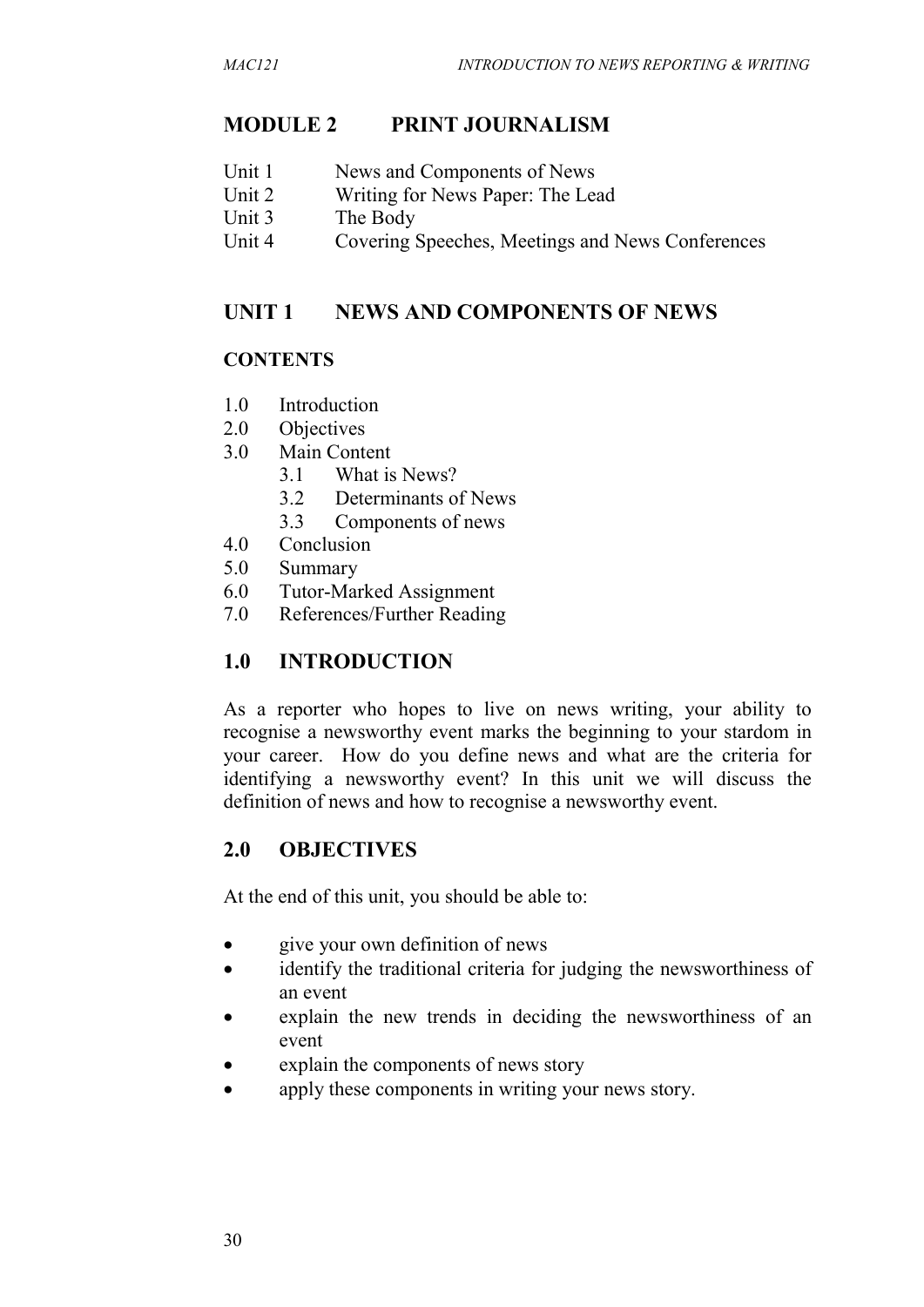### **MODULE 2 PRINT JOURNALISM**

- Unit 1 News and Components of News
- Unit 2 Writing for News Paper: The Lead
- Unit 3 The Body
- Unit 4 Covering Speeches, Meetings and News Conferences

#### **UNIT 1 NEWS AND COMPONENTS OF NEWS**

#### **CONTENTS**

- 1.0 Introduction
- 2.0 Objectives
- 3.0 Main Content
	- 3.1 What is News?
	- 3.2 Determinants of News
	- 3.3 Components of news
- 4.0 Conclusion
- 5.0 Summary
- 6.0 Tutor-Marked Assignment
- 7.0 References/Further Reading

### **1.0 INTRODUCTION**

As a reporter who hopes to live on news writing, your ability to recognise a newsworthy event marks the beginning to your stardom in your career. How do you define news and what are the criteria for identifying a newsworthy event? In this unit we will discuss the definition of news and how to recognise a newsworthy event.

#### **2.0 OBJECTIVES**

At the end of this unit, you should be able to:

- give your own definition of news
- identify the traditional criteria for judging the newsworthiness of an event
- explain the new trends in deciding the newsworthiness of an event
- explain the components of news story
- apply these components in writing your news story.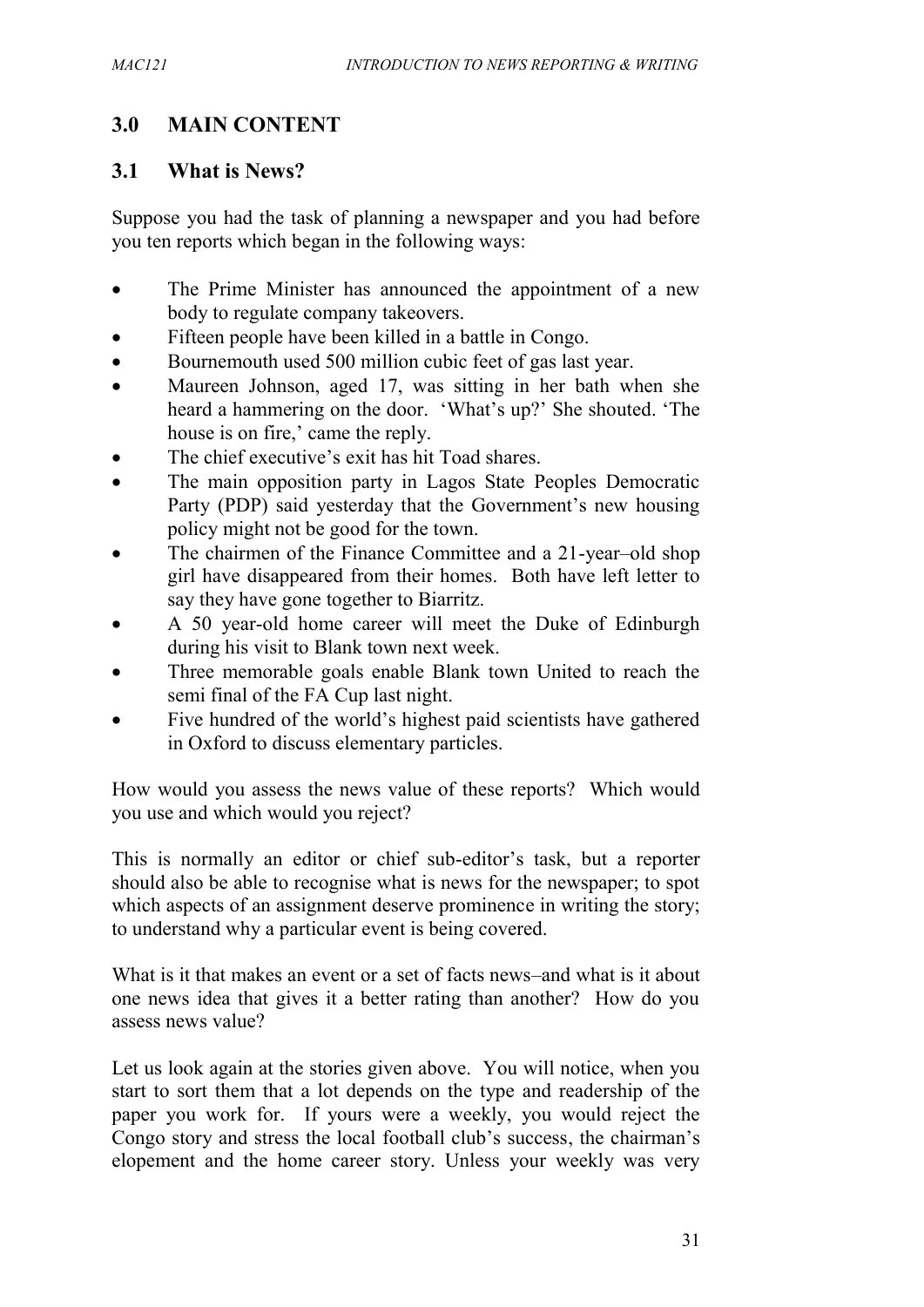## **3.0 MAIN CONTENT**

### **3.1 What is News?**

Suppose you had the task of planning a newspaper and you had before you ten reports which began in the following ways:

- The Prime Minister has announced the appointment of a new body to regulate company takeovers.
- Fifteen people have been killed in a battle in Congo.
- Bournemouth used 500 million cubic feet of gas last year.
- Maureen Johnson, aged 17, was sitting in her bath when she heard a hammering on the door. 'What's up?' She shouted. 'The house is on fire,' came the reply.
- The chief executive's exit has hit Toad shares.
- The main opposition party in Lagos State Peoples Democratic Party (PDP) said yesterday that the Government's new housing policy might not be good for the town.
- The chairmen of the Finance Committee and a 21-year-old shop girl have disappeared from their homes. Both have left letter to say they have gone together to Biarritz.
- A 50 year-old home career will meet the Duke of Edinburgh during his visit to Blank town next week.
- Three memorable goals enable Blank town United to reach the semi final of the FA Cup last night.
- Five hundred of the world's highest paid scientists have gathered in Oxford to discuss elementary particles.

How would you assess the news value of these reports? Which would you use and which would you reject?

This is normally an editor or chief sub-editor's task, but a reporter should also be able to recognise what is news for the newspaper; to spot which aspects of an assignment deserve prominence in writing the story; to understand why a particular event is being covered.

What is it that makes an event or a set of facts news–and what is it about one news idea that gives it a better rating than another? How do you assess news value?

Let us look again at the stories given above. You will notice, when you start to sort them that a lot depends on the type and readership of the paper you work for. If yours were a weekly, you would reject the Congo story and stress the local football club's success, the chairman's elopement and the home career story. Unless your weekly was very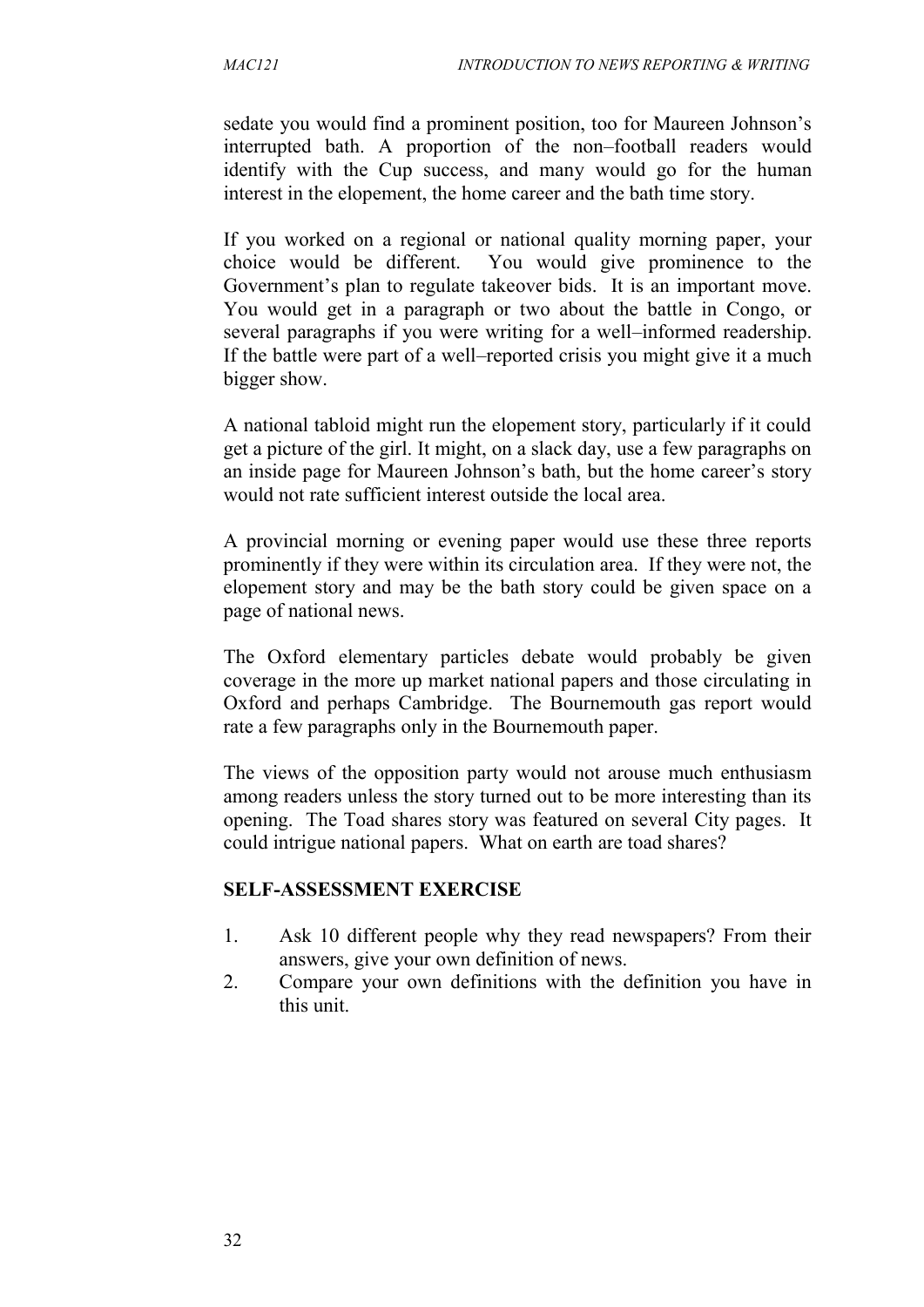sedate you would find a prominent position, too for Maureen Johnson's interrupted bath. A proportion of the non–football readers would identify with the Cup success, and many would go for the human interest in the elopement, the home career and the bath time story.

If you worked on a regional or national quality morning paper, your choice would be different. You would give prominence to the Government's plan to regulate takeover bids. It is an important move. You would get in a paragraph or two about the battle in Congo, or several paragraphs if you were writing for a well–informed readership. If the battle were part of a well–reported crisis you might give it a much bigger show.

A national tabloid might run the elopement story, particularly if it could get a picture of the girl. It might, on a slack day, use a few paragraphs on an inside page for Maureen Johnson's bath, but the home career's story would not rate sufficient interest outside the local area.

A provincial morning or evening paper would use these three reports prominently if they were within its circulation area. If they were not, the elopement story and may be the bath story could be given space on a page of national news.

The Oxford elementary particles debate would probably be given coverage in the more up market national papers and those circulating in Oxford and perhaps Cambridge. The Bournemouth gas report would rate a few paragraphs only in the Bournemouth paper.

The views of the opposition party would not arouse much enthusiasm among readers unless the story turned out to be more interesting than its opening. The Toad shares story was featured on several City pages. It could intrigue national papers. What on earth are toad shares?

#### **SELF-ASSESSMENT EXERCISE**

- 1. Ask 10 different people why they read newspapers? From their answers, give your own definition of news.
- 2. Compare your own definitions with the definition you have in this unit.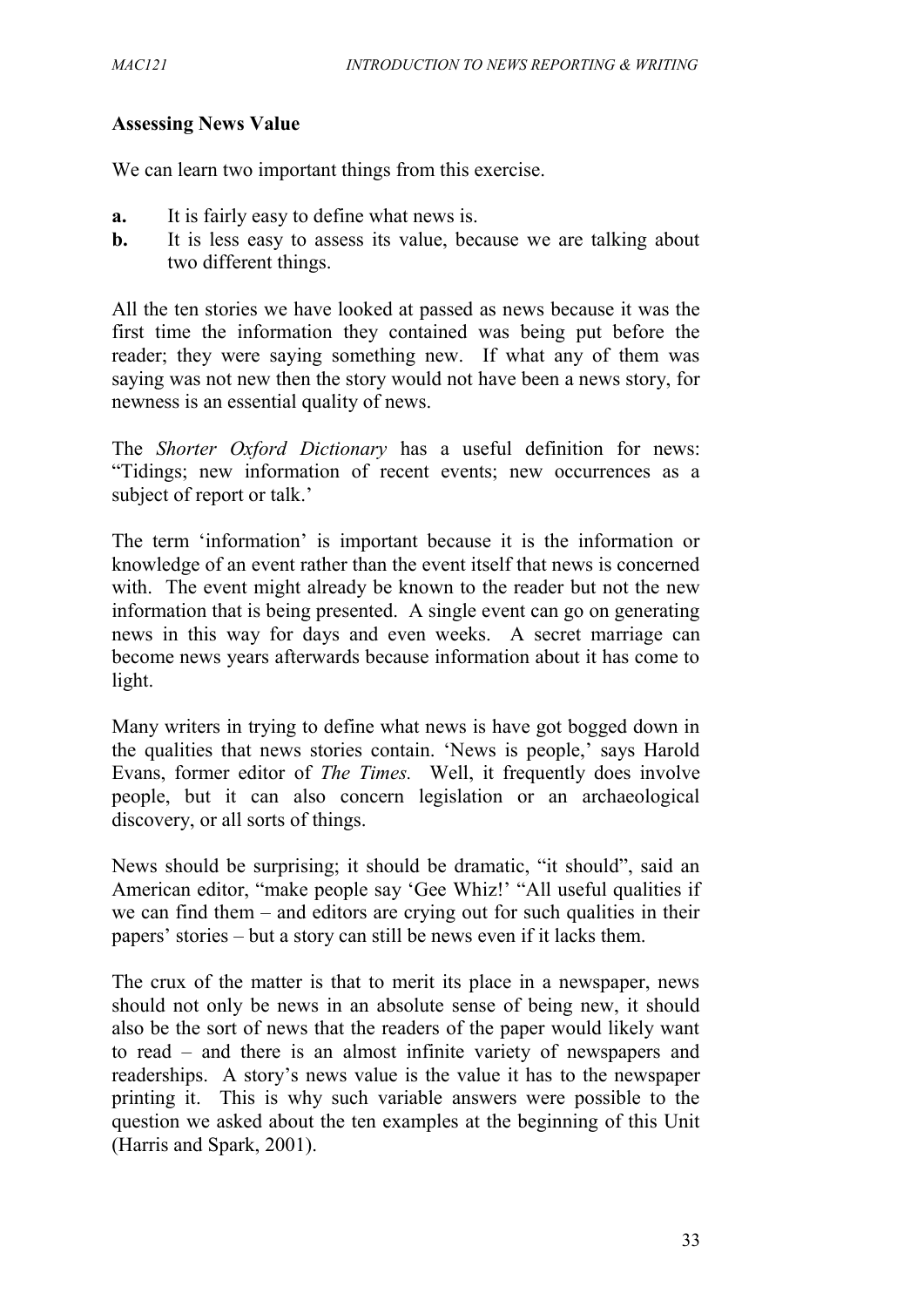#### **Assessing News Value**

We can learn two important things from this exercise.

- **a.** It is fairly easy to define what news is.
- **b.** It is less easy to assess its value, because we are talking about two different things.

All the ten stories we have looked at passed as news because it was the first time the information they contained was being put before the reader; they were saying something new. If what any of them was saying was not new then the story would not have been a news story, for newness is an essential quality of news.

The *Shorter Oxford Dictionary* has a useful definition for news: "Tidings; new information of recent events; new occurrences as a subject of report or talk.'

The term 'information' is important because it is the information or knowledge of an event rather than the event itself that news is concerned with. The event might already be known to the reader but not the new information that is being presented. A single event can go on generating news in this way for days and even weeks. A secret marriage can become news years afterwards because information about it has come to light.

Many writers in trying to define what news is have got bogged down in the qualities that news stories contain. 'News is people,' says Harold Evans, former editor of *The Times.* Well, it frequently does involve people, but it can also concern legislation or an archaeological discovery, or all sorts of things.

News should be surprising; it should be dramatic, "it should", said an American editor, "make people say 'Gee Whiz!' "All useful qualities if we can find them – and editors are crying out for such qualities in their papers' stories – but a story can still be news even if it lacks them.

The crux of the matter is that to merit its place in a newspaper, news should not only be news in an absolute sense of being new, it should also be the sort of news that the readers of the paper would likely want to read – and there is an almost infinite variety of newspapers and readerships. A story's news value is the value it has to the newspaper printing it. This is why such variable answers were possible to the question we asked about the ten examples at the beginning of this Unit (Harris and Spark, 2001).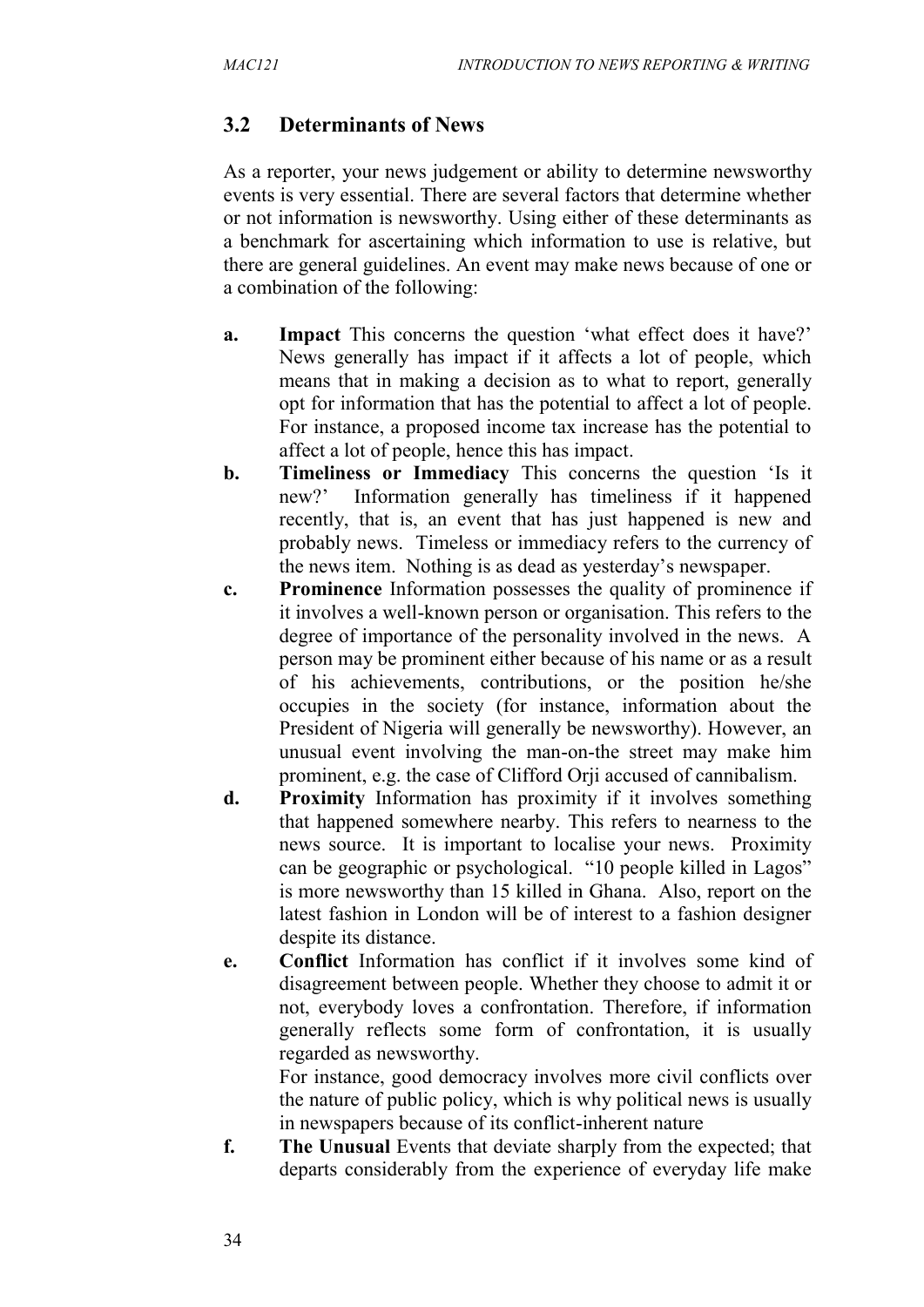## **3.2 Determinants of News**

As a reporter, your news judgement or ability to determine newsworthy events is very essential. There are several factors that determine whether or not information is newsworthy. Using either of these determinants as a benchmark for ascertaining which information to use is relative, but there are general guidelines. An event may make news because of one or a combination of the following:

- **a. Impact** This concerns the question 'what effect does it have?' News generally has impact if it affects a lot of people, which means that in making a decision as to what to report, generally opt for information that has the potential to affect a lot of people. For instance, a proposed income tax increase has the potential to affect a lot of people, hence this has impact.
- **b. Timeliness or Immediacy** This concerns the question 'Is it new?' Information generally has timeliness if it happened recently, that is, an event that has just happened is new and probably news. Timeless or immediacy refers to the currency of the news item. Nothing is as dead as yesterday's newspaper.
- **c. Prominence** Information possesses the quality of prominence if it involves a well-known person or organisation. This refers to the degree of importance of the personality involved in the news. A person may be prominent either because of his name or as a result of his achievements, contributions, or the position he/she occupies in the society (for instance, information about the President of Nigeria will generally be newsworthy). However, an unusual event involving the man-on-the street may make him prominent, e.g. the case of Clifford Orji accused of cannibalism.
- **d. Proximity** Information has proximity if it involves something that happened somewhere nearby. This refers to nearness to the news source. It is important to localise your news. Proximity can be geographic or psychological. "10 people killed in Lagos" is more newsworthy than 15 killed in Ghana. Also, report on the latest fashion in London will be of interest to a fashion designer despite its distance.
- **e. Conflict** Information has conflict if it involves some kind of disagreement between people. Whether they choose to admit it or not, everybody loves a confrontation. Therefore, if information generally reflects some form of confrontation, it is usually regarded as newsworthy.

For instance, good democracy involves more civil conflicts over the nature of public policy, which is why political news is usually in newspapers because of its conflict-inherent nature

**f. The Unusual** Events that deviate sharply from the expected; that departs considerably from the experience of everyday life make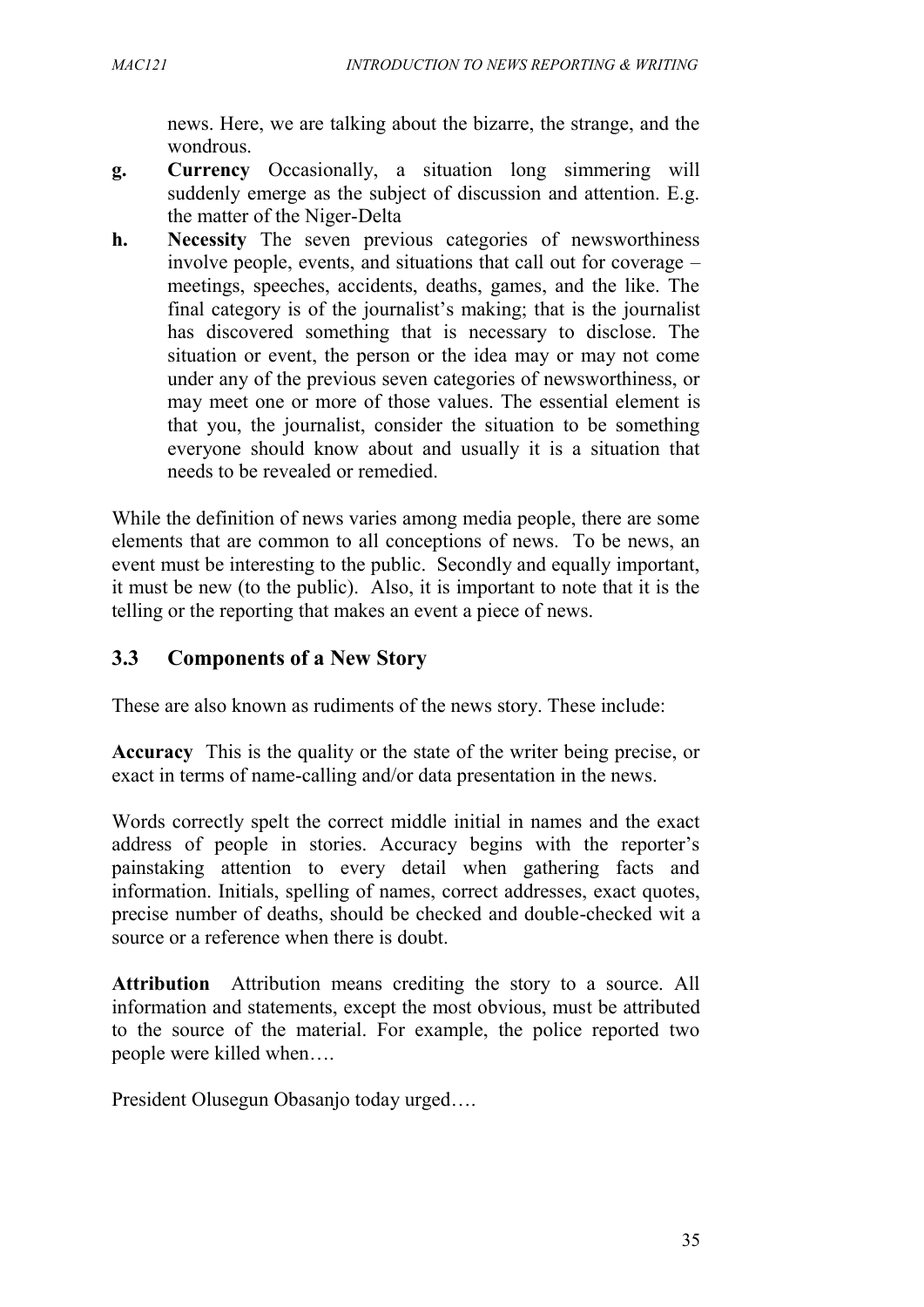news. Here, we are talking about the bizarre, the strange, and the wondrous.

- **g. Currency** Occasionally, a situation long simmering will suddenly emerge as the subject of discussion and attention. E.g. the matter of the Niger-Delta
- **h. Necessity** The seven previous categories of newsworthiness involve people, events, and situations that call out for coverage – meetings, speeches, accidents, deaths, games, and the like. The final category is of the journalist's making; that is the journalist has discovered something that is necessary to disclose. The situation or event, the person or the idea may or may not come under any of the previous seven categories of newsworthiness, or may meet one or more of those values. The essential element is that you, the journalist, consider the situation to be something everyone should know about and usually it is a situation that needs to be revealed or remedied.

While the definition of news varies among media people, there are some elements that are common to all conceptions of news. To be news, an event must be interesting to the public. Secondly and equally important, it must be new (to the public). Also, it is important to note that it is the telling or the reporting that makes an event a piece of news.

## **3.3 Components of a New Story**

These are also known as rudiments of the news story. These include:

**Accuracy** This is the quality or the state of the writer being precise, or exact in terms of name-calling and/or data presentation in the news.

Words correctly spelt the correct middle initial in names and the exact address of people in stories. Accuracy begins with the reporter's painstaking attention to every detail when gathering facts and information. Initials, spelling of names, correct addresses, exact quotes, precise number of deaths, should be checked and double-checked wit a source or a reference when there is doubt.

**Attribution** Attribution means crediting the story to a source. All information and statements, except the most obvious, must be attributed to the source of the material. For example, the police reported two people were killed when….

President Olusegun Obasanjo today urged….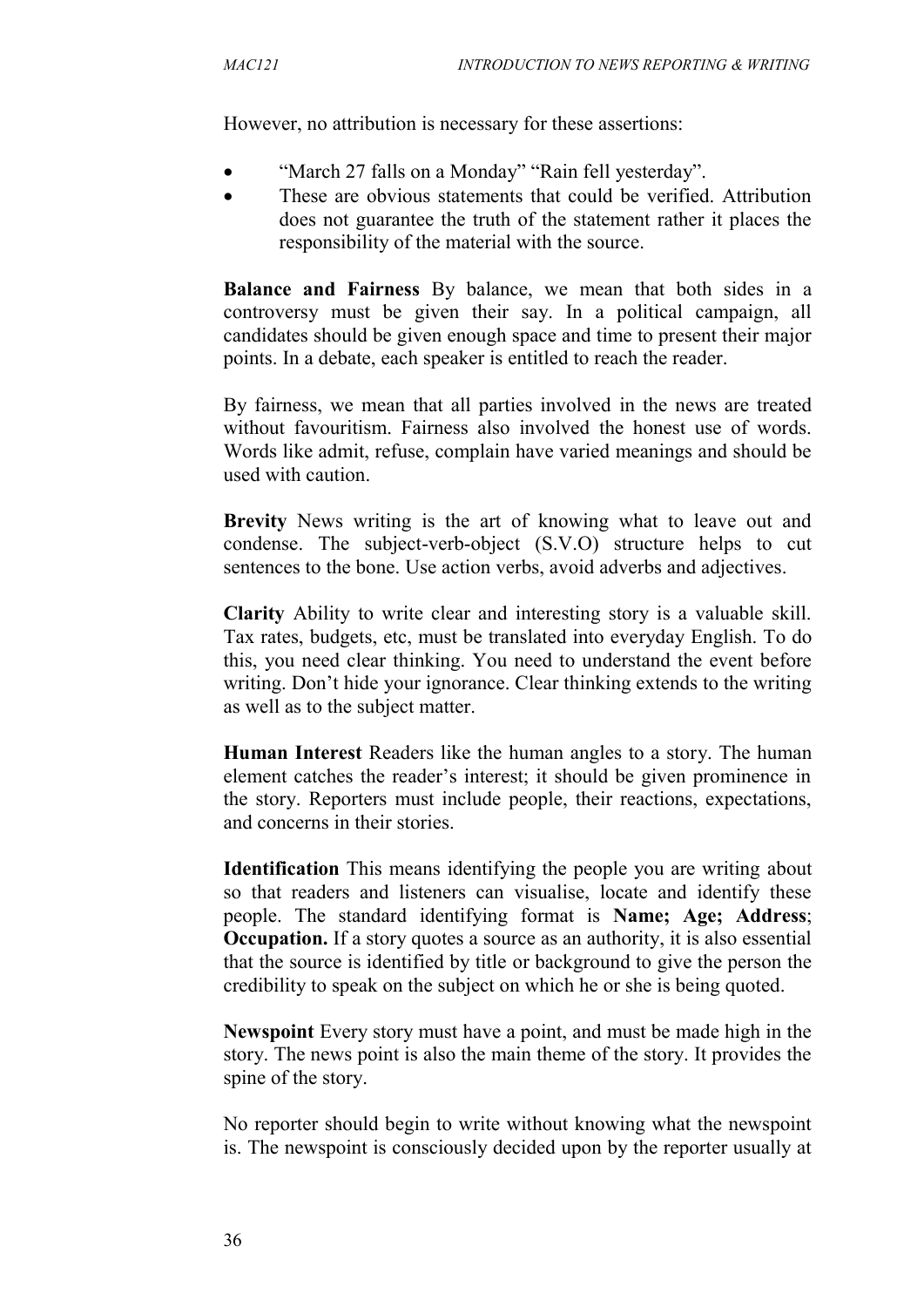However, no attribution is necessary for these assertions:

- "March 27 falls on a Monday" "Rain fell yesterday".
- These are obvious statements that could be verified. Attribution does not guarantee the truth of the statement rather it places the responsibility of the material with the source.

**Balance and Fairness** By balance, we mean that both sides in a controversy must be given their say. In a political campaign, all candidates should be given enough space and time to present their major points. In a debate, each speaker is entitled to reach the reader.

By fairness, we mean that all parties involved in the news are treated without favouritism. Fairness also involved the honest use of words. Words like admit, refuse, complain have varied meanings and should be used with caution.

**Brevity** News writing is the art of knowing what to leave out and condense. The subject-verb-object (S.V.O) structure helps to cut sentences to the bone. Use action verbs, avoid adverbs and adjectives.

**Clarity** Ability to write clear and interesting story is a valuable skill. Tax rates, budgets, etc, must be translated into everyday English. To do this, you need clear thinking. You need to understand the event before writing. Don't hide your ignorance. Clear thinking extends to the writing as well as to the subject matter.

**Human Interest** Readers like the human angles to a story. The human element catches the reader's interest; it should be given prominence in the story. Reporters must include people, their reactions, expectations, and concerns in their stories.

**Identification** This means identifying the people you are writing about so that readers and listeners can visualise, locate and identify these people. The standard identifying format is **Name; Age; Address**; **Occupation.** If a story quotes a source as an authority, it is also essential that the source is identified by title or background to give the person the credibility to speak on the subject on which he or she is being quoted.

**Newspoint** Every story must have a point, and must be made high in the story. The news point is also the main theme of the story. It provides the spine of the story.

No reporter should begin to write without knowing what the newspoint is. The newspoint is consciously decided upon by the reporter usually at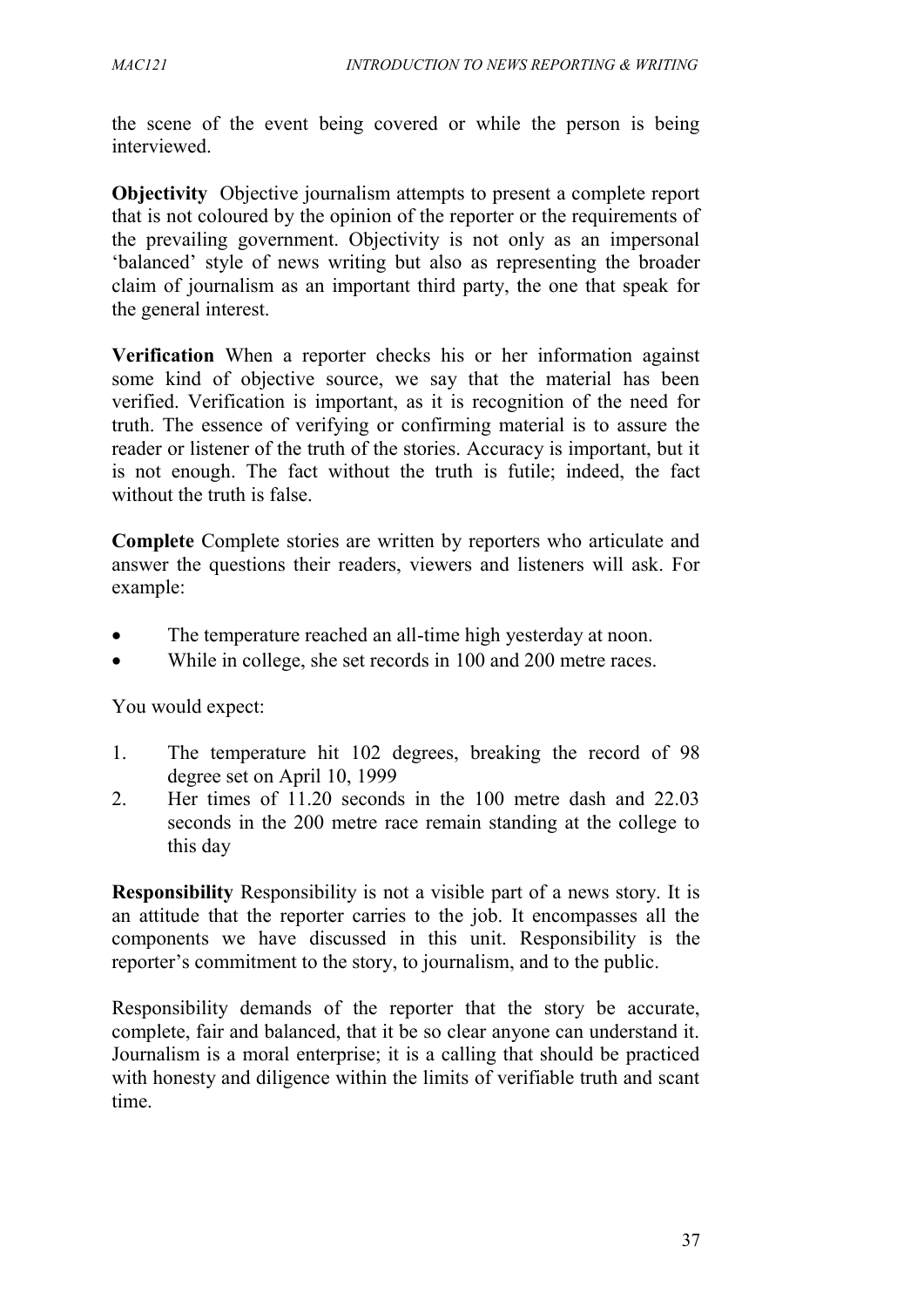the scene of the event being covered or while the person is being interviewed.

**Objectivity** Objective journalism attempts to present a complete report that is not coloured by the opinion of the reporter or the requirements of the prevailing government. Objectivity is not only as an impersonal 'balanced' style of news writing but also as representing the broader claim of journalism as an important third party, the one that speak for the general interest.

**Verification** When a reporter checks his or her information against some kind of objective source, we say that the material has been verified. Verification is important, as it is recognition of the need for truth. The essence of verifying or confirming material is to assure the reader or listener of the truth of the stories. Accuracy is important, but it is not enough. The fact without the truth is futile; indeed, the fact without the truth is false.

**Complete** Complete stories are written by reporters who articulate and answer the questions their readers, viewers and listeners will ask. For example:

- The temperature reached an all-time high yesterday at noon.
- While in college, she set records in 100 and 200 metre races.

You would expect:

- 1. The temperature hit 102 degrees, breaking the record of 98 degree set on April 10, 1999
- 2. Her times of 11.20 seconds in the 100 metre dash and 22.03 seconds in the 200 metre race remain standing at the college to this day

**Responsibility** Responsibility is not a visible part of a news story. It is an attitude that the reporter carries to the job. It encompasses all the components we have discussed in this unit. Responsibility is the reporter's commitment to the story, to journalism, and to the public.

Responsibility demands of the reporter that the story be accurate, complete, fair and balanced, that it be so clear anyone can understand it. Journalism is a moral enterprise; it is a calling that should be practiced with honesty and diligence within the limits of verifiable truth and scant time.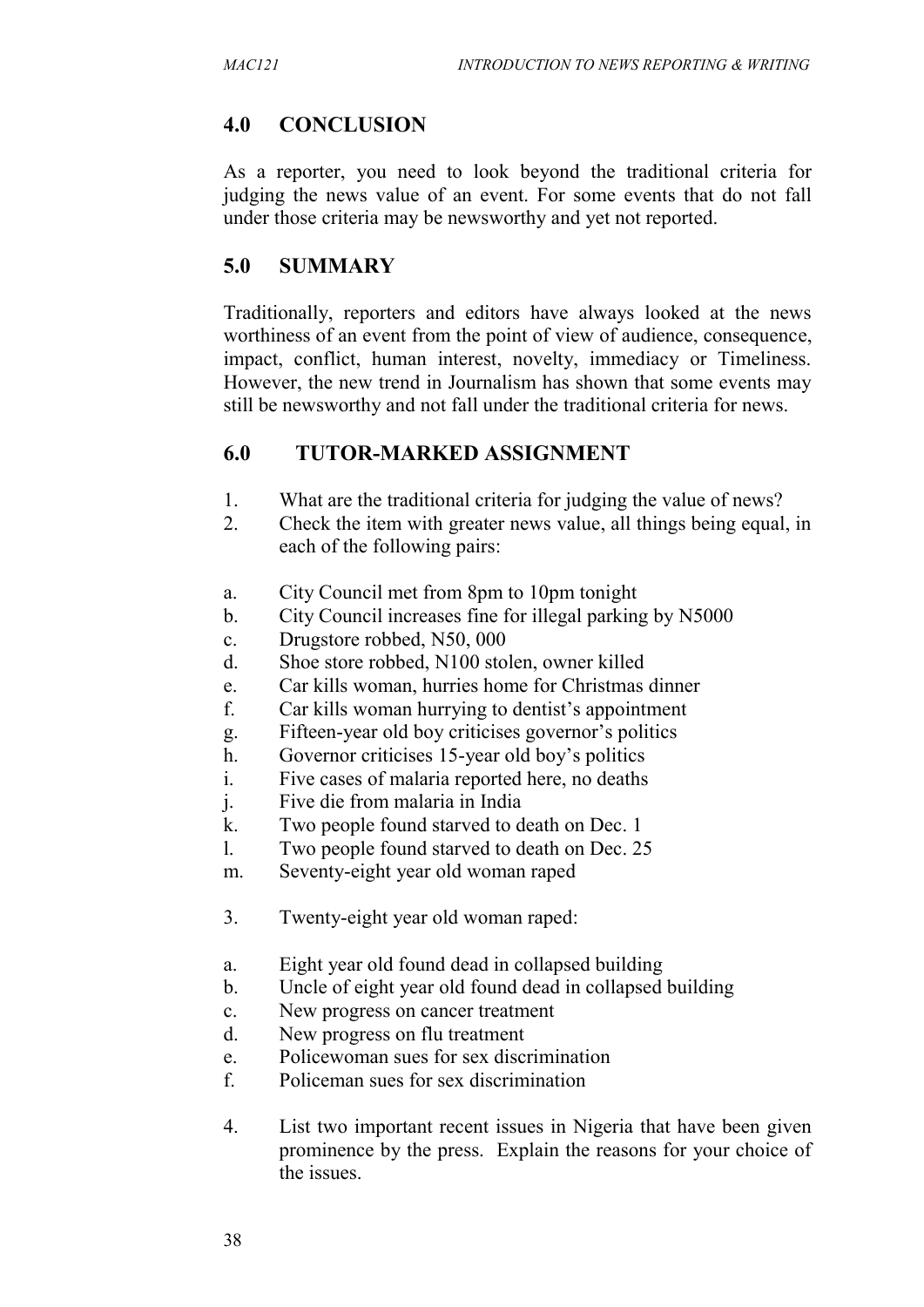### **4.0 CONCLUSION**

As a reporter, you need to look beyond the traditional criteria for judging the news value of an event. For some events that do not fall under those criteria may be newsworthy and yet not reported.

### **5.0 SUMMARY**

Traditionally, reporters and editors have always looked at the news worthiness of an event from the point of view of audience, consequence, impact, conflict, human interest, novelty, immediacy or Timeliness. However, the new trend in Journalism has shown that some events may still be newsworthy and not fall under the traditional criteria for news.

### **6.0 TUTOR-MARKED ASSIGNMENT**

- 1. What are the traditional criteria for judging the value of news?
- 2. Check the item with greater news value, all things being equal, in each of the following pairs:
- a. City Council met from 8pm to 10pm tonight
- b. City Council increases fine for illegal parking by N5000
- c. Drugstore robbed, N50, 000
- d. Shoe store robbed, N100 stolen, owner killed
- e. Car kills woman, hurries home for Christmas dinner
- f. Car kills woman hurrying to dentist's appointment
- g. Fifteen-year old boy criticises governor's politics
- h. Governor criticises 15-year old boy's politics
- i. Five cases of malaria reported here, no deaths
- j. Five die from malaria in India
- k. Two people found starved to death on Dec. 1
- l. Two people found starved to death on Dec. 25
- m. Seventy-eight year old woman raped
- 3. Twenty-eight year old woman raped:
- a. Eight year old found dead in collapsed building
- b. Uncle of eight year old found dead in collapsed building
- c. New progress on cancer treatment
- d. New progress on flu treatment
- e. Policewoman sues for sex discrimination
- f. Policeman sues for sex discrimination
- 4. List two important recent issues in Nigeria that have been given prominence by the press. Explain the reasons for your choice of the issues.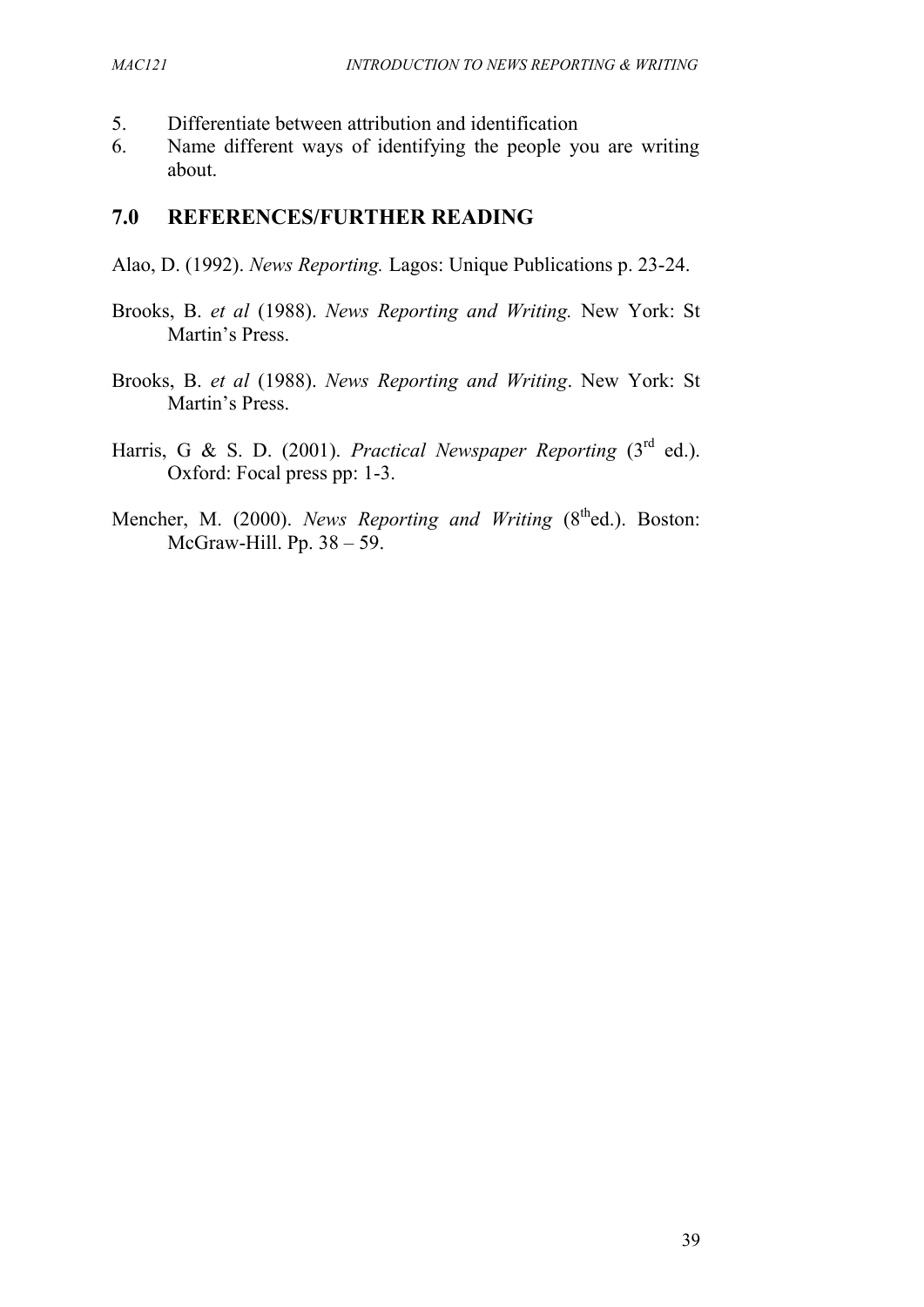- 5. Differentiate between attribution and identification
- 6. Name different ways of identifying the people you are writing about.

## **7.0 REFERENCES/FURTHER READING**

- Alao, D. (1992). *News Reporting.* Lagos: Unique Publications p. 23-24.
- Brooks, B. *et al* (1988). *News Reporting and Writing.* New York: St Martin's Press.
- Brooks, B. *et al* (1988). *News Reporting and Writing*. New York: St Martin's Press.
- Harris, G & S. D. (2001). *Practical Newspaper Reporting* (3<sup>rd</sup> ed.). Oxford: Focal press pp: 1-3.
- Mencher, M. (2000). *News Reporting and Writing* (8<sup>th</sup>ed.). Boston: McGraw-Hill. Pp. 38 – 59.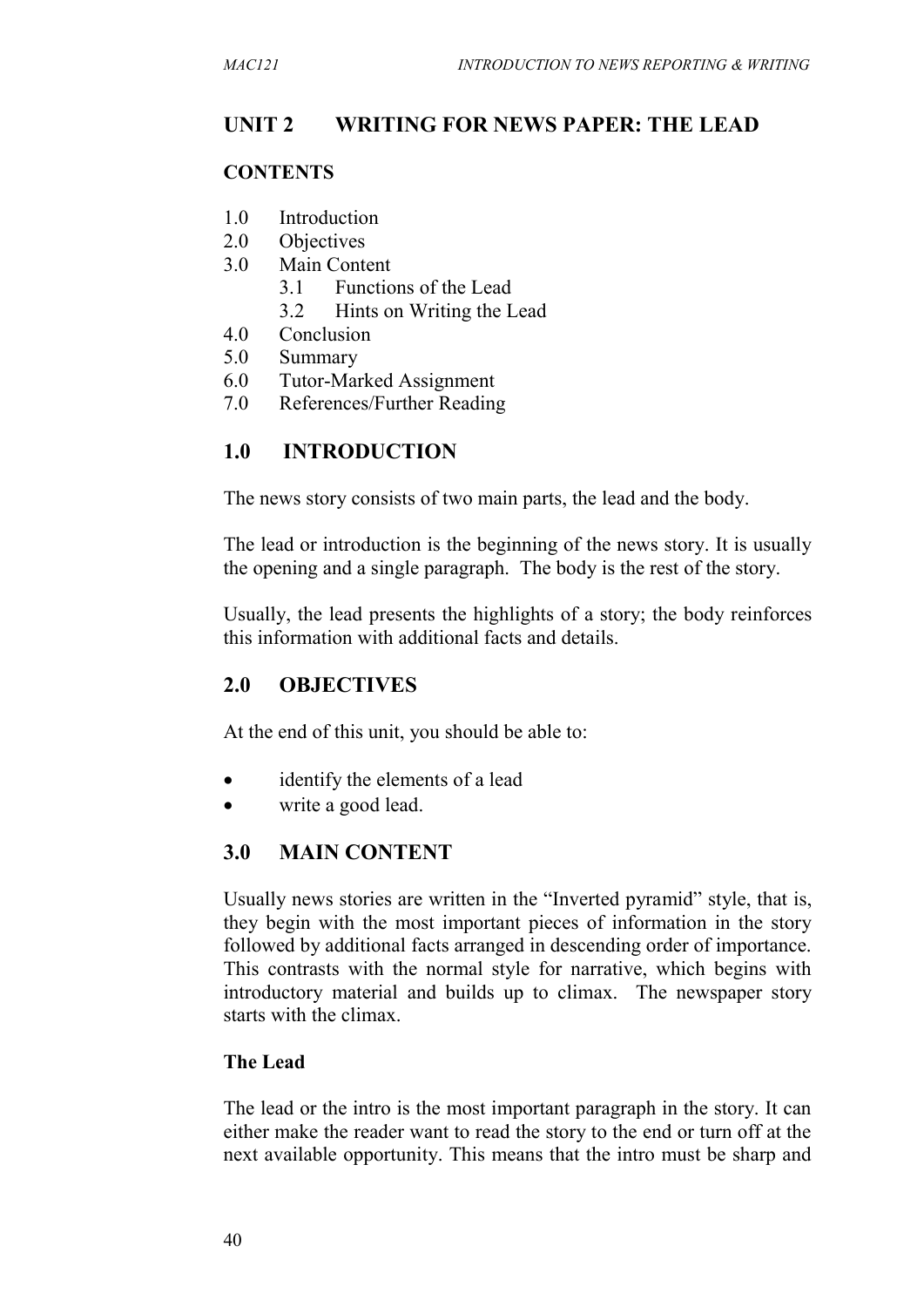## **UNIT 2 WRITING FOR NEWS PAPER: THE LEAD**

#### **CONTENTS**

- 1.0 Introduction
- 2.0 Objectives
- 3.0 Main Content
	- 3.1 Functions of the Lead
	- 3.2 Hints on Writing the Lead
- 4.0 Conclusion
- 5.0 Summary
- 6.0 Tutor-Marked Assignment
- 7.0 References/Further Reading

#### **1.0 INTRODUCTION**

The news story consists of two main parts, the lead and the body.

The lead or introduction is the beginning of the news story. It is usually the opening and a single paragraph. The body is the rest of the story.

Usually, the lead presents the highlights of a story; the body reinforces this information with additional facts and details.

### **2.0 OBJECTIVES**

At the end of this unit, you should be able to:

- identify the elements of a lead
- write a good lead.

### **3.0 MAIN CONTENT**

Usually news stories are written in the "Inverted pyramid" style, that is, they begin with the most important pieces of information in the story followed by additional facts arranged in descending order of importance. This contrasts with the normal style for narrative, which begins with introductory material and builds up to climax. The newspaper story starts with the climax.

#### **The Lead**

The lead or the intro is the most important paragraph in the story. It can either make the reader want to read the story to the end or turn off at the next available opportunity. This means that the intro must be sharp and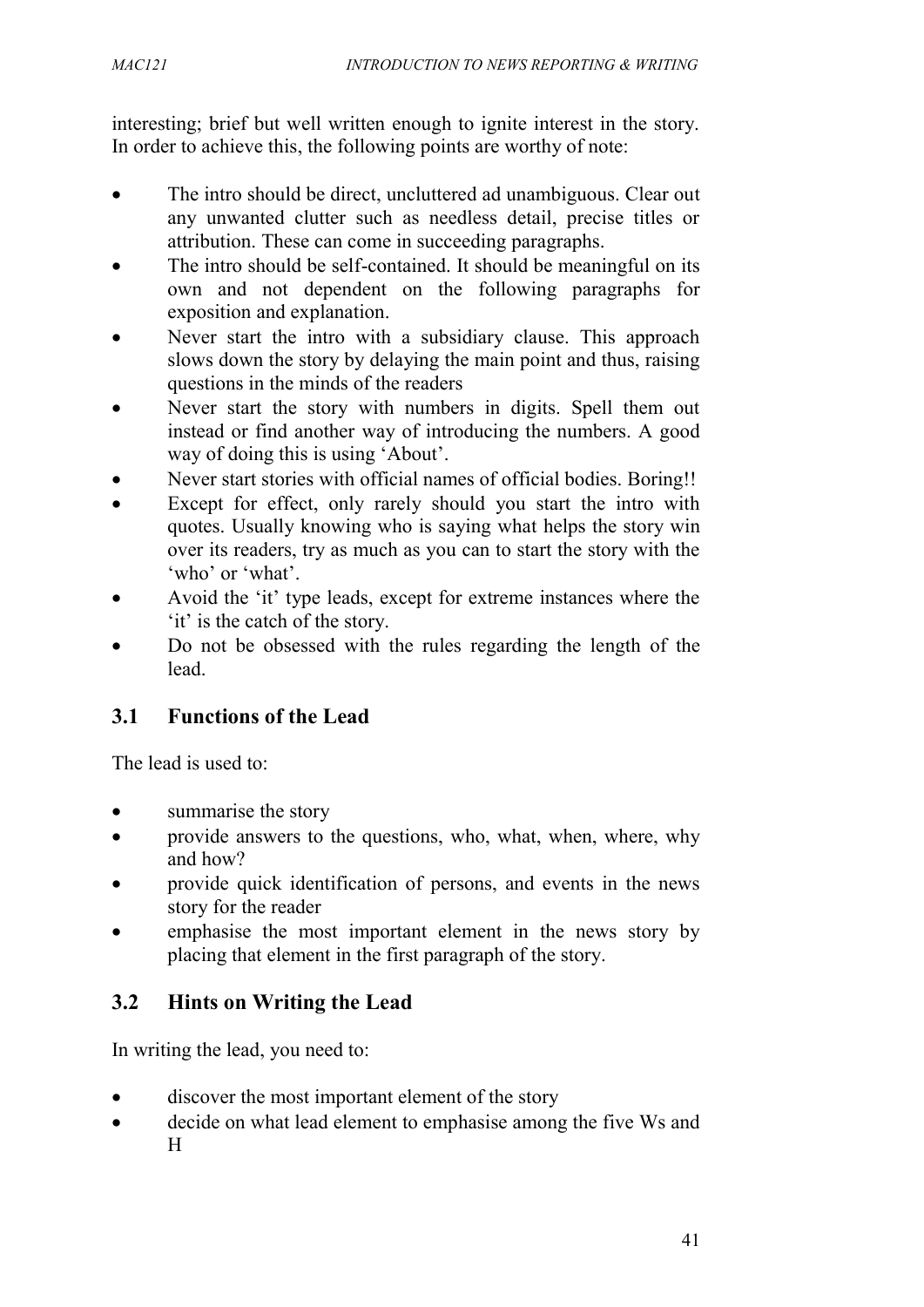interesting; brief but well written enough to ignite interest in the story. In order to achieve this, the following points are worthy of note:

- The intro should be direct, uncluttered ad unambiguous. Clear out any unwanted clutter such as needless detail, precise titles or attribution. These can come in succeeding paragraphs.
- The intro should be self-contained. It should be meaningful on its own and not dependent on the following paragraphs for exposition and explanation.
- Never start the intro with a subsidiary clause. This approach slows down the story by delaying the main point and thus, raising questions in the minds of the readers
- Never start the story with numbers in digits. Spell them out instead or find another way of introducing the numbers. A good way of doing this is using 'About'.
- Never start stories with official names of official bodies. Boring!!
- Except for effect, only rarely should you start the intro with quotes. Usually knowing who is saying what helps the story win over its readers, try as much as you can to start the story with the 'who' or 'what'.
- Avoid the 'it' type leads, except for extreme instances where the 'it' is the catch of the story.
- Do not be obsessed with the rules regarding the length of the lead.

## **3.1 Functions of the Lead**

The lead is used to:

- summarise the story
- provide answers to the questions, who, what, when, where, why and how?
- provide quick identification of persons, and events in the news story for the reader
- emphasise the most important element in the news story by placing that element in the first paragraph of the story.

## **3.2 Hints on Writing the Lead**

In writing the lead, you need to:

- discover the most important element of the story
- decide on what lead element to emphasise among the five Ws and H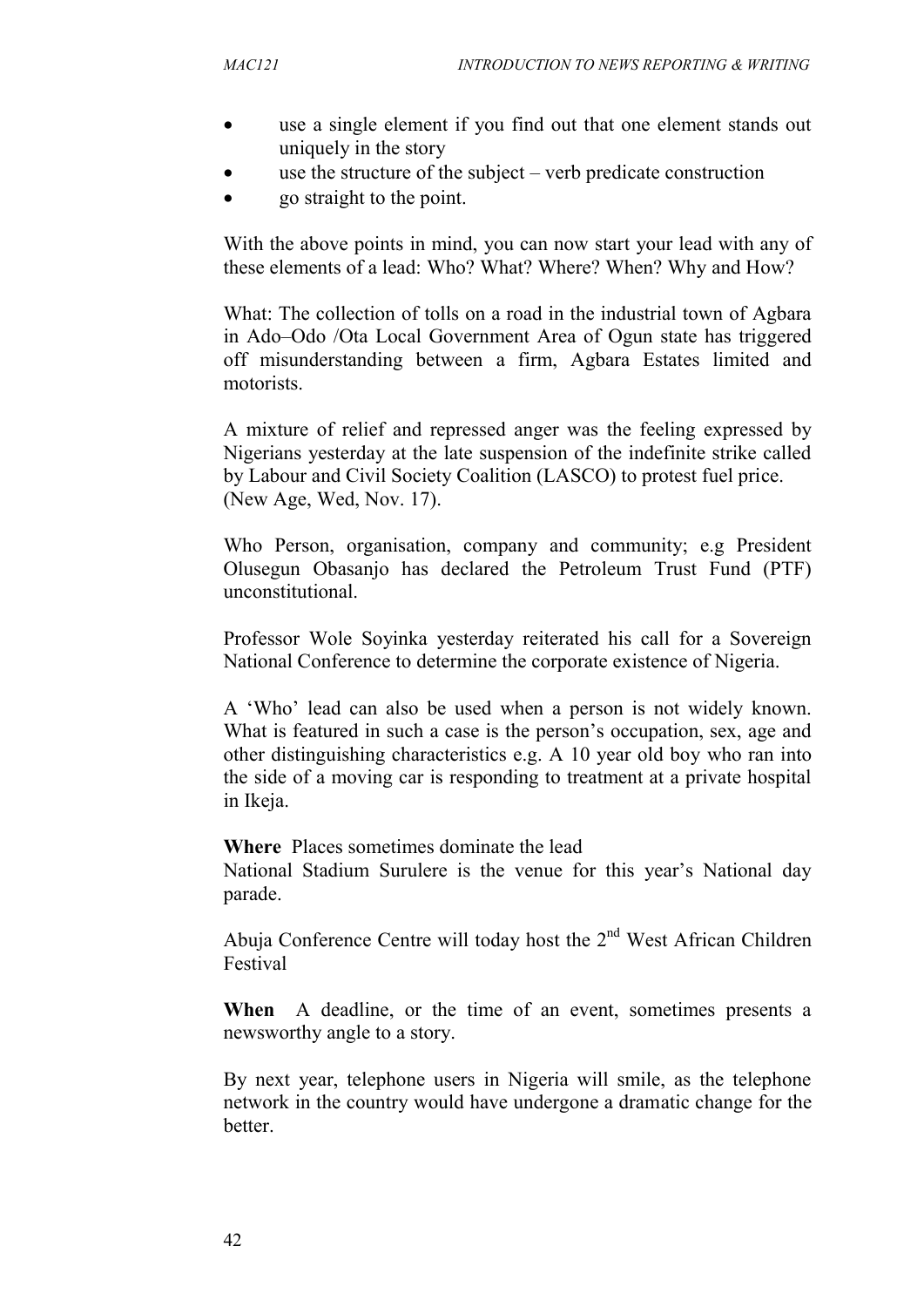- use a single element if you find out that one element stands out uniquely in the story
- use the structure of the subject verb predicate construction
- go straight to the point.

With the above points in mind, you can now start your lead with any of these elements of a lead: Who? What? Where? When? Why and How?

What: The collection of tolls on a road in the industrial town of Agbara in Ado–Odo /Ota Local Government Area of Ogun state has triggered off misunderstanding between a firm, Agbara Estates limited and motorists.

A mixture of relief and repressed anger was the feeling expressed by Nigerians yesterday at the late suspension of the indefinite strike called by Labour and Civil Society Coalition (LASCO) to protest fuel price. (New Age, Wed, Nov. 17).

Who Person, organisation, company and community; e.g President Olusegun Obasanjo has declared the Petroleum Trust Fund (PTF) unconstitutional.

Professor Wole Soyinka yesterday reiterated his call for a Sovereign National Conference to determine the corporate existence of Nigeria.

A 'Who' lead can also be used when a person is not widely known. What is featured in such a case is the person's occupation, sex, age and other distinguishing characteristics e.g. A 10 year old boy who ran into the side of a moving car is responding to treatment at a private hospital in Ikeja.

**Where** Places sometimes dominate the lead

National Stadium Surulere is the venue for this year's National day parade.

Abuja Conference Centre will today host the 2<sup>nd</sup> West African Children Festival

**When** A deadline, or the time of an event, sometimes presents a newsworthy angle to a story.

By next year, telephone users in Nigeria will smile, as the telephone network in the country would have undergone a dramatic change for the better.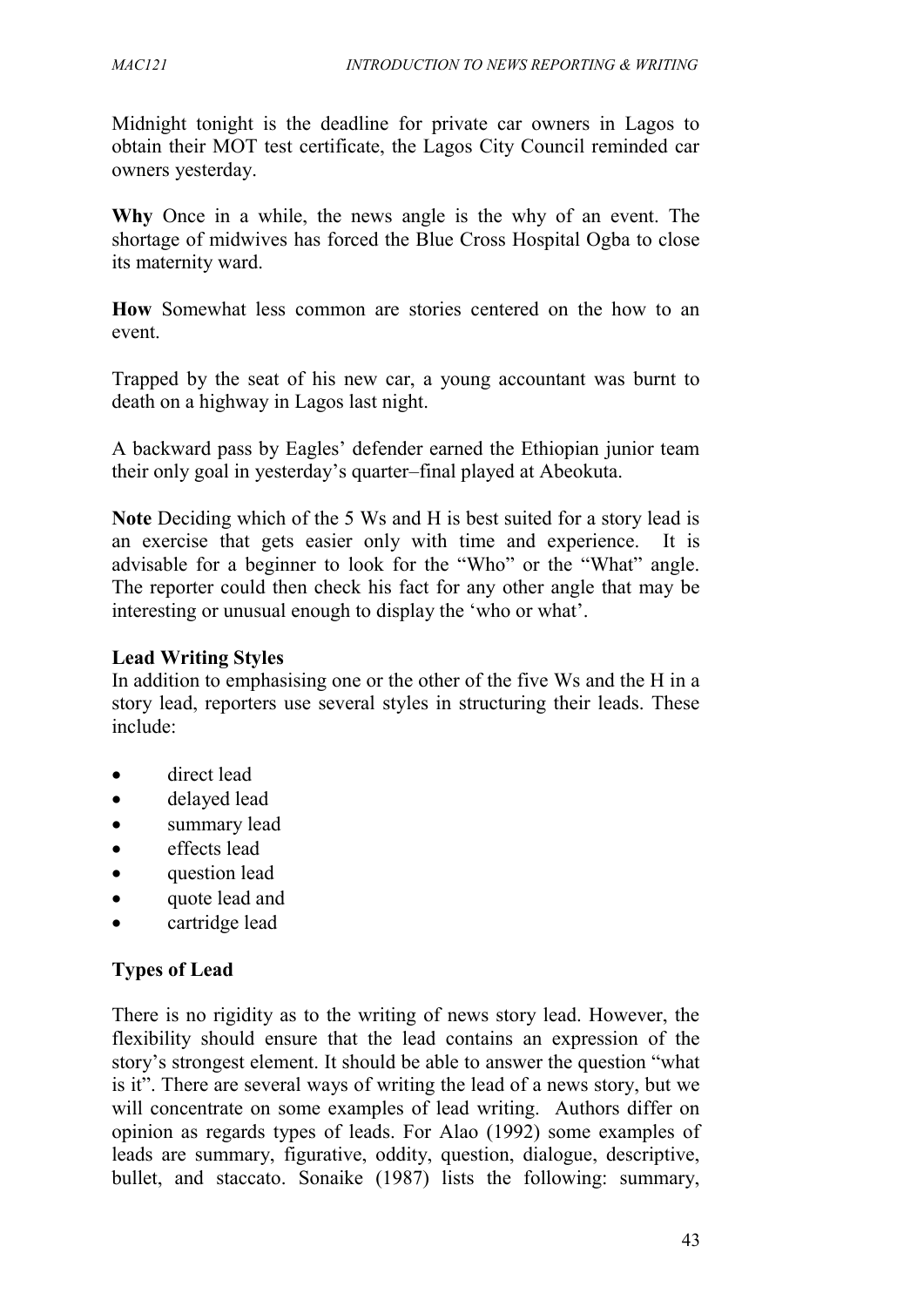Midnight tonight is the deadline for private car owners in Lagos to obtain their MOT test certificate, the Lagos City Council reminded car owners yesterday.

**Why** Once in a while, the news angle is the why of an event. The shortage of midwives has forced the Blue Cross Hospital Ogba to close its maternity ward.

**How** Somewhat less common are stories centered on the how to an event.

Trapped by the seat of his new car, a young accountant was burnt to death on a highway in Lagos last night.

A backward pass by Eagles' defender earned the Ethiopian junior team their only goal in yesterday's quarter–final played at Abeokuta.

**Note** Deciding which of the 5 Ws and H is best suited for a story lead is an exercise that gets easier only with time and experience. It is advisable for a beginner to look for the "Who" or the "What" angle. The reporter could then check his fact for any other angle that may be interesting or unusual enough to display the 'who or what'.

#### **Lead Writing Styles**

In addition to emphasising one or the other of the five Ws and the H in a story lead, reporters use several styles in structuring their leads. These include:

- direct lead
- delayed lead
- summary lead
- effects lead
- question lead
- auote lead and
- cartridge lead

#### **Types of Lead**

There is no rigidity as to the writing of news story lead. However, the flexibility should ensure that the lead contains an expression of the story's strongest element. It should be able to answer the question "what is it". There are several ways of writing the lead of a news story, but we will concentrate on some examples of lead writing. Authors differ on opinion as regards types of leads. For Alao (1992) some examples of leads are summary, figurative, oddity, question, dialogue, descriptive, bullet, and staccato. Sonaike (1987) lists the following: summary,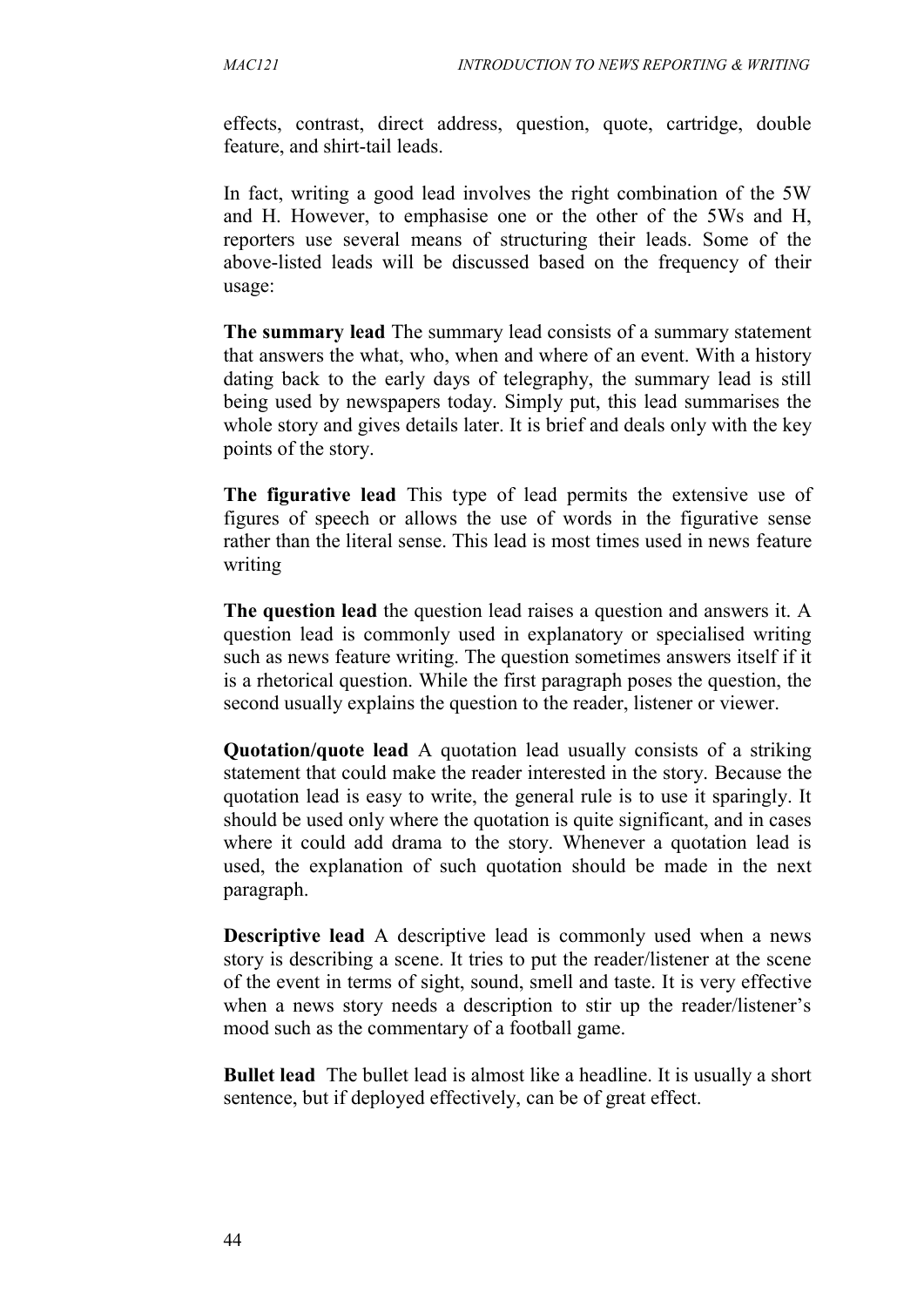effects, contrast, direct address, question, quote, cartridge, double feature, and shirt-tail leads.

In fact, writing a good lead involves the right combination of the 5W and H. However, to emphasise one or the other of the 5Ws and H, reporters use several means of structuring their leads. Some of the above-listed leads will be discussed based on the frequency of their usage:

**The summary lead** The summary lead consists of a summary statement that answers the what, who, when and where of an event. With a history dating back to the early days of telegraphy, the summary lead is still being used by newspapers today. Simply put, this lead summarises the whole story and gives details later. It is brief and deals only with the key points of the story.

**The figurative lead** This type of lead permits the extensive use of figures of speech or allows the use of words in the figurative sense rather than the literal sense. This lead is most times used in news feature writing

**The question lead** the question lead raises a question and answers it. A question lead is commonly used in explanatory or specialised writing such as news feature writing. The question sometimes answers itself if it is a rhetorical question. While the first paragraph poses the question, the second usually explains the question to the reader, listener or viewer.

**Quotation/quote lead** A quotation lead usually consists of a striking statement that could make the reader interested in the story. Because the quotation lead is easy to write, the general rule is to use it sparingly. It should be used only where the quotation is quite significant, and in cases where it could add drama to the story. Whenever a quotation lead is used, the explanation of such quotation should be made in the next paragraph.

**Descriptive lead** A descriptive lead is commonly used when a news story is describing a scene. It tries to put the reader/listener at the scene of the event in terms of sight, sound, smell and taste. It is very effective when a news story needs a description to stir up the reader/listener's mood such as the commentary of a football game.

**Bullet lead** The bullet lead is almost like a headline. It is usually a short sentence, but if deployed effectively, can be of great effect.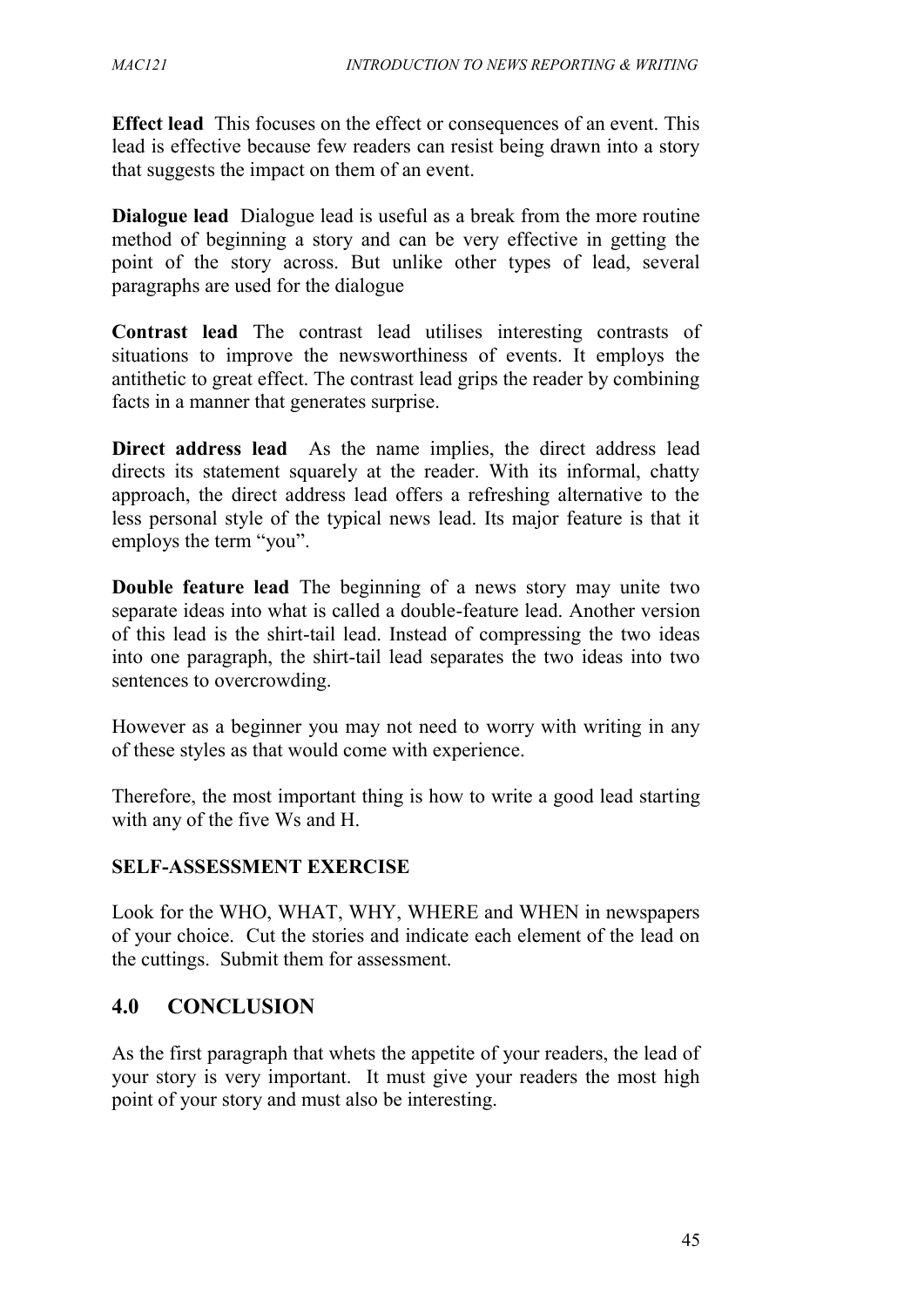**Effect lead** This focuses on the effect or consequences of an event. This lead is effective because few readers can resist being drawn into a story that suggests the impact on them of an event.

**Dialogue lead** Dialogue lead is useful as a break from the more routine method of beginning a story and can be very effective in getting the point of the story across. But unlike other types of lead, several paragraphs are used for the dialogue

**Contrast lead** The contrast lead utilises interesting contrasts of situations to improve the newsworthiness of events. It employs the antithetic to great effect. The contrast lead grips the reader by combining facts in a manner that generates surprise.

**Direct address lead** As the name implies, the direct address lead directs its statement squarely at the reader. With its informal, chatty approach, the direct address lead offers a refreshing alternative to the less personal style of the typical news lead. Its major feature is that it employs the term "you".

**Double feature lead** The beginning of a news story may unite two separate ideas into what is called a double-feature lead. Another version of this lead is the shirt-tail lead. Instead of compressing the two ideas into one paragraph, the shirt-tail lead separates the two ideas into two sentences to overcrowding.

However as a beginner you may not need to worry with writing in any of these styles as that would come with experience.

Therefore, the most important thing is how to write a good lead starting with any of the five Ws and H.

### **SELF-ASSESSMENT EXERCISE**

Look for the WHO, WHAT, WHY, WHERE and WHEN in newspapers of your choice. Cut the stories and indicate each element of the lead on the cuttings. Submit them for assessment.

### **4.0 CONCLUSION**

As the first paragraph that whets the appetite of your readers, the lead of your story is very important. It must give your readers the most high point of your story and must also be interesting.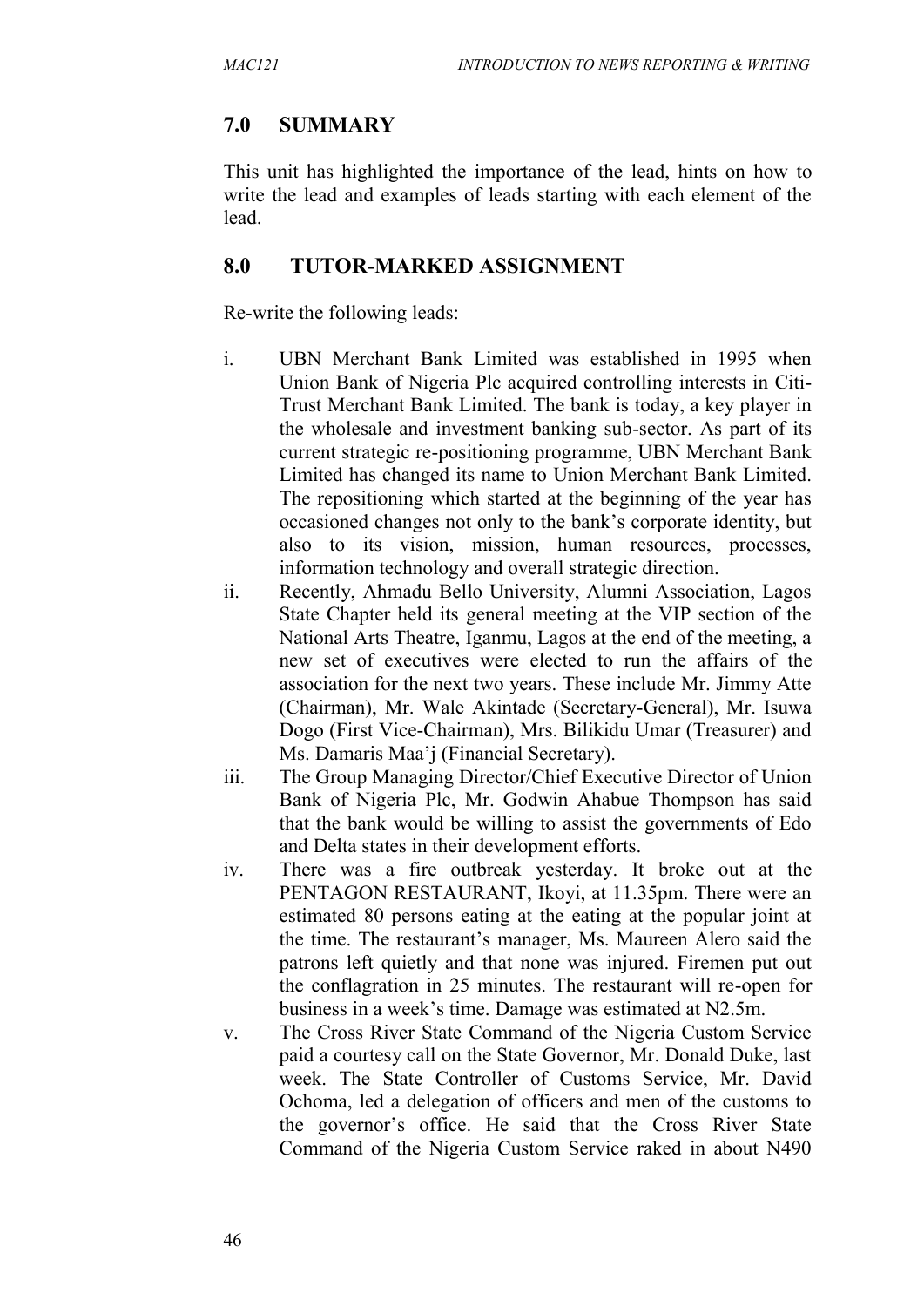# **7.0 SUMMARY**

This unit has highlighted the importance of the lead, hints on how to write the lead and examples of leads starting with each element of the lead.

## **8.0 TUTOR-MARKED ASSIGNMENT**

Re-write the following leads:

- i. UBN Merchant Bank Limited was established in 1995 when Union Bank of Nigeria Plc acquired controlling interests in Citi- Trust Merchant Bank Limited. The bank is today, a key player in the wholesale and investment banking sub-sector. As part of its current strategic re-positioning programme, UBN Merchant Bank Limited has changed its name to Union Merchant Bank Limited. The repositioning which started at the beginning of the year has occasioned changes not only to the bank's corporate identity, but also to its vision, mission, human resources, processes, information technology and overall strategic direction.
- ii. Recently, Ahmadu Bello University, Alumni Association, Lagos State Chapter held its general meeting at the VIP section of the National Arts Theatre, Iganmu, Lagos at the end of the meeting, a new set of executives were elected to run the affairs of the association for the next two years. These include Mr. Jimmy Atte (Chairman), Mr. Wale Akintade (Secretary-General), Mr. Isuwa Dogo (First Vice-Chairman), Mrs. Bilikidu Umar (Treasurer) and Ms. Damaris Maa'j (Financial Secretary).
- iii. The Group Managing Director/Chief Executive Director of Union Bank of Nigeria Plc, Mr. Godwin Ahabue Thompson has said that the bank would be willing to assist the governments of Edo and Delta states in their development efforts.
- iv. There was a fire outbreak yesterday. It broke out at the PENTAGON RESTAURANT, Ikoyi, at 11.35pm. There were an estimated 80 persons eating at the eating at the popular joint at the time. The restaurant's manager, Ms. Maureen Alero said the patrons left quietly and that none was injured. Firemen put out the conflagration in 25 minutes. The restaurant will re-open for business in a week's time. Damage was estimated at N2.5m.
- v. The Cross River State Command of the Nigeria Custom Service paid a courtesy call on the State Governor, Mr. Donald Duke, last week. The State Controller of Customs Service, Mr. David Ochoma, led a delegation of officers and men of the customs to the governor's office. He said that the Cross River State Command of the Nigeria Custom Service raked in about N490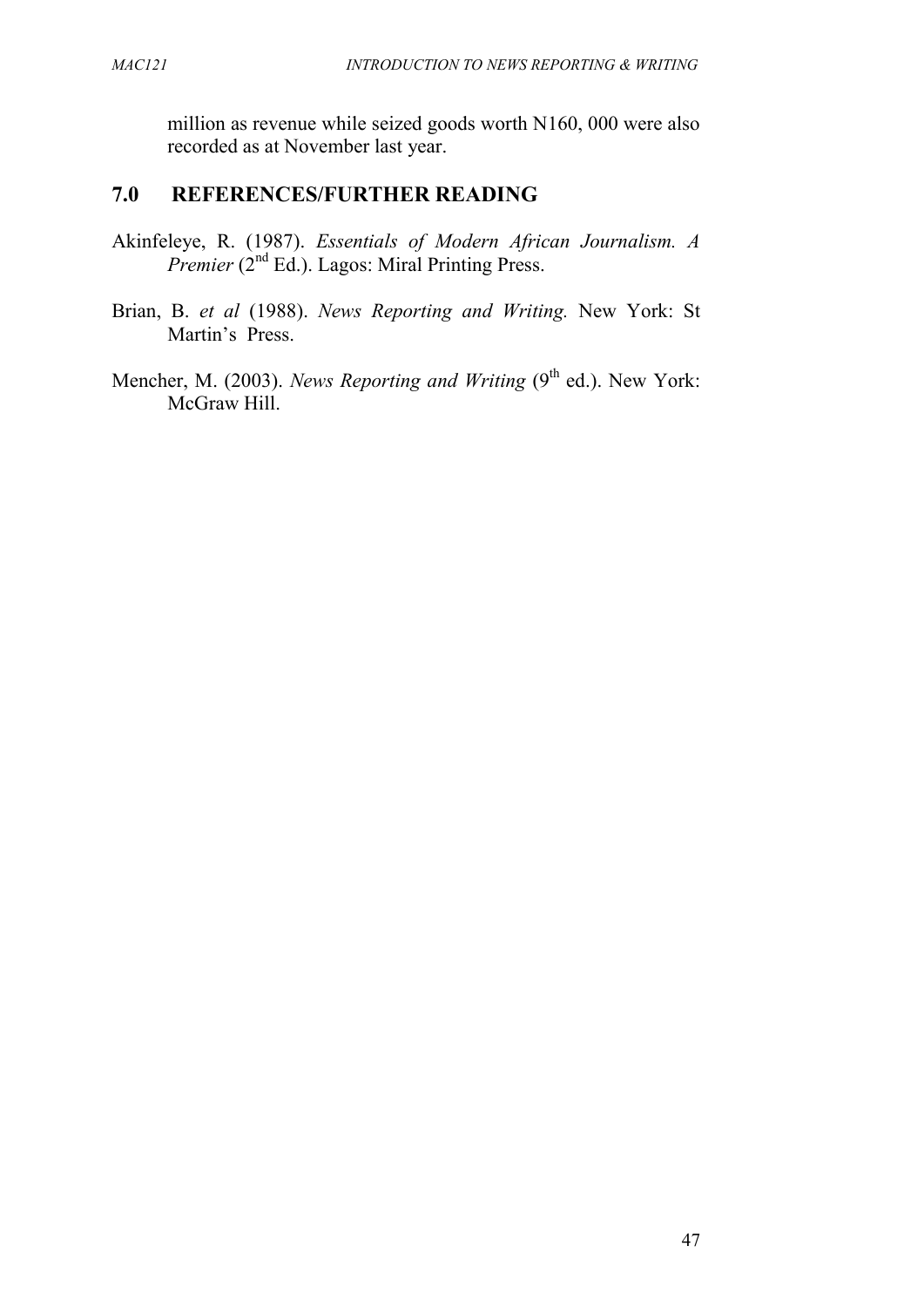million as revenue while seized goods worth N160, 000 were also recorded as at November last year.

### **7.0 REFERENCES/FURTHER READING**

- Akinfeleye, R. (1987). *Essentials of Modern African Journalism. A Premier* (2<sup>nd</sup> Ed.). Lagos: Miral Printing Press.
- Brian, B. *et al* (1988). *News Reporting and Writing.* New York: St Martin's Press.
- Mencher, M. (2003). *News Reporting and Writing* (9<sup>th</sup> ed.). New York: McGraw Hill.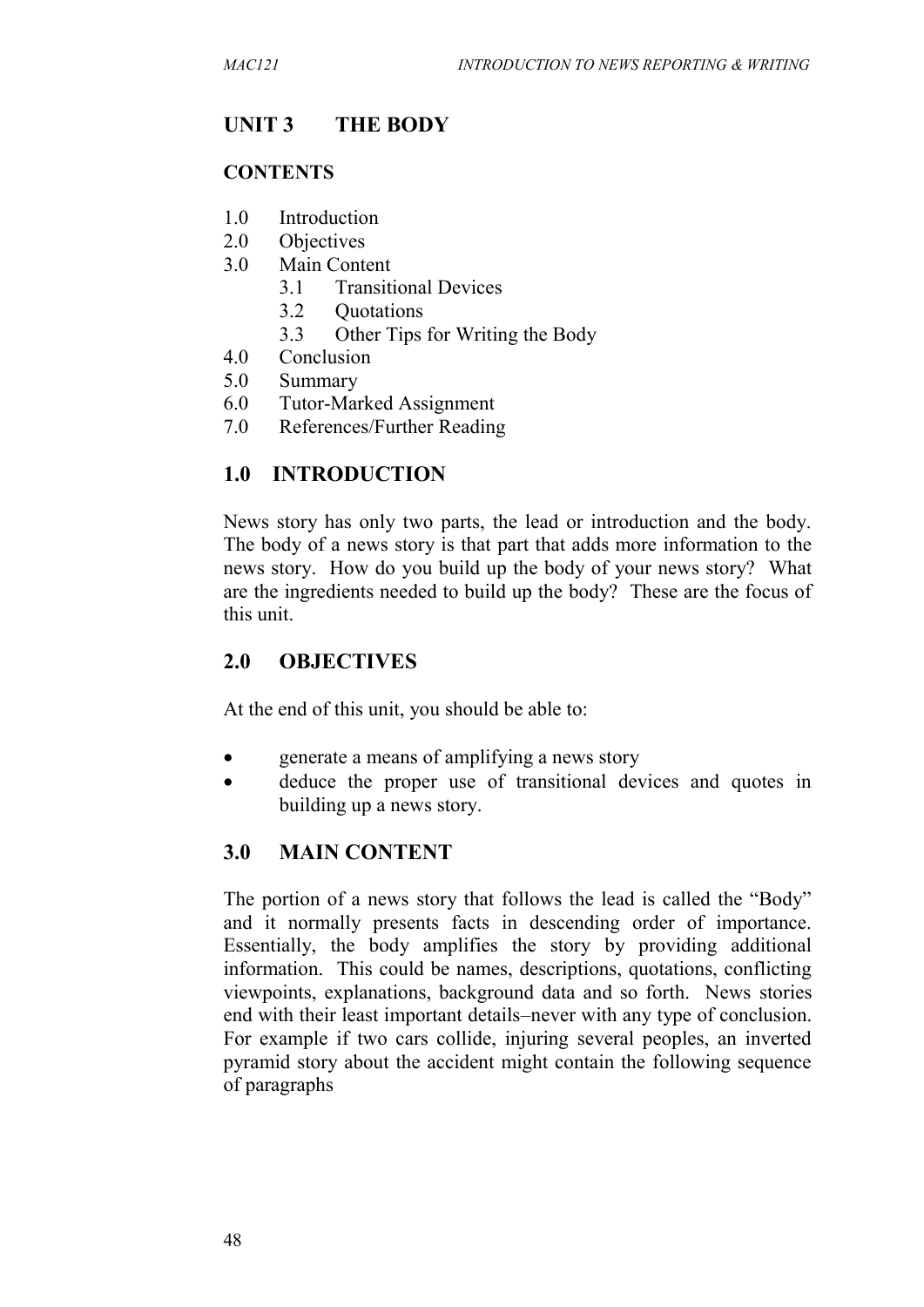## **UNIT 3 THE BODY**

#### **CONTENTS**

- 1.0 Introduction
- 2.0 Objectives
- 3.0 Main Content
	- 3.1 Transitional Devices
	- 3.2 Quotations
	- 3.3 Other Tips for Writing the Body
- 4.0 Conclusion
- 5.0 Summary
- 6.0 Tutor-Marked Assignment
- 7.0 References/Further Reading

### **1.0 INTRODUCTION**

News story has only two parts, the lead or introduction and the body. The body of a news story is that part that adds more information to the news story. How do you build up the body of your news story? What are the ingredients needed to build up the body? These are the focus of this unit.

### **2.0 OBJECTIVES**

At the end of this unit, you should be able to:

- generate a means of amplifying a news story
- deduce the proper use of transitional devices and quotes in building up a news story.

### **3.0 MAIN CONTENT**

The portion of a news story that follows the lead is called the "Body" and it normally presents facts in descending order of importance. Essentially, the body amplifies the story by providing additional information. This could be names, descriptions, quotations, conflicting viewpoints, explanations, background data and so forth. News stories end with their least important details–never with any type of conclusion. For example if two cars collide, injuring several peoples, an inverted pyramid story about the accident might contain the following sequence of paragraphs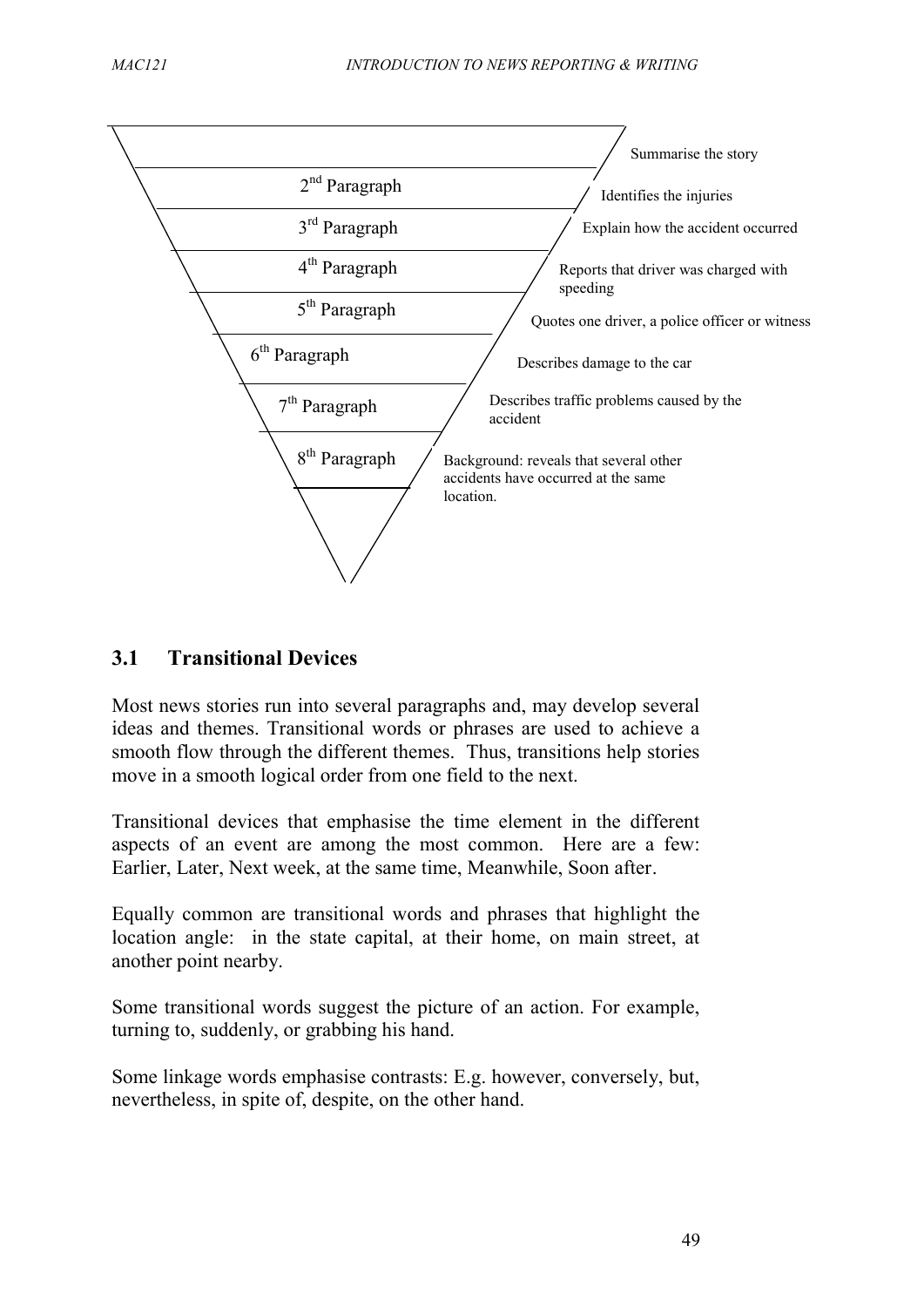

## **3.1 Transitional Devices**

Most news stories run into several paragraphs and, may develop several ideas and themes. Transitional words or phrases are used to achieve a smooth flow through the different themes. Thus, transitions help stories move in a smooth logical order from one field to the next.

Transitional devices that emphasise the time element in the different aspects of an event are among the most common. Here are a few: Earlier, Later, Next week, at the same time, Meanwhile, Soon after.

Equally common are transitional words and phrases that highlight the location angle: in the state capital, at their home, on main street, at another point nearby.

Some transitional words suggest the picture of an action. For example, turning to, suddenly, or grabbing his hand.

Some linkage words emphasise contrasts: E.g. however, conversely, but, nevertheless, in spite of, despite, on the other hand.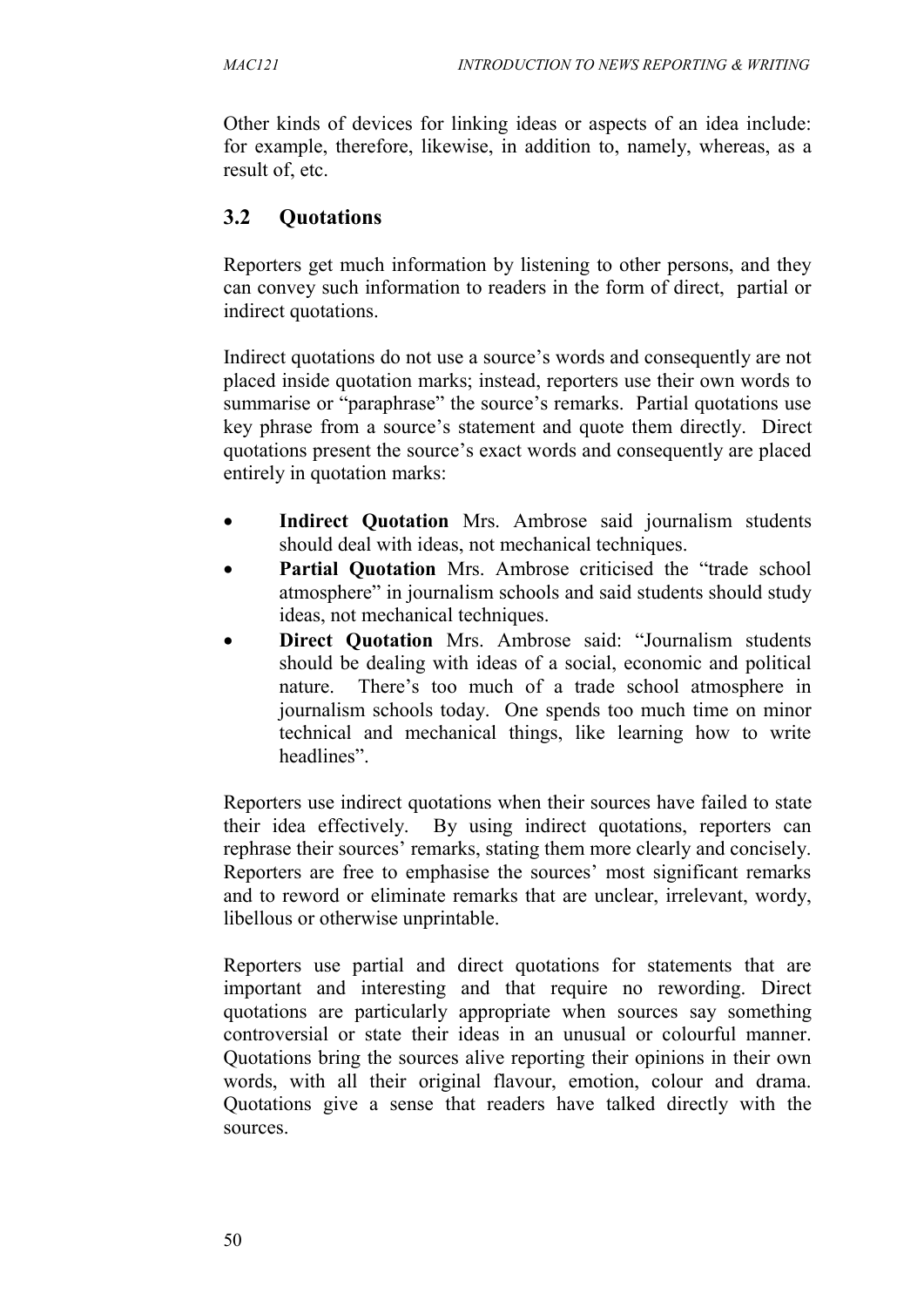Other kinds of devices for linking ideas or aspects of an idea include: for example, therefore, likewise, in addition to, namely, whereas, as a result of, etc.

### **3.2 Quotations**

Reporters get much information by listening to other persons, and they can convey such information to readers in the form of direct, partial or indirect quotations.

Indirect quotations do not use a source's words and consequently are not placed inside quotation marks; instead, reporters use their own words to summarise or "paraphrase" the source's remarks. Partial quotations use key phrase from a source's statement and quote them directly. Direct quotations present the source's exact words and consequently are placed entirely in quotation marks:

- **Indirect Quotation** Mrs. Ambrose said journalism students should deal with ideas, not mechanical techniques.
- **Partial Quotation** Mrs. Ambrose criticised the "trade school atmosphere" in journalism schools and said students should study ideas, not mechanical techniques.
- **Direct Quotation** Mrs. Ambrose said: "Journalism students should be dealing with ideas of a social, economic and political nature. There's too much of a trade school atmosphere in journalism schools today. One spends too much time on minor technical and mechanical things, like learning how to write headlines".

Reporters use indirect quotations when their sources have failed to state their idea effectively. By using indirect quotations, reporters can rephrase their sources' remarks, stating them more clearly and concisely. Reporters are free to emphasise the sources' most significant remarks and to reword or eliminate remarks that are unclear, irrelevant, wordy, libellous or otherwise unprintable.

Reporters use partial and direct quotations for statements that are important and interesting and that require no rewording. Direct quotations are particularly appropriate when sources say something controversial or state their ideas in an unusual or colourful manner. Quotations bring the sources alive reporting their opinions in their own words, with all their original flavour, emotion, colour and drama. Quotations give a sense that readers have talked directly with the sources.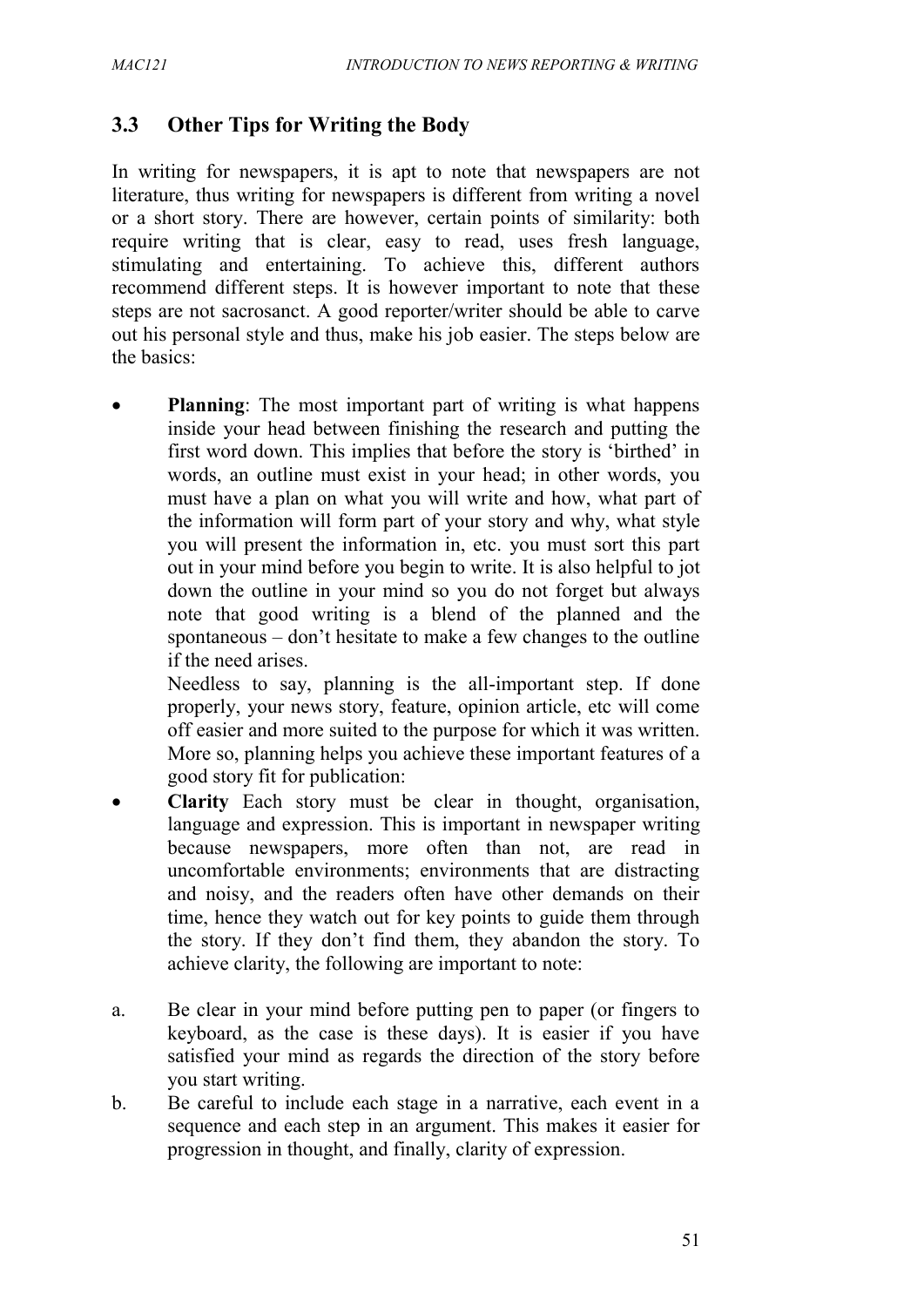## **3.3 Other Tips for Writing the Body**

In writing for newspapers, it is apt to note that newspapers are not literature, thus writing for newspapers is different from writing a novel or a short story. There are however, certain points of similarity: both require writing that is clear, easy to read, uses fresh language, stimulating and entertaining. To achieve this, different authors recommend different steps. It is however important to note that these steps are not sacrosanct. A good reporter/writer should be able to carve out his personal style and thus, make his job easier. The steps below are the basics:

 **Planning**: The most important part of writing is what happens inside your head between finishing the research and putting the first word down. This implies that before the story is 'birthed' in words, an outline must exist in your head; in other words, you must have a plan on what you will write and how, what part of the information will form part of your story and why, what style you will present the information in, etc. you must sort this part out in your mind before you begin to write. It is also helpful to jot down the outline in your mind so you do not forget but always note that good writing is a blend of the planned and the spontaneous – don't hesitate to make a few changes to the outline if the need arises.

Needless to say, planning is the all-important step. If done properly, your news story, feature, opinion article, etc will come off easier and more suited to the purpose for which it was written. More so, planning helps you achieve these important features of a good story fit for publication:

- **Clarity** Each story must be clear in thought, organisation, language and expression. This is important in newspaper writing because newspapers, more often than not, are read in uncomfortable environments; environments that are distracting and noisy, and the readers often have other demands on their time, hence they watch out for key points to guide them through the story. If they don't find them, they abandon the story. To achieve clarity, the following are important to note:
- a. Be clear in your mind before putting pen to paper (or fingers to keyboard, as the case is these days). It is easier if you have satisfied your mind as regards the direction of the story before you start writing.
- b. Be careful to include each stage in a narrative, each event in a sequence and each step in an argument. This makes it easier for progression in thought, and finally, clarity of expression.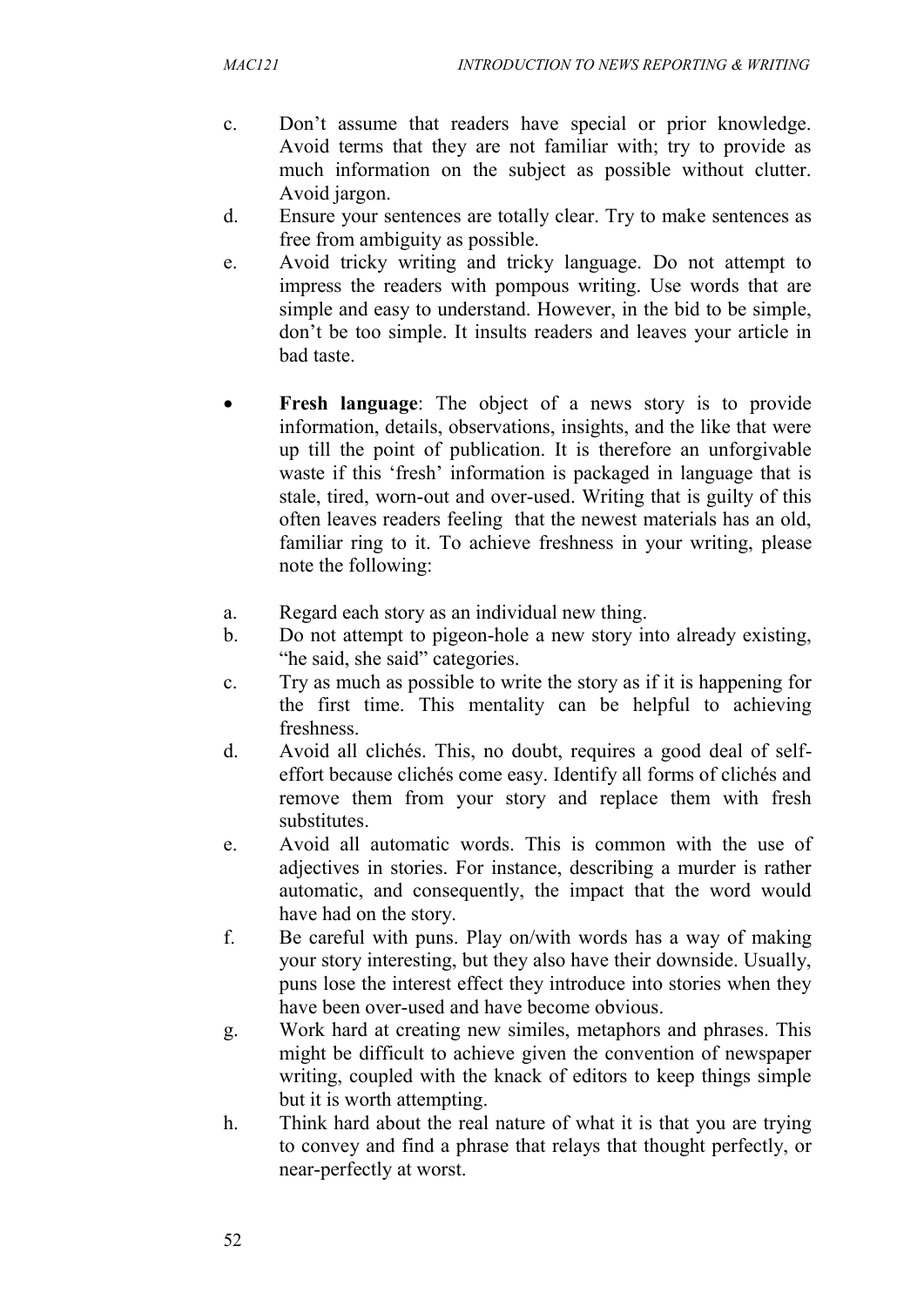- c. Don't assume that readers have special or prior knowledge. Avoid terms that they are not familiar with; try to provide as much information on the subject as possible without clutter. Avoid jargon.
- d. Ensure your sentences are totally clear. Try to make sentences as free from ambiguity as possible.
- e. Avoid tricky writing and tricky language. Do not attempt to impress the readers with pompous writing. Use words that are simple and easy to understand. However, in the bid to be simple, don't be too simple. It insults readers and leaves your article in bad taste.
- **Fresh language**: The object of a news story is to provide information, details, observations, insights, and the like that were up till the point of publication. It is therefore an unforgivable waste if this 'fresh' information is packaged in language that is stale, tired, worn-out and over-used. Writing that is guilty of this often leaves readers feeling that the newest materials has an old, familiar ring to it. To achieve freshness in your writing, please note the following:
- a. Regard each story as an individual new thing.
- b. Do not attempt to pigeon-hole a new story into already existing, "he said, she said" categories.
- c. Try as much as possible to write the story as if it is happening for the first time. This mentality can be helpful to achieving freshness.
- d. Avoid all clichés. This, no doubt, requires a good deal of self effort because clichés come easy. Identify all forms of clichés and remove them from your story and replace them with fresh substitutes.
- e. Avoid all automatic words. This is common with the use of adjectives in stories. For instance, describing a murder is rather automatic, and consequently, the impact that the word would have had on the story.
- f. Be careful with puns. Play on/with words has a way of making your story interesting, but they also have their downside. Usually, puns lose the interest effect they introduce into stories when they have been over-used and have become obvious.
- g. Work hard at creating new similes, metaphors and phrases. This might be difficult to achieve given the convention of newspaper writing, coupled with the knack of editors to keep things simple but it is worth attempting.
- h. Think hard about the real nature of what it is that you are trying to convey and find a phrase that relays that thought perfectly, or near-perfectly at worst.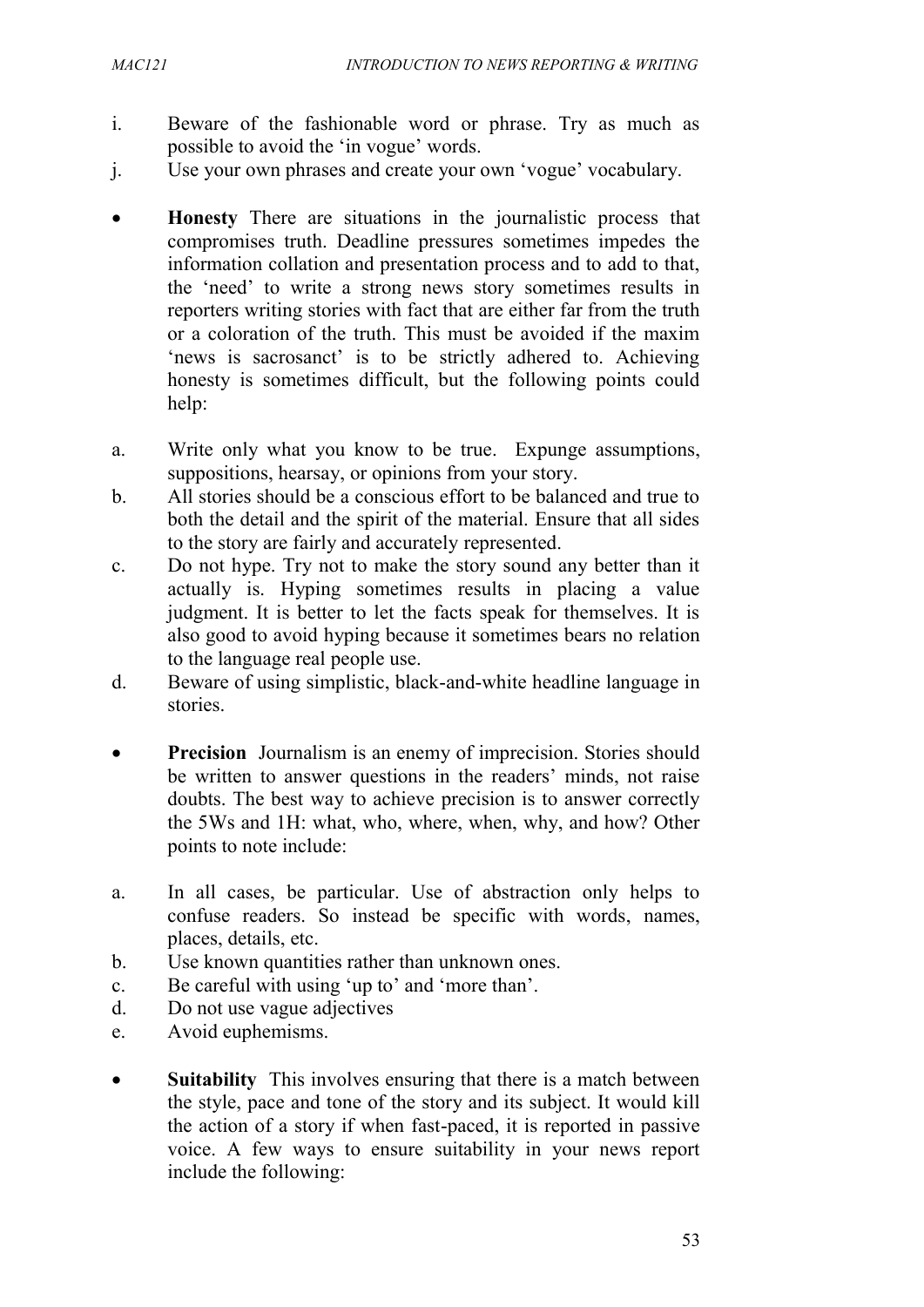- i. Beware of the fashionable word or phrase. Try as much as possible to avoid the 'in vogue' words.
- j. Use your own phrases and create your own 'vogue' vocabulary.
- **Honesty** There are situations in the journalistic process that compromises truth. Deadline pressures sometimes impedes the information collation and presentation process and to add to that, the 'need' to write a strong news story sometimes results in reporters writing stories with fact that are either far from the truth or a coloration of the truth. This must be avoided if the maxim 'news is sacrosanct' is to be strictly adhered to. Achieving honesty is sometimes difficult, but the following points could help:
- a. Write only what you know to be true. Expunge assumptions, suppositions, hearsay, or opinions from your story.
- b. All stories should be a conscious effort to be balanced and true to both the detail and the spirit of the material. Ensure that all sides to the story are fairly and accurately represented.
- c. Do not hype. Try not to make the story sound any better than it actually is. Hyping sometimes results in placing a value judgment. It is better to let the facts speak for themselves. It is also good to avoid hyping because it sometimes bears no relation to the language real people use.
- d. Beware of using simplistic, black-and-white headline language in stories.
- **Precision** Journalism is an enemy of imprecision. Stories should be written to answer questions in the readers' minds, not raise doubts. The best way to achieve precision is to answer correctly the 5Ws and 1H: what, who, where, when, why, and how? Other points to note include:
- a. In all cases, be particular. Use of abstraction only helps to confuse readers. So instead be specific with words, names, places, details, etc.
- b. Use known quantities rather than unknown ones.
- c. Be careful with using 'up to' and 'more than'.
- d. Do not use vague adjectives
- e. Avoid euphemisms.
- **Suitability** This involves ensuring that there is a match between the style, pace and tone of the story and its subject. It would kill the action of a story if when fast-paced, it is reported in passive voice. A few ways to ensure suitability in your news report include the following: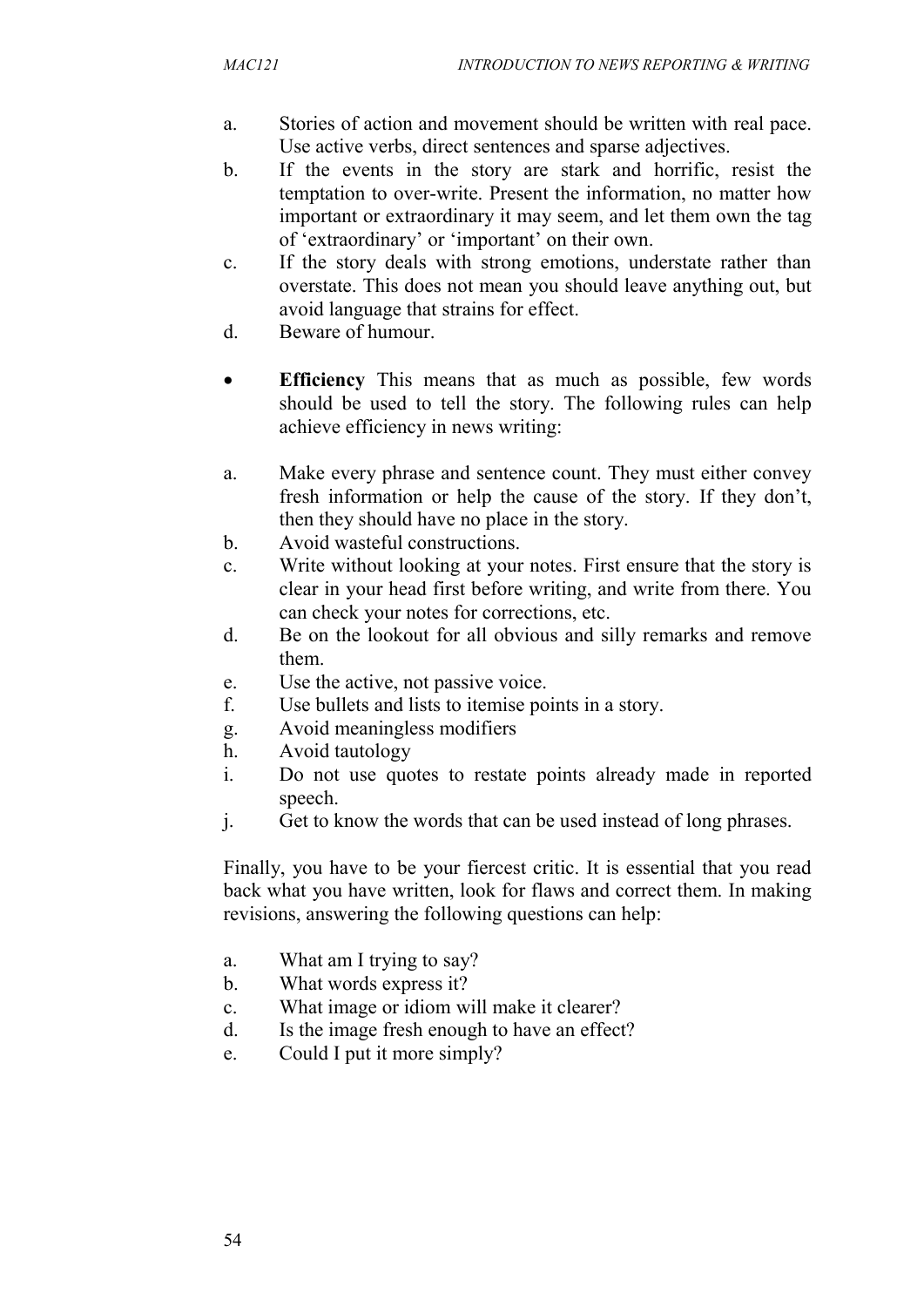- a. Stories of action and movement should be written with real pace. Use active verbs, direct sentences and sparse adjectives.
- b. If the events in the story are stark and horrific, resist the temptation to over-write. Present the information, no matter how important or extraordinary it may seem, and let them own the tag of 'extraordinary' or 'important' on their own.
- c. If the story deals with strong emotions, understate rather than overstate. This does not mean you should leave anything out, but avoid language that strains for effect.
- d. Beware of humour.
- **Efficiency** This means that as much as possible, few words should be used to tell the story. The following rules can help achieve efficiency in news writing:
- a. Make every phrase and sentence count. They must either convey fresh information or help the cause of the story. If they don't, then they should have no place in the story.
- b. Avoid wasteful constructions.
- c. Write without looking at your notes. First ensure that the story is clear in your head first before writing, and write from there. You can check your notes for corrections, etc.
- d. Be on the lookout for all obvious and silly remarks and remove them.
- e. Use the active, not passive voice.
- f. Use bullets and lists to itemise points in a story.
- g. Avoid meaningless modifiers
- h. Avoid tautology
- i. Do not use quotes to restate points already made in reported speech.
- j. Get to know the words that can be used instead of long phrases.

Finally, you have to be your fiercest critic. It is essential that you read back what you have written, look for flaws and correct them. In making revisions, answering the following questions can help:

- a. What am I trying to say?
- b. What words express it?
- c. What image or idiom will make it clearer?
- d. Is the image fresh enough to have an effect?
- e. Could I put it more simply?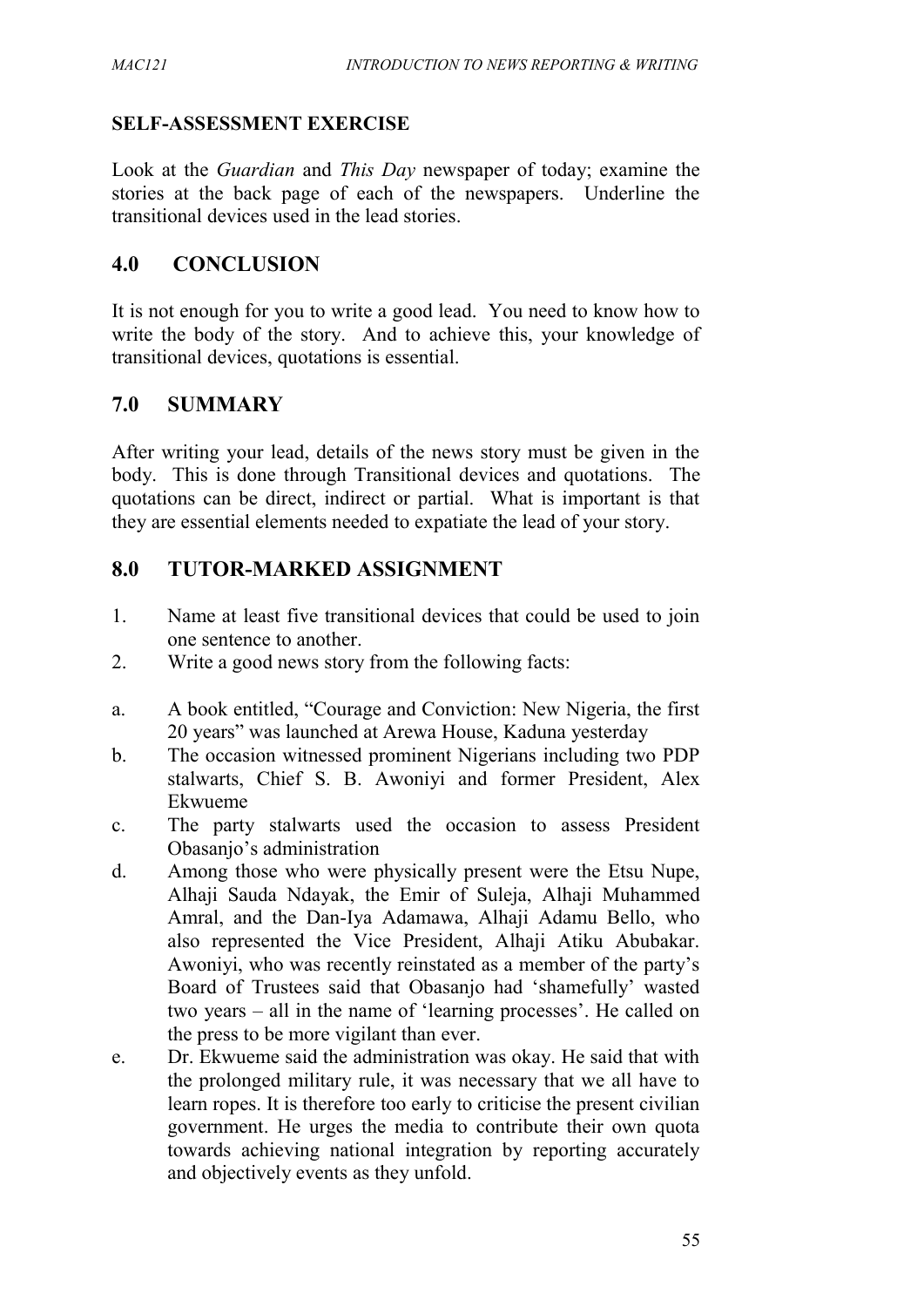#### **SELF-ASSESSMENT EXERCISE**

Look at the *Guardian* and *This Day* newspaper of today; examine the stories at the back page of each of the newspapers. Underline the transitional devices used in the lead stories.

### **4.0 CONCLUSION**

It is not enough for you to write a good lead. You need to know how to write the body of the story. And to achieve this, your knowledge of transitional devices, quotations is essential.

### **7.0 SUMMARY**

After writing your lead, details of the news story must be given in the body. This is done through Transitional devices and quotations. The quotations can be direct, indirect or partial. What is important is that they are essential elements needed to expatiate the lead of your story.

### **8.0 TUTOR-MARKED ASSIGNMENT**

- 1. Name at least five transitional devices that could be used to join one sentence to another.
- 2. Write a good news story from the following facts:
- a. A book entitled, "Courage and Conviction: New Nigeria, the first 20 years" was launched at Arewa House, Kaduna yesterday
- b. The occasion witnessed prominent Nigerians including two PDP stalwarts, Chief S. B. Awoniyi and former President, Alex Ekwueme
- c. The party stalwarts used the occasion to assess President Obasanjo's administration
- d. Among those who were physically present were the Etsu Nupe, Alhaji Sauda Ndayak, the Emir of Suleja, Alhaji Muhammed Amral, and the Dan-Iya Adamawa, Alhaji Adamu Bello, who also represented the Vice President, Alhaji Atiku Abubakar. Awoniyi, who was recently reinstated as a member of the party's Board of Trustees said that Obasanjo had 'shamefully' wasted two years – all in the name of 'learning processes'. He called on the press to be more vigilant than ever.
- e. Dr. Ekwueme said the administration was okay. He said that with the prolonged military rule, it was necessary that we all have to learn ropes. It is therefore too early to criticise the present civilian government. He urges the media to contribute their own quota towards achieving national integration by reporting accurately and objectively events as they unfold.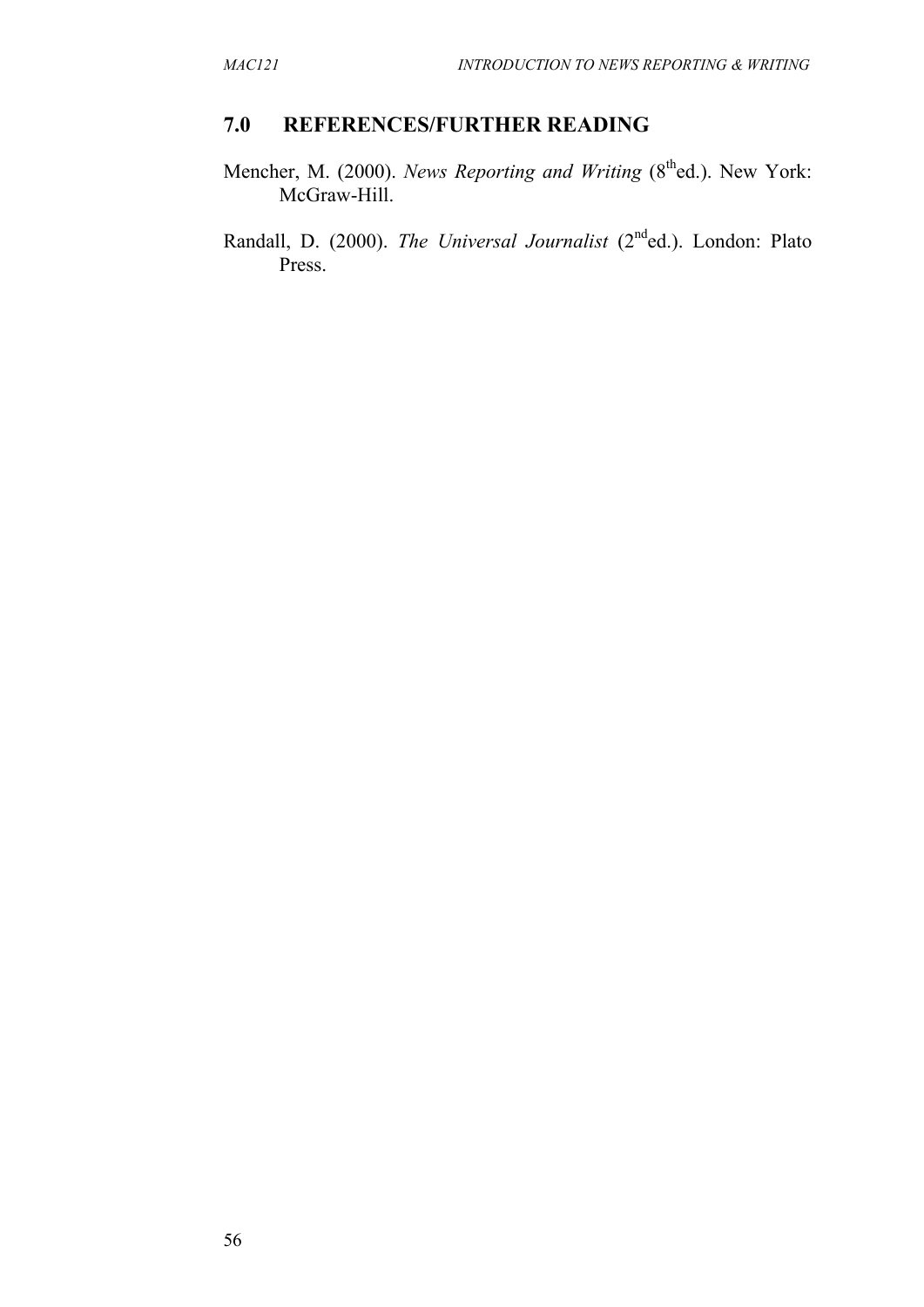#### **7.0 REFERENCES/FURTHER READING**

- Mencher, M. (2000). *News Reporting and Writing* (8<sup>th</sup>ed.). New York: McGraw-Hill.
- Randall, D. (2000). *The Universal Journalist* (2<sup>nd</sup>ed.). London: Plato Press.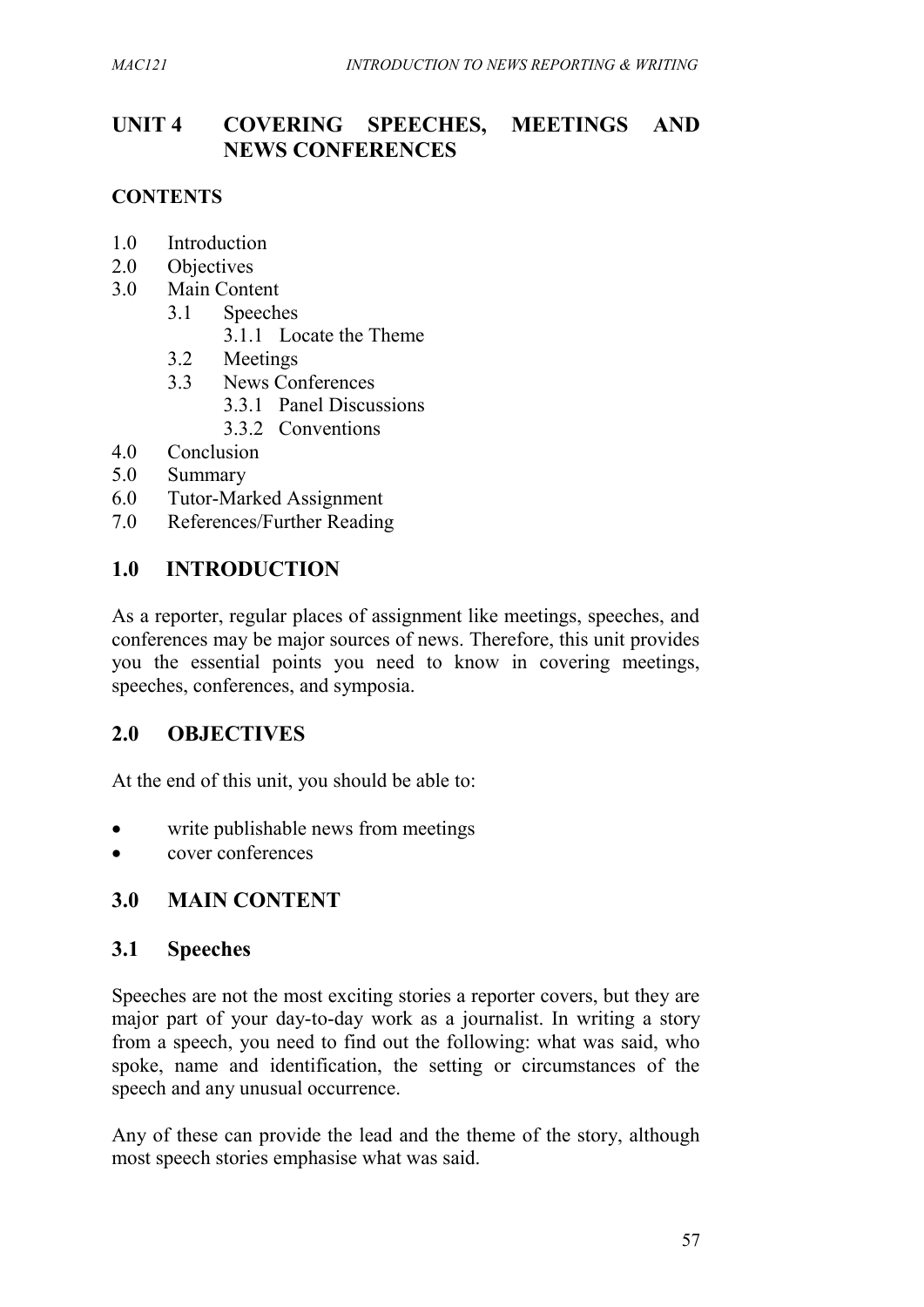## **UNIT 4 COVERING SPEECHES, MEETINGS AND NEWS CONFERENCES**

#### **CONTENTS**

- 1.0 Introduction
- 2.0 Objectives
- 3.0 Main Content
	- 3.1 Speeches
		- 3.1.1 Locate the Theme
	- 3.2 Meetings
	- 3.3 News Conferences
		- 3.3.1 Panel Discussions
		- 3.3.2 Conventions
- 4.0 Conclusion
- 5.0 Summary
- 6.0 Tutor-Marked Assignment
- 7.0 References/Further Reading

### **1.0 INTRODUCTION**

As a reporter, regular places of assignment like meetings, speeches, and conferences may be major sources of news. Therefore, this unit provides you the essential points you need to know in covering meetings, speeches, conferences, and symposia.

#### **2.0 OBJECTIVES**

At the end of this unit, you should be able to:

- write publishable news from meetings
- cover conferences

## **3.0 MAIN CONTENT**

#### **3.1 Speeches**

Speeches are not the most exciting stories a reporter covers, but they are major part of your day-to-day work as a journalist. In writing a story from a speech, you need to find out the following: what was said, who spoke, name and identification, the setting or circumstances of the speech and any unusual occurrence.

Any of these can provide the lead and the theme of the story, although most speech stories emphasise what was said.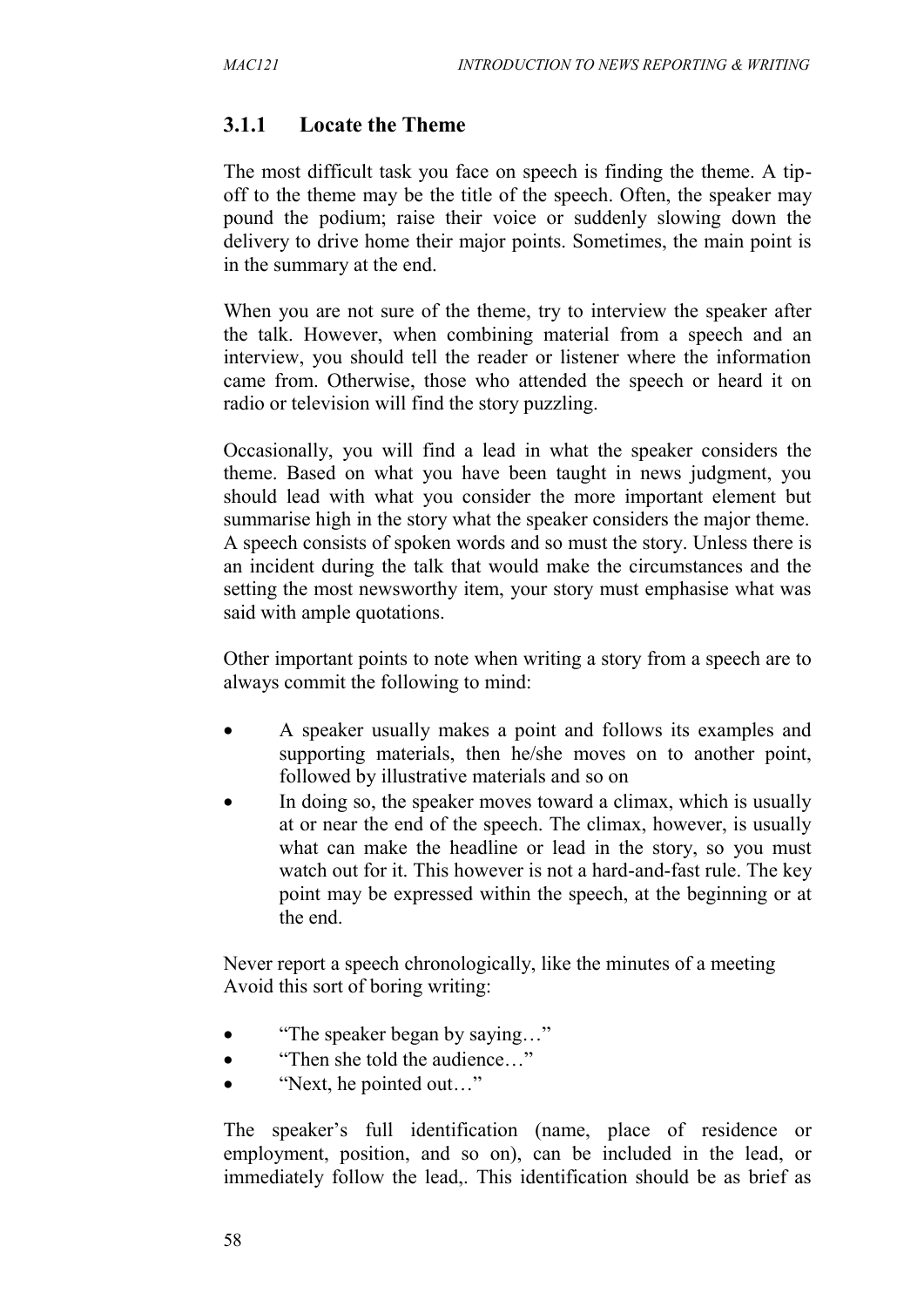### **3.1.1 Locate the Theme**

The most difficult task you face on speech is finding the theme. A tip off to the theme may be the title of the speech. Often, the speaker may pound the podium; raise their voice or suddenly slowing down the delivery to drive home their major points. Sometimes, the main point is in the summary at the end.

When you are not sure of the theme, try to interview the speaker after the talk. However, when combining material from a speech and an interview, you should tell the reader or listener where the information came from. Otherwise, those who attended the speech or heard it on radio or television will find the story puzzling.

Occasionally, you will find a lead in what the speaker considers the theme. Based on what you have been taught in news judgment, you should lead with what you consider the more important element but summarise high in the story what the speaker considers the major theme. A speech consists of spoken words and so must the story. Unless there is an incident during the talk that would make the circumstances and the setting the most newsworthy item, your story must emphasise what was said with ample quotations.

Other important points to note when writing a story from a speech are to always commit the following to mind:

- A speaker usually makes a point and follows its examples and supporting materials, then he/she moves on to another point, followed by illustrative materials and so on
- In doing so, the speaker moves toward a climax, which is usually at or near the end of the speech. The climax, however, is usually what can make the headline or lead in the story, so you must watch out for it. This however is not a hard-and-fast rule. The key point may be expressed within the speech, at the beginning or at the end.

Never report a speech chronologically, like the minutes of a meeting Avoid this sort of boring writing:

- "The speaker began by saying…"
- "Then she told the audience..."
- "Next, he pointed out..."

The speaker's full identification (name, place of residence or employment, position, and so on), can be included in the lead, or immediately follow the lead,. This identification should be as brief as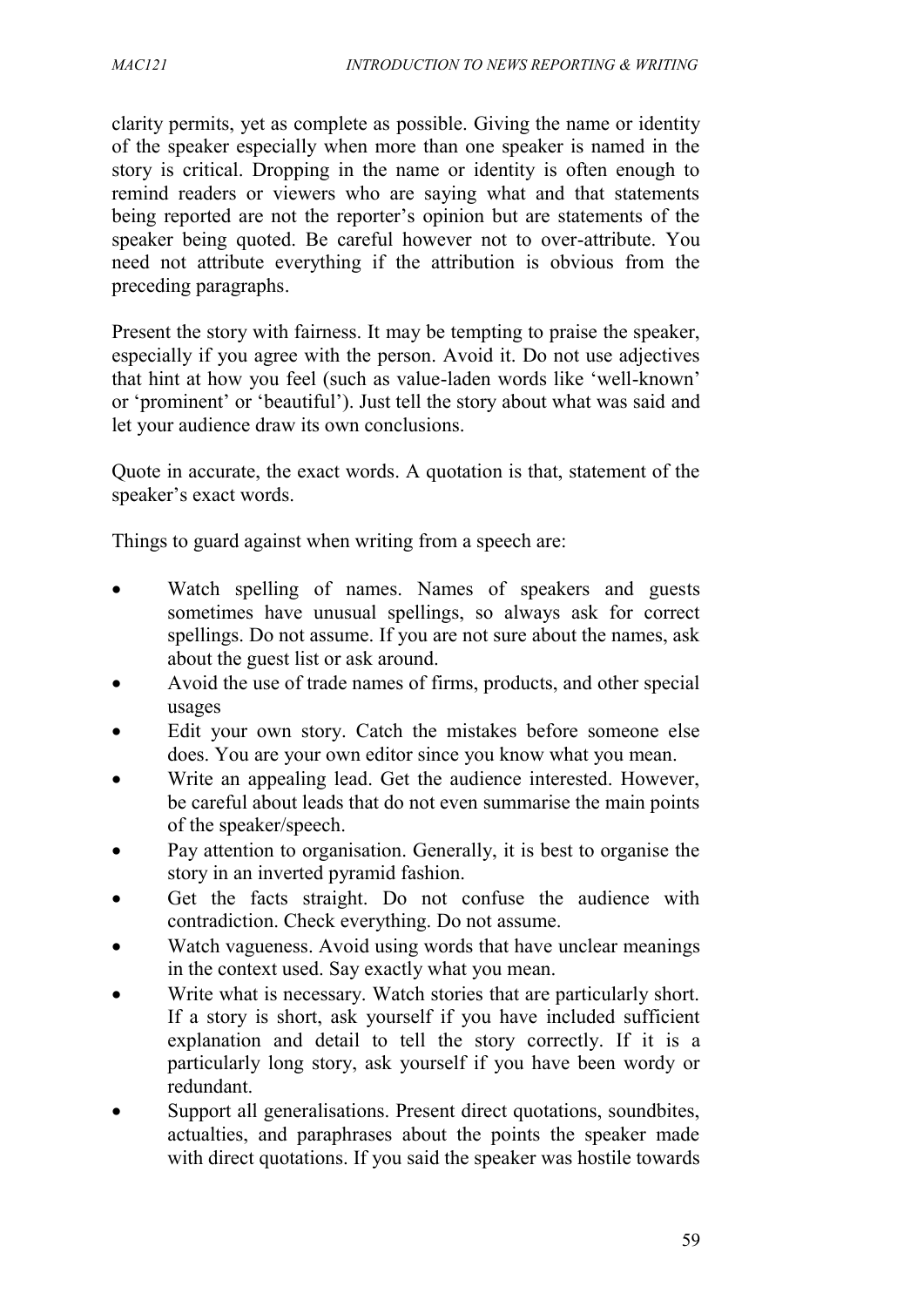clarity permits, yet as complete as possible. Giving the name or identity of the speaker especially when more than one speaker is named in the story is critical. Dropping in the name or identity is often enough to remind readers or viewers who are saying what and that statements being reported are not the reporter's opinion but are statements of the speaker being quoted. Be careful however not to over-attribute. You need not attribute everything if the attribution is obvious from the preceding paragraphs.

Present the story with fairness. It may be tempting to praise the speaker, especially if you agree with the person. Avoid it. Do not use adjectives that hint at how you feel (such as value-laden words like 'well-known' or 'prominent' or 'beautiful'). Just tell the story about what was said and let your audience draw its own conclusions.

Quote in accurate, the exact words. A quotation is that, statement of the speaker's exact words.

Things to guard against when writing from a speech are:

- Watch spelling of names. Names of speakers and guests sometimes have unusual spellings, so always ask for correct spellings. Do not assume. If you are not sure about the names, ask about the guest list or ask around.
- Avoid the use of trade names of firms, products, and other special usages
- Edit your own story. Catch the mistakes before someone else does. You are your own editor since you know what you mean.
- Write an appealing lead. Get the audience interested. However, be careful about leads that do not even summarise the main points of the speaker/speech.
- Pay attention to organisation. Generally, it is best to organise the story in an inverted pyramid fashion.
- Get the facts straight. Do not confuse the audience with contradiction. Check everything. Do not assume.
- Watch vagueness. Avoid using words that have unclear meanings in the context used. Say exactly what you mean.
- Write what is necessary. Watch stories that are particularly short. If a story is short, ask yourself if you have included sufficient explanation and detail to tell the story correctly. If it is a particularly long story, ask yourself if you have been wordy or redundant.
- Support all generalisations. Present direct quotations, soundbites, actualties, and paraphrases about the points the speaker made with direct quotations. If you said the speaker was hostile towards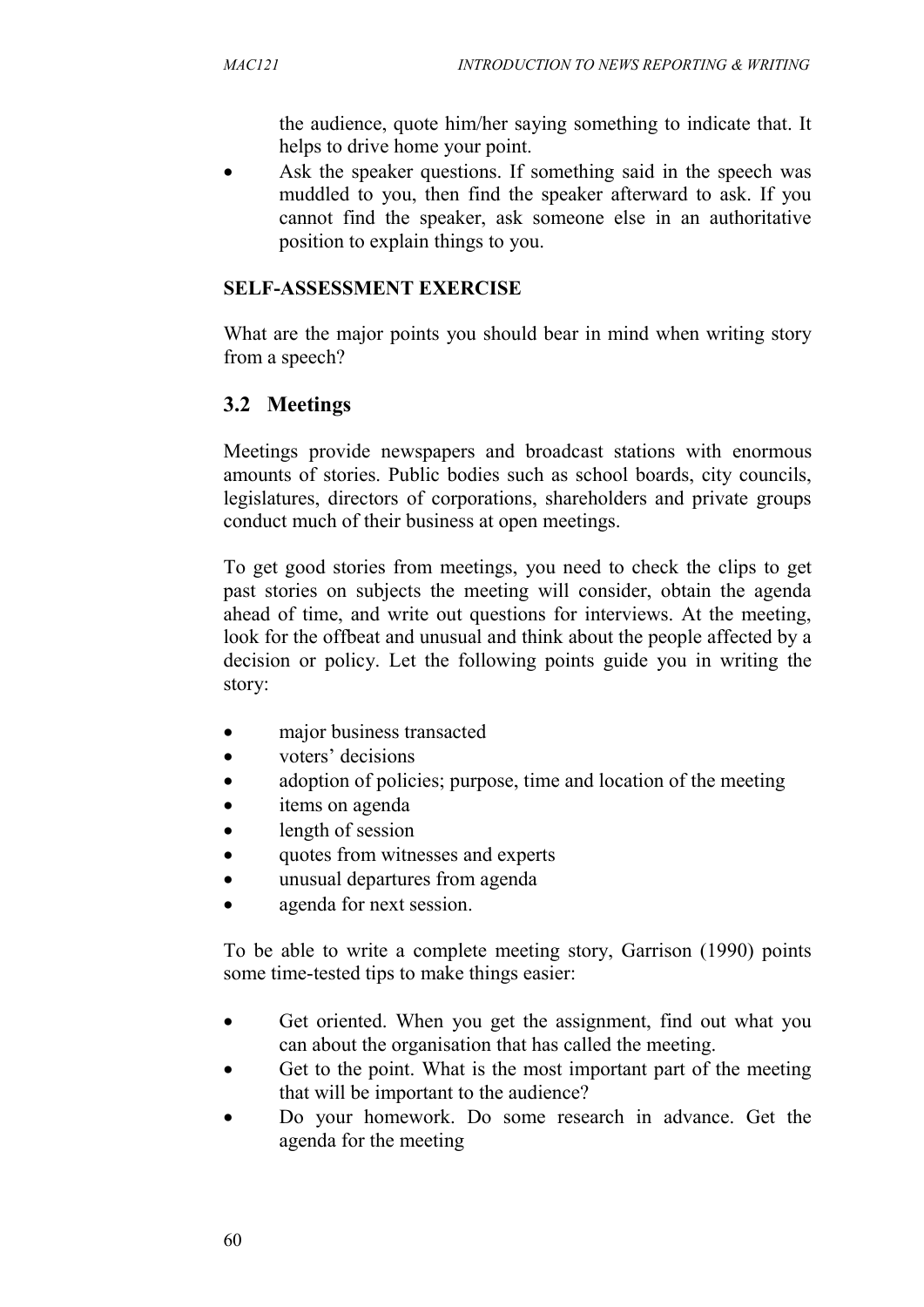the audience, quote him/her saying something to indicate that. It helps to drive home your point.

 Ask the speaker questions. If something said in the speech was muddled to you, then find the speaker afterward to ask. If you cannot find the speaker, ask someone else in an authoritative position to explain things to you.

#### **SELF-ASSESSMENT EXERCISE**

What are the major points you should bear in mind when writing story from a speech?

## **3.2 Meetings**

Meetings provide newspapers and broadcast stations with enormous amounts of stories. Public bodies such as school boards, city councils, legislatures, directors of corporations, shareholders and private groups conduct much of their business at open meetings.

To get good stories from meetings, you need to check the clips to get past stories on subjects the meeting will consider, obtain the agenda ahead of time, and write out questions for interviews. At the meeting, look for the offbeat and unusual and think about the people affected by a decision or policy. Let the following points guide you in writing the story:

- major business transacted
- voters' decisions
- adoption of policies; purpose, time and location of the meeting
- items on agenda
- length of session
- quotes from witnesses and experts
- unusual departures from agenda
- agenda for next session.

To be able to write a complete meeting story, Garrison (1990) points some time-tested tips to make things easier:

- Get oriented. When you get the assignment, find out what you can about the organisation that has called the meeting.
- Get to the point. What is the most important part of the meeting that will be important to the audience?
- Do your homework. Do some research in advance. Get the agenda for the meeting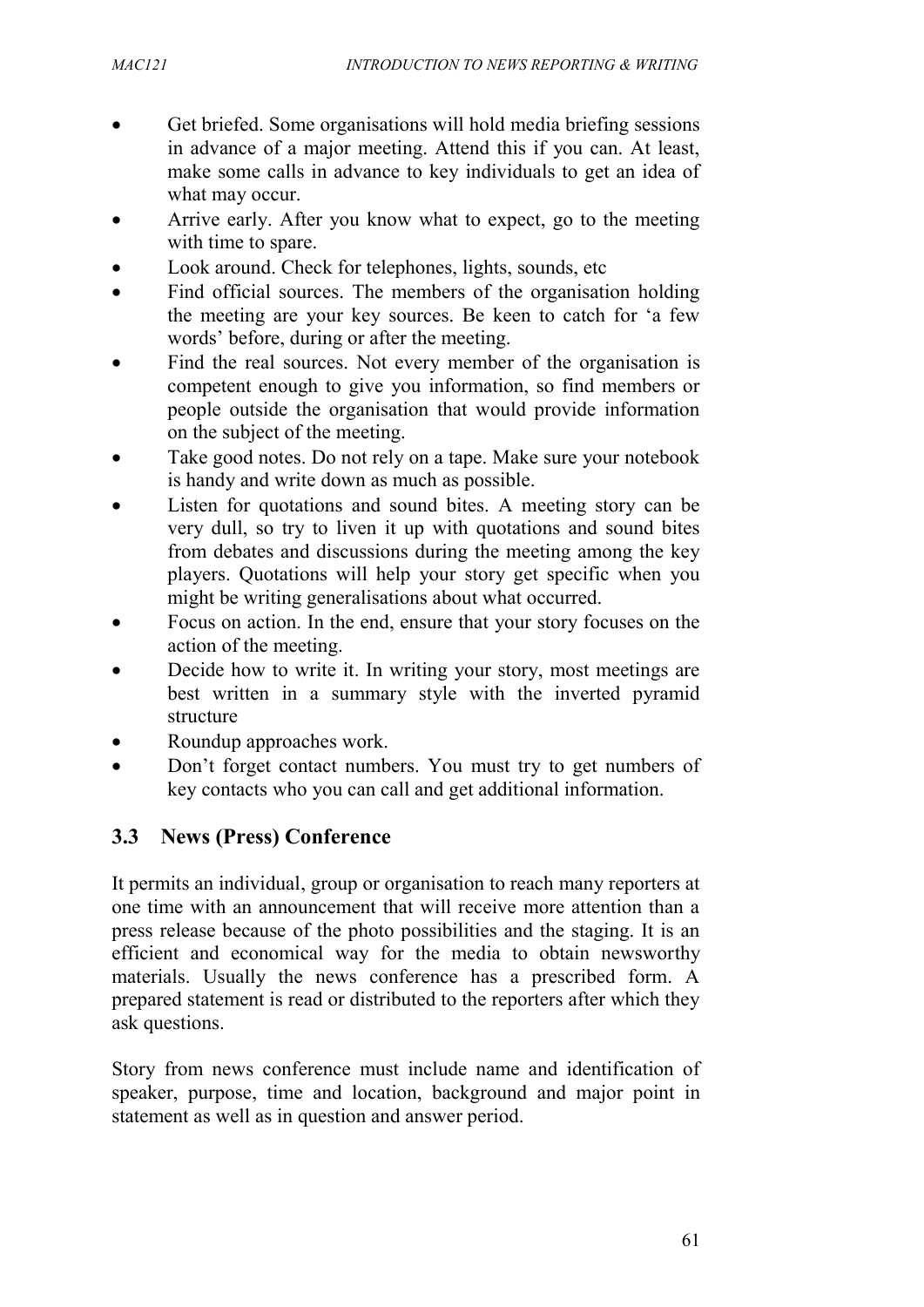- Get briefed. Some organisations will hold media briefing sessions in advance of a major meeting. Attend this if you can. At least, make some calls in advance to key individuals to get an idea of what may occur.
- Arrive early. After you know what to expect, go to the meeting with time to spare.
- Look around. Check for telephones, lights, sounds, etc
- Find official sources. The members of the organisation holding the meeting are your key sources. Be keen to catch for 'a few words' before, during or after the meeting.
- Find the real sources. Not every member of the organisation is competent enough to give you information, so find members or people outside the organisation that would provide information on the subject of the meeting.
- Take good notes. Do not rely on a tape. Make sure your notebook is handy and write down as much as possible.
- Listen for quotations and sound bites. A meeting story can be very dull, so try to liven it up with quotations and sound bites from debates and discussions during the meeting among the key players. Quotations will help your story get specific when you might be writing generalisations about what occurred.
- Focus on action. In the end, ensure that your story focuses on the action of the meeting.
- Decide how to write it. In writing your story, most meetings are best written in a summary style with the inverted pyramid structure
- Roundup approaches work.
- Don't forget contact numbers. You must try to get numbers of key contacts who you can call and get additional information.

## **3.3 News (Press) Conference**

It permits an individual, group or organisation to reach many reporters at one time with an announcement that will receive more attention than a press release because of the photo possibilities and the staging. It is an efficient and economical way for the media to obtain newsworthy materials. Usually the news conference has a prescribed form. A prepared statement is read or distributed to the reporters after which they ask questions.

Story from news conference must include name and identification of speaker, purpose, time and location, background and major point in statement as well as in question and answer period.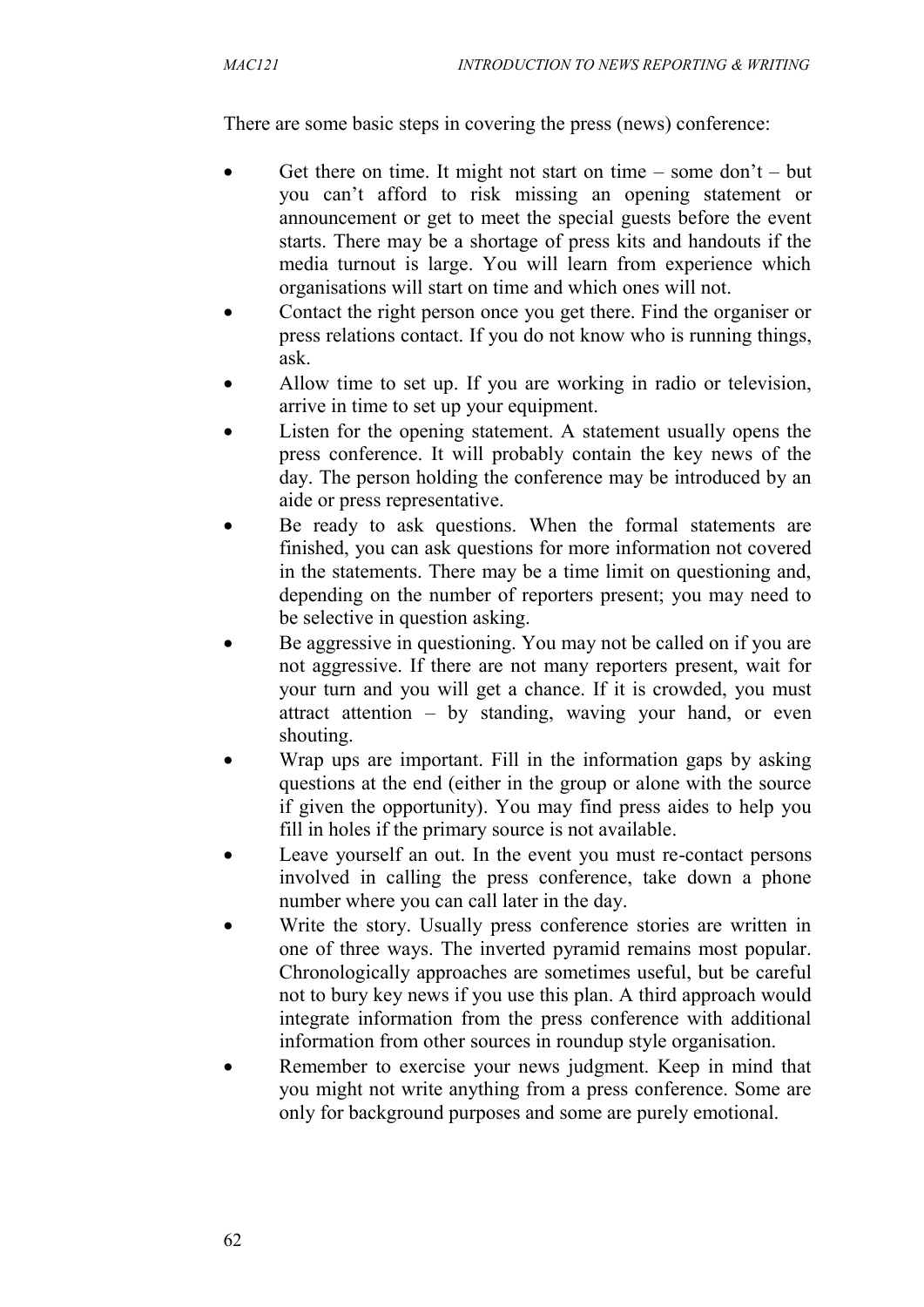There are some basic steps in covering the press (news) conference:

- Get there on time. It might not start on time some don't but you can't afford to risk missing an opening statement or announcement or get to meet the special guests before the event starts. There may be a shortage of press kits and handouts if the media turnout is large. You will learn from experience which organisations will start on time and which ones will not.
- Contact the right person once you get there. Find the organiser or press relations contact. If you do not know who is running things, ask.
- Allow time to set up. If you are working in radio or television, arrive in time to set up your equipment.
- Listen for the opening statement. A statement usually opens the press conference. It will probably contain the key news of the day. The person holding the conference may be introduced by an aide or press representative.
- Be ready to ask questions. When the formal statements are finished, you can ask questions for more information not covered in the statements. There may be a time limit on questioning and, depending on the number of reporters present; you may need to be selective in question asking.
- Be aggressive in questioning. You may not be called on if you are not aggressive. If there are not many reporters present, wait for your turn and you will get a chance. If it is crowded, you must attract attention – by standing, waving your hand, or even shouting.
- Wrap ups are important. Fill in the information gaps by asking questions at the end (either in the group or alone with the source if given the opportunity). You may find press aides to help you fill in holes if the primary source is not available.
- Leave yourself an out. In the event you must re-contact persons involved in calling the press conference, take down a phone number where you can call later in the day.
- Write the story. Usually press conference stories are written in one of three ways. The inverted pyramid remains most popular. Chronologically approaches are sometimes useful, but be careful not to bury key news if you use this plan. A third approach would integrate information from the press conference with additional information from other sources in roundup style organisation.
- Remember to exercise your news judgment. Keep in mind that you might not write anything from a press conference. Some are only for background purposes and some are purely emotional.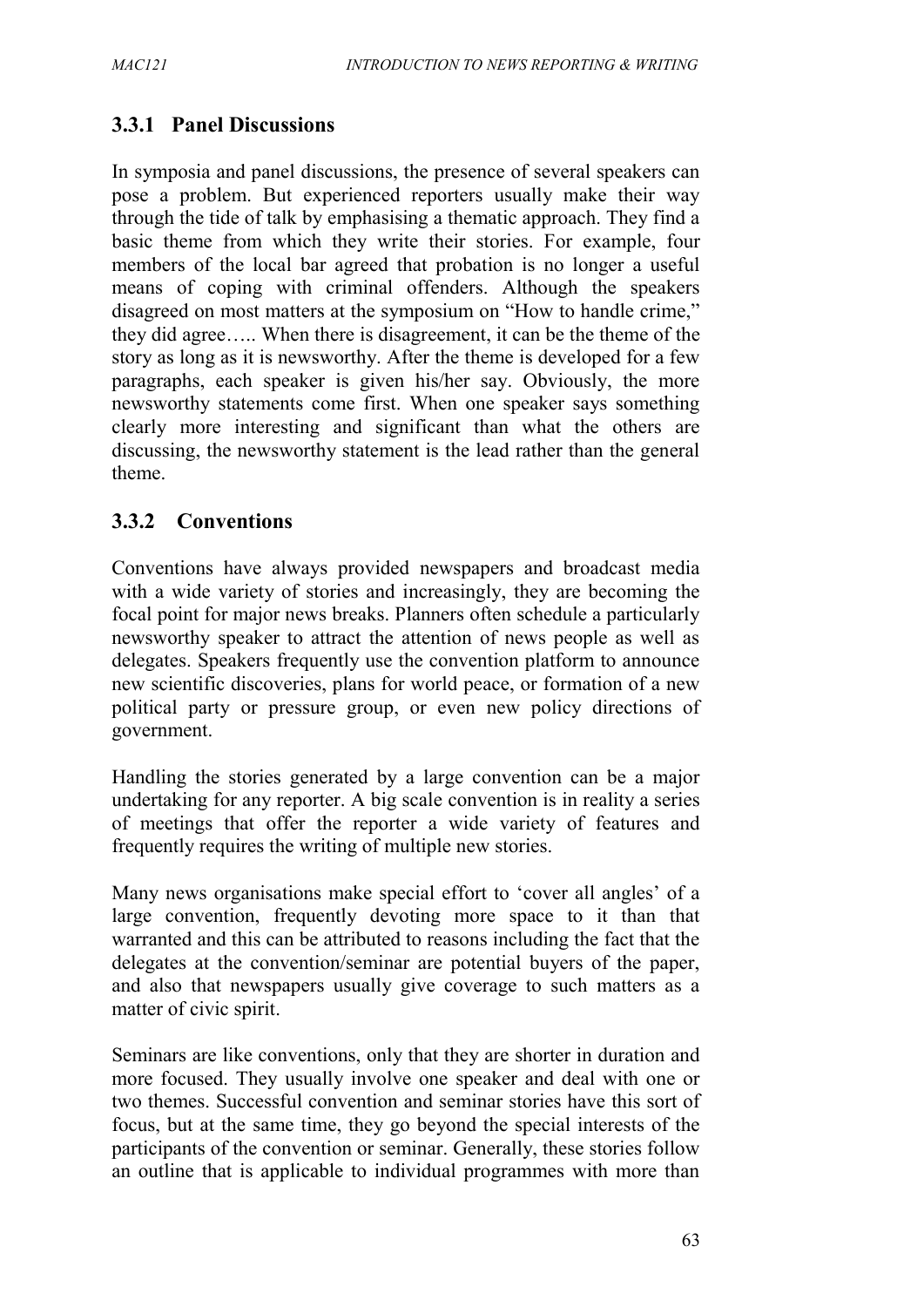## **3.3.1 Panel Discussions**

In symposia and panel discussions, the presence of several speakers can pose a problem. But experienced reporters usually make their way through the tide of talk by emphasising a thematic approach. They find a basic theme from which they write their stories. For example, four members of the local bar agreed that probation is no longer a useful means of coping with criminal offenders. Although the speakers disagreed on most matters at the symposium on "How to handle crime," they did agree….. When there is disagreement, it can be the theme of the story as long as it is newsworthy. After the theme is developed for a few paragraphs, each speaker is given his/her say. Obviously, the more newsworthy statements come first. When one speaker says something clearly more interesting and significant than what the others are discussing, the newsworthy statement is the lead rather than the general theme.

### **3.3.2 Conventions**

Conventions have always provided newspapers and broadcast media with a wide variety of stories and increasingly, they are becoming the focal point for major news breaks. Planners often schedule a particularly newsworthy speaker to attract the attention of news people as well as delegates. Speakers frequently use the convention platform to announce new scientific discoveries, plans for world peace, or formation of a new political party or pressure group, or even new policy directions of government.

Handling the stories generated by a large convention can be a major undertaking for any reporter. A big scale convention is in reality a series of meetings that offer the reporter a wide variety of features and frequently requires the writing of multiple new stories.

Many news organisations make special effort to 'cover all angles' of a large convention, frequently devoting more space to it than that warranted and this can be attributed to reasons including the fact that the delegates at the convention/seminar are potential buyers of the paper, and also that newspapers usually give coverage to such matters as a matter of civic spirit.

Seminars are like conventions, only that they are shorter in duration and more focused. They usually involve one speaker and deal with one or two themes. Successful convention and seminar stories have this sort of focus, but at the same time, they go beyond the special interests of the participants of the convention or seminar. Generally, these stories follow an outline that is applicable to individual programmes with more than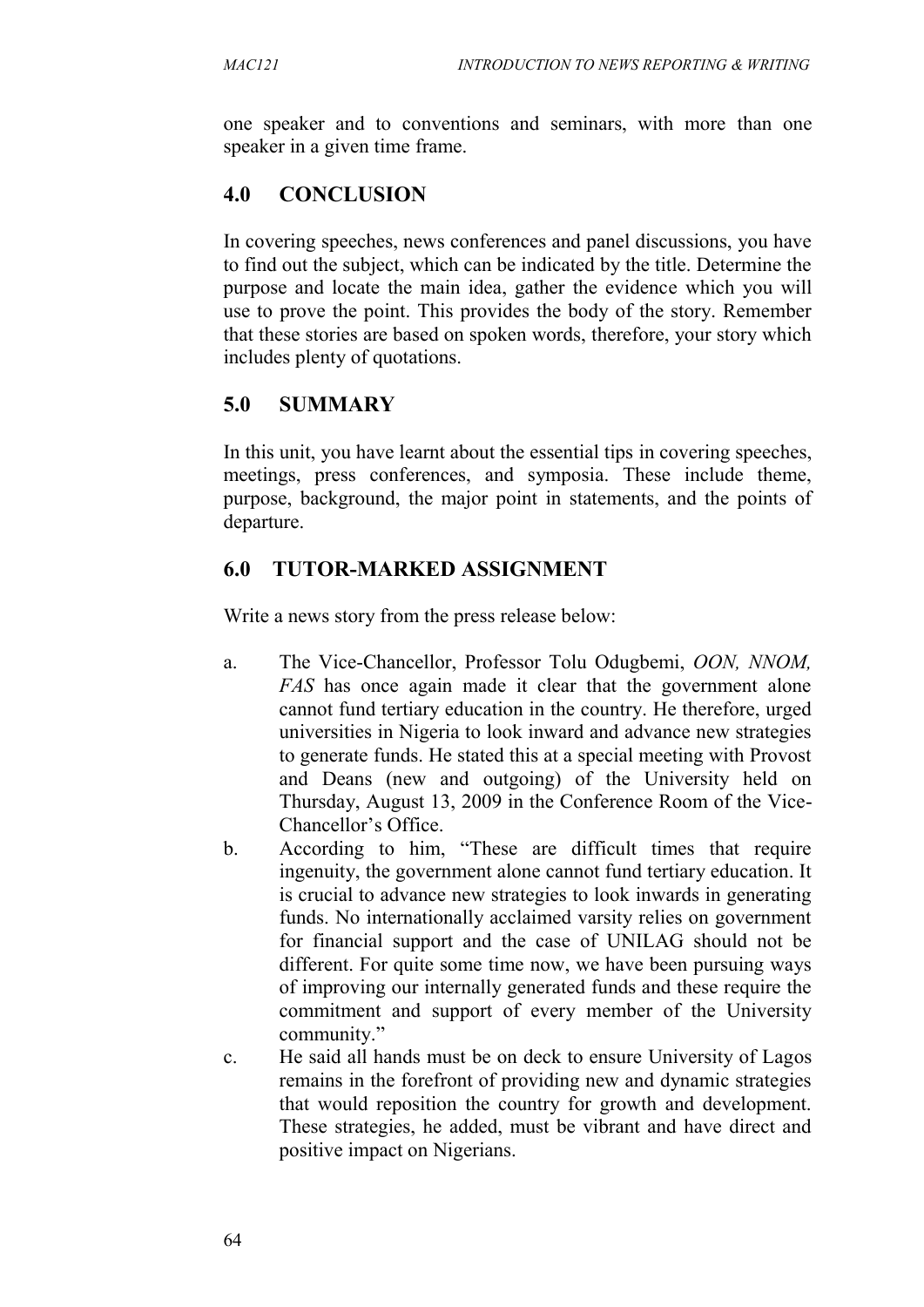one speaker and to conventions and seminars, with more than one speaker in a given time frame.

## **4.0 CONCLUSION**

In covering speeches, news conferences and panel discussions, you have to find out the subject, which can be indicated by the title. Determine the purpose and locate the main idea, gather the evidence which you will use to prove the point. This provides the body of the story. Remember that these stories are based on spoken words, therefore, your story which includes plenty of quotations.

# **5.0 SUMMARY**

In this unit, you have learnt about the essential tips in covering speeches, meetings, press conferences, and symposia. These include theme, purpose, background, the major point in statements, and the points of departure.

# **6.0 TUTOR-MARKED ASSIGNMENT**

Write a news story from the press release below:

- a. The Vice-Chancellor, Professor Tolu Odugbemi, *OON, NNOM, FAS* has once again made it clear that the government alone cannot fund tertiary education in the country. He therefore, urged universities in Nigeria to look inward and advance new strategies to generate funds. He stated this at a special meeting with Provost and Deans (new and outgoing) of the University held on Thursday, August 13, 2009 in the Conference Room of the Vice- Chancellor's Office.
- b. According to him, "These are difficult times that require ingenuity, the government alone cannot fund tertiary education. It is crucial to advance new strategies to look inwards in generating funds. No internationally acclaimed varsity relies on government for financial support and the case of UNILAG should not be different. For quite some time now, we have been pursuing ways of improving our internally generated funds and these require the commitment and support of every member of the University community."
- c. He said all hands must be on deck to ensure University of Lagos remains in the forefront of providing new and dynamic strategies that would reposition the country for growth and development. These strategies, he added, must be vibrant and have direct and positive impact on Nigerians.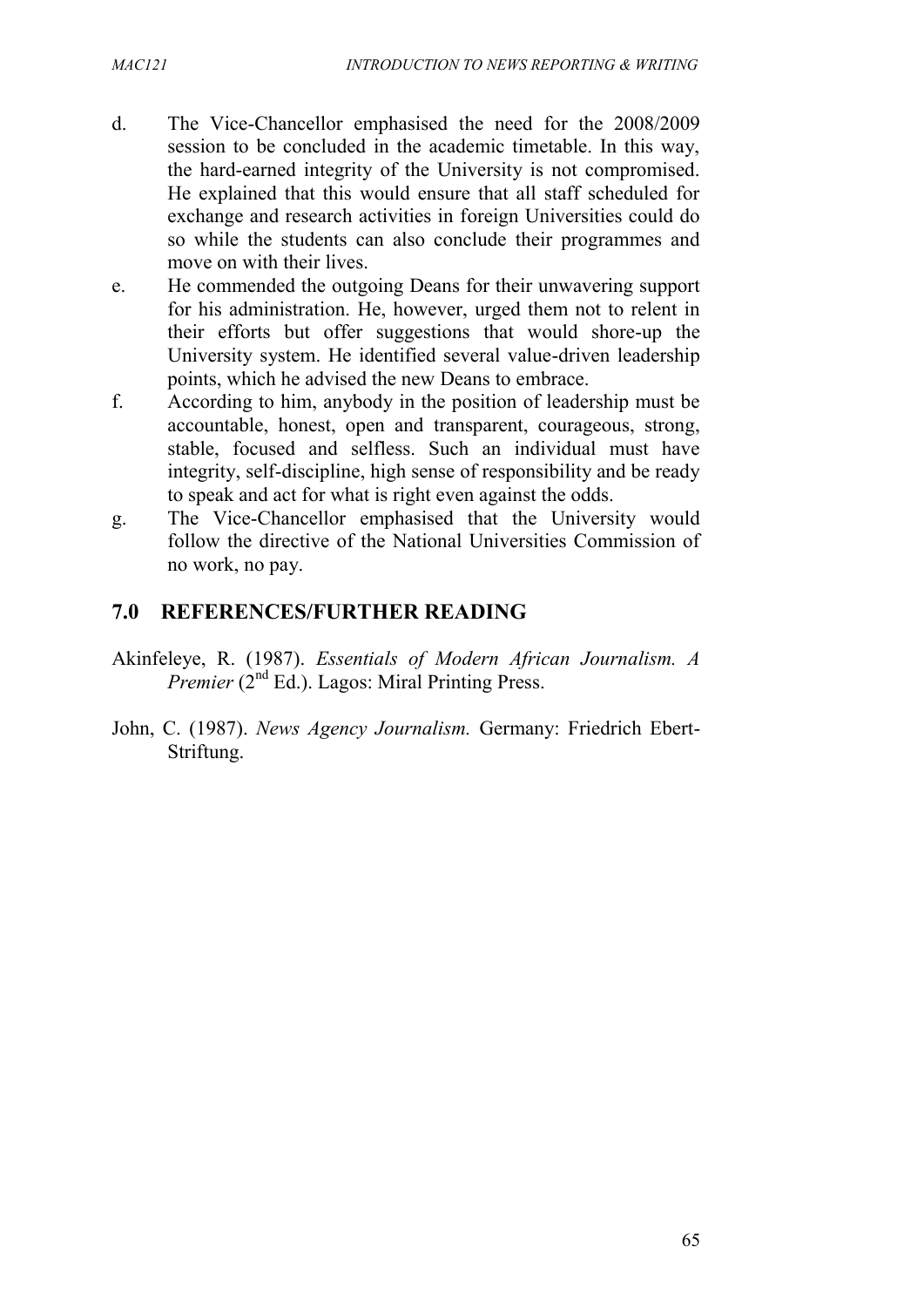- d. The Vice-Chancellor emphasised the need for the 2008/2009 session to be concluded in the academic timetable. In this way, the hard-earned integrity of the University is not compromised. He explained that this would ensure that all staff scheduled for exchange and research activities in foreign Universities could do so while the students can also conclude their programmes and move on with their lives.
- e. He commended the outgoing Deans for their unwavering support for his administration. He, however, urged them not to relent in their efforts but offer suggestions that would shore-up the University system. He identified several value-driven leadership points, which he advised the new Deans to embrace.
- f. According to him, anybody in the position of leadership must be accountable, honest, open and transparent, courageous, strong, stable, focused and selfless. Such an individual must have integrity, self-discipline, high sense of responsibility and be ready to speak and act for what is right even against the odds.
- g. The Vice-Chancellor emphasised that the University would follow the directive of the National Universities Commission of no work, no pay.

## **7.0 REFERENCES/FURTHER READING**

- Akinfeleye, R. (1987). *Essentials of Modern African Journalism. A Premier* (2<sup>nd</sup> Ed.). Lagos: Miral Printing Press.
- John, C. (1987). *News Agency Journalism.* Germany: Friedrich Ebert- Striftung.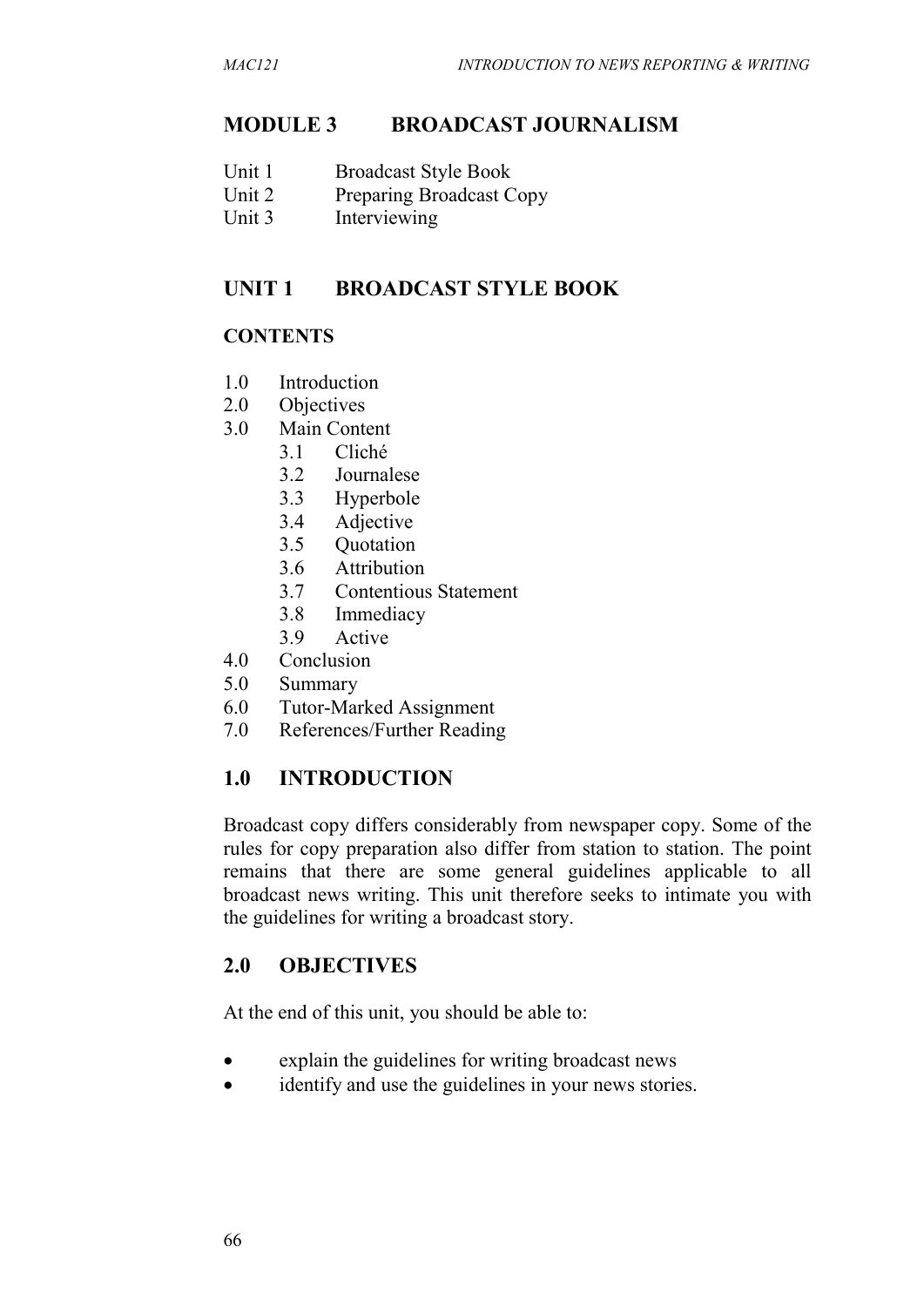### **MODULE 3 BROADCAST JOURNALISM**

| Unit 1 | <b>Broadcast Style Book</b> |  |
|--------|-----------------------------|--|
|--------|-----------------------------|--|

- Unit 2 Preparing Broadcast Copy
- Unit 3 Interviewing

### **UNIT 1 BROADCAST STYLE BOOK**

#### **CONTENTS**

- 1.0 Introduction
- 2.0 Objectives
- 3.0 Main Content
	- 3.1 Cliché
	- 3.2 Journalese
	- 3.3 Hyperbole
	- 3.4 Adjective
	- 3.5 Quotation
	- 3.6 Attribution
	- 3.7 Contentious Statement
	- 3.8 Immediacy
	- 3.9 Active
- 4.0 Conclusion
- 5.0 Summary
- 6.0 Tutor-Marked Assignment
- 7.0 References/Further Reading

#### **1.0 INTRODUCTION**

Broadcast copy differs considerably from newspaper copy. Some of the rules for copy preparation also differ from station to station. The point remains that there are some general guidelines applicable to all broadcast news writing. This unit therefore seeks to intimate you with the guidelines for writing a broadcast story.

#### **2.0 OBJECTIVES**

At the end of this unit, you should be able to:

- explain the guidelines for writing broadcast news
- identify and use the guidelines in your news stories.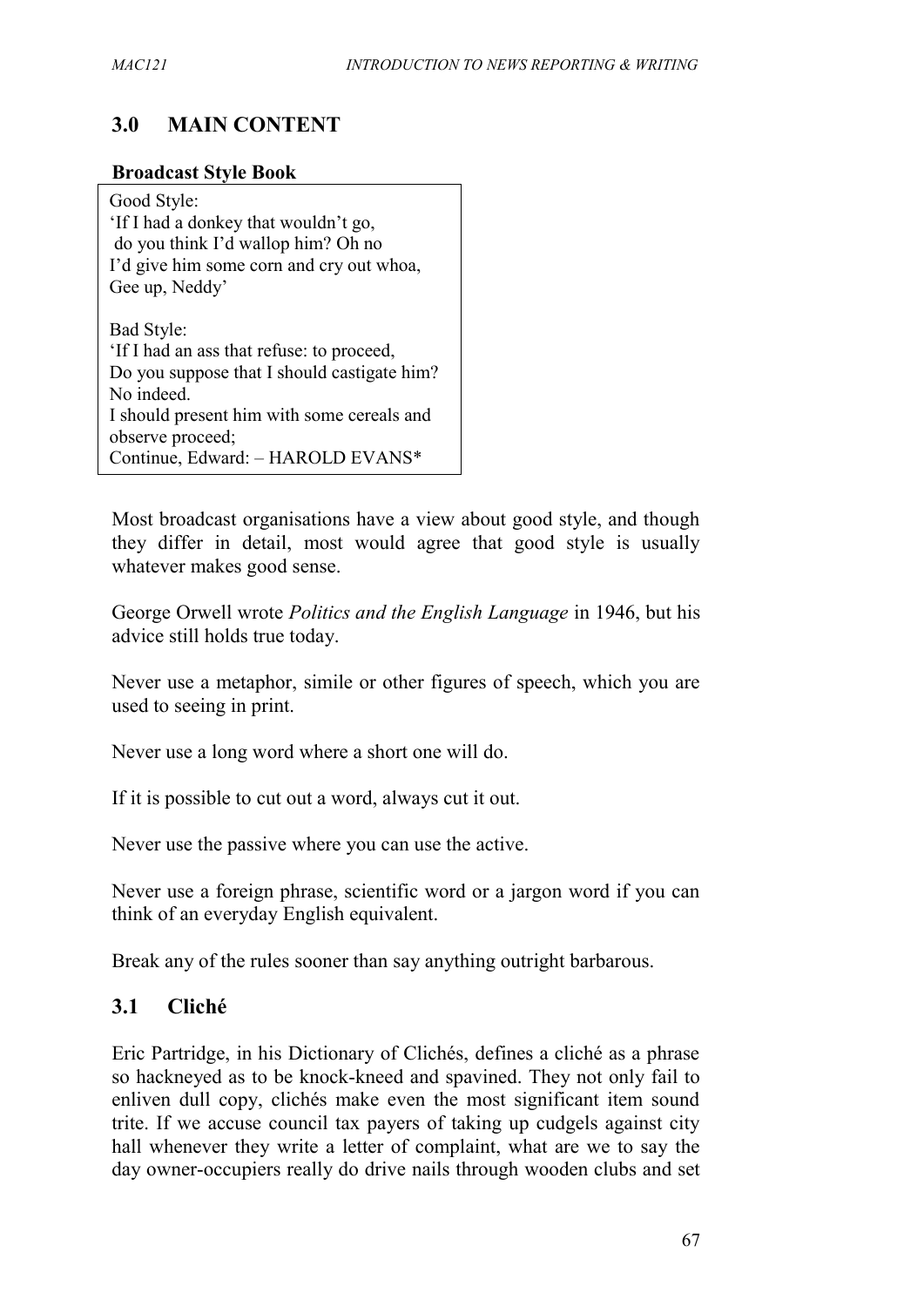## **3.0 MAIN CONTENT**

#### **Broadcast Style Book**

Good Style: 'If I had a donkey that wouldn't go, do you think I'd wallop him? Oh no I'd give him some corn and cry out whoa, Gee up, Neddy' Bad Style: 'If I had an ass that refuse: to proceed, Do you suppose that I should castigate him? No indeed. I should present him with some cereals and observe proceed; Continue, Edward: – HAROLD EVANS\*

Most broadcast organisations have a view about good style, and though they differ in detail, most would agree that good style is usually whatever makes good sense.

George Orwell wrote *Politics and the English Language* in 1946, but his advice still holds true today.

Never use a metaphor, simile or other figures of speech, which you are used to seeing in print.

Never use a long word where a short one will do.

If it is possible to cut out a word, always cut it out.

Never use the passive where you can use the active.

Never use a foreign phrase, scientific word or a jargon word if you can think of an everyday English equivalent.

Break any of the rules sooner than say anything outright barbarous.

#### **3.1 Cliché**

Eric Partridge, in his Dictionary of Clichés, defines a cliché as a phrase so hackneyed as to be knock-kneed and spavined. They not only fail to enliven dull copy, clichés make even the most significant item sound trite. If we accuse council tax payers of taking up cudgels against city hall whenever they write a letter of complaint, what are we to say the day owner-occupiers really do drive nails through wooden clubs and set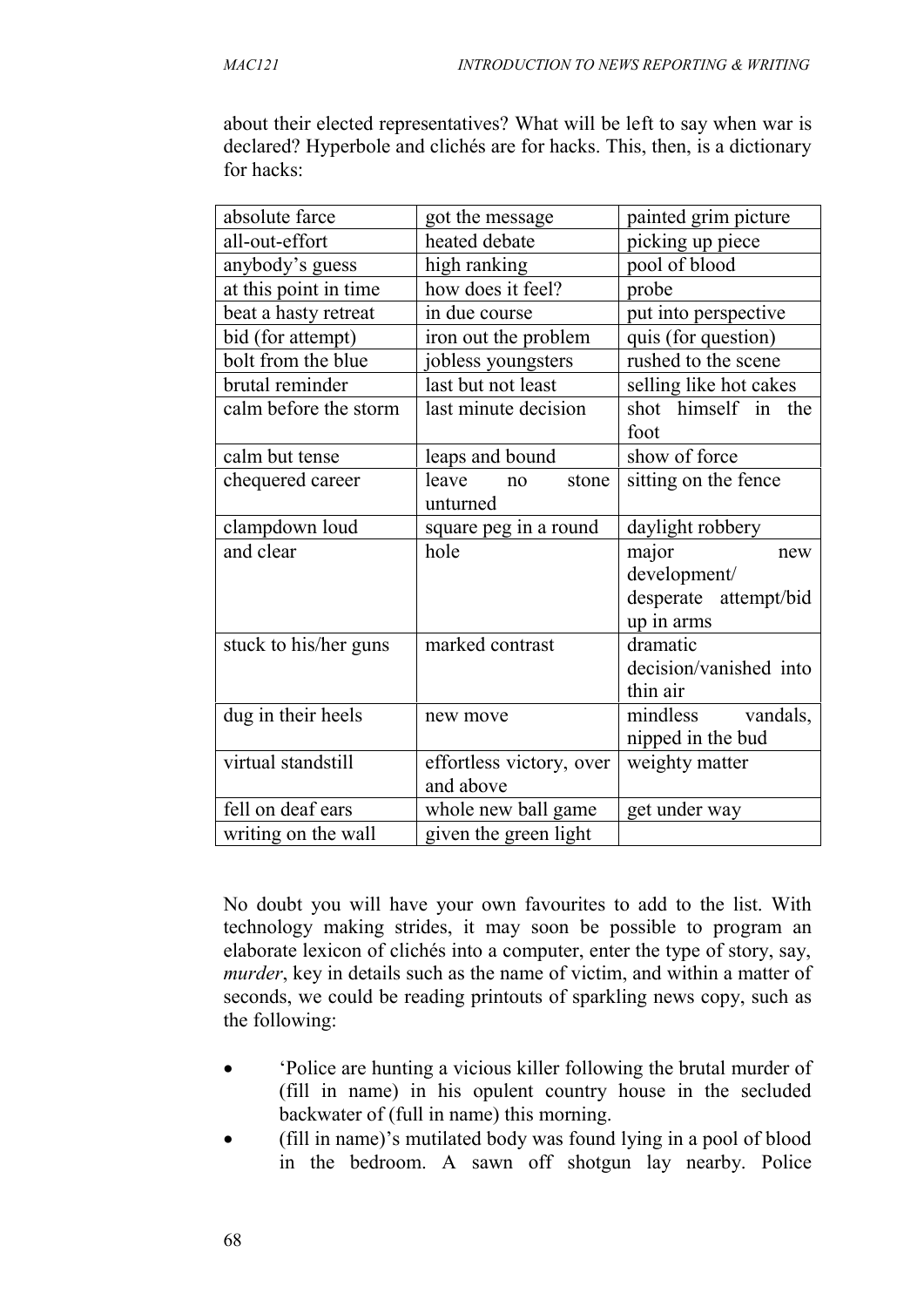about their elected representatives? What will be left to say when war is declared? Hyperbole and clichés are for hacks. This, then, is a dictionary for hacks:

| absolute farce        | got the message                       | painted grim picture   |
|-----------------------|---------------------------------------|------------------------|
| all-out-effort        | heated debate                         | picking up piece       |
| anybody's guess       | high ranking                          | pool of blood          |
| at this point in time | how does it feel?                     | probe                  |
| beat a hasty retreat  | in due course                         | put into perspective   |
| bid (for attempt)     | iron out the problem                  | quis (for question)    |
| bolt from the blue    | jobless youngsters                    | rushed to the scene    |
| brutal reminder       | last but not least                    | selling like hot cakes |
| calm before the storm | last minute decision                  | shot himself in the    |
|                       |                                       | foot                   |
| calm but tense        | leaps and bound                       | show of force          |
| chequered career      | leave<br>stone<br>no                  | sitting on the fence   |
|                       | unturned                              |                        |
| clampdown loud        | square peg in a round                 | daylight robbery       |
| and clear             | hole                                  | major<br>new           |
|                       |                                       | development/           |
|                       |                                       | desperate attempt/bid  |
|                       |                                       | up in arms             |
| stuck to his/her guns | marked contrast                       | dramatic               |
|                       |                                       | decision/vanished into |
|                       |                                       | thin air               |
| dug in their heels    | new move                              | mindless<br>vandals,   |
|                       |                                       | nipped in the bud      |
| virtual standstill    | effortless victory, over<br>and above | weighty matter         |
| fell on deaf ears     | whole new ball game                   | get under way          |
| writing on the wall   | given the green light                 |                        |

No doubt you will have your own favourites to add to the list. With technology making strides, it may soon be possible to program an elaborate lexicon of clichés into a computer, enter the type of story, say, *murder*, key in details such as the name of victim, and within a matter of seconds, we could be reading printouts of sparkling news copy, such as the following:

- 'Police are hunting a vicious killer following the brutal murder of (fill in name) in his opulent country house in the secluded backwater of (full in name) this morning.
- (fill in name)'s mutilated body was found lying in a pool of blood in the bedroom. A sawn off shotgun lay nearby. Police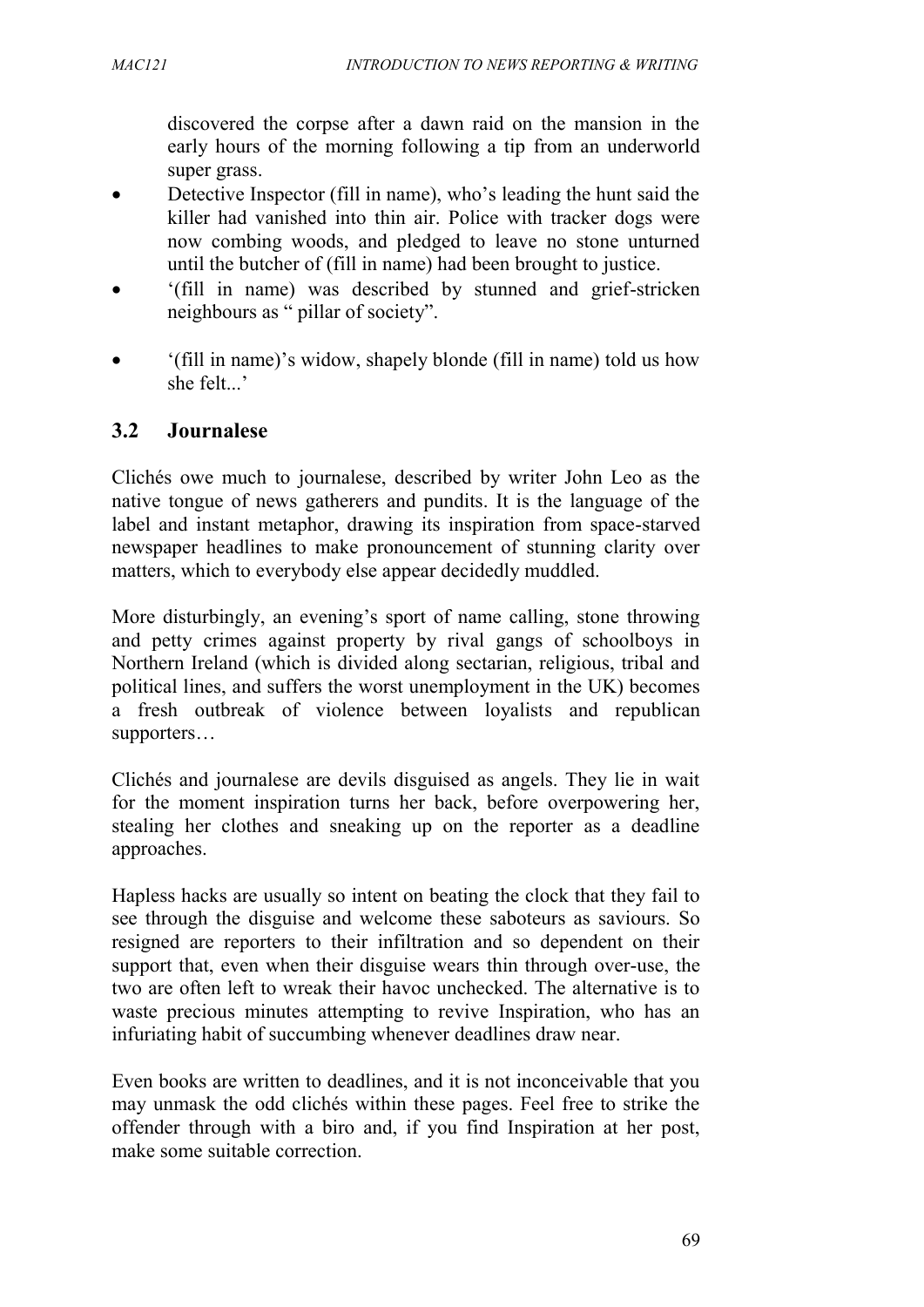discovered the corpse after a dawn raid on the mansion in the early hours of the morning following a tip from an underworld super grass.

- Detective Inspector (fill in name), who's leading the hunt said the killer had vanished into thin air. Police with tracker dogs were now combing woods, and pledged to leave no stone unturned until the butcher of (fill in name) had been brought to justice.
- '(fill in name) was described by stunned and grief-stricken neighbours as " pillar of society".
- '(fill in name)'s widow, shapely blonde (fill in name) told us how she felt...'

#### **3.2 Journalese**

Clichés owe much to journalese, described by writer John Leo as the native tongue of news gatherers and pundits. It is the language of the label and instant metaphor, drawing its inspiration from space-starved newspaper headlines to make pronouncement of stunning clarity over matters, which to everybody else appear decidedly muddled.

More disturbingly, an evening's sport of name calling, stone throwing and petty crimes against property by rival gangs of schoolboys in Northern Ireland (which is divided along sectarian, religious, tribal and political lines, and suffers the worst unemployment in the UK) becomes a fresh outbreak of violence between loyalists and republican supporters…

Clichés and journalese are devils disguised as angels. They lie in wait for the moment inspiration turns her back, before overpowering her, stealing her clothes and sneaking up on the reporter as a deadline approaches.

Hapless hacks are usually so intent on beating the clock that they fail to see through the disguise and welcome these saboteurs as saviours. So resigned are reporters to their infiltration and so dependent on their support that, even when their disguise wears thin through over-use, the two are often left to wreak their havoc unchecked. The alternative is to waste precious minutes attempting to revive Inspiration, who has an infuriating habit of succumbing whenever deadlines draw near.

Even books are written to deadlines, and it is not inconceivable that you may unmask the odd clichés within these pages. Feel free to strike the offender through with a biro and, if you find Inspiration at her post, make some suitable correction.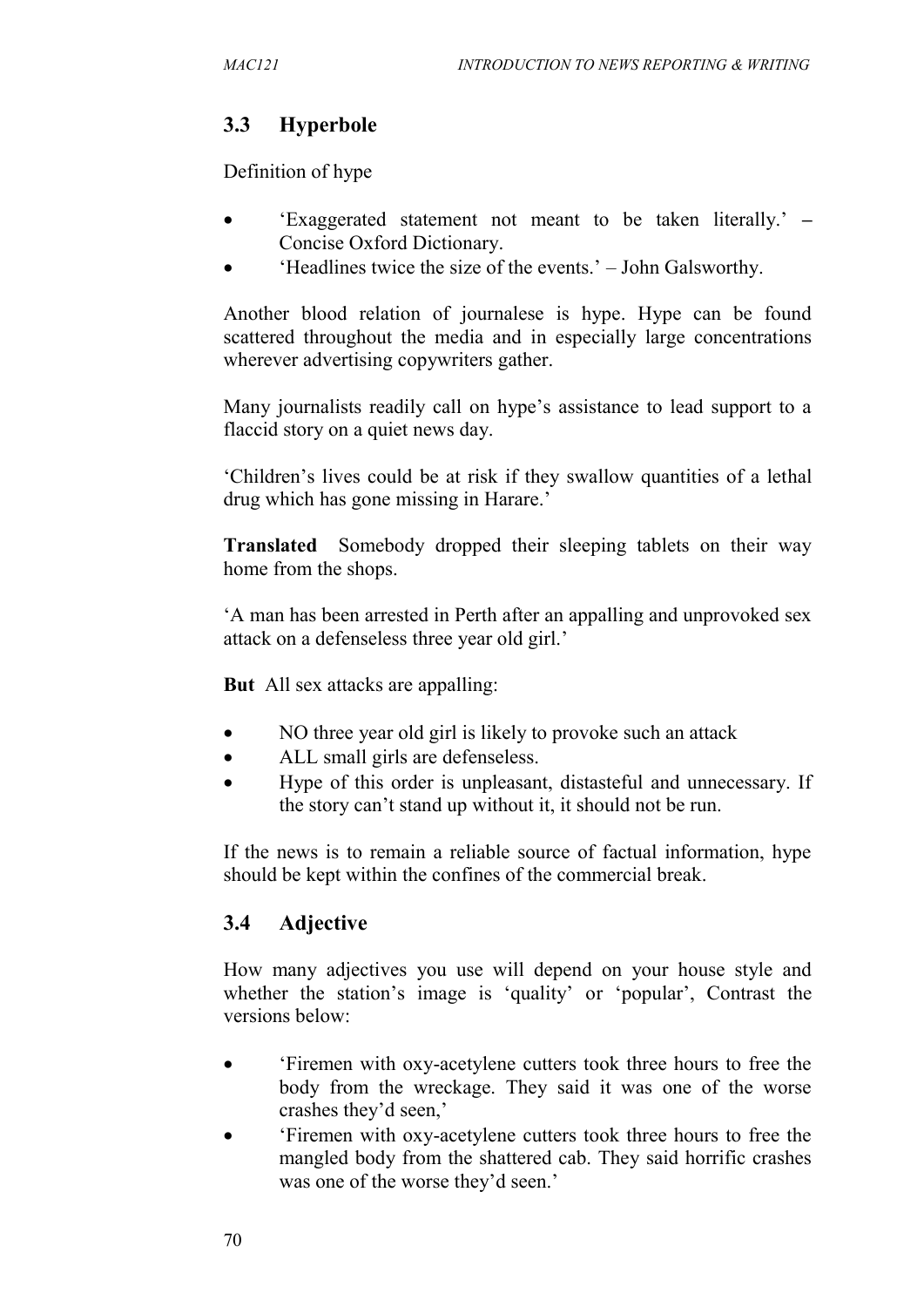# **3.3 Hyperbole**

Definition of hype

- 'Exaggerated statement not meant to be taken literally.' **–** Concise Oxford Dictionary.
- 'Headlines twice the size of the events.' John Galsworthy.

Another blood relation of journalese is hype. Hype can be found scattered throughout the media and in especially large concentrations wherever advertising copywriters gather.

Many journalists readily call on hype's assistance to lead support to a flaccid story on a quiet news day.

'Children's lives could be at risk if they swallow quantities of a lethal drug which has gone missing in Harare.'

**Translated** Somebody dropped their sleeping tablets on their way home from the shops.

'A man has been arrested in Perth after an appalling and unprovoked sex attack on a defenseless three year old girl.'

**But** All sex attacks are appalling:

- NO three year old girl is likely to provoke such an attack
- ALL small girls are defenseless.
- Hype of this order is unpleasant, distasteful and unnecessary. If the story can't stand up without it, it should not be run.

If the news is to remain a reliable source of factual information, hype should be kept within the confines of the commercial break.

## **3.4 Adjective**

How many adjectives you use will depend on your house style and whether the station's image is 'quality' or 'popular', Contrast the versions below:

- 'Firemen with oxy-acetylene cutters took three hours to free the body from the wreckage. They said it was one of the worse crashes they'd seen,'
- 'Firemen with oxy-acetylene cutters took three hours to free the mangled body from the shattered cab. They said horrific crashes was one of the worse they'd seen.'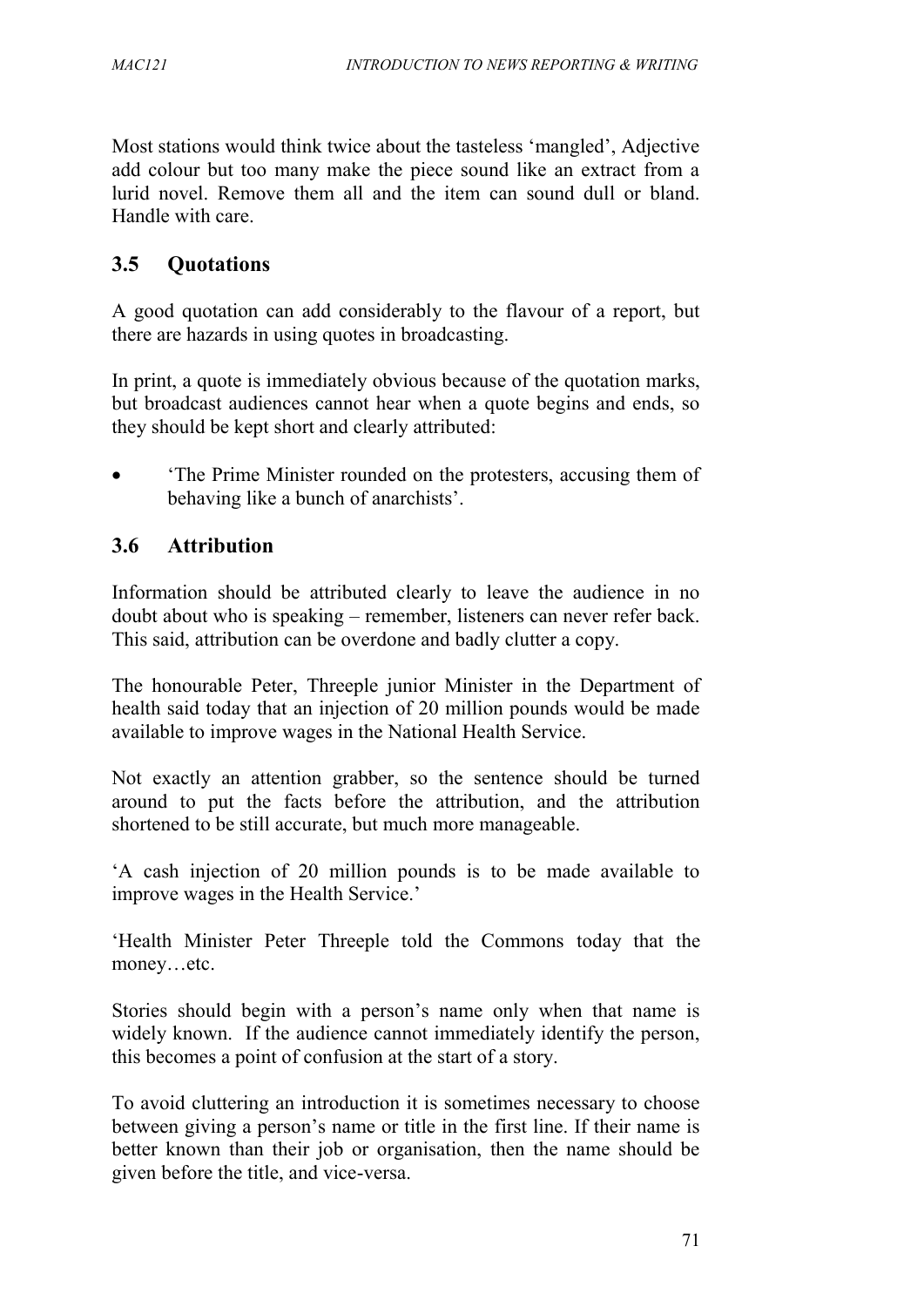Most stations would think twice about the tasteless 'mangled', Adjective add colour but too many make the piece sound like an extract from a lurid novel. Remove them all and the item can sound dull or bland. Handle with care.

## **3.5 Quotations**

A good quotation can add considerably to the flavour of a report, but there are hazards in using quotes in broadcasting.

In print, a quote is immediately obvious because of the quotation marks, but broadcast audiences cannot hear when a quote begins and ends, so they should be kept short and clearly attributed:

 'The Prime Minister rounded on the protesters, accusing them of behaving like a bunch of anarchists'.

## **3.6 Attribution**

Information should be attributed clearly to leave the audience in no doubt about who is speaking – remember, listeners can never refer back. This said, attribution can be overdone and badly clutter a copy.

The honourable Peter, Threeple junior Minister in the Department of health said today that an injection of 20 million pounds would be made available to improve wages in the National Health Service.

Not exactly an attention grabber, so the sentence should be turned around to put the facts before the attribution, and the attribution shortened to be still accurate, but much more manageable.

'A cash injection of 20 million pounds is to be made available to improve wages in the Health Service.'

'Health Minister Peter Threeple told the Commons today that the money…etc.

Stories should begin with a person's name only when that name is widely known. If the audience cannot immediately identify the person, this becomes a point of confusion at the start of a story.

To avoid cluttering an introduction it is sometimes necessary to choose between giving a person's name or title in the first line. If their name is better known than their job or organisation, then the name should be given before the title, and vice-versa.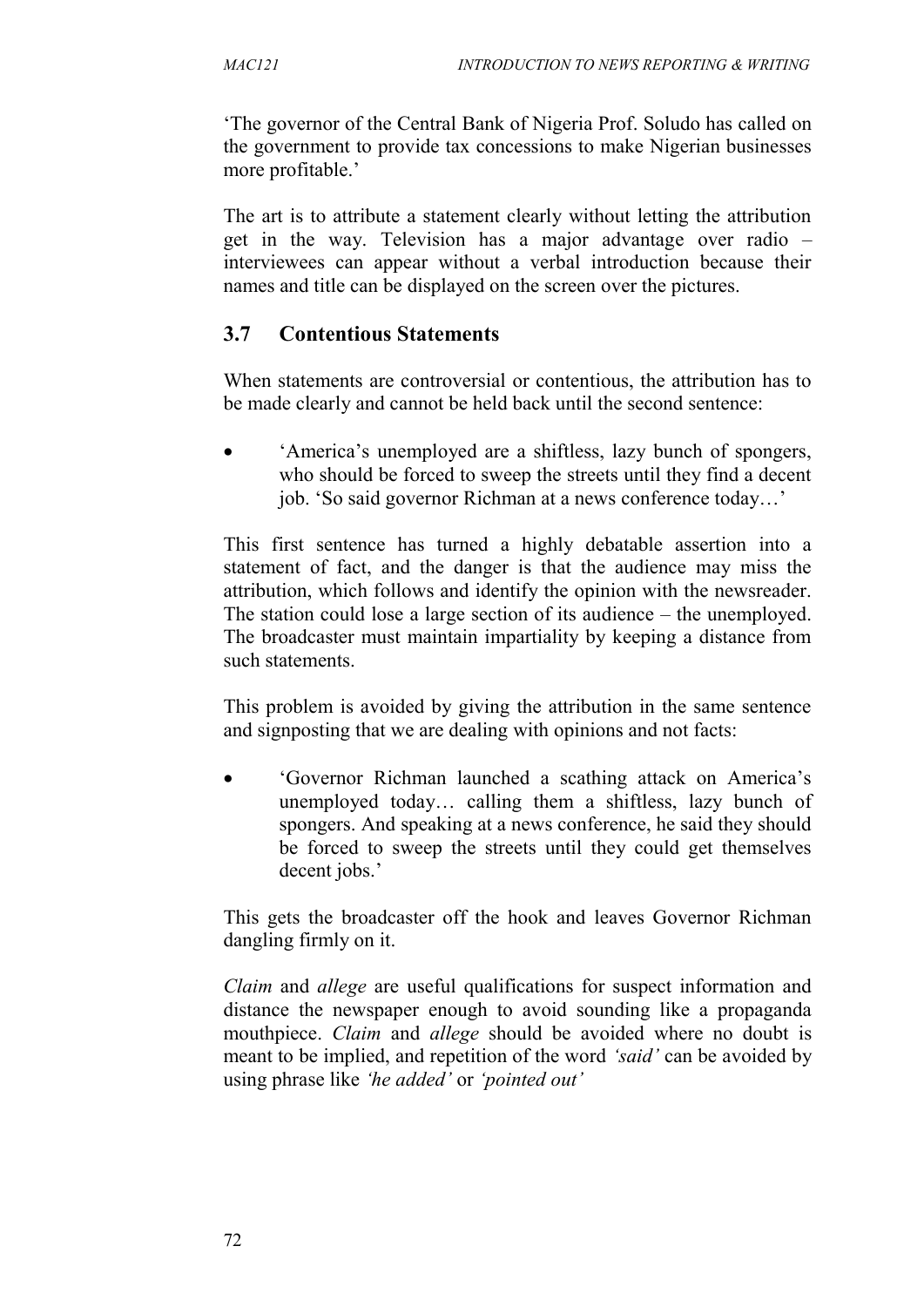'The governor of the Central Bank of Nigeria Prof. Soludo has called on the government to provide tax concessions to make Nigerian businesses more profitable.'

The art is to attribute a statement clearly without letting the attribution get in the way. Television has a major advantage over radio – interviewees can appear without a verbal introduction because their names and title can be displayed on the screen over the pictures.

#### **3.7 Contentious Statements**

When statements are controversial or contentious, the attribution has to be made clearly and cannot be held back until the second sentence:

 'America's unemployed are a shiftless, lazy bunch of spongers, who should be forced to sweep the streets until they find a decent job. 'So said governor Richman at a news conference today…'

This first sentence has turned a highly debatable assertion into a statement of fact, and the danger is that the audience may miss the attribution, which follows and identify the opinion with the newsreader. The station could lose a large section of its audience – the unemployed. The broadcaster must maintain impartiality by keeping a distance from such statements.

This problem is avoided by giving the attribution in the same sentence and signposting that we are dealing with opinions and not facts:

 'Governor Richman launched a scathing attack on America's unemployed today… calling them a shiftless, lazy bunch of spongers. And speaking at a news conference, he said they should be forced to sweep the streets until they could get themselves decent jobs.'

This gets the broadcaster off the hook and leaves Governor Richman dangling firmly on it.

*Claim* and *allege* are useful qualifications for suspect information and distance the newspaper enough to avoid sounding like a propaganda mouthpiece. *Claim* and *allege* should be avoided where no doubt is meant to be implied, and repetition of the word *'said'* can be avoided by using phrase like *'he added'* or *'pointed out'*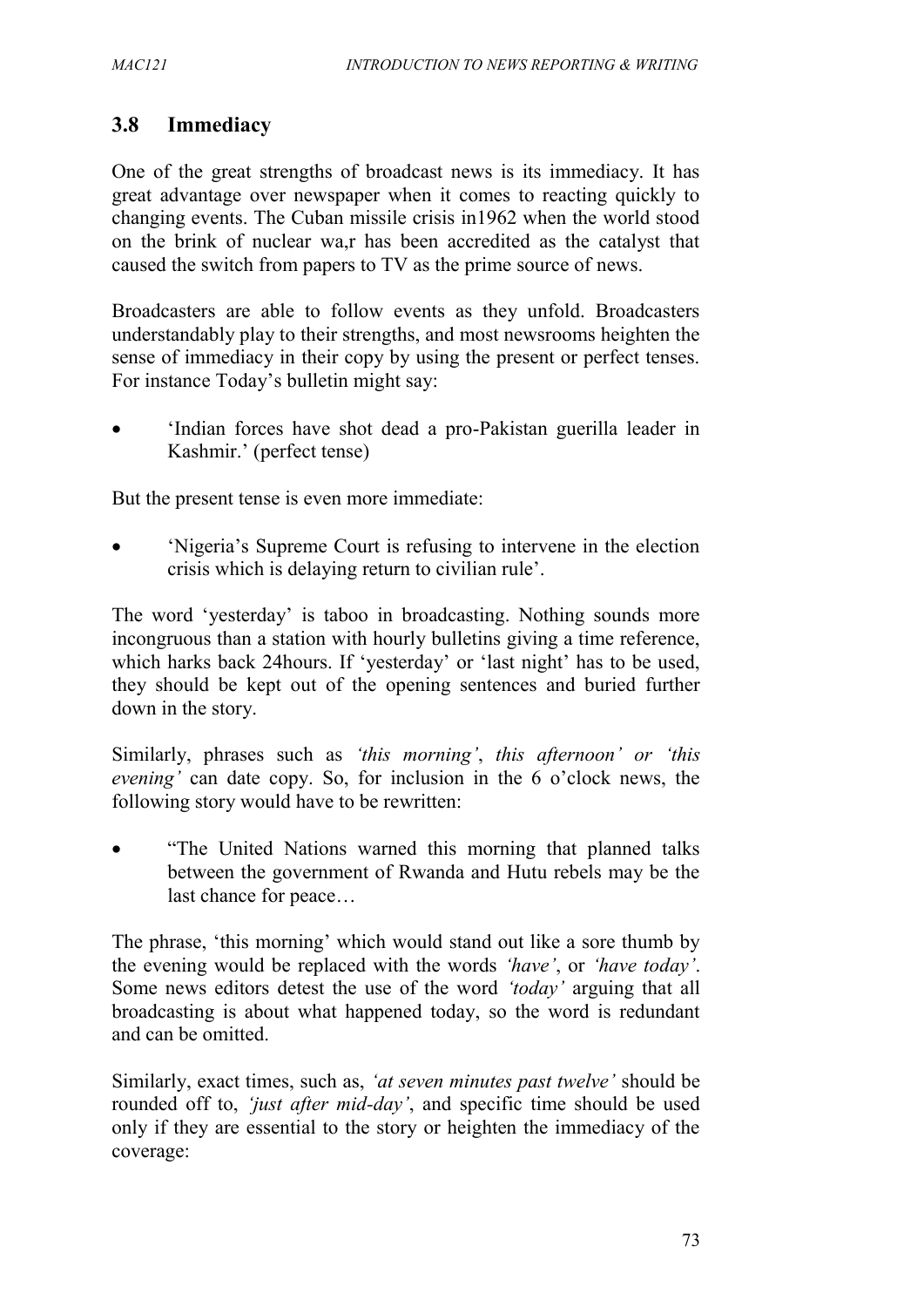### **3.8 Immediacy**

One of the great strengths of broadcast news is its immediacy. It has great advantage over newspaper when it comes to reacting quickly to changing events. The Cuban missile crisis in1962 when the world stood on the brink of nuclear wa,r has been accredited as the catalyst that caused the switch from papers to TV as the prime source of news.

Broadcasters are able to follow events as they unfold. Broadcasters understandably play to their strengths, and most newsrooms heighten the sense of immediacy in their copy by using the present or perfect tenses. For instance Today's bulletin might say:

 'Indian forces have shot dead a pro-Pakistan guerilla leader in Kashmir.' (perfect tense)

But the present tense is even more immediate:

 'Nigeria's Supreme Court is refusing to intervene in the election crisis which is delaying return to civilian rule'.

The word 'yesterday' is taboo in broadcasting. Nothing sounds more incongruous than a station with hourly bulletins giving a time reference, which harks back 24hours. If 'yesterday' or 'last night' has to be used, they should be kept out of the opening sentences and buried further down in the story.

Similarly, phrases such as *'this morning'*, *this afternoon' or 'this evening'* can date copy. So, for inclusion in the 6 o'clock news, the following story would have to be rewritten:

• "The United Nations warned this morning that planned talks between the government of Rwanda and Hutu rebels may be the last chance for peace…

The phrase, 'this morning' which would stand out like a sore thumb by the evening would be replaced with the words *'have'*, or *'have today'*. Some news editors detest the use of the word *'today'* arguing that all broadcasting is about what happened today, so the word is redundant and can be omitted.

Similarly, exact times, such as, *'at seven minutes past twelve'* should be rounded off to, *'just after mid-day'*, and specific time should be used only if they are essential to the story or heighten the immediacy of the coverage: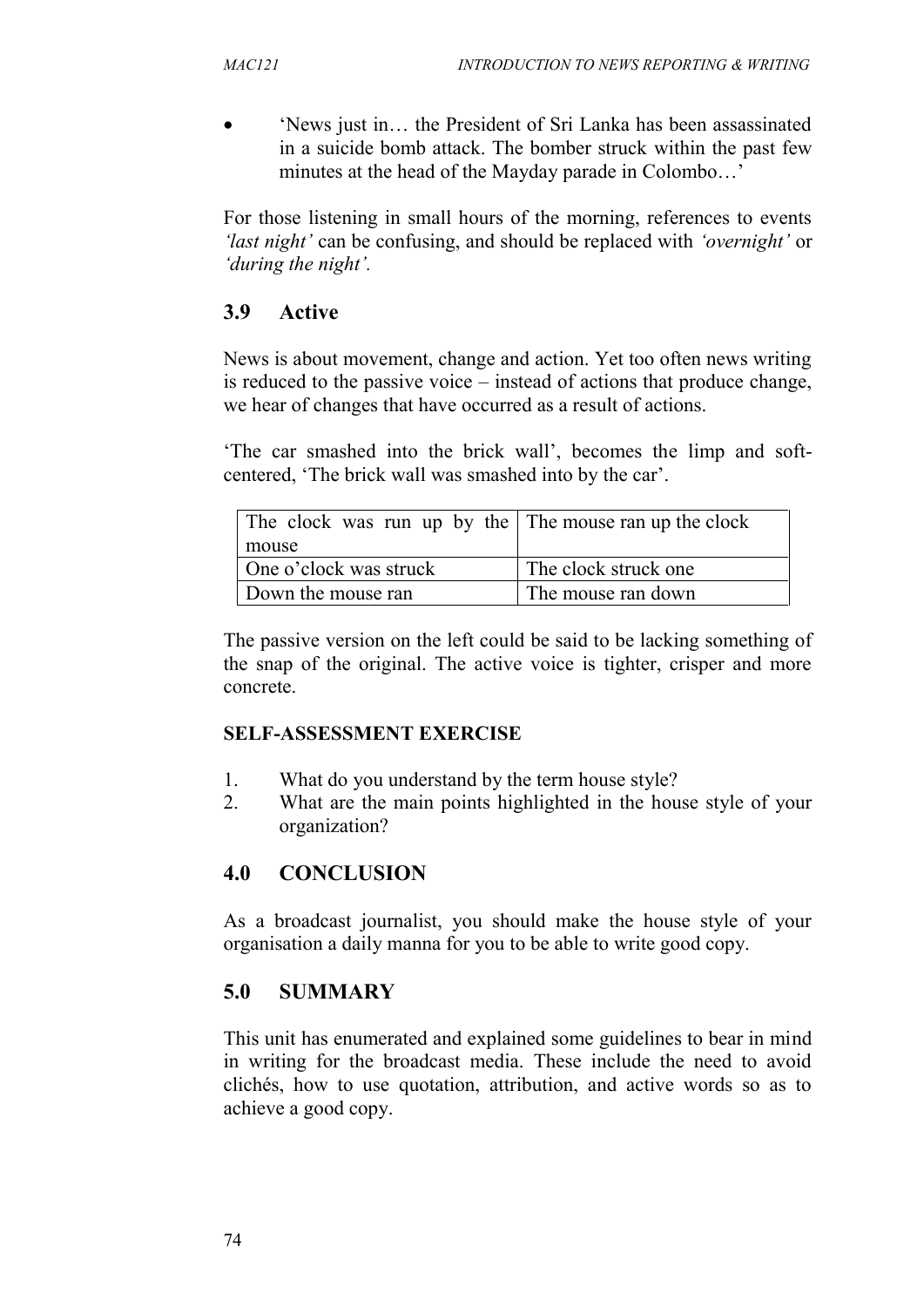'News just in… the President of Sri Lanka has been assassinated in a suicide bomb attack. The bomber struck within the past few minutes at the head of the Mayday parade in Colombo…'

For those listening in small hours of the morning, references to events *'last night'* can be confusing, and should be replaced with *'overnight'* or *'during the night'.*

## **3.9 Active**

News is about movement, change and action. Yet too often news writing is reduced to the passive voice – instead of actions that produce change, we hear of changes that have occurred as a result of actions.

'The car smashed into the brick wall', becomes the limp and soft centered, 'The brick wall was smashed into by the car'.

| The clock was run up by the $\vert$ The mouse ran up the clock |                      |
|----------------------------------------------------------------|----------------------|
| mouse                                                          |                      |
| One o'clock was struck                                         | The clock struck one |
| Down the mouse ran                                             | The mouse ran down   |

The passive version on the left could be said to be lacking something of the snap of the original. The active voice is tighter, crisper and more concrete.

#### **SELF-ASSESSMENT EXERCISE**

- 1. What do you understand by the term house style?
- 2. What are the main points highlighted in the house style of your organization?

## **4.0 CONCLUSION**

As a broadcast journalist, you should make the house style of your organisation a daily manna for you to be able to write good copy.

## **5.0 SUMMARY**

This unit has enumerated and explained some guidelines to bear in mind in writing for the broadcast media. These include the need to avoid clichés, how to use quotation, attribution, and active words so as to achieve a good copy.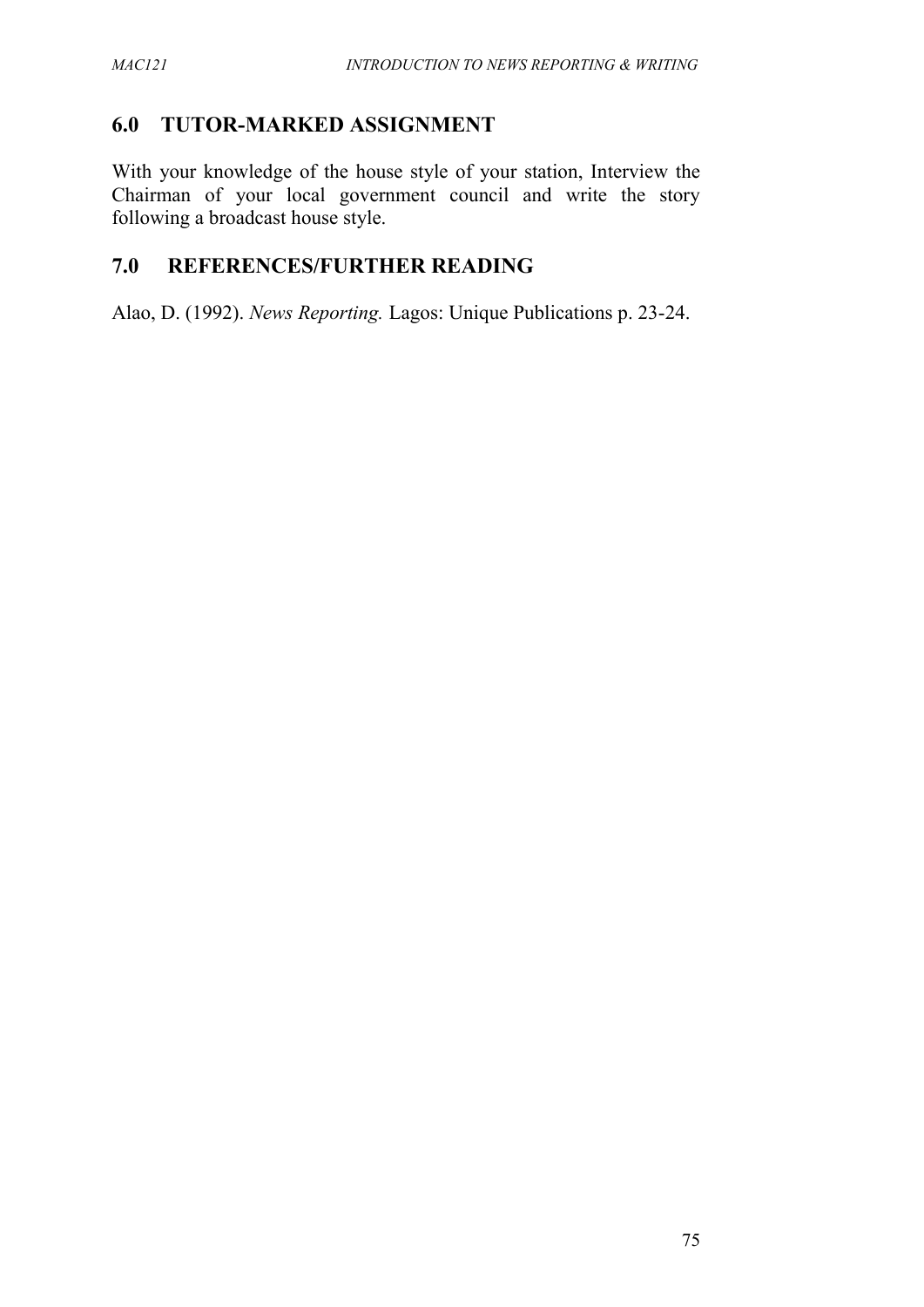### **6.0 TUTOR-MARKED ASSIGNMENT**

With your knowledge of the house style of your station, Interview the Chairman of your local government council and write the story following a broadcast house style.

## **7.0 REFERENCES/FURTHER READING**

Alao, D. (1992). *News Reporting.* Lagos: Unique Publications p. 23-24.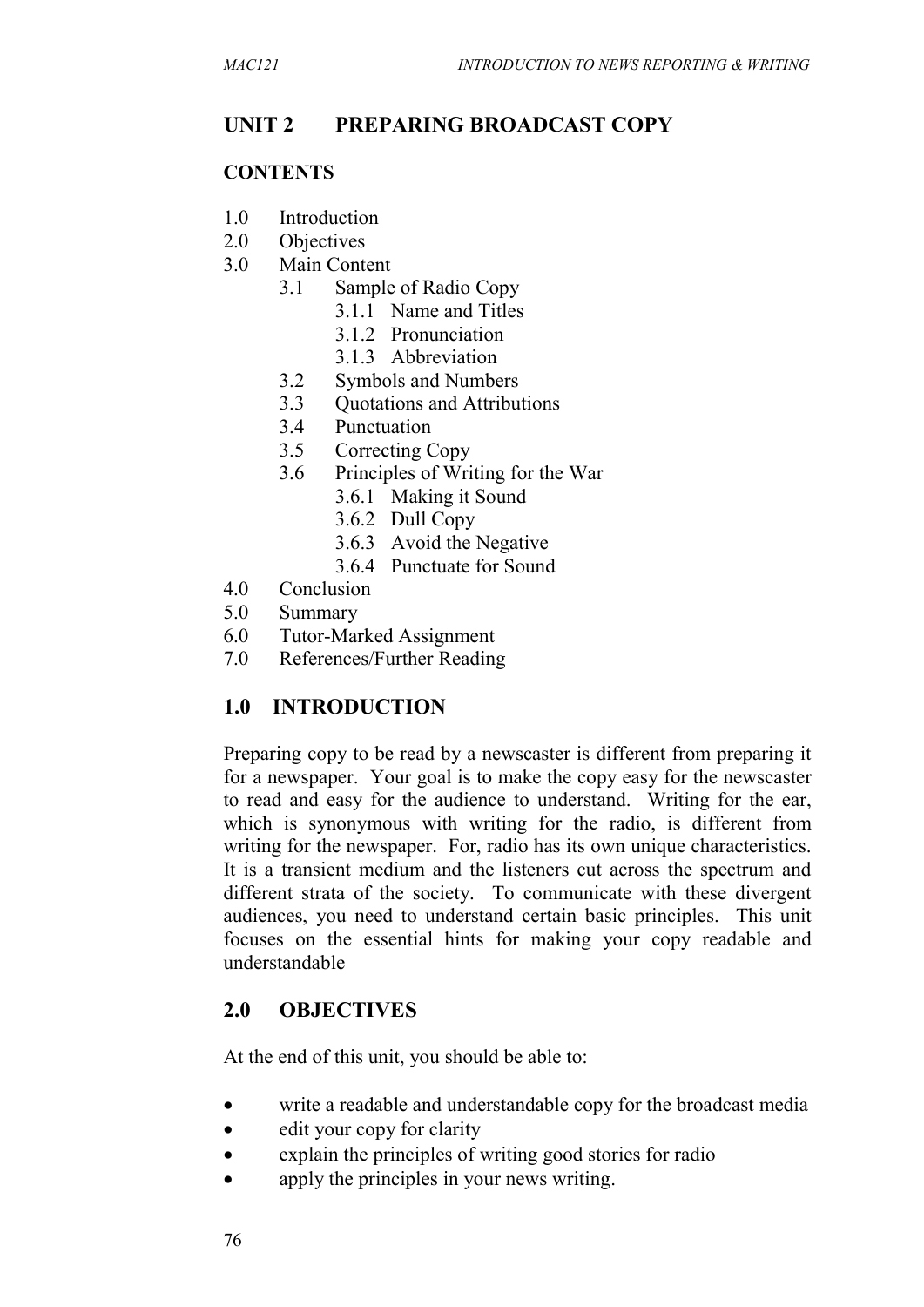## **UNIT 2 PREPARING BROADCAST COPY**

#### **CONTENTS**

- 1.0 Introduction
- 2.0 Objectives
- 3.0 Main Content
	- 3.1 Sample of Radio Copy
		- 3.1.1 Name and Titles
		- 3.1.2 Pronunciation
		- 3.1.3 Abbreviation
	- 3.2 Symbols and Numbers
	- 3.3 Quotations and Attributions
	- 3.4 Punctuation
	- 3.5 Correcting Copy
	- 3.6 Principles of Writing for the War
		- 3.6.1 Making it Sound
		- 3.6.2 Dull Copy
		- 3.6.3 Avoid the Negative
		- 3.6.4 Punctuate for Sound
- 4.0 Conclusion
- 5.0 Summary
- 6.0 Tutor-Marked Assignment
- 7.0 References/Further Reading

#### **1.0 INTRODUCTION**

Preparing copy to be read by a newscaster is different from preparing it for a newspaper. Your goal is to make the copy easy for the newscaster to read and easy for the audience to understand. Writing for the ear, which is synonymous with writing for the radio, is different from writing for the newspaper. For, radio has its own unique characteristics. It is a transient medium and the listeners cut across the spectrum and different strata of the society. To communicate with these divergent audiences, you need to understand certain basic principles. This unit focuses on the essential hints for making your copy readable and understandable

#### **2.0 OBJECTIVES**

At the end of this unit, you should be able to:

- write a readable and understandable copy for the broadcast media
- edit your copy for clarity
- explain the principles of writing good stories for radio
- apply the principles in your news writing.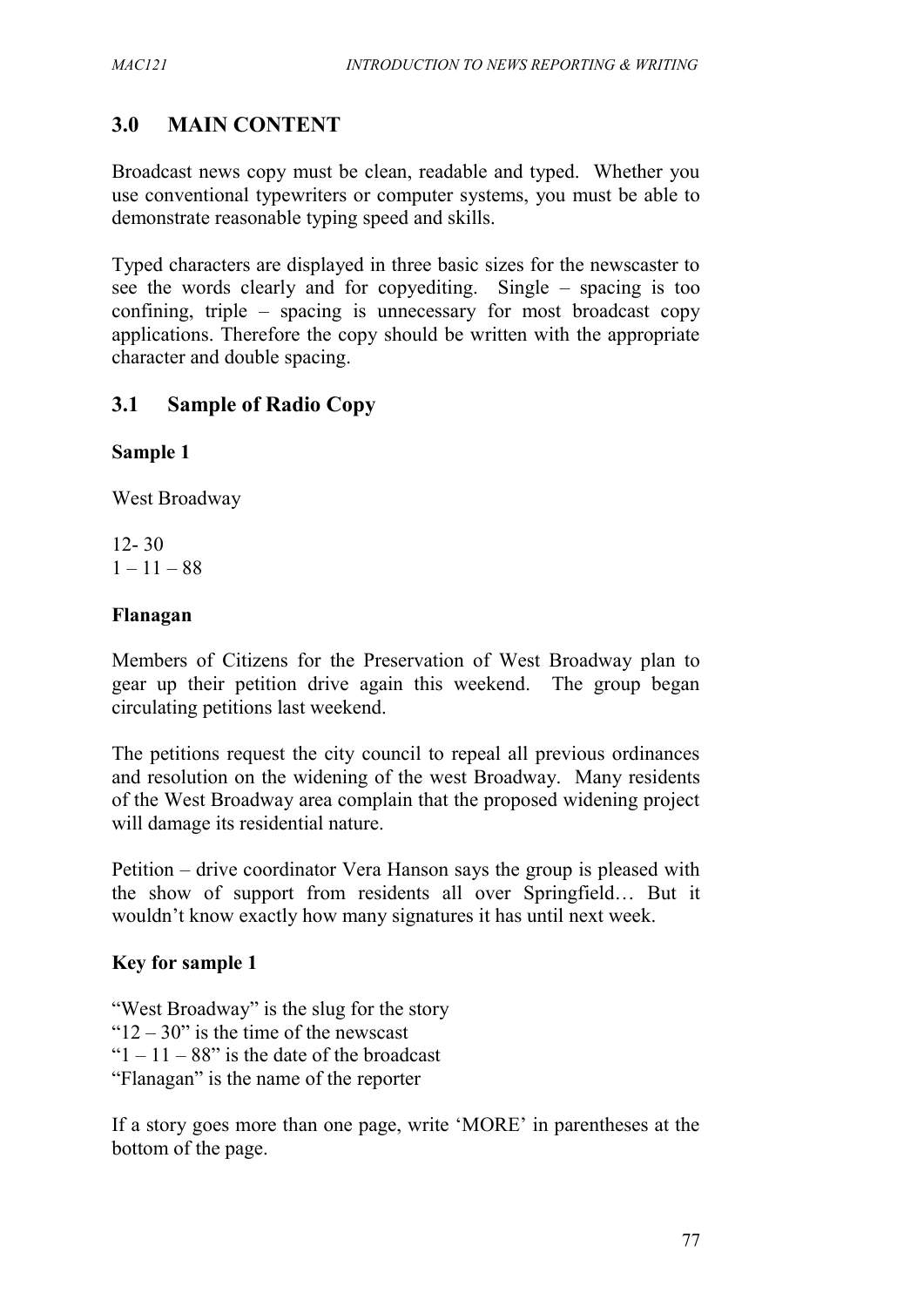# **3.0 MAIN CONTENT**

Broadcast news copy must be clean, readable and typed. Whether you use conventional typewriters or computer systems, you must be able to demonstrate reasonable typing speed and skills.

Typed characters are displayed in three basic sizes for the newscaster to see the words clearly and for copyediting. Single – spacing is too confining, triple – spacing is unnecessary for most broadcast copy applications. Therefore the copy should be written with the appropriate character and double spacing.

### **3.1 Sample of Radio Copy**

#### **Sample 1**

West Broadway

12- 30  $1 - 11 - 88$ 

#### **Flanagan**

Members of Citizens for the Preservation of West Broadway plan to gear up their petition drive again this weekend. The group began circulating petitions last weekend.

The petitions request the city council to repeal all previous ordinances and resolution on the widening of the west Broadway. Many residents of the West Broadway area complain that the proposed widening project will damage its residential nature.

Petition – drive coordinator Vera Hanson says the group is pleased with the show of support from residents all over Springfield… But it wouldn't know exactly how many signatures it has until next week.

#### **Key for sample 1**

"West Broadway" is the slug for the story " $12 - 30$ " is the time of the newscast " $1 - 11 - 88$ " is the date of the broadcast "Flanagan" is the name of the reporter

If a story goes more than one page, write 'MORE' in parentheses at the bottom of the page.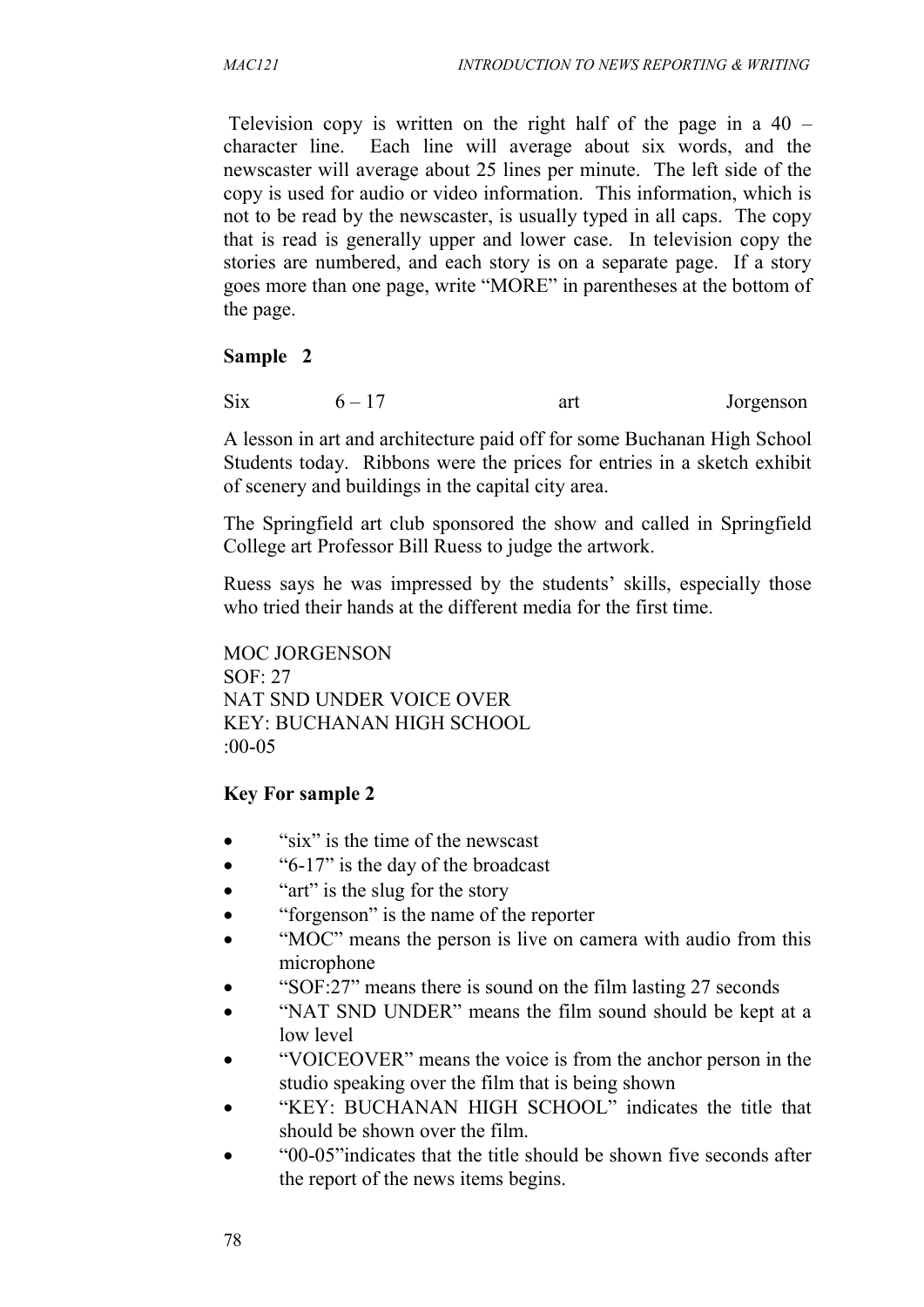Television copy is written on the right half of the page in a 40 – character line. Each line will average about six words, and the newscaster will average about 25 lines per minute. The left side of the copy is used for audio or video information. This information, which is not to be read by the newscaster, is usually typed in all caps. The copy that is read is generally upper and lower case. In television copy the stories are numbered, and each story is on a separate page. If a story goes more than one page, write "MORE" in parentheses at the bottom of the page.

#### **Sample 2**

 $\text{Six}$  6 – 17 art Jorgenson

A lesson in art and architecture paid off for some Buchanan High School Students today. Ribbons were the prices for entries in a sketch exhibit of scenery and buildings in the capital city area.

The Springfield art club sponsored the show and called in Springfield College art Professor Bill Ruess to judge the artwork.

Ruess says he was impressed by the students' skills, especially those who tried their hands at the different media for the first time.

MOC JORGENSON  $SOF: 27$ NAT SND UNDER VOICE OVER KEY: BUCHANAN HIGH SCHOOL  $0.00 - 0.5$ 

#### **Key For sample 2**

- $\bullet$  "six" is the time of the newscast
- "6-17" is the day of the broadcast
- "art" is the slug for the story"
- "forgenson" is the name of the reporter
- "MOC" means the person is live on camera with audio from this microphone
- "SOF:27" means there is sound on the film lasting 27 seconds
- "NAT SND UNDER" means the film sound should be kept at a low level
- "VOICEOVER" means the voice is from the anchor person in the studio speaking over the film that is being shown
- "KEY: BUCHANAN HIGH SCHOOL" indicates the title that should be shown over the film.
- "00-05"indicates that the title should be shown five seconds after the report of the news items begins.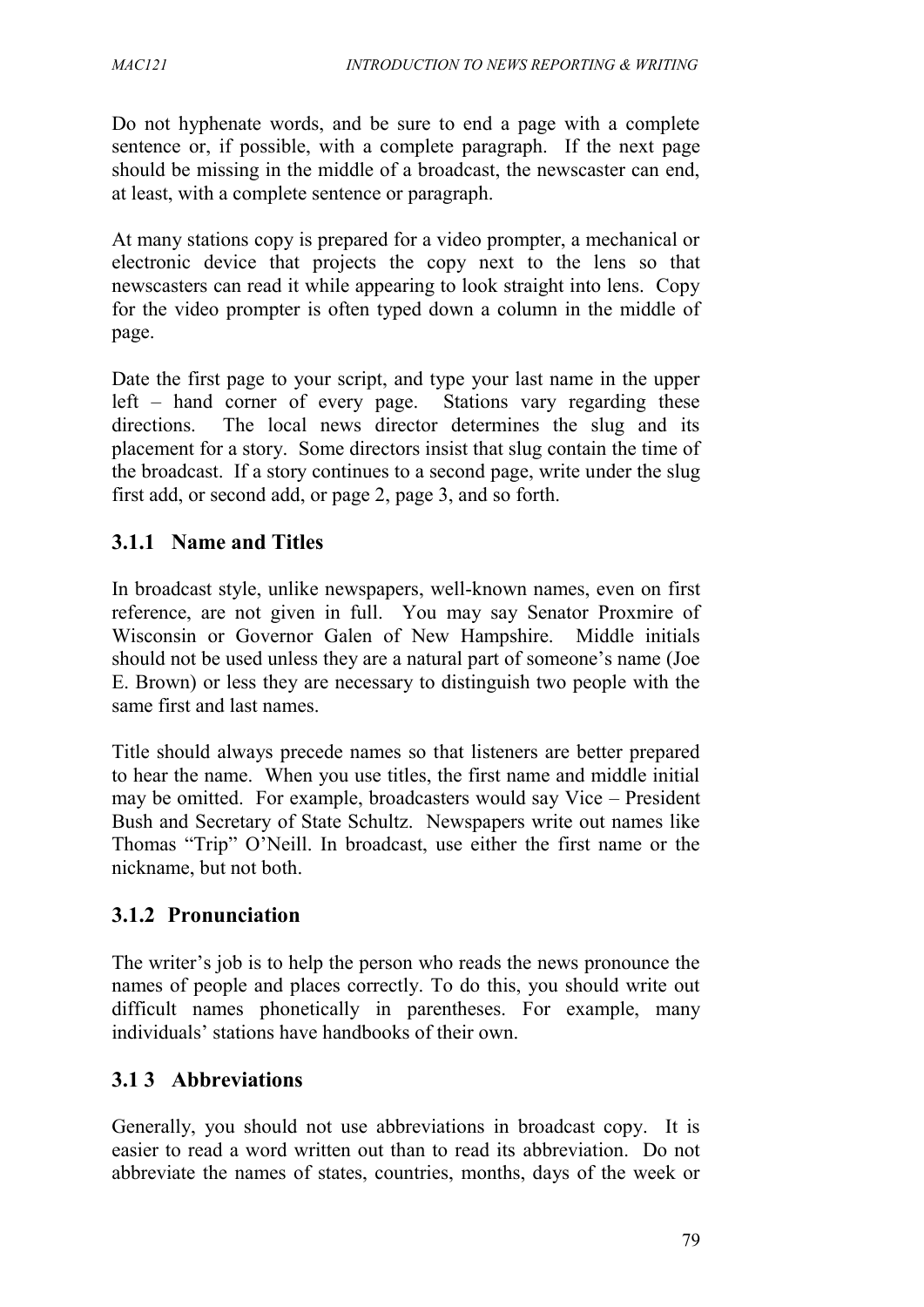Do not hyphenate words, and be sure to end a page with a complete sentence or, if possible, with a complete paragraph. If the next page should be missing in the middle of a broadcast, the newscaster can end, at least, with a complete sentence or paragraph.

At many stations copy is prepared for a video prompter, a mechanical or electronic device that projects the copy next to the lens so that newscasters can read it while appearing to look straight into lens. Copy for the video prompter is often typed down a column in the middle of page.

Date the first page to your script, and type your last name in the upper left – hand corner of every page. Stations vary regarding these directions. The local news director determines the slug and its placement for a story. Some directors insist that slug contain the time of the broadcast. If a story continues to a second page, write under the slug first add, or second add, or page 2, page 3, and so forth.

## **3.1.1 Name and Titles**

In broadcast style, unlike newspapers, well-known names, even on first reference, are not given in full. You may say Senator Proxmire of Wisconsin or Governor Galen of New Hampshire. Middle initials should not be used unless they are a natural part of someone's name (Joe E. Brown) or less they are necessary to distinguish two people with the same first and last names.

Title should always precede names so that listeners are better prepared to hear the name. When you use titles, the first name and middle initial may be omitted. For example, broadcasters would say Vice – President Bush and Secretary of State Schultz. Newspapers write out names like Thomas "Trip" O'Neill. In broadcast, use either the first name or the nickname, but not both.

## **3.1.2 Pronunciation**

The writer's job is to help the person who reads the news pronounce the names of people and places correctly. To do this, you should write out difficult names phonetically in parentheses. For example, many individuals' stations have handbooks of their own.

## **3.1 3 Abbreviations**

Generally, you should not use abbreviations in broadcast copy. It is easier to read a word written out than to read its abbreviation. Do not abbreviate the names of states, countries, months, days of the week or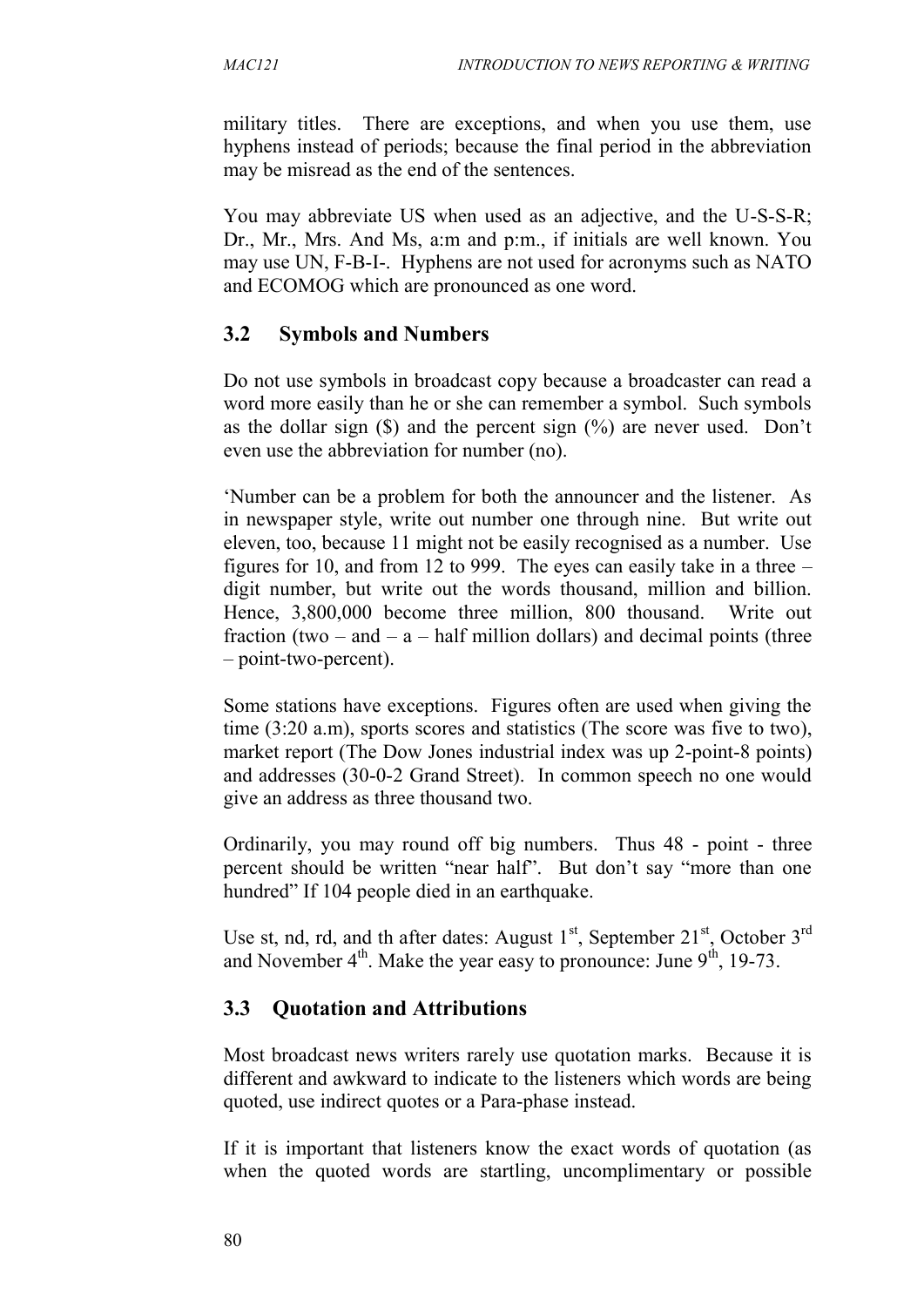military titles. There are exceptions, and when you use them, use hyphens instead of periods; because the final period in the abbreviation may be misread as the end of the sentences.

You may abbreviate US when used as an adjective, and the U-S-S-R; Dr., Mr., Mrs. And Ms, a:m and p:m., if initials are well known. You may use UN, F-B-I-. Hyphens are not used for acronyms such as NATO and ECOMOG which are pronounced as one word.

## **3.2 Symbols and Numbers**

Do not use symbols in broadcast copy because a broadcaster can read a word more easily than he or she can remember a symbol. Such symbols as the dollar sign  $(\hat{S})$  and the percent sign  $(\% )$  are never used. Don't even use the abbreviation for number (no).

'Number can be a problem for both the announcer and the listener. As in newspaper style, write out number one through nine. But write out eleven, too, because 11 might not be easily recognised as a number. Use figures for 10, and from 12 to 999. The eyes can easily take in a three – digit number, but write out the words thousand, million and billion. Hence, 3,800,000 become three million, 800 thousand. Write out fraction (two – and –  $a$  – half million dollars) and decimal points (three – point-two-percent).

Some stations have exceptions. Figures often are used when giving the time (3:20 a.m), sports scores and statistics (The score was five to two), market report (The Dow Jones industrial index was up 2-point-8 points) and addresses (30-0-2 Grand Street). In common speech no one would give an address as three thousand two.

Ordinarily, you may round off big numbers. Thus 48 - point - three percent should be written "near half". But don't say "more than one hundred" If 104 people died in an earthquake.

Use st, nd, rd, and th after dates: August  $1<sup>st</sup>$ , September  $21<sup>st</sup>$ , October  $3<sup>rd</sup>$ and November  $4<sup>th</sup>$ . Make the year easy to pronounce: June  $9<sup>th</sup>$ , 19-73.

## **3.3 Quotation and Attributions**

Most broadcast news writers rarely use quotation marks. Because it is different and awkward to indicate to the listeners which words are being quoted, use indirect quotes or a Para-phase instead.

If it is important that listeners know the exact words of quotation (as when the quoted words are startling, uncomplimentary or possible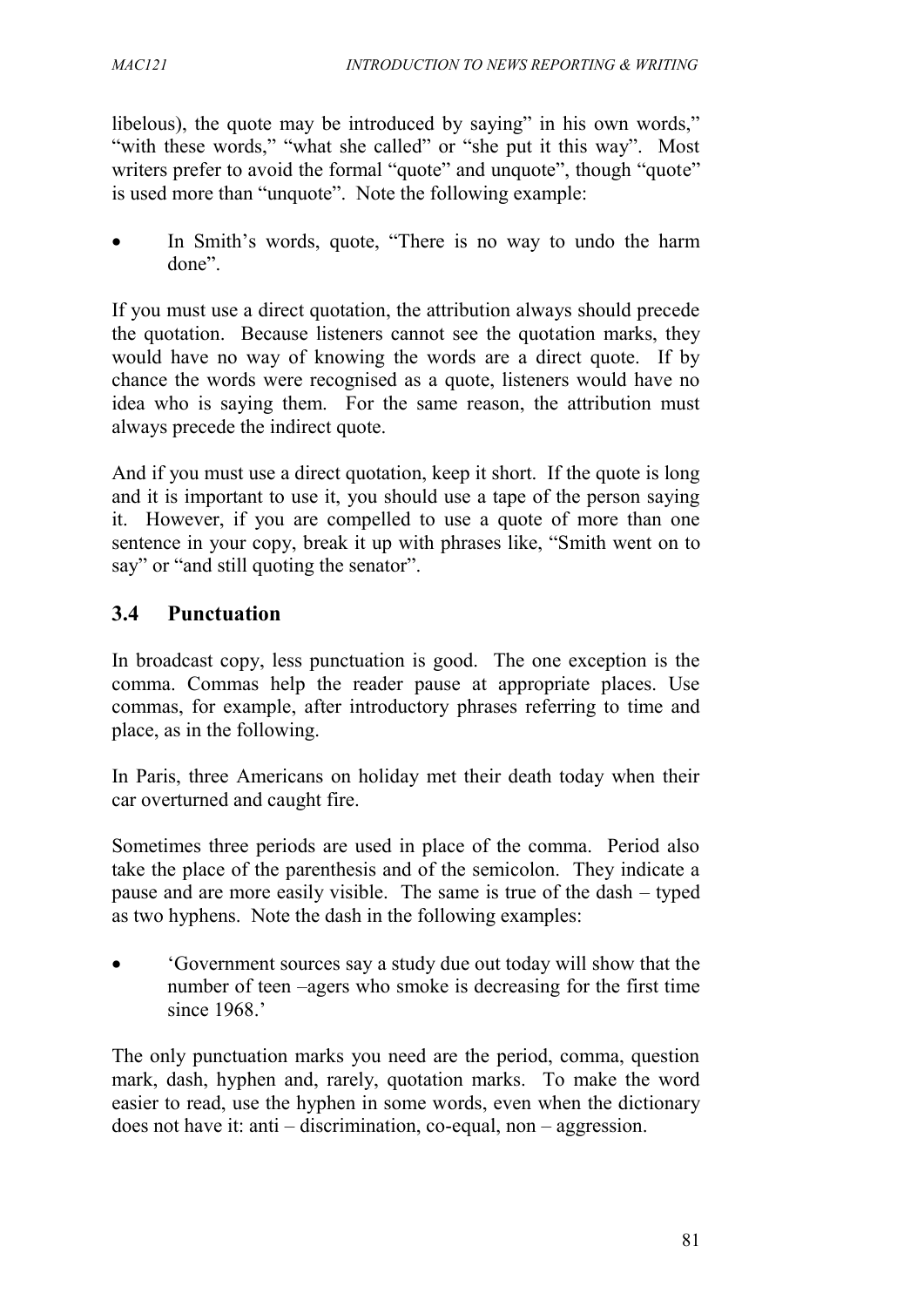libelous), the quote may be introduced by saying" in his own words," "with these words," "what she called" or "she put it this way". Most writers prefer to avoid the formal "quote" and unquote", though "quote" is used more than "unquote". Note the following example:

 In Smith's words, quote, "There is no way to undo the harm done".

If you must use a direct quotation, the attribution always should precede the quotation. Because listeners cannot see the quotation marks, they would have no way of knowing the words are a direct quote. If by chance the words were recognised as a quote, listeners would have no idea who is saying them. For the same reason, the attribution must always precede the indirect quote.

And if you must use a direct quotation, keep it short. If the quote is long and it is important to use it, you should use a tape of the person saying it. However, if you are compelled to use a quote of more than one sentence in your copy, break it up with phrases like, "Smith went on to say" or "and still quoting the senator".

### **3.4 Punctuation**

In broadcast copy, less punctuation is good. The one exception is the comma. Commas help the reader pause at appropriate places. Use commas, for example, after introductory phrases referring to time and place, as in the following.

In Paris, three Americans on holiday met their death today when their car overturned and caught fire.

Sometimes three periods are used in place of the comma. Period also take the place of the parenthesis and of the semicolon. They indicate a pause and are more easily visible. The same is true of the dash – typed as two hyphens. Note the dash in the following examples:

 'Government sources say a study due out today will show that the number of teen –agers who smoke is decreasing for the first time since 1968.'

The only punctuation marks you need are the period, comma, question mark, dash, hyphen and, rarely, quotation marks. To make the word easier to read, use the hyphen in some words, even when the dictionary does not have it: anti – discrimination, co-equal, non – aggression.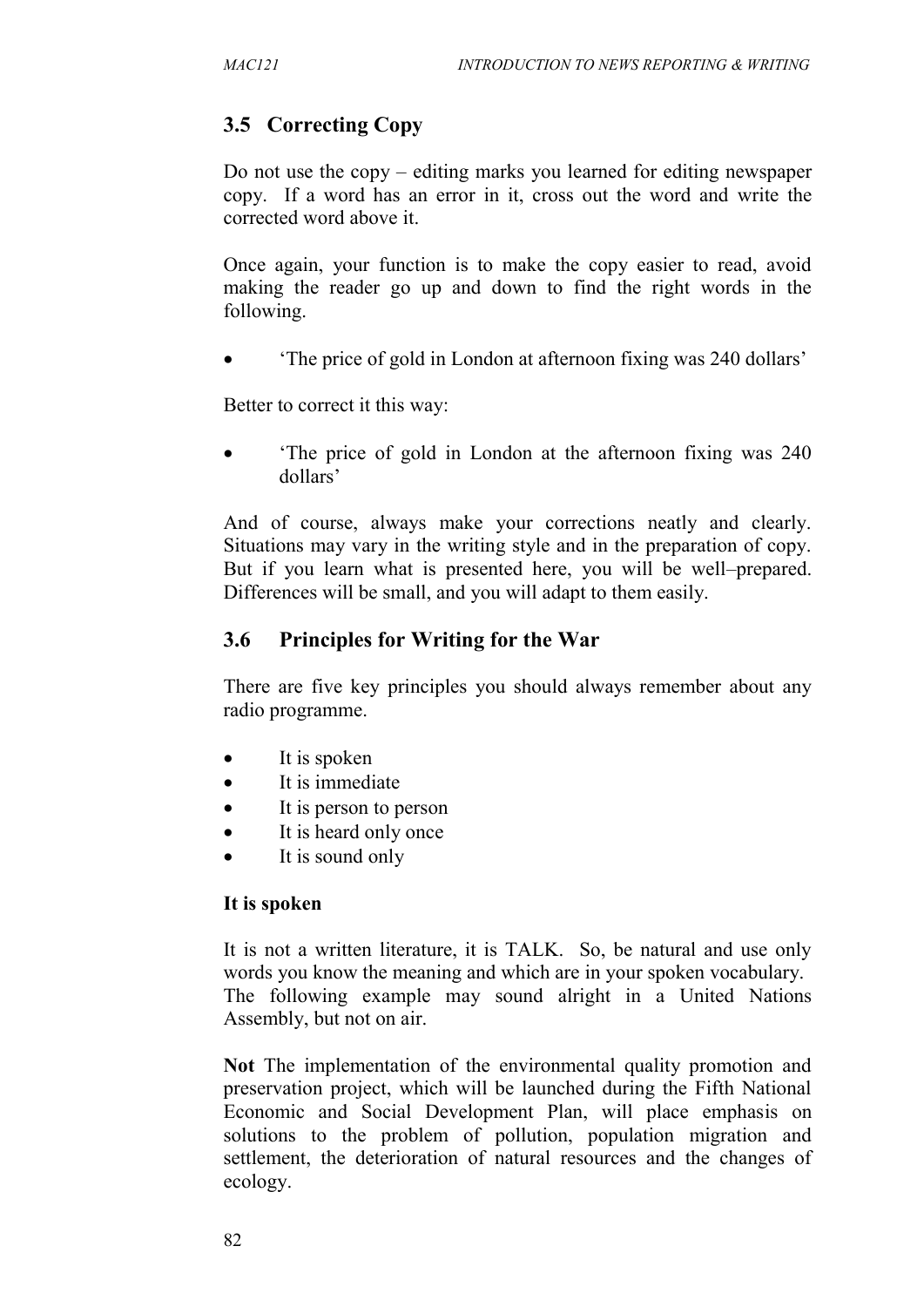# **3.5 Correcting Copy**

Do not use the copy – editing marks you learned for editing newspaper copy. If a word has an error in it, cross out the word and write the corrected word above it.

Once again, your function is to make the copy easier to read, avoid making the reader go up and down to find the right words in the following.

'The price of gold in London at afternoon fixing was 240 dollars'

Better to correct it this way:

• The price of gold in London at the afternoon fixing was 240 dollars'

And of course, always make your corrections neatly and clearly. Situations may vary in the writing style and in the preparation of copy. But if you learn what is presented here, you will be well–prepared. Differences will be small, and you will adapt to them easily.

### **3.6 Principles for Writing for the War**

There are five key principles you should always remember about any radio programme.

- $\bullet$  It is spoken
- It is immediate
- It is person to person
- It is heard only once
- It is sound only

#### **It is spoken**

It is not a written literature, it is TALK. So, be natural and use only words you know the meaning and which are in your spoken vocabulary. The following example may sound alright in a United Nations Assembly, but not on air.

**Not** The implementation of the environmental quality promotion and preservation project, which will be launched during the Fifth National Economic and Social Development Plan, will place emphasis on solutions to the problem of pollution, population migration and settlement, the deterioration of natural resources and the changes of ecology.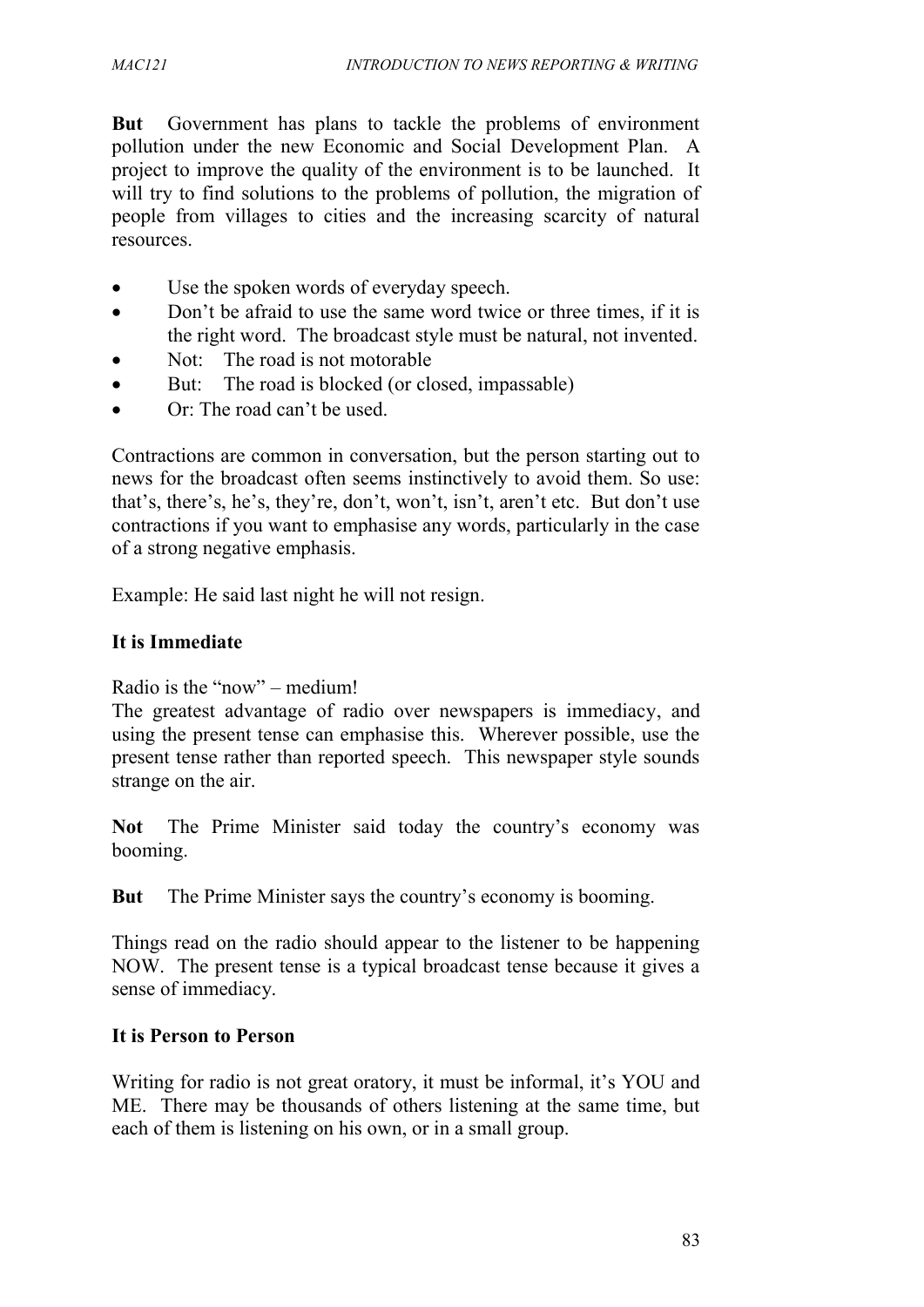**But** Government has plans to tackle the problems of environment pollution under the new Economic and Social Development Plan. A project to improve the quality of the environment is to be launched. It will try to find solutions to the problems of pollution, the migration of people from villages to cities and the increasing scarcity of natural resources.

- Use the spoken words of everyday speech.
- Don't be afraid to use the same word twice or three times, if it is the right word. The broadcast style must be natural, not invented.
- Not: The road is not motorable
- But: The road is blocked (or closed, impassable)
- Or: The road can't be used.

Contractions are common in conversation, but the person starting out to news for the broadcast often seems instinctively to avoid them. So use: that's, there's, he's, they're, don't, won't, isn't, aren't etc. But don't use contractions if you want to emphasise any words, particularly in the case of a strong negative emphasis.

Example: He said last night he will not resign.

# **It is Immediate**

Radio is the "now" – medium!

The greatest advantage of radio over newspapers is immediacy, and using the present tense can emphasise this. Wherever possible, use the present tense rather than reported speech. This newspaper style sounds strange on the air.

**Not** The Prime Minister said today the country's economy was booming.

**But** The Prime Minister says the country's economy is booming.

Things read on the radio should appear to the listener to be happening NOW. The present tense is a typical broadcast tense because it gives a sense of immediacy.

# **It is Person to Person**

Writing for radio is not great oratory, it must be informal, it's YOU and ME. There may be thousands of others listening at the same time, but each of them is listening on his own, or in a small group.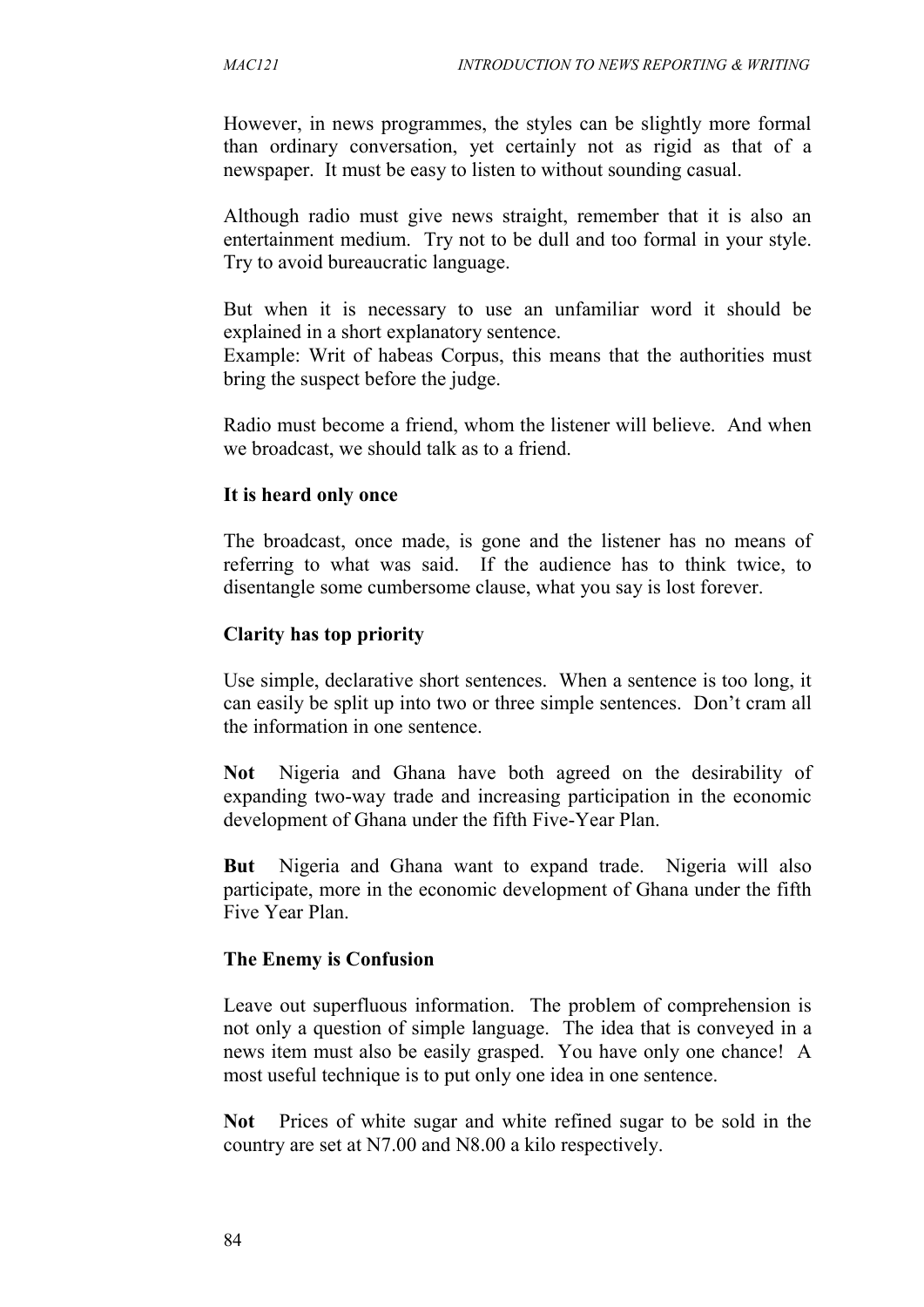However, in news programmes, the styles can be slightly more formal than ordinary conversation, yet certainly not as rigid as that of a newspaper. It must be easy to listen to without sounding casual.

Although radio must give news straight, remember that it is also an entertainment medium. Try not to be dull and too formal in your style. Try to avoid bureaucratic language.

But when it is necessary to use an unfamiliar word it should be explained in a short explanatory sentence.

Example: Writ of habeas Corpus, this means that the authorities must bring the suspect before the judge.

Radio must become a friend, whom the listener will believe. And when we broadcast, we should talk as to a friend.

#### **It is heard only once**

The broadcast, once made, is gone and the listener has no means of referring to what was said. If the audience has to think twice, to disentangle some cumbersome clause, what you say is lost forever.

#### **Clarity has top priority**

Use simple, declarative short sentences. When a sentence is too long, it can easily be split up into two or three simple sentences. Don't cram all the information in one sentence.

**Not** Nigeria and Ghana have both agreed on the desirability of expanding two-way trade and increasing participation in the economic development of Ghana under the fifth Five-Year Plan.

**But** Nigeria and Ghana want to expand trade. Nigeria will also participate, more in the economic development of Ghana under the fifth Five Year Plan.

#### **The Enemy is Confusion**

Leave out superfluous information. The problem of comprehension is not only a question of simple language. The idea that is conveyed in a news item must also be easily grasped. You have only one chance! A most useful technique is to put only one idea in one sentence.

**Not** Prices of white sugar and white refined sugar to be sold in the country are set at N7.00 and N8.00 a kilo respectively.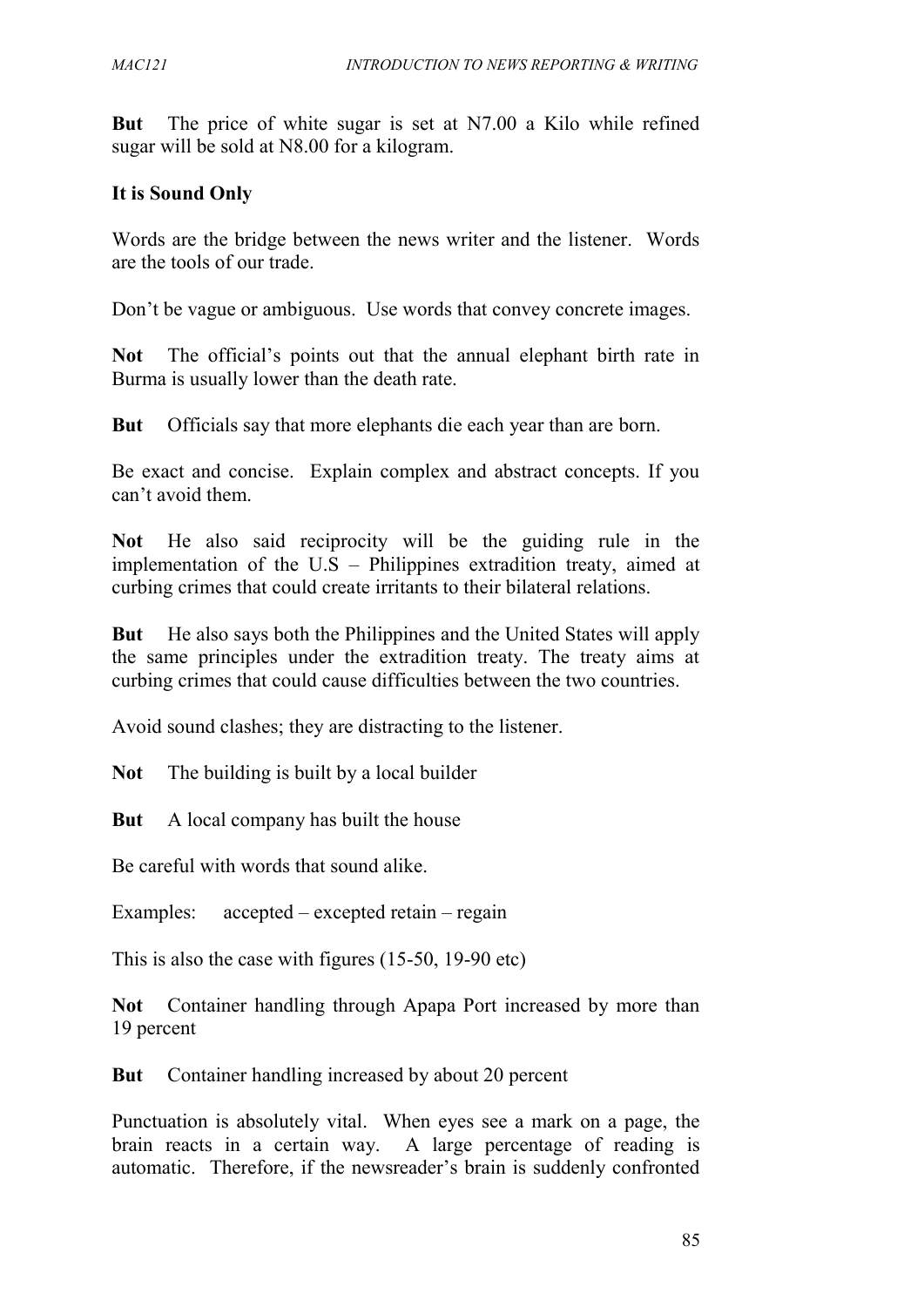**But** The price of white sugar is set at N7.00 a Kilo while refined sugar will be sold at N8.00 for a kilogram.

#### **It is Sound Only**

Words are the bridge between the news writer and the listener. Words are the tools of our trade.

Don't be vague or ambiguous. Use words that convey concrete images.

**Not** The official's points out that the annual elephant birth rate in Burma is usually lower than the death rate.

**But** Officials say that more elephants die each year than are born.

Be exact and concise. Explain complex and abstract concepts. If you can't avoid them.

**Not** He also said reciprocity will be the guiding rule in the implementation of the U.S – Philippines extradition treaty, aimed at curbing crimes that could create irritants to their bilateral relations.

**But** He also says both the Philippines and the United States will apply the same principles under the extradition treaty. The treaty aims at curbing crimes that could cause difficulties between the two countries.

Avoid sound clashes; they are distracting to the listener.

**Not** The building is built by a local builder

**But** A local company has built the house

Be careful with words that sound alike.

Examples: accepted – excepted retain – regain

This is also the case with figures (15-50, 19-90 etc)

**Not** Container handling through Apapa Port increased by more than 19 percent

**But** Container handling increased by about 20 percent

Punctuation is absolutely vital. When eyes see a mark on a page, the brain reacts in a certain way. A large percentage of reading is automatic. Therefore, if the newsreader's brain is suddenly confronted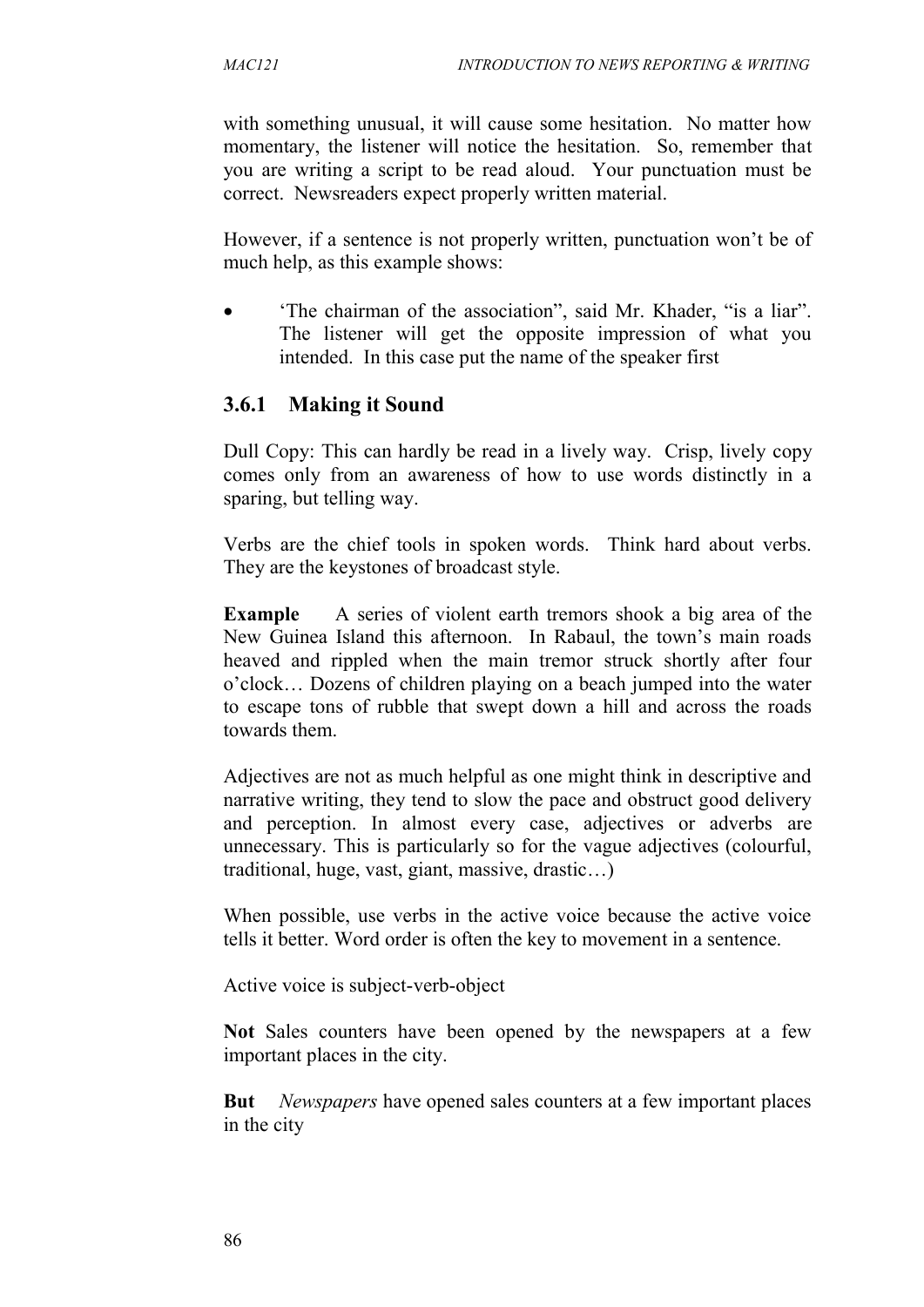with something unusual, it will cause some hesitation. No matter how momentary, the listener will notice the hesitation. So, remember that you are writing a script to be read aloud. Your punctuation must be correct. Newsreaders expect properly written material.

However, if a sentence is not properly written, punctuation won't be of much help, as this example shows:

 'The chairman of the association", said Mr. Khader, "is a liar". The listener will get the opposite impression of what you intended. In this case put the name of the speaker first

## **3.6.1 Making it Sound**

Dull Copy: This can hardly be read in a lively way. Crisp, lively copy comes only from an awareness of how to use words distinctly in a sparing, but telling way.

Verbs are the chief tools in spoken words. Think hard about verbs. They are the keystones of broadcast style.

**Example** A series of violent earth tremors shook a big area of the New Guinea Island this afternoon. In Rabaul, the town's main roads heaved and rippled when the main tremor struck shortly after four o'clock… Dozens of children playing on a beach jumped into the water to escape tons of rubble that swept down a hill and across the roads towards them.

Adjectives are not as much helpful as one might think in descriptive and narrative writing, they tend to slow the pace and obstruct good delivery and perception. In almost every case, adjectives or adverbs are unnecessary. This is particularly so for the vague adjectives (colourful, traditional, huge, vast, giant, massive, drastic…)

When possible, use verbs in the active voice because the active voice tells it better. Word order is often the key to movement in a sentence.

Active voice is subject-verb-object

**Not** Sales counters have been opened by the newspapers at a few important places in the city.

**But** *Newspapers* have opened sales counters at a few important places in the city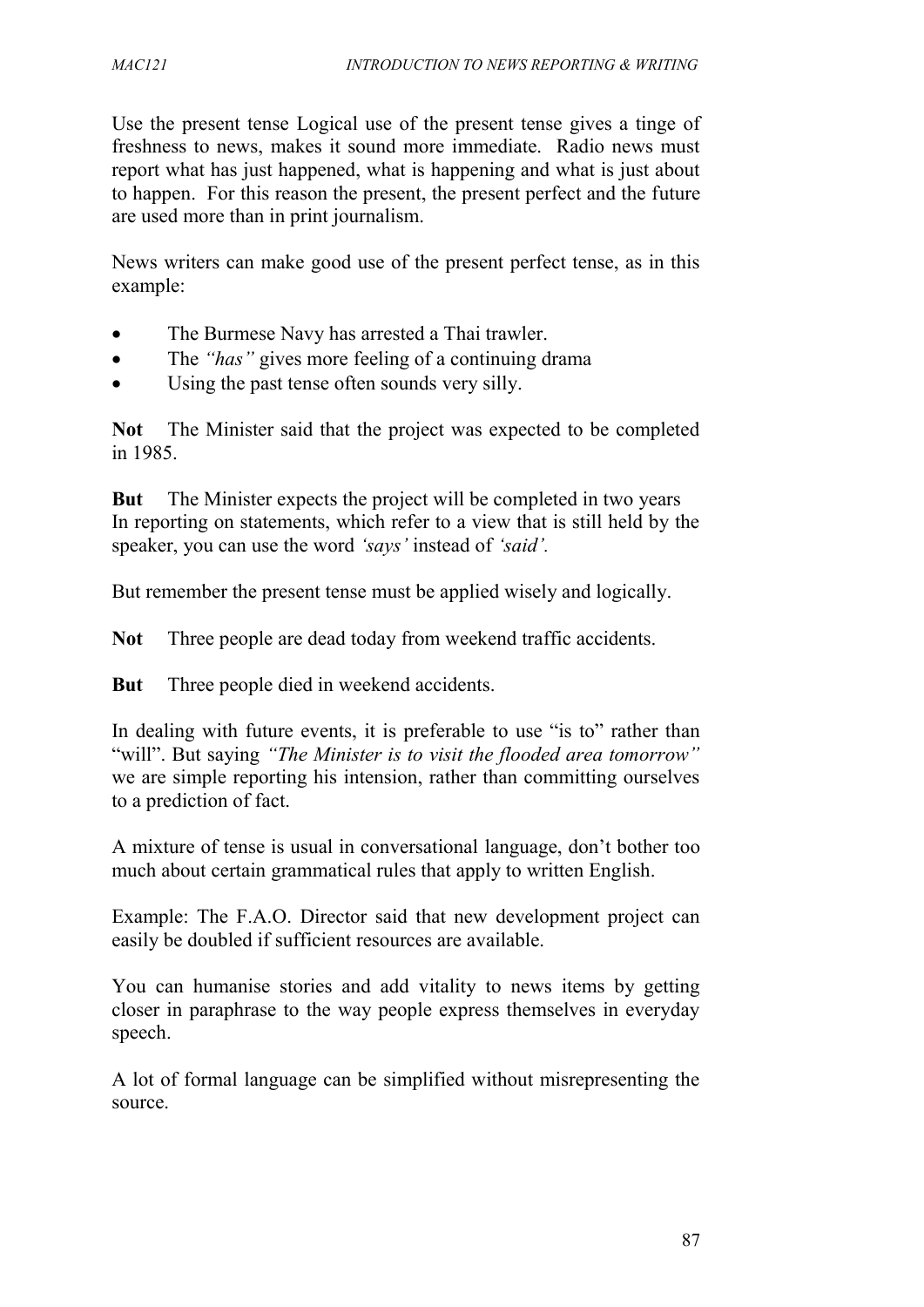Use the present tense Logical use of the present tense gives a tinge of freshness to news, makes it sound more immediate. Radio news must report what has just happened, what is happening and what is just about to happen. For this reason the present, the present perfect and the future are used more than in print journalism.

News writers can make good use of the present perfect tense, as in this example:

- The Burmese Navy has arrested a Thai trawler.
- The *"has"* gives more feeling of a continuing drama
- Using the past tense often sounds very silly.

**Not** The Minister said that the project was expected to be completed in 1985.

**But** The Minister expects the project will be completed in two years In reporting on statements, which refer to a view that is still held by the speaker, you can use the word *'says'* instead of *'said'.*

But remember the present tense must be applied wisely and logically.

**Not** Three people are dead today from weekend traffic accidents.

**But** Three people died in weekend accidents.

In dealing with future events, it is preferable to use "is to" rather than "will". But saying *"The Minister is to visit the flooded area tomorrow"* we are simple reporting his intension, rather than committing ourselves to a prediction of fact.

A mixture of tense is usual in conversational language, don't bother too much about certain grammatical rules that apply to written English.

Example: The F.A.O. Director said that new development project can easily be doubled if sufficient resources are available.

You can humanise stories and add vitality to news items by getting closer in paraphrase to the way people express themselves in everyday speech.

A lot of formal language can be simplified without misrepresenting the source.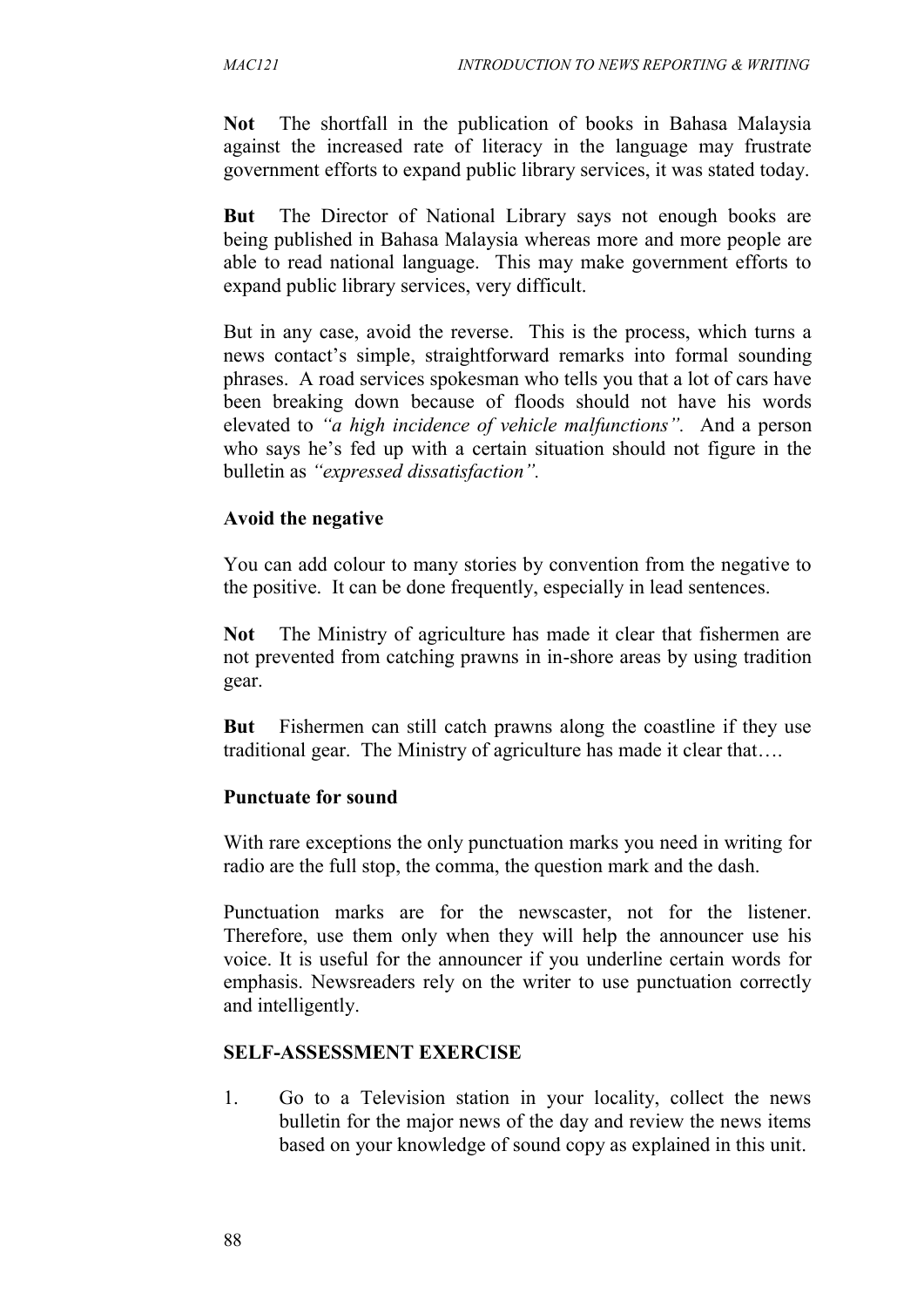**Not** The shortfall in the publication of books in Bahasa Malaysia against the increased rate of literacy in the language may frustrate government efforts to expand public library services, it was stated today.

**But** The Director of National Library says not enough books are being published in Bahasa Malaysia whereas more and more people are able to read national language. This may make government efforts to expand public library services, very difficult.

But in any case, avoid the reverse. This is the process, which turns a news contact's simple, straightforward remarks into formal sounding phrases. A road services spokesman who tells you that a lot of cars have been breaking down because of floods should not have his words elevated to *"a high incidence of vehicle malfunctions".* And a person who says he's fed up with a certain situation should not figure in the bulletin as *"expressed dissatisfaction".*

#### **Avoid the negative**

You can add colour to many stories by convention from the negative to the positive. It can be done frequently, especially in lead sentences.

**Not** The Ministry of agriculture has made it clear that fishermen are not prevented from catching prawns in in-shore areas by using tradition gear.

**But** Fishermen can still catch prawns along the coastline if they use traditional gear. The Ministry of agriculture has made it clear that….

#### **Punctuate for sound**

With rare exceptions the only punctuation marks you need in writing for radio are the full stop, the comma, the question mark and the dash.

Punctuation marks are for the newscaster, not for the listener. Therefore, use them only when they will help the announcer use his voice. It is useful for the announcer if you underline certain words for emphasis. Newsreaders rely on the writer to use punctuation correctly and intelligently.

#### **SELF-ASSESSMENT EXERCISE**

1. Go to a Television station in your locality, collect the news bulletin for the major news of the day and review the news items based on your knowledge of sound copy as explained in this unit.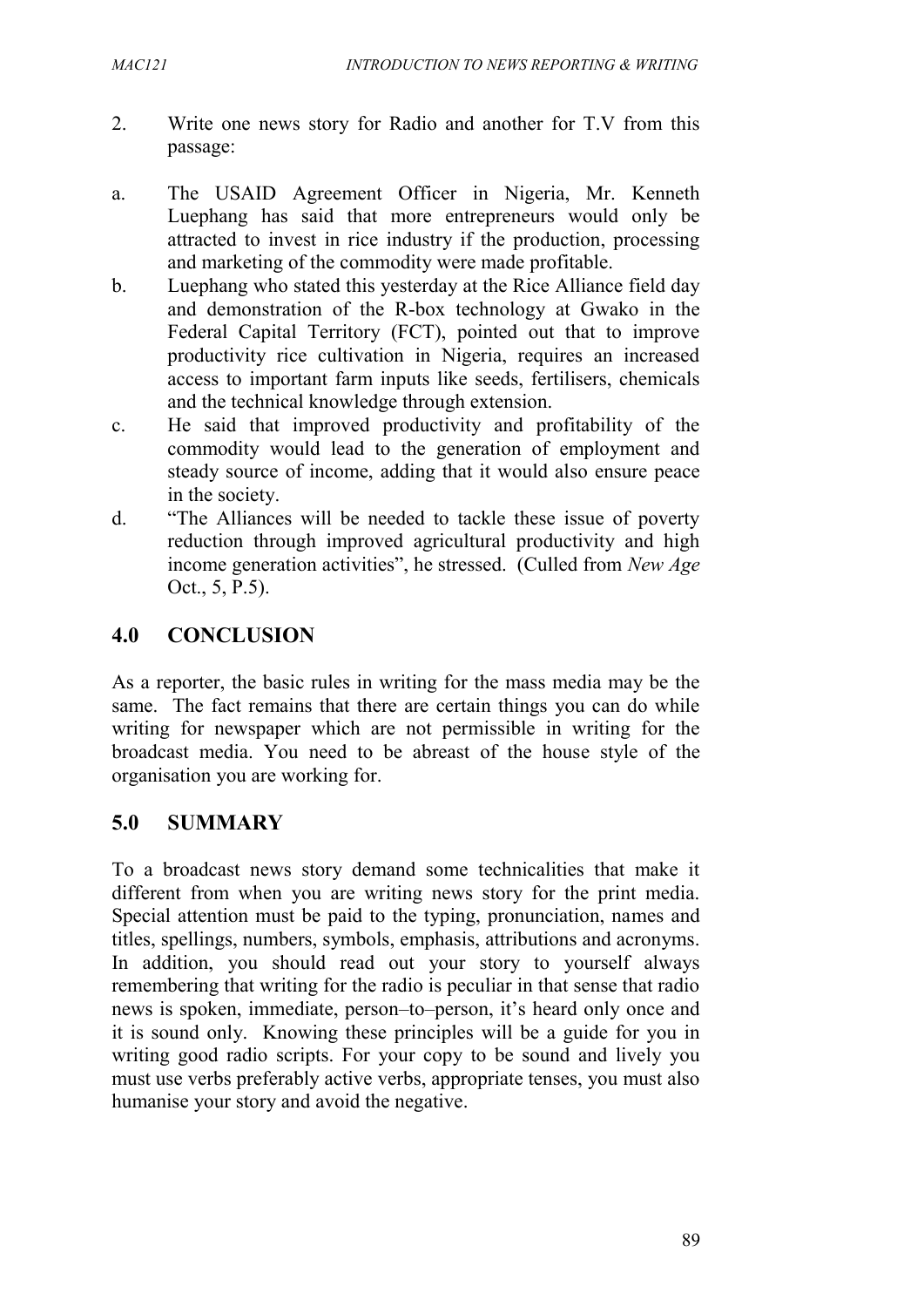- 2. Write one news story for Radio and another for T.V from this passage:
- a. The USAID Agreement Officer in Nigeria, Mr. Kenneth Luephang has said that more entrepreneurs would only be attracted to invest in rice industry if the production, processing and marketing of the commodity were made profitable.
- b. Luephang who stated this yesterday at the Rice Alliance field day and demonstration of the R-box technology at Gwako in the Federal Capital Territory (FCT), pointed out that to improve productivity rice cultivation in Nigeria, requires an increased access to important farm inputs like seeds, fertilisers, chemicals and the technical knowledge through extension.
- c. He said that improved productivity and profitability of the commodity would lead to the generation of employment and steady source of income, adding that it would also ensure peace in the society.
- d. "The Alliances will be needed to tackle these issue of poverty reduction through improved agricultural productivity and high income generation activities", he stressed. (Culled from *New Age* Oct., 5, P.5).

# **4.0 CONCLUSION**

As a reporter, the basic rules in writing for the mass media may be the same. The fact remains that there are certain things you can do while writing for newspaper which are not permissible in writing for the broadcast media. You need to be abreast of the house style of the organisation you are working for.

## **5.0 SUMMARY**

To a broadcast news story demand some technicalities that make it different from when you are writing news story for the print media. Special attention must be paid to the typing, pronunciation, names and titles, spellings, numbers, symbols, emphasis, attributions and acronyms. In addition, you should read out your story to yourself always remembering that writing for the radio is peculiar in that sense that radio news is spoken, immediate, person–to–person, it's heard only once and it is sound only. Knowing these principles will be a guide for you in writing good radio scripts. For your copy to be sound and lively you must use verbs preferably active verbs, appropriate tenses, you must also humanise your story and avoid the negative.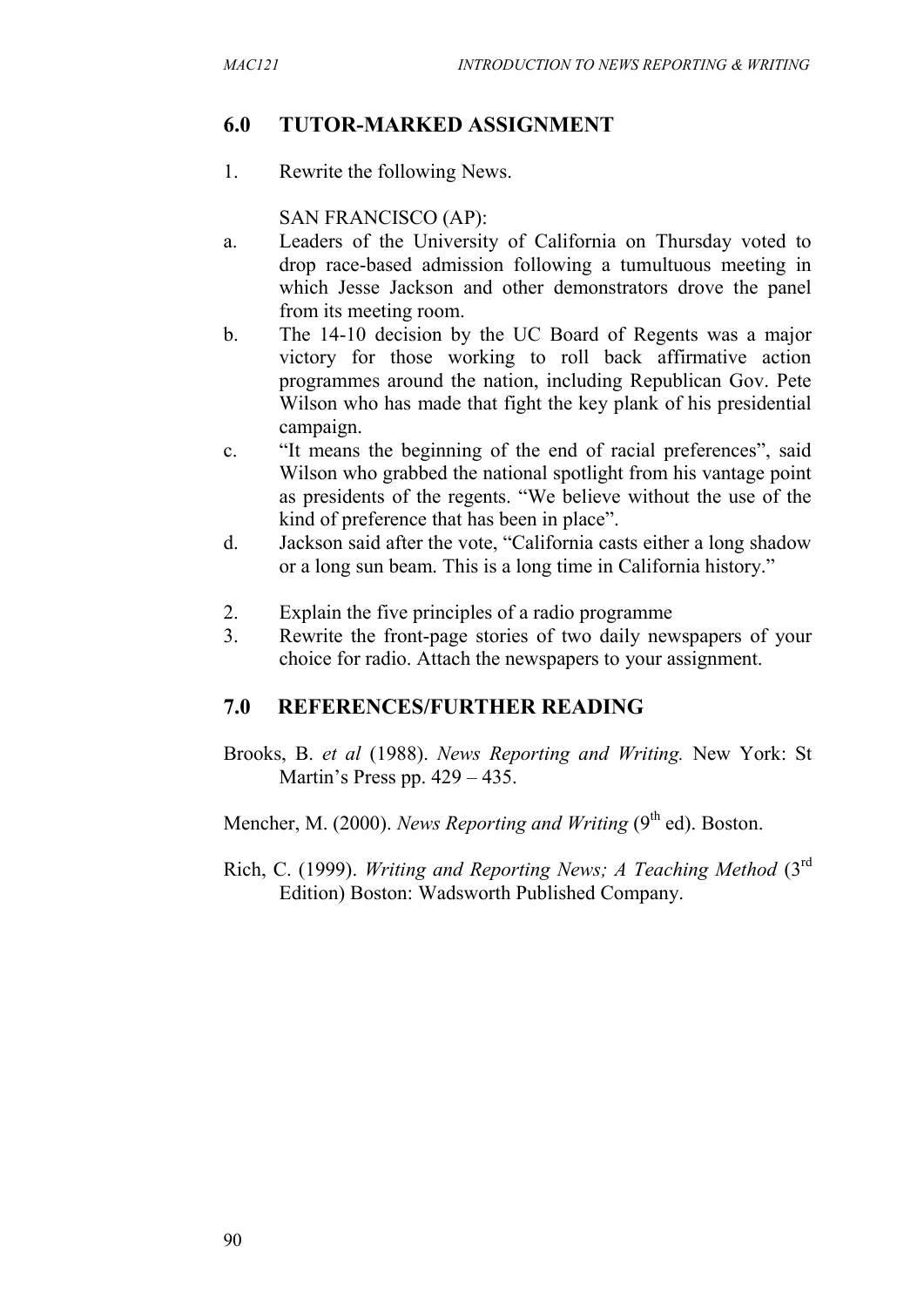#### **6.0 TUTOR-MARKED ASSIGNMENT**

1. Rewrite the following News.

SAN FRANCISCO (AP):

- a. Leaders of the University of California on Thursday voted to drop race-based admission following a tumultuous meeting in which Jesse Jackson and other demonstrators drove the panel from its meeting room.
- b. The 14-10 decision by the UC Board of Regents was a major victory for those working to roll back affirmative action programmes around the nation, including Republican Gov. Pete Wilson who has made that fight the key plank of his presidential campaign.
- c. "It means the beginning of the end of racial preferences", said Wilson who grabbed the national spotlight from his vantage point as presidents of the regents. "We believe without the use of the kind of preference that has been in place".
- d. Jackson said after the vote, "California casts either a long shadow or a long sun beam. This is a long time in California history."
- 2. Explain the five principles of a radio programme
- 3. Rewrite the front-page stories of two daily newspapers of your choice for radio. Attach the newspapers to your assignment.

#### **7.0 REFERENCES/FURTHER READING**

Brooks, B. *et al* (1988). *News Reporting and Writing.* New York: St Martin's Press pp. 429 – 435.

Mencher, M. (2000). *News Reporting and Writing* (9<sup>th</sup> ed). Boston.

Rich, C. (1999). *Writing and Reporting News; A Teaching Method* (3rd Edition) Boston: Wadsworth Published Company.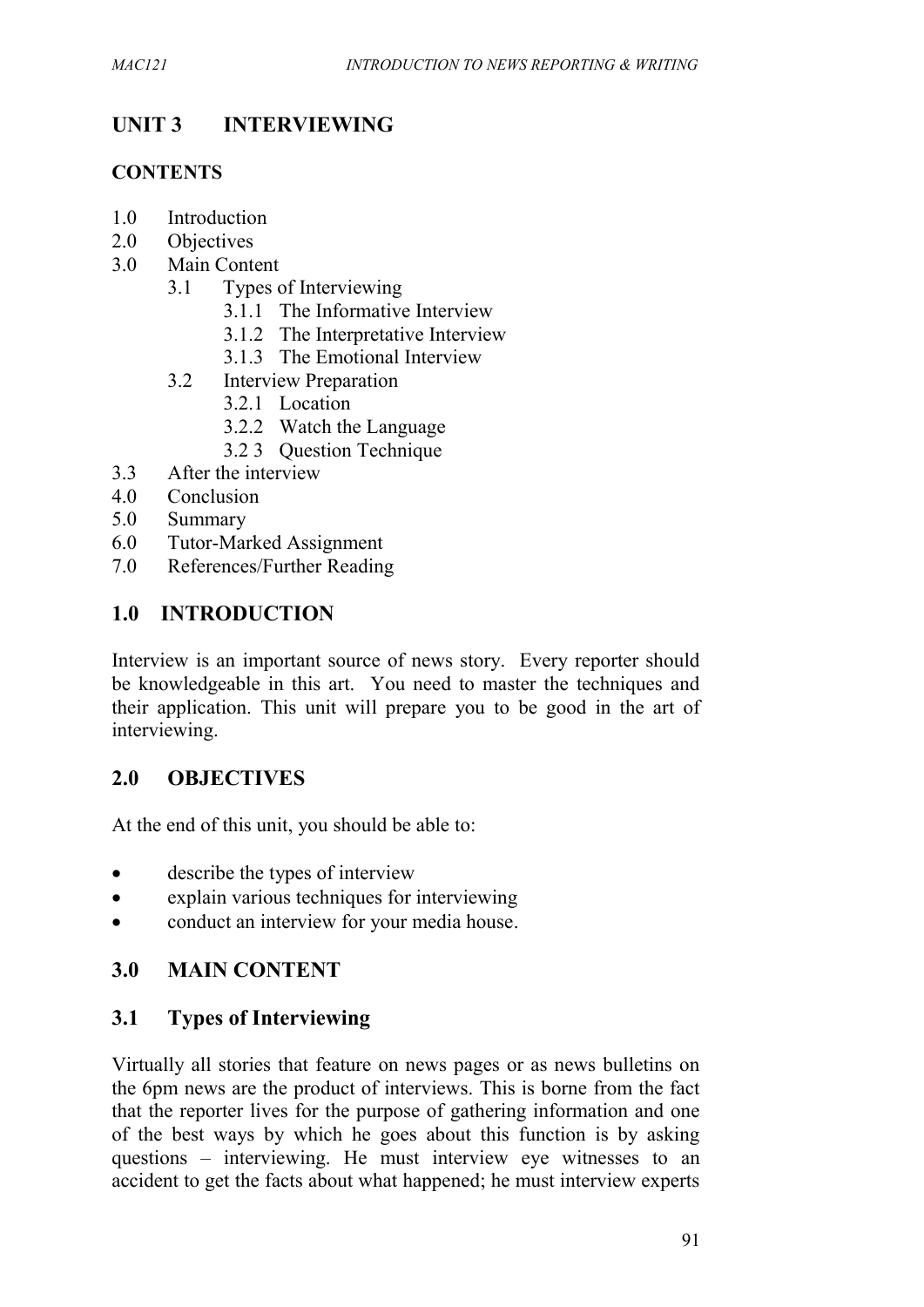# **UNIT 3 INTERVIEWING**

## **CONTENTS**

- 1.0 Introduction
- 2.0 Objectives
- 3.0 Main Content
	- 3.1 Types of Interviewing
		- 3.1.1 The Informative Interview
		- 3.1.2 The Interpretative Interview
		- 3.1.3 The Emotional Interview
	- 3.2 Interview Preparation
		- 3.2.1 Location
		- 3.2.2 Watch the Language
		- 3.2 3 Question Technique
- 3.3 After the interview
- 4.0 Conclusion
- 5.0 Summary
- 6.0 Tutor-Marked Assignment
- 7.0 References/Further Reading

# **1.0 INTRODUCTION**

Interview is an important source of news story. Every reporter should be knowledgeable in this art. You need to master the techniques and their application. This unit will prepare you to be good in the art of interviewing.

## **2.0 OBJECTIVES**

At the end of this unit, you should be able to:

- describe the types of interview
- explain various techniques for interviewing
- conduct an interview for your media house.

# **3.0 MAIN CONTENT**

## **3.1 Types of Interviewing**

Virtually all stories that feature on news pages or as news bulletins on the 6pm news are the product of interviews. This is borne from the fact that the reporter lives for the purpose of gathering information and one of the best ways by which he goes about this function is by asking questions – interviewing. He must interview eye witnesses to an accident to get the facts about what happened; he must interview experts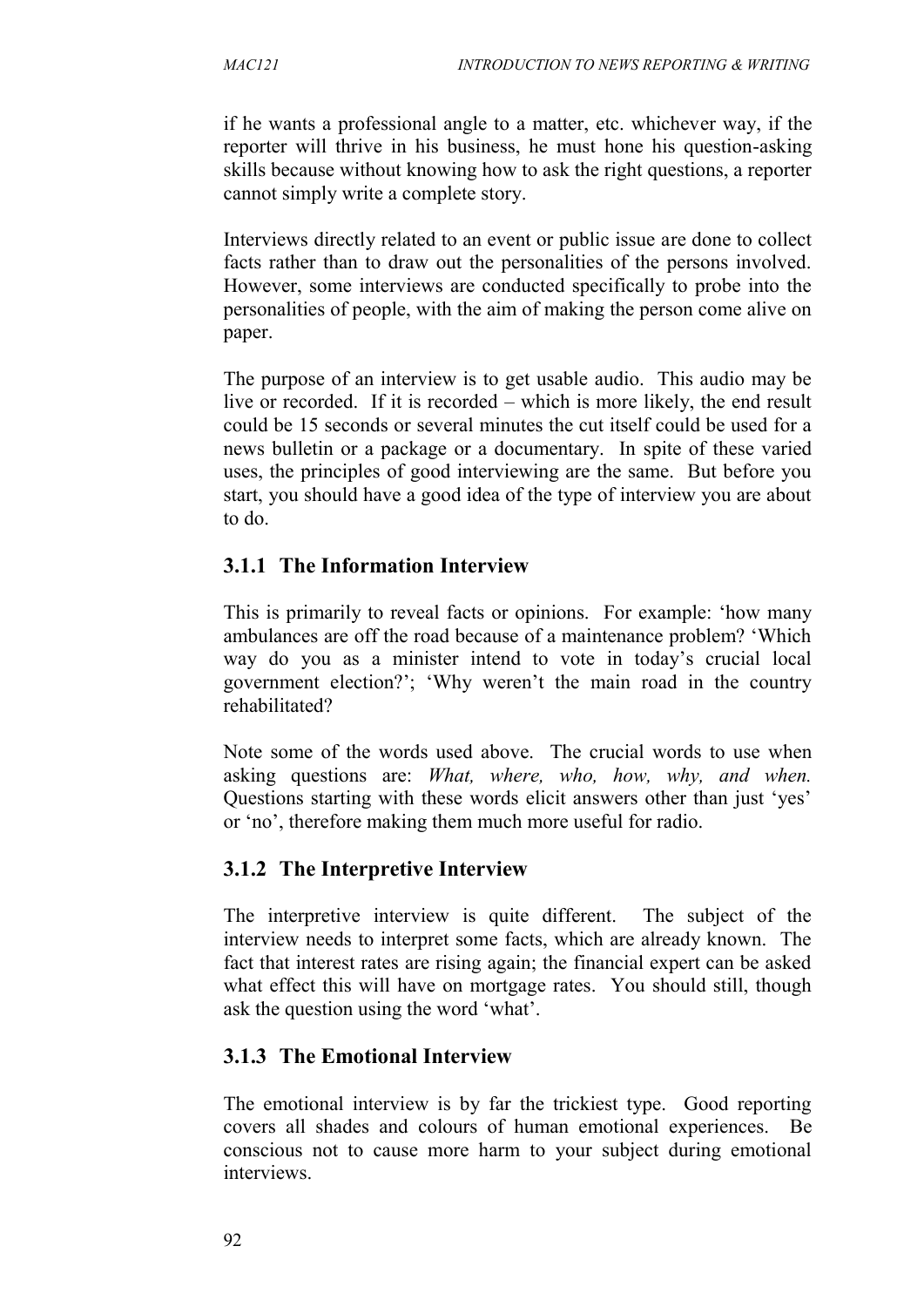if he wants a professional angle to a matter, etc. whichever way, if the reporter will thrive in his business, he must hone his question-asking skills because without knowing how to ask the right questions, a reporter cannot simply write a complete story.

Interviews directly related to an event or public issue are done to collect facts rather than to draw out the personalities of the persons involved. However, some interviews are conducted specifically to probe into the personalities of people, with the aim of making the person come alive on paper.

The purpose of an interview is to get usable audio. This audio may be live or recorded. If it is recorded – which is more likely, the end result could be 15 seconds or several minutes the cut itself could be used for a news bulletin or a package or a documentary. In spite of these varied uses, the principles of good interviewing are the same. But before you start, you should have a good idea of the type of interview you are about to do.

## **3.1.1 The Information Interview**

This is primarily to reveal facts or opinions. For example: 'how many ambulances are off the road because of a maintenance problem? 'Which way do you as a minister intend to vote in today's crucial local government election?'; 'Why weren't the main road in the country rehabilitated?

Note some of the words used above. The crucial words to use when asking questions are: *What, where, who, how, why, and when.* Questions starting with these words elicit answers other than just 'yes' or 'no', therefore making them much more useful for radio.

## **3.1.2 The Interpretive Interview**

The interpretive interview is quite different. The subject of the interview needs to interpret some facts, which are already known. The fact that interest rates are rising again; the financial expert can be asked what effect this will have on mortgage rates. You should still, though ask the question using the word 'what'.

## **3.1.3 The Emotional Interview**

The emotional interview is by far the trickiest type. Good reporting covers all shades and colours of human emotional experiences. Be conscious not to cause more harm to your subject during emotional interviews.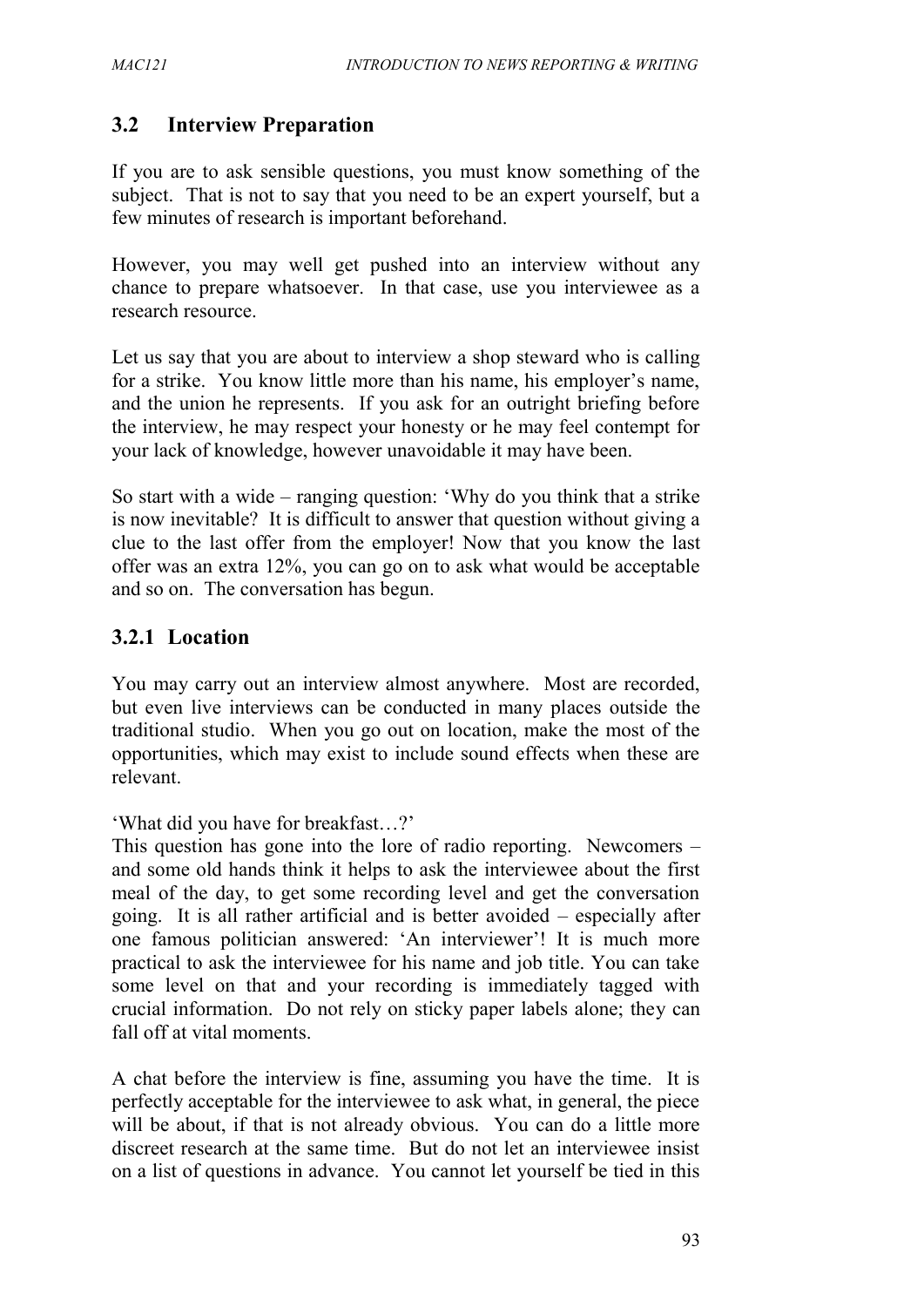## **3.2 Interview Preparation**

If you are to ask sensible questions, you must know something of the subject. That is not to say that you need to be an expert yourself, but a few minutes of research is important beforehand.

However, you may well get pushed into an interview without any chance to prepare whatsoever. In that case, use you interviewee as a research resource.

Let us say that you are about to interview a shop steward who is calling for a strike. You know little more than his name, his employer's name, and the union he represents. If you ask for an outright briefing before the interview, he may respect your honesty or he may feel contempt for your lack of knowledge, however unavoidable it may have been.

So start with a wide – ranging question: 'Why do you think that a strike is now inevitable? It is difficult to answer that question without giving a clue to the last offer from the employer! Now that you know the last offer was an extra 12%, you can go on to ask what would be acceptable and so on. The conversation has begun.

## **3.2.1 Location**

You may carry out an interview almost anywhere. Most are recorded, but even live interviews can be conducted in many places outside the traditional studio. When you go out on location, make the most of the opportunities, which may exist to include sound effects when these are relevant.

'What did you have for breakfast…?'

This question has gone into the lore of radio reporting. Newcomers – and some old hands think it helps to ask the interviewee about the first meal of the day, to get some recording level and get the conversation going. It is all rather artificial and is better avoided – especially after one famous politician answered: 'An interviewer'! It is much more practical to ask the interviewee for his name and job title. You can take some level on that and your recording is immediately tagged with crucial information. Do not rely on sticky paper labels alone; they can fall off at vital moments.

A chat before the interview is fine, assuming you have the time. It is perfectly acceptable for the interviewee to ask what, in general, the piece will be about, if that is not already obvious. You can do a little more discreet research at the same time. But do not let an interviewee insist on a list of questions in advance. You cannot let yourself be tied in this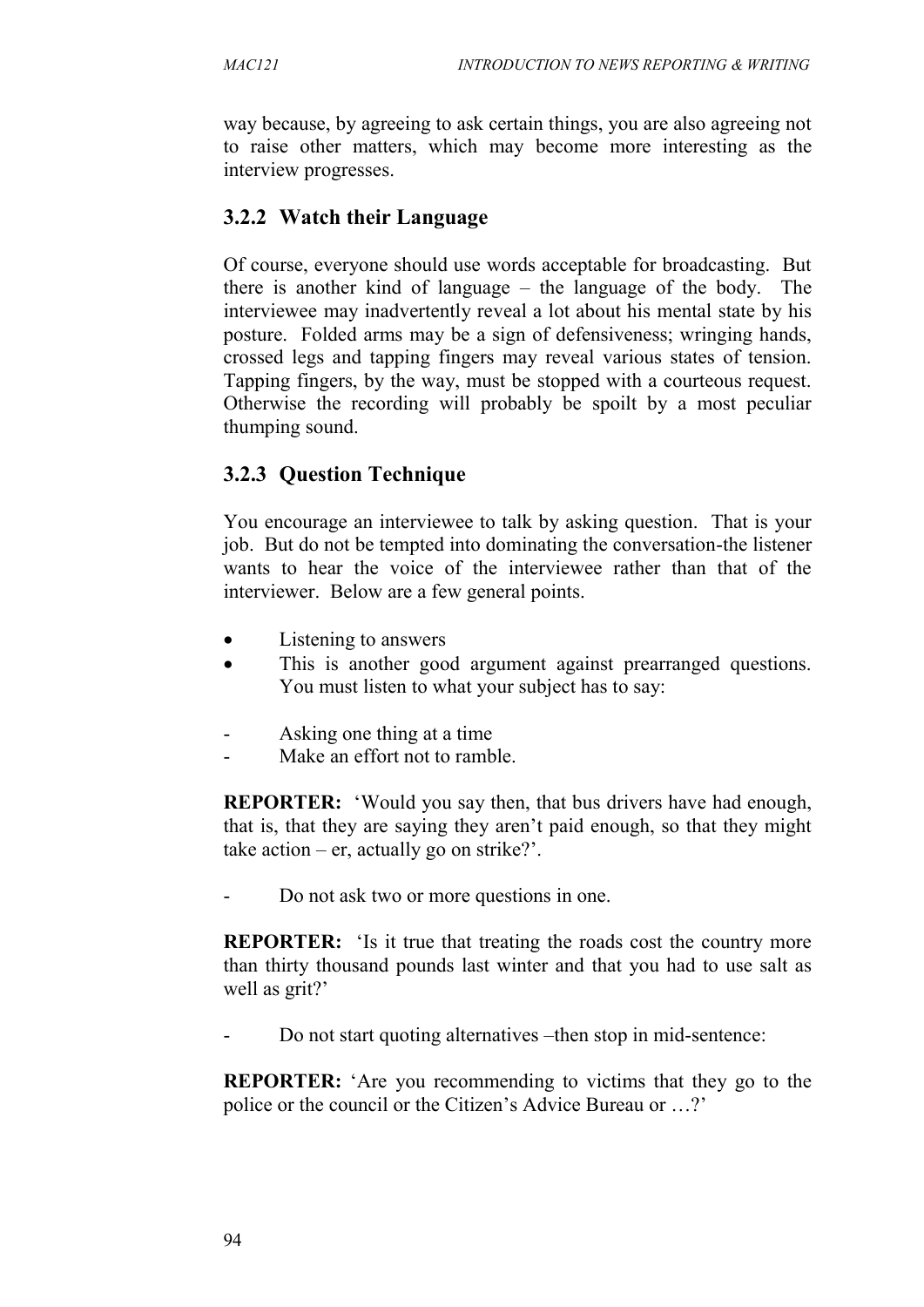way because, by agreeing to ask certain things, you are also agreeing not to raise other matters, which may become more interesting as the interview progresses.

## **3.2.2 Watch their Language**

Of course, everyone should use words acceptable for broadcasting. But there is another kind of language – the language of the body. The interviewee may inadvertently reveal a lot about his mental state by his posture. Folded arms may be a sign of defensiveness; wringing hands, crossed legs and tapping fingers may reveal various states of tension. Tapping fingers, by the way, must be stopped with a courteous request. Otherwise the recording will probably be spoilt by a most peculiar thumping sound.

## **3.2.3 Question Technique**

You encourage an interviewee to talk by asking question. That is your job. But do not be tempted into dominating the conversation-the listener wants to hear the voice of the interviewee rather than that of the interviewer. Below are a few general points.

- Listening to answers
- This is another good argument against prearranged questions. You must listen to what your subject has to say:
- Asking one thing at a time
- Make an effort not to ramble.

**REPORTER:** 'Would you say then, that bus drivers have had enough, that is, that they are saying they aren't paid enough, so that they might take action – er, actually go on strike?'.

Do not ask two or more questions in one.

**REPORTER:** 'Is it true that treating the roads cost the country more than thirty thousand pounds last winter and that you had to use salt as well as grit?'

Do not start quoting alternatives –then stop in mid-sentence:

**REPORTER:** 'Are you recommending to victims that they go to the police or the council or the Citizen's Advice Bureau or …?'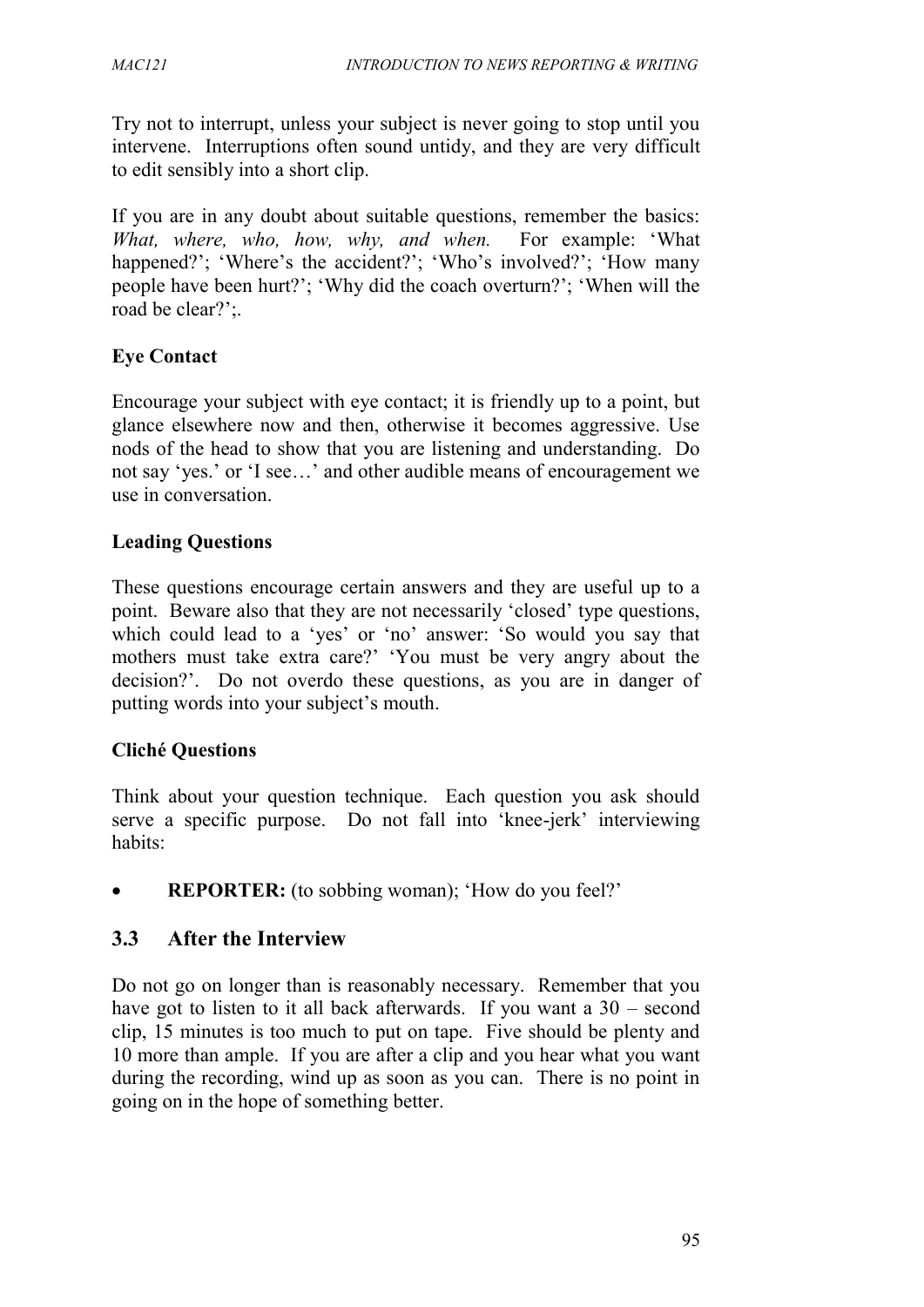Try not to interrupt, unless your subject is never going to stop until you intervene. Interruptions often sound untidy, and they are very difficult to edit sensibly into a short clip.

If you are in any doubt about suitable questions, remember the basics: *What, where, who, how, why, and when.* For example: 'What happened?'; 'Where's the accident?'; 'Who's involved?'; 'How many people have been hurt?'; 'Why did the coach overturn?'; 'When will the road be clear?':.

### **Eye Contact**

Encourage your subject with eye contact; it is friendly up to a point, but glance elsewhere now and then, otherwise it becomes aggressive. Use nods of the head to show that you are listening and understanding. Do not say 'yes.' or 'I see…' and other audible means of encouragement we use in conversation.

### **Leading Questions**

These questions encourage certain answers and they are useful up to a point. Beware also that they are not necessarily 'closed' type questions, which could lead to a 'yes' or 'no' answer: 'So would you say that mothers must take extra care?' 'You must be very angry about the decision?'. Do not overdo these questions, as you are in danger of putting words into your subject's mouth.

#### **Cliché Questions**

Think about your question technique. Each question you ask should serve a specific purpose. Do not fall into 'knee-jerk' interviewing habits:

**REPORTER:** (to sobbing woman); 'How do you feel?'

## **3.3 After the Interview**

Do not go on longer than is reasonably necessary. Remember that you have got to listen to it all back afterwards. If you want a 30 – second clip, 15 minutes is too much to put on tape. Five should be plenty and 10 more than ample. If you are after a clip and you hear what you want during the recording, wind up as soon as you can. There is no point in going on in the hope of something better.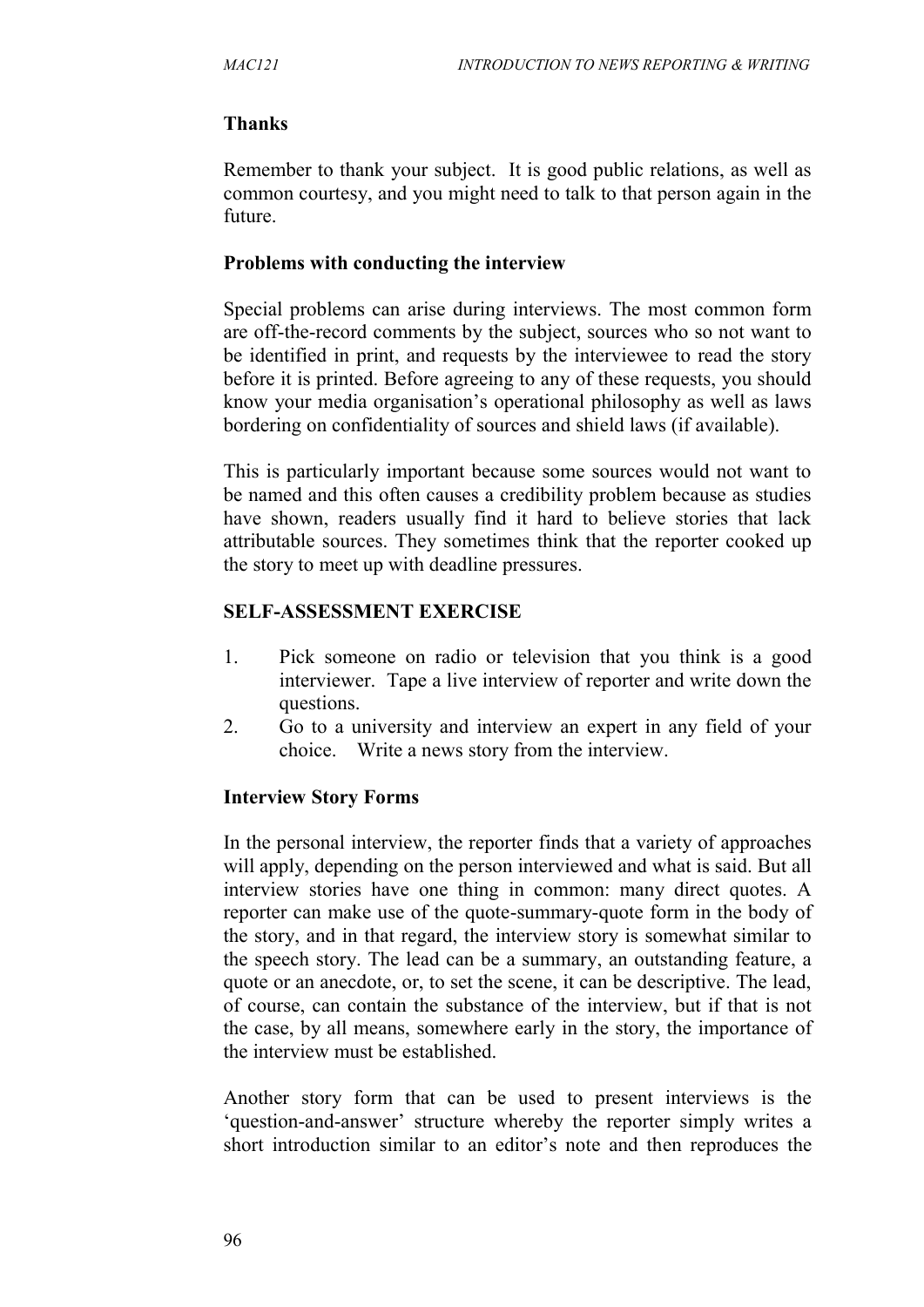#### **Thanks**

Remember to thank your subject. It is good public relations, as well as common courtesy, and you might need to talk to that person again in the future.

#### **Problems with conducting the interview**

Special problems can arise during interviews. The most common form are off-the-record comments by the subject, sources who so not want to be identified in print, and requests by the interviewee to read the story before it is printed. Before agreeing to any of these requests, you should know your media organisation's operational philosophy as well as laws bordering on confidentiality of sources and shield laws (if available).

This is particularly important because some sources would not want to be named and this often causes a credibility problem because as studies have shown, readers usually find it hard to believe stories that lack attributable sources. They sometimes think that the reporter cooked up the story to meet up with deadline pressures.

#### **SELF-ASSESSMENT EXERCISE**

- 1. Pick someone on radio or television that you think is a good interviewer. Tape a live interview of reporter and write down the questions.
- 2. Go to a university and interview an expert in any field of your choice. Write a news story from the interview.

#### **Interview Story Forms**

In the personal interview, the reporter finds that a variety of approaches will apply, depending on the person interviewed and what is said. But all interview stories have one thing in common: many direct quotes. A reporter can make use of the quote-summary-quote form in the body of the story, and in that regard, the interview story is somewhat similar to the speech story. The lead can be a summary, an outstanding feature, a quote or an anecdote, or, to set the scene, it can be descriptive. The lead, of course, can contain the substance of the interview, but if that is not the case, by all means, somewhere early in the story, the importance of the interview must be established.

Another story form that can be used to present interviews is the 'question-and-answer' structure whereby the reporter simply writes a short introduction similar to an editor's note and then reproduces the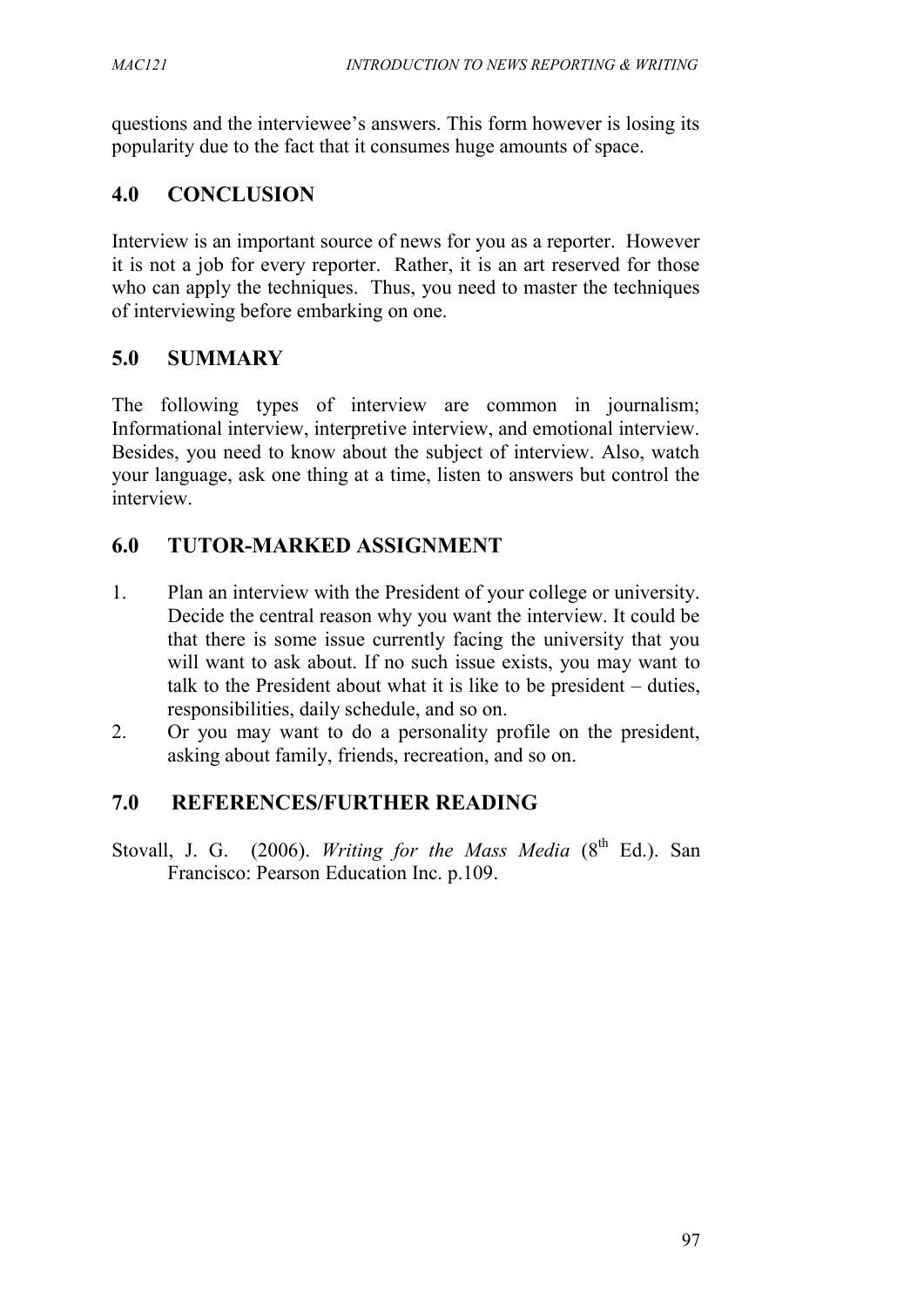questions and the interviewee's answers. This form however is losing its popularity due to the fact that it consumes huge amounts of space.

## **4.0 CONCLUSION**

Interview is an important source of news for you as a reporter. However it is not a job for every reporter. Rather, it is an art reserved for those who can apply the techniques. Thus, you need to master the techniques of interviewing before embarking on one.

## **5.0 SUMMARY**

The following types of interview are common in journalism; Informational interview, interpretive interview, and emotional interview. Besides, you need to know about the subject of interview. Also, watch your language, ask one thing at a time, listen to answers but control the interview.

## **6.0 TUTOR-MARKED ASSIGNMENT**

- 1. Plan an interview with the President of your college or university. Decide the central reason why you want the interview. It could be that there is some issue currently facing the university that you will want to ask about. If no such issue exists, you may want to talk to the President about what it is like to be president – duties, responsibilities, daily schedule, and so on.
- 2. Or you may want to do a personality profile on the president, asking about family, friends, recreation, and so on.

## **7.0 REFERENCES/FURTHER READING**

Stovall, J. G. (2006). *Writing for the Mass Media* (8<sup>th</sup> Ed.). San Francisco: Pearson Education Inc. p.109.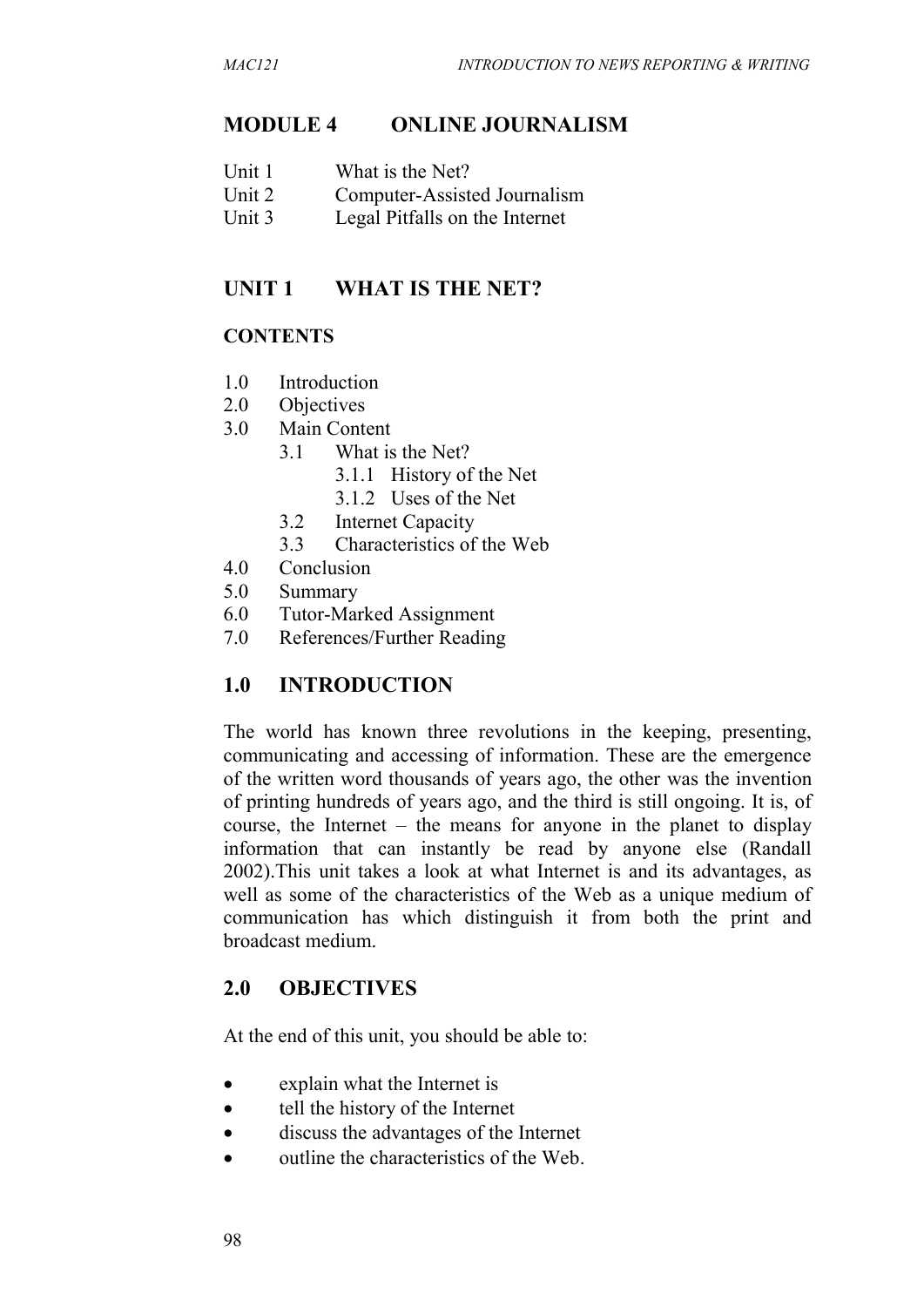### **MODULE 4 ONLINE JOURNALISM**

- Unit 2 Computer-Assisted Journalism
- Unit 3 Legal Pitfalls on the Internet

## **UNIT 1 WHAT IS THE NET?**

### **CONTENTS**

- 1.0 Introduction
- 2.0 Objectives
- 3.0 Main Content
	- 3.1 What is the Net?
		- 3.1.1 History of the Net
		- 3.1.2 Uses of the Net
	- 3.2 Internet Capacity
	- 3.3 Characteristics of the Web
- 4.0 Conclusion
- 5.0 Summary
- 6.0 Tutor-Marked Assignment
- 7.0 References/Further Reading

## **1.0 INTRODUCTION**

The world has known three revolutions in the keeping, presenting, communicating and accessing of information. These are the emergence of the written word thousands of years ago, the other was the invention of printing hundreds of years ago, and the third is still ongoing. It is, of course, the Internet – the means for anyone in the planet to display information that can instantly be read by anyone else (Randall 2002).This unit takes a look at what Internet is and its advantages, as well as some of the characteristics of the Web as a unique medium of communication has which distinguish it from both the print and broadcast medium.

## **2.0 OBJECTIVES**

At the end of this unit, you should be able to:

- explain what the Internet is
- tell the history of the Internet
- discuss the advantages of the Internet
- outline the characteristics of the Web.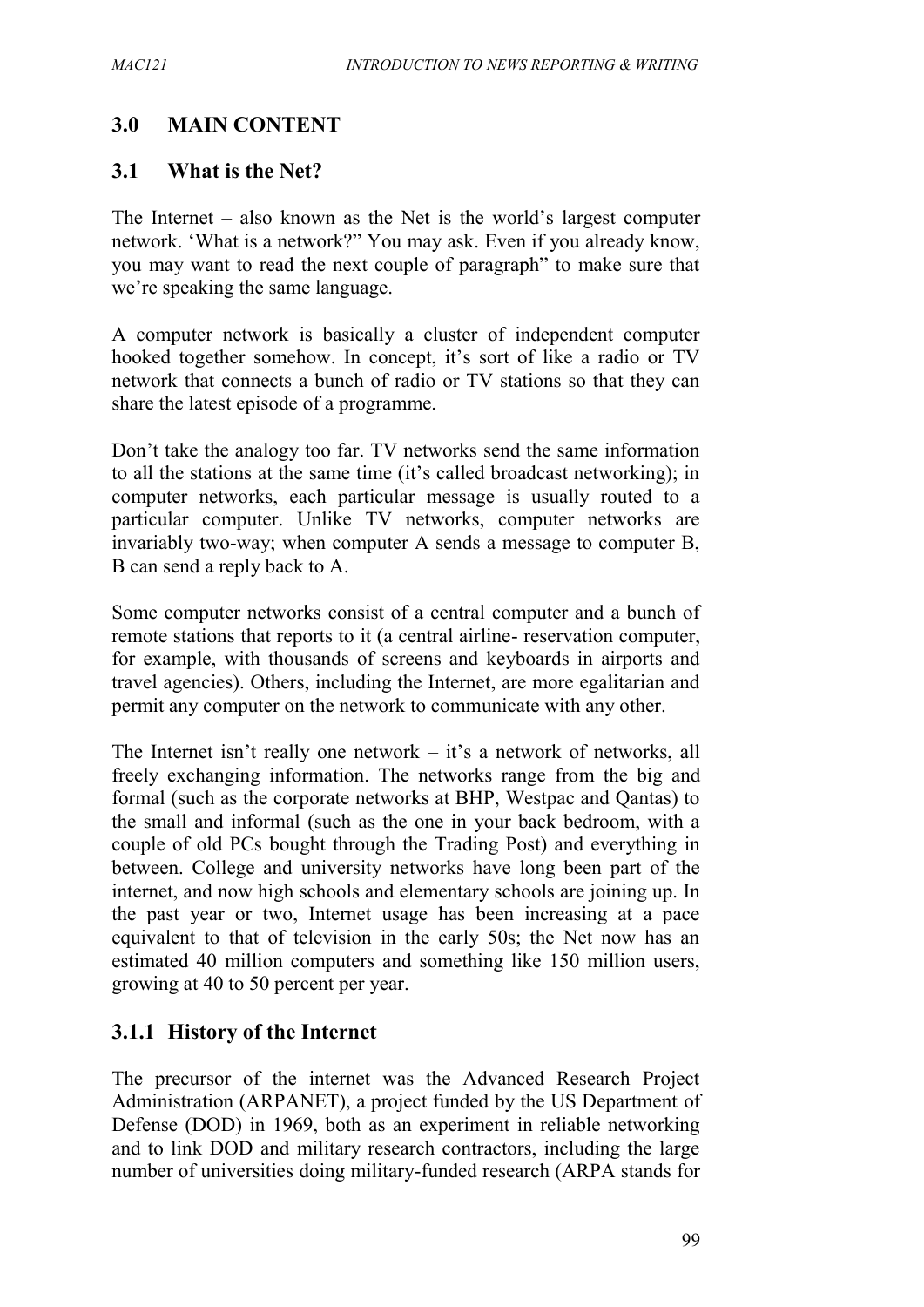## **3.0 MAIN CONTENT**

## **3.1 What is the Net?**

The Internet – also known as the Net is the world's largest computer network. 'What is a network?" You may ask. Even if you already know, you may want to read the next couple of paragraph" to make sure that we're speaking the same language.

A computer network is basically a cluster of independent computer hooked together somehow. In concept, it's sort of like a radio or TV network that connects a bunch of radio or TV stations so that they can share the latest episode of a programme.

Don't take the analogy too far. TV networks send the same information to all the stations at the same time (it's called broadcast networking); in computer networks, each particular message is usually routed to a particular computer. Unlike TV networks, computer networks are invariably two-way; when computer A sends a message to computer B, B can send a reply back to A.

Some computer networks consist of a central computer and a bunch of remote stations that reports to it (a central airline- reservation computer, for example, with thousands of screens and keyboards in airports and travel agencies). Others, including the Internet, are more egalitarian and permit any computer on the network to communicate with any other.

The Internet isn't really one network  $-$  it's a network of networks, all freely exchanging information. The networks range from the big and formal (such as the corporate networks at BHP, Westpac and Qantas) to the small and informal (such as the one in your back bedroom, with a couple of old PCs bought through the Trading Post) and everything in between. College and university networks have long been part of the internet, and now high schools and elementary schools are joining up. In the past year or two, Internet usage has been increasing at a pace equivalent to that of television in the early 50s; the Net now has an estimated 40 million computers and something like 150 million users, growing at 40 to 50 percent per year.

## **3.1.1 History of the Internet**

The precursor of the internet was the Advanced Research Project Administration (ARPANET), a project funded by the US Department of Defense (DOD) in 1969, both as an experiment in reliable networking and to link DOD and military research contractors, including the large number of universities doing military-funded research (ARPA stands for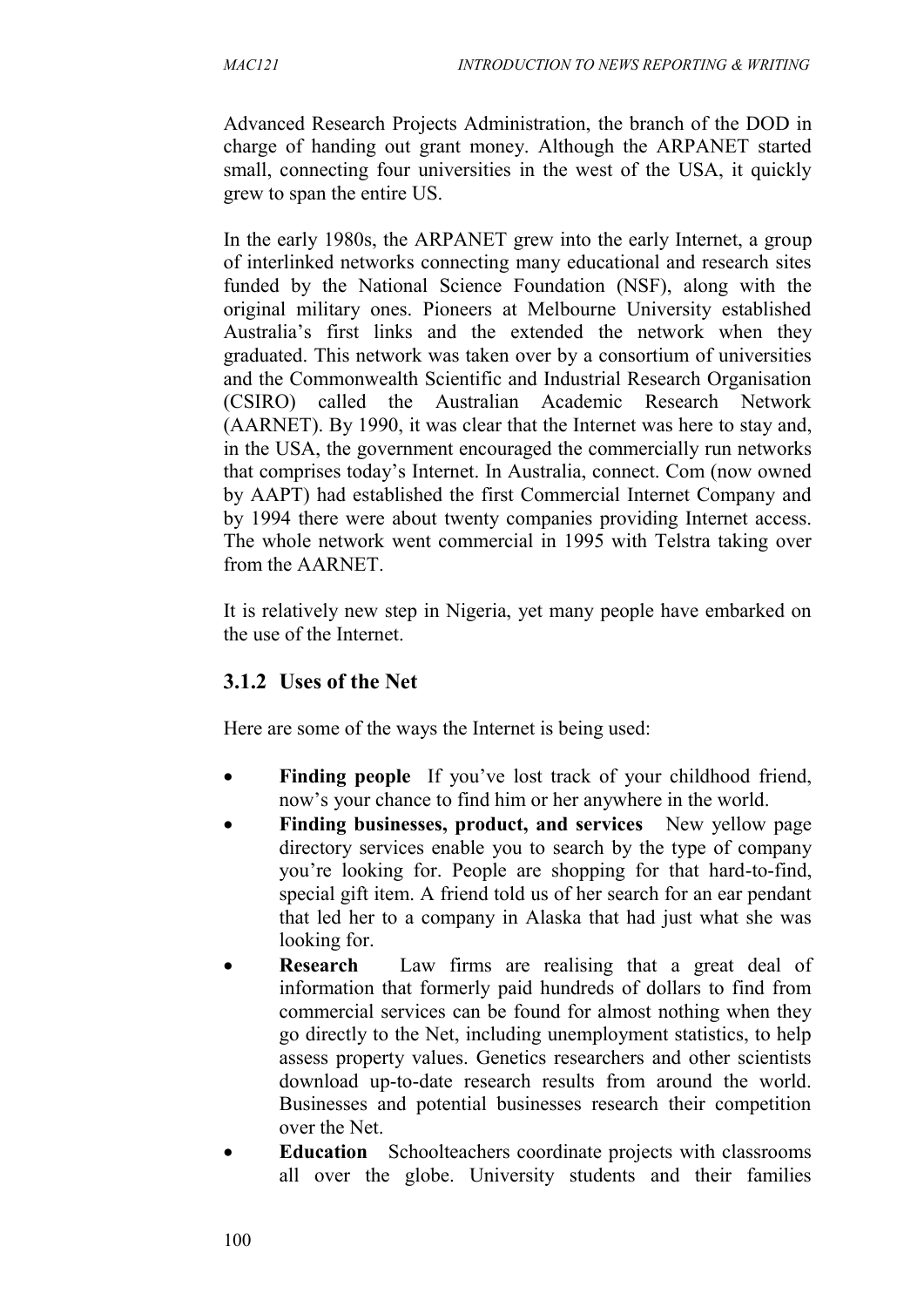Advanced Research Projects Administration, the branch of the DOD in charge of handing out grant money. Although the ARPANET started small, connecting four universities in the west of the USA, it quickly grew to span the entire US.

In the early 1980s, the ARPANET grew into the early Internet, a group of interlinked networks connecting many educational and research sites funded by the National Science Foundation (NSF), along with the original military ones. Pioneers at Melbourne University established Australia's first links and the extended the network when they graduated. This network was taken over by a consortium of universities and the Commonwealth Scientific and Industrial Research Organisation (CSIRO) called the Australian Academic Research Network (AARNET). By 1990, it was clear that the Internet was here to stay and, in the USA, the government encouraged the commercially run networks that comprises today's Internet. In Australia, connect. Com (now owned by AAPT) had established the first Commercial Internet Company and by 1994 there were about twenty companies providing Internet access. The whole network went commercial in 1995 with Telstra taking over from the AARNET.

It is relatively new step in Nigeria, yet many people have embarked on the use of the Internet.

## **3.1.2 Uses of the Net**

Here are some of the ways the Internet is being used:

- **Finding people** If you've lost track of your childhood friend, now's your chance to find him or her anywhere in the world.
- **Finding businesses, product, and services** New yellow page directory services enable you to search by the type of company you're looking for. People are shopping for that hard-to-find, special gift item. A friend told us of her search for an ear pendant that led her to a company in Alaska that had just what she was looking for.
- **Research** Law firms are realising that a great deal of information that formerly paid hundreds of dollars to find from commercial services can be found for almost nothing when they go directly to the Net, including unemployment statistics, to help assess property values. Genetics researchers and other scientists download up-to-date research results from around the world. Businesses and potential businesses research their competition over the Net.
- **Education** Schoolteachers coordinate projects with classrooms all over the globe. University students and their families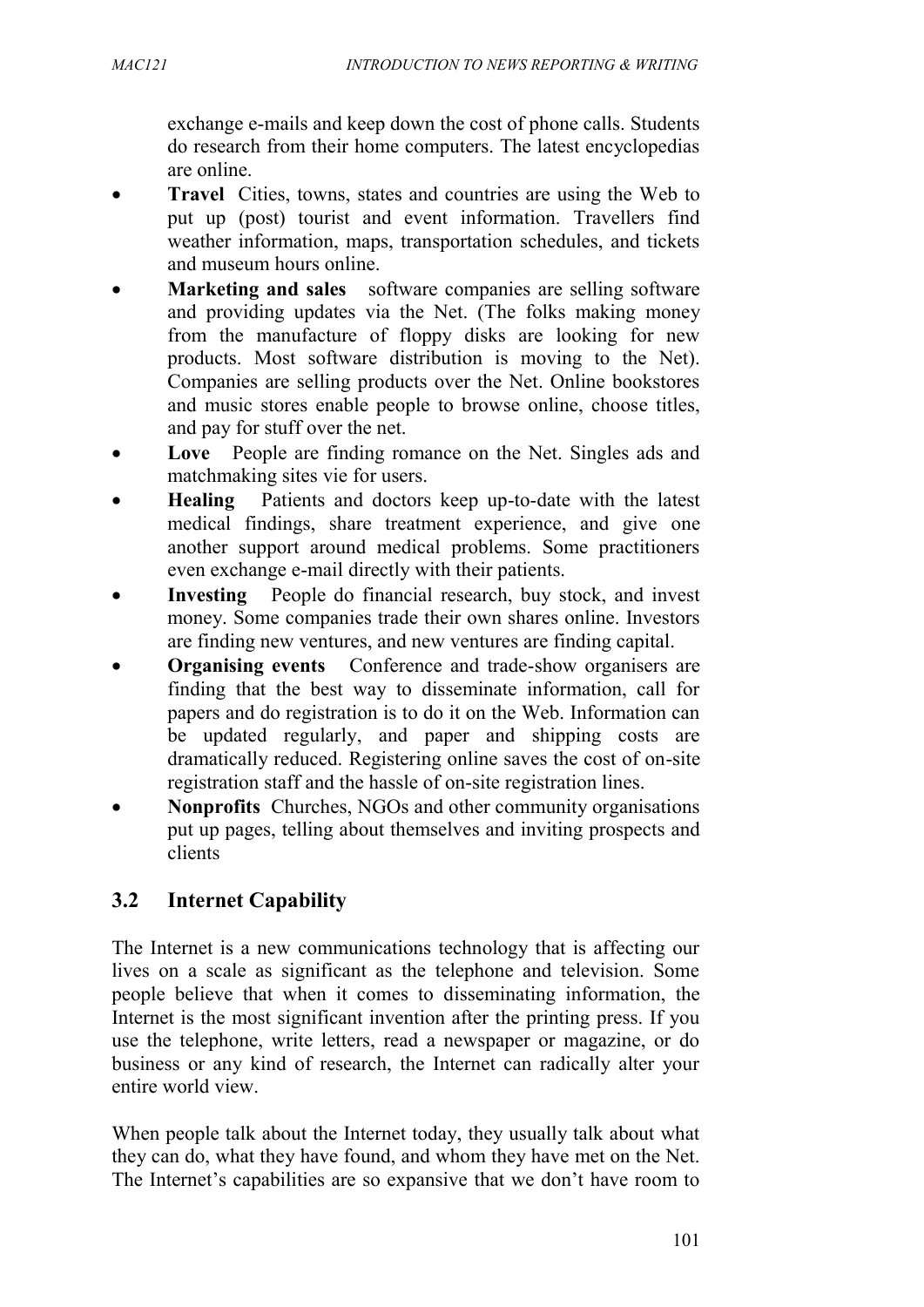exchange e-mails and keep down the cost of phone calls. Students do research from their home computers. The latest encyclopedias are online.

- **Travel** Cities, towns, states and countries are using the Web to put up (post) tourist and event information. Travellers find weather information, maps, transportation schedules, and tickets and museum hours online.
- **Marketing and sales** software companies are selling software and providing updates via the Net. (The folks making money from the manufacture of floppy disks are looking for new products. Most software distribution is moving to the Net). Companies are selling products over the Net. Online bookstores and music stores enable people to browse online, choose titles, and pay for stuff over the net.
- **Love** People are finding romance on the Net. Singles ads and matchmaking sites vie for users.
- **Healing** Patients and doctors keep up-to-date with the latest medical findings, share treatment experience, and give one another support around medical problems. Some practitioners even exchange e-mail directly with their patients.
- **Investing** People do financial research, buy stock, and invest money. Some companies trade their own shares online. Investors are finding new ventures, and new ventures are finding capital.
- **Organising events** Conference and trade-show organisers are finding that the best way to disseminate information, call for papers and do registration is to do it on the Web. Information can be updated regularly, and paper and shipping costs are dramatically reduced. Registering online saves the cost of on-site registration staff and the hassle of on-site registration lines.
- **Nonprofits** Churches, NGOs and other community organisations put up pages, telling about themselves and inviting prospects and clients

# **3.2 Internet Capability**

The Internet is a new communications technology that is affecting our lives on a scale as significant as the telephone and television. Some people believe that when it comes to disseminating information, the Internet is the most significant invention after the printing press. If you use the telephone, write letters, read a newspaper or magazine, or do business or any kind of research, the Internet can radically alter your entire world view.

When people talk about the Internet today, they usually talk about what they can do, what they have found, and whom they have met on the Net. The Internet's capabilities are so expansive that we don't have room to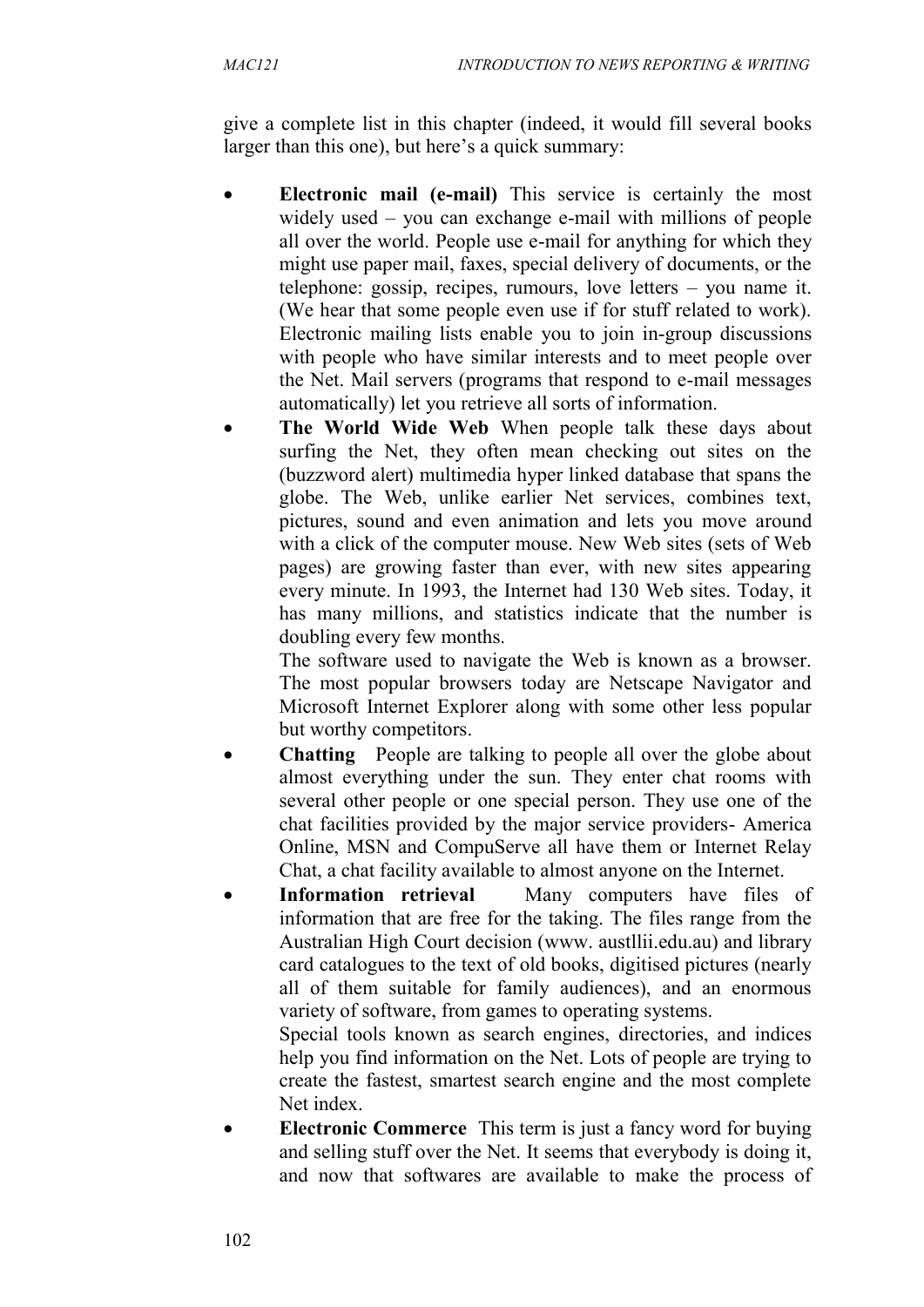give a complete list in this chapter (indeed, it would fill several books larger than this one), but here's a quick summary:

- **Electronic mail (e-mail)** This service is certainly the most widely used – you can exchange e-mail with millions of people all over the world. People use e-mail for anything for which they might use paper mail, faxes, special delivery of documents, or the telephone: gossip, recipes, rumours, love letters – you name it. (We hear that some people even use if for stuff related to work). Electronic mailing lists enable you to join in-group discussions with people who have similar interests and to meet people over the Net. Mail servers (programs that respond to e-mail messages automatically) let you retrieve all sorts of information.
- **The World Wide Web** When people talk these days about surfing the Net, they often mean checking out sites on the (buzzword alert) multimedia hyper linked database that spans the globe. The Web, unlike earlier Net services, combines text, pictures, sound and even animation and lets you move around with a click of the computer mouse. New Web sites (sets of Web pages) are growing faster than ever, with new sites appearing every minute. In 1993, the Internet had 130 Web sites. Today, it has many millions, and statistics indicate that the number is doubling every few months.

The software used to navigate the Web is known as a browser. The most popular browsers today are Netscape Navigator and Microsoft Internet Explorer along with some other less popular but worthy competitors.

- **Chatting** People are talking to people all over the globe about almost everything under the sun. They enter chat rooms with several other people or one special person. They use one of the chat facilities provided by the major service providers- America Online, MSN and CompuServe all have them or Internet Relay Chat, a chat facility available to almost anyone on the Internet.
- **Information retrieval** Many computers have files of information that are free for the taking. The files range from the Australian High Court decision (www. austllii.edu.au) and library card catalogues to the text of old books, digitised pictures (nearly all of them suitable for family audiences), and an enormous variety of software, from games to operating systems.

Special tools known as search engines, directories, and indices help you find information on the Net. Lots of people are trying to create the fastest, smartest search engine and the most complete Net index.

 **Electronic Commerce** This term is just a fancy word for buying and selling stuff over the Net. It seems that everybody is doing it, and now that softwares are available to make the process of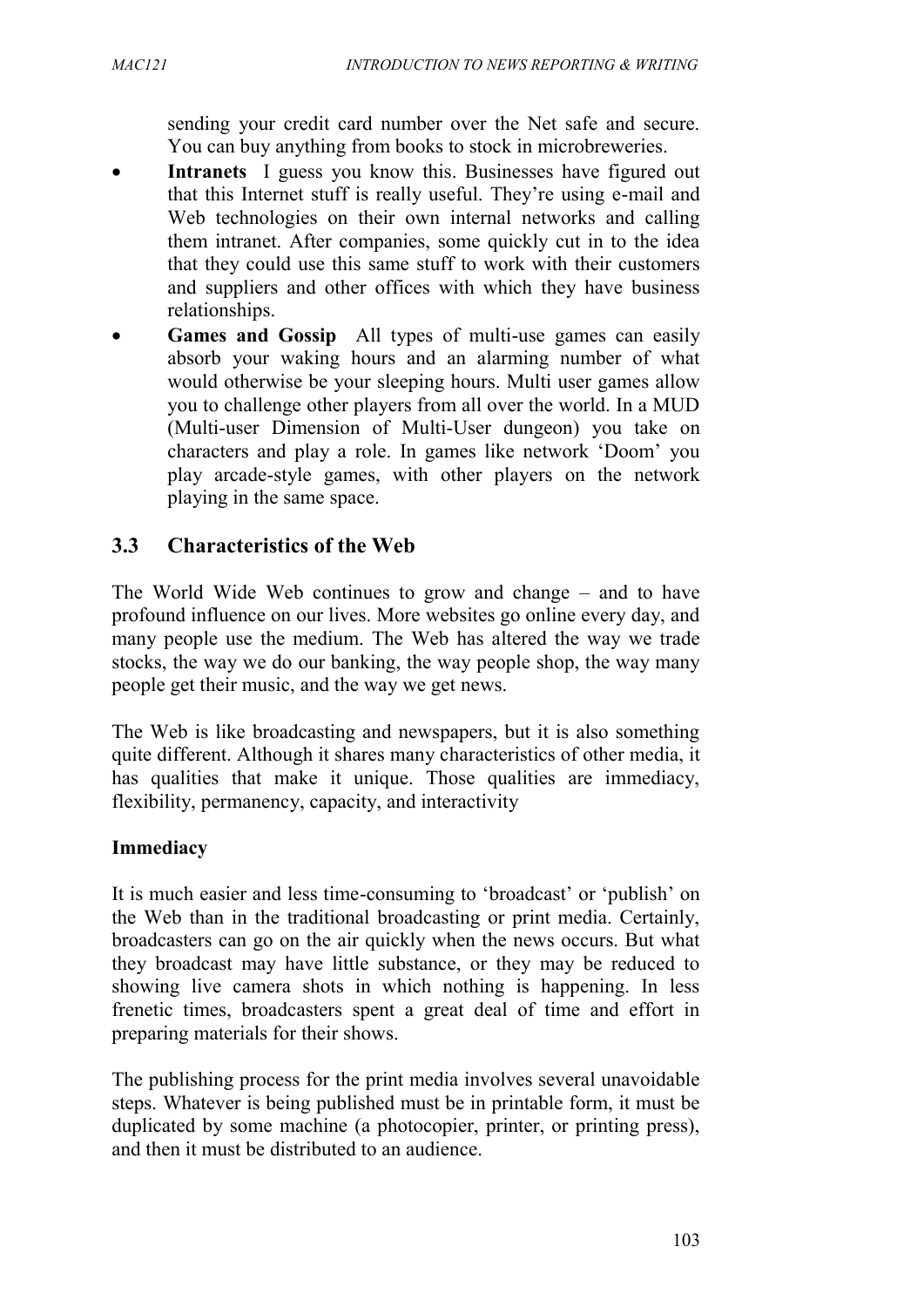sending your credit card number over the Net safe and secure. You can buy anything from books to stock in microbreweries.

- **Intranets** I guess you know this. Businesses have figured out that this Internet stuff is really useful. They're using e-mail and Web technologies on their own internal networks and calling them intranet. After companies, some quickly cut in to the idea that they could use this same stuff to work with their customers and suppliers and other offices with which they have business relationships.
- **Games and Gossip** All types of multi-use games can easily absorb your waking hours and an alarming number of what would otherwise be your sleeping hours. Multi user games allow you to challenge other players from all over the world. In a MUD (Multi-user Dimension of Multi-User dungeon) you take on characters and play a role. In games like network 'Doom' you play arcade-style games, with other players on the network playing in the same space.

## **3.3 Characteristics of the Web**

The World Wide Web continues to grow and change – and to have profound influence on our lives. More websites go online every day, and many people use the medium. The Web has altered the way we trade stocks, the way we do our banking, the way people shop, the way many people get their music, and the way we get news.

The Web is like broadcasting and newspapers, but it is also something quite different. Although it shares many characteristics of other media, it has qualities that make it unique. Those qualities are immediacy, flexibility, permanency, capacity, and interactivity

#### **Immediacy**

It is much easier and less time-consuming to 'broadcast' or 'publish' on the Web than in the traditional broadcasting or print media. Certainly, broadcasters can go on the air quickly when the news occurs. But what they broadcast may have little substance, or they may be reduced to showing live camera shots in which nothing is happening. In less frenetic times, broadcasters spent a great deal of time and effort in preparing materials for their shows.

The publishing process for the print media involves several unavoidable steps. Whatever is being published must be in printable form, it must be duplicated by some machine (a photocopier, printer, or printing press), and then it must be distributed to an audience.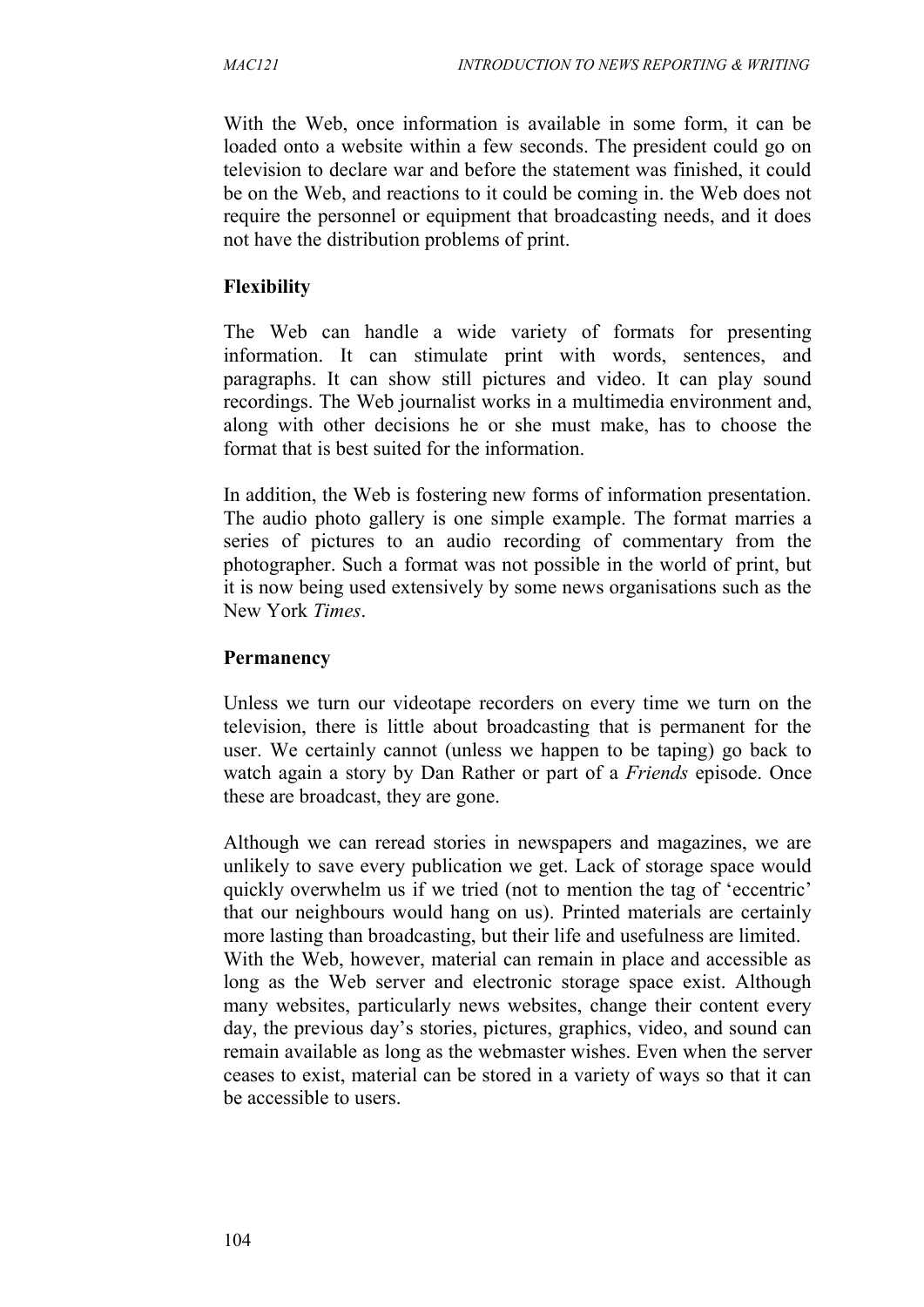With the Web, once information is available in some form, it can be loaded onto a website within a few seconds. The president could go on television to declare war and before the statement was finished, it could be on the Web, and reactions to it could be coming in. the Web does not require the personnel or equipment that broadcasting needs, and it does not have the distribution problems of print.

### **Flexibility**

The Web can handle a wide variety of formats for presenting information. It can stimulate print with words, sentences, and paragraphs. It can show still pictures and video. It can play sound recordings. The Web journalist works in a multimedia environment and, along with other decisions he or she must make, has to choose the format that is best suited for the information.

In addition, the Web is fostering new forms of information presentation. The audio photo gallery is one simple example. The format marries a series of pictures to an audio recording of commentary from the photographer. Such a format was not possible in the world of print, but it is now being used extensively by some news organisations such as the New York *Times*.

### **Permanency**

Unless we turn our videotape recorders on every time we turn on the television, there is little about broadcasting that is permanent for the user. We certainly cannot (unless we happen to be taping) go back to watch again a story by Dan Rather or part of a *Friends* episode. Once these are broadcast, they are gone.

Although we can reread stories in newspapers and magazines, we are unlikely to save every publication we get. Lack of storage space would quickly overwhelm us if we tried (not to mention the tag of 'eccentric' that our neighbours would hang on us). Printed materials are certainly more lasting than broadcasting, but their life and usefulness are limited. With the Web, however, material can remain in place and accessible as long as the Web server and electronic storage space exist. Although many websites, particularly news websites, change their content every day, the previous day's stories, pictures, graphics, video, and sound can remain available as long as the webmaster wishes. Even when the server ceases to exist, material can be stored in a variety of ways so that it can be accessible to users.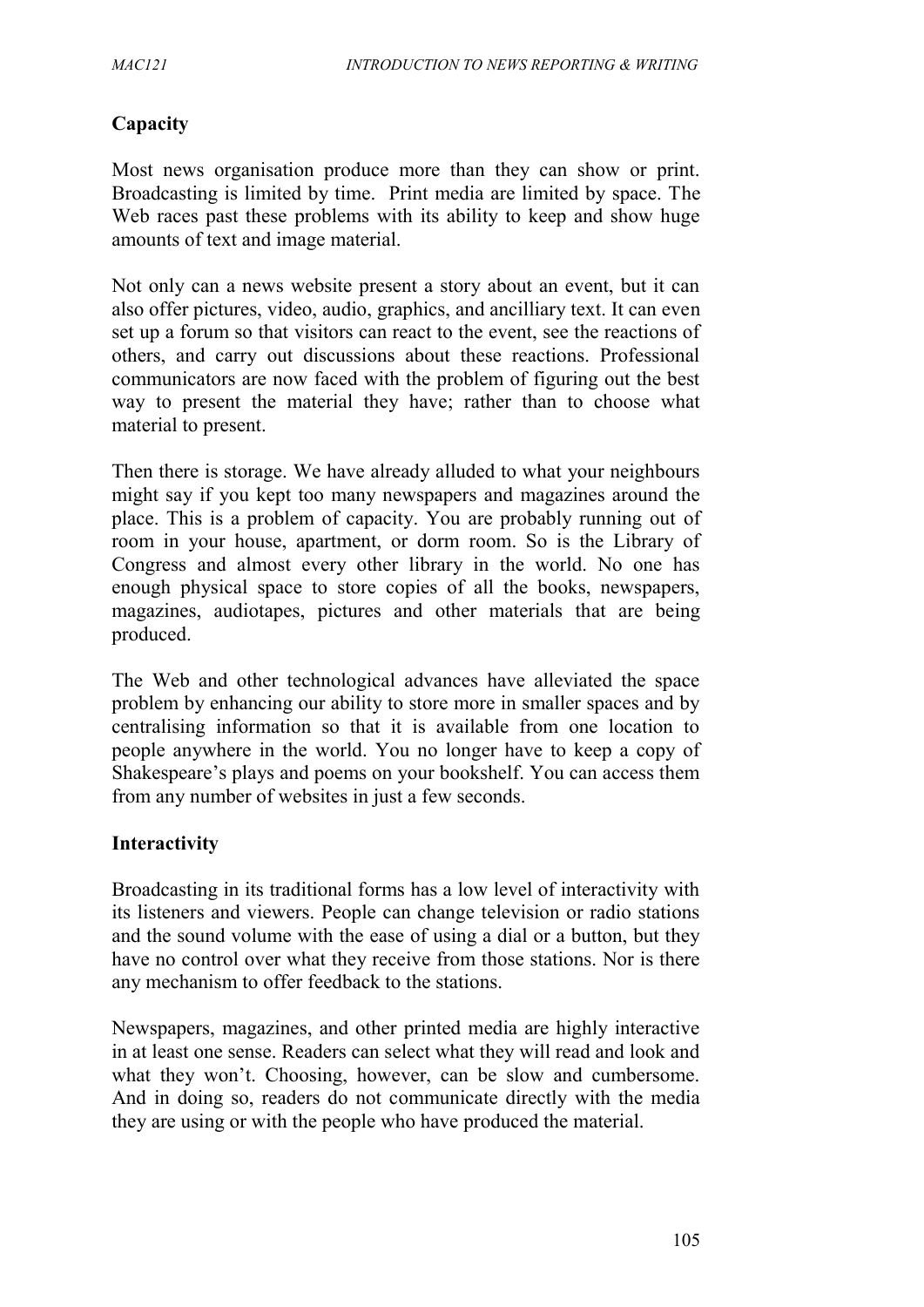## **Capacity**

Most news organisation produce more than they can show or print. Broadcasting is limited by time. Print media are limited by space. The Web races past these problems with its ability to keep and show huge amounts of text and image material.

Not only can a news website present a story about an event, but it can also offer pictures, video, audio, graphics, and ancilliary text. It can even set up a forum so that visitors can react to the event, see the reactions of others, and carry out discussions about these reactions. Professional communicators are now faced with the problem of figuring out the best way to present the material they have; rather than to choose what material to present.

Then there is storage. We have already alluded to what your neighbours might say if you kept too many newspapers and magazines around the place. This is a problem of capacity. You are probably running out of room in your house, apartment, or dorm room. So is the Library of Congress and almost every other library in the world. No one has enough physical space to store copies of all the books, newspapers, magazines, audiotapes, pictures and other materials that are being produced.

The Web and other technological advances have alleviated the space problem by enhancing our ability to store more in smaller spaces and by centralising information so that it is available from one location to people anywhere in the world. You no longer have to keep a copy of Shakespeare's plays and poems on your bookshelf. You can access them from any number of websites in just a few seconds.

#### **Interactivity**

Broadcasting in its traditional forms has a low level of interactivity with its listeners and viewers. People can change television or radio stations and the sound volume with the ease of using a dial or a button, but they have no control over what they receive from those stations. Nor is there any mechanism to offer feedback to the stations.

Newspapers, magazines, and other printed media are highly interactive in at least one sense. Readers can select what they will read and look and what they won't. Choosing, however, can be slow and cumbersome. And in doing so, readers do not communicate directly with the media they are using or with the people who have produced the material.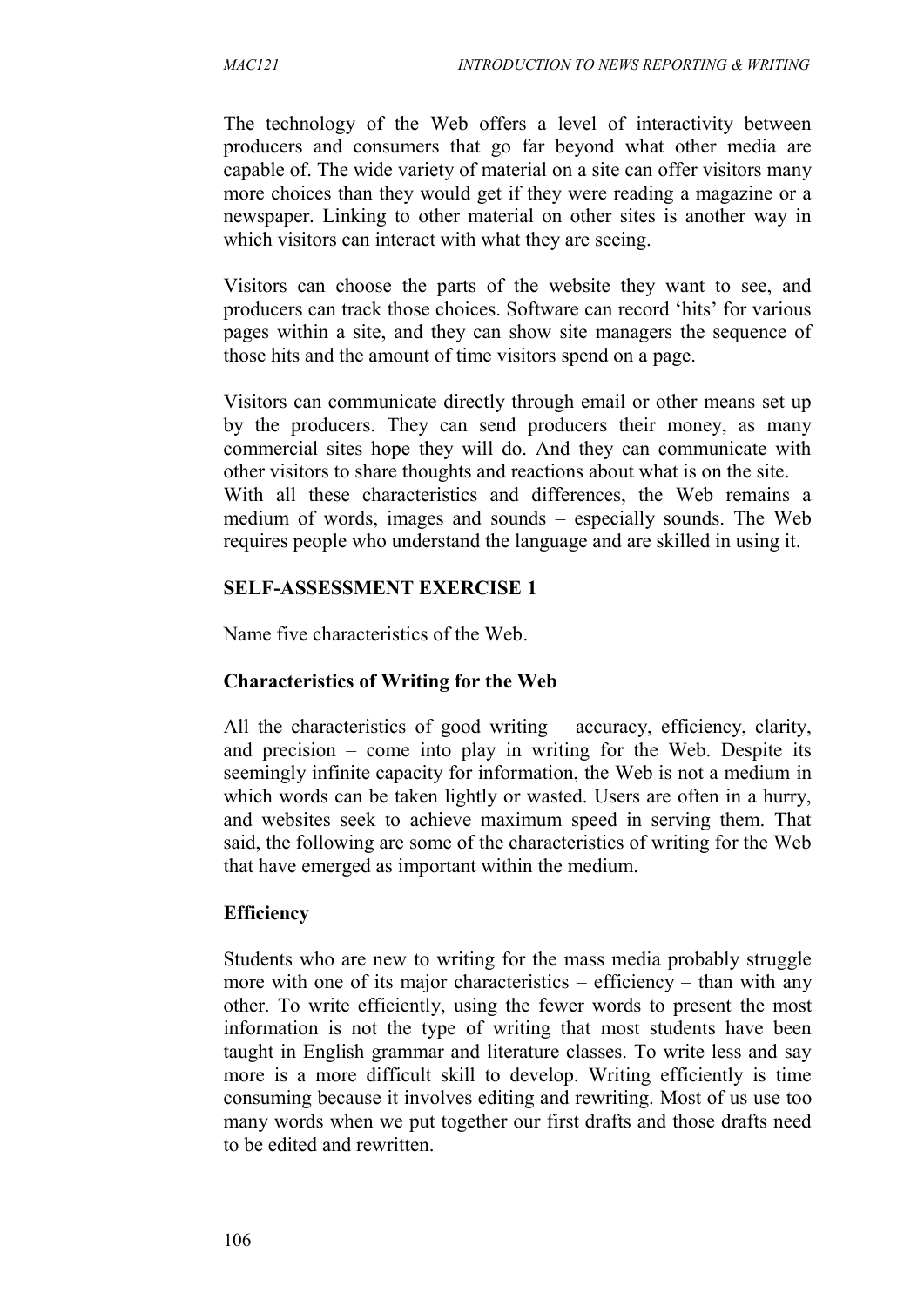The technology of the Web offers a level of interactivity between producers and consumers that go far beyond what other media are capable of. The wide variety of material on a site can offer visitors many more choices than they would get if they were reading a magazine or a newspaper. Linking to other material on other sites is another way in which visitors can interact with what they are seeing.

Visitors can choose the parts of the website they want to see, and producers can track those choices. Software can record 'hits' for various pages within a site, and they can show site managers the sequence of those hits and the amount of time visitors spend on a page.

Visitors can communicate directly through email or other means set up by the producers. They can send producers their money, as many commercial sites hope they will do. And they can communicate with other visitors to share thoughts and reactions about what is on the site. With all these characteristics and differences, the Web remains a medium of words, images and sounds – especially sounds. The Web requires people who understand the language and are skilled in using it.

#### **SELF-ASSESSMENT EXERCISE 1**

Name five characteristics of the Web.

#### **Characteristics of Writing for the Web**

All the characteristics of good writing – accuracy, efficiency, clarity, and precision – come into play in writing for the Web. Despite its seemingly infinite capacity for information, the Web is not a medium in which words can be taken lightly or wasted. Users are often in a hurry, and websites seek to achieve maximum speed in serving them. That said, the following are some of the characteristics of writing for the Web that have emerged as important within the medium.

#### **Efficiency**

Students who are new to writing for the mass media probably struggle more with one of its major characteristics – efficiency – than with any other. To write efficiently, using the fewer words to present the most information is not the type of writing that most students have been taught in English grammar and literature classes. To write less and say more is a more difficult skill to develop. Writing efficiently is time consuming because it involves editing and rewriting. Most of us use too many words when we put together our first drafts and those drafts need to be edited and rewritten.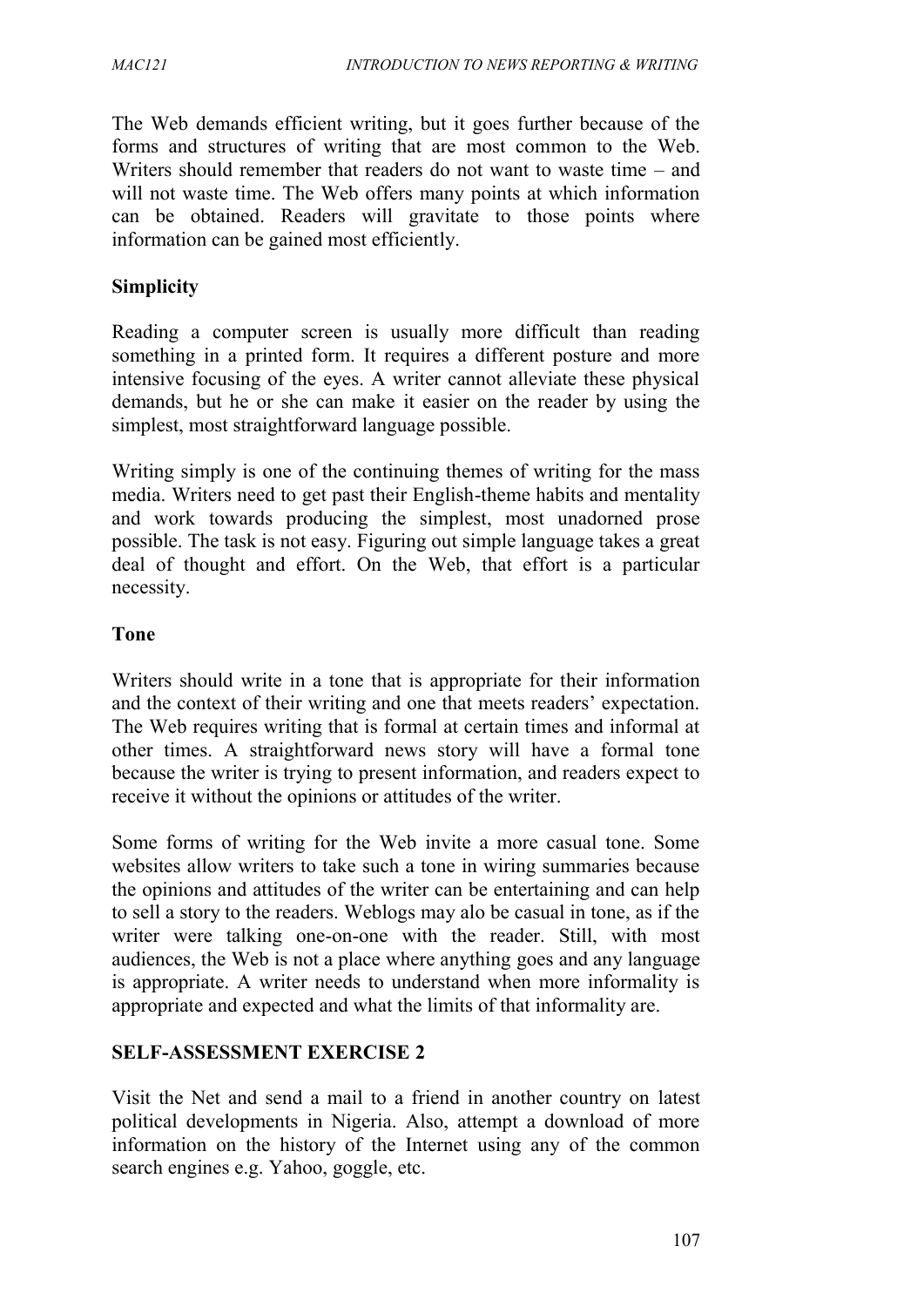The Web demands efficient writing, but it goes further because of the forms and structures of writing that are most common to the Web. Writers should remember that readers do not want to waste time – and will not waste time. The Web offers many points at which information can be obtained. Readers will gravitate to those points where information can be gained most efficiently.

#### **Simplicity**

Reading a computer screen is usually more difficult than reading something in a printed form. It requires a different posture and more intensive focusing of the eyes. A writer cannot alleviate these physical demands, but he or she can make it easier on the reader by using the simplest, most straightforward language possible.

Writing simply is one of the continuing themes of writing for the mass media. Writers need to get past their English-theme habits and mentality and work towards producing the simplest, most unadorned prose possible. The task is not easy. Figuring out simple language takes a great deal of thought and effort. On the Web, that effort is a particular necessity.

#### **Tone**

Writers should write in a tone that is appropriate for their information and the context of their writing and one that meets readers' expectation. The Web requires writing that is formal at certain times and informal at other times. A straightforward news story will have a formal tone because the writer is trying to present information, and readers expect to receive it without the opinions or attitudes of the writer.

Some forms of writing for the Web invite a more casual tone. Some websites allow writers to take such a tone in wiring summaries because the opinions and attitudes of the writer can be entertaining and can help to sell a story to the readers. Weblogs may alo be casual in tone, as if the writer were talking one-on-one with the reader. Still, with most audiences, the Web is not a place where anything goes and any language is appropriate. A writer needs to understand when more informality is appropriate and expected and what the limits of that informality are.

#### **SELF-ASSESSMENT EXERCISE 2**

Visit the Net and send a mail to a friend in another country on latest political developments in Nigeria. Also, attempt a download of more information on the history of the Internet using any of the common search engines e.g. Yahoo, goggle, etc.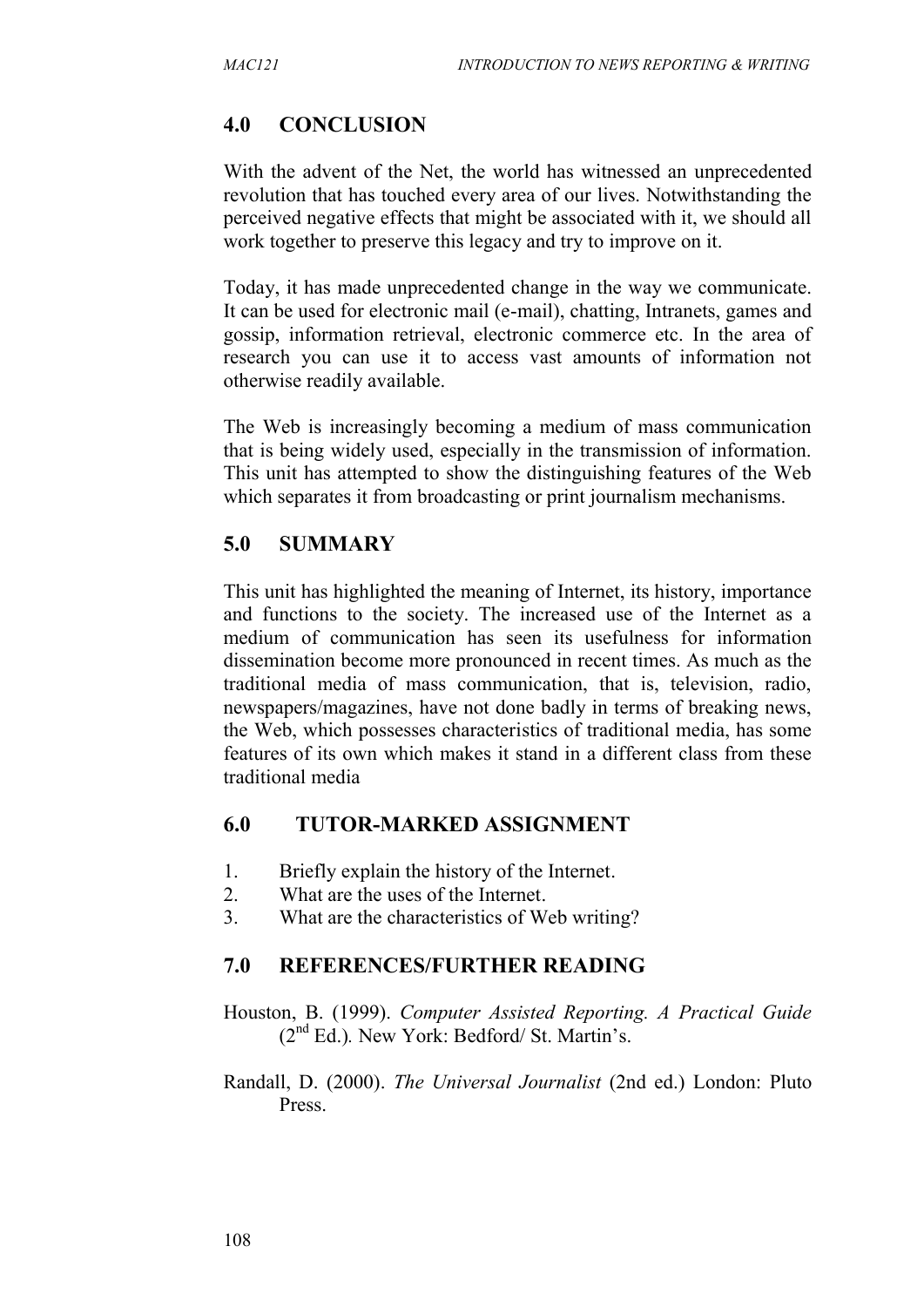### **4.0 CONCLUSION**

With the advent of the Net, the world has witnessed an unprecedented revolution that has touched every area of our lives. Notwithstanding the perceived negative effects that might be associated with it, we should all work together to preserve this legacy and try to improve on it.

Today, it has made unprecedented change in the way we communicate. It can be used for electronic mail (e-mail), chatting, Intranets, games and gossip, information retrieval, electronic commerce etc. In the area of research you can use it to access vast amounts of information not otherwise readily available.

The Web is increasingly becoming a medium of mass communication that is being widely used, especially in the transmission of information. This unit has attempted to show the distinguishing features of the Web which separates it from broadcasting or print journalism mechanisms.

### **5.0 SUMMARY**

This unit has highlighted the meaning of Internet, its history, importance and functions to the society. The increased use of the Internet as a medium of communication has seen its usefulness for information dissemination become more pronounced in recent times. As much as the traditional media of mass communication, that is, television, radio, newspapers/magazines, have not done badly in terms of breaking news, the Web, which possesses characteristics of traditional media, has some features of its own which makes it stand in a different class from these traditional media

#### **6.0 TUTOR-MARKED ASSIGNMENT**

- 1. Briefly explain the history of the Internet.
- 2. What are the uses of the Internet.
- 3. What are the characteristics of Web writing?

#### **7.0 REFERENCES/FURTHER READING**

Houston, B. (1999). *Computer Assisted Reporting. A Practical Guide* (2nd Ed.)*.* New York: Bedford/ St. Martin's.

Randall, D. (2000). *The Universal Journalist* (2nd ed.) London: Pluto Press.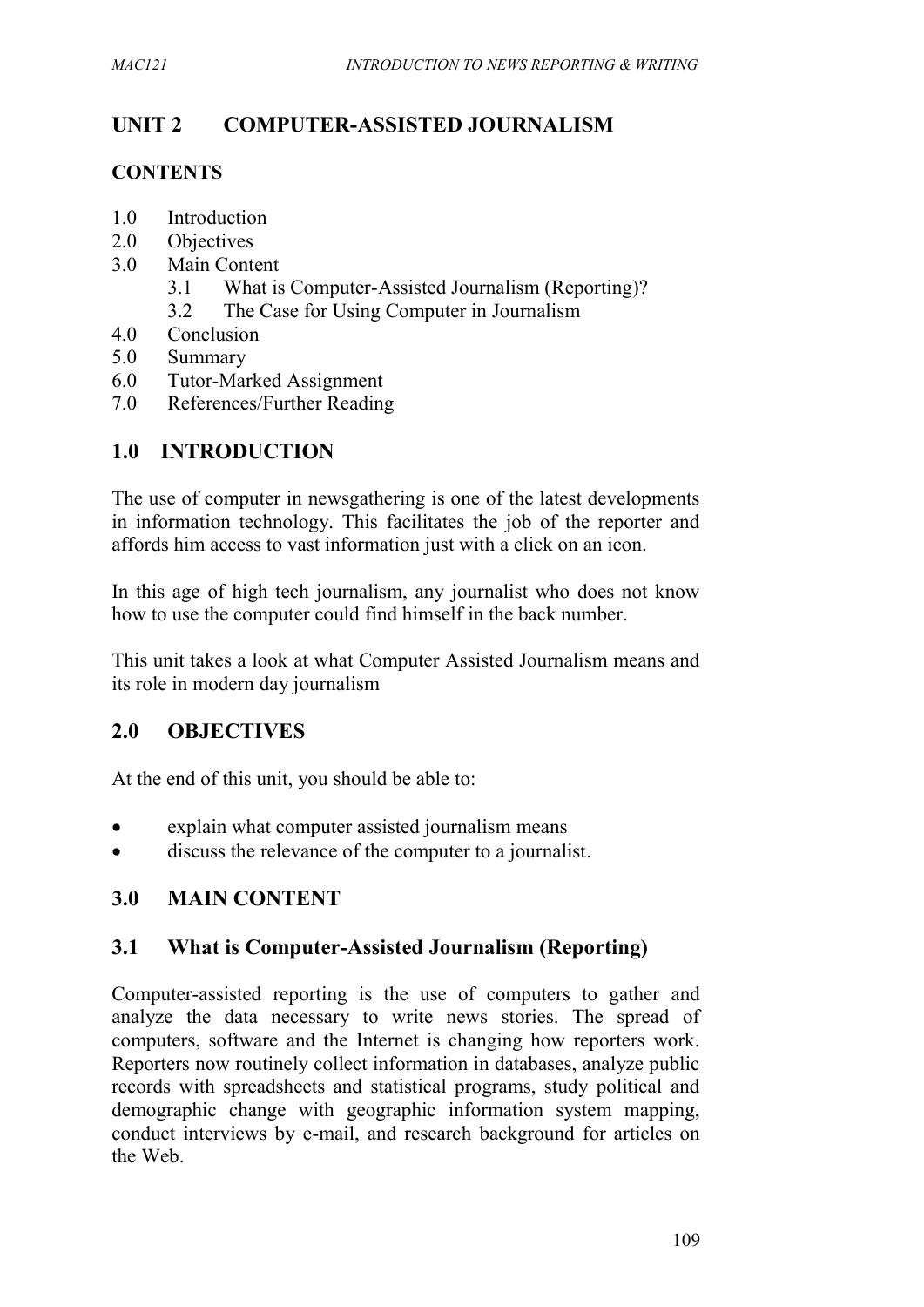# **UNIT 2 COMPUTER-ASSISTED JOURNALISM**

## **CONTENTS**

- 1.0 Introduction
- 2.0 Objectives
- 3.0 Main Content
	- 3.1 What is Computer-Assisted Journalism (Reporting)?
	- 3.2 The Case for Using Computer in Journalism
- 4.0 Conclusion
- 5.0 Summary
- 6.0 Tutor-Marked Assignment
- 7.0 References/Further Reading

# **1.0 INTRODUCTION**

The use of computer in newsgathering is one of the latest developments in information technology. This facilitates the job of the reporter and affords him access to vast information just with a click on an icon.

In this age of high tech journalism, any journalist who does not know how to use the computer could find himself in the back number.

This unit takes a look at what Computer Assisted Journalism means and its role in modern day journalism

## **2.0 OBJECTIVES**

At the end of this unit, you should be able to:

- explain what computer assisted journalism means
- discuss the relevance of the computer to a journalist.

## **3.0 MAIN CONTENT**

## **3.1 What is Computer-Assisted Journalism (Reporting)**

Computer-assisted reporting is the use of computers to gather and analyze the data necessary to write news stories. The spread of computers, software and the Internet is changing how reporters work. Reporters now routinely collect information in databases, analyze public records with spreadsheets and statistical programs, study political and demographic change with geographic information system mapping, conduct interviews by e-mail, and research background for articles on the Web.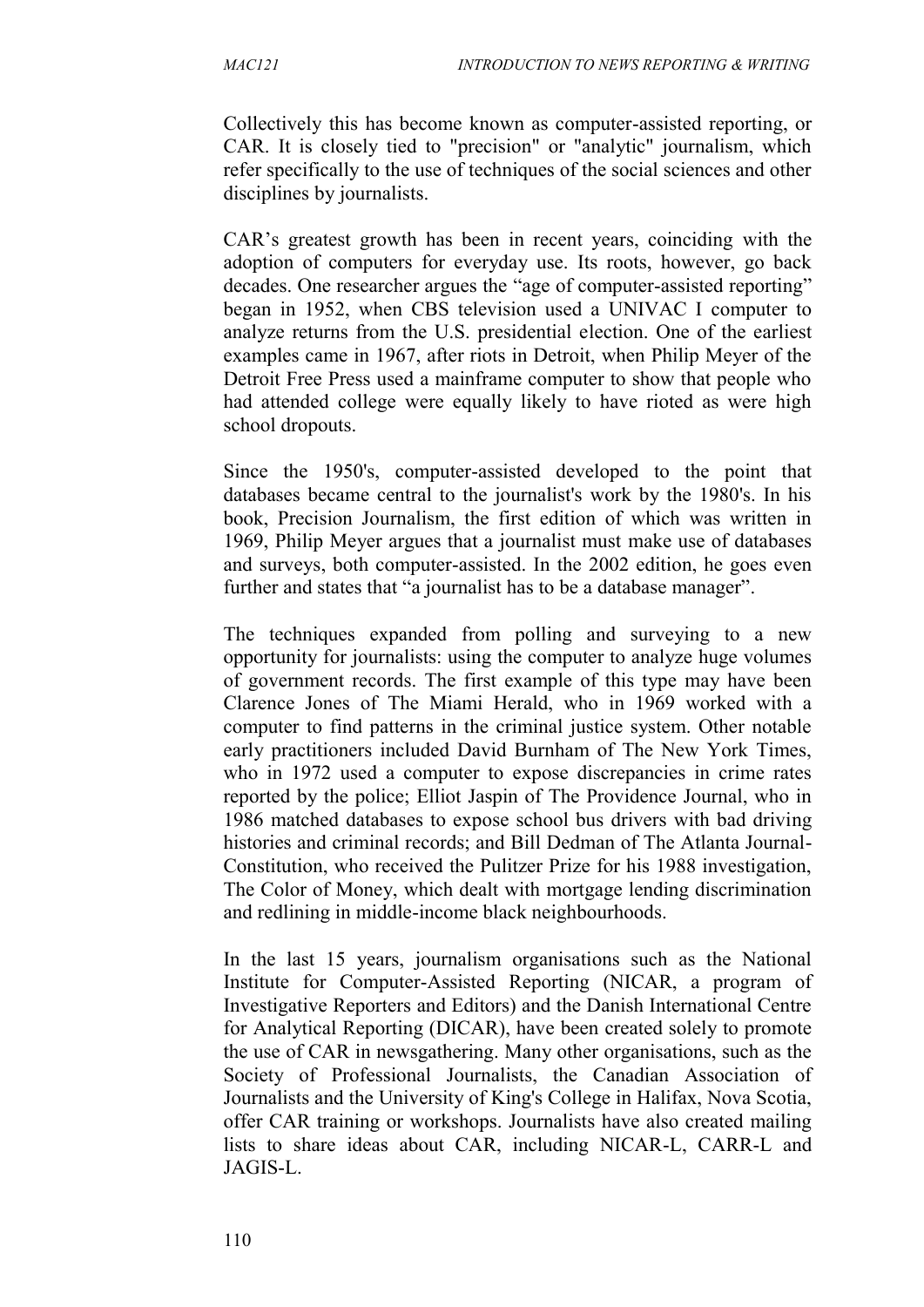Collectively this has become known as computer-assisted reporting, or CAR. It is closely tied to "precision" or "analytic" journalism, which refer specifically to the use of techniques of the social sciences and other disciplines by journalists.

CAR's greatest growth has been in recent years, coinciding with the adoption of computers for everyday use. Its roots, however, go back decades. One researcher argues the "age of computer-assisted reporting" began in 1952, when CBS television used a UNIVAC I computer to analyze returns from the U.S. presidential election. One of the earliest examples came in 1967, after riots in Detroit, when Philip Meyer of the Detroit Free Press used a mainframe computer to show that people who had attended college were equally likely to have rioted as were high school dropouts.

Since the 1950's, computer-assisted developed to the point that databases became central to the journalist's work by the 1980's. In his book, Precision Journalism, the first edition of which was written in 1969, Philip Meyer argues that a journalist must make use of databases and surveys, both computer-assisted. In the 2002 edition, he goes even further and states that "a journalist has to be a database manager".

The techniques expanded from polling and surveying to a new opportunity for journalists: using the computer to analyze huge volumes of government records. The first example of this type may have been Clarence Jones of The Miami Herald, who in 1969 worked with a computer to find patterns in the criminal justice system. Other notable early practitioners included David Burnham of The New York Times, who in 1972 used a computer to expose discrepancies in crime rates reported by the police; Elliot Jaspin of The Providence Journal, who in 1986 matched databases to expose school bus drivers with bad driving histories and criminal records; and Bill Dedman of The Atlanta Journal- Constitution, who received the Pulitzer Prize for his 1988 investigation, The Color of Money, which dealt with mortgage lending discrimination and redlining in middle-income black neighbourhoods.

In the last 15 years, journalism organisations such as the National Institute for Computer-Assisted Reporting (NICAR, a program of Investigative Reporters and Editors) and the Danish International Centre for Analytical Reporting (DICAR), have been created solely to promote the use of CAR in newsgathering. Many other organisations, such as the Society of Professional Journalists, the Canadian Association of Journalists and the University of King's College in Halifax, Nova Scotia, offer CAR training or workshops. Journalists have also created mailing lists to share ideas about CAR, including NICAR-L, CARR-L and JAGIS-L.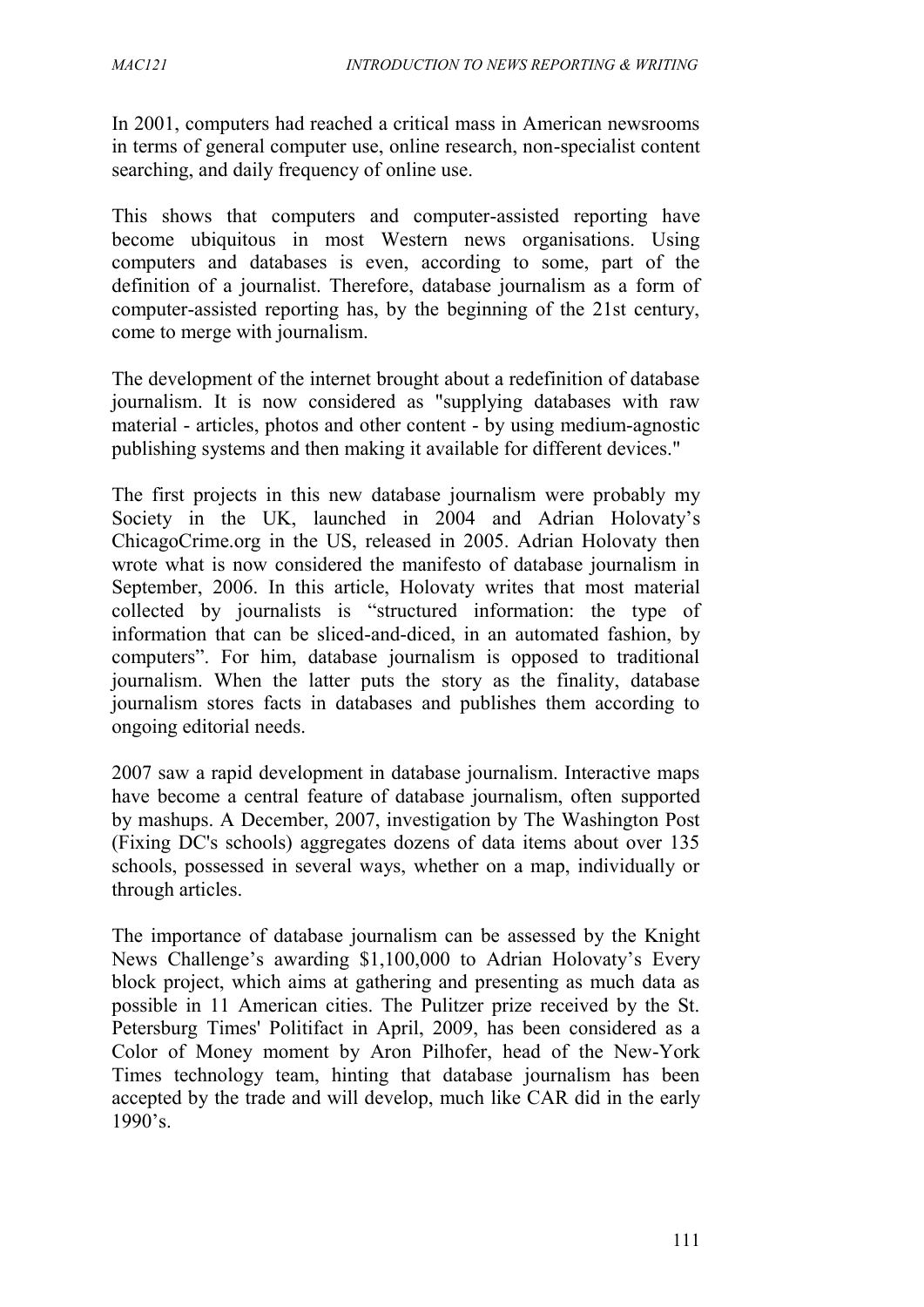In 2001, computers had reached a critical mass in American newsrooms in terms of general computer use, online research, non-specialist content searching, and daily frequency of online use.

This shows that computers and computer-assisted reporting have become ubiquitous in most Western news organisations. Using computers and databases is even, according to some, part of the definition of a journalist. Therefore, database journalism as a form of computer-assisted reporting has, by the beginning of the 21st century, come to merge with journalism.

The development of the internet brought about a redefinition of database journalism. It is now considered as "supplying databases with raw material - articles, photos and other content - by using medium-agnostic publishing systems and then making it available for different devices."

The first projects in this new database journalism were probably my Society in the UK, launched in 2004 and Adrian Holovaty's ChicagoCrime.org in the US, released in 2005. Adrian Holovaty then wrote what is now considered the manifesto of database journalism in September, 2006. In this article, Holovaty writes that most material collected by journalists is "structured information: the type of information that can be sliced-and-diced, in an automated fashion, by computers". For him, database journalism is opposed to traditional journalism. When the latter puts the story as the finality, database journalism stores facts in databases and publishes them according to ongoing editorial needs.

2007 saw a rapid development in database journalism. Interactive maps have become a central feature of database journalism, often supported by mashups. A December, 2007, investigation by The Washington Post (Fixing DC's schools) aggregates dozens of data items about over 135 schools, possessed in several ways, whether on a map, individually or through articles.

The importance of database journalism can be assessed by the Knight News Challenge's awarding \$1,100,000 to Adrian Holovaty's Every block project, which aims at gathering and presenting as much data as possible in 11 American cities. The Pulitzer prize received by the St. Petersburg Times' Politifact in April, 2009, has been considered as a Color of Money moment by Aron Pilhofer, head of the New-York Times technology team, hinting that database journalism has been accepted by the trade and will develop, much like CAR did in the early 1990's.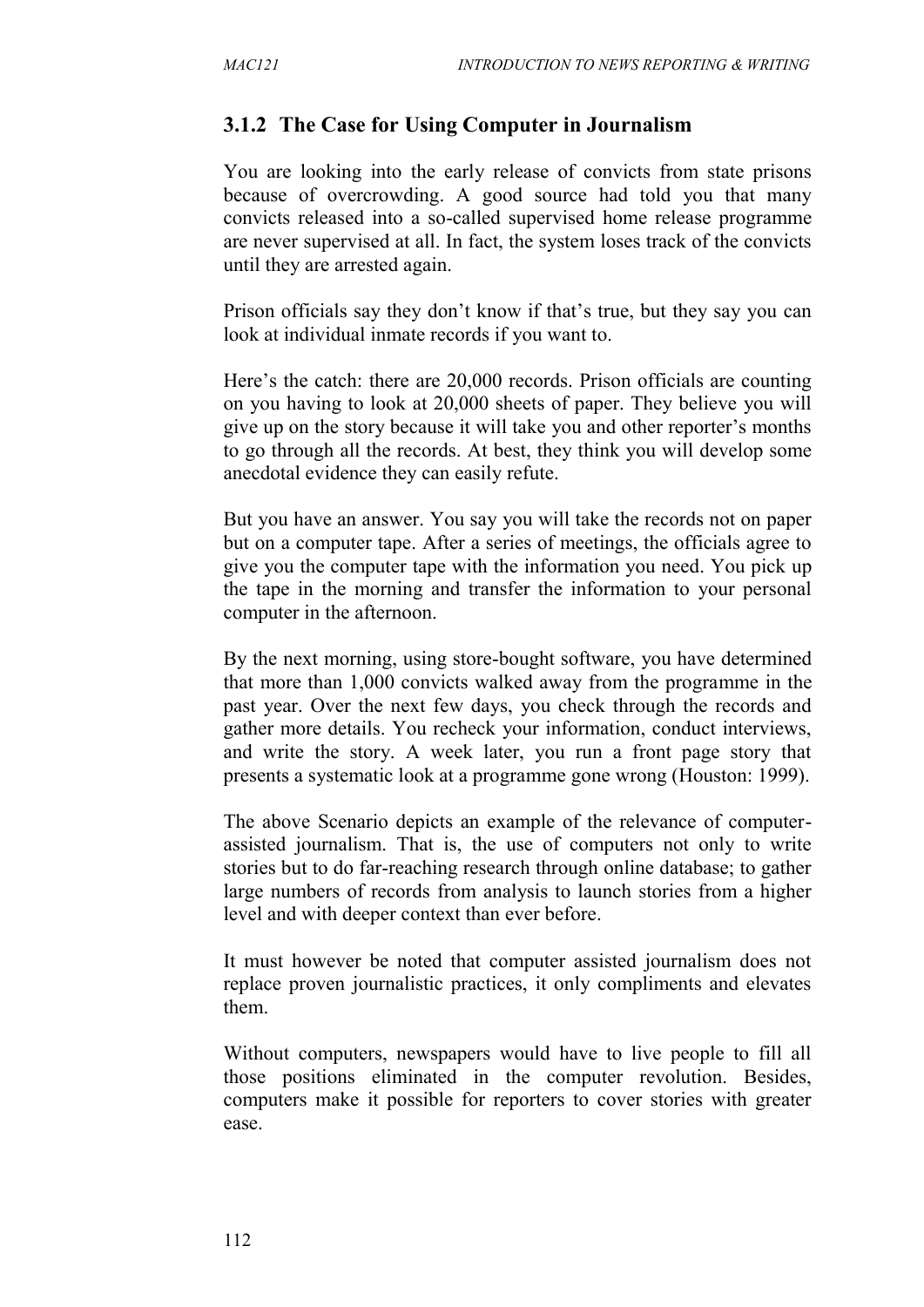### **3.1.2 The Case for Using Computer in Journalism**

You are looking into the early release of convicts from state prisons because of overcrowding. A good source had told you that many convicts released into a so-called supervised home release programme are never supervised at all. In fact, the system loses track of the convicts until they are arrested again.

Prison officials say they don't know if that's true, but they say you can look at individual inmate records if you want to.

Here's the catch: there are 20,000 records. Prison officials are counting on you having to look at 20,000 sheets of paper. They believe you will give up on the story because it will take you and other reporter's months to go through all the records. At best, they think you will develop some anecdotal evidence they can easily refute.

But you have an answer. You say you will take the records not on paper but on a computer tape. After a series of meetings, the officials agree to give you the computer tape with the information you need. You pick up the tape in the morning and transfer the information to your personal computer in the afternoon.

By the next morning, using store-bought software, you have determined that more than 1,000 convicts walked away from the programme in the past year. Over the next few days, you check through the records and gather more details. You recheck your information, conduct interviews, and write the story. A week later, you run a front page story that presents a systematic look at a programme gone wrong (Houston: 1999).

The above Scenario depicts an example of the relevance of computer assisted journalism. That is, the use of computers not only to write stories but to do far-reaching research through online database; to gather large numbers of records from analysis to launch stories from a higher level and with deeper context than ever before.

It must however be noted that computer assisted journalism does not replace proven journalistic practices, it only compliments and elevates them.

Without computers, newspapers would have to live people to fill all those positions eliminated in the computer revolution. Besides, computers make it possible for reporters to cover stories with greater ease.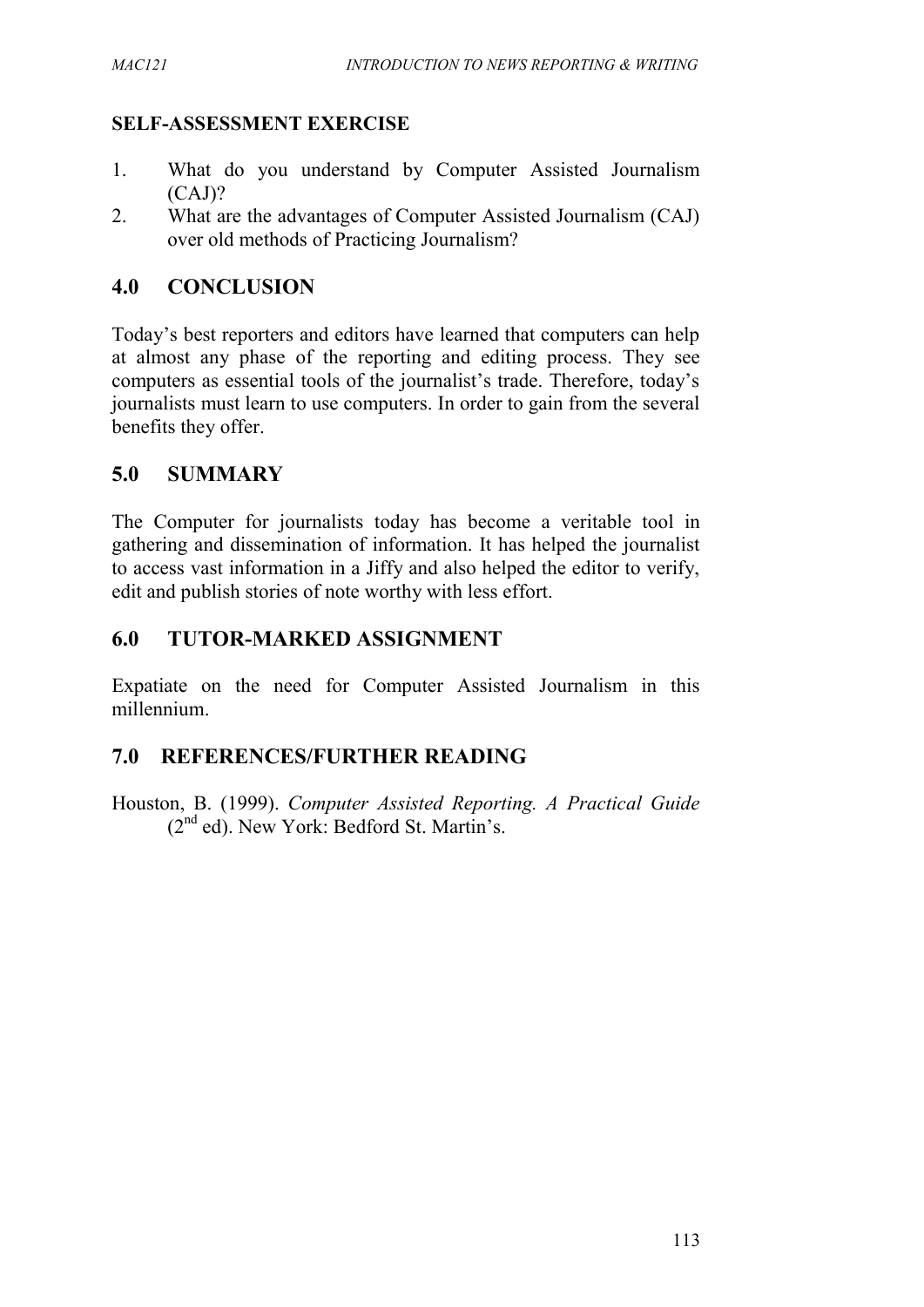## **SELF-ASSESSMENT EXERCISE**

- 1. What do you understand by Computer Assisted Journalism (CAJ)?
- 2. What are the advantages of Computer Assisted Journalism (CAJ) over old methods of Practicing Journalism?

## **4.0 CONCLUSION**

Today's best reporters and editors have learned that computers can help at almost any phase of the reporting and editing process. They see computers as essential tools of the journalist's trade. Therefore, today's journalists must learn to use computers. In order to gain from the several benefits they offer.

## **5.0 SUMMARY**

The Computer for journalists today has become a veritable tool in gathering and dissemination of information. It has helped the journalist to access vast information in a Jiffy and also helped the editor to verify, edit and publish stories of note worthy with less effort.

## **6.0 TUTOR-MARKED ASSIGNMENT**

Expatiate on the need for Computer Assisted Journalism in this millennium.

## **7.0 REFERENCES/FURTHER READING**

Houston, B. (1999). *Computer Assisted Reporting. A Practical Guide* (2nd ed). New York: Bedford St. Martin's.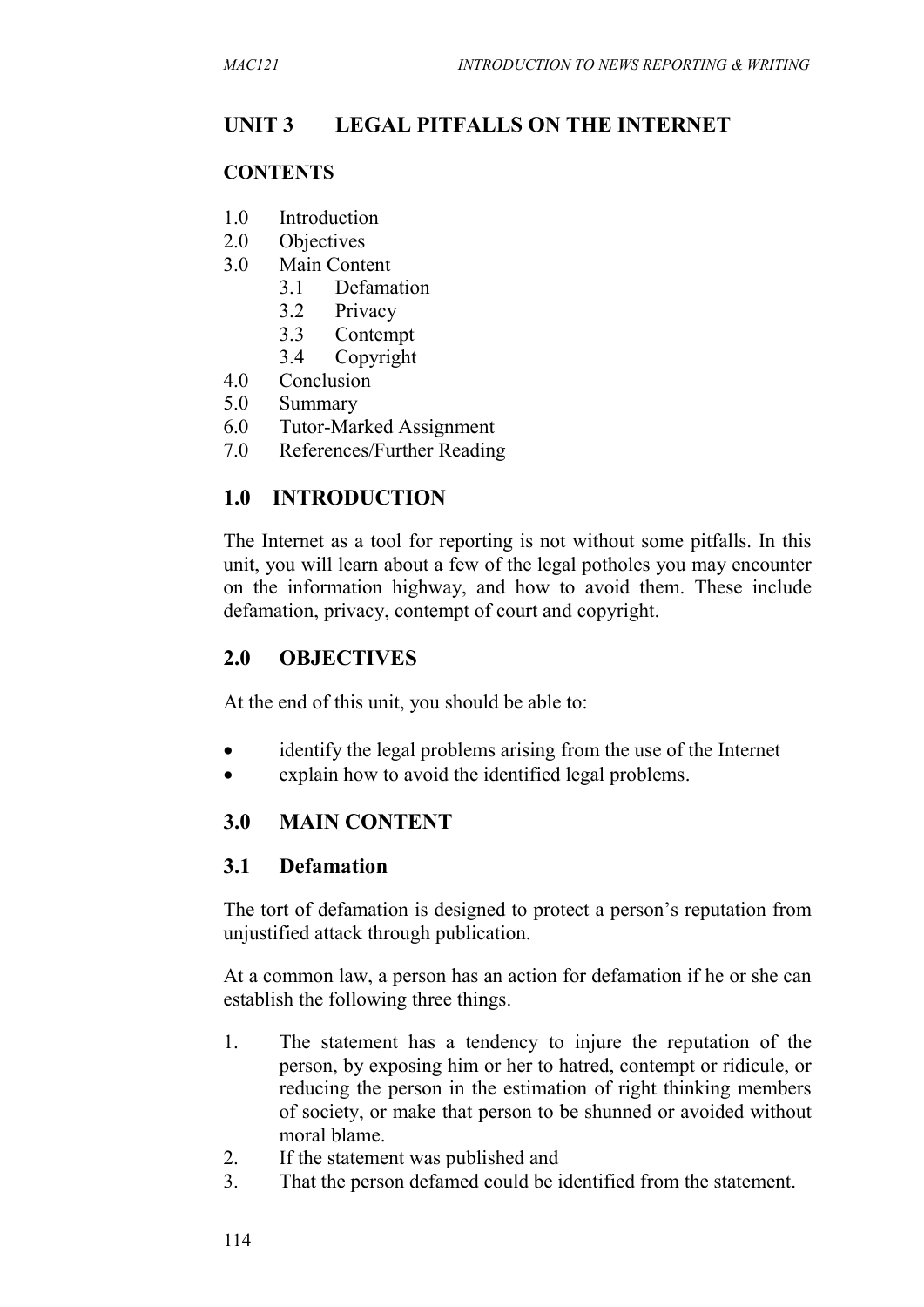## **UNIT 3 LEGAL PITFALLS ON THE INTERNET**

#### **CONTENTS**

- 1.0 Introduction
- 2.0 Objectives
- 3.0 Main Content
	- 3.1 Defamation
	- 3.2 Privacy
	- 3.3 Contempt
	- 3.4 Copyright
- 4.0 Conclusion
- 5.0 Summary
- 6.0 Tutor-Marked Assignment
- 7.0 References/Further Reading

## **1.0 INTRODUCTION**

The Internet as a tool for reporting is not without some pitfalls. In this unit, you will learn about a few of the legal potholes you may encounter on the information highway, and how to avoid them. These include defamation, privacy, contempt of court and copyright.

#### **2.0 OBJECTIVES**

At the end of this unit, you should be able to:

- identify the legal problems arising from the use of the Internet
- explain how to avoid the identified legal problems.

## **3.0 MAIN CONTENT**

### **3.1 Defamation**

The tort of defamation is designed to protect a person's reputation from unjustified attack through publication.

At a common law, a person has an action for defamation if he or she can establish the following three things.

- 1. The statement has a tendency to injure the reputation of the person, by exposing him or her to hatred, contempt or ridicule, or reducing the person in the estimation of right thinking members of society, or make that person to be shunned or avoided without moral blame.
- 2. If the statement was published and
- 3. That the person defamed could be identified from the statement.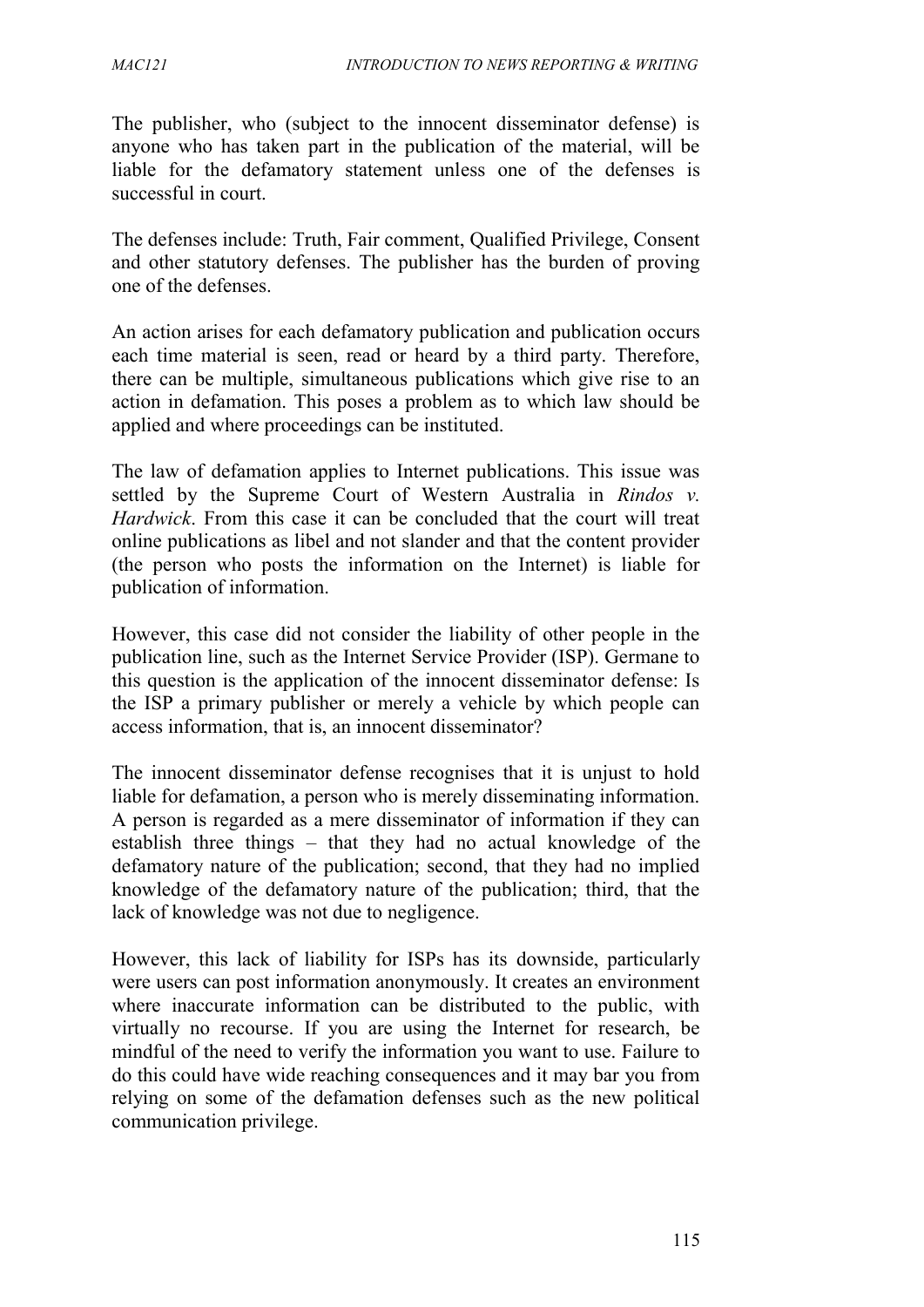The publisher, who (subject to the innocent disseminator defense) is anyone who has taken part in the publication of the material, will be liable for the defamatory statement unless one of the defenses is successful in court.

The defenses include: Truth, Fair comment, Qualified Privilege, Consent and other statutory defenses. The publisher has the burden of proving one of the defenses.

An action arises for each defamatory publication and publication occurs each time material is seen, read or heard by a third party. Therefore, there can be multiple, simultaneous publications which give rise to an action in defamation. This poses a problem as to which law should be applied and where proceedings can be instituted.

The law of defamation applies to Internet publications. This issue was settled by the Supreme Court of Western Australia in *Rindos v. Hardwick*. From this case it can be concluded that the court will treat online publications as libel and not slander and that the content provider (the person who posts the information on the Internet) is liable for publication of information.

However, this case did not consider the liability of other people in the publication line, such as the Internet Service Provider (ISP). Germane to this question is the application of the innocent disseminator defense: Is the ISP a primary publisher or merely a vehicle by which people can access information, that is, an innocent disseminator?

The innocent disseminator defense recognises that it is unjust to hold liable for defamation, a person who is merely disseminating information. A person is regarded as a mere disseminator of information if they can establish three things – that they had no actual knowledge of the defamatory nature of the publication; second, that they had no implied knowledge of the defamatory nature of the publication; third, that the lack of knowledge was not due to negligence.

However, this lack of liability for ISPs has its downside, particularly were users can post information anonymously. It creates an environment where inaccurate information can be distributed to the public, with virtually no recourse. If you are using the Internet for research, be mindful of the need to verify the information you want to use. Failure to do this could have wide reaching consequences and it may bar you from relying on some of the defamation defenses such as the new political communication privilege.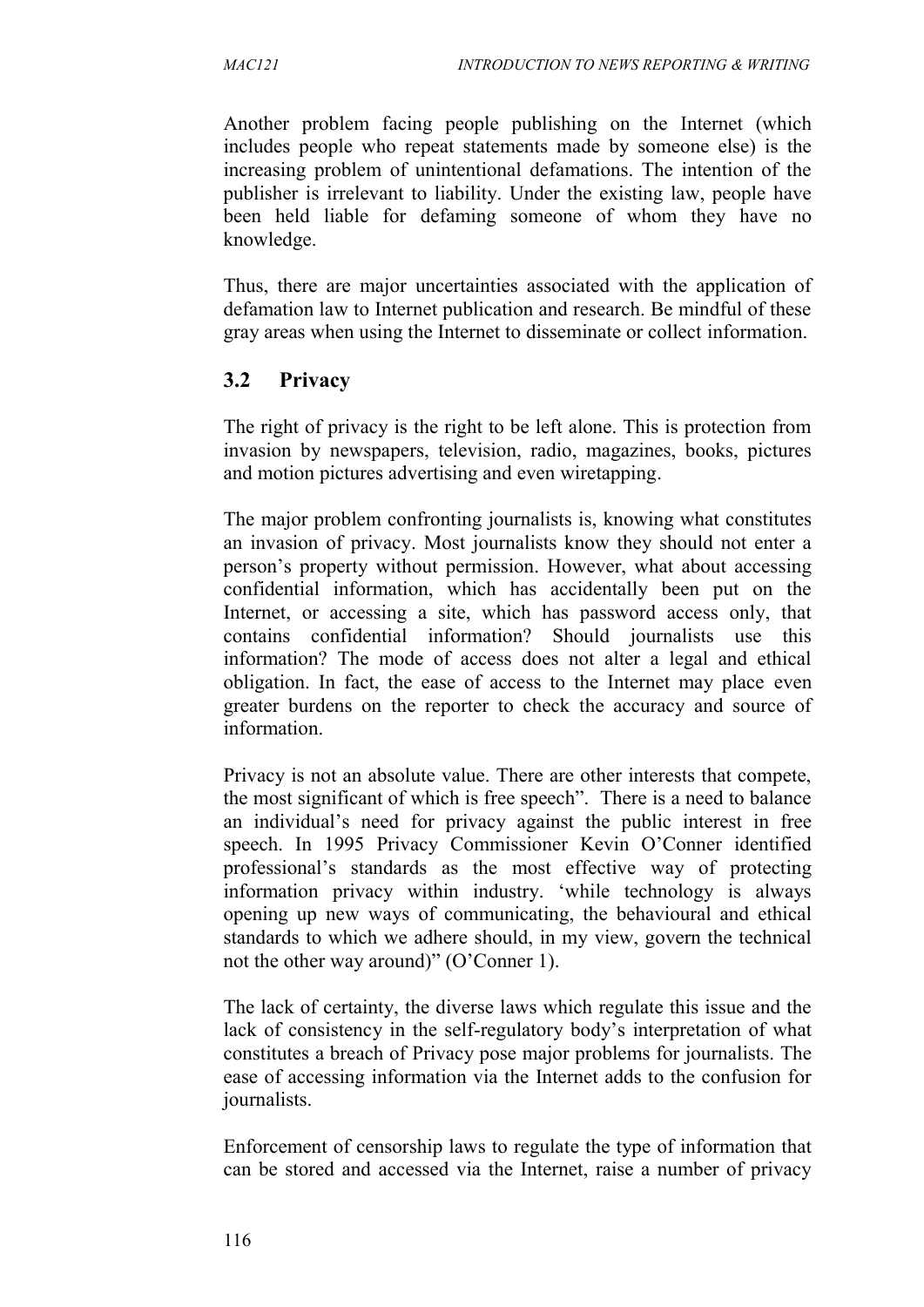Another problem facing people publishing on the Internet (which includes people who repeat statements made by someone else) is the increasing problem of unintentional defamations. The intention of the publisher is irrelevant to liability. Under the existing law, people have been held liable for defaming someone of whom they have no knowledge.

Thus, there are major uncertainties associated with the application of defamation law to Internet publication and research. Be mindful of these gray areas when using the Internet to disseminate or collect information.

## **3.2 Privacy**

The right of privacy is the right to be left alone. This is protection from invasion by newspapers, television, radio, magazines, books, pictures and motion pictures advertising and even wiretapping.

The major problem confronting journalists is, knowing what constitutes an invasion of privacy. Most journalists know they should not enter a person's property without permission. However, what about accessing confidential information, which has accidentally been put on the Internet, or accessing a site, which has password access only, that contains confidential information? Should journalists use this information? The mode of access does not alter a legal and ethical obligation. In fact, the ease of access to the Internet may place even greater burdens on the reporter to check the accuracy and source of information.

Privacy is not an absolute value. There are other interests that compete, the most significant of which is free speech". There is a need to balance an individual's need for privacy against the public interest in free speech. In 1995 Privacy Commissioner Kevin O'Conner identified professional's standards as the most effective way of protecting information privacy within industry. 'while technology is always opening up new ways of communicating, the behavioural and ethical standards to which we adhere should, in my view, govern the technical not the other way around)" (O'Conner 1).

The lack of certainty, the diverse laws which regulate this issue and the lack of consistency in the self-regulatory body's interpretation of what constitutes a breach of Privacy pose major problems for journalists. The ease of accessing information via the Internet adds to the confusion for journalists.

Enforcement of censorship laws to regulate the type of information that can be stored and accessed via the Internet, raise a number of privacy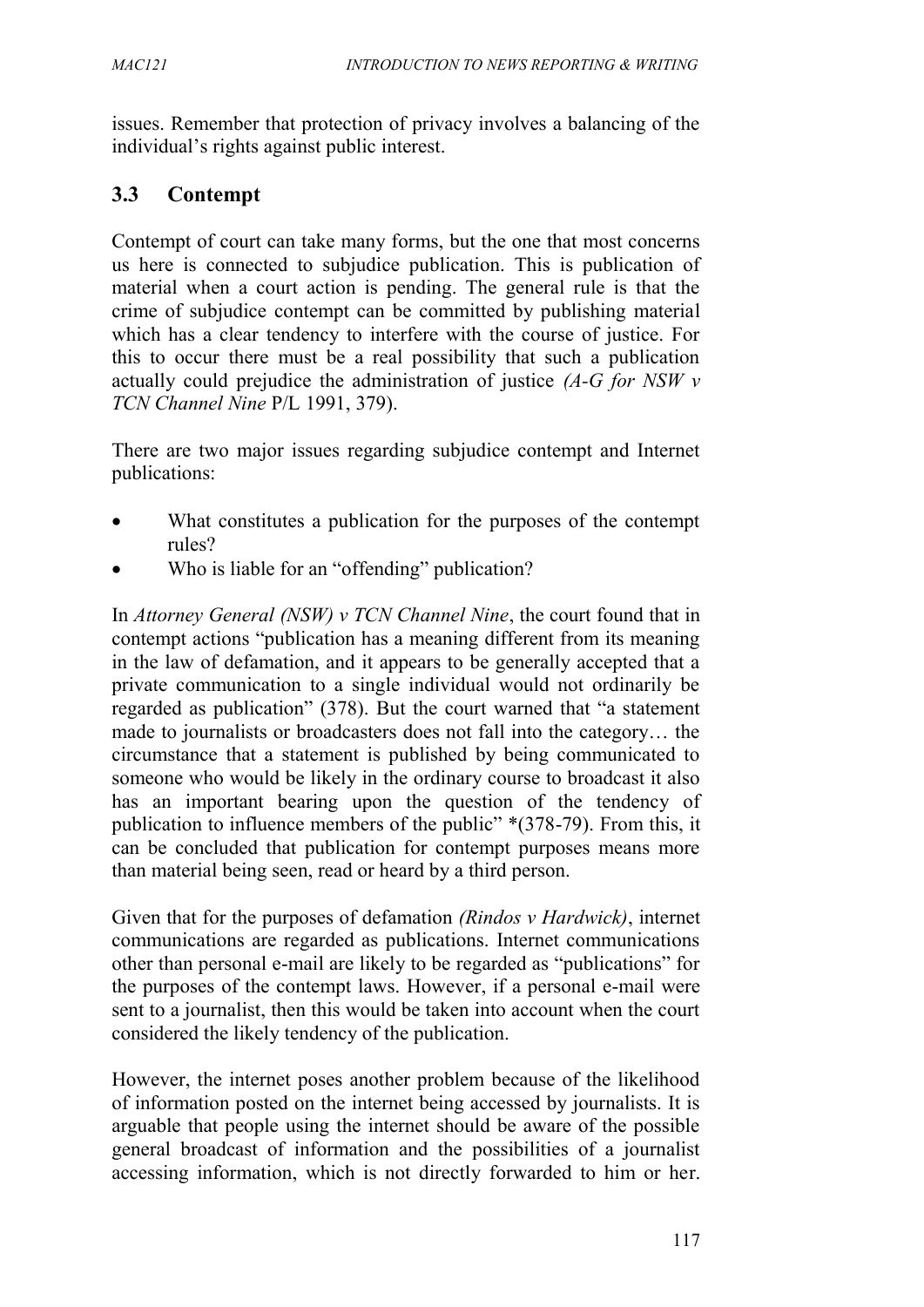issues. Remember that protection of privacy involves a balancing of the individual's rights against public interest.

## **3.3 Contempt**

Contempt of court can take many forms, but the one that most concerns us here is connected to subjudice publication. This is publication of material when a court action is pending. The general rule is that the crime of subjudice contempt can be committed by publishing material which has a clear tendency to interfere with the course of justice. For this to occur there must be a real possibility that such a publication actually could prejudice the administration of justice *(A-G for NSW v TCN Channel Nine* P/L 1991, 379).

There are two major issues regarding subjudice contempt and Internet publications:

- What constitutes a publication for the purposes of the contempt rules?
- Who is liable for an "offending" publication?

In *Attorney General (NSW) v TCN Channel Nine*, the court found that in contempt actions "publication has a meaning different from its meaning in the law of defamation, and it appears to be generally accepted that a private communication to a single individual would not ordinarily be regarded as publication" (378). But the court warned that "a statement made to journalists or broadcasters does not fall into the category… the circumstance that a statement is published by being communicated to someone who would be likely in the ordinary course to broadcast it also has an important bearing upon the question of the tendency of publication to influence members of the public" \*(378-79). From this, it can be concluded that publication for contempt purposes means more than material being seen, read or heard by a third person.

Given that for the purposes of defamation *(Rindos v Hardwick)*, internet communications are regarded as publications. Internet communications other than personal e-mail are likely to be regarded as "publications" for the purposes of the contempt laws. However, if a personal e-mail were sent to a journalist, then this would be taken into account when the court considered the likely tendency of the publication.

However, the internet poses another problem because of the likelihood of information posted on the internet being accessed by journalists. It is arguable that people using the internet should be aware of the possible general broadcast of information and the possibilities of a journalist accessing information, which is not directly forwarded to him or her.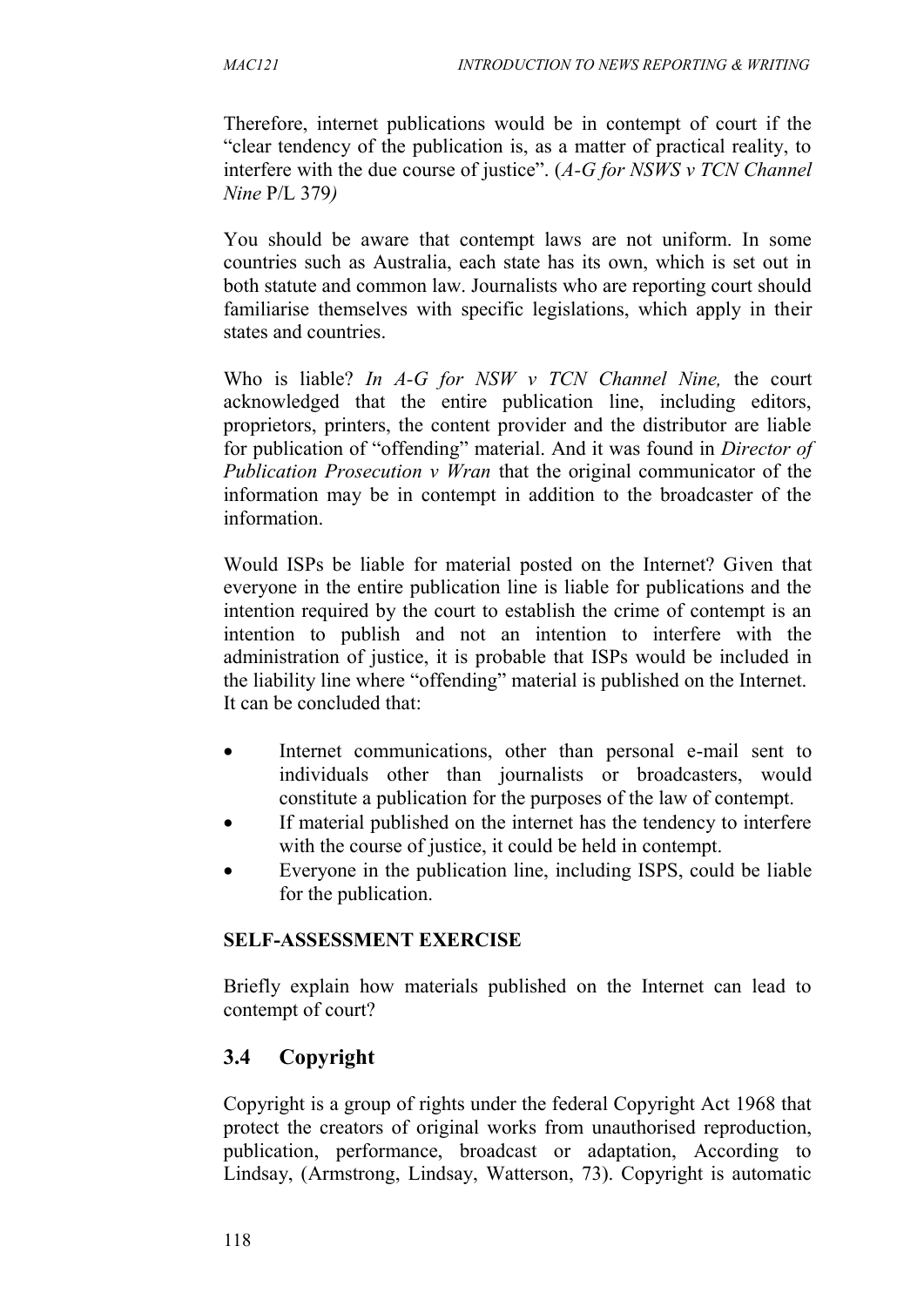Therefore, internet publications would be in contempt of court if the "clear tendency of the publication is, as a matter of practical reality, to interfere with the due course of justice". (*A-G for NSWS v TCN Channel Nine* P/L 379*)*

You should be aware that contempt laws are not uniform. In some countries such as Australia, each state has its own, which is set out in both statute and common law. Journalists who are reporting court should familiarise themselves with specific legislations, which apply in their states and countries.

Who is liable? *In A-G for NSW v TCN Channel Nine,* the court acknowledged that the entire publication line, including editors, proprietors, printers, the content provider and the distributor are liable for publication of "offending" material. And it was found in *Director of Publication Prosecution v Wran* that the original communicator of the information may be in contempt in addition to the broadcaster of the information.

Would ISPs be liable for material posted on the Internet? Given that everyone in the entire publication line is liable for publications and the intention required by the court to establish the crime of contempt is an intention to publish and not an intention to interfere with the administration of justice, it is probable that ISPs would be included in the liability line where "offending" material is published on the Internet. It can be concluded that:

- Internet communications, other than personal e-mail sent to individuals other than journalists or broadcasters, would constitute a publication for the purposes of the law of contempt.
- If material published on the internet has the tendency to interfere with the course of justice, it could be held in contempt.
- Everyone in the publication line, including ISPS, could be liable for the publication.

## **SELF-ASSESSMENT EXERCISE**

Briefly explain how materials published on the Internet can lead to contempt of court?

# **3.4 Copyright**

Copyright is a group of rights under the federal Copyright Act 1968 that protect the creators of original works from unauthorised reproduction, publication, performance, broadcast or adaptation, According to Lindsay, (Armstrong, Lindsay, Watterson, 73). Copyright is automatic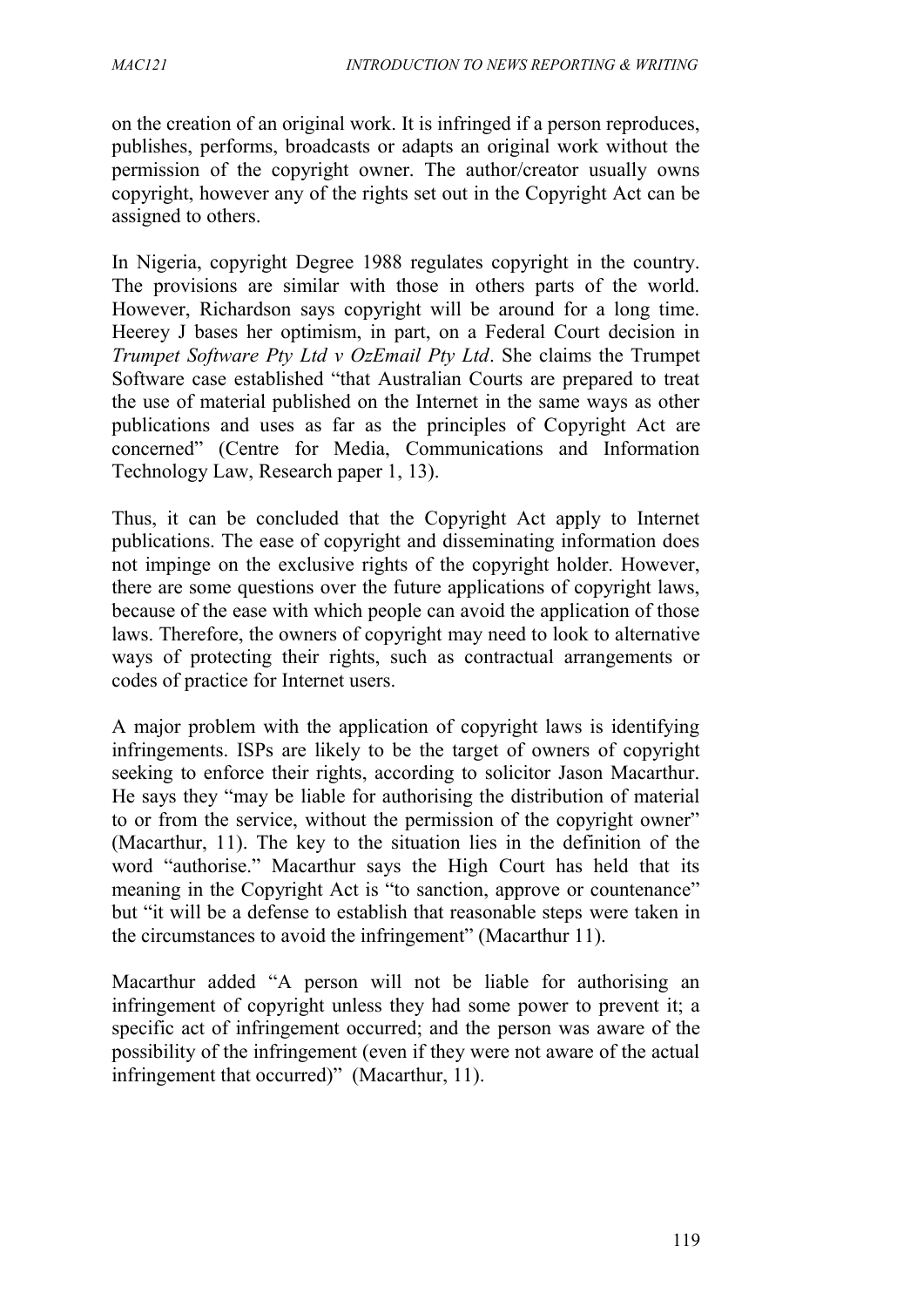on the creation of an original work. It is infringed if a person reproduces, publishes, performs, broadcasts or adapts an original work without the permission of the copyright owner. The author/creator usually owns copyright, however any of the rights set out in the Copyright Act can be assigned to others.

In Nigeria, copyright Degree 1988 regulates copyright in the country. The provisions are similar with those in others parts of the world. However, Richardson says copyright will be around for a long time. Heerey J bases her optimism, in part, on a Federal Court decision in *Trumpet Software Pty Ltd v OzEmail Pty Ltd*. She claims the Trumpet Software case established "that Australian Courts are prepared to treat the use of material published on the Internet in the same ways as other publications and uses as far as the principles of Copyright Act are concerned" (Centre for Media, Communications and Information Technology Law, Research paper 1, 13).

Thus, it can be concluded that the Copyright Act apply to Internet publications. The ease of copyright and disseminating information does not impinge on the exclusive rights of the copyright holder. However, there are some questions over the future applications of copyright laws, because of the ease with which people can avoid the application of those laws. Therefore, the owners of copyright may need to look to alternative ways of protecting their rights, such as contractual arrangements or codes of practice for Internet users.

A major problem with the application of copyright laws is identifying infringements. ISPs are likely to be the target of owners of copyright seeking to enforce their rights, according to solicitor Jason Macarthur. He says they "may be liable for authorising the distribution of material to or from the service, without the permission of the copyright owner" (Macarthur, 11). The key to the situation lies in the definition of the word "authorise." Macarthur says the High Court has held that its meaning in the Copyright Act is "to sanction, approve or countenance" but "it will be a defense to establish that reasonable steps were taken in the circumstances to avoid the infringement" (Macarthur 11).

Macarthur added "A person will not be liable for authorising an infringement of copyright unless they had some power to prevent it; a specific act of infringement occurred; and the person was aware of the possibility of the infringement (even if they were not aware of the actual infringement that occurred)" (Macarthur, 11).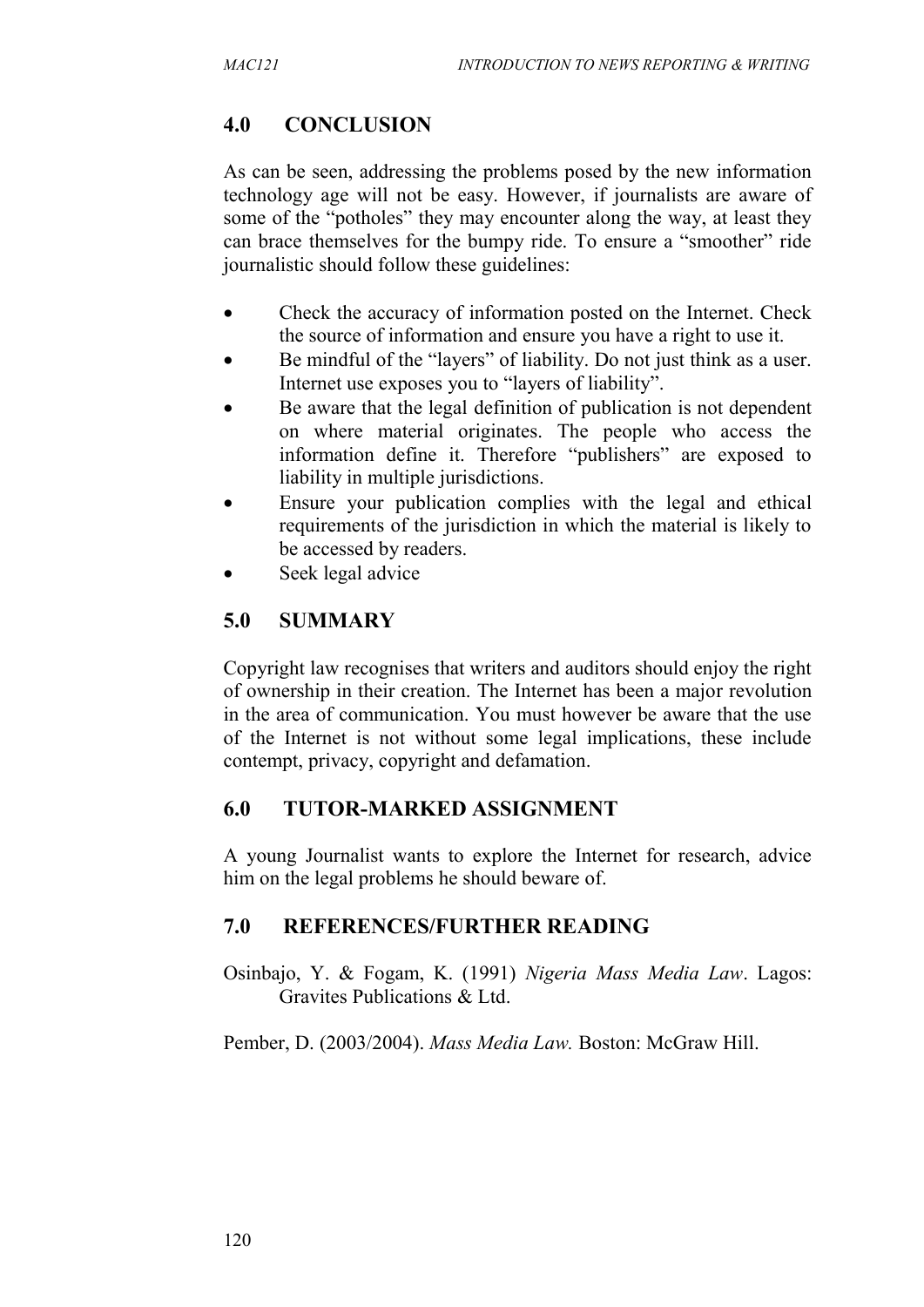## **4.0 CONCLUSION**

As can be seen, addressing the problems posed by the new information technology age will not be easy. However, if journalists are aware of some of the "potholes" they may encounter along the way, at least they can brace themselves for the bumpy ride. To ensure a "smoother" ride journalistic should follow these guidelines:

- Check the accuracy of information posted on the Internet. Check the source of information and ensure you have a right to use it.
- Be mindful of the "layers" of liability. Do not just think as a user. Internet use exposes you to "layers of liability".
- Be aware that the legal definition of publication is not dependent on where material originates. The people who access the information define it. Therefore "publishers" are exposed to liability in multiple jurisdictions.
- Ensure your publication complies with the legal and ethical requirements of the jurisdiction in which the material is likely to be accessed by readers.
- Seek legal advice

# **5.0 SUMMARY**

Copyright law recognises that writers and auditors should enjoy the right of ownership in their creation. The Internet has been a major revolution in the area of communication. You must however be aware that the use of the Internet is not without some legal implications, these include contempt, privacy, copyright and defamation.

## **6.0 TUTOR-MARKED ASSIGNMENT**

A young Journalist wants to explore the Internet for research, advice him on the legal problems he should beware of.

## **7.0 REFERENCES/FURTHER READING**

Osinbajo, Y. & Fogam, K. (1991) *Nigeria Mass Media Law*. Lagos: Gravites Publications & Ltd.

Pember, D. (2003/2004). *Mass Media Law.* Boston: McGraw Hill.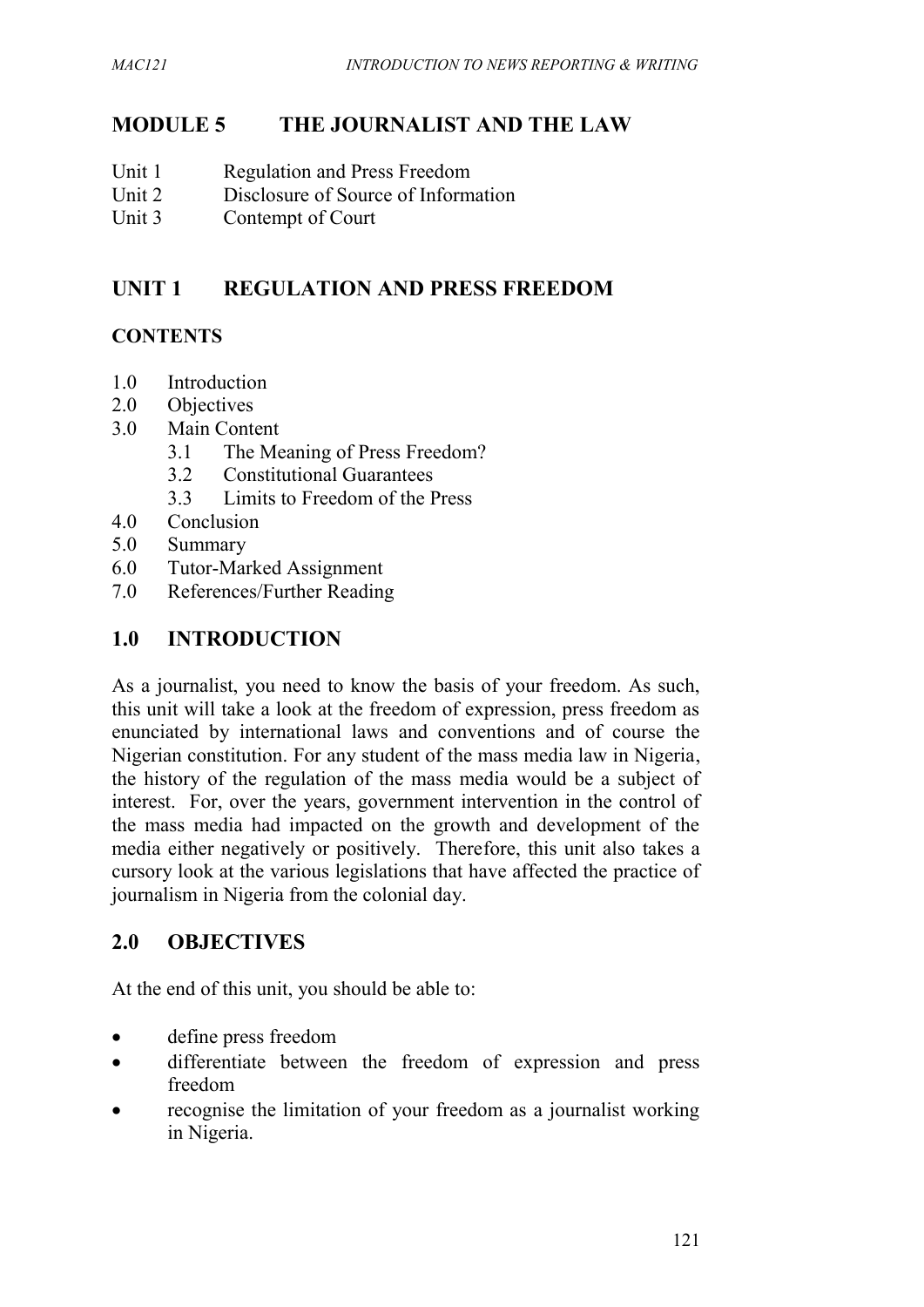## **MODULE 5 THE JOURNALIST AND THE LAW**

- Unit 1 Regulation and Press Freedom
- Unit 2 Disclosure of Source of Information
- Unit 3 Contempt of Court

## **UNIT 1 REGULATION AND PRESS FREEDOM**

## **CONTENTS**

- 1.0 Introduction
- 2.0 Objectives
- 3.0 Main Content
	- 3.1 The Meaning of Press Freedom?
	- 3.2 Constitutional Guarantees
	- 3.3 Limits to Freedom of the Press
- 4.0 Conclusion
- 5.0 Summary
- 6.0 Tutor-Marked Assignment
- 7.0 References/Further Reading

## **1.0 INTRODUCTION**

As a journalist, you need to know the basis of your freedom. As such, this unit will take a look at the freedom of expression, press freedom as enunciated by international laws and conventions and of course the Nigerian constitution. For any student of the mass media law in Nigeria, the history of the regulation of the mass media would be a subject of interest. For, over the years, government intervention in the control of the mass media had impacted on the growth and development of the media either negatively or positively. Therefore, this unit also takes a cursory look at the various legislations that have affected the practice of journalism in Nigeria from the colonial day.

## **2.0 OBJECTIVES**

At the end of this unit, you should be able to:

- define press freedom
- differentiate between the freedom of expression and press freedom
- recognise the limitation of your freedom as a journalist working in Nigeria.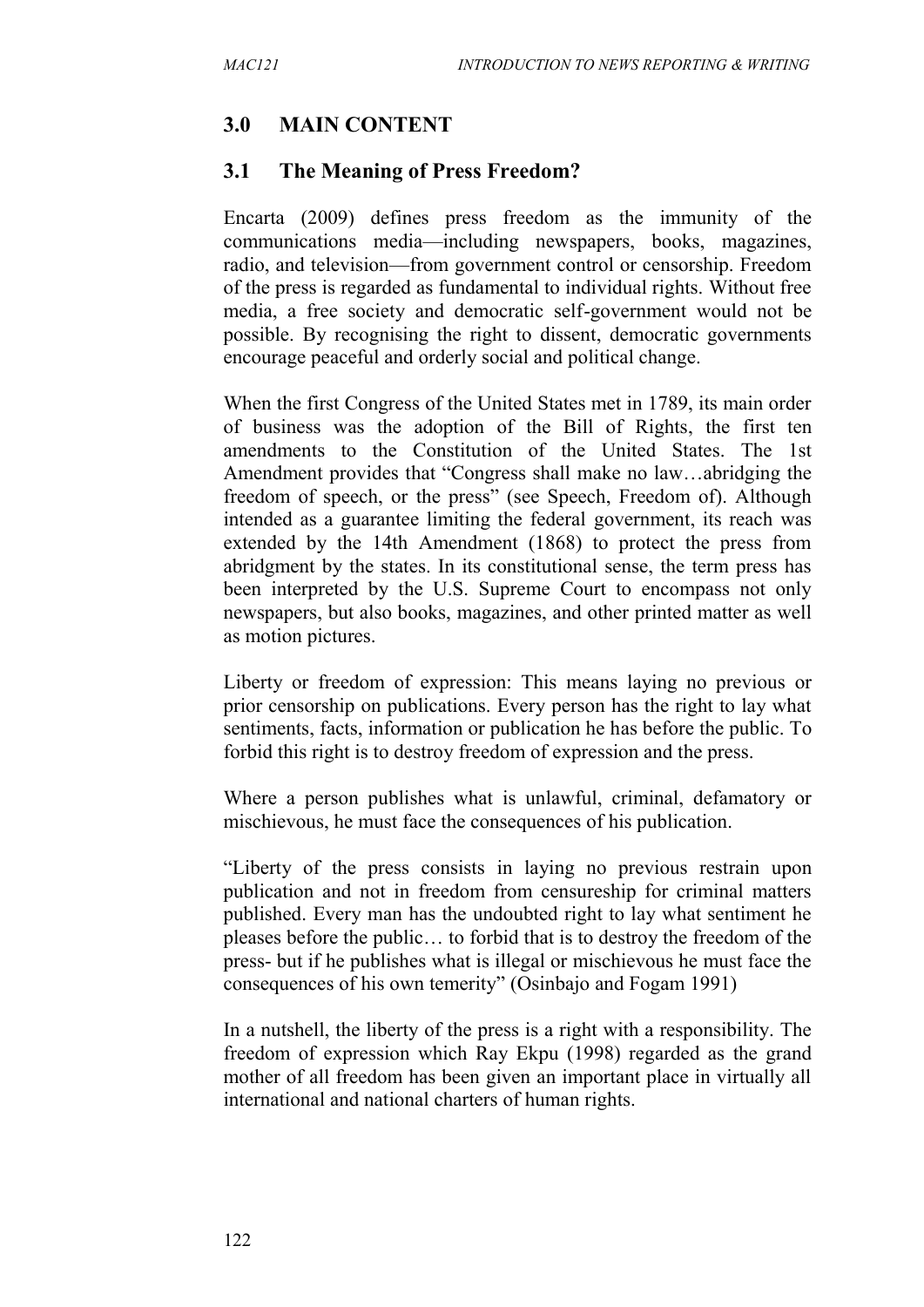## **3.0 MAIN CONTENT**

### **3.1 The Meaning of Press Freedom?**

Encarta (2009) defines press freedom as the immunity of the communications media—including newspapers, books, magazines, radio, and television—from government control or censorship. Freedom of the press is regarded as fundamental to individual rights. Without free media, a free society and democratic self-government would not be possible. By recognising the right to dissent, democratic governments encourage peaceful and orderly social and political change.

When the first Congress of the United States met in 1789, its main order of business was the adoption of the Bill of Rights, the first ten amendments to the Constitution of the United States. The 1st Amendment provides that "Congress shall make no law…abridging the freedom of speech, or the press" (see Speech, Freedom of). Although intended as a guarantee limiting the federal government, its reach was extended by the 14th Amendment (1868) to protect the press from abridgment by the states. In its constitutional sense, the term press has been interpreted by the U.S. Supreme Court to encompass not only newspapers, but also books, magazines, and other printed matter as well as motion pictures.

Liberty or freedom of expression: This means laying no previous or prior censorship on publications. Every person has the right to lay what sentiments, facts, information or publication he has before the public. To forbid this right is to destroy freedom of expression and the press.

Where a person publishes what is unlawful, criminal, defamatory or mischievous, he must face the consequences of his publication.

"Liberty of the press consists in laying no previous restrain upon publication and not in freedom from censureship for criminal matters published. Every man has the undoubted right to lay what sentiment he pleases before the public… to forbid that is to destroy the freedom of the press- but if he publishes what is illegal or mischievous he must face the consequences of his own temerity" (Osinbajo and Fogam 1991)

In a nutshell, the liberty of the press is a right with a responsibility. The freedom of expression which Ray Ekpu (1998) regarded as the grand mother of all freedom has been given an important place in virtually all international and national charters of human rights.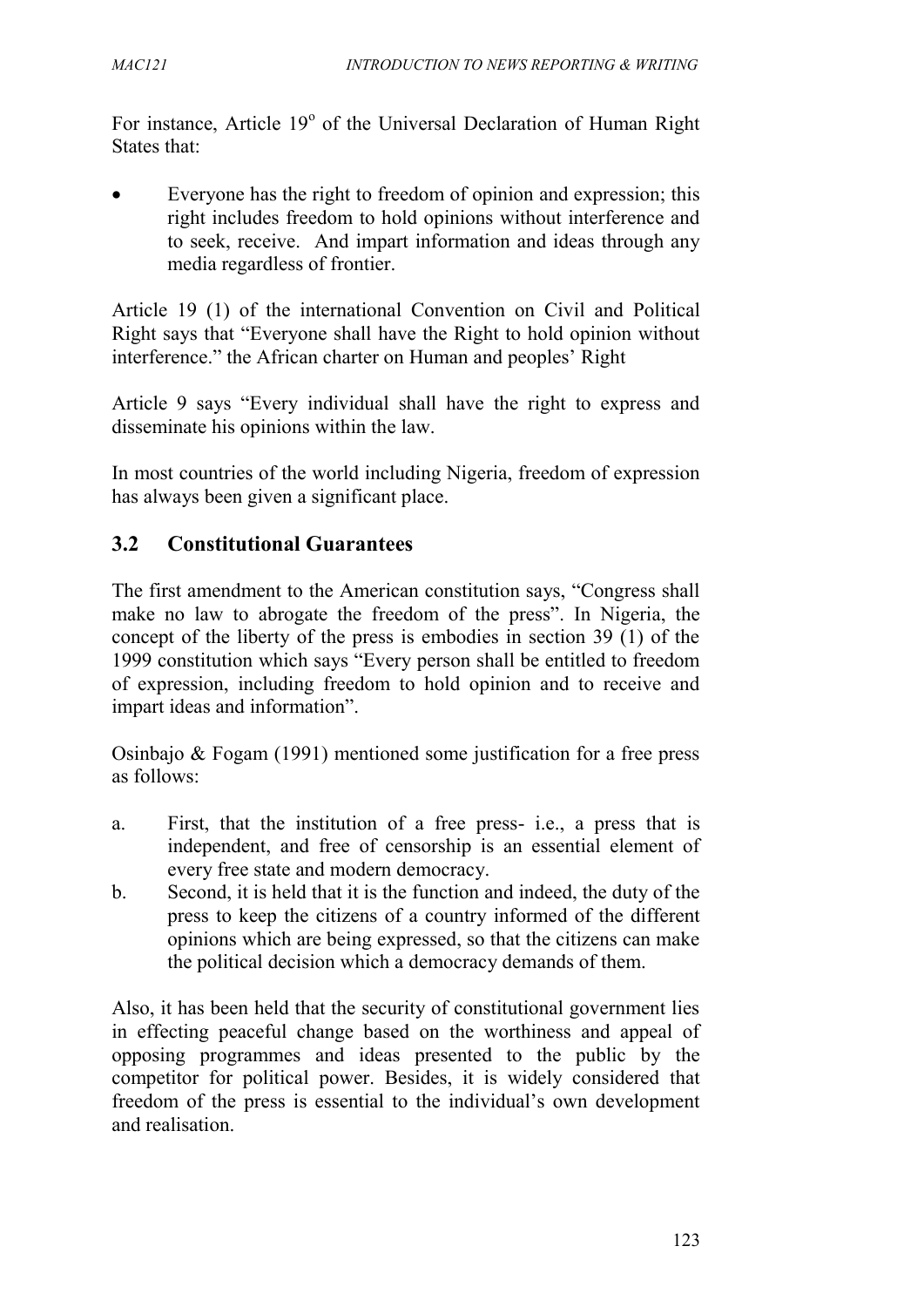For instance, Article  $19^{\circ}$  of the Universal Declaration of Human Right States that:

 Everyone has the right to freedom of opinion and expression; this right includes freedom to hold opinions without interference and to seek, receive. And impart information and ideas through any media regardless of frontier.

Article 19 (1) of the international Convention on Civil and Political Right says that "Everyone shall have the Right to hold opinion without interference." the African charter on Human and peoples' Right

Article 9 says "Every individual shall have the right to express and disseminate his opinions within the law.

In most countries of the world including Nigeria, freedom of expression has always been given a significant place.

## **3.2 Constitutional Guarantees**

The first amendment to the American constitution says, "Congress shall make no law to abrogate the freedom of the press". In Nigeria, the concept of the liberty of the press is embodies in section 39 (1) of the 1999 constitution which says "Every person shall be entitled to freedom of expression, including freedom to hold opinion and to receive and impart ideas and information".

Osinbajo & Fogam (1991) mentioned some justification for a free press as follows:

- a. First, that the institution of a free press- i.e., a press that is independent, and free of censorship is an essential element of every free state and modern democracy.
- b. Second, it is held that it is the function and indeed, the duty of the press to keep the citizens of a country informed of the different opinions which are being expressed, so that the citizens can make the political decision which a democracy demands of them.

Also, it has been held that the security of constitutional government lies in effecting peaceful change based on the worthiness and appeal of opposing programmes and ideas presented to the public by the competitor for political power. Besides, it is widely considered that freedom of the press is essential to the individual's own development and realisation.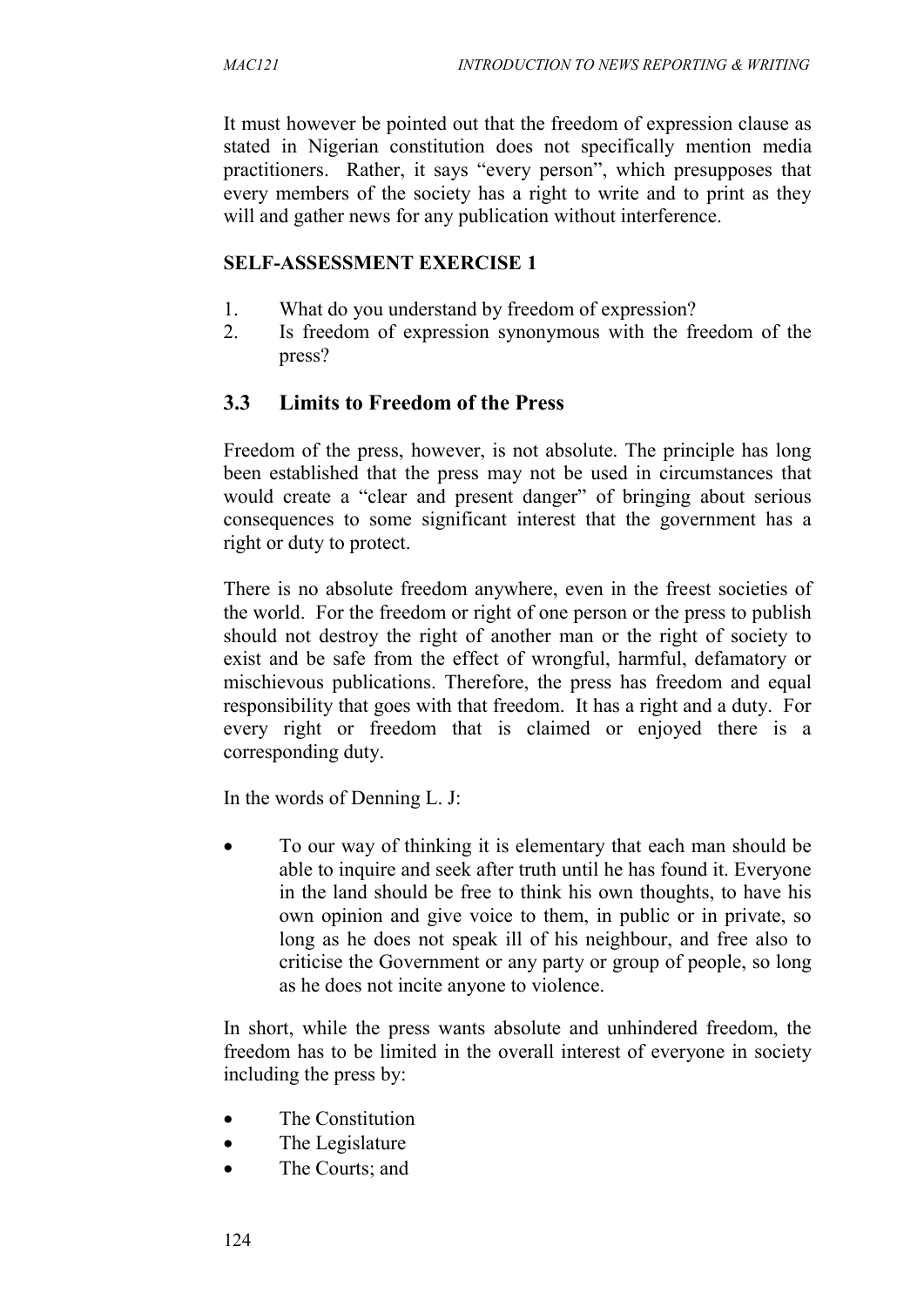It must however be pointed out that the freedom of expression clause as stated in Nigerian constitution does not specifically mention media practitioners. Rather, it says "every person", which presupposes that every members of the society has a right to write and to print as they will and gather news for any publication without interference.

## **SELF-ASSESSMENT EXERCISE 1**

- 1. What do you understand by freedom of expression?
- 2. Is freedom of expression synonymous with the freedom of the press?

## **3.3 Limits to Freedom of the Press**

Freedom of the press, however, is not absolute. The principle has long been established that the press may not be used in circumstances that would create a "clear and present danger" of bringing about serious consequences to some significant interest that the government has a right or duty to protect.

There is no absolute freedom anywhere, even in the freest societies of the world. For the freedom or right of one person or the press to publish should not destroy the right of another man or the right of society to exist and be safe from the effect of wrongful, harmful, defamatory or mischievous publications. Therefore, the press has freedom and equal responsibility that goes with that freedom. It has a right and a duty. For every right or freedom that is claimed or enjoyed there is a corresponding duty.

In the words of Denning L. J:

 To our way of thinking it is elementary that each man should be able to inquire and seek after truth until he has found it. Everyone in the land should be free to think his own thoughts, to have his own opinion and give voice to them, in public or in private, so long as he does not speak ill of his neighbour, and free also to criticise the Government or any party or group of people, so long as he does not incite anyone to violence.

In short, while the press wants absolute and unhindered freedom, the freedom has to be limited in the overall interest of everyone in society including the press by:

- The Constitution
- The Legislature
- The Courts; and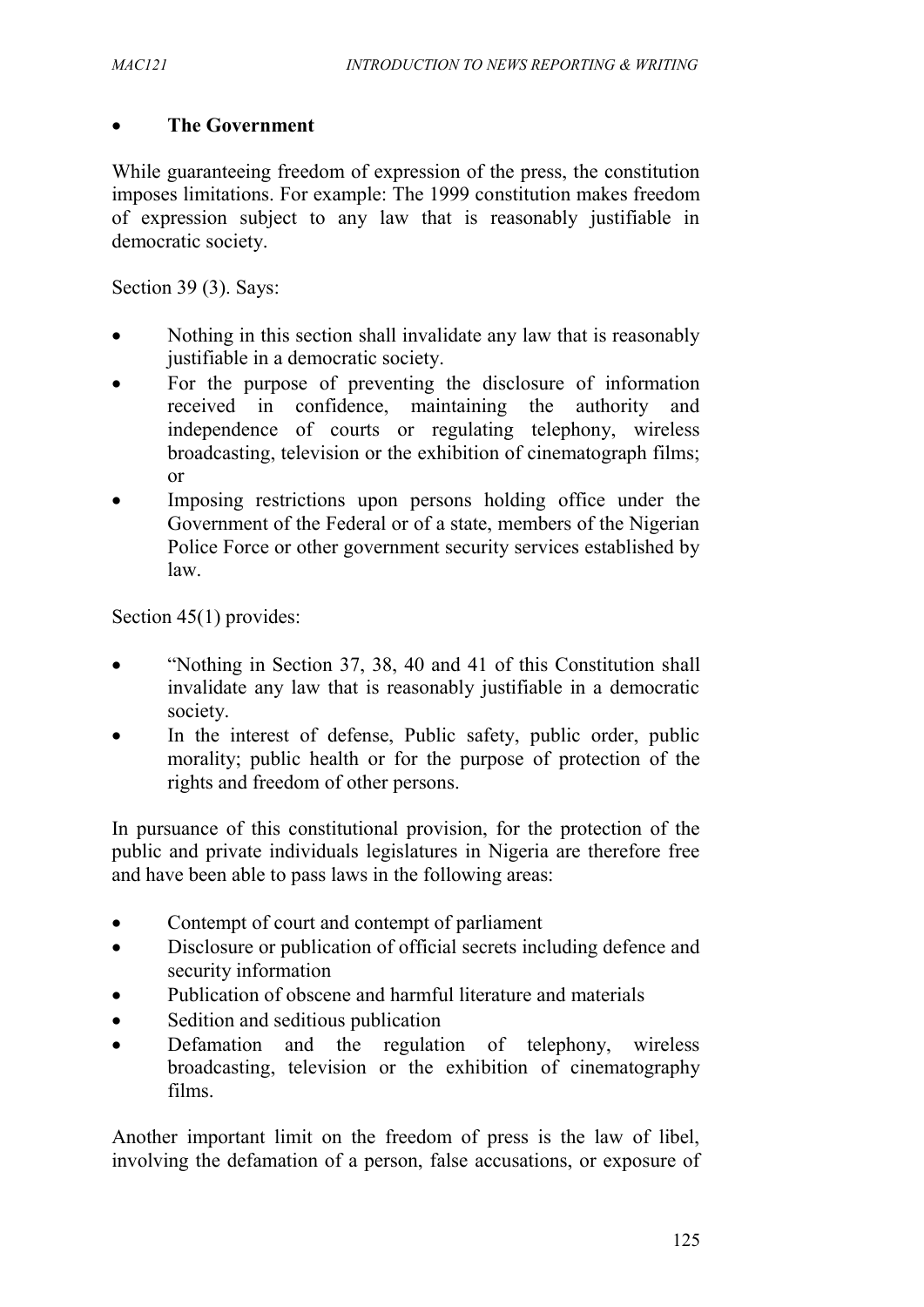### **The Government**

While guaranteeing freedom of expression of the press, the constitution imposes limitations. For example: The 1999 constitution makes freedom of expression subject to any law that is reasonably justifiable in democratic society.

Section 39 (3). Says:

- Nothing in this section shall invalidate any law that is reasonably justifiable in a democratic society.
- For the purpose of preventing the disclosure of information received in confidence, maintaining the authority and independence of courts or regulating telephony, wireless broadcasting, television or the exhibition of cinematograph films; or
- Imposing restrictions upon persons holding office under the Government of the Federal or of a state, members of the Nigerian Police Force or other government security services established by law.

Section 45(1) provides:

- "Nothing in Section 37, 38, 40 and 41 of this Constitution shall invalidate any law that is reasonably justifiable in a democratic society.
- In the interest of defense, Public safety, public order, public morality; public health or for the purpose of protection of the rights and freedom of other persons.

In pursuance of this constitutional provision, for the protection of the public and private individuals legislatures in Nigeria are therefore free and have been able to pass laws in the following areas:

- Contempt of court and contempt of parliament
- Disclosure or publication of official secrets including defence and security information
- Publication of obscene and harmful literature and materials
- Sedition and seditious publication
- Defamation and the regulation of telephony, wireless broadcasting, television or the exhibition of cinematography films.

Another important limit on the freedom of press is the law of libel, involving the defamation of a person, false accusations, or exposure of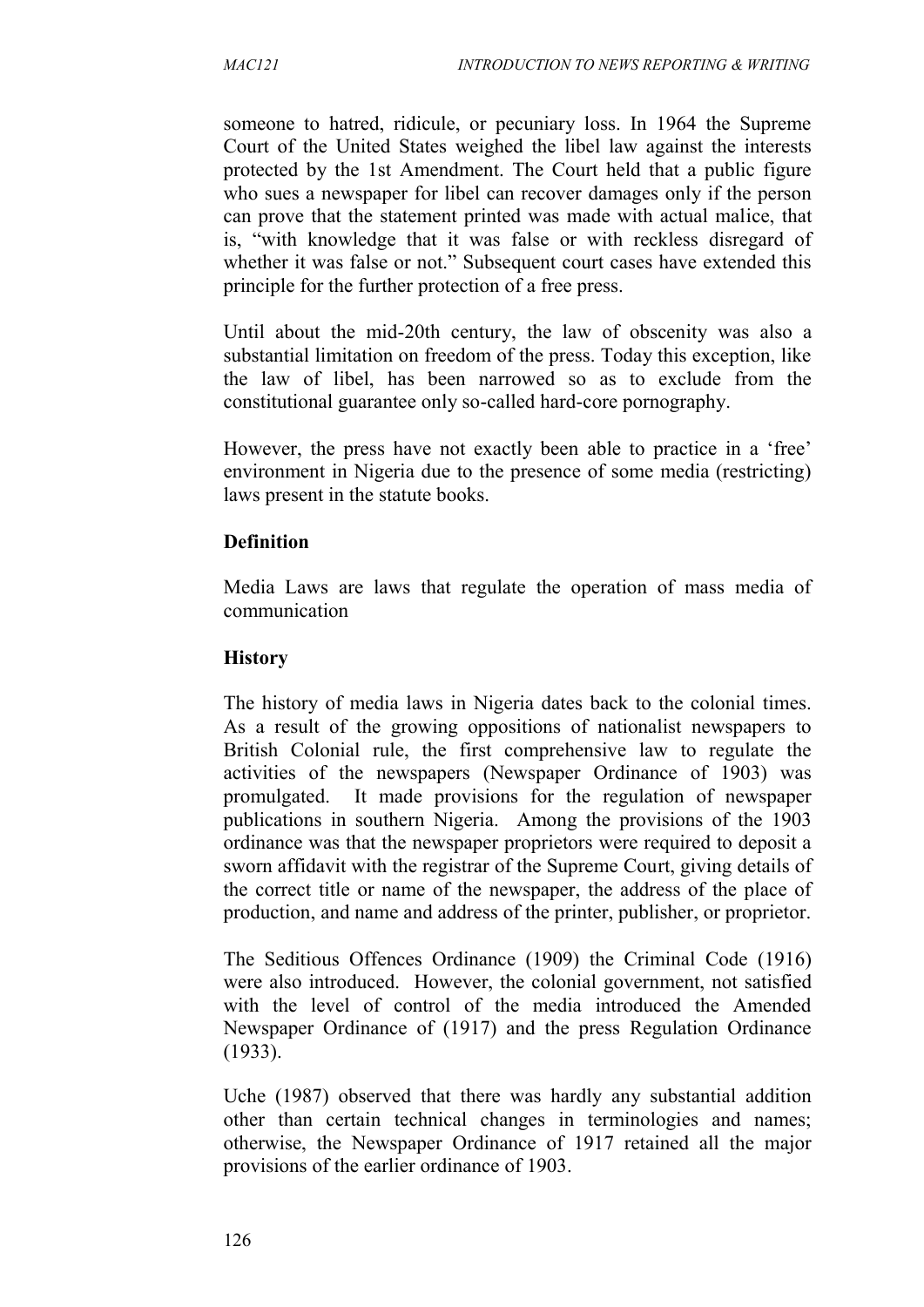someone to hatred, ridicule, or pecuniary loss. In 1964 the Supreme Court of the United States weighed the libel law against the interests protected by the 1st Amendment. The Court held that a public figure who sues a newspaper for libel can recover damages only if the person can prove that the statement printed was made with actual malice, that is, "with knowledge that it was false or with reckless disregard of whether it was false or not." Subsequent court cases have extended this principle for the further protection of a free press.

Until about the mid-20th century, the law of obscenity was also a substantial limitation on freedom of the press. Today this exception, like the law of libel, has been narrowed so as to exclude from the constitutional guarantee only so-called hard-core pornography.

However, the press have not exactly been able to practice in a 'free' environment in Nigeria due to the presence of some media (restricting) laws present in the statute books.

#### **Definition**

Media Laws are laws that regulate the operation of mass media of communication

### **History**

The history of media laws in Nigeria dates back to the colonial times. As a result of the growing oppositions of nationalist newspapers to British Colonial rule, the first comprehensive law to regulate the activities of the newspapers (Newspaper Ordinance of 1903) was promulgated. It made provisions for the regulation of newspaper publications in southern Nigeria. Among the provisions of the 1903 ordinance was that the newspaper proprietors were required to deposit a sworn affidavit with the registrar of the Supreme Court, giving details of the correct title or name of the newspaper, the address of the place of production, and name and address of the printer, publisher, or proprietor.

The Seditious Offences Ordinance (1909) the Criminal Code (1916) were also introduced. However, the colonial government, not satisfied with the level of control of the media introduced the Amended Newspaper Ordinance of (1917) and the press Regulation Ordinance (1933).

Uche (1987) observed that there was hardly any substantial addition other than certain technical changes in terminologies and names; otherwise, the Newspaper Ordinance of 1917 retained all the major provisions of the earlier ordinance of 1903.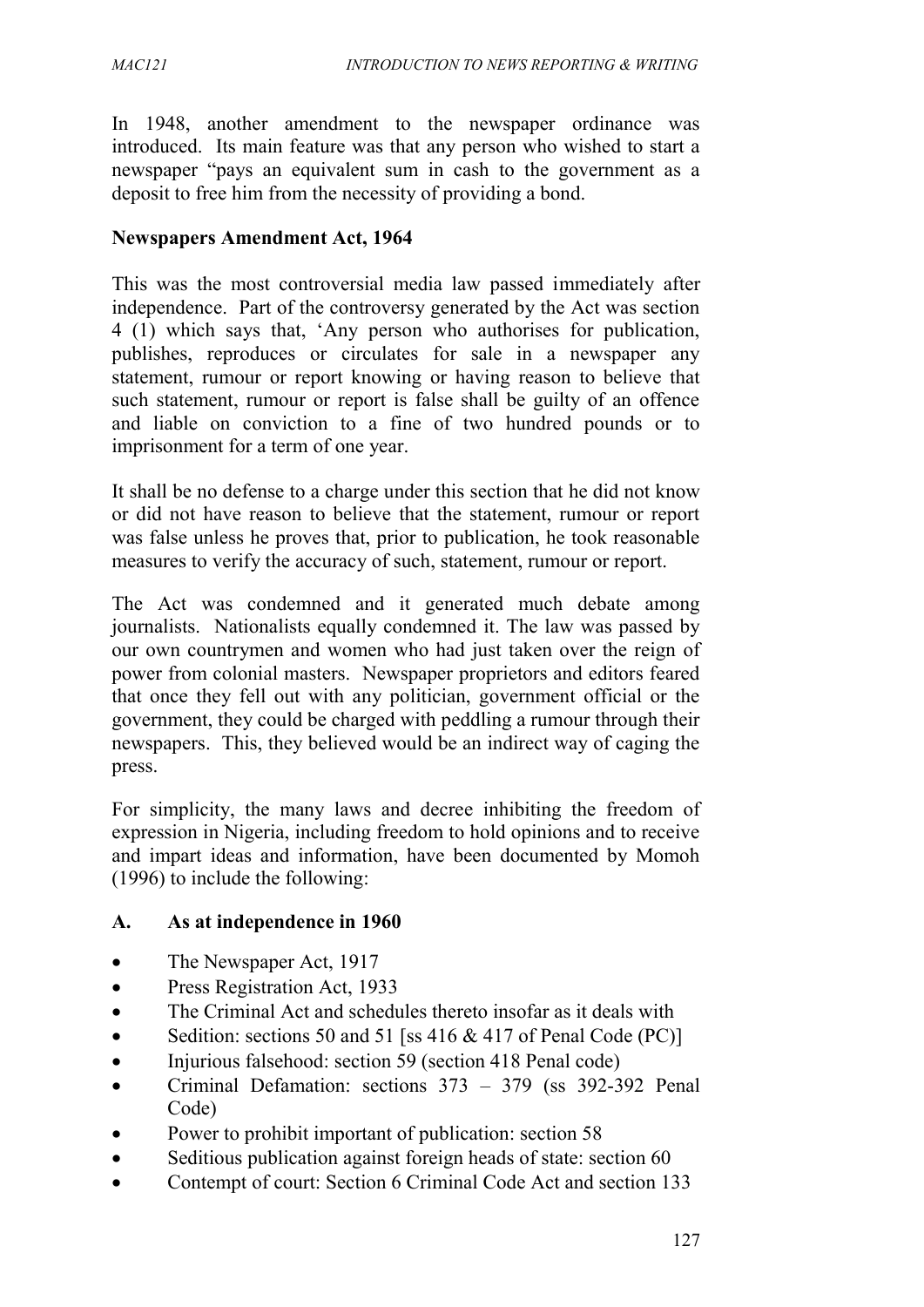In 1948, another amendment to the newspaper ordinance was introduced. Its main feature was that any person who wished to start a newspaper "pays an equivalent sum in cash to the government as a deposit to free him from the necessity of providing a bond.

### **Newspapers Amendment Act, 1964**

This was the most controversial media law passed immediately after independence. Part of the controversy generated by the Act was section 4 (1) which says that, 'Any person who authorises for publication, publishes, reproduces or circulates for sale in a newspaper any statement, rumour or report knowing or having reason to believe that such statement, rumour or report is false shall be guilty of an offence and liable on conviction to a fine of two hundred pounds or to imprisonment for a term of one year.

It shall be no defense to a charge under this section that he did not know or did not have reason to believe that the statement, rumour or report was false unless he proves that, prior to publication, he took reasonable measures to verify the accuracy of such, statement, rumour or report.

The Act was condemned and it generated much debate among journalists. Nationalists equally condemned it. The law was passed by our own countrymen and women who had just taken over the reign of power from colonial masters. Newspaper proprietors and editors feared that once they fell out with any politician, government official or the government, they could be charged with peddling a rumour through their newspapers. This, they believed would be an indirect way of caging the press.

For simplicity, the many laws and decree inhibiting the freedom of expression in Nigeria, including freedom to hold opinions and to receive and impart ideas and information, have been documented by Momoh (1996) to include the following:

#### **A. As at independence in 1960**

- The Newspaper Act, 1917
- Press Registration Act, 1933
- The Criminal Act and schedules thereto insofar as it deals with
- Sedition: sections 50 and 51 [ss 416 & 417 of Penal Code (PC)]
- Injurious falsehood: section 59 (section 418 Penal code)
- Criminal Defamation: sections 373 379 (ss 392-392 Penal Code)
- Power to prohibit important of publication: section 58
- Seditious publication against foreign heads of state: section 60
- Contempt of court: Section 6 Criminal Code Act and section 133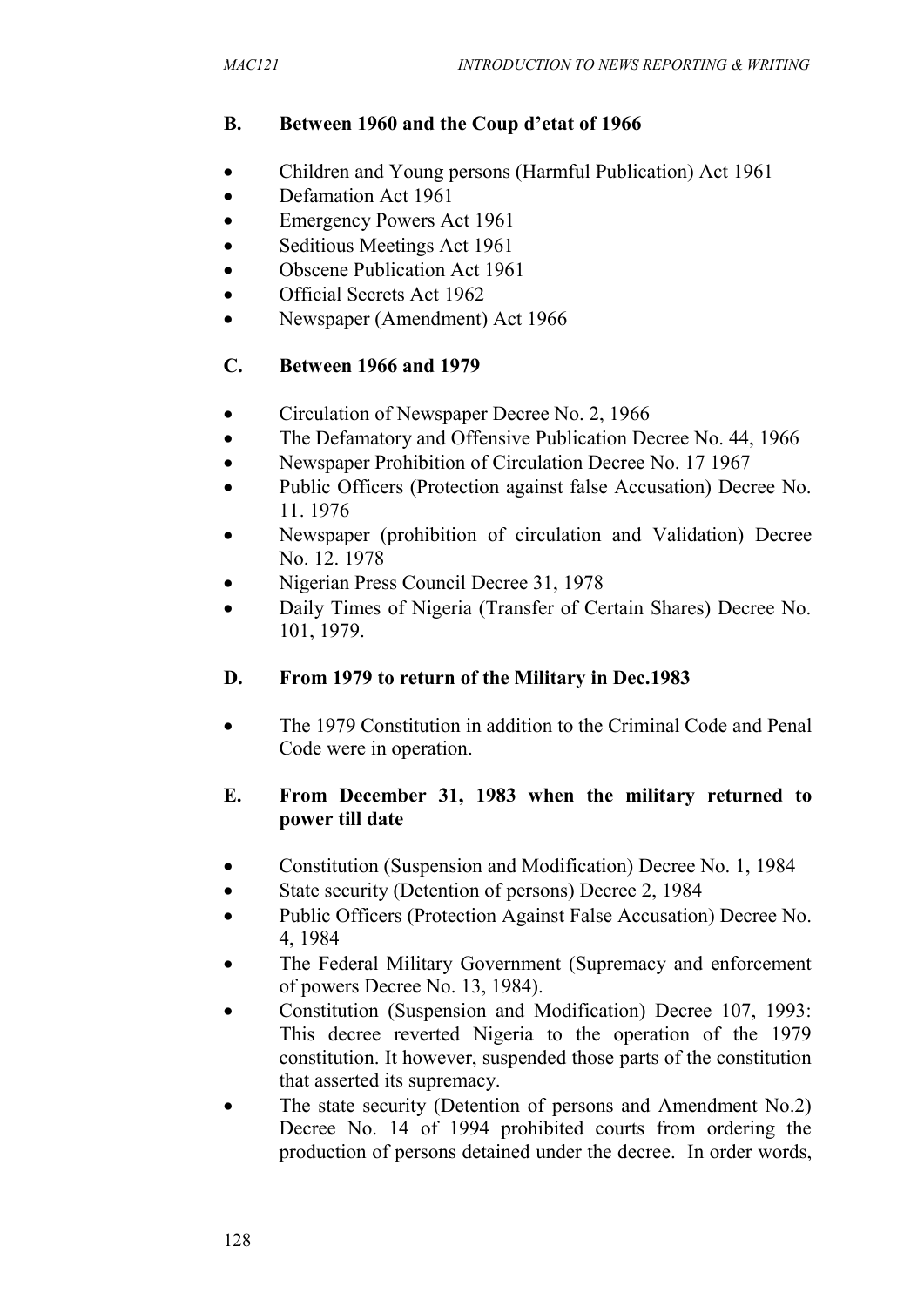### **B. Between 1960 and the Coup d'etat of 1966**

- Children and Young persons (Harmful Publication) Act 1961
- Defamation Act 1961
- Emergency Powers Act 1961
- Seditious Meetings Act 1961
- Obscene Publication Act 1961
- Official Secrets Act 1962
- Newspaper (Amendment) Act 1966

### **C. Between 1966 and 1979**

- Circulation of Newspaper Decree No. 2, 1966
- The Defamatory and Offensive Publication Decree No. 44, 1966
- Newspaper Prohibition of Circulation Decree No. 17 1967
- Public Officers (Protection against false Accusation) Decree No. 11. 1976
- Newspaper (prohibition of circulation and Validation) Decree No. 12. 1978
- Nigerian Press Council Decree 31, 1978
- Daily Times of Nigeria (Transfer of Certain Shares) Decree No. 101, 1979.

#### **D. From 1979 to return of the Military in Dec.1983**

• The 1979 Constitution in addition to the Criminal Code and Penal Code were in operation.

### **E. From December 31, 1983 when the military returned to power till date**

- Constitution (Suspension and Modification) Decree No. 1, 1984
- State security (Detention of persons) Decree 2, 1984
- Public Officers (Protection Against False Accusation) Decree No. 4, 1984
- The Federal Military Government (Supremacy and enforcement of powers Decree No. 13, 1984).
- Constitution (Suspension and Modification) Decree 107, 1993: This decree reverted Nigeria to the operation of the 1979 constitution. It however, suspended those parts of the constitution that asserted its supremacy.
- The state security (Detention of persons and Amendment No.2) Decree No. 14 of 1994 prohibited courts from ordering the production of persons detained under the decree. In order words,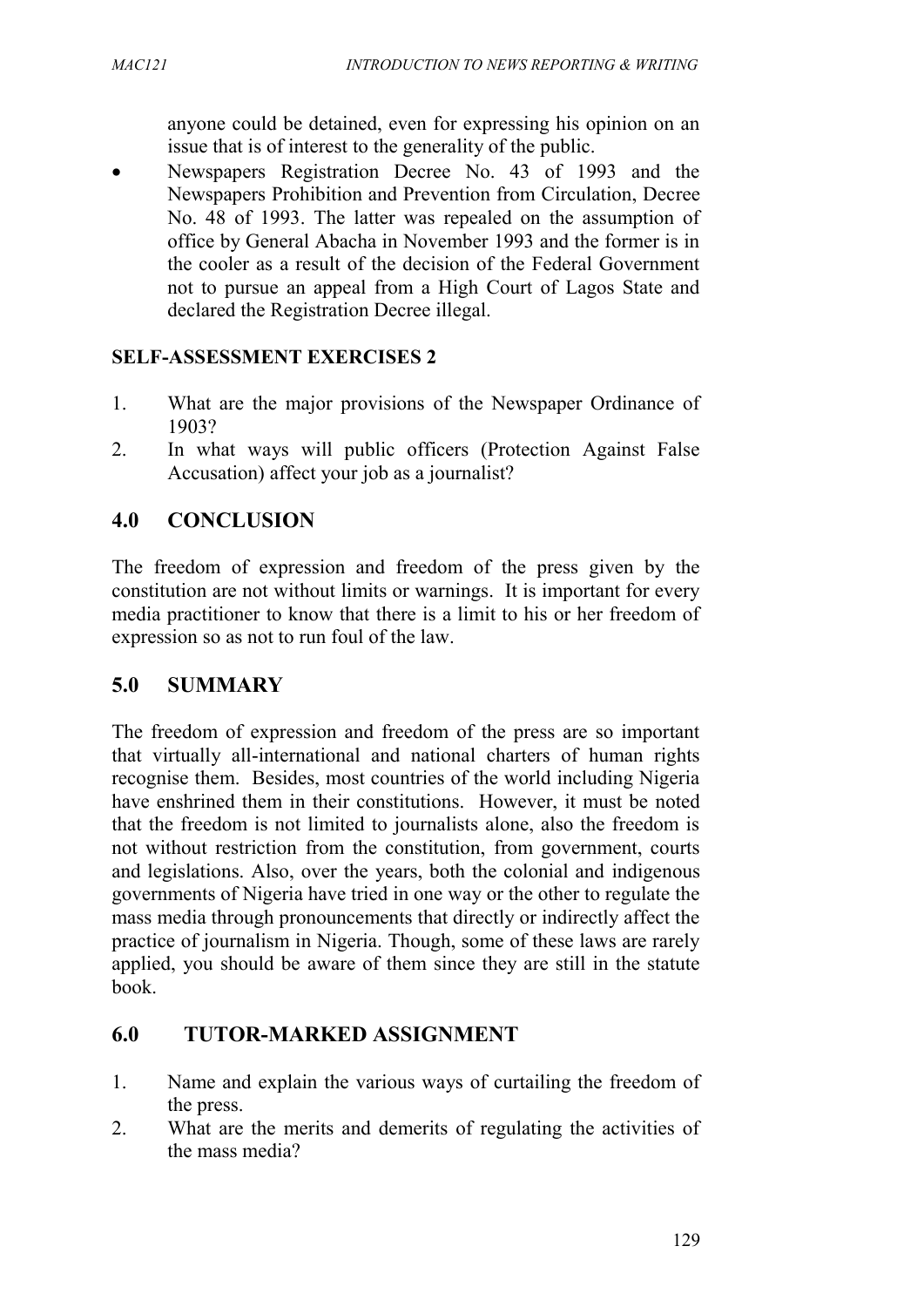anyone could be detained, even for expressing his opinion on an issue that is of interest to the generality of the public.

• Newspapers Registration Decree No. 43 of 1993 and the Newspapers Prohibition and Prevention from Circulation, Decree No. 48 of 1993. The latter was repealed on the assumption of office by General Abacha in November 1993 and the former is in the cooler as a result of the decision of the Federal Government not to pursue an appeal from a High Court of Lagos State and declared the Registration Decree illegal.

### **SELF-ASSESSMENT EXERCISES 2**

- 1. What are the major provisions of the Newspaper Ordinance of 1903?
- 2. In what ways will public officers (Protection Against False Accusation) affect your job as a journalist?

# **4.0 CONCLUSION**

The freedom of expression and freedom of the press given by the constitution are not without limits or warnings. It is important for every media practitioner to know that there is a limit to his or her freedom of expression so as not to run foul of the law.

# **5.0 SUMMARY**

The freedom of expression and freedom of the press are so important that virtually all-international and national charters of human rights recognise them. Besides, most countries of the world including Nigeria have enshrined them in their constitutions. However, it must be noted that the freedom is not limited to journalists alone, also the freedom is not without restriction from the constitution, from government, courts and legislations. Also, over the years, both the colonial and indigenous governments of Nigeria have tried in one way or the other to regulate the mass media through pronouncements that directly or indirectly affect the practice of journalism in Nigeria. Though, some of these laws are rarely applied, you should be aware of them since they are still in the statute book.

# **6.0 TUTOR-MARKED ASSIGNMENT**

- 1. Name and explain the various ways of curtailing the freedom of the press.
- 2. What are the merits and demerits of regulating the activities of the mass media?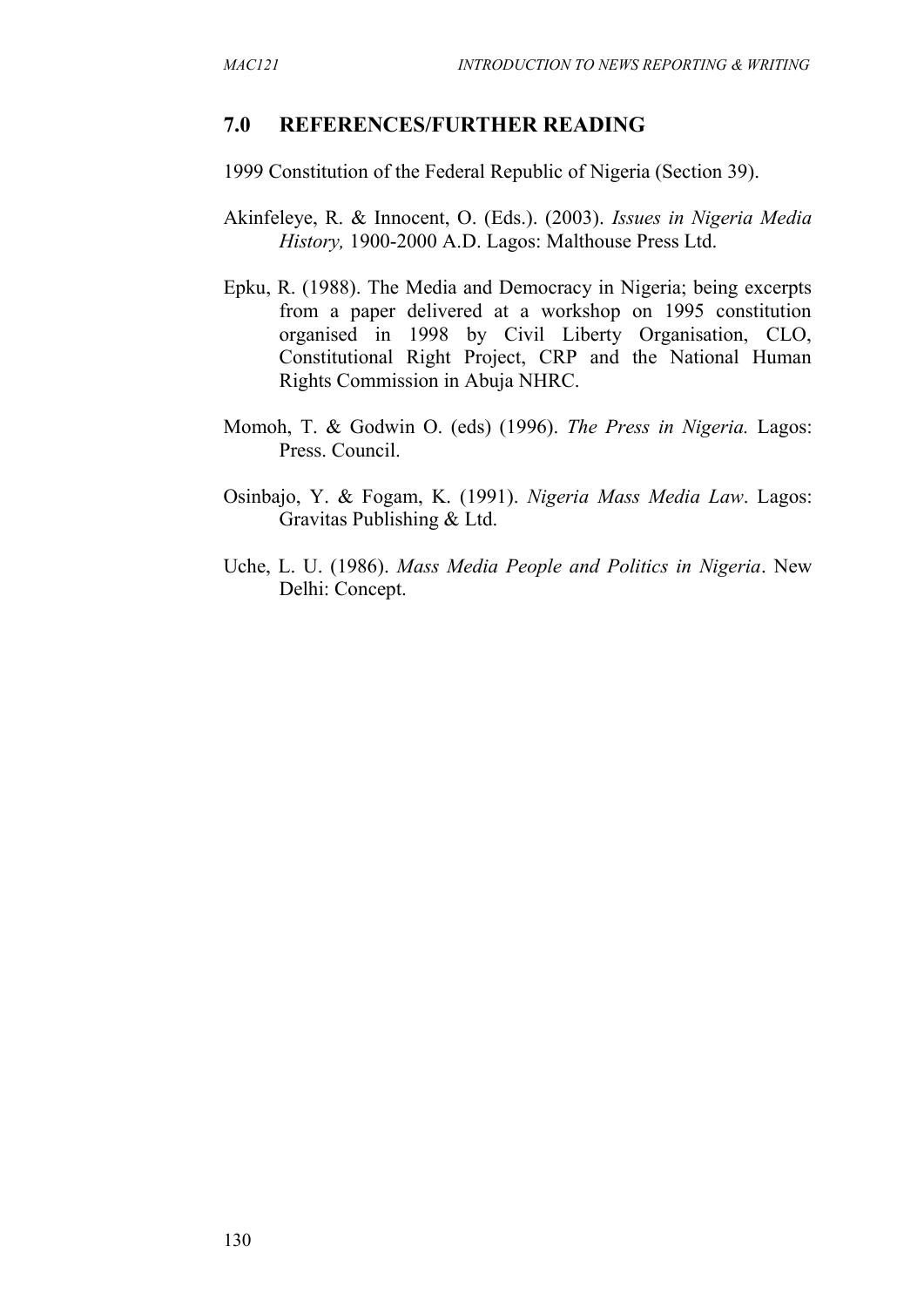#### **7.0 REFERENCES/FURTHER READING**

1999 Constitution of the Federal Republic of Nigeria (Section 39).

- Akinfeleye, R. & Innocent, O. (Eds.). (2003). *Issues in Nigeria Media History,* 1900-2000 A.D. Lagos: Malthouse Press Ltd.
- Epku, R. (1988). The Media and Democracy in Nigeria; being excerpts from a paper delivered at a workshop on 1995 constitution organised in 1998 by Civil Liberty Organisation, CLO, Constitutional Right Project, CRP and the National Human Rights Commission in Abuja NHRC.
- Momoh, T. & Godwin O. (eds) (1996). *The Press in Nigeria.* Lagos: Press. Council.
- Osinbajo, Y. & Fogam, K. (1991). *Nigeria Mass Media Law*. Lagos: Gravitas Publishing & Ltd.
- Uche, L. U. (1986). *Mass Media People and Politics in Nigeria*. New Delhi: Concept.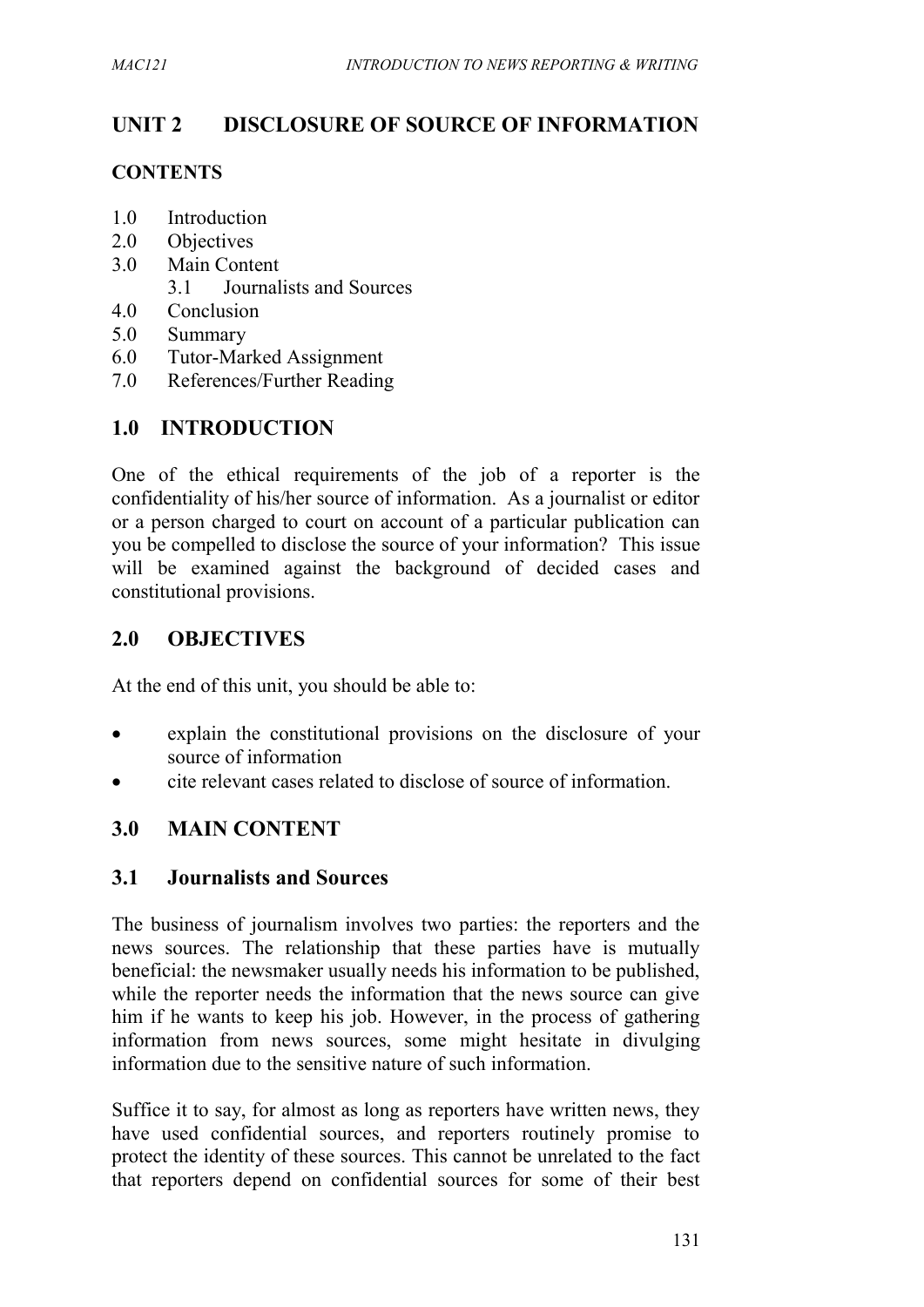# **UNIT 2 DISCLOSURE OF SOURCE OF INFORMATION**

### **CONTENTS**

- 1.0 Introduction
- 2.0 Objectives
- 3.0 Main Content
	- 3.1 Journalists and Sources
- 4.0 Conclusion
- 5.0 Summary
- 6.0 Tutor-Marked Assignment
- 7.0 References/Further Reading

# **1.0 INTRODUCTION**

One of the ethical requirements of the job of a reporter is the confidentiality of his/her source of information. As a journalist or editor or a person charged to court on account of a particular publication can you be compelled to disclose the source of your information? This issue will be examined against the background of decided cases and constitutional provisions.

# **2.0 OBJECTIVES**

At the end of this unit, you should be able to:

- explain the constitutional provisions on the disclosure of your source of information
- cite relevant cases related to disclose of source of information.

# **3.0 MAIN CONTENT**

### **3.1 Journalists and Sources**

The business of journalism involves two parties: the reporters and the news sources. The relationship that these parties have is mutually beneficial: the newsmaker usually needs his information to be published, while the reporter needs the information that the news source can give him if he wants to keep his job. However, in the process of gathering information from news sources, some might hesitate in divulging information due to the sensitive nature of such information.

Suffice it to say, for almost as long as reporters have written news, they have used confidential sources, and reporters routinely promise to protect the identity of these sources. This cannot be unrelated to the fact that reporters depend on confidential sources for some of their best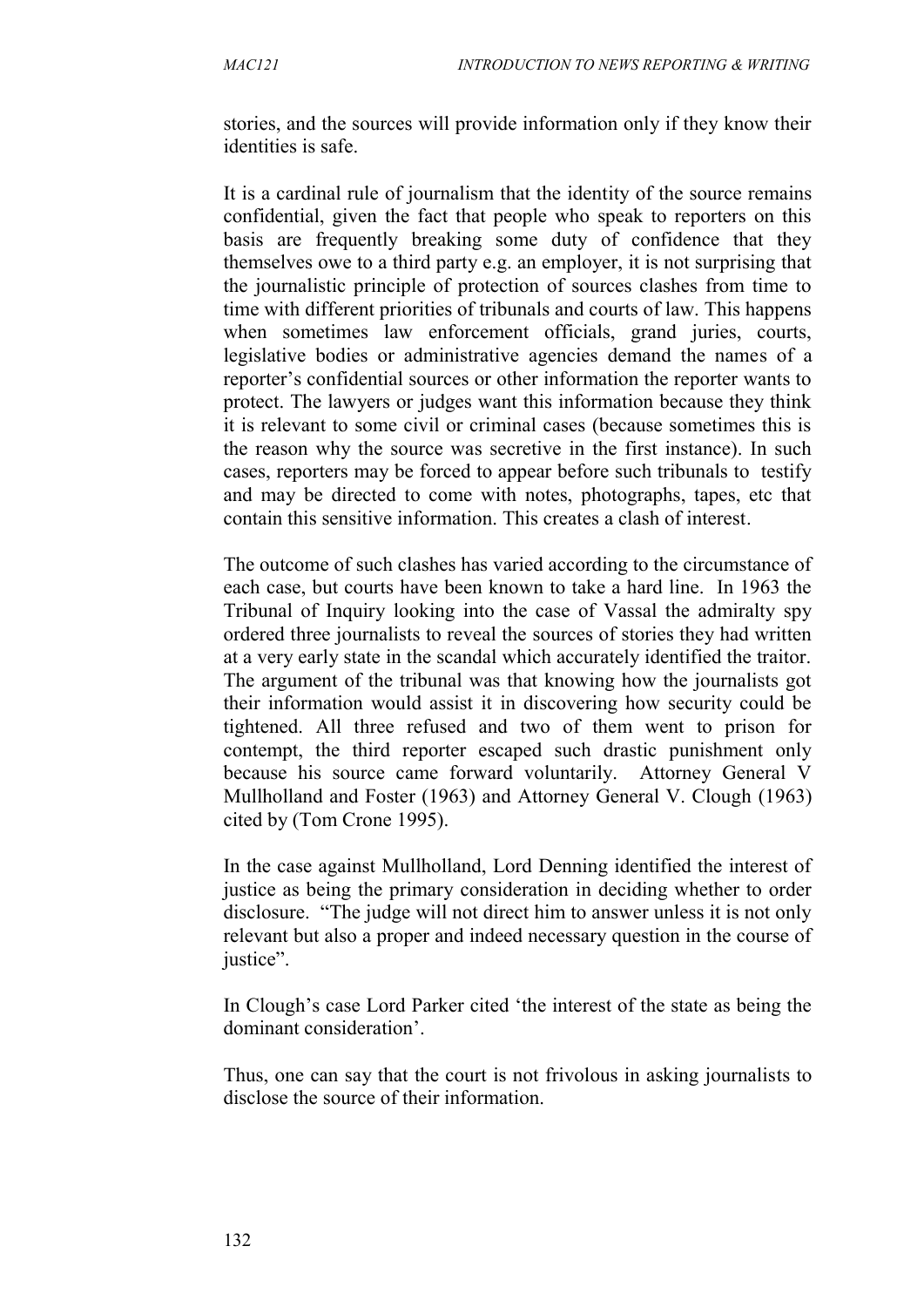stories, and the sources will provide information only if they know their identities is safe.

It is a cardinal rule of journalism that the identity of the source remains confidential, given the fact that people who speak to reporters on this basis are frequently breaking some duty of confidence that they themselves owe to a third party e.g. an employer, it is not surprising that the journalistic principle of protection of sources clashes from time to time with different priorities of tribunals and courts of law. This happens when sometimes law enforcement officials, grand juries, courts, legislative bodies or administrative agencies demand the names of a reporter's confidential sources or other information the reporter wants to protect. The lawyers or judges want this information because they think it is relevant to some civil or criminal cases (because sometimes this is the reason why the source was secretive in the first instance). In such cases, reporters may be forced to appear before such tribunals to testify and may be directed to come with notes, photographs, tapes, etc that contain this sensitive information. This creates a clash of interest.

The outcome of such clashes has varied according to the circumstance of each case, but courts have been known to take a hard line. In 1963 the Tribunal of Inquiry looking into the case of Vassal the admiralty spy ordered three journalists to reveal the sources of stories they had written at a very early state in the scandal which accurately identified the traitor. The argument of the tribunal was that knowing how the journalists got their information would assist it in discovering how security could be tightened. All three refused and two of them went to prison for contempt, the third reporter escaped such drastic punishment only because his source came forward voluntarily. Attorney General V Mullholland and Foster (1963) and Attorney General V. Clough (1963) cited by (Tom Crone 1995).

In the case against Mullholland, Lord Denning identified the interest of justice as being the primary consideration in deciding whether to order disclosure. "The judge will not direct him to answer unless it is not only relevant but also a proper and indeed necessary question in the course of justice".

In Clough's case Lord Parker cited 'the interest of the state as being the dominant consideration'.

Thus, one can say that the court is not frivolous in asking journalists to disclose the source of their information.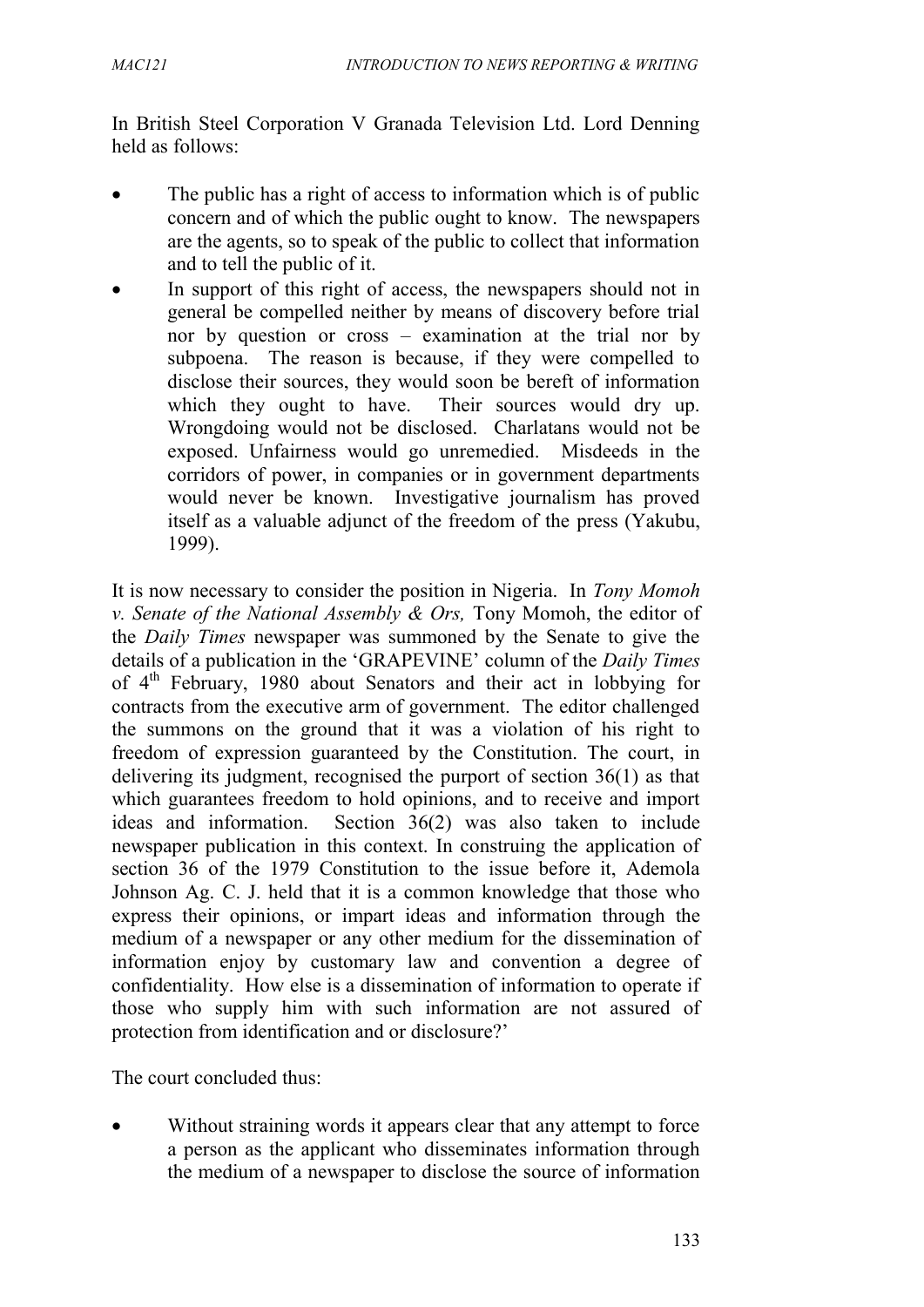In British Steel Corporation V Granada Television Ltd. Lord Denning held as follows:

- The public has a right of access to information which is of public concern and of which the public ought to know. The newspapers are the agents, so to speak of the public to collect that information and to tell the public of it.
- In support of this right of access, the newspapers should not in general be compelled neither by means of discovery before trial nor by question or cross – examination at the trial nor by subpoena. The reason is because, if they were compelled to disclose their sources, they would soon be bereft of information which they ought to have. Their sources would dry up. Wrongdoing would not be disclosed. Charlatans would not be exposed. Unfairness would go unremedied. Misdeeds in the corridors of power, in companies or in government departments would never be known. Investigative journalism has proved itself as a valuable adjunct of the freedom of the press (Yakubu, 1999).

It is now necessary to consider the position in Nigeria. In *Tony Momoh v. Senate of the National Assembly & Ors,* Tony Momoh, the editor of the *Daily Times* newspaper was summoned by the Senate to give the details of a publication in the 'GRAPEVINE' column of the *Daily Times* of  $4<sup>th</sup>$  February, 1980 about Senators and their act in lobbying for contracts from the executive arm of government. The editor challenged the summons on the ground that it was a violation of his right to freedom of expression guaranteed by the Constitution. The court, in delivering its judgment, recognised the purport of section 36(1) as that which guarantees freedom to hold opinions, and to receive and import ideas and information. Section 36(2) was also taken to include newspaper publication in this context. In construing the application of section 36 of the 1979 Constitution to the issue before it, Ademola Johnson Ag. C. J. held that it is a common knowledge that those who express their opinions, or impart ideas and information through the medium of a newspaper or any other medium for the dissemination of information enjoy by customary law and convention a degree of confidentiality. How else is a dissemination of information to operate if those who supply him with such information are not assured of protection from identification and or disclosure?'

The court concluded thus:

 Without straining words it appears clear that any attempt to force a person as the applicant who disseminates information through the medium of a newspaper to disclose the source of information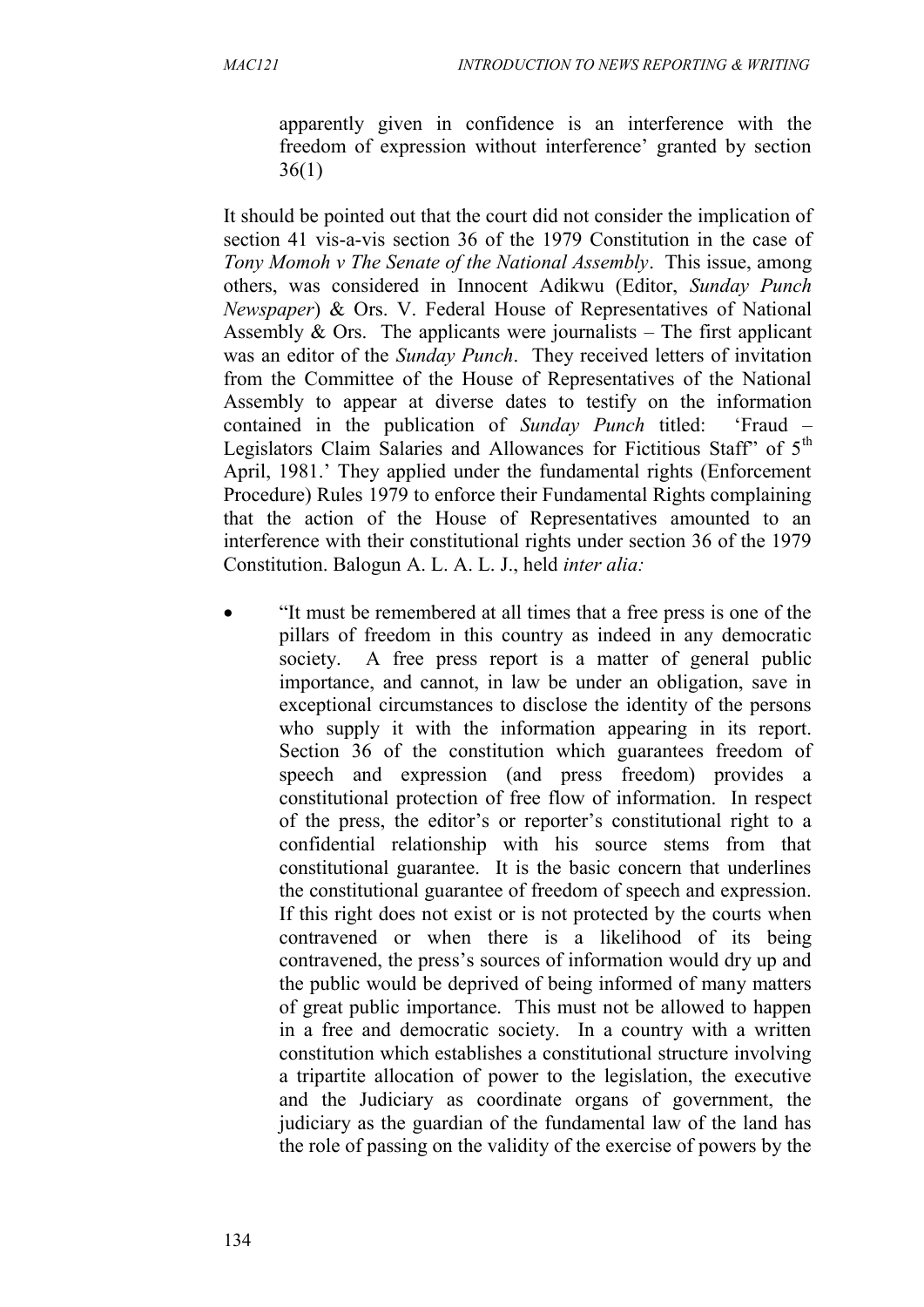apparently given in confidence is an interference with the freedom of expression without interference' granted by section 36(1)

It should be pointed out that the court did not consider the implication of section 41 vis-a-vis section 36 of the 1979 Constitution in the case of *Tony Momoh v The Senate of the National Assembly*. This issue, among others, was considered in Innocent Adikwu (Editor, *Sunday Punch Newspaper*) & Ors. V. Federal House of Representatives of National Assembly  $& Ors.$  The applicants were journalists – The first applicant was an editor of the *Sunday Punch*. They received letters of invitation from the Committee of the House of Representatives of the National Assembly to appear at diverse dates to testify on the information contained in the publication of *Sunday Punch* titled: 'Fraud – Legislators Claim Salaries and Allowances for Fictitious Staff" of 5<sup>th</sup> April, 1981.' They applied under the fundamental rights (Enforcement Procedure) Rules 1979 to enforce their Fundamental Rights complaining that the action of the House of Representatives amounted to an interference with their constitutional rights under section 36 of the 1979 Constitution. Balogun A. L. A. L. J., held *inter alia:*

 "It must be remembered at all times that a free press is one of the pillars of freedom in this country as indeed in any democratic society. A free press report is a matter of general public importance, and cannot, in law be under an obligation, save in exceptional circumstances to disclose the identity of the persons who supply it with the information appearing in its report. Section 36 of the constitution which guarantees freedom of speech and expression (and press freedom) provides a constitutional protection of free flow of information. In respect of the press, the editor's or reporter's constitutional right to a confidential relationship with his source stems from that constitutional guarantee. It is the basic concern that underlines the constitutional guarantee of freedom of speech and expression. If this right does not exist or is not protected by the courts when contravened or when there is a likelihood of its being contravened, the press's sources of information would dry up and the public would be deprived of being informed of many matters of great public importance. This must not be allowed to happen in a free and democratic society. In a country with a written constitution which establishes a constitutional structure involving a tripartite allocation of power to the legislation, the executive and the Judiciary as coordinate organs of government, the judiciary as the guardian of the fundamental law of the land has the role of passing on the validity of the exercise of powers by the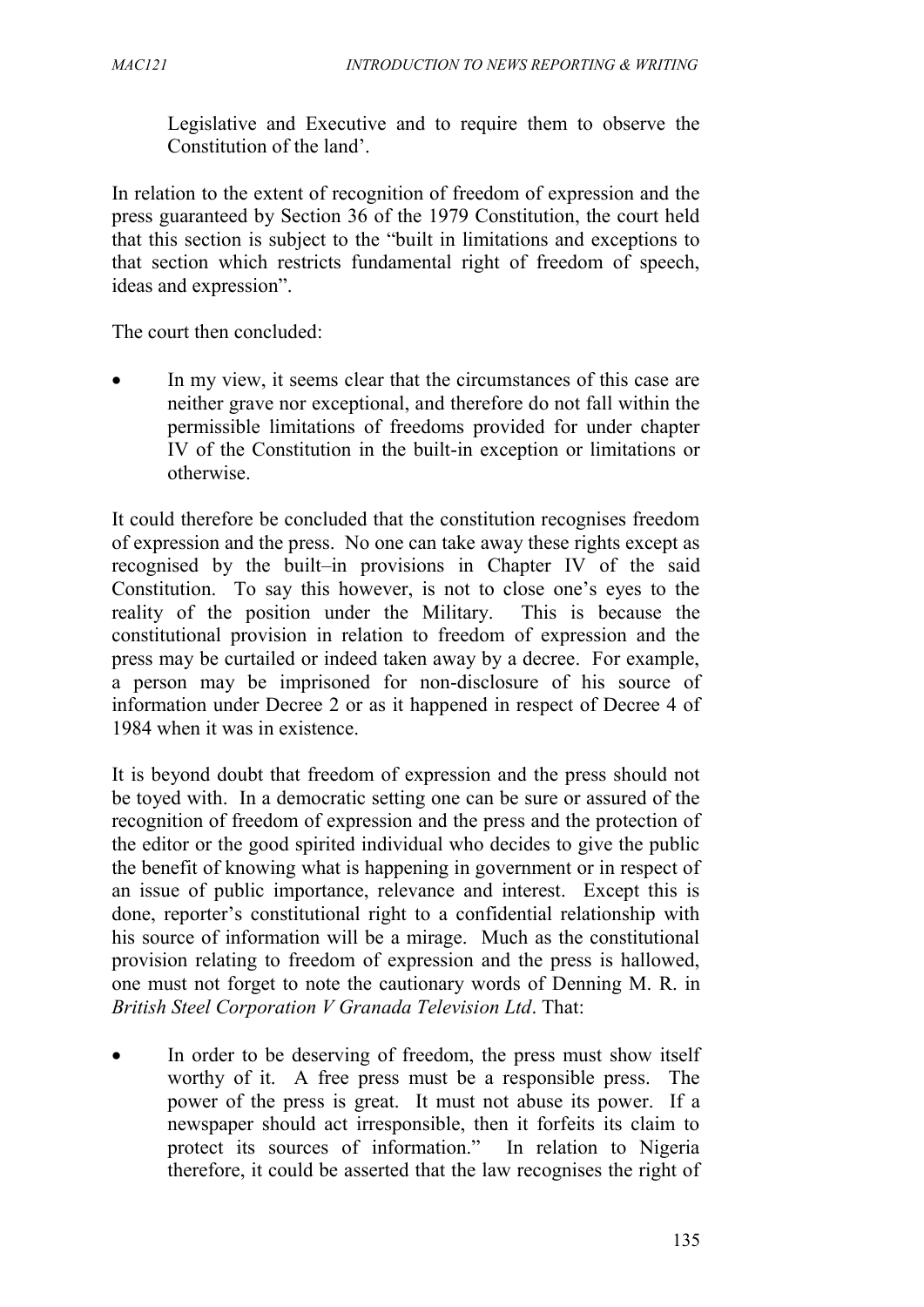Legislative and Executive and to require them to observe the Constitution of the land'.

In relation to the extent of recognition of freedom of expression and the press guaranteed by Section 36 of the 1979 Constitution, the court held that this section is subject to the "built in limitations and exceptions to that section which restricts fundamental right of freedom of speech, ideas and expression".

The court then concluded:

 In my view, it seems clear that the circumstances of this case are neither grave nor exceptional, and therefore do not fall within the permissible limitations of freedoms provided for under chapter IV of the Constitution in the built-in exception or limitations or otherwise.

It could therefore be concluded that the constitution recognises freedom of expression and the press. No one can take away these rights except as recognised by the built–in provisions in Chapter IV of the said Constitution. To say this however, is not to close one's eyes to the reality of the position under the Military. This is because the constitutional provision in relation to freedom of expression and the press may be curtailed or indeed taken away by a decree. For example, a person may be imprisoned for non-disclosure of his source of information under Decree 2 or as it happened in respect of Decree 4 of 1984 when it was in existence.

It is beyond doubt that freedom of expression and the press should not be toyed with. In a democratic setting one can be sure or assured of the recognition of freedom of expression and the press and the protection of the editor or the good spirited individual who decides to give the public the benefit of knowing what is happening in government or in respect of an issue of public importance, relevance and interest. Except this is done, reporter's constitutional right to a confidential relationship with his source of information will be a mirage. Much as the constitutional provision relating to freedom of expression and the press is hallowed, one must not forget to note the cautionary words of Denning M. R. in *British Steel Corporation V Granada Television Ltd*. That:

• In order to be deserving of freedom, the press must show itself worthy of it. A free press must be a responsible press. The power of the press is great. It must not abuse its power. If a newspaper should act irresponsible, then it forfeits its claim to protect its sources of information." In relation to Nigeria therefore, it could be asserted that the law recognises the right of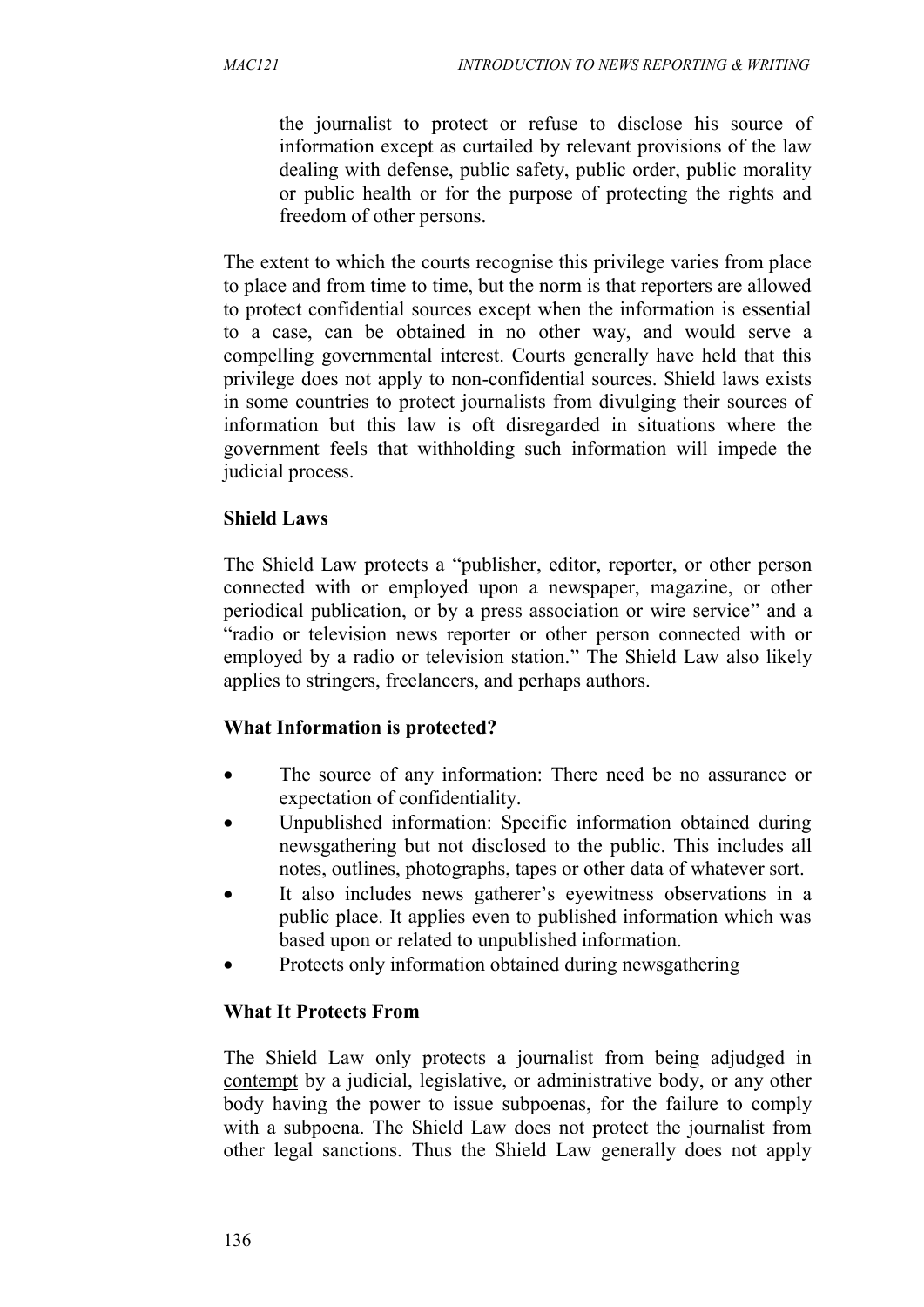the journalist to protect or refuse to disclose his source of information except as curtailed by relevant provisions of the law dealing with defense, public safety, public order, public morality or public health or for the purpose of protecting the rights and freedom of other persons.

The extent to which the courts recognise this privilege varies from place to place and from time to time, but the norm is that reporters are allowed to protect confidential sources except when the information is essential to a case, can be obtained in no other way, and would serve a compelling governmental interest. Courts generally have held that this privilege does not apply to non-confidential sources. Shield laws exists in some countries to protect journalists from divulging their sources of information but this law is oft disregarded in situations where the government feels that withholding such information will impede the judicial process.

### **Shield Laws**

The Shield Law protects a "publisher, editor, reporter, or other person connected with or employed upon a newspaper, magazine, or other periodical publication, or by a press association or wire service" and a "radio or television news reporter or other person connected with or employed by a radio or television station." The Shield Law also likely applies to stringers, freelancers, and perhaps authors.

### **What Information is protected?**

- The source of any information: There need be no assurance or expectation of confidentiality.
- Unpublished information: Specific information obtained during newsgathering but not disclosed to the public. This includes all notes, outlines, photographs, tapes or other data of whatever sort.
- It also includes news gatherer's eyewitness observations in a public place. It applies even to published information which was based upon or related to unpublished information.
- Protects only information obtained during newsgathering

### **What It Protects From**

The Shield Law only protects a journalist from being adjudged in contempt by a judicial, legislative, or administrative body, or any other body having the power to issue subpoenas, for the failure to comply with a subpoena. The Shield Law does not protect the journalist from other legal sanctions. Thus the Shield Law generally does not apply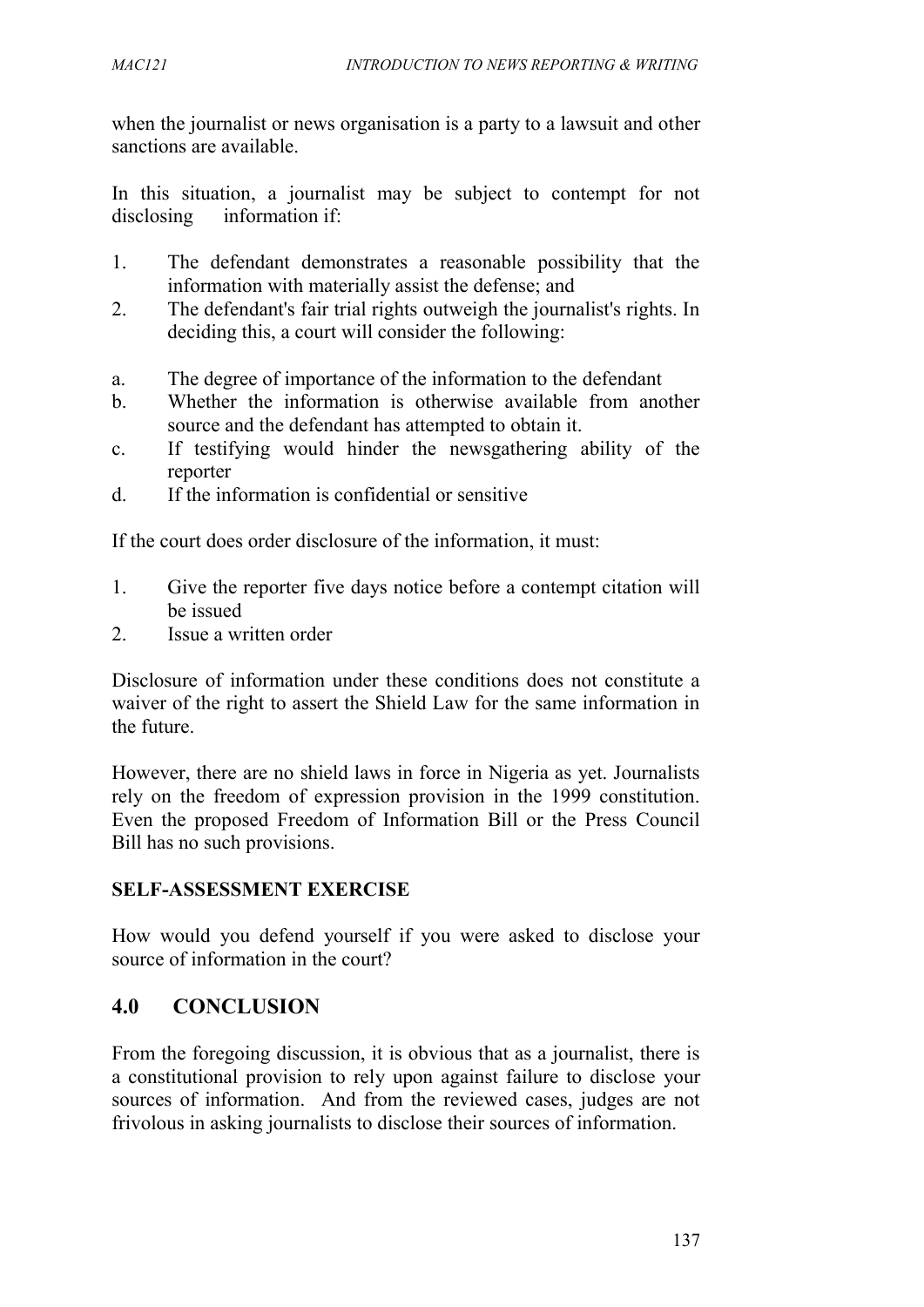when the journalist or news organisation is a party to a lawsuit and other sanctions are available.

In this situation, a journalist may be subject to contempt for not disclosing information if:

- 1. The defendant demonstrates a reasonable possibility that the information with materially assist the defense; and
- 2. The defendant's fair trial rights outweigh the journalist's rights. In deciding this, a court will consider the following:
- a. The degree of importance of the information to the defendant
- b. Whether the information is otherwise available from another source and the defendant has attempted to obtain it.
- c. If testifying would hinder the newsgathering ability of the reporter
- d. If the information is confidential or sensitive

If the court does order disclosure of the information, it must:

- 1. Give the reporter five days notice before a contempt citation will be issued
- 2. Issue a written order

Disclosure of information under these conditions does not constitute a waiver of the right to assert the Shield Law for the same information in the future.

However, there are no shield laws in force in Nigeria as yet. Journalists rely on the freedom of expression provision in the 1999 constitution. Even the proposed Freedom of Information Bill or the Press Council Bill has no such provisions.

### **SELF-ASSESSMENT EXERCISE**

How would you defend yourself if you were asked to disclose your source of information in the court?

# **4.0 CONCLUSION**

From the foregoing discussion, it is obvious that as a journalist, there is a constitutional provision to rely upon against failure to disclose your sources of information. And from the reviewed cases, judges are not frivolous in asking journalists to disclose their sources of information.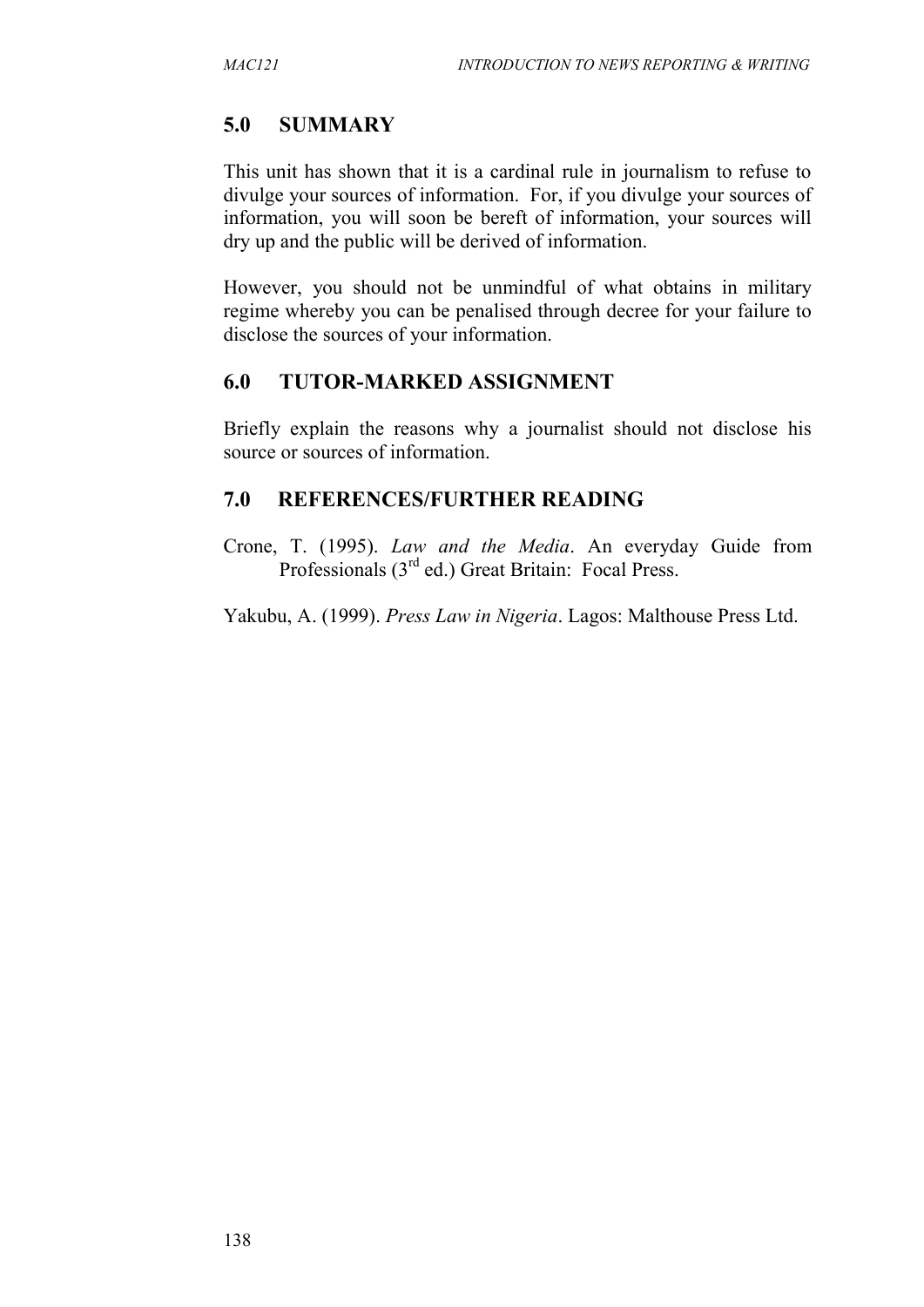# **5.0 SUMMARY**

This unit has shown that it is a cardinal rule in journalism to refuse to divulge your sources of information. For, if you divulge your sources of information, you will soon be bereft of information, your sources will dry up and the public will be derived of information.

However, you should not be unmindful of what obtains in military regime whereby you can be penalised through decree for your failure to disclose the sources of your information.

# **6.0 TUTOR-MARKED ASSIGNMENT**

Briefly explain the reasons why a journalist should not disclose his source or sources of information.

# **7.0 REFERENCES/FURTHER READING**

Crone, T. (1995). *Law and the Media*. An everyday Guide from Professionals (3<sup>rd</sup> ed.) Great Britain: Focal Press.

Yakubu, A. (1999). *Press Law in Nigeria*. Lagos: Malthouse Press Ltd.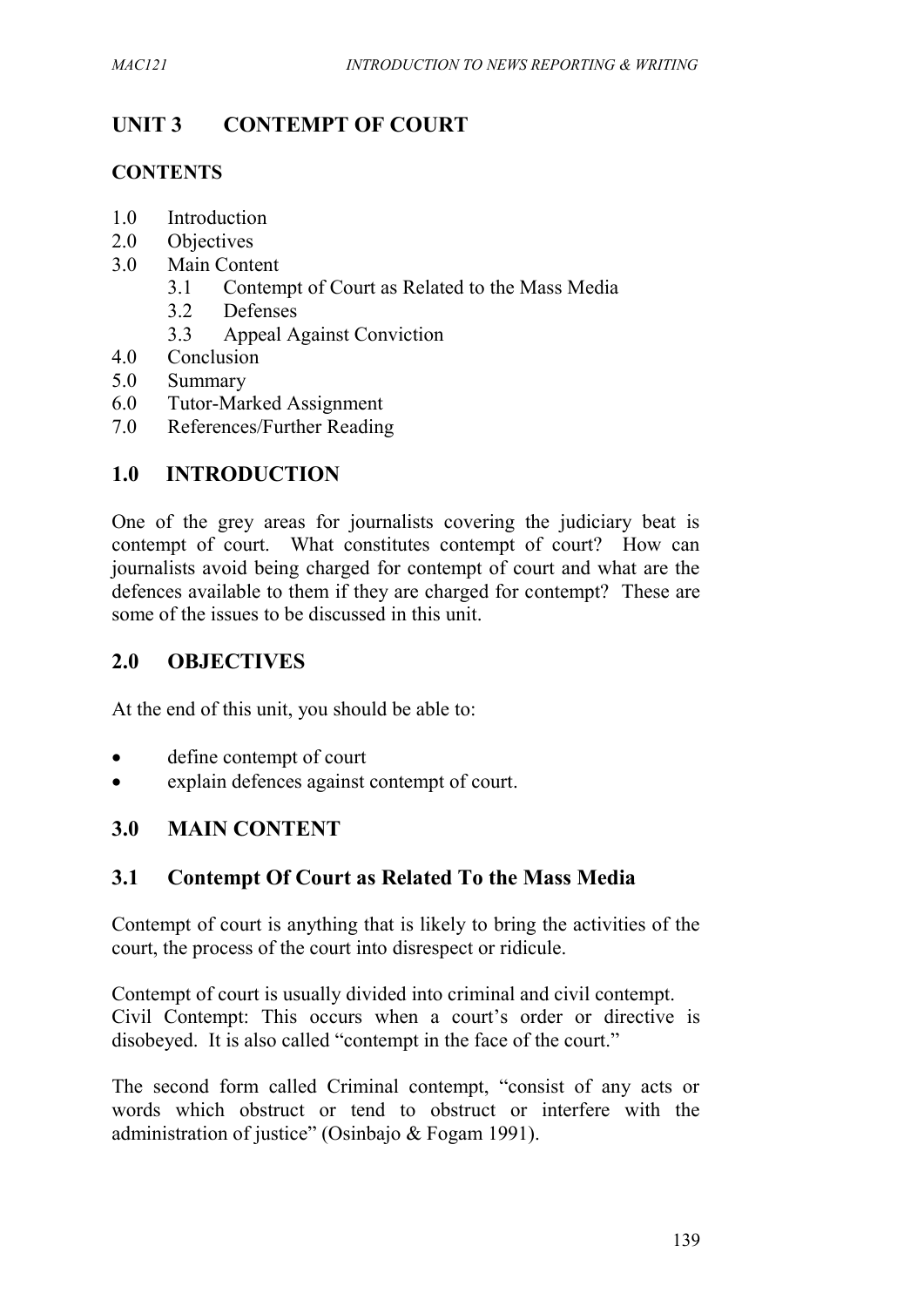# **UNIT 3 CONTEMPT OF COURT**

### **CONTENTS**

- 1.0 Introduction
- 2.0 Objectives
- 3.0 Main Content
	- 3.1 Contempt of Court as Related to the Mass Media
	- 3.2 Defenses
	- 3.3 Appeal Against Conviction
- 4.0 Conclusion
- 5.0 Summary
- 6.0 Tutor-Marked Assignment
- 7.0 References/Further Reading

# **1.0 INTRODUCTION**

One of the grey areas for journalists covering the judiciary beat is contempt of court. What constitutes contempt of court? How can journalists avoid being charged for contempt of court and what are the defences available to them if they are charged for contempt? These are some of the issues to be discussed in this unit.

## **2.0 OBJECTIVES**

At the end of this unit, you should be able to:

- define contempt of court
- explain defences against contempt of court.

### **3.0 MAIN CONTENT**

### **3.1 Contempt Of Court as Related To the Mass Media**

Contempt of court is anything that is likely to bring the activities of the court, the process of the court into disrespect or ridicule.

Contempt of court is usually divided into criminal and civil contempt. Civil Contempt: This occurs when a court's order or directive is disobeyed. It is also called "contempt in the face of the court."

The second form called Criminal contempt, "consist of any acts or words which obstruct or tend to obstruct or interfere with the administration of justice" (Osinbajo & Fogam 1991).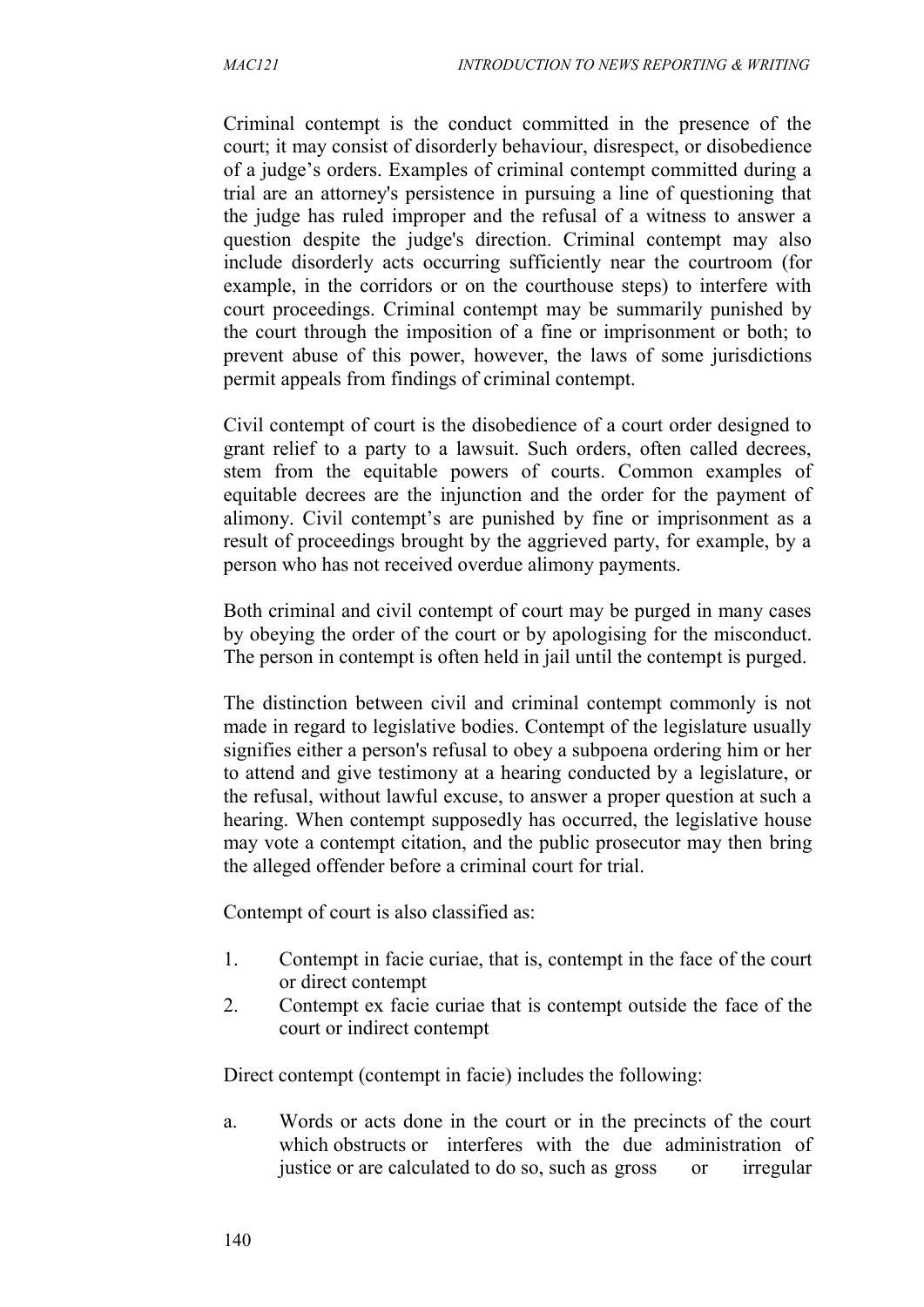Criminal contempt is the conduct committed in the presence of the court; it may consist of disorderly behaviour, disrespect, or disobedience of a judge's orders. Examples of criminal contempt committed during a trial are an attorney's persistence in pursuing a line of questioning that the judge has ruled improper and the refusal of a witness to answer a question despite the judge's direction. Criminal contempt may also include disorderly acts occurring sufficiently near the courtroom (for example, in the corridors or on the courthouse steps) to interfere with court proceedings. Criminal contempt may be summarily punished by the court through the imposition of a fine or imprisonment or both; to prevent abuse of this power, however, the laws of some jurisdictions permit appeals from findings of criminal contempt.

Civil contempt of court is the disobedience of a court order designed to grant relief to a party to a lawsuit. Such orders, often called decrees, stem from the equitable powers of courts. Common examples of equitable decrees are the injunction and the order for the payment of alimony. Civil contempt's are punished by fine or imprisonment as a result of proceedings brought by the aggrieved party, for example, by a person who has not received overdue alimony payments.

Both criminal and civil contempt of court may be purged in many cases by obeying the order of the court or by apologising for the misconduct. The person in contempt is often held in jail until the contempt is purged.

The distinction between civil and criminal contempt commonly is not made in regard to legislative bodies. Contempt of the legislature usually signifies either a person's refusal to obey a subpoena ordering him or her to attend and give testimony at a hearing conducted by a legislature, or the refusal, without lawful excuse, to answer a proper question at such a hearing. When contempt supposedly has occurred, the legislative house may vote a contempt citation, and the public prosecutor may then bring the alleged offender before a criminal court for trial.

Contempt of court is also classified as:

- 1. Contempt in facie curiae, that is, contempt in the face of the court or direct contempt
- 2. Contempt ex facie curiae that is contempt outside the face of the court or indirect contempt

Direct contempt (contempt in facie) includes the following:

a. Words or acts done in the court or in the precincts of the court which obstructs or interferes with the due administration of justice or are calculated to do so, such as gross or irregular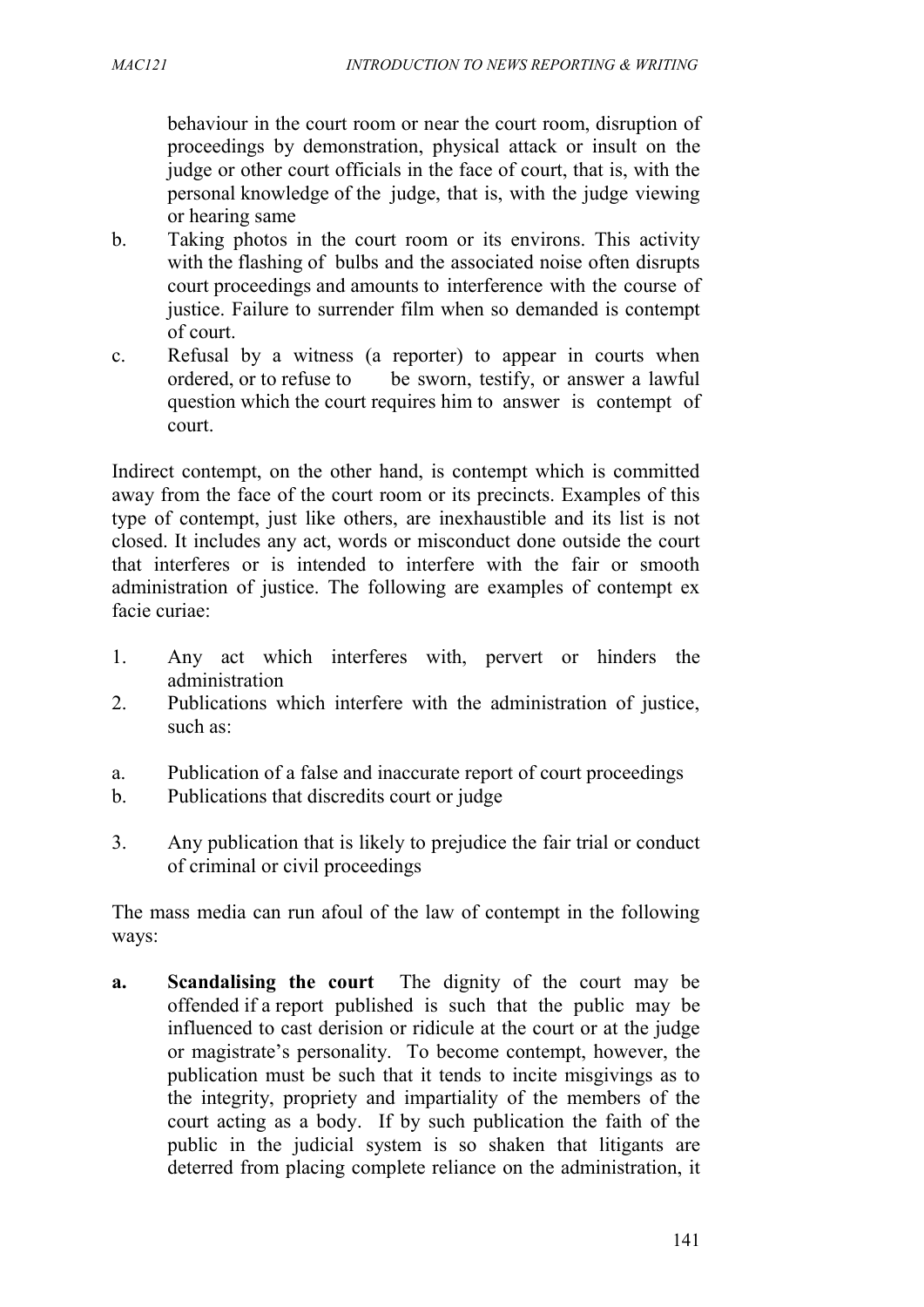behaviour in the court room or near the court room, disruption of proceedings by demonstration, physical attack or insult on the judge or other court officials in the face of court, that is, with the personal knowledge of the judge, that is, with the judge viewing or hearing same

- b. Taking photos in the court room or its environs. This activity with the flashing of bulbs and the associated noise often disrupts court proceedings and amounts to interference with the course of justice. Failure to surrender film when so demanded is contempt of court.
- c. Refusal by a witness (a reporter) to appear in courts when ordered, or to refuse to be sworn, testify, or answer a lawful question which the court requires him to answer is contempt of court.

Indirect contempt, on the other hand, is contempt which is committed away from the face of the court room or its precincts. Examples of this type of contempt, just like others, are inexhaustible and its list is not closed. It includes any act, words or misconduct done outside the court that interferes or is intended to interfere with the fair or smooth administration of justice. The following are examples of contempt ex facie curiae:

- 1. Any act which interferes with, pervert or hinders the administration
- 2. Publications which interfere with the administration of justice, such as:
- a. Publication of a false and inaccurate report of court proceedings
- b. Publications that discredits court or judge
- 3. Any publication that is likely to prejudice the fair trial or conduct of criminal or civil proceedings

The mass media can run afoul of the law of contempt in the following ways:

**a. Scandalising the court** The dignity of the court may be offended if a report published is such that the public may be influenced to cast derision or ridicule at the court or at the judge or magistrate's personality. To become contempt, however, the publication must be such that it tends to incite misgivings as to the integrity, propriety and impartiality of the members of the court acting as a body. If by such publication the faith of the public in the judicial system is so shaken that litigants are deterred from placing complete reliance on the administration, it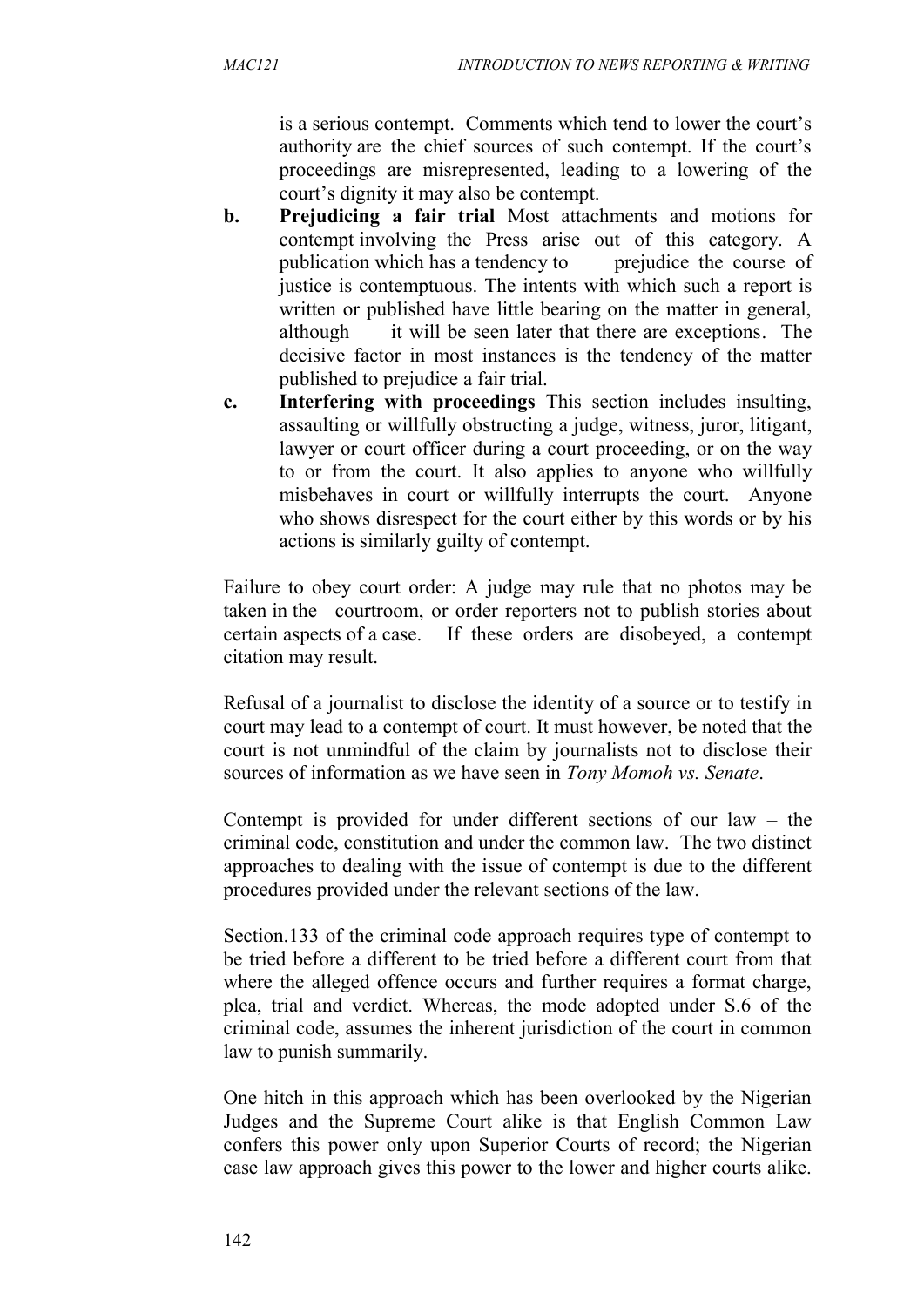is a serious contempt. Comments which tend to lower the court's authority are the chief sources of such contempt. If the court's proceedings are misrepresented, leading to a lowering of the court's dignity it may also be contempt.

- **b. Prejudicing a fair trial** Most attachments and motions for contempt involving the Press arise out of this category. A publication which has a tendency to prejudice the course of justice is contemptuous. The intents with which such a report is written or published have little bearing on the matter in general, although it will be seen later that there are exceptions. The decisive factor in most instances is the tendency of the matter published to prejudice a fair trial.
- **c. Interfering with proceedings** This section includes insulting, assaulting or willfully obstructing a judge, witness, juror, litigant, lawyer or court officer during a court proceeding, or on the way to or from the court. It also applies to anyone who willfully misbehaves in court or willfully interrupts the court. Anyone who shows disrespect for the court either by this words or by his actions is similarly guilty of contempt.

Failure to obey court order: A judge may rule that no photos may be taken in the courtroom, or order reporters not to publish stories about certain aspects of a case. If these orders are disobeyed, a contempt citation may result.

Refusal of a journalist to disclose the identity of a source or to testify in court may lead to a contempt of court. It must however, be noted that the court is not unmindful of the claim by journalists not to disclose their sources of information as we have seen in *Tony Momoh vs. Senate*.

Contempt is provided for under different sections of our law – the criminal code, constitution and under the common law. The two distinct approaches to dealing with the issue of contempt is due to the different procedures provided under the relevant sections of the law.

Section.133 of the criminal code approach requires type of contempt to be tried before a different to be tried before a different court from that where the alleged offence occurs and further requires a format charge, plea, trial and verdict. Whereas, the mode adopted under S.6 of the criminal code, assumes the inherent jurisdiction of the court in common law to punish summarily.

One hitch in this approach which has been overlooked by the Nigerian Judges and the Supreme Court alike is that English Common Law confers this power only upon Superior Courts of record; the Nigerian case law approach gives this power to the lower and higher courts alike.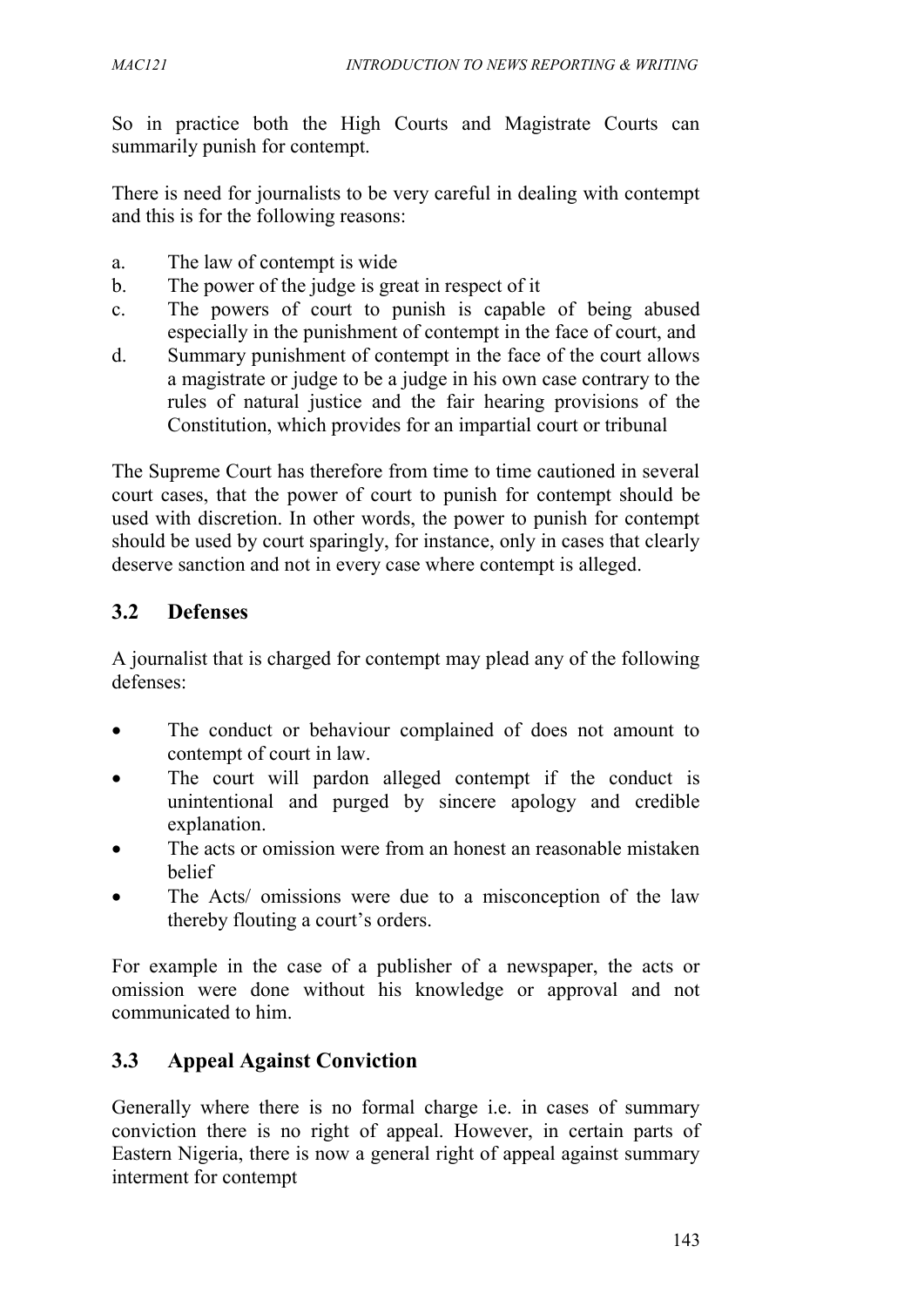So in practice both the High Courts and Magistrate Courts can summarily punish for contempt.

There is need for journalists to be very careful in dealing with contempt and this is for the following reasons:

- a. The law of contempt is wide
- b. The power of the judge is great in respect of it
- c. The powers of court to punish is capable of being abused especially in the punishment of contempt in the face of court, and
- d. Summary punishment of contempt in the face of the court allows a magistrate or judge to be a judge in his own case contrary to the rules of natural justice and the fair hearing provisions of the Constitution, which provides for an impartial court or tribunal

The Supreme Court has therefore from time to time cautioned in several court cases, that the power of court to punish for contempt should be used with discretion. In other words, the power to punish for contempt should be used by court sparingly, for instance, only in cases that clearly deserve sanction and not in every case where contempt is alleged.

# **3.2 Defenses**

A journalist that is charged for contempt may plead any of the following defenses:

- The conduct or behaviour complained of does not amount to contempt of court in law.
- The court will pardon alleged contempt if the conduct is unintentional and purged by sincere apology and credible explanation.
- The acts or omission were from an honest an reasonable mistaken belief
- The Acts/ omissions were due to a misconception of the law thereby flouting a court's orders.

For example in the case of a publisher of a newspaper, the acts or omission were done without his knowledge or approval and not communicated to him.

# **3.3 Appeal Against Conviction**

Generally where there is no formal charge i.e. in cases of summary conviction there is no right of appeal. However, in certain parts of Eastern Nigeria, there is now a general right of appeal against summary interment for contempt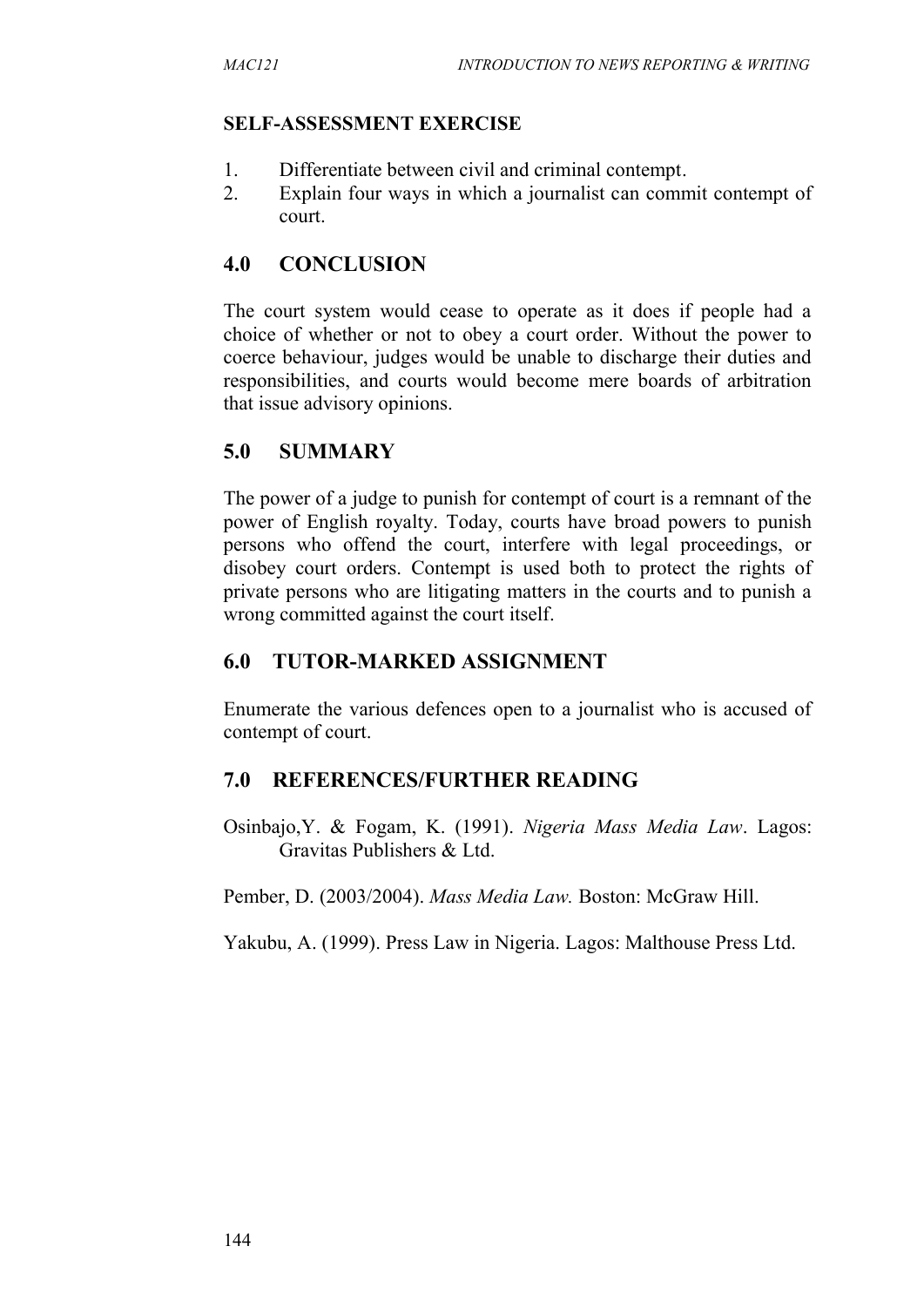### **SELF-ASSESSMENT EXERCISE**

- 1. Differentiate between civil and criminal contempt.
- 2. Explain four ways in which a journalist can commit contempt of court.

### **4.0 CONCLUSION**

The court system would cease to operate as it does if people had a choice of whether or not to obey a court order. Without the power to coerce behaviour, judges would be unable to discharge their duties and responsibilities, and courts would become mere boards of arbitration that issue advisory opinions.

# **5.0 SUMMARY**

The power of a judge to punish for contempt of court is a remnant of the power of English royalty. Today, courts have broad powers to punish persons who offend the court, interfere with legal proceedings, or disobey court orders. Contempt is used both to protect the rights of private persons who are litigating matters in the courts and to punish a wrong committed against the court itself.

### **6.0 TUTOR-MARKED ASSIGNMENT**

Enumerate the various defences open to a journalist who is accused of contempt of court.

### **7.0 REFERENCES/FURTHER READING**

Osinbajo,Y. & Fogam, K. (1991). *Nigeria Mass Media Law*. Lagos: Gravitas Publishers & Ltd.

Pember, D. (2003/2004). *Mass Media Law.* Boston: McGraw Hill.

Yakubu, A. (1999). Press Law in Nigeria. Lagos: Malthouse Press Ltd.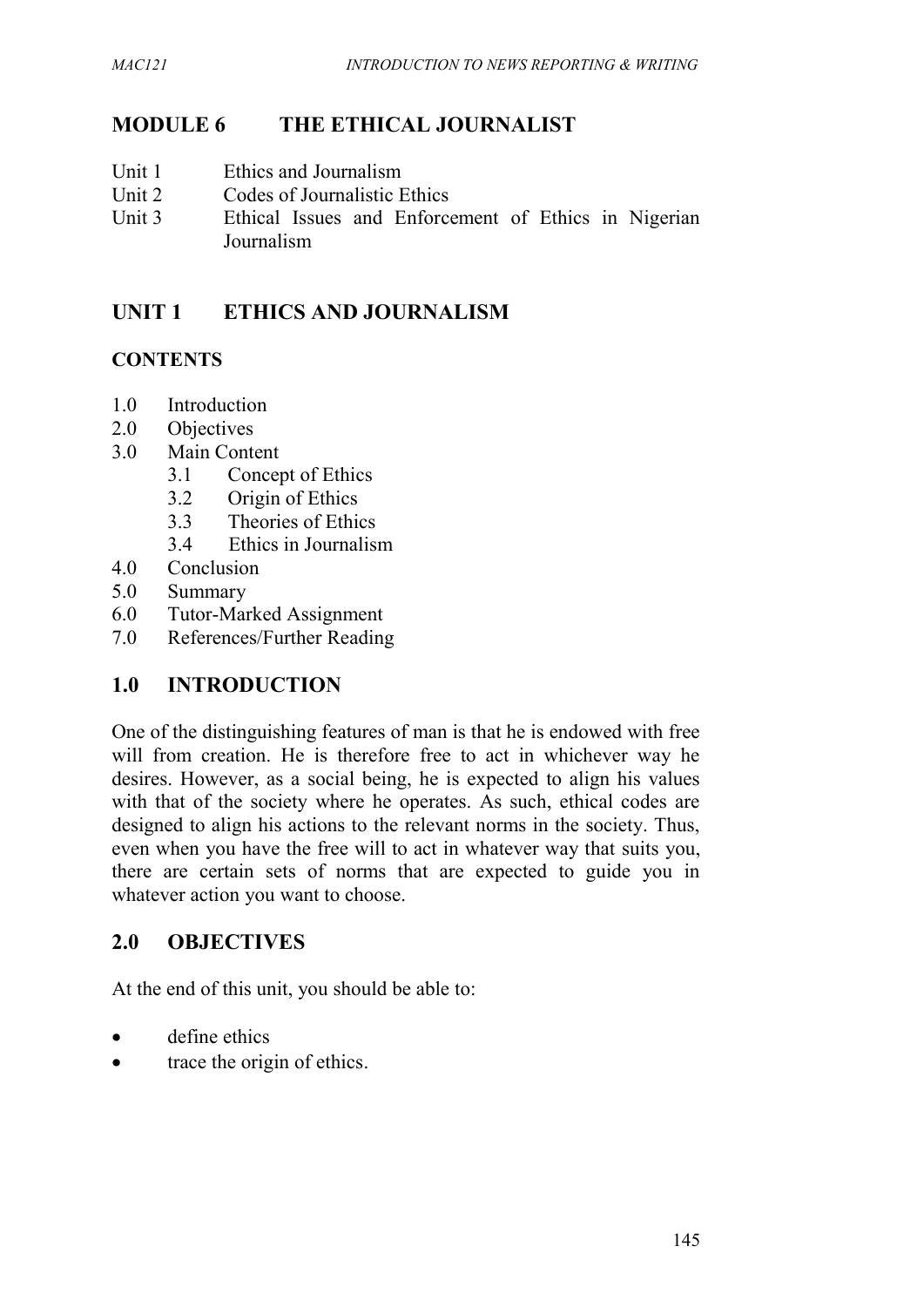# **MODULE 6 THE ETHICAL JOURNALIST**

- Unit 1 Ethics and Journalism
- Unit 2 Codes of Journalistic Ethics
- Unit 3 Ethical Issues and Enforcement of Ethics in Nigerian Journalism

# **UNIT 1 ETHICS AND JOURNALISM**

### **CONTENTS**

- 1.0 Introduction
- 2.0 Objectives
- 3.0 Main Content
	- 3.1 Concept of Ethics
	- 3.2 Origin of Ethics
	- 3.3 Theories of Ethics
	- 3.4 Ethics in Journalism
- 4.0 Conclusion
- 5.0 Summary
- 6.0 Tutor-Marked Assignment
- 7.0 References/Further Reading

# **1.0 INTRODUCTION**

One of the distinguishing features of man is that he is endowed with free will from creation. He is therefore free to act in whichever way he desires. However, as a social being, he is expected to align his values with that of the society where he operates. As such, ethical codes are designed to align his actions to the relevant norms in the society. Thus, even when you have the free will to act in whatever way that suits you, there are certain sets of norms that are expected to guide you in whatever action you want to choose.

# **2.0 OBJECTIVES**

At the end of this unit, you should be able to:

- define ethics
- trace the origin of ethics.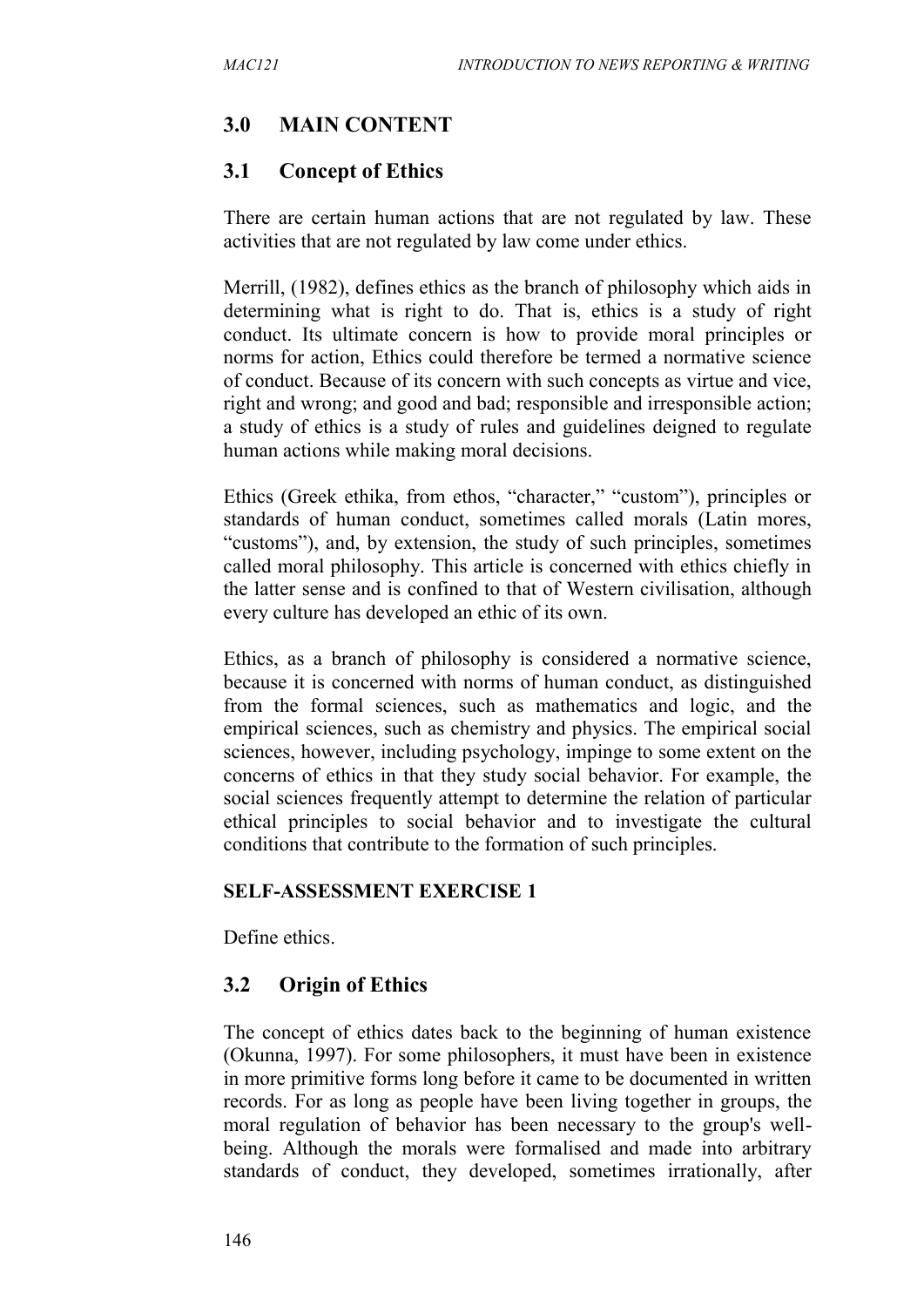# **3.0 MAIN CONTENT**

### **3.1 Concept of Ethics**

There are certain human actions that are not regulated by law. These activities that are not regulated by law come under ethics.

Merrill, (1982), defines ethics as the branch of philosophy which aids in determining what is right to do. That is, ethics is a study of right conduct. Its ultimate concern is how to provide moral principles or norms for action, Ethics could therefore be termed a normative science of conduct. Because of its concern with such concepts as virtue and vice, right and wrong; and good and bad; responsible and irresponsible action; a study of ethics is a study of rules and guidelines deigned to regulate human actions while making moral decisions.

Ethics (Greek ethika, from ethos, "character," "custom"), principles or standards of human conduct, sometimes called morals (Latin mores, "customs"), and, by extension, the study of such principles, sometimes called moral philosophy. This article is concerned with ethics chiefly in the latter sense and is confined to that of Western civilisation, although every culture has developed an ethic of its own.

Ethics, as a branch of philosophy is considered a normative science, because it is concerned with norms of human conduct, as distinguished from the formal sciences, such as mathematics and logic, and the empirical sciences, such as chemistry and physics. The empirical social sciences, however, including psychology, impinge to some extent on the concerns of ethics in that they study social behavior. For example, the social sciences frequently attempt to determine the relation of particular ethical principles to social behavior and to investigate the cultural conditions that contribute to the formation of such principles.

#### **SELF-ASSESSMENT EXERCISE 1**

Define ethics.

#### **3.2 Origin of Ethics**

The concept of ethics dates back to the beginning of human existence (Okunna, 1997). For some philosophers, it must have been in existence in more primitive forms long before it came to be documented in written records. For as long as people have been living together in groups, the moral regulation of behavior has been necessary to the group's well being. Although the morals were formalised and made into arbitrary standards of conduct, they developed, sometimes irrationally, after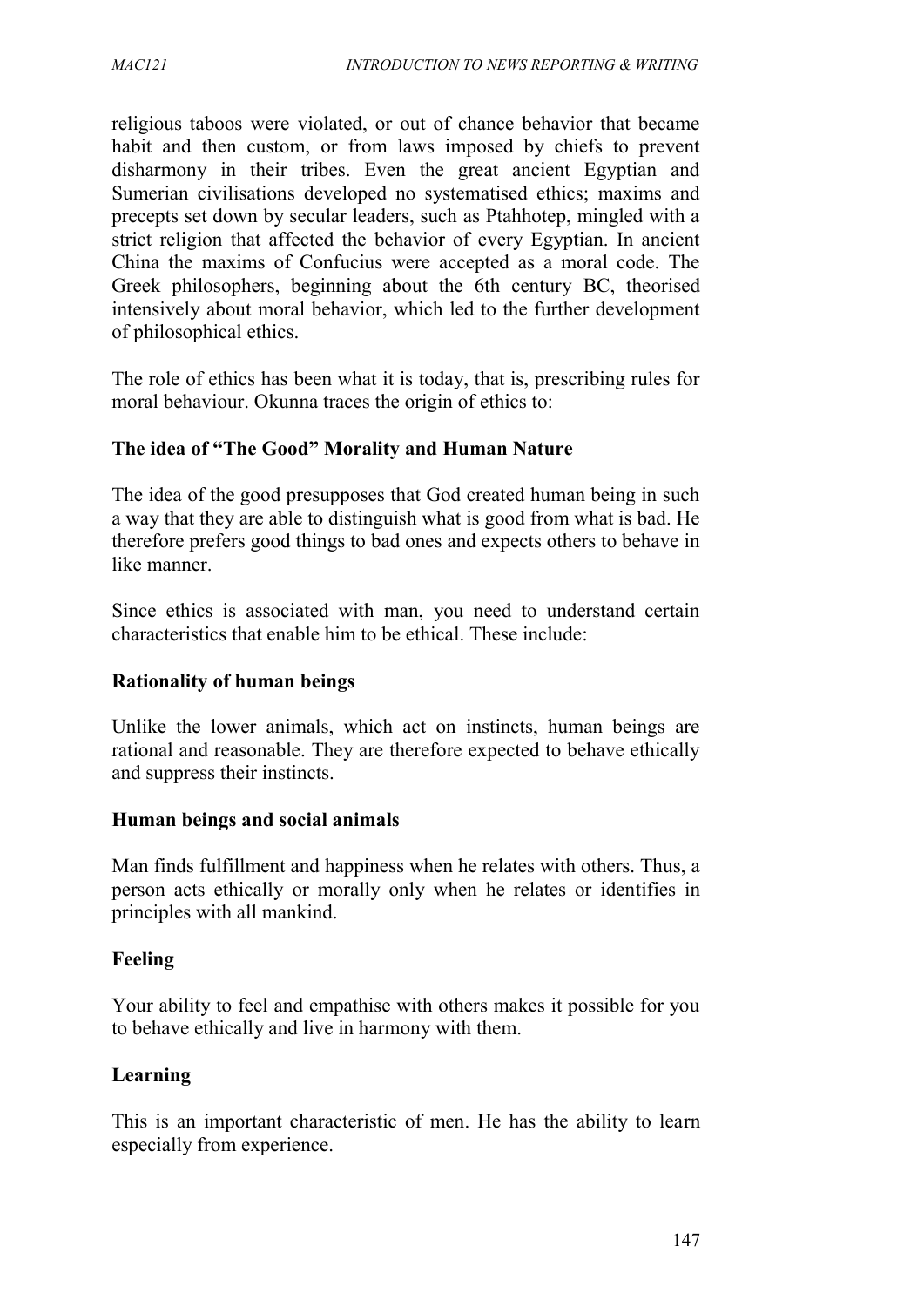religious taboos were violated, or out of chance behavior that became habit and then custom, or from laws imposed by chiefs to prevent disharmony in their tribes. Even the great ancient Egyptian and Sumerian civilisations developed no systematised ethics; maxims and precepts set down by secular leaders, such as Ptahhotep, mingled with a strict religion that affected the behavior of every Egyptian. In ancient China the maxims of Confucius were accepted as a moral code. The Greek philosophers, beginning about the 6th century BC, theorised intensively about moral behavior, which led to the further development of philosophical ethics.

The role of ethics has been what it is today, that is, prescribing rules for moral behaviour. Okunna traces the origin of ethics to:

### **The idea of "The Good" Morality and Human Nature**

The idea of the good presupposes that God created human being in such a way that they are able to distinguish what is good from what is bad. He therefore prefers good things to bad ones and expects others to behave in like manner.

Since ethics is associated with man, you need to understand certain characteristics that enable him to be ethical. These include:

#### **Rationality of human beings**

Unlike the lower animals, which act on instincts, human beings are rational and reasonable. They are therefore expected to behave ethically and suppress their instincts.

#### **Human beings and social animals**

Man finds fulfillment and happiness when he relates with others. Thus, a person acts ethically or morally only when he relates or identifies in principles with all mankind.

### **Feeling**

Your ability to feel and empathise with others makes it possible for you to behave ethically and live in harmony with them.

### **Learning**

This is an important characteristic of men. He has the ability to learn especially from experience.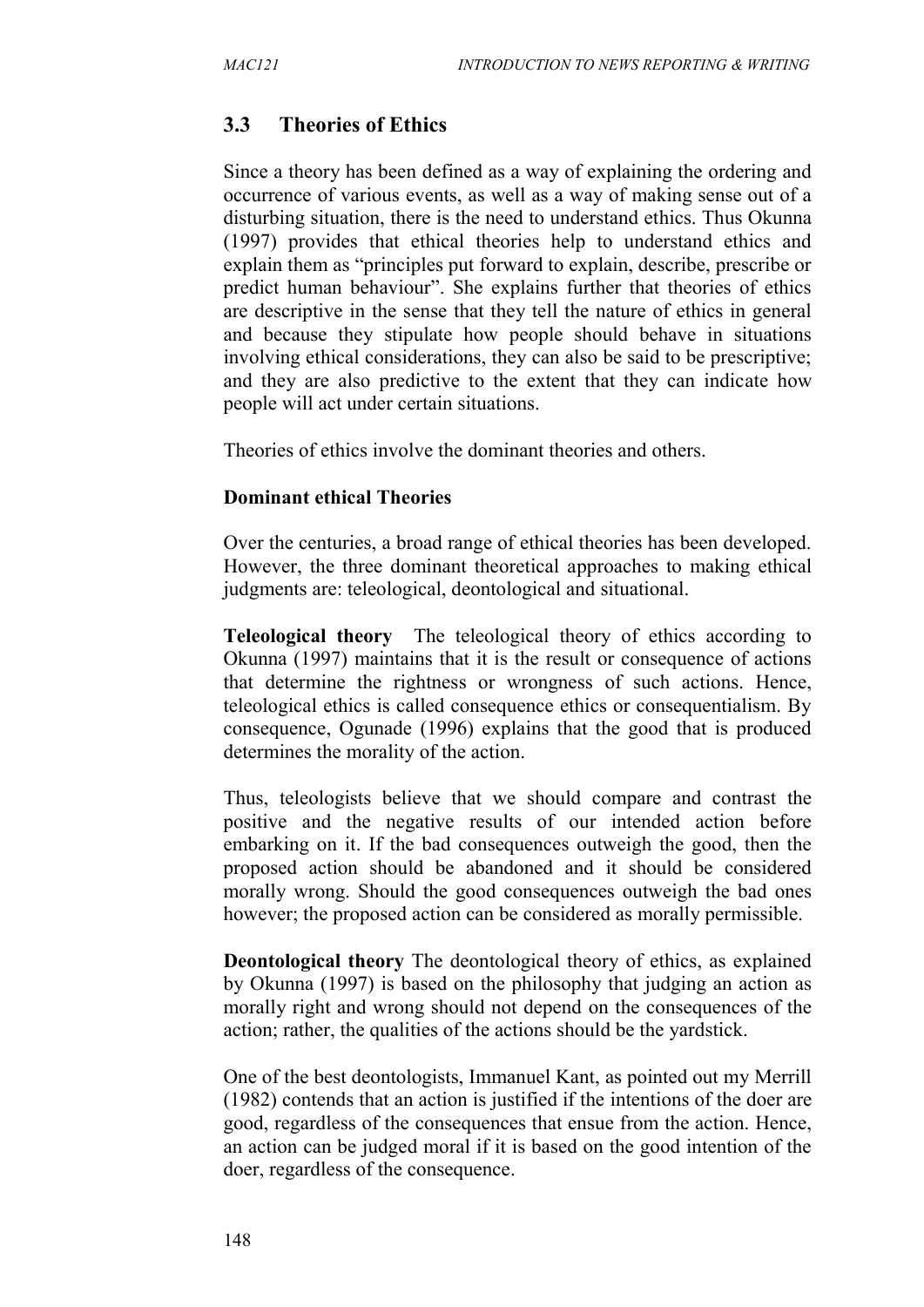### **3.3 Theories of Ethics**

Since a theory has been defined as a way of explaining the ordering and occurrence of various events, as well as a way of making sense out of a disturbing situation, there is the need to understand ethics. Thus Okunna (1997) provides that ethical theories help to understand ethics and explain them as "principles put forward to explain, describe, prescribe or predict human behaviour". She explains further that theories of ethics are descriptive in the sense that they tell the nature of ethics in general and because they stipulate how people should behave in situations involving ethical considerations, they can also be said to be prescriptive; and they are also predictive to the extent that they can indicate how people will act under certain situations.

Theories of ethics involve the dominant theories and others.

#### **Dominant ethical Theories**

Over the centuries, a broad range of ethical theories has been developed. However, the three dominant theoretical approaches to making ethical judgments are: teleological, deontological and situational.

**Teleological theory** The teleological theory of ethics according to Okunna (1997) maintains that it is the result or consequence of actions that determine the rightness or wrongness of such actions. Hence, teleological ethics is called consequence ethics or consequentialism. By consequence, Ogunade (1996) explains that the good that is produced determines the morality of the action.

Thus, teleologists believe that we should compare and contrast the positive and the negative results of our intended action before embarking on it. If the bad consequences outweigh the good, then the proposed action should be abandoned and it should be considered morally wrong. Should the good consequences outweigh the bad ones however; the proposed action can be considered as morally permissible.

**Deontological theory** The deontological theory of ethics, as explained by Okunna (1997) is based on the philosophy that judging an action as morally right and wrong should not depend on the consequences of the action; rather, the qualities of the actions should be the yardstick.

One of the best deontologists, Immanuel Kant, as pointed out my Merrill (1982) contends that an action is justified if the intentions of the doer are good, regardless of the consequences that ensue from the action. Hence, an action can be judged moral if it is based on the good intention of the doer, regardless of the consequence.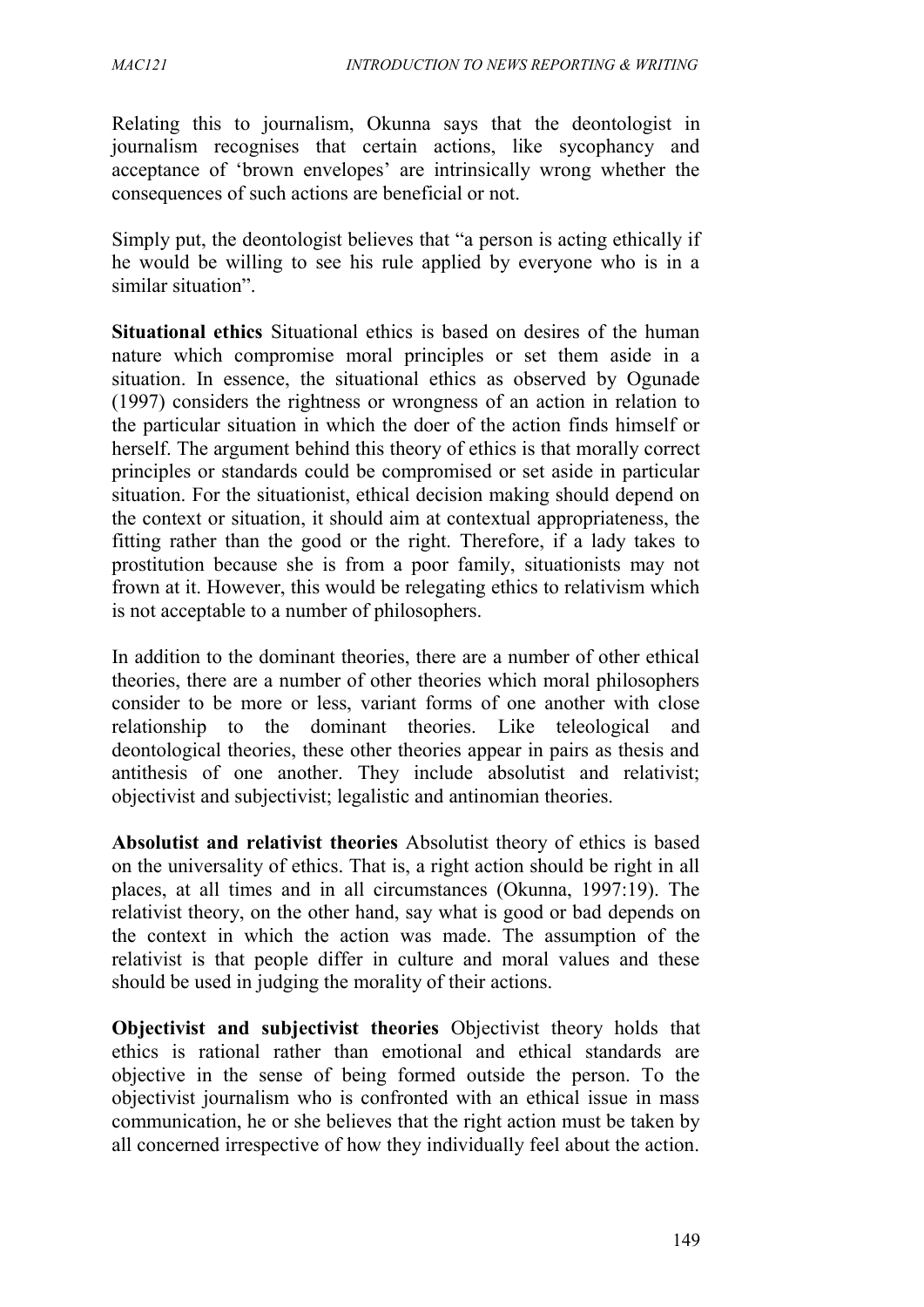Relating this to journalism, Okunna says that the deontologist in journalism recognises that certain actions, like sycophancy and acceptance of 'brown envelopes' are intrinsically wrong whether the consequences of such actions are beneficial or not.

Simply put, the deontologist believes that "a person is acting ethically if he would be willing to see his rule applied by everyone who is in a similar situation".

**Situational ethics** Situational ethics is based on desires of the human nature which compromise moral principles or set them aside in a situation. In essence, the situational ethics as observed by Ogunade (1997) considers the rightness or wrongness of an action in relation to the particular situation in which the doer of the action finds himself or herself. The argument behind this theory of ethics is that morally correct principles or standards could be compromised or set aside in particular situation. For the situationist, ethical decision making should depend on the context or situation, it should aim at contextual appropriateness, the fitting rather than the good or the right. Therefore, if a lady takes to prostitution because she is from a poor family, situationists may not frown at it. However, this would be relegating ethics to relativism which is not acceptable to a number of philosophers.

In addition to the dominant theories, there are a number of other ethical theories, there are a number of other theories which moral philosophers consider to be more or less, variant forms of one another with close relationship to the dominant theories. Like teleological and deontological theories, these other theories appear in pairs as thesis and antithesis of one another. They include absolutist and relativist; objectivist and subjectivist; legalistic and antinomian theories.

**Absolutist and relativist theories** Absolutist theory of ethics is based on the universality of ethics. That is, a right action should be right in all places, at all times and in all circumstances (Okunna, 1997:19). The relativist theory, on the other hand, say what is good or bad depends on the context in which the action was made. The assumption of the relativist is that people differ in culture and moral values and these should be used in judging the morality of their actions.

**Objectivist and subjectivist theories** Objectivist theory holds that ethics is rational rather than emotional and ethical standards are objective in the sense of being formed outside the person. To the objectivist journalism who is confronted with an ethical issue in mass communication, he or she believes that the right action must be taken by all concerned irrespective of how they individually feel about the action.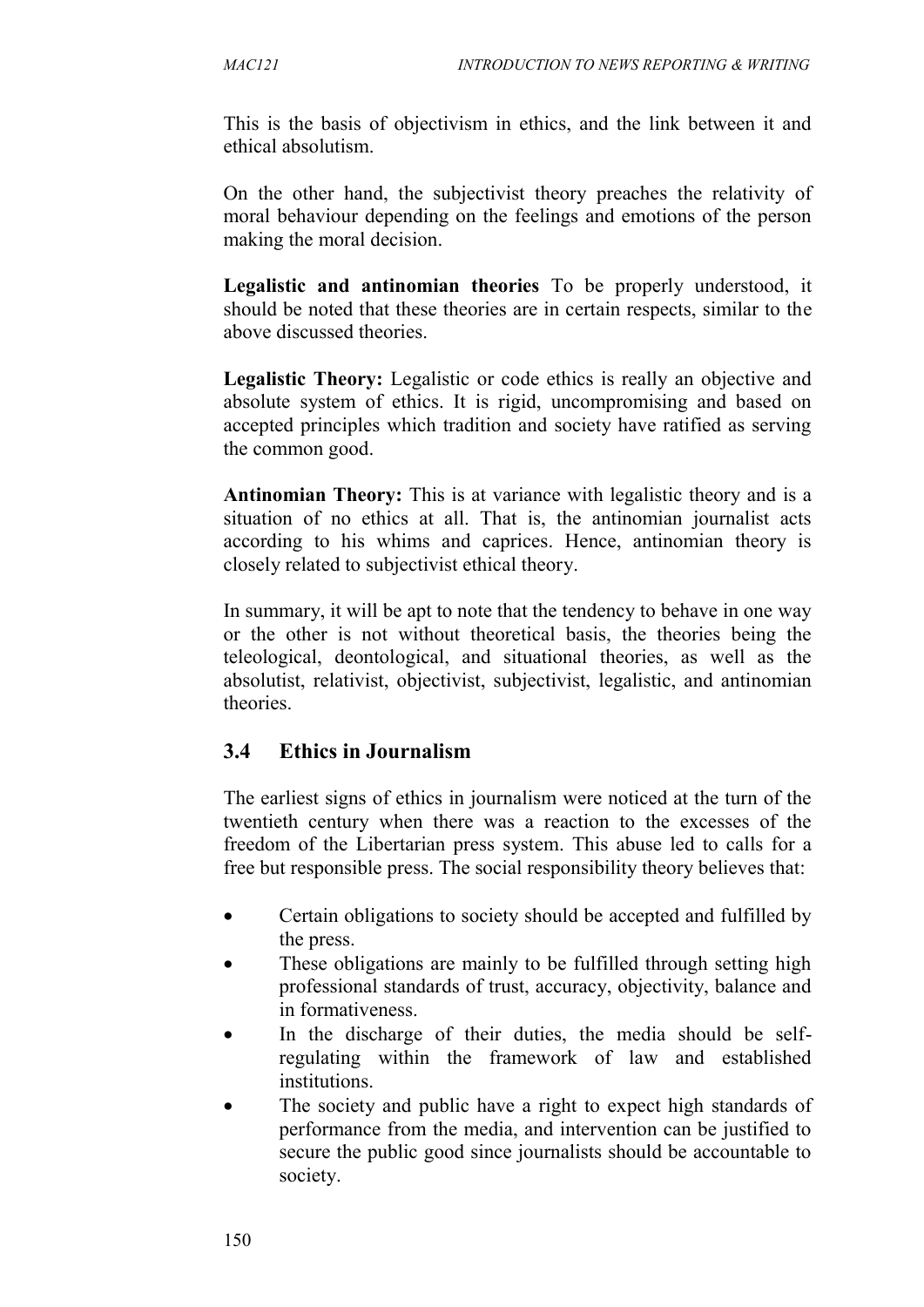This is the basis of objectivism in ethics, and the link between it and ethical absolutism.

On the other hand, the subjectivist theory preaches the relativity of moral behaviour depending on the feelings and emotions of the person making the moral decision.

**Legalistic and antinomian theories** To be properly understood, it should be noted that these theories are in certain respects, similar to the above discussed theories.

**Legalistic Theory:** Legalistic or code ethics is really an objective and absolute system of ethics. It is rigid, uncompromising and based on accepted principles which tradition and society have ratified as serving the common good.

**Antinomian Theory:** This is at variance with legalistic theory and is a situation of no ethics at all. That is, the antinomian journalist acts according to his whims and caprices. Hence, antinomian theory is closely related to subjectivist ethical theory.

In summary, it will be apt to note that the tendency to behave in one way or the other is not without theoretical basis, the theories being the teleological, deontological, and situational theories, as well as the absolutist, relativist, objectivist, subjectivist, legalistic, and antinomian theories.

# **3.4 Ethics in Journalism**

The earliest signs of ethics in journalism were noticed at the turn of the twentieth century when there was a reaction to the excesses of the freedom of the Libertarian press system. This abuse led to calls for a free but responsible press. The social responsibility theory believes that:

- Certain obligations to society should be accepted and fulfilled by the press.
- These obligations are mainly to be fulfilled through setting high professional standards of trust, accuracy, objectivity, balance and in formativeness.
- In the discharge of their duties, the media should be selfregulating within the framework of law and established institutions.
- The society and public have a right to expect high standards of performance from the media, and intervention can be justified to secure the public good since journalists should be accountable to society.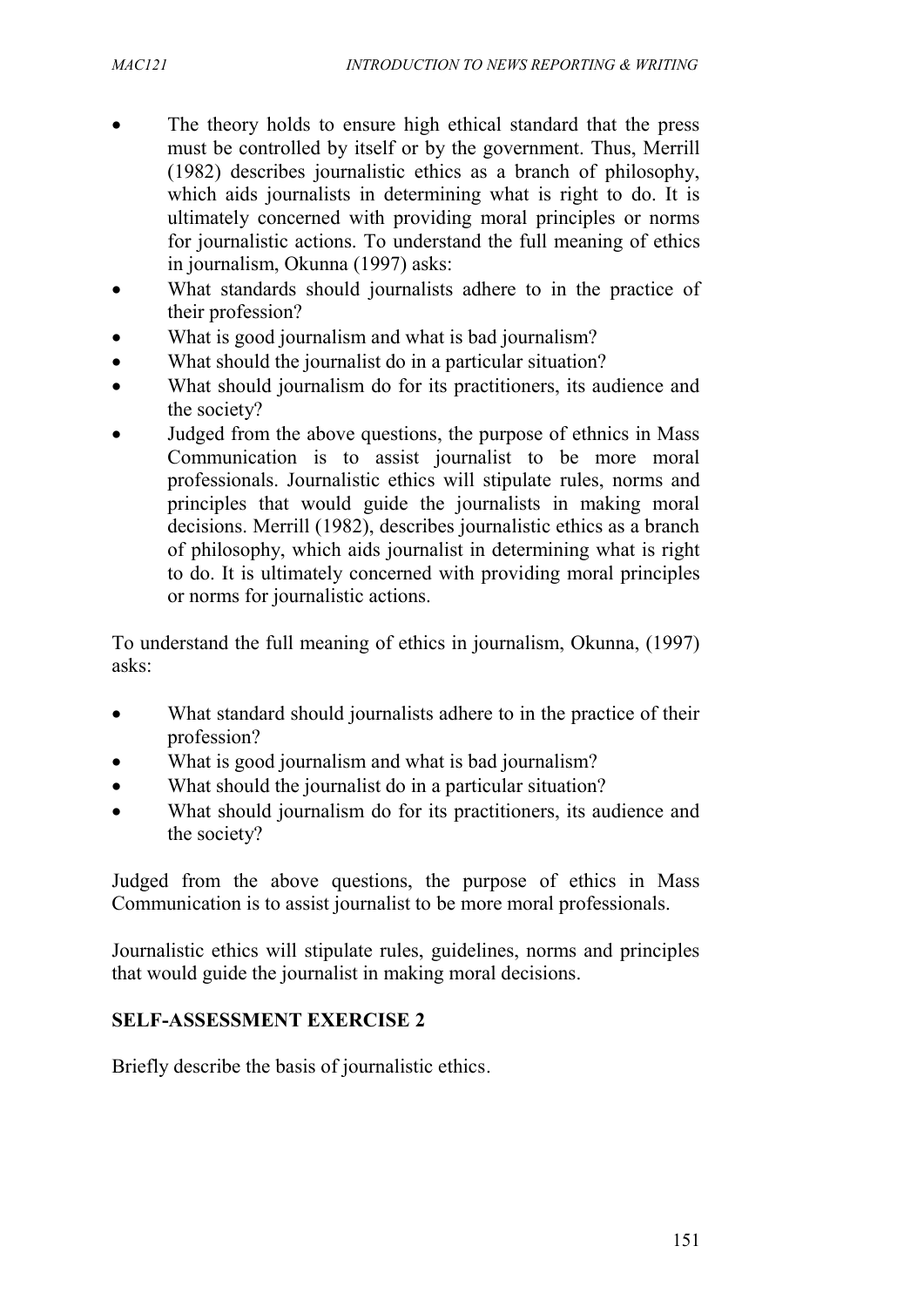- The theory holds to ensure high ethical standard that the press must be controlled by itself or by the government. Thus, Merrill (1982) describes journalistic ethics as a branch of philosophy, which aids journalists in determining what is right to do. It is ultimately concerned with providing moral principles or norms for journalistic actions. To understand the full meaning of ethics in journalism, Okunna (1997) asks:
- What standards should journalists adhere to in the practice of their profession?
- What is good journalism and what is bad journalism?
- What should the journalist do in a particular situation?
- What should journalism do for its practitioners, its audience and the society?
- Judged from the above questions, the purpose of ethnics in Mass Communication is to assist journalist to be more moral professionals. Journalistic ethics will stipulate rules, norms and principles that would guide the journalists in making moral decisions. Merrill (1982), describes journalistic ethics as a branch of philosophy, which aids journalist in determining what is right to do. It is ultimately concerned with providing moral principles or norms for journalistic actions.

To understand the full meaning of ethics in journalism, Okunna, (1997) asks:

- What standard should journalists adhere to in the practice of their profession?
- What is good journalism and what is bad journalism?
- What should the journalist do in a particular situation?
- What should journalism do for its practitioners, its audience and the society?

Judged from the above questions, the purpose of ethics in Mass Communication is to assist journalist to be more moral professionals.

Journalistic ethics will stipulate rules, guidelines, norms and principles that would guide the journalist in making moral decisions.

### **SELF-ASSESSMENT EXERCISE 2**

Briefly describe the basis of journalistic ethics.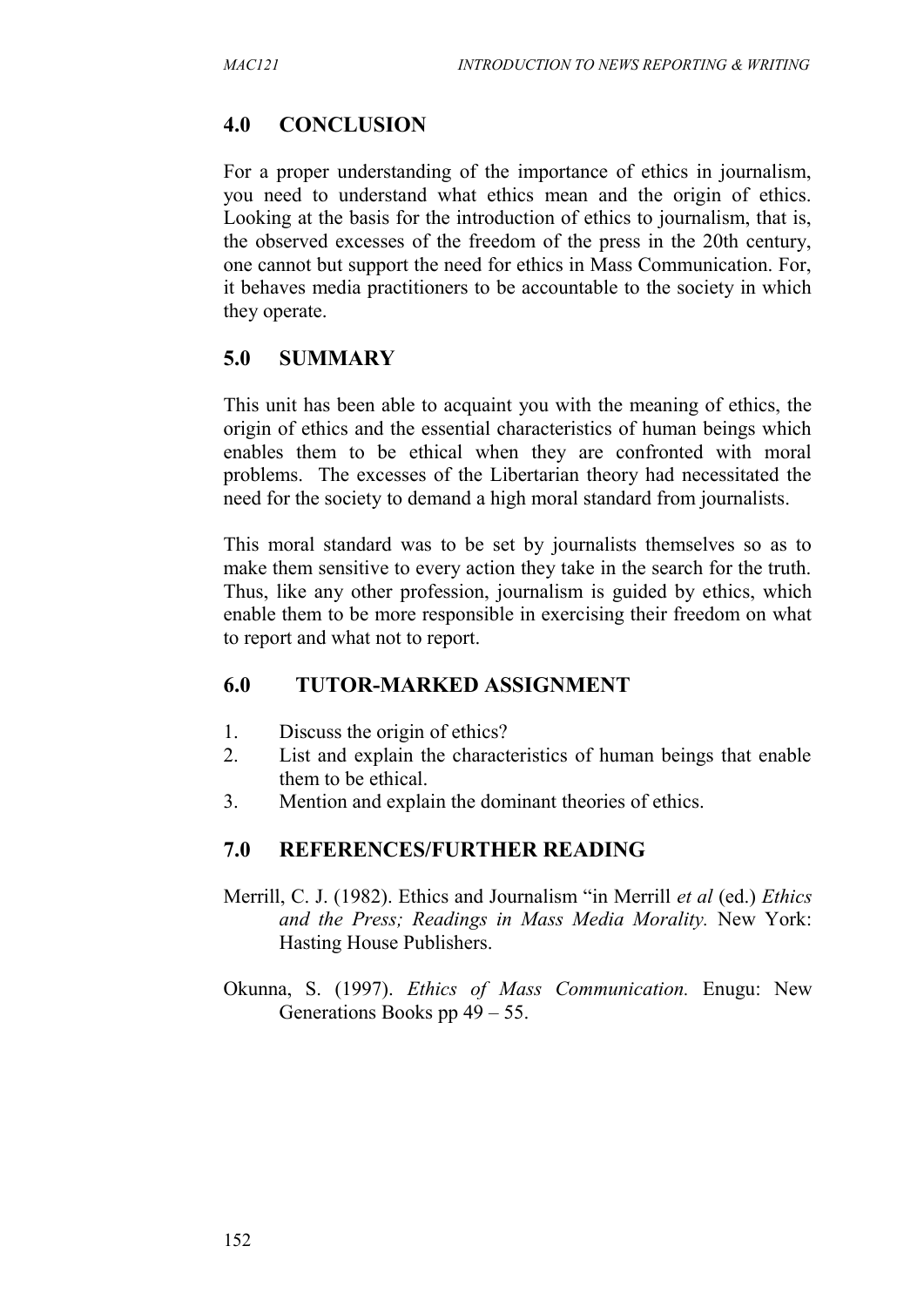### **4.0 CONCLUSION**

For a proper understanding of the importance of ethics in journalism, you need to understand what ethics mean and the origin of ethics. Looking at the basis for the introduction of ethics to journalism, that is, the observed excesses of the freedom of the press in the 20th century, one cannot but support the need for ethics in Mass Communication. For, it behaves media practitioners to be accountable to the society in which they operate.

#### **5.0 SUMMARY**

This unit has been able to acquaint you with the meaning of ethics, the origin of ethics and the essential characteristics of human beings which enables them to be ethical when they are confronted with moral problems. The excesses of the Libertarian theory had necessitated the need for the society to demand a high moral standard from journalists.

This moral standard was to be set by journalists themselves so as to make them sensitive to every action they take in the search for the truth. Thus, like any other profession, journalism is guided by ethics, which enable them to be more responsible in exercising their freedom on what to report and what not to report.

#### **6.0 TUTOR-MARKED ASSIGNMENT**

- 1. Discuss the origin of ethics?
- 2. List and explain the characteristics of human beings that enable them to be ethical.
- 3. Mention and explain the dominant theories of ethics.

#### **7.0 REFERENCES/FURTHER READING**

- Merrill, C. J. (1982). Ethics and Journalism "in Merrill *et al* (ed.) *Ethics and the Press; Readings in Mass Media Morality.* New York: Hasting House Publishers.
- Okunna, S. (1997). *Ethics of Mass Communication.* Enugu: New Generations Books pp 49 – 55.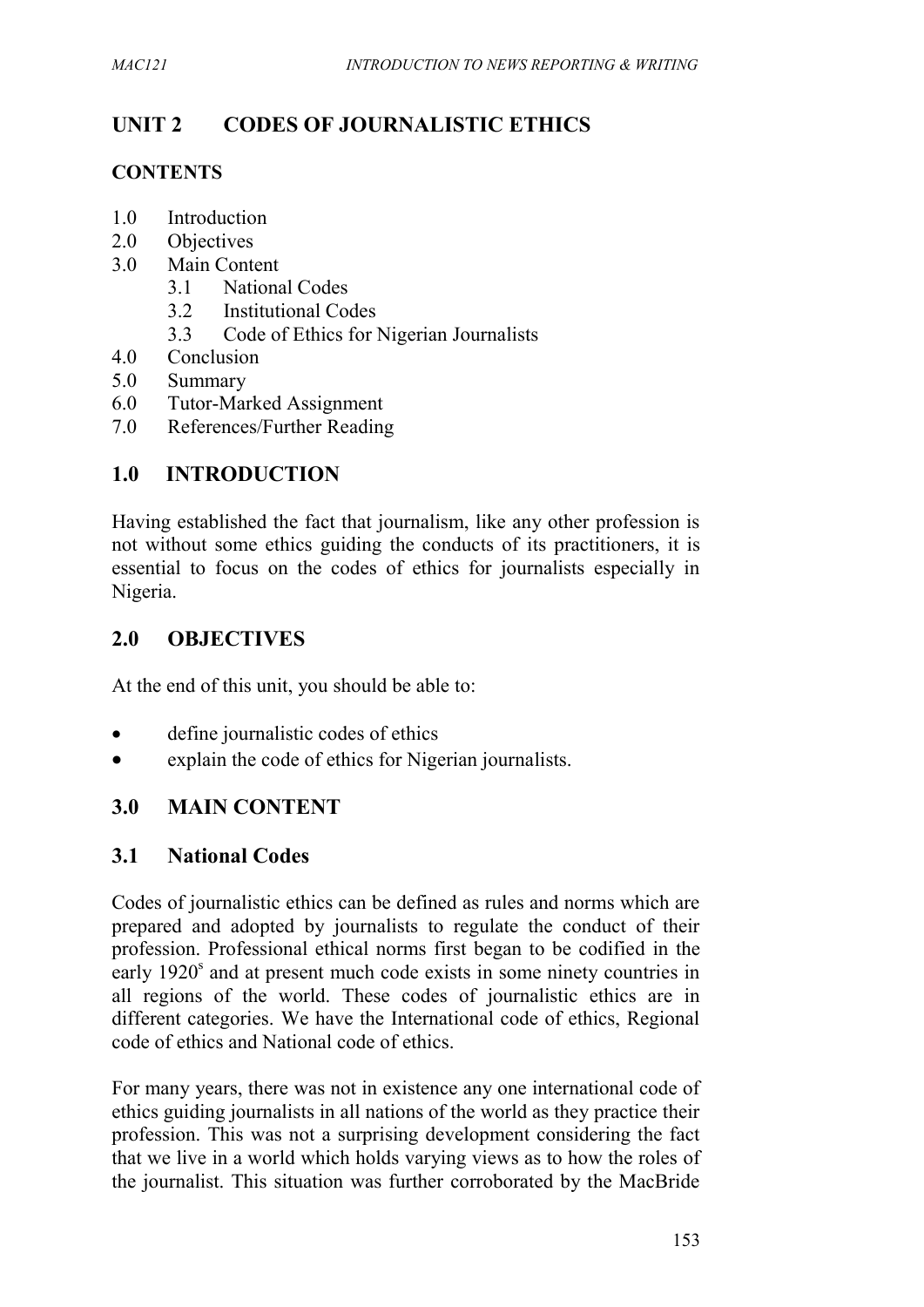# **UNIT 2 CODES OF JOURNALISTIC ETHICS**

### **CONTENTS**

- 1.0 Introduction
- 2.0 Objectives
- 3.0 Main Content
	- 3.1 National Codes
	- 3.2 Institutional Codes
	- 3.3 Code of Ethics for Nigerian Journalists
- 4.0 Conclusion
- 5.0 Summary
- 6.0 Tutor-Marked Assignment
- 7.0 References/Further Reading

# **1.0 INTRODUCTION**

Having established the fact that journalism, like any other profession is not without some ethics guiding the conducts of its practitioners, it is essential to focus on the codes of ethics for journalists especially in Nigeria.

### **2.0 OBJECTIVES**

At the end of this unit, you should be able to:

- define journalistic codes of ethics
- explain the code of ethics for Nigerian journalists.

### **3.0 MAIN CONTENT**

### **3.1 National Codes**

Codes of journalistic ethics can be defined as rules and norms which are prepared and adopted by journalists to regulate the conduct of their profession. Professional ethical norms first began to be codified in the early 1920<sup>s</sup> and at present much code exists in some ninety countries in all regions of the world. These codes of journalistic ethics are in different categories. We have the International code of ethics, Regional code of ethics and National code of ethics.

For many years, there was not in existence any one international code of ethics guiding journalists in all nations of the world as they practice their profession. This was not a surprising development considering the fact that we live in a world which holds varying views as to how the roles of the journalist. This situation was further corroborated by the MacBride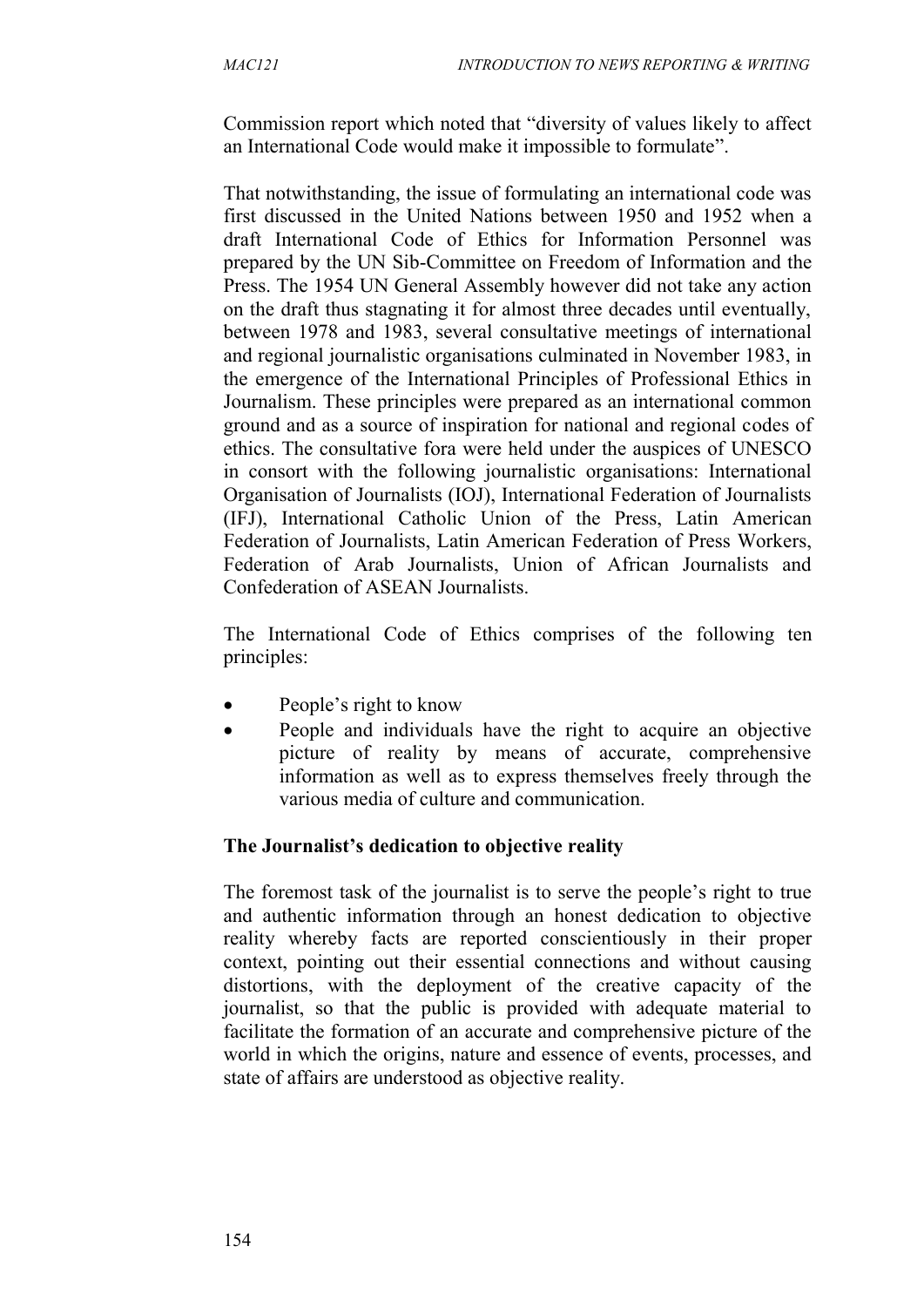Commission report which noted that "diversity of values likely to affect an International Code would make it impossible to formulate".

That notwithstanding, the issue of formulating an international code was first discussed in the United Nations between 1950 and 1952 when a draft International Code of Ethics for Information Personnel was prepared by the UN Sib-Committee on Freedom of Information and the Press. The 1954 UN General Assembly however did not take any action on the draft thus stagnating it for almost three decades until eventually, between 1978 and 1983, several consultative meetings of international and regional journalistic organisations culminated in November 1983, in the emergence of the International Principles of Professional Ethics in Journalism. These principles were prepared as an international common ground and as a source of inspiration for national and regional codes of ethics. The consultative fora were held under the auspices of UNESCO in consort with the following journalistic organisations: International Organisation of Journalists (IOJ), International Federation of Journalists (IFJ), International Catholic Union of the Press, Latin American Federation of Journalists, Latin American Federation of Press Workers, Federation of Arab Journalists, Union of African Journalists and Confederation of ASEAN Journalists.

The International Code of Ethics comprises of the following ten principles:

- People's right to know
- People and individuals have the right to acquire an objective picture of reality by means of accurate, comprehensive information as well as to express themselves freely through the various media of culture and communication.

#### **The Journalist's dedication to objective reality**

The foremost task of the journalist is to serve the people's right to true and authentic information through an honest dedication to objective reality whereby facts are reported conscientiously in their proper context, pointing out their essential connections and without causing distortions, with the deployment of the creative capacity of the journalist, so that the public is provided with adequate material to facilitate the formation of an accurate and comprehensive picture of the world in which the origins, nature and essence of events, processes, and state of affairs are understood as objective reality.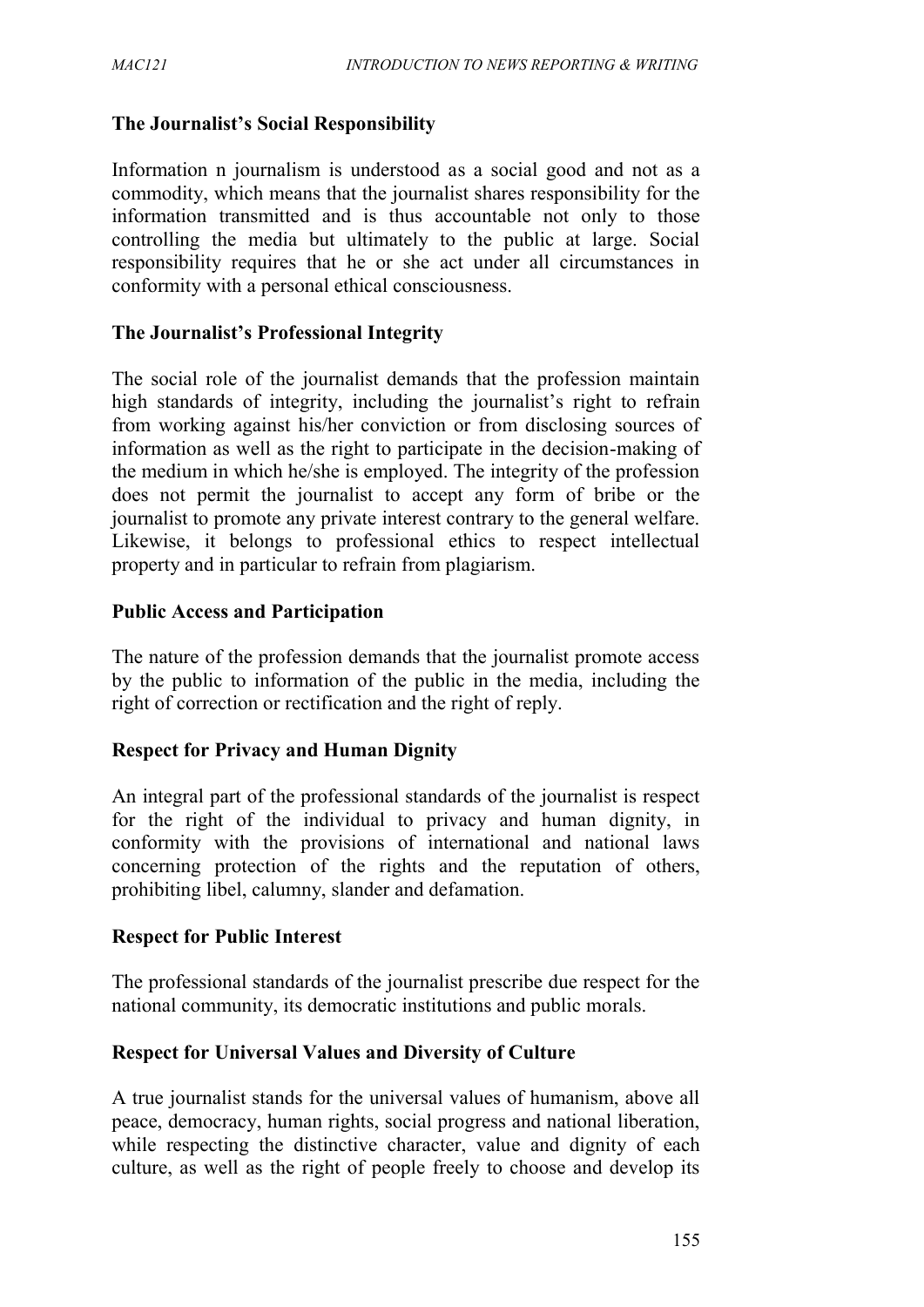### **The Journalist's Social Responsibility**

Information n journalism is understood as a social good and not as a commodity, which means that the journalist shares responsibility for the information transmitted and is thus accountable not only to those controlling the media but ultimately to the public at large. Social responsibility requires that he or she act under all circumstances in conformity with a personal ethical consciousness.

### **The Journalist's Professional Integrity**

The social role of the journalist demands that the profession maintain high standards of integrity, including the journalist's right to refrain from working against his/her conviction or from disclosing sources of information as well as the right to participate in the decision-making of the medium in which he/she is employed. The integrity of the profession does not permit the journalist to accept any form of bribe or the journalist to promote any private interest contrary to the general welfare. Likewise, it belongs to professional ethics to respect intellectual property and in particular to refrain from plagiarism.

#### **Public Access and Participation**

The nature of the profession demands that the journalist promote access by the public to information of the public in the media, including the right of correction or rectification and the right of reply.

### **Respect for Privacy and Human Dignity**

An integral part of the professional standards of the journalist is respect for the right of the individual to privacy and human dignity, in conformity with the provisions of international and national laws concerning protection of the rights and the reputation of others, prohibiting libel, calumny, slander and defamation.

#### **Respect for Public Interest**

The professional standards of the journalist prescribe due respect for the national community, its democratic institutions and public morals.

#### **Respect for Universal Values and Diversity of Culture**

A true journalist stands for the universal values of humanism, above all peace, democracy, human rights, social progress and national liberation, while respecting the distinctive character, value and dignity of each culture, as well as the right of people freely to choose and develop its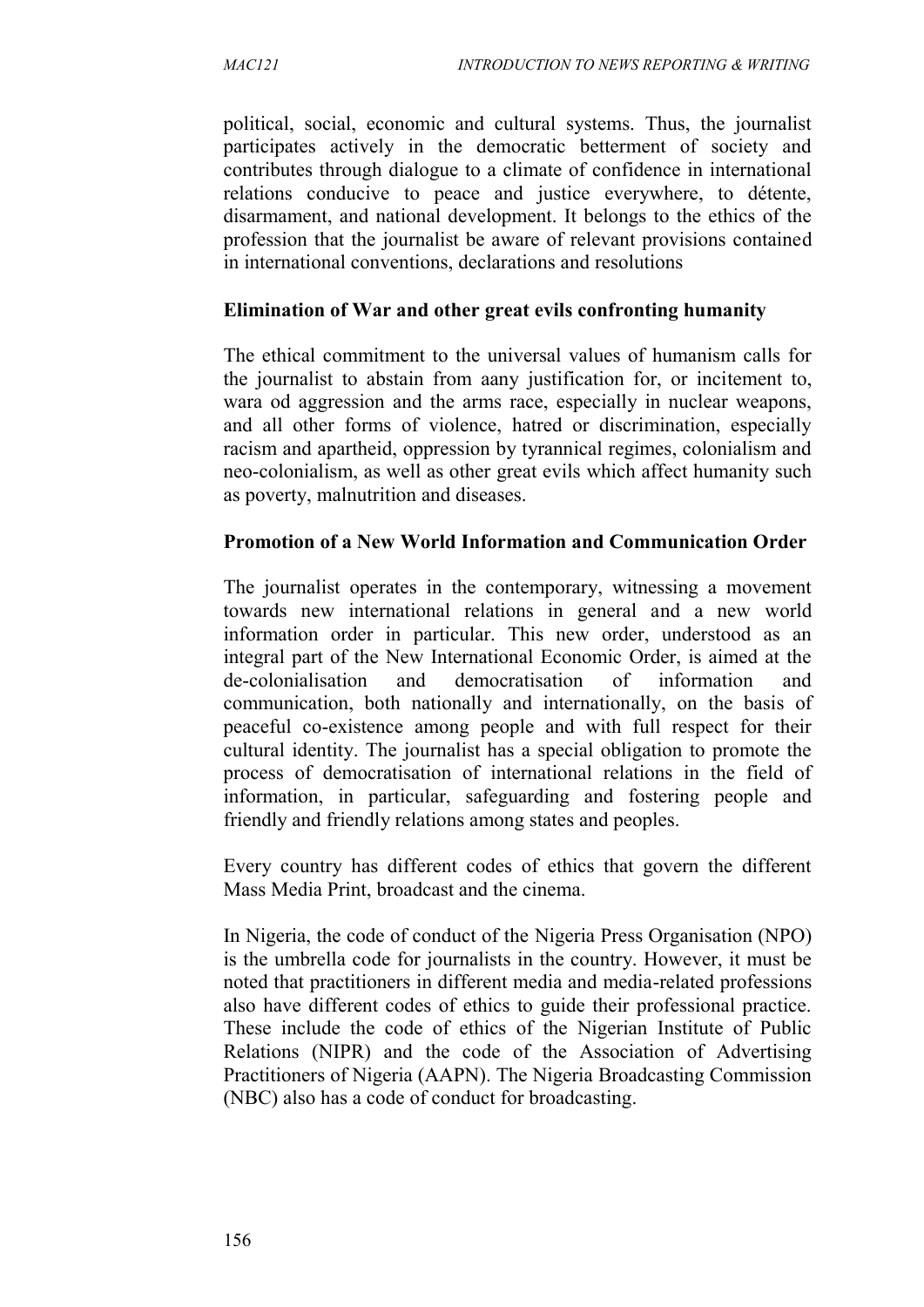political, social, economic and cultural systems. Thus, the journalist participates actively in the democratic betterment of society and contributes through dialogue to a climate of confidence in international relations conducive to peace and justice everywhere, to détente, disarmament, and national development. It belongs to the ethics of the profession that the journalist be aware of relevant provisions contained in international conventions, declarations and resolutions

#### **Elimination of War and other great evils confronting humanity**

The ethical commitment to the universal values of humanism calls for the journalist to abstain from aany justification for, or incitement to, wara od aggression and the arms race, especially in nuclear weapons, and all other forms of violence, hatred or discrimination, especially racism and apartheid, oppression by tyrannical regimes, colonialism and neo-colonialism, as well as other great evils which affect humanity such as poverty, malnutrition and diseases.

#### **Promotion of a New World Information and Communication Order**

The journalist operates in the contemporary, witnessing a movement towards new international relations in general and a new world information order in particular. This new order, understood as an integral part of the New International Economic Order, is aimed at the de-colonialisation and democratisation of information and communication, both nationally and internationally, on the basis of peaceful co-existence among people and with full respect for their cultural identity. The journalist has a special obligation to promote the process of democratisation of international relations in the field of information, in particular, safeguarding and fostering people and friendly and friendly relations among states and peoples.

Every country has different codes of ethics that govern the different Mass Media Print, broadcast and the cinema.

In Nigeria, the code of conduct of the Nigeria Press Organisation (NPO) is the umbrella code for journalists in the country. However, it must be noted that practitioners in different media and media-related professions also have different codes of ethics to guide their professional practice. These include the code of ethics of the Nigerian Institute of Public Relations (NIPR) and the code of the Association of Advertising Practitioners of Nigeria (AAPN). The Nigeria Broadcasting Commission (NBC) also has a code of conduct for broadcasting.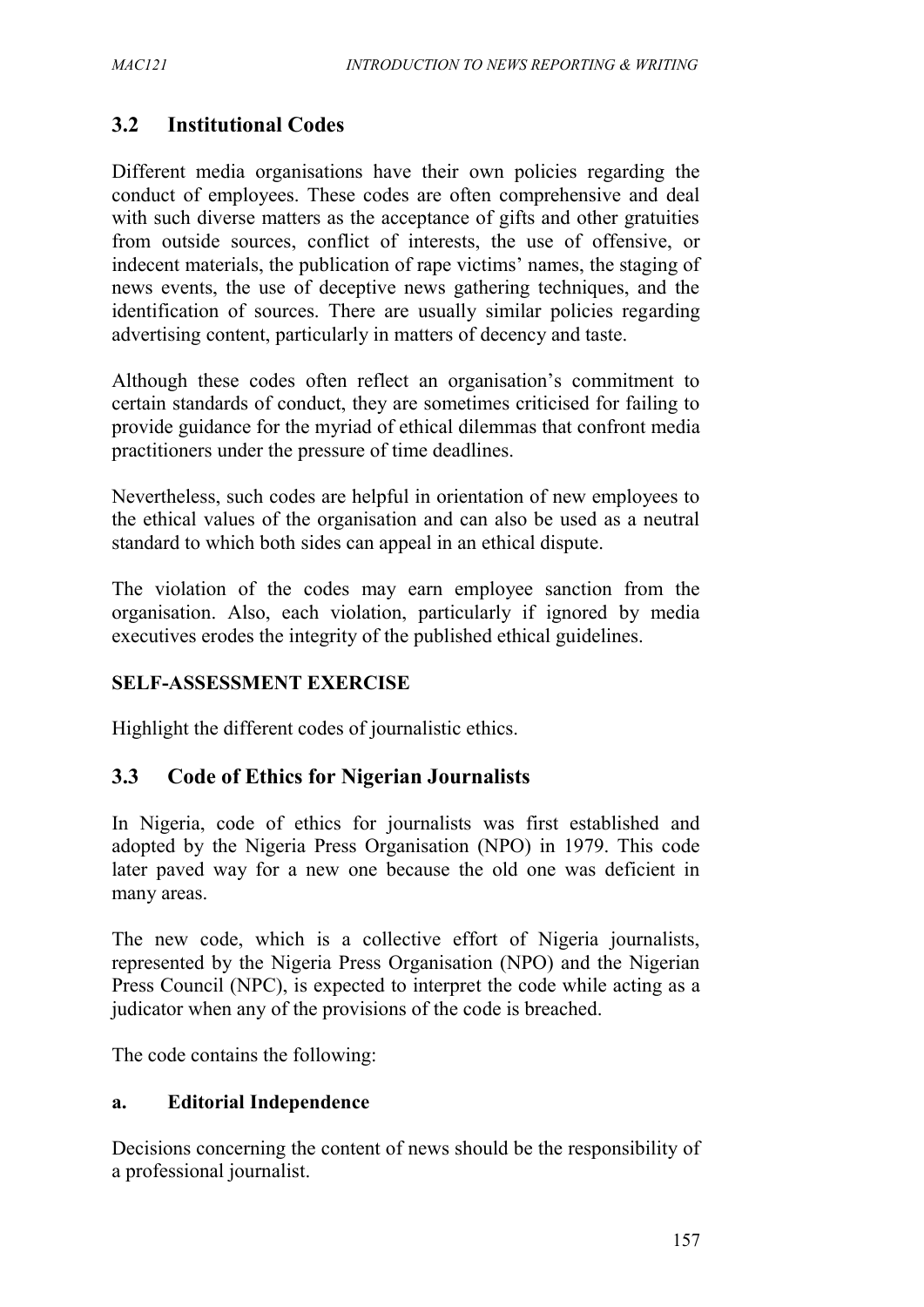# **3.2 Institutional Codes**

Different media organisations have their own policies regarding the conduct of employees. These codes are often comprehensive and deal with such diverse matters as the acceptance of gifts and other gratuities from outside sources, conflict of interests, the use of offensive, or indecent materials, the publication of rape victims' names, the staging of news events, the use of deceptive news gathering techniques, and the identification of sources. There are usually similar policies regarding advertising content, particularly in matters of decency and taste.

Although these codes often reflect an organisation's commitment to certain standards of conduct, they are sometimes criticised for failing to provide guidance for the myriad of ethical dilemmas that confront media practitioners under the pressure of time deadlines.

Nevertheless, such codes are helpful in orientation of new employees to the ethical values of the organisation and can also be used as a neutral standard to which both sides can appeal in an ethical dispute.

The violation of the codes may earn employee sanction from the organisation. Also, each violation, particularly if ignored by media executives erodes the integrity of the published ethical guidelines.

#### **SELF-ASSESSMENT EXERCISE**

Highlight the different codes of journalistic ethics.

### **3.3 Code of Ethics for Nigerian Journalists**

In Nigeria, code of ethics for journalists was first established and adopted by the Nigeria Press Organisation (NPO) in 1979. This code later paved way for a new one because the old one was deficient in many areas.

The new code, which is a collective effort of Nigeria journalists, represented by the Nigeria Press Organisation (NPO) and the Nigerian Press Council (NPC), is expected to interpret the code while acting as a judicator when any of the provisions of the code is breached.

The code contains the following:

#### **a. Editorial Independence**

Decisions concerning the content of news should be the responsibility of a professional journalist.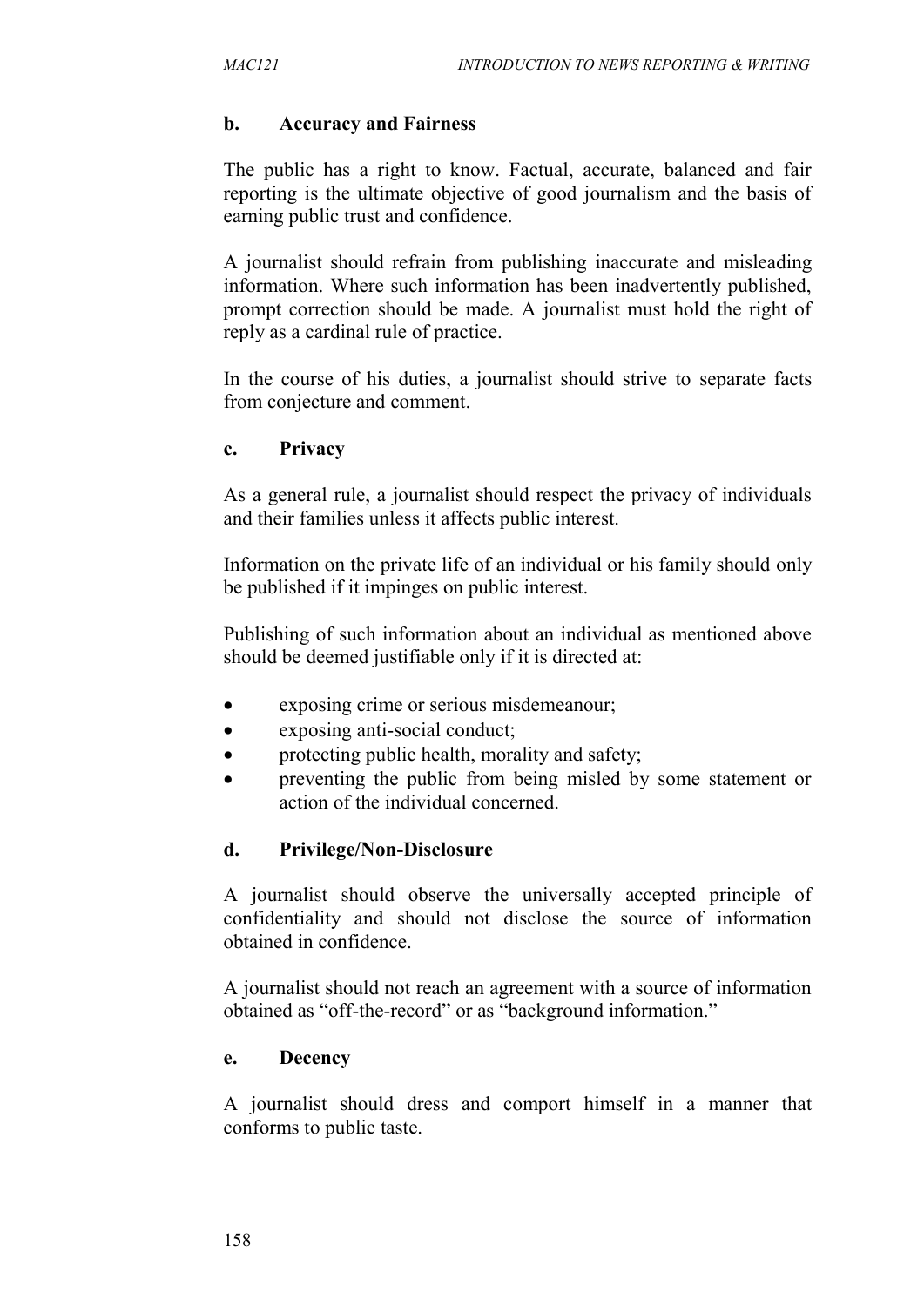### **b. Accuracy and Fairness**

The public has a right to know. Factual, accurate, balanced and fair reporting is the ultimate objective of good journalism and the basis of earning public trust and confidence.

A journalist should refrain from publishing inaccurate and misleading information. Where such information has been inadvertently published, prompt correction should be made. A journalist must hold the right of reply as a cardinal rule of practice.

In the course of his duties, a journalist should strive to separate facts from conjecture and comment.

### **c. Privacy**

As a general rule, a journalist should respect the privacy of individuals and their families unless it affects public interest.

Information on the private life of an individual or his family should only be published if it impinges on public interest.

Publishing of such information about an individual as mentioned above should be deemed justifiable only if it is directed at:

- exposing crime or serious misdemeanour;
- exposing anti-social conduct;
- protecting public health, morality and safety;
- preventing the public from being misled by some statement or action of the individual concerned.

#### **d. Privilege/Non-Disclosure**

A journalist should observe the universally accepted principle of confidentiality and should not disclose the source of information obtained in confidence.

A journalist should not reach an agreement with a source of information obtained as "off-the-record" or as "background information."

#### **e. Decency**

A journalist should dress and comport himself in a manner that conforms to public taste.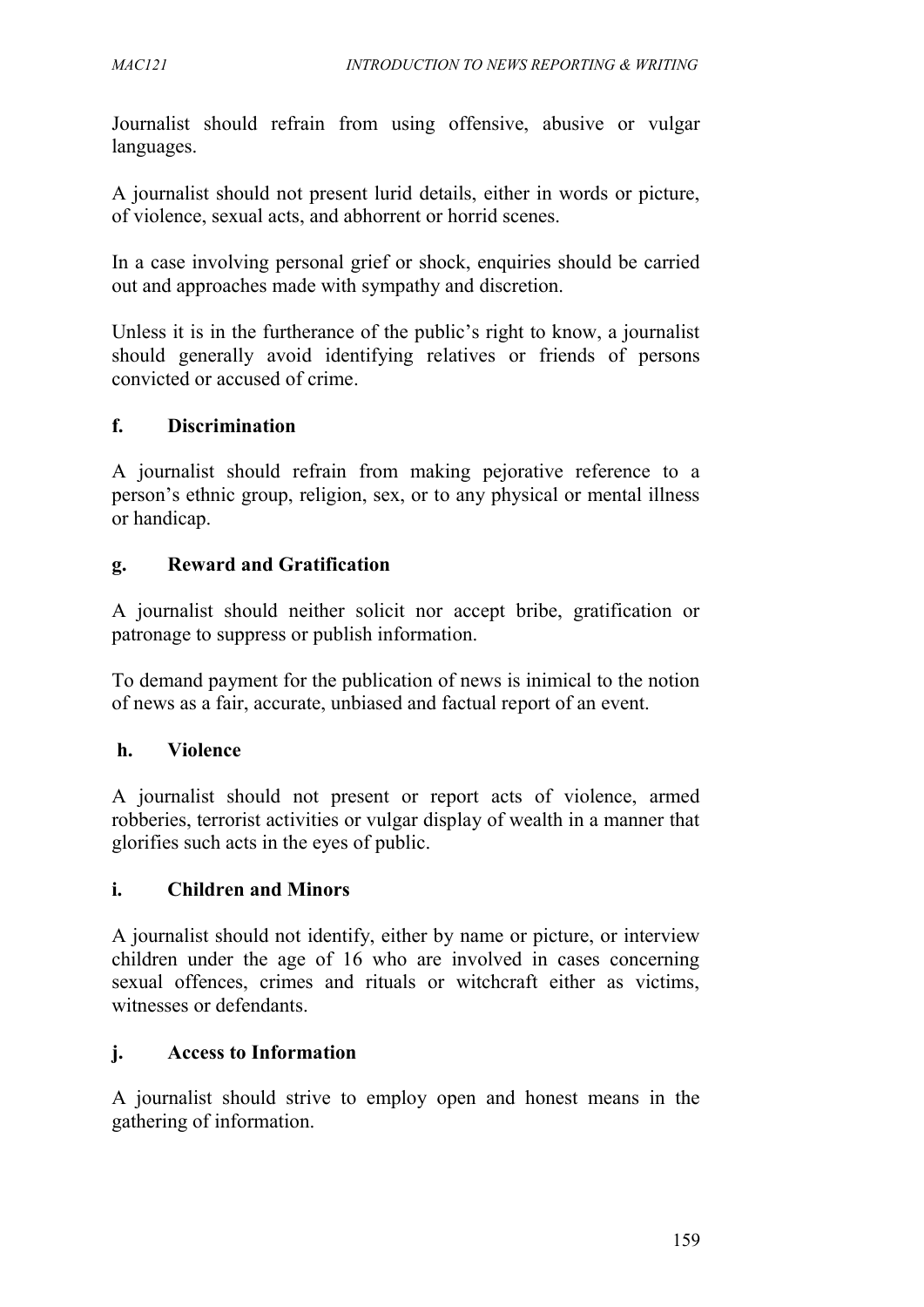Journalist should refrain from using offensive, abusive or vulgar languages.

A journalist should not present lurid details, either in words or picture, of violence, sexual acts, and abhorrent or horrid scenes.

In a case involving personal grief or shock, enquiries should be carried out and approaches made with sympathy and discretion.

Unless it is in the furtherance of the public's right to know, a journalist should generally avoid identifying relatives or friends of persons convicted or accused of crime.

### **f. Discrimination**

A journalist should refrain from making pejorative reference to a person's ethnic group, religion, sex, or to any physical or mental illness or handicap.

### **g. Reward and Gratification**

A journalist should neither solicit nor accept bribe, gratification or patronage to suppress or publish information.

To demand payment for the publication of news is inimical to the notion of news as a fair, accurate, unbiased and factual report of an event.

#### **h. Violence**

A journalist should not present or report acts of violence, armed robberies, terrorist activities or vulgar display of wealth in a manner that glorifies such acts in the eyes of public.

#### **i. Children and Minors**

A journalist should not identify, either by name or picture, or interview children under the age of 16 who are involved in cases concerning sexual offences, crimes and rituals or witchcraft either as victims, witnesses or defendants.

#### **j. Access to Information**

A journalist should strive to employ open and honest means in the gathering of information.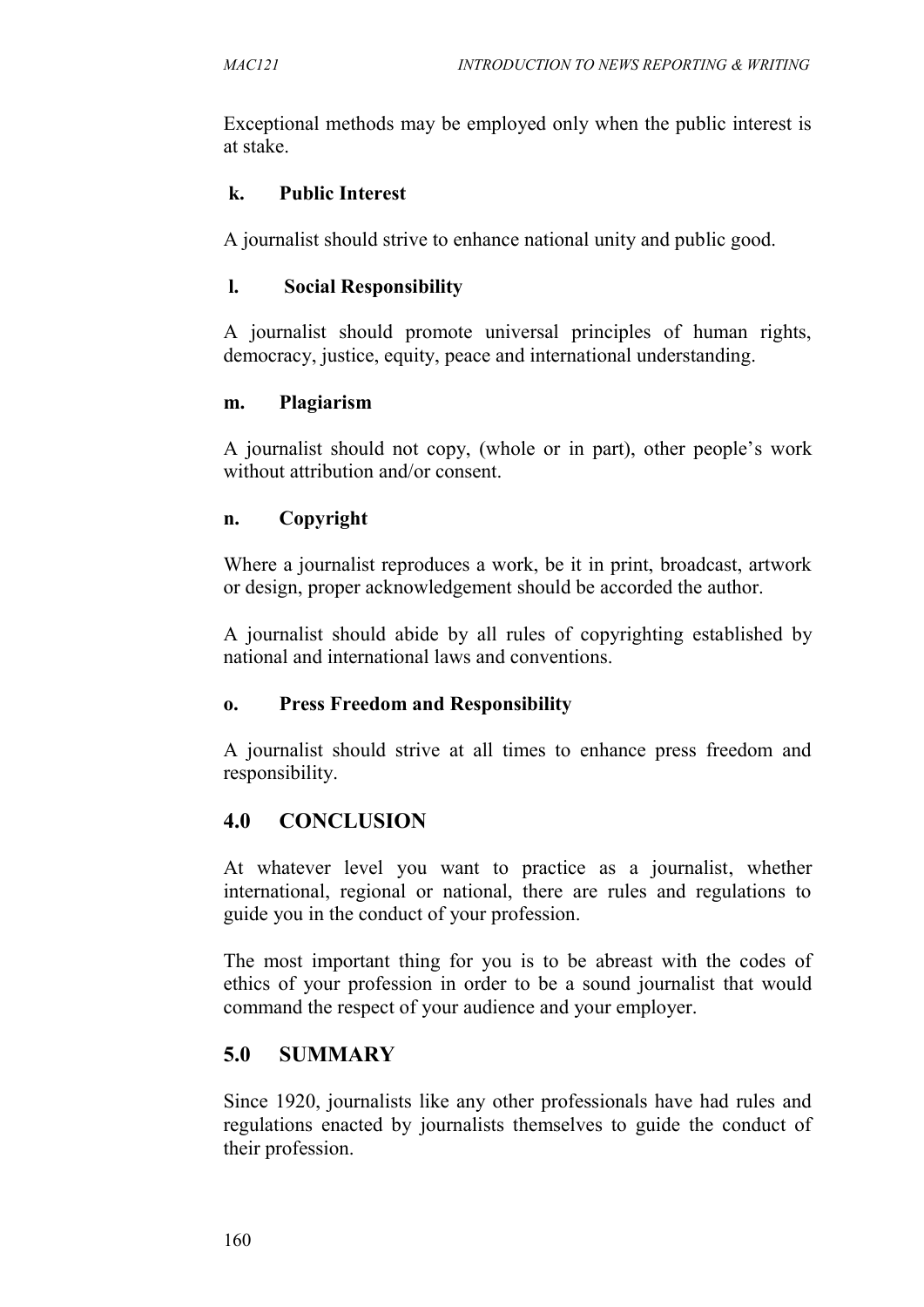Exceptional methods may be employed only when the public interest is at stake.

### **k. Public Interest**

A journalist should strive to enhance national unity and public good.

### **l. Social Responsibility**

A journalist should promote universal principles of human rights, democracy, justice, equity, peace and international understanding.

#### **m. Plagiarism**

A journalist should not copy, (whole or in part), other people's work without attribution and/or consent.

### **n. Copyright**

Where a journalist reproduces a work, be it in print, broadcast, artwork or design, proper acknowledgement should be accorded the author.

A journalist should abide by all rules of copyrighting established by national and international laws and conventions.

#### **o. Press Freedom and Responsibility**

A journalist should strive at all times to enhance press freedom and responsibility.

### **4.0 CONCLUSION**

At whatever level you want to practice as a journalist, whether international, regional or national, there are rules and regulations to guide you in the conduct of your profession.

The most important thing for you is to be abreast with the codes of ethics of your profession in order to be a sound journalist that would command the respect of your audience and your employer.

### **5.0 SUMMARY**

Since 1920, journalists like any other professionals have had rules and regulations enacted by journalists themselves to guide the conduct of their profession.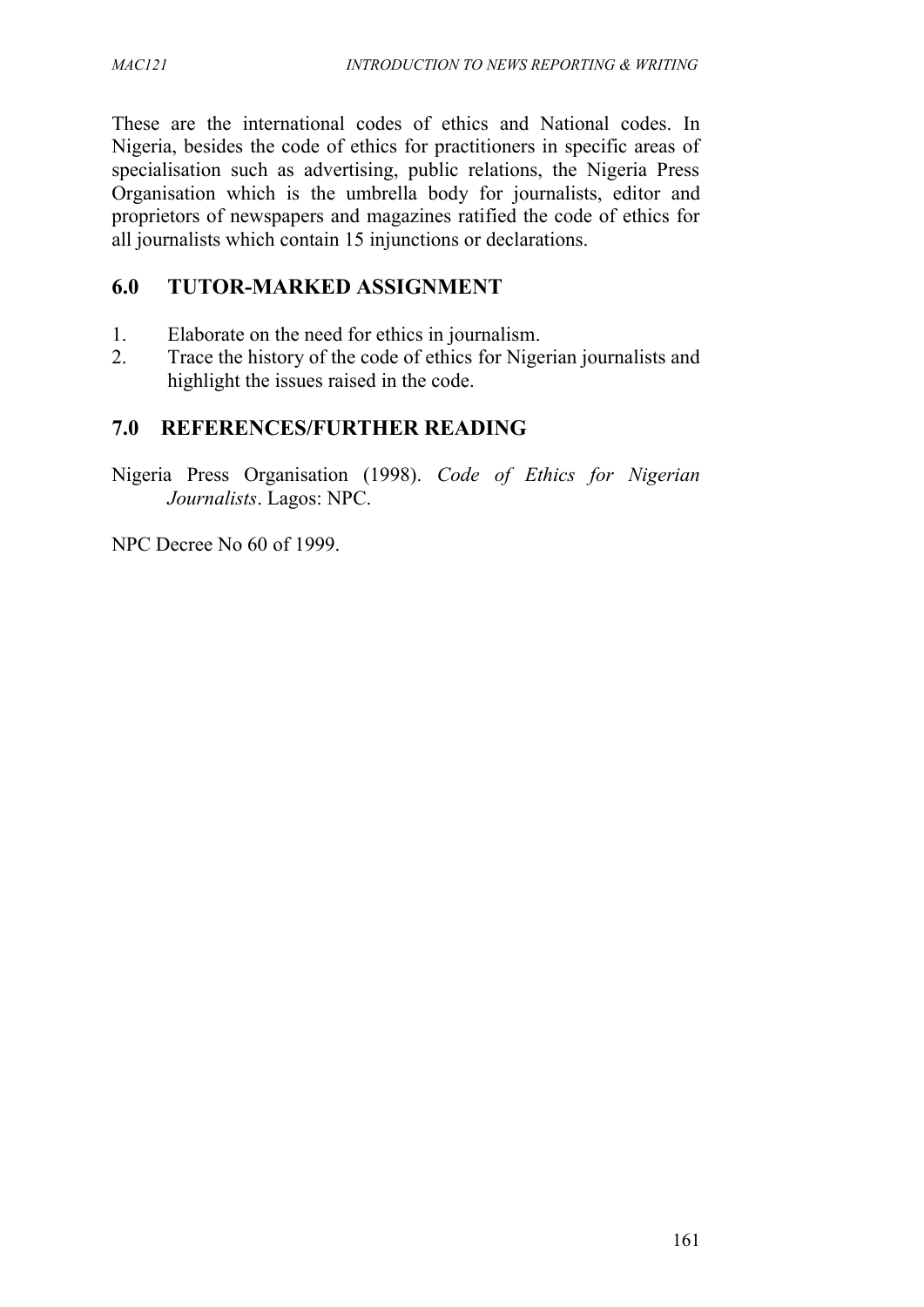These are the international codes of ethics and National codes. In Nigeria, besides the code of ethics for practitioners in specific areas of specialisation such as advertising, public relations, the Nigeria Press Organisation which is the umbrella body for journalists, editor and proprietors of newspapers and magazines ratified the code of ethics for all journalists which contain 15 injunctions or declarations.

# **6.0 TUTOR-MARKED ASSIGNMENT**

- 1. Elaborate on the need for ethics in journalism.
- 2. Trace the history of the code of ethics for Nigerian journalists and highlight the issues raised in the code.

# **7.0 REFERENCES/FURTHER READING**

Nigeria Press Organisation (1998). *Code of Ethics for Nigerian Journalists*. Lagos: NPC.

NPC Decree No 60 of 1999.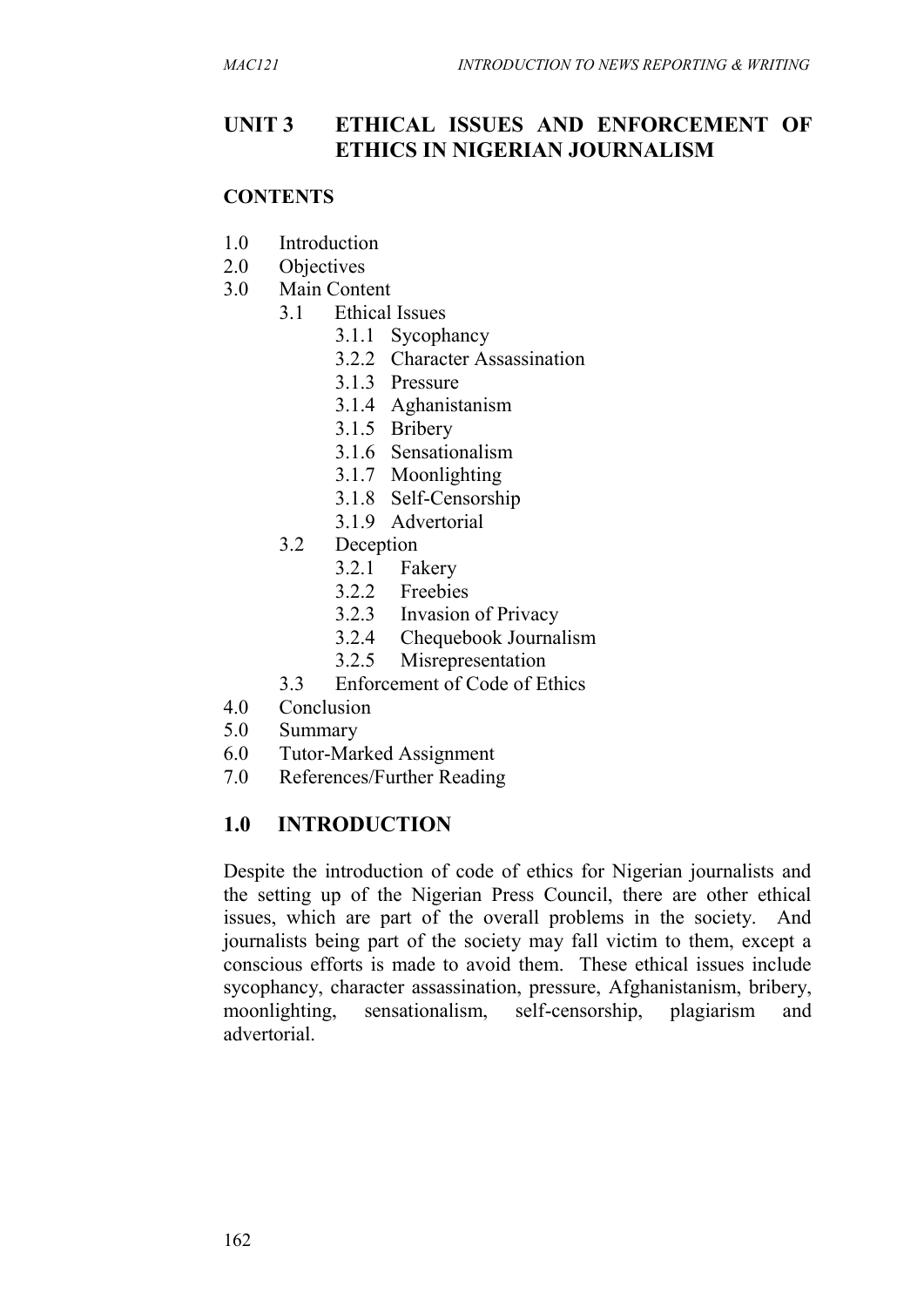# **UNIT 3 ETHICAL ISSUES AND ENFORCEMENT OF ETHICS IN NIGERIAN JOURNALISM**

#### **CONTENTS**

- 1.0 Introduction
- 2.0 Objectives
- 3.0 Main Content
	- 3.1 Ethical Issues
		- 3.1.1 Sycophancy
		- 3.2.2 Character Assassination
		- 3.1.3 Pressure
		- 3.1.4 Aghanistanism
		- 3.1.5 Bribery
		- 3.1.6 Sensationalism
		- 3.1.7 Moonlighting
		- 3.1.8 Self-Censorship
		- 3.1.9 Advertorial
	- 3.2 Deception
		- 3.2.1 Fakery
		- 3.2.2 Freebies
		- 3.2.3 Invasion of Privacy
		- 3.2.4 Chequebook Journalism
		- 3.2.5 Misrepresentation
	- 3.3 Enforcement of Code of Ethics
- 4.0 Conclusion
- 5.0 Summary
- 6.0 Tutor-Marked Assignment
- 7.0 References/Further Reading

### **1.0 INTRODUCTION**

Despite the introduction of code of ethics for Nigerian journalists and the setting up of the Nigerian Press Council, there are other ethical issues, which are part of the overall problems in the society. And journalists being part of the society may fall victim to them, except a conscious efforts is made to avoid them. These ethical issues include sycophancy, character assassination, pressure, Afghanistanism, bribery, moonlighting, sensationalism, self-censorship, plagiarism and advertorial.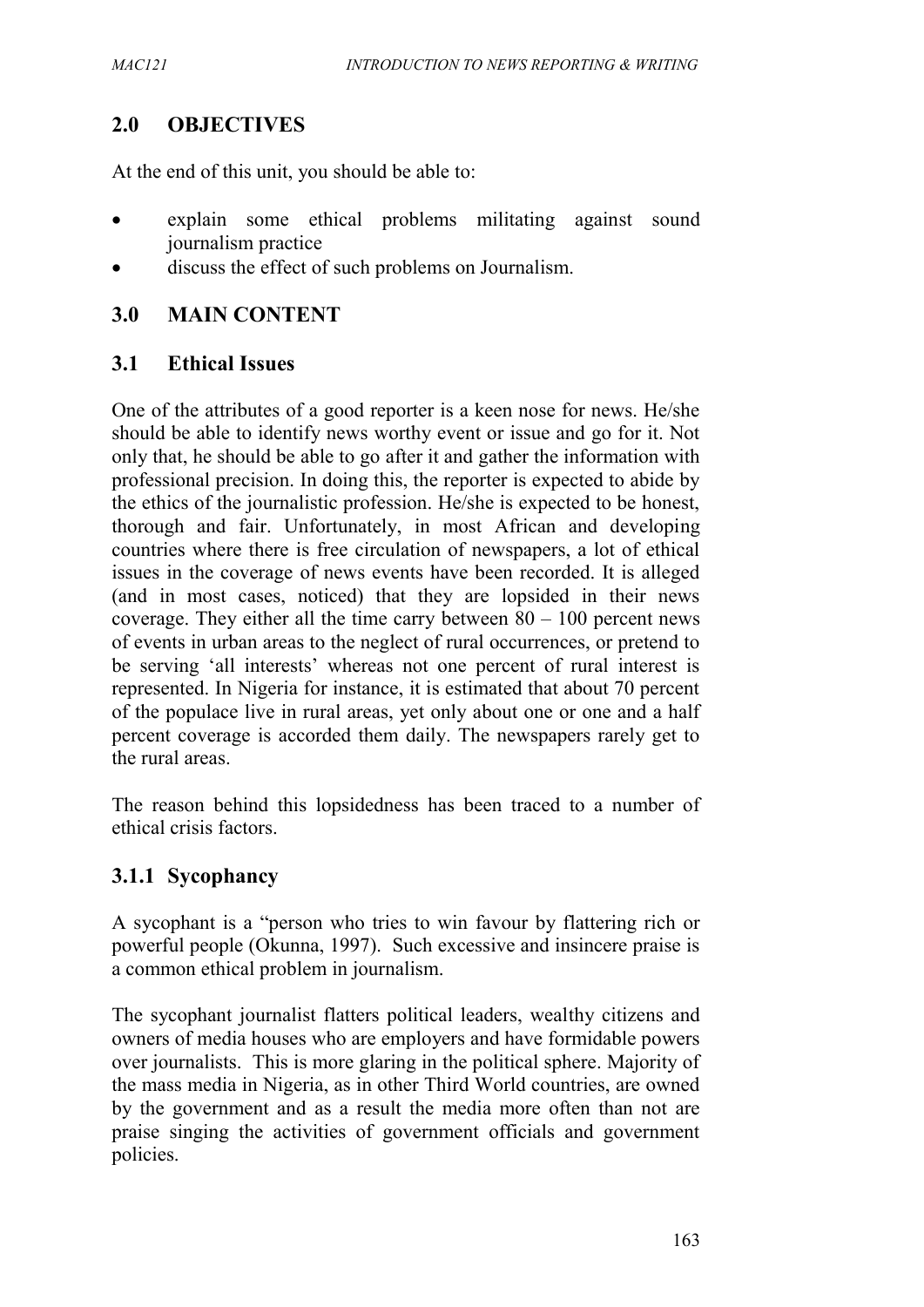### **2.0 OBJECTIVES**

At the end of this unit, you should be able to:

- explain some ethical problems militating against sound journalism practice
- discuss the effect of such problems on Journalism.

### **3.0 MAIN CONTENT**

### **3.1 Ethical Issues**

One of the attributes of a good reporter is a keen nose for news. He/she should be able to identify news worthy event or issue and go for it. Not only that, he should be able to go after it and gather the information with professional precision. In doing this, the reporter is expected to abide by the ethics of the journalistic profession. He/she is expected to be honest, thorough and fair. Unfortunately, in most African and developing countries where there is free circulation of newspapers, a lot of ethical issues in the coverage of news events have been recorded. It is alleged (and in most cases, noticed) that they are lopsided in their news coverage. They either all the time carry between  $80 - 100$  percent news of events in urban areas to the neglect of rural occurrences, or pretend to be serving 'all interests' whereas not one percent of rural interest is represented. In Nigeria for instance, it is estimated that about 70 percent of the populace live in rural areas, yet only about one or one and a half percent coverage is accorded them daily. The newspapers rarely get to the rural areas.

The reason behind this lopsidedness has been traced to a number of ethical crisis factors.

### **3.1.1 Sycophancy**

A sycophant is a "person who tries to win favour by flattering rich or powerful people (Okunna, 1997). Such excessive and insincere praise is a common ethical problem in journalism.

The sycophant journalist flatters political leaders, wealthy citizens and owners of media houses who are employers and have formidable powers over journalists. This is more glaring in the political sphere. Majority of the mass media in Nigeria, as in other Third World countries, are owned by the government and as a result the media more often than not are praise singing the activities of government officials and government policies.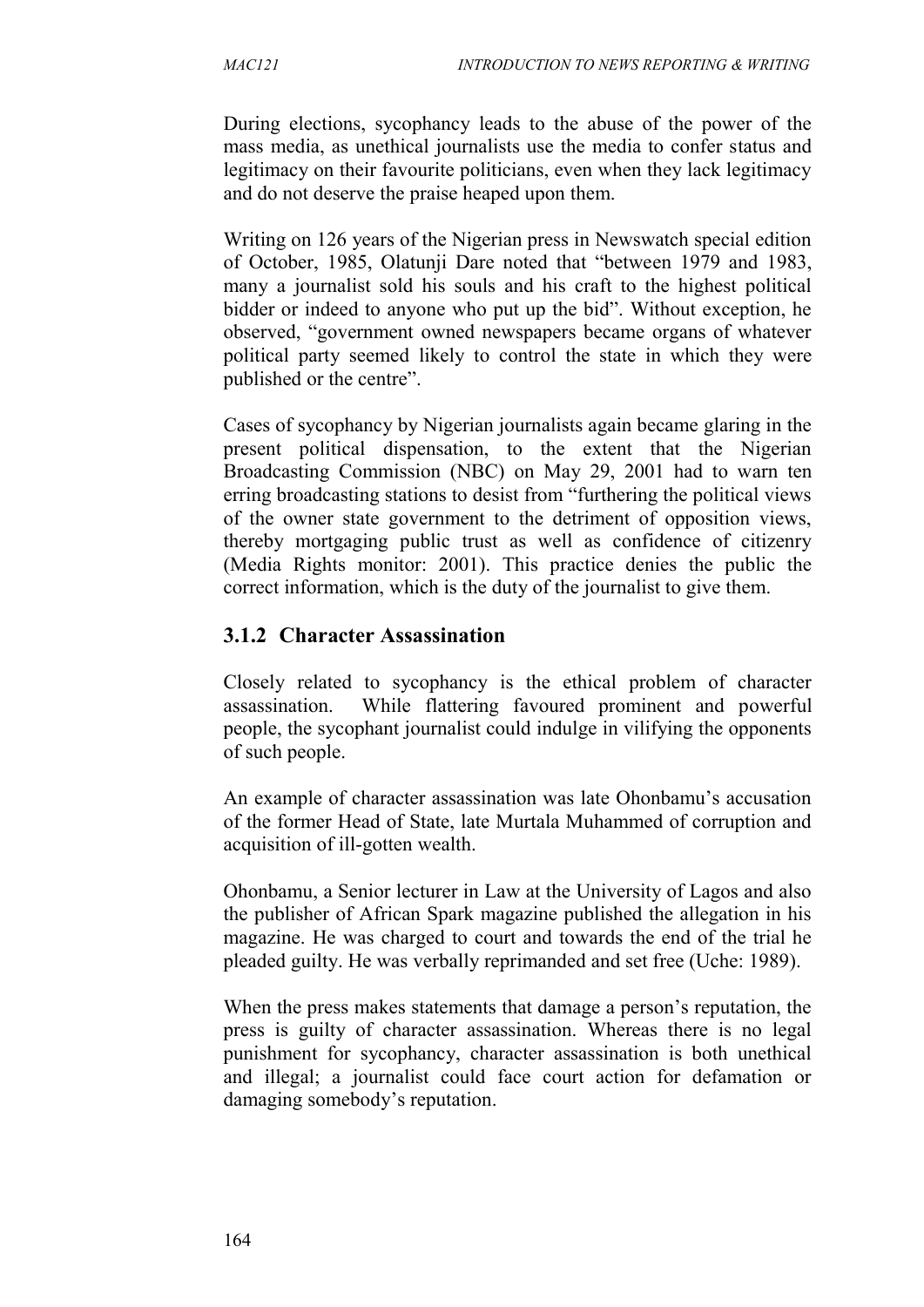During elections, sycophancy leads to the abuse of the power of the mass media, as unethical journalists use the media to confer status and legitimacy on their favourite politicians, even when they lack legitimacy and do not deserve the praise heaped upon them.

Writing on 126 years of the Nigerian press in Newswatch special edition of October, 1985, Olatunji Dare noted that "between 1979 and 1983, many a journalist sold his souls and his craft to the highest political bidder or indeed to anyone who put up the bid". Without exception, he observed, "government owned newspapers became organs of whatever political party seemed likely to control the state in which they were published or the centre".

Cases of sycophancy by Nigerian journalists again became glaring in the present political dispensation, to the extent that the Nigerian Broadcasting Commission (NBC) on May 29, 2001 had to warn ten erring broadcasting stations to desist from "furthering the political views of the owner state government to the detriment of opposition views, thereby mortgaging public trust as well as confidence of citizenry (Media Rights monitor: 2001). This practice denies the public the correct information, which is the duty of the journalist to give them.

### **3.1.2 Character Assassination**

Closely related to sycophancy is the ethical problem of character assassination. While flattering favoured prominent and powerful people, the sycophant journalist could indulge in vilifying the opponents of such people.

An example of character assassination was late Ohonbamu's accusation of the former Head of State, late Murtala Muhammed of corruption and acquisition of ill-gotten wealth.

Ohonbamu, a Senior lecturer in Law at the University of Lagos and also the publisher of African Spark magazine published the allegation in his magazine. He was charged to court and towards the end of the trial he pleaded guilty. He was verbally reprimanded and set free (Uche: 1989).

When the press makes statements that damage a person's reputation, the press is guilty of character assassination. Whereas there is no legal punishment for sycophancy, character assassination is both unethical and illegal; a journalist could face court action for defamation or damaging somebody's reputation.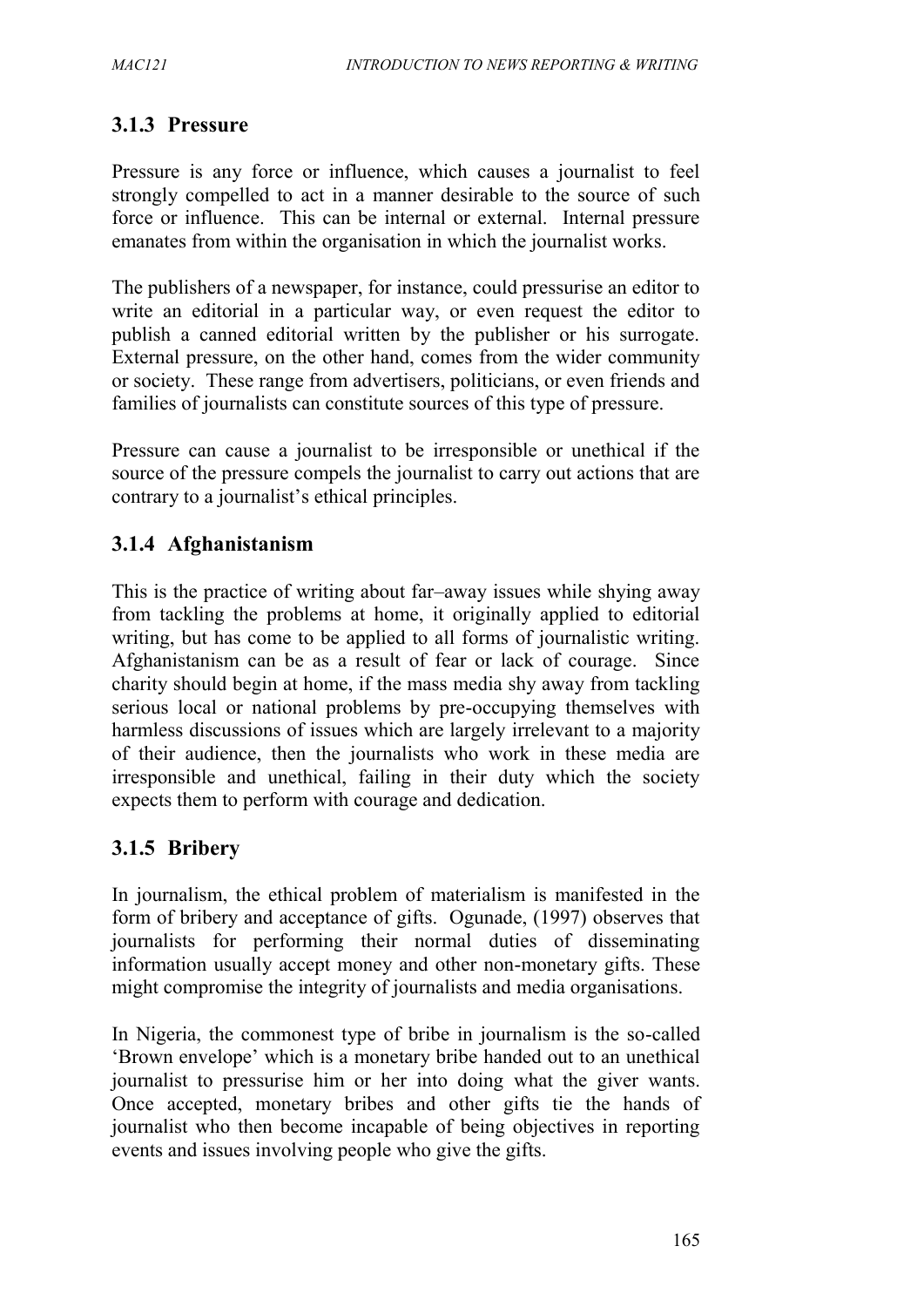## **3.1.3 Pressure**

Pressure is any force or influence, which causes a journalist to feel strongly compelled to act in a manner desirable to the source of such force or influence. This can be internal or external. Internal pressure emanates from within the organisation in which the journalist works.

The publishers of a newspaper, for instance, could pressurise an editor to write an editorial in a particular way, or even request the editor to publish a canned editorial written by the publisher or his surrogate. External pressure, on the other hand, comes from the wider community or society. These range from advertisers, politicians, or even friends and families of journalists can constitute sources of this type of pressure.

Pressure can cause a journalist to be irresponsible or unethical if the source of the pressure compels the journalist to carry out actions that are contrary to a journalist's ethical principles.

# **3.1.4 Afghanistanism**

This is the practice of writing about far–away issues while shying away from tackling the problems at home, it originally applied to editorial writing, but has come to be applied to all forms of journalistic writing. Afghanistanism can be as a result of fear or lack of courage. Since charity should begin at home, if the mass media shy away from tackling serious local or national problems by pre-occupying themselves with harmless discussions of issues which are largely irrelevant to a majority of their audience, then the journalists who work in these media are irresponsible and unethical, failing in their duty which the society expects them to perform with courage and dedication.

# **3.1.5 Bribery**

In journalism, the ethical problem of materialism is manifested in the form of bribery and acceptance of gifts. Ogunade, (1997) observes that journalists for performing their normal duties of disseminating information usually accept money and other non-monetary gifts. These might compromise the integrity of journalists and media organisations.

In Nigeria, the commonest type of bribe in journalism is the so-called 'Brown envelope' which is a monetary bribe handed out to an unethical journalist to pressurise him or her into doing what the giver wants. Once accepted, monetary bribes and other gifts tie the hands of journalist who then become incapable of being objectives in reporting events and issues involving people who give the gifts.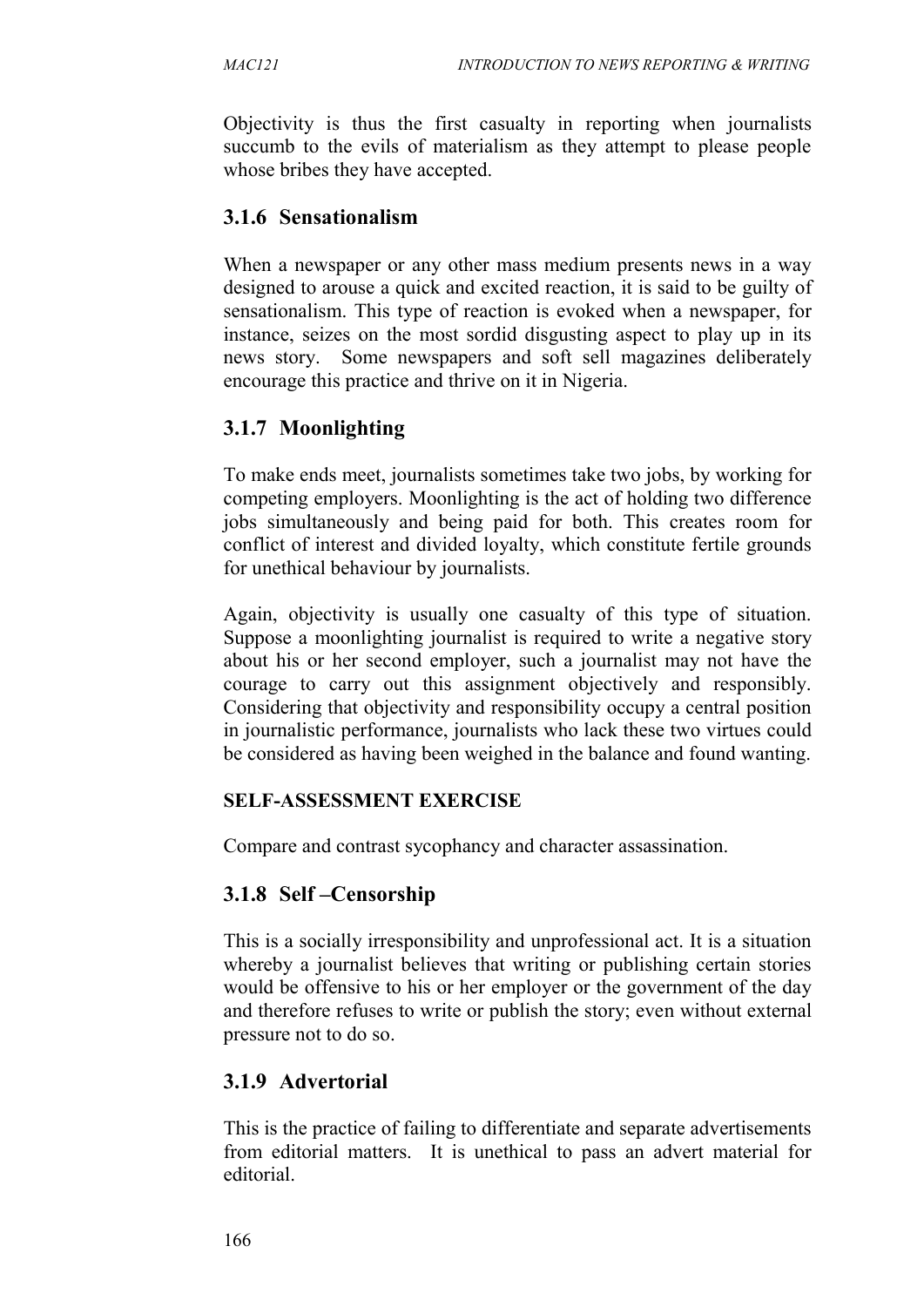Objectivity is thus the first casualty in reporting when journalists succumb to the evils of materialism as they attempt to please people whose bribes they have accepted.

## **3.1.6 Sensationalism**

When a newspaper or any other mass medium presents news in a way designed to arouse a quick and excited reaction, it is said to be guilty of sensationalism. This type of reaction is evoked when a newspaper, for instance, seizes on the most sordid disgusting aspect to play up in its news story. Some newspapers and soft sell magazines deliberately encourage this practice and thrive on it in Nigeria.

# **3.1.7 Moonlighting**

To make ends meet, journalists sometimes take two jobs, by working for competing employers. Moonlighting is the act of holding two difference jobs simultaneously and being paid for both. This creates room for conflict of interest and divided loyalty, which constitute fertile grounds for unethical behaviour by journalists.

Again, objectivity is usually one casualty of this type of situation. Suppose a moonlighting journalist is required to write a negative story about his or her second employer, such a journalist may not have the courage to carry out this assignment objectively and responsibly. Considering that objectivity and responsibility occupy a central position in journalistic performance, journalists who lack these two virtues could be considered as having been weighed in the balance and found wanting.

### **SELF-ASSESSMENT EXERCISE**

Compare and contrast sycophancy and character assassination.

# **3.1.8 Self –Censorship**

This is a socially irresponsibility and unprofessional act. It is a situation whereby a journalist believes that writing or publishing certain stories would be offensive to his or her employer or the government of the day and therefore refuses to write or publish the story; even without external pressure not to do so.

# **3.1.9 Advertorial**

This is the practice of failing to differentiate and separate advertisements from editorial matters. It is unethical to pass an advert material for editorial.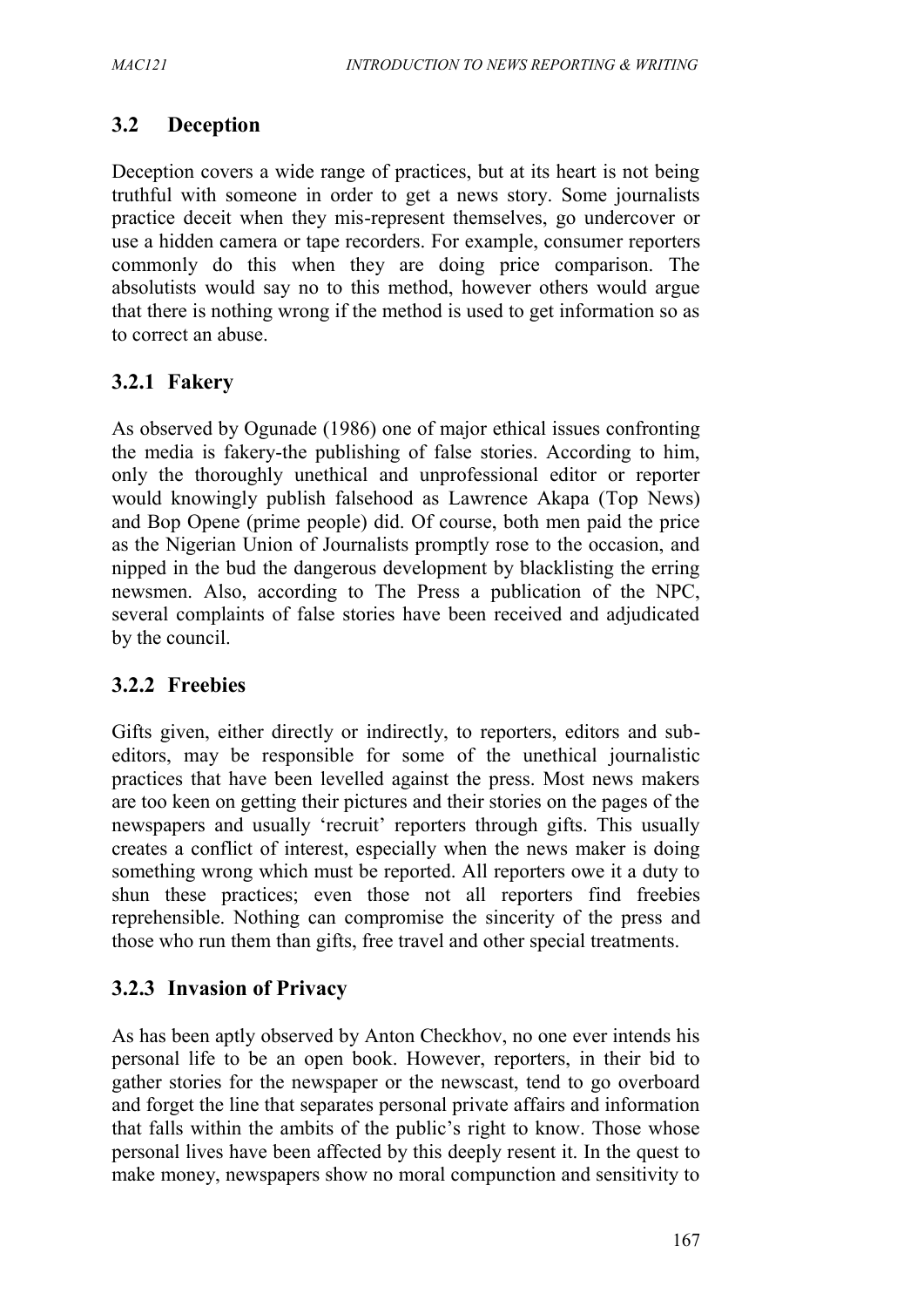# **3.2 Deception**

Deception covers a wide range of practices, but at its heart is not being truthful with someone in order to get a news story. Some journalists practice deceit when they mis-represent themselves, go undercover or use a hidden camera or tape recorders. For example, consumer reporters commonly do this when they are doing price comparison. The absolutists would say no to this method, however others would argue that there is nothing wrong if the method is used to get information so as to correct an abuse.

# **3.2.1 Fakery**

As observed by Ogunade (1986) one of major ethical issues confronting the media is fakery-the publishing of false stories. According to him, only the thoroughly unethical and unprofessional editor or reporter would knowingly publish falsehood as Lawrence Akapa (Top News) and Bop Opene (prime people) did. Of course, both men paid the price as the Nigerian Union of Journalists promptly rose to the occasion, and nipped in the bud the dangerous development by blacklisting the erring newsmen. Also, according to The Press a publication of the NPC, several complaints of false stories have been received and adjudicated by the council.

### **3.2.2 Freebies**

Gifts given, either directly or indirectly, to reporters, editors and sub editors, may be responsible for some of the unethical journalistic practices that have been levelled against the press. Most news makers are too keen on getting their pictures and their stories on the pages of the newspapers and usually 'recruit' reporters through gifts. This usually creates a conflict of interest, especially when the news maker is doing something wrong which must be reported. All reporters owe it a duty to shun these practices; even those not all reporters find freebies reprehensible. Nothing can compromise the sincerity of the press and those who run them than gifts, free travel and other special treatments.

# **3.2.3 Invasion of Privacy**

As has been aptly observed by Anton Checkhov, no one ever intends his personal life to be an open book. However, reporters, in their bid to gather stories for the newspaper or the newscast, tend to go overboard and forget the line that separates personal private affairs and information that falls within the ambits of the public's right to know. Those whose personal lives have been affected by this deeply resent it. In the quest to make money, newspapers show no moral compunction and sensitivity to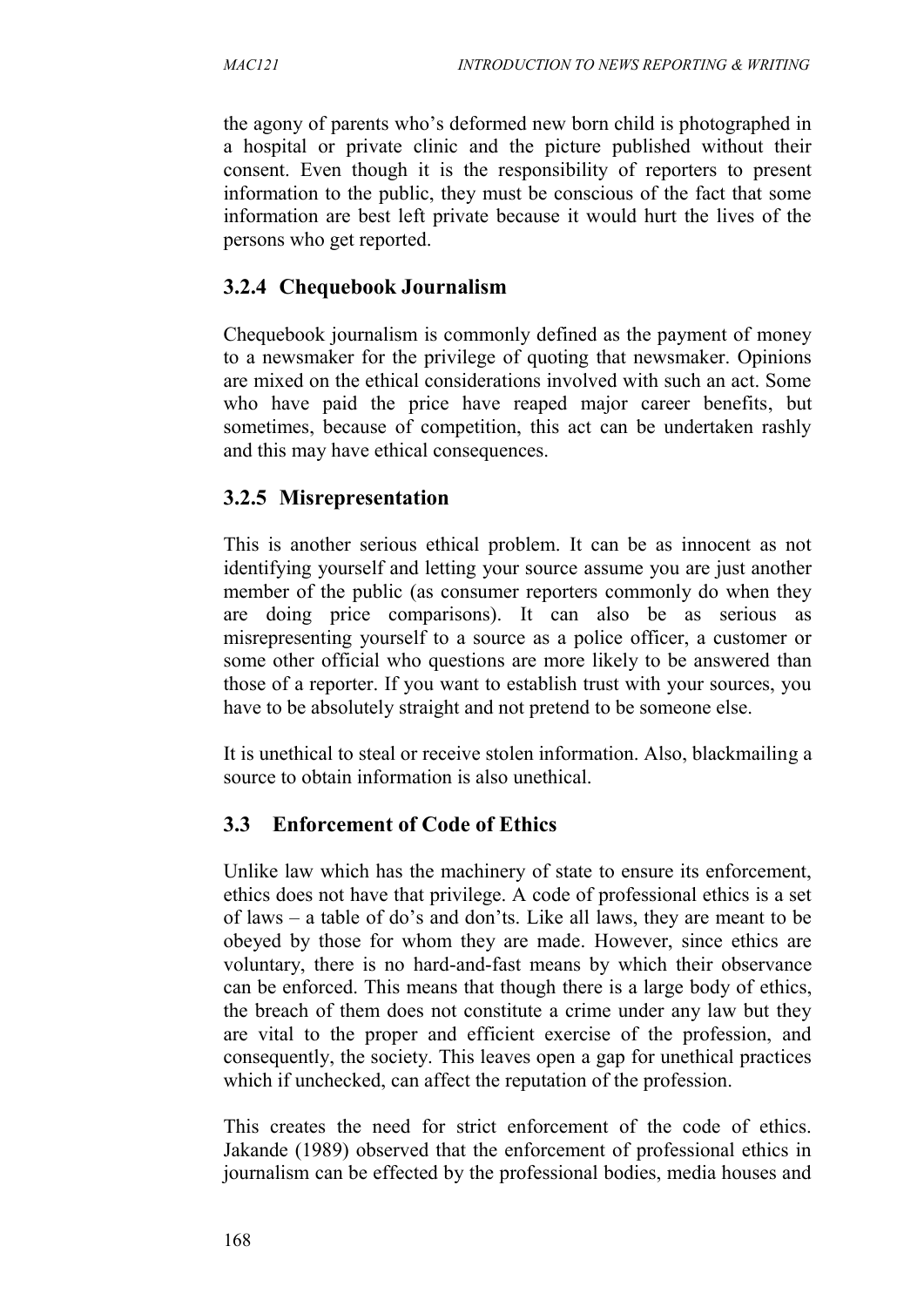the agony of parents who's deformed new born child is photographed in a hospital or private clinic and the picture published without their consent. Even though it is the responsibility of reporters to present information to the public, they must be conscious of the fact that some information are best left private because it would hurt the lives of the persons who get reported.

# **3.2.4 Chequebook Journalism**

Chequebook journalism is commonly defined as the payment of money to a newsmaker for the privilege of quoting that newsmaker. Opinions are mixed on the ethical considerations involved with such an act. Some who have paid the price have reaped major career benefits, but sometimes, because of competition, this act can be undertaken rashly and this may have ethical consequences.

# **3.2.5 Misrepresentation**

This is another serious ethical problem. It can be as innocent as not identifying yourself and letting your source assume you are just another member of the public (as consumer reporters commonly do when they are doing price comparisons). It can also be as serious misrepresenting yourself to a source as a police officer, a customer or some other official who questions are more likely to be answered than those of a reporter. If you want to establish trust with your sources, you have to be absolutely straight and not pretend to be someone else.

It is unethical to steal or receive stolen information. Also, blackmailing a source to obtain information is also unethical.

# **3.3 Enforcement of Code of Ethics**

Unlike law which has the machinery of state to ensure its enforcement, ethics does not have that privilege. A code of professional ethics is a set of laws – a table of do's and don'ts. Like all laws, they are meant to be obeyed by those for whom they are made. However, since ethics are voluntary, there is no hard-and-fast means by which their observance can be enforced. This means that though there is a large body of ethics, the breach of them does not constitute a crime under any law but they are vital to the proper and efficient exercise of the profession, and consequently, the society. This leaves open a gap for unethical practices which if unchecked, can affect the reputation of the profession.

This creates the need for strict enforcement of the code of ethics. Jakande (1989) observed that the enforcement of professional ethics in journalism can be effected by the professional bodies, media houses and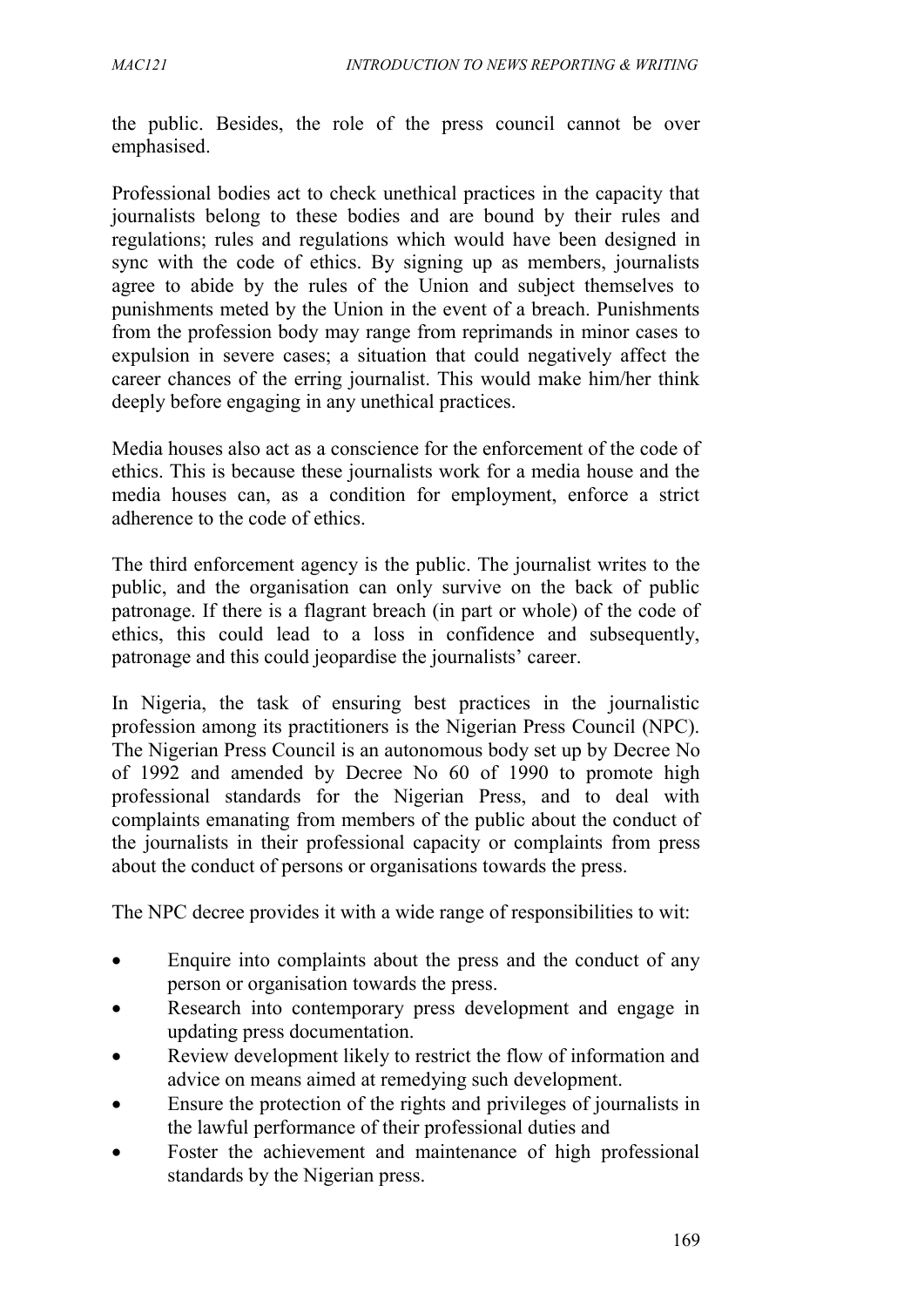the public. Besides, the role of the press council cannot be over emphasised.

Professional bodies act to check unethical practices in the capacity that journalists belong to these bodies and are bound by their rules and regulations; rules and regulations which would have been designed in sync with the code of ethics. By signing up as members, journalists agree to abide by the rules of the Union and subject themselves to punishments meted by the Union in the event of a breach. Punishments from the profession body may range from reprimands in minor cases to expulsion in severe cases; a situation that could negatively affect the career chances of the erring journalist. This would make him/her think deeply before engaging in any unethical practices.

Media houses also act as a conscience for the enforcement of the code of ethics. This is because these journalists work for a media house and the media houses can, as a condition for employment, enforce a strict adherence to the code of ethics.

The third enforcement agency is the public. The journalist writes to the public, and the organisation can only survive on the back of public patronage. If there is a flagrant breach (in part or whole) of the code of ethics, this could lead to a loss in confidence and subsequently, patronage and this could jeopardise the journalists' career.

In Nigeria, the task of ensuring best practices in the journalistic profession among its practitioners is the Nigerian Press Council (NPC). The Nigerian Press Council is an autonomous body set up by Decree No of 1992 and amended by Decree No 60 of 1990 to promote high professional standards for the Nigerian Press, and to deal with complaints emanating from members of the public about the conduct of the journalists in their professional capacity or complaints from press about the conduct of persons or organisations towards the press.

The NPC decree provides it with a wide range of responsibilities to wit:

- Enquire into complaints about the press and the conduct of any person or organisation towards the press.
- Research into contemporary press development and engage in updating press documentation.
- Review development likely to restrict the flow of information and advice on means aimed at remedying such development.
- Ensure the protection of the rights and privileges of journalists in the lawful performance of their professional duties and
- Foster the achievement and maintenance of high professional standards by the Nigerian press.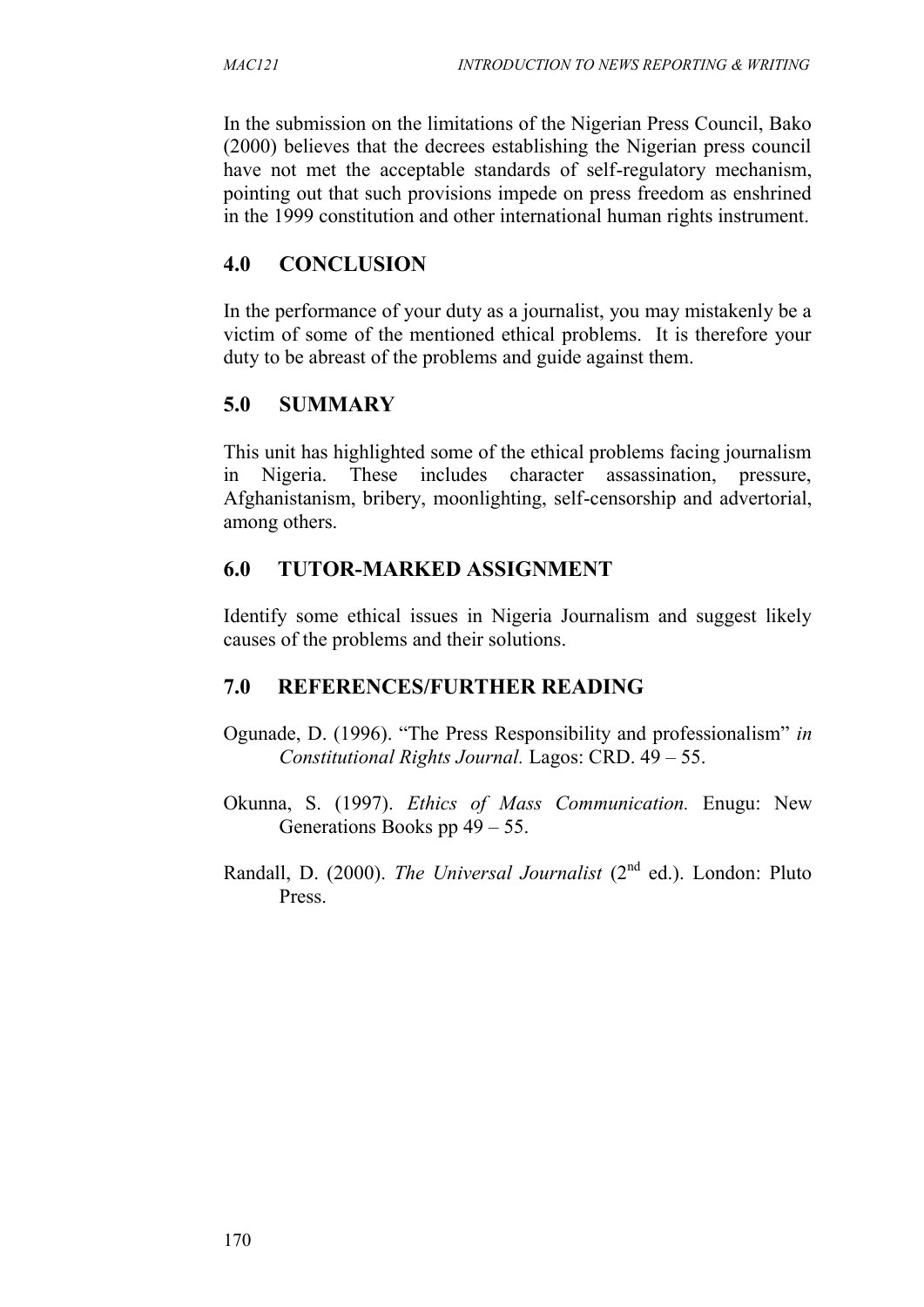In the submission on the limitations of the Nigerian Press Council, Bako (2000) believes that the decrees establishing the Nigerian press council have not met the acceptable standards of self-regulatory mechanism, pointing out that such provisions impede on press freedom as enshrined in the 1999 constitution and other international human rights instrument.

## **4.0 CONCLUSION**

In the performance of your duty as a journalist, you may mistakenly be a victim of some of the mentioned ethical problems. It is therefore your duty to be abreast of the problems and guide against them.

# **5.0 SUMMARY**

This unit has highlighted some of the ethical problems facing journalism in Nigeria. These includes character assassination, pressure, Afghanistanism, bribery, moonlighting, self-censorship and advertorial, among others.

# **6.0 TUTOR-MARKED ASSIGNMENT**

Identify some ethical issues in Nigeria Journalism and suggest likely causes of the problems and their solutions.

# **7.0 REFERENCES/FURTHER READING**

- Ogunade, D. (1996). "The Press Responsibility and professionalism" *in Constitutional Rights Journal.* Lagos: CRD. 49 – 55.
- Okunna, S. (1997). *Ethics of Mass Communication.* Enugu: New Generations Books pp 49 – 55.
- Randall, D. (2000). *The Universal Journalist* (2<sup>nd</sup> ed.). London: Pluto Press.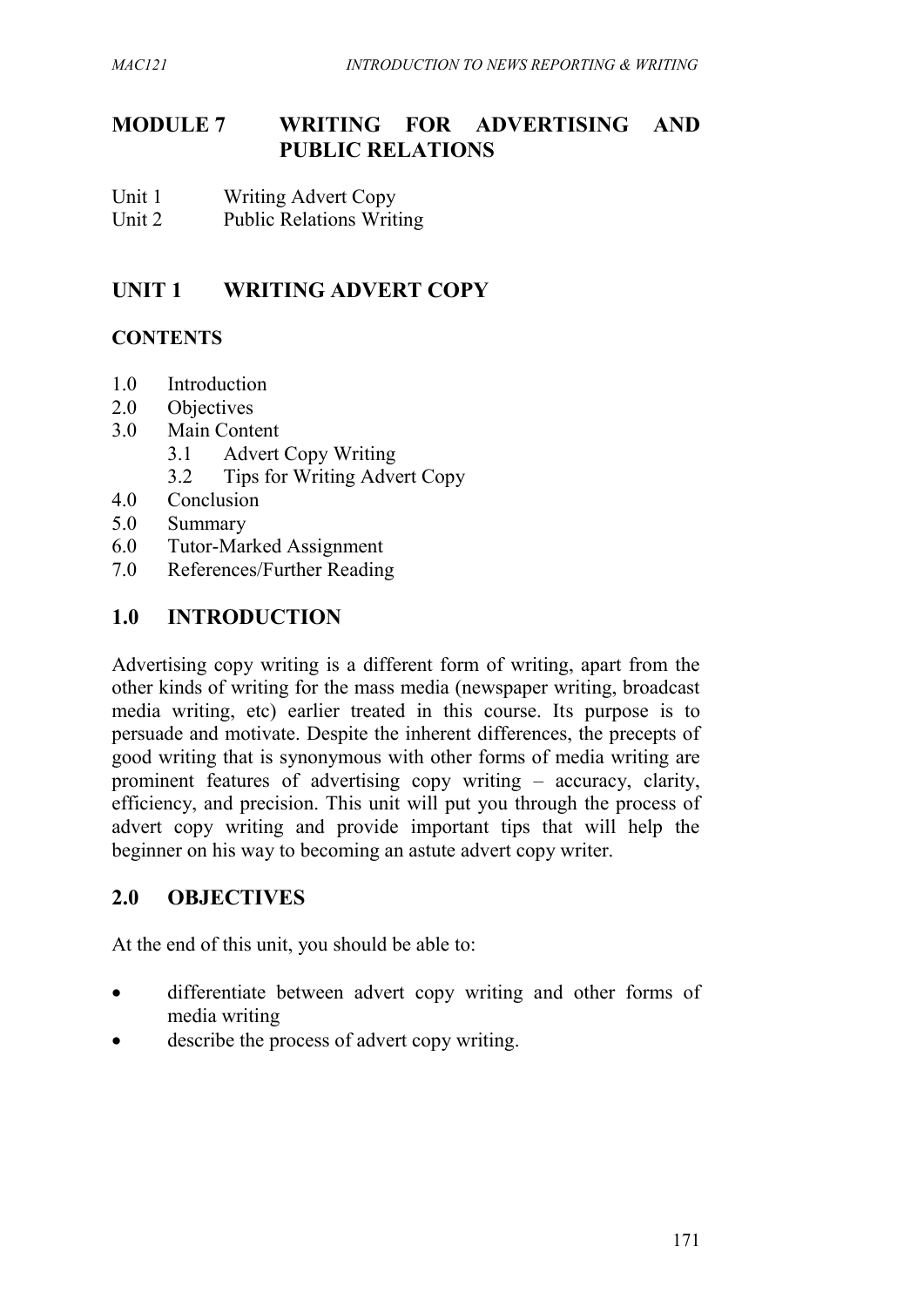# **MODULE 7 WRITING FOR ADVERTISING AND PUBLIC RELATIONS**

Unit 1 Writing Advert Copy Unit 2 Public Relations Writing

# **UNIT 1 WRITING ADVERT COPY**

## **CONTENTS**

- 1.0 Introduction
- 2.0 Objectives
- 3.0 Main Content
	- 3.1 Advert Copy Writing
	- 3.2 Tips for Writing Advert Copy
- 4.0 Conclusion
- 5.0 Summary
- 6.0 Tutor-Marked Assignment
- 7.0 References/Further Reading

## **1.0 INTRODUCTION**

Advertising copy writing is a different form of writing, apart from the other kinds of writing for the mass media (newspaper writing, broadcast media writing, etc) earlier treated in this course. Its purpose is to persuade and motivate. Despite the inherent differences, the precepts of good writing that is synonymous with other forms of media writing are prominent features of advertising copy writing – accuracy, clarity, efficiency, and precision. This unit will put you through the process of advert copy writing and provide important tips that will help the beginner on his way to becoming an astute advert copy writer.

### **2.0 OBJECTIVES**

At the end of this unit, you should be able to:

- differentiate between advert copy writing and other forms of media writing
- describe the process of advert copy writing.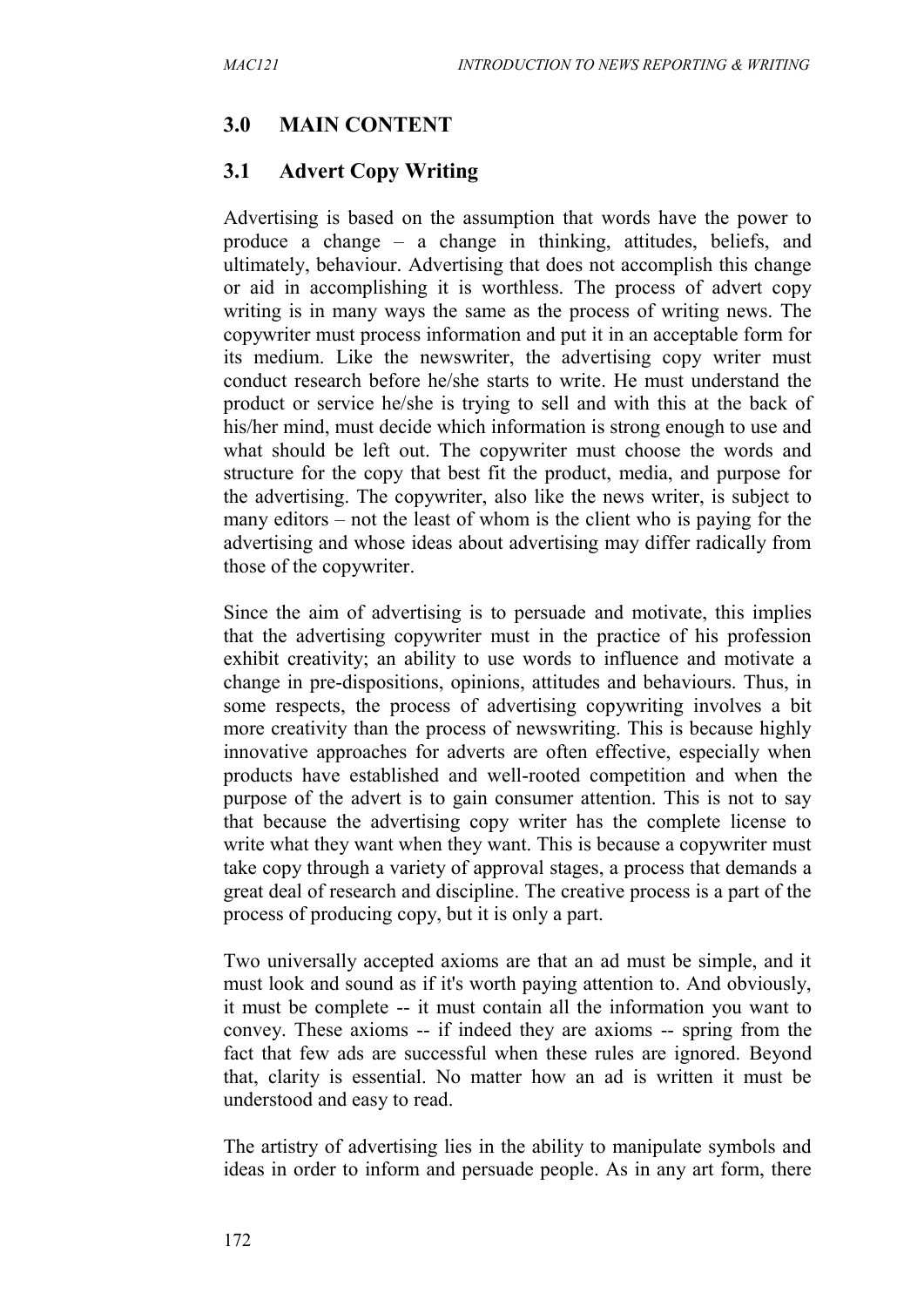### **3.0 MAIN CONTENT**

#### **3.1 Advert Copy Writing**

Advertising is based on the assumption that words have the power to produce a change – a change in thinking, attitudes, beliefs, and ultimately, behaviour. Advertising that does not accomplish this change or aid in accomplishing it is worthless. The process of advert copy writing is in many ways the same as the process of writing news. The copywriter must process information and put it in an acceptable form for its medium. Like the newswriter, the advertising copy writer must conduct research before he/she starts to write. He must understand the product or service he/she is trying to sell and with this at the back of his/her mind, must decide which information is strong enough to use and what should be left out. The copywriter must choose the words and structure for the copy that best fit the product, media, and purpose for the advertising. The copywriter, also like the news writer, is subject to many editors – not the least of whom is the client who is paying for the advertising and whose ideas about advertising may differ radically from those of the copywriter.

Since the aim of advertising is to persuade and motivate, this implies that the advertising copywriter must in the practice of his profession exhibit creativity; an ability to use words to influence and motivate a change in pre-dispositions, opinions, attitudes and behaviours. Thus, in some respects, the process of advertising copywriting involves a bit more creativity than the process of newswriting. This is because highly innovative approaches for adverts are often effective, especially when products have established and well-rooted competition and when the purpose of the advert is to gain consumer attention. This is not to say that because the advertising copy writer has the complete license to write what they want when they want. This is because a copywriter must take copy through a variety of approval stages, a process that demands a great deal of research and discipline. The creative process is a part of the process of producing copy, but it is only a part.

Two universally accepted axioms are that an ad must be simple, and it must look and sound as if it's worth paying attention to. And obviously, it must be complete -- it must contain all the information you want to convey. These axioms -- if indeed they are axioms -- spring from the fact that few ads are successful when these rules are ignored. Beyond that, clarity is essential. No matter how an ad is written it must be understood and easy to read.

The artistry of advertising lies in the ability to manipulate symbols and ideas in order to inform and persuade people. As in any art form, there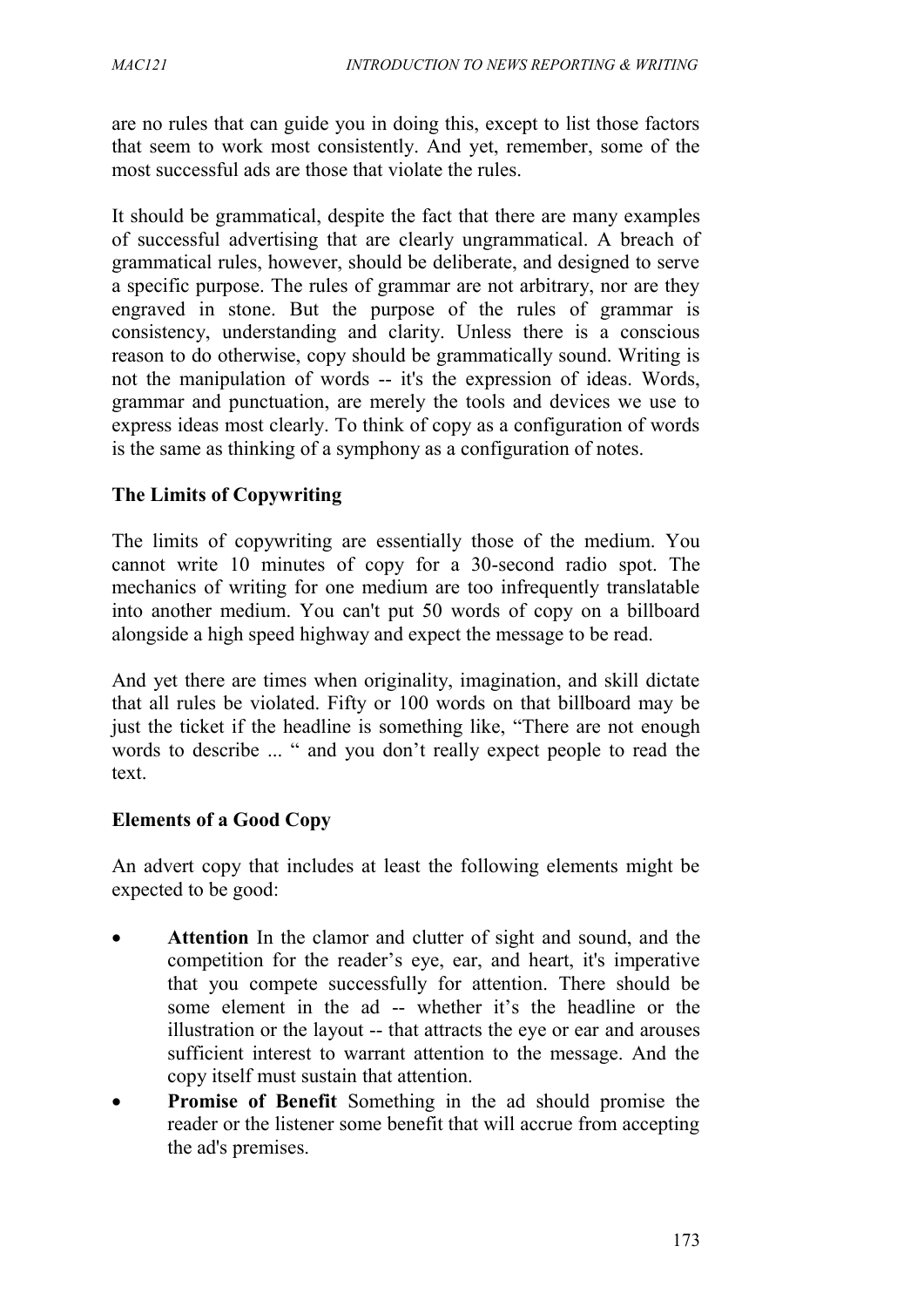are no rules that can guide you in doing this, except to list those factors that seem to work most consistently. And yet, remember, some of the most successful ads are those that violate the rules.

It should be grammatical, despite the fact that there are many examples of successful advertising that are clearly ungrammatical. A breach of grammatical rules, however, should be deliberate, and designed to serve a specific purpose. The rules of grammar are not arbitrary, nor are they engraved in stone. But the purpose of the rules of grammar is consistency, understanding and clarity. Unless there is a conscious reason to do otherwise, copy should be grammatically sound. Writing is not the manipulation of words -- it's the expression of ideas. Words, grammar and punctuation, are merely the tools and devices we use to express ideas most clearly. To think of copy as a configuration of words is the same as thinking of a symphony as a configuration of notes.

### **The Limits of Copywriting**

The limits of copywriting are essentially those of the medium. You cannot write 10 minutes of copy for a 30-second radio spot. The mechanics of writing for one medium are too infrequently translatable into another medium. You can't put 50 words of copy on a billboard alongside a high speed highway and expect the message to be read.

And yet there are times when originality, imagination, and skill dictate that all rules be violated. Fifty or 100 words on that billboard may be just the ticket if the headline is something like, "There are not enough words to describe ... " and you don't really expect people to read the text.

#### **Elements of a Good Copy**

An advert copy that includes at least the following elements might be expected to be good:

- **Attention** In the clamor and clutter of sight and sound, and the competition for the reader's eye, ear, and heart, it's imperative that you compete successfully for attention. There should be some element in the ad -- whether it's the headline or the illustration or the layout -- that attracts the eye or ear and arouses sufficient interest to warrant attention to the message. And the copy itself must sustain that attention.
- **Promise of Benefit** Something in the ad should promise the reader or the listener some benefit that will accrue from accepting the ad's premises.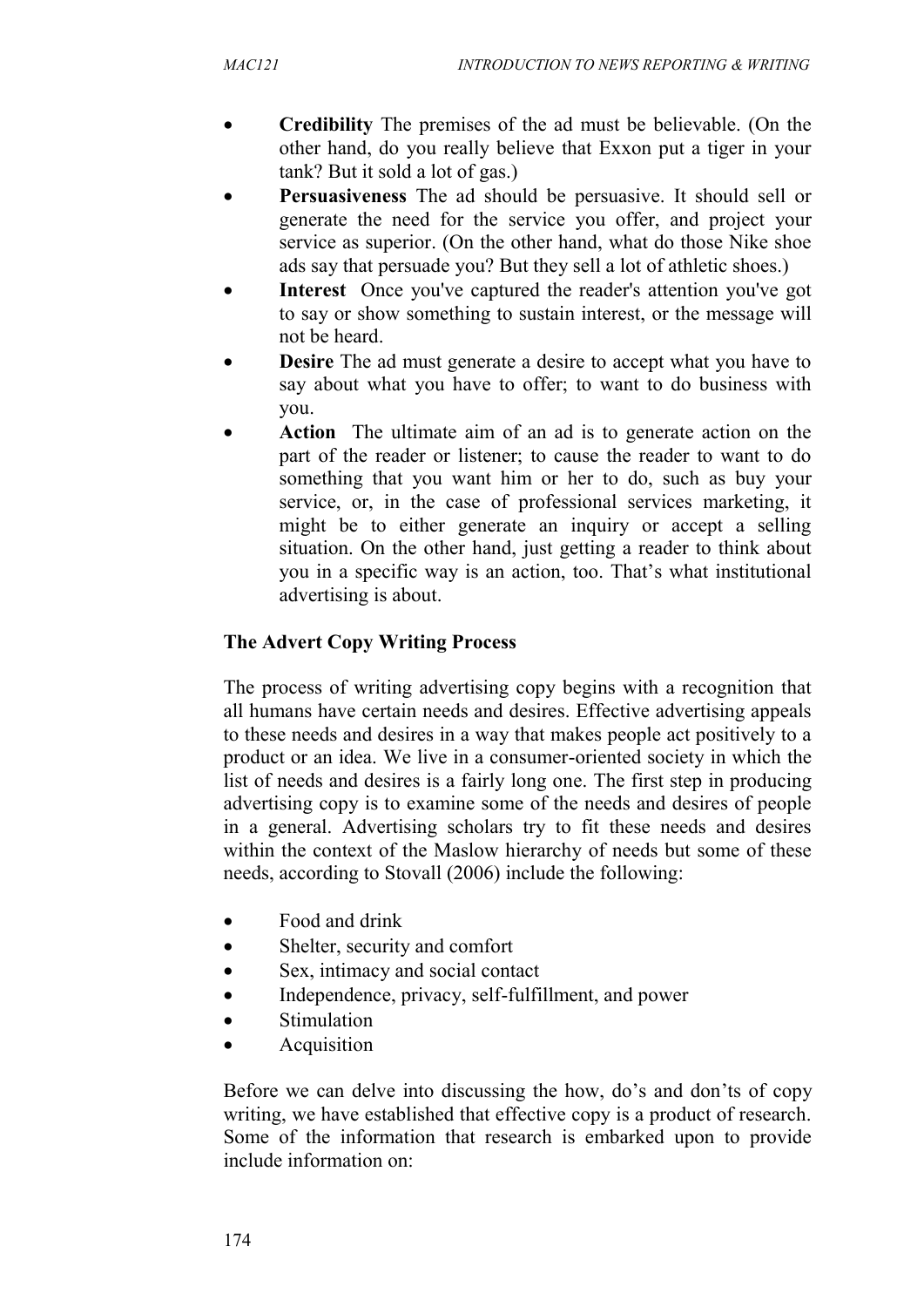- **Credibility** The premises of the ad must be believable. (On the other hand, do you really believe that Exxon put a tiger in your tank? But it sold a lot of gas.)
- **Persuasiveness** The ad should be persuasive. It should sell or generate the need for the service you offer, and project your service as superior. (On the other hand, what do those Nike shoe ads say that persuade you? But they sell a lot of athletic shoes.)
- **Interest** Once you've captured the reader's attention you've got to say or show something to sustain interest, or the message will not be heard.
- **Desire** The ad must generate a desire to accept what you have to say about what you have to offer; to want to do business with you.
- **Action** The ultimate aim of an ad is to generate action on the part of the reader or listener; to cause the reader to want to do something that you want him or her to do, such as buy your service, or, in the case of professional services marketing, it might be to either generate an inquiry or accept a selling situation. On the other hand, just getting a reader to think about you in a specific way is an action, too. That's what institutional advertising is about.

### **The Advert Copy Writing Process**

The process of writing advertising copy begins with a recognition that all humans have certain needs and desires. Effective advertising appeals to these needs and desires in a way that makes people act positively to a product or an idea. We live in a consumer-oriented society in which the list of needs and desires is a fairly long one. The first step in producing advertising copy is to examine some of the needs and desires of people in a general. Advertising scholars try to fit these needs and desires within the context of the Maslow hierarchy of needs but some of these needs, according to Stovall (2006) include the following:

- Food and drink
- Shelter, security and comfort
- Sex, intimacy and social contact
- Independence, privacy, self-fulfillment, and power
- **Stimulation**
- **Acquisition**

Before we can delve into discussing the how, do's and don'ts of copy writing, we have established that effective copy is a product of research. Some of the information that research is embarked upon to provide include information on: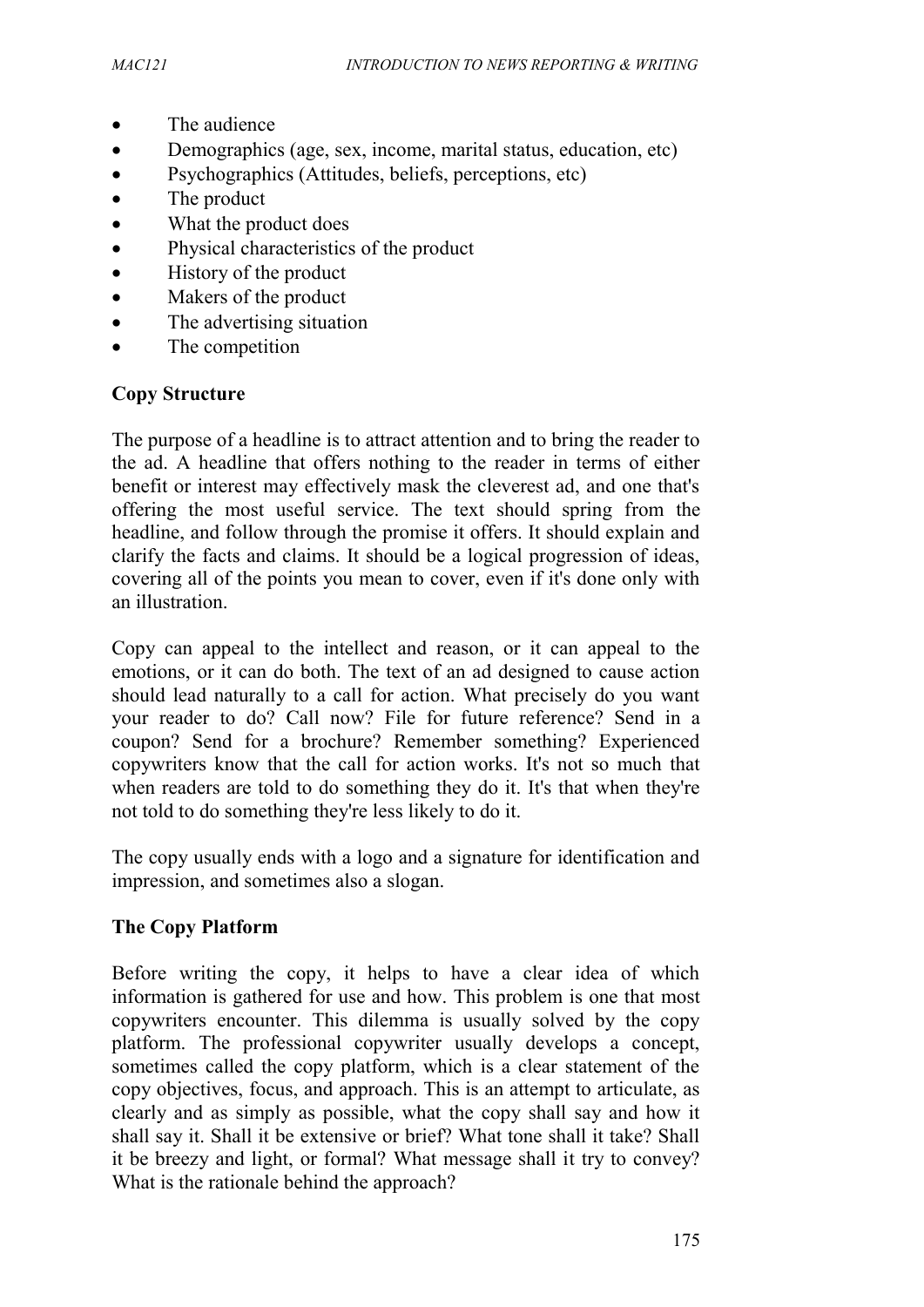- The audience
- Demographics (age, sex, income, marital status, education, etc)
- Psychographics (Attitudes, beliefs, perceptions, etc)
- The product
- What the product does
- Physical characteristics of the product
- History of the product
- Makers of the product
- The advertising situation
- The competition

#### **Copy Structure**

The purpose of a headline is to attract attention and to bring the reader to the ad. A headline that offers nothing to the reader in terms of either benefit or interest may effectively mask the cleverest ad, and one that's offering the most useful service. The text should spring from the headline, and follow through the promise it offers. It should explain and clarify the facts and claims. It should be a logical progression of ideas, covering all of the points you mean to cover, even if it's done only with an illustration.

Copy can appeal to the intellect and reason, or it can appeal to the emotions, or it can do both. The text of an ad designed to cause action should lead naturally to a call for action. What precisely do you want your reader to do? Call now? File for future reference? Send in a coupon? Send for a brochure? Remember something? Experienced copywriters know that the call for action works. It's not so much that when readers are told to do something they do it. It's that when they're not told to do something they're less likely to do it.

The copy usually ends with a logo and a signature for identification and impression, and sometimes also a slogan.

#### **The Copy Platform**

Before writing the copy, it helps to have a clear idea of which information is gathered for use and how. This problem is one that most copywriters encounter. This dilemma is usually solved by the copy platform. The professional copywriter usually develops a concept, sometimes called the copy platform, which is a clear statement of the copy objectives, focus, and approach. This is an attempt to articulate, as clearly and as simply as possible, what the copy shall say and how it shall say it. Shall it be extensive or brief? What tone shall it take? Shall it be breezy and light, or formal? What message shall it try to convey? What is the rationale behind the approach?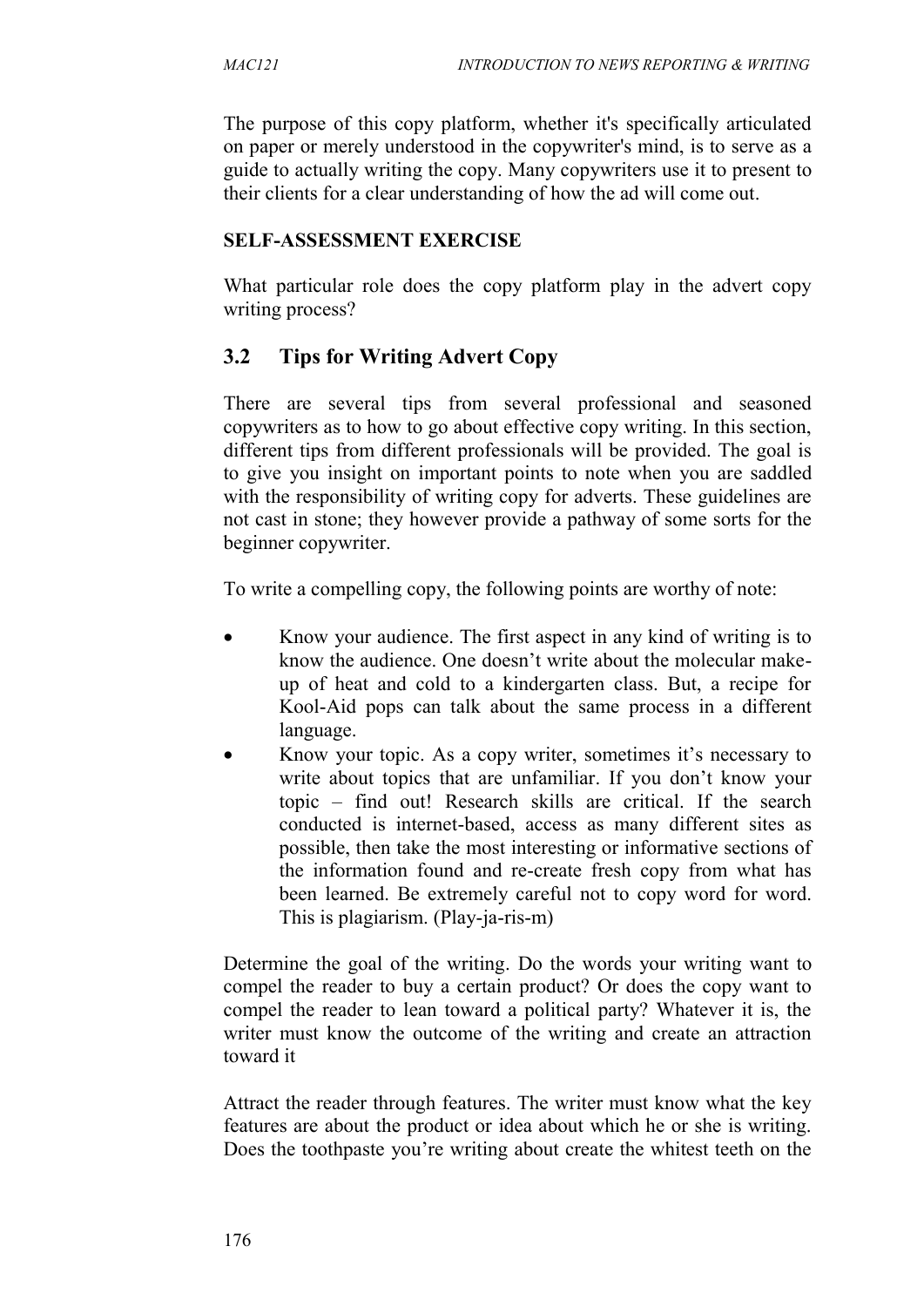The purpose of this copy platform, whether it's specifically articulated on paper or merely understood in the copywriter's mind, is to serve as a guide to actually writing the copy. Many copywriters use it to present to their clients for a clear understanding of how the ad will come out.

#### **SELF-ASSESSMENT EXERCISE**

What particular role does the copy platform play in the advert copy writing process?

# **3.2 Tips for Writing Advert Copy**

There are several tips from several professional and seasoned copywriters as to how to go about effective copy writing. In this section, different tips from different professionals will be provided. The goal is to give you insight on important points to note when you are saddled with the responsibility of writing copy for adverts. These guidelines are not cast in stone; they however provide a pathway of some sorts for the beginner copywriter.

To write a compelling copy, the following points are worthy of note:

- Know your audience. The first aspect in any kind of writing is to know the audience. One doesn't write about the molecular make up of heat and cold to a kindergarten class. But, a recipe for Kool-Aid pops can talk about the same process in a different language.
- Know your topic. As a copy writer, sometimes it's necessary to write about topics that are unfamiliar. If you don't know your topic – find out! Research skills are critical. If the search conducted is internet-based, access as many different sites as possible, then take the most interesting or informative sections of the information found and re-create fresh copy from what has been learned. Be extremely careful not to copy word for word. This is plagiarism. (Play-ja-ris-m)

Determine the goal of the writing. Do the words your writing want to compel the reader to buy a certain product? Or does the copy want to compel the reader to lean toward a political party? Whatever it is, the writer must know the outcome of the writing and create an attraction toward it

Attract the reader through features. The writer must know what the key features are about the product or idea about which he or she is writing. Does the toothpaste you're writing about create the whitest teeth on the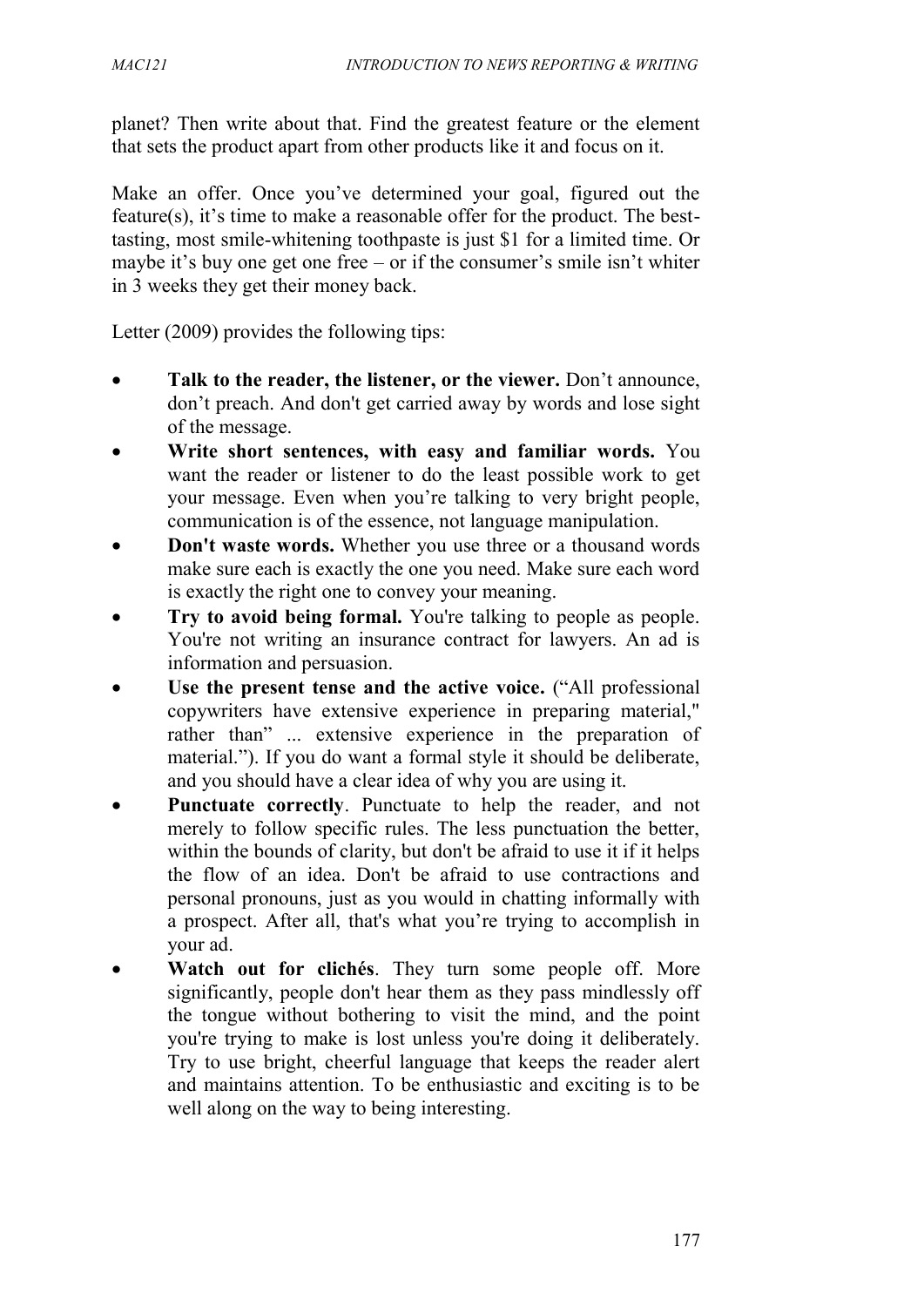planet? Then write about that. Find the greatest feature or the element that sets the product apart from other products like it and focus on it.

Make an offer. Once you've determined your goal, figured out the feature(s), it's time to make a reasonable offer for the product. The besttasting, most smile-whitening toothpaste is just \$1 for a limited time. Or maybe it's buy one get one free – or if the consumer's smile isn't whiter in 3 weeks they get their money back.

Letter (2009) provides the following tips:

- **Talk to the reader, the listener, or the viewer.** Don't announce, don't preach. And don't get carried away by words and lose sight of the message.
- **Write short sentences, with easy and familiar words.** You want the reader or listener to do the least possible work to get your message. Even when you're talking to very bright people, communication is of the essence, not language manipulation.
- **Don't waste words.** Whether you use three or a thousand words make sure each is exactly the one you need. Make sure each word is exactly the right one to convey your meaning.
- **Try to avoid being formal.** You're talking to people as people. You're not writing an insurance contract for lawyers. An ad is information and persuasion.
- **Use the present tense and the active voice.** ("All professional copywriters have extensive experience in preparing material," rather than" ... extensive experience in the preparation of material."). If you do want a formal style it should be deliberate, and you should have a clear idea of why you are using it.
- **Punctuate correctly**. Punctuate to help the reader, and not merely to follow specific rules. The less punctuation the better, within the bounds of clarity, but don't be afraid to use it if it helps the flow of an idea. Don't be afraid to use contractions and personal pronouns, just as you would in chatting informally with a prospect. After all, that's what you're trying to accomplish in your ad.
- **Watch out for clichés**. They turn some people off. More significantly, people don't hear them as they pass mindlessly off the tongue without bothering to visit the mind, and the point you're trying to make is lost unless you're doing it deliberately. Try to use bright, cheerful language that keeps the reader alert and maintains attention. To be enthusiastic and exciting is to be well along on the way to being interesting.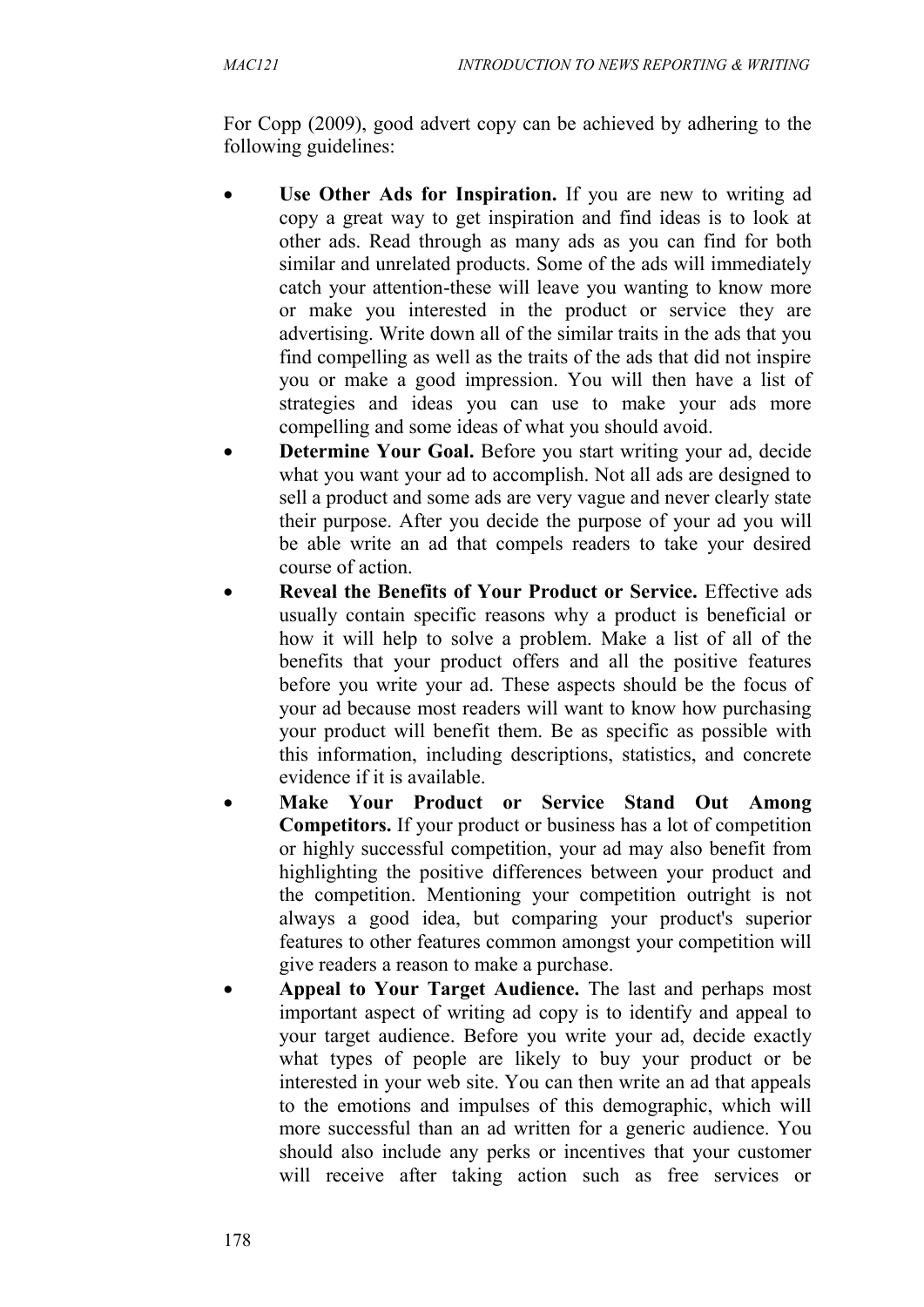For Copp (2009), good advert copy can be achieved by adhering to the following guidelines:

- **Use Other Ads for Inspiration.** If you are new to writing ad copy a great way to get inspiration and find ideas is to look at other ads. Read through as many ads as you can find for both similar and unrelated products. Some of the ads will immediately catch your attention-these will leave you wanting to know more or make you interested in the product or service they are advertising. Write down all of the similar traits in the ads that you find compelling as well as the traits of the ads that did not inspire you or make a good impression. You will then have a list of strategies and ideas you can use to make your ads more compelling and some ideas of what you should avoid.
- **Determine Your Goal.** Before you start writing your ad, decide what you want your ad to accomplish. Not all ads are designed to sell a product and some ads are very vague and never clearly state their purpose. After you decide the purpose of your ad you will be able write an ad that compels readers to take your desired course of action.
- **Reveal the Benefits of Your Product or Service.** Effective ads usually contain specific reasons why a product is beneficial or how it will help to solve a problem. Make a list of all of the benefits that your product offers and all the positive features before you write your ad. These aspects should be the focus of your ad because most readers will want to know how purchasing your product will benefit them. Be as specific as possible with this information, including descriptions, statistics, and concrete evidence if it is available.
- **Make Your Product or Service Stand Out Among Competitors.** If your product or business has a lot of competition or highly successful competition, your ad may also benefit from highlighting the positive differences between your product and the competition. Mentioning your competition outright is not always a good idea, but comparing your product's superior features to other features common amongst your competition will give readers a reason to make a purchase.
- **Appeal to Your Target Audience.** The last and perhaps most important aspect of writing ad copy is to identify and appeal to your target audience. Before you write your ad, decide exactly what types of people are likely to buy your product or be interested in your web site. You can then write an ad that appeals to the emotions and impulses of this demographic, which will more successful than an ad written for a generic audience. You should also include any perks or incentives that your customer will receive after taking action such as free services or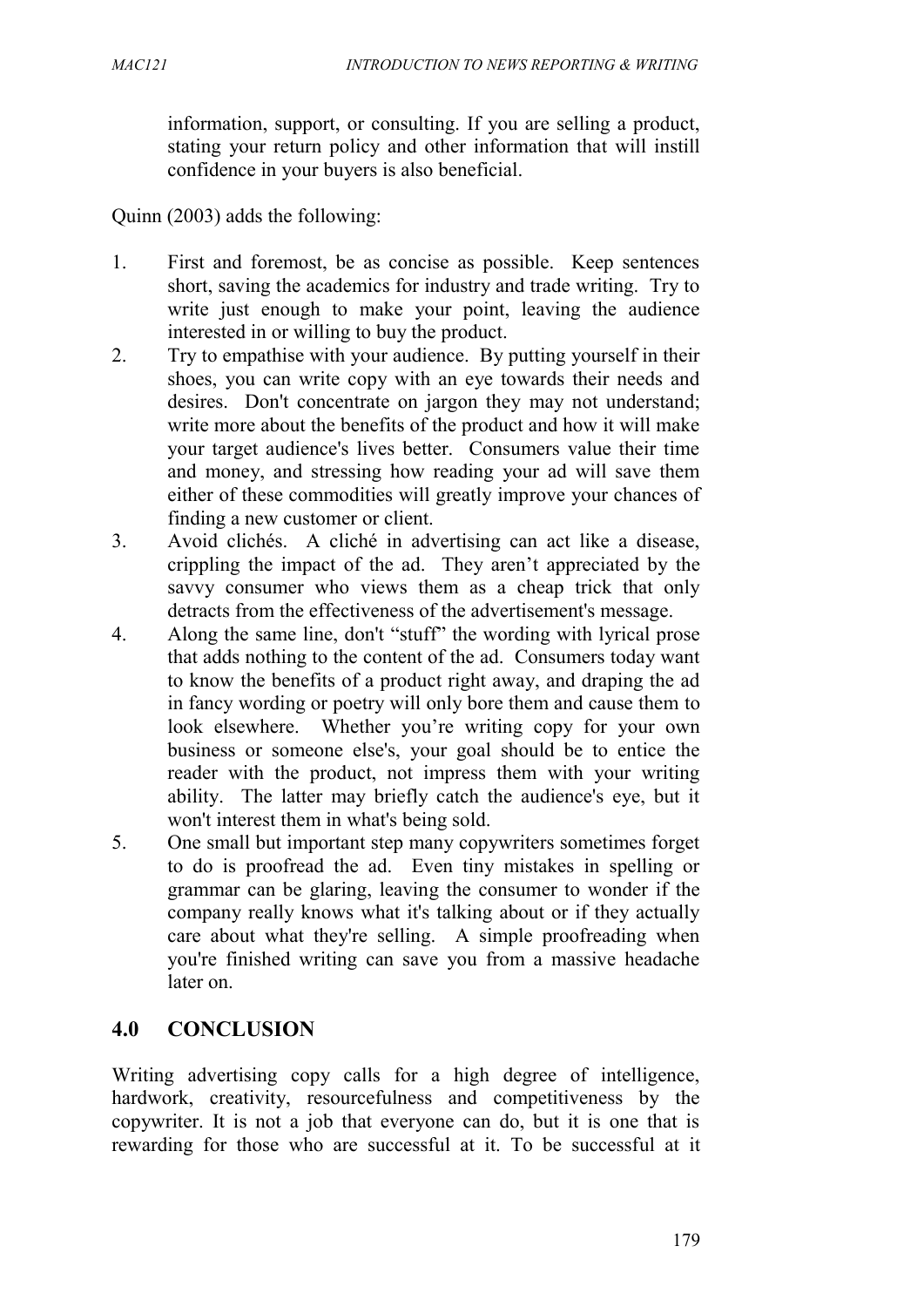information, support, or consulting. If you are selling a product, stating your return policy and other information that will instill confidence in your buyers is also beneficial.

Quinn (2003) adds the following:

- 1. First and foremost, be as concise as possible. Keep sentences short, saving the academics for industry and trade writing. Try to write just enough to make your point, leaving the audience interested in or willing to buy the product.
- 2. Try to empathise with your audience. By putting yourself in their shoes, you can write copy with an eye towards their needs and desires. Don't concentrate on jargon they may not understand; write more about the benefits of the product and how it will make your target audience's lives better. Consumers value their time and money, and stressing how reading your ad will save them either of these commodities will greatly improve your chances of finding a new customer or client.
- 3. Avoid clichés. A cliché in advertising can act like a disease, crippling the impact of the ad. They aren't appreciated by the savvy consumer who views them as a cheap trick that only detracts from the effectiveness of the advertisement's message.
- 4. Along the same line, don't "stuff" the wording with lyrical prose that adds nothing to the content of the ad. Consumers today want to know the benefits of a product right away, and draping the ad in fancy wording or poetry will only bore them and cause them to look elsewhere. Whether you're writing copy for your own business or someone else's, your goal should be to entice the reader with the product, not impress them with your writing ability. The latter may briefly catch the audience's eye, but it won't interest them in what's being sold.
- 5. One small but important step many copywriters sometimes forget to do is proofread the ad. Even tiny mistakes in spelling or grammar can be glaring, leaving the consumer to wonder if the company really knows what it's talking about or if they actually care about what they're selling. A simple proofreading when you're finished writing can save you from a massive headache later on.

# **4.0 CONCLUSION**

Writing advertising copy calls for a high degree of intelligence, hardwork, creativity, resourcefulness and competitiveness by the copywriter. It is not a job that everyone can do, but it is one that is rewarding for those who are successful at it. To be successful at it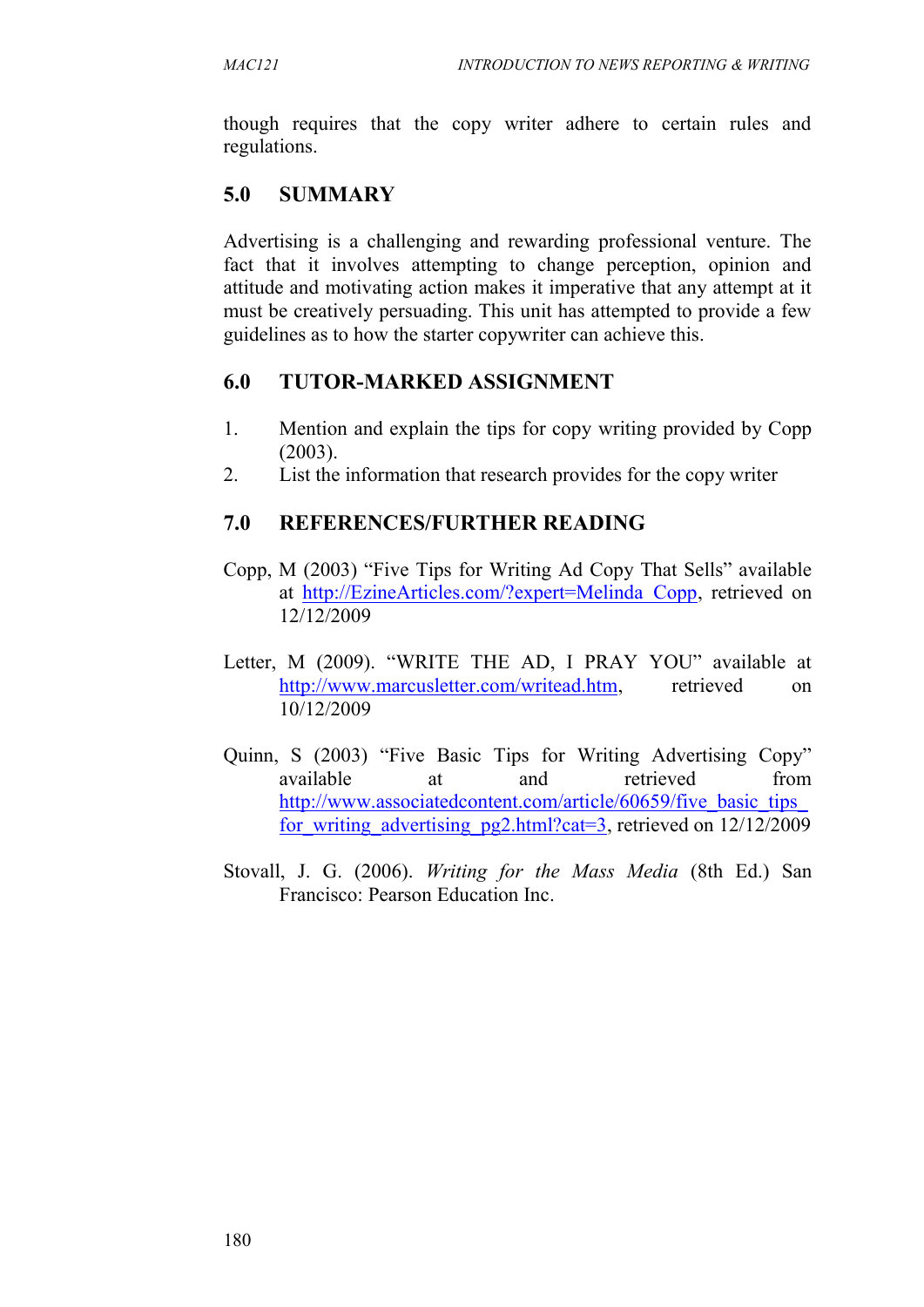though requires that the copy writer adhere to certain rules and regulations.

## **5.0 SUMMARY**

Advertising is a challenging and rewarding professional venture. The fact that it involves attempting to change perception, opinion and attitude and motivating action makes it imperative that any attempt at it must be creatively persuading. This unit has attempted to provide a few guidelines as to how the starter copywriter can achieve this.

### **6.0 TUTOR-MARKED ASSIGNMENT**

- 1. Mention and explain the tips for copy writing provided by Copp (2003).
- 2. List the information that research provides for the copy writer

### **7.0 REFERENCES/FURTHER READING**

- Copp, M (2003) "Five Tips for Writing Ad Copy That Sells" available at http://EzineArticles.com/?expert=Melinda\_Copp, retrieved on 12/12/2009
- Letter, M (2009). "WRITE THE AD, I PRAY YOU" available at http://www.marcusletter.com/writead.htm, retrieved on 10/12/2009
- Quinn, S (2003) "Five Basic Tips for Writing Advertising Copy" available at and retrieved from http://www.associatedcontent.com/article/60659/five basic tips for writing advertising  $pg2.html$ ?cat=3, retrieved on  $12/12/2009$
- Stovall, J. G. (2006). *Writing for the Mass Media* (8th Ed.) San Francisco: Pearson Education Inc.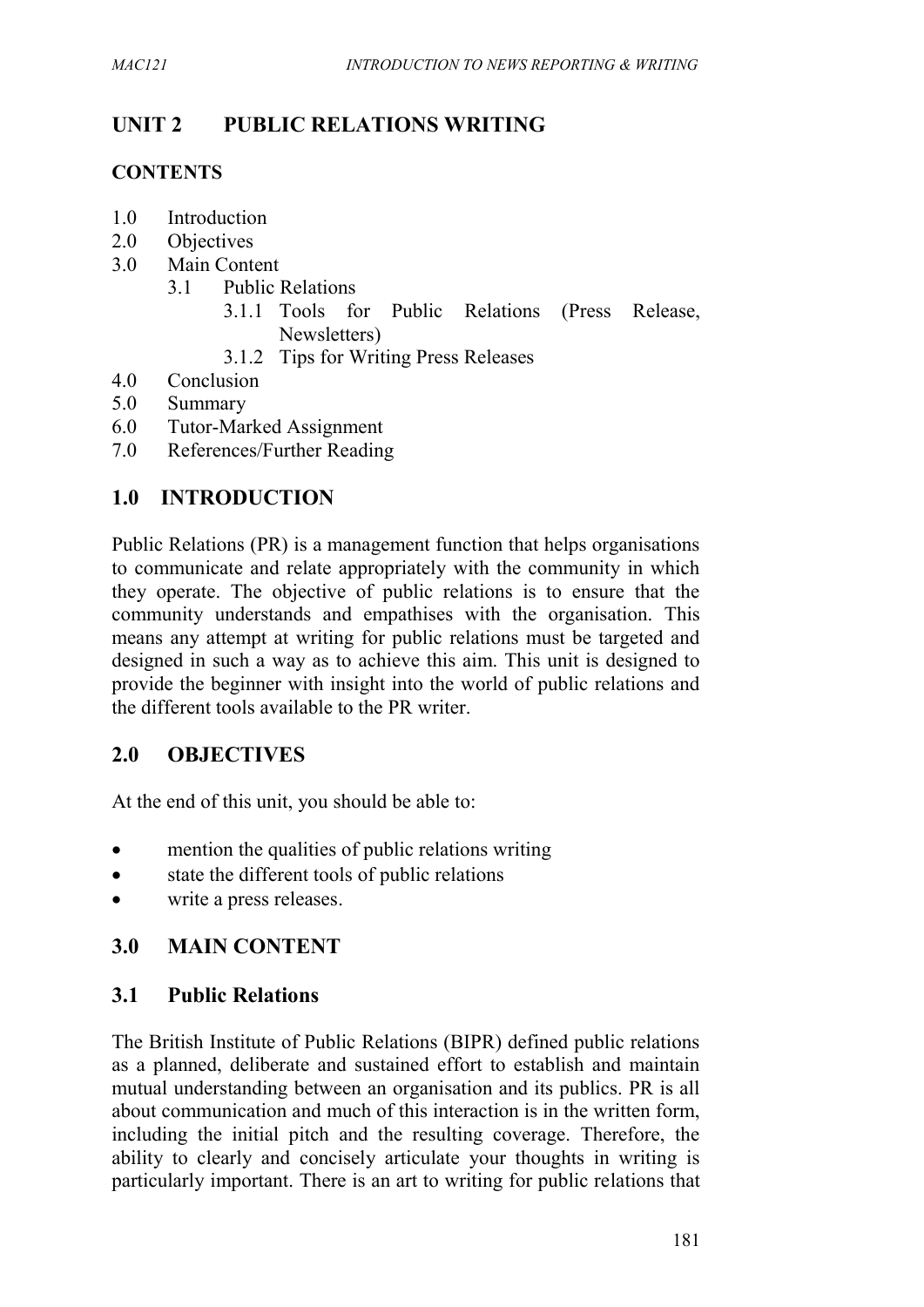# **UNIT 2 PUBLIC RELATIONS WRITING**

### **CONTENTS**

- 1.0 Introduction
- 2.0 Objectives
- 3.0 Main Content
	- 3.1 Public Relations
		- 3.1.1 Tools for Public Relations (Press Release, Newsletters)
		- 3.1.2 Tips for Writing Press Releases
- 4.0 Conclusion
- 5.0 Summary
- 6.0 Tutor-Marked Assignment
- 7.0 References/Further Reading

# **1.0 INTRODUCTION**

Public Relations (PR) is a management function that helps organisations to communicate and relate appropriately with the community in which they operate. The objective of public relations is to ensure that the community understands and empathises with the organisation. This means any attempt at writing for public relations must be targeted and designed in such a way as to achieve this aim. This unit is designed to provide the beginner with insight into the world of public relations and the different tools available to the PR writer.

### **2.0 OBJECTIVES**

At the end of this unit, you should be able to:

- mention the qualities of public relations writing
- state the different tools of public relations
- write a press releases.

# **3.0 MAIN CONTENT**

### **3.1 Public Relations**

The British Institute of Public Relations (BIPR) defined public relations as a planned, deliberate and sustained effort to establish and maintain mutual understanding between an organisation and its publics. PR is all about communication and much of this interaction is in the written form, including the initial pitch and the resulting coverage. Therefore, the ability to clearly and concisely articulate your thoughts in writing is particularly important. There is an art to writing for public relations that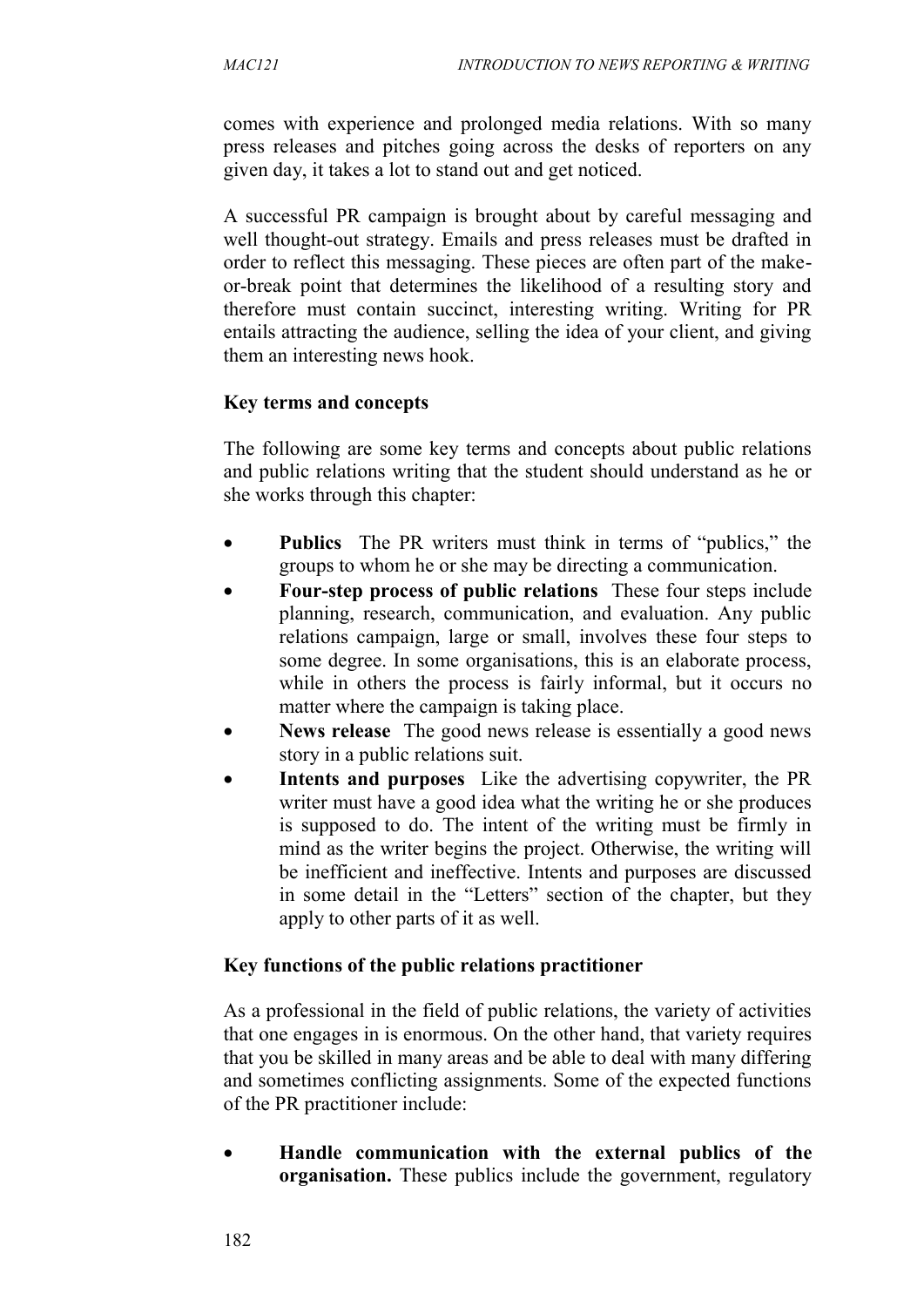comes with experience and prolonged media relations. With so many press releases and pitches going across the desks of reporters on any given day, it takes a lot to stand out and get noticed.

A successful PR campaign is brought about by careful messaging and well thought-out strategy. Emails and press releases must be drafted in order to reflect this messaging. These pieces are often part of the make or-break point that determines the likelihood of a resulting story and therefore must contain succinct, interesting writing. Writing for PR entails attracting the audience, selling the idea of your client, and giving them an interesting news hook.

#### **Key terms and concepts**

The following are some key terms and concepts about public relations and public relations writing that the student should understand as he or she works through this chapter:

- **Publics** The PR writers must think in terms of "publics," the groups to whom he or she may be directing a communication.
- **Four-step process of public relations** These four steps include planning, research, communication, and evaluation. Any public relations campaign, large or small, involves these four steps to some degree. In some organisations, this is an elaborate process, while in others the process is fairly informal, but it occurs no matter where the campaign is taking place.
- **News release** The good news release is essentially a good news story in a public relations suit.
- **Intents and purposes** Like the advertising copywriter, the PR writer must have a good idea what the writing he or she produces is supposed to do. The intent of the writing must be firmly in mind as the writer begins the project. Otherwise, the writing will be inefficient and ineffective. Intents and purposes are discussed in some detail in the "Letters" section of the chapter, but they apply to other parts of it as well.

#### **Key functions of the public relations practitioner**

As a professional in the field of public relations, the variety of activities that one engages in is enormous. On the other hand, that variety requires that you be skilled in many areas and be able to deal with many differing and sometimes conflicting assignments. Some of the expected functions of the PR practitioner include:

 **Handle communication with the external publics of the organisation.** These publics include the government, regulatory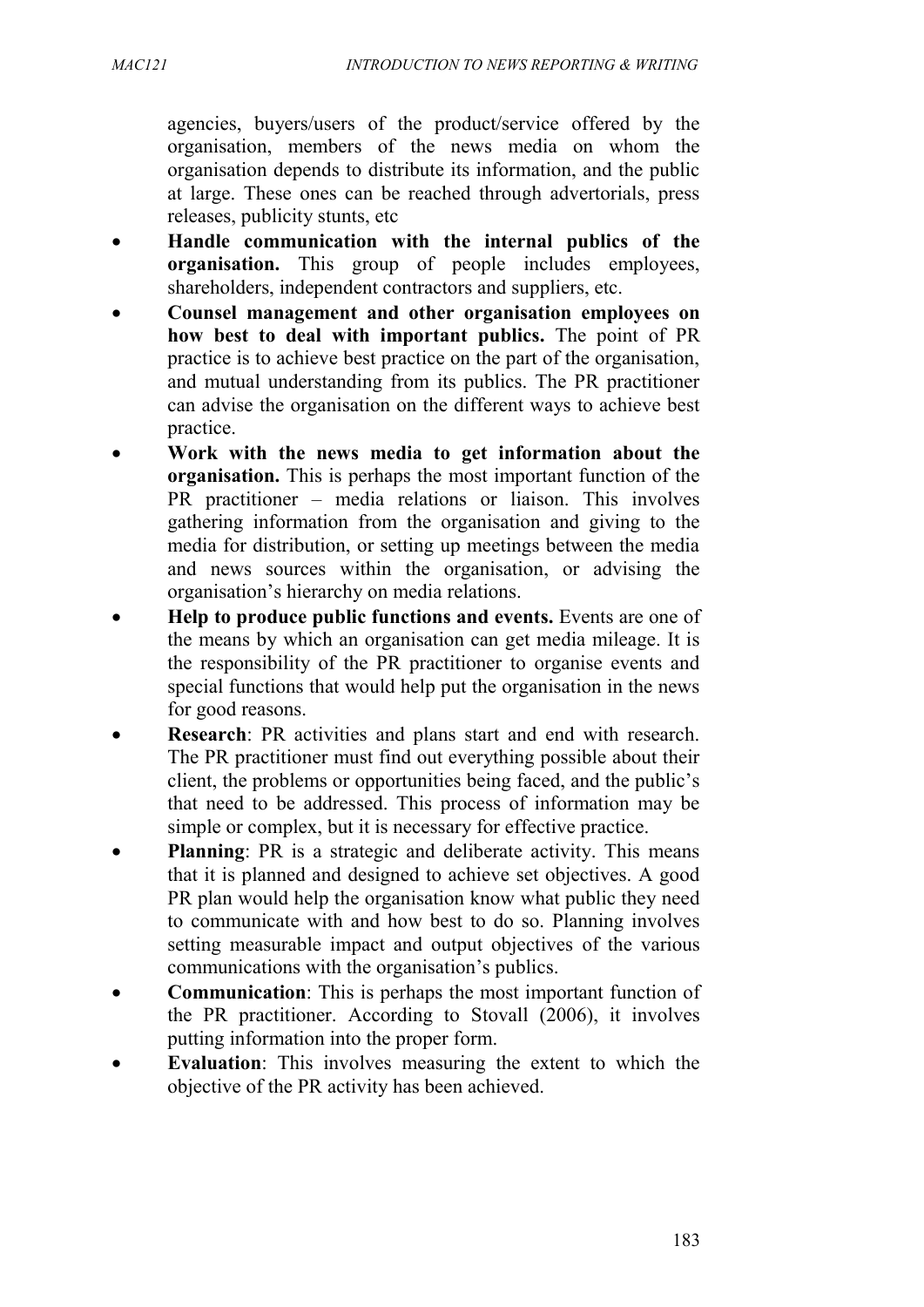agencies, buyers/users of the product/service offered by the organisation, members of the news media on whom the organisation depends to distribute its information, and the public at large. These ones can be reached through advertorials, press releases, publicity stunts, etc

- **Handle communication with the internal publics of the organisation.** This group of people includes employees, shareholders, independent contractors and suppliers, etc.
- **Counsel management and other organisation employees on how best to deal with important publics.** The point of PR practice is to achieve best practice on the part of the organisation, and mutual understanding from its publics. The PR practitioner can advise the organisation on the different ways to achieve best practice.
- **Work with the news media to get information about the organisation.** This is perhaps the most important function of the PR practitioner – media relations or liaison. This involves gathering information from the organisation and giving to the media for distribution, or setting up meetings between the media and news sources within the organisation, or advising the organisation's hierarchy on media relations.
- **Help to produce public functions and events.** Events are one of the means by which an organisation can get media mileage. It is the responsibility of the PR practitioner to organise events and special functions that would help put the organisation in the news for good reasons.
- **Research**: PR activities and plans start and end with research. The PR practitioner must find out everything possible about their client, the problems or opportunities being faced, and the public's that need to be addressed. This process of information may be simple or complex, but it is necessary for effective practice.
- **Planning**: PR is a strategic and deliberate activity. This means that it is planned and designed to achieve set objectives. A good PR plan would help the organisation know what public they need to communicate with and how best to do so. Planning involves setting measurable impact and output objectives of the various communications with the organisation's publics.
- **Communication**: This is perhaps the most important function of the PR practitioner. According to Stovall (2006), it involves putting information into the proper form.
- **Evaluation**: This involves measuring the extent to which the objective of the PR activity has been achieved.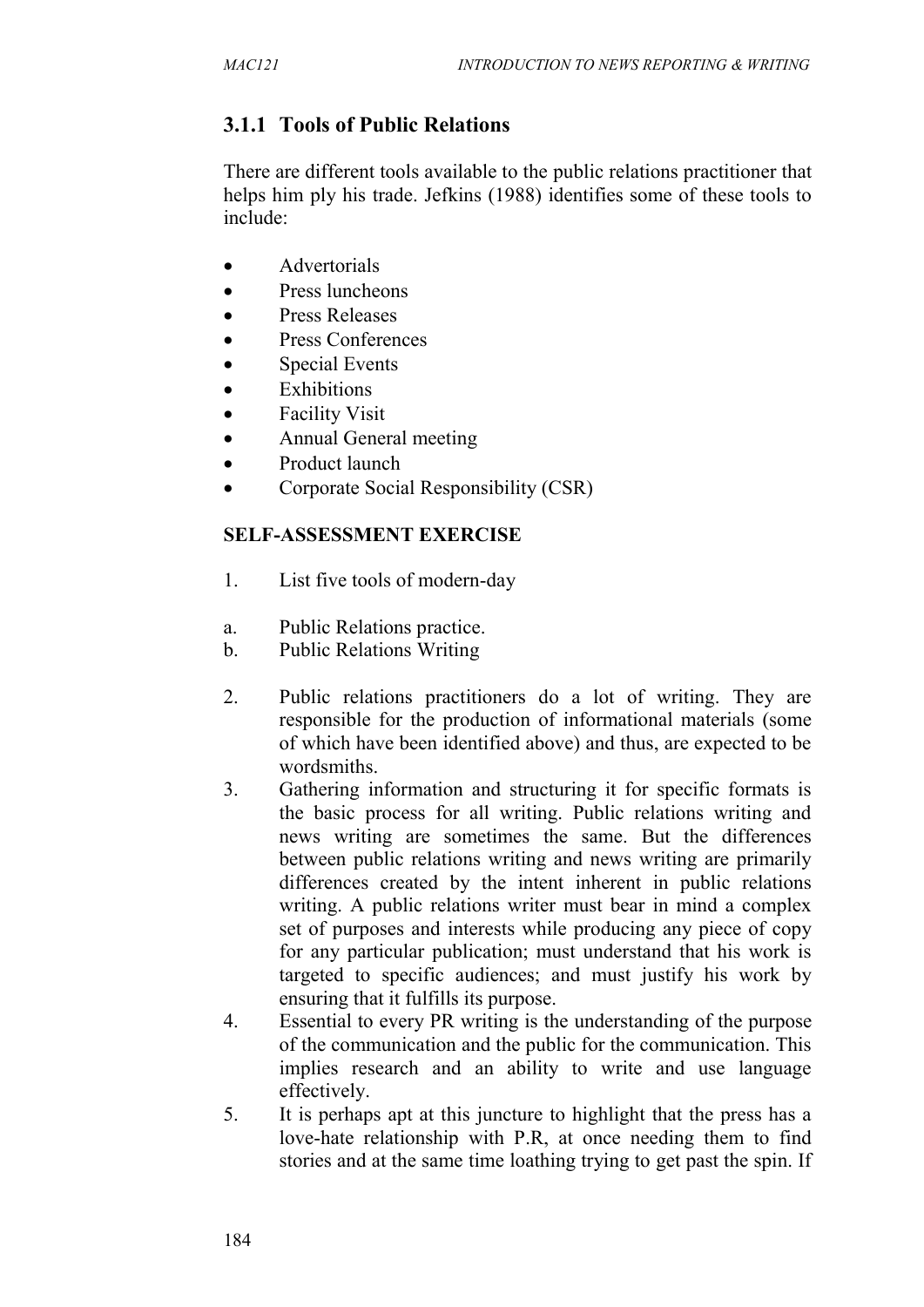# **3.1.1 Tools of Public Relations**

There are different tools available to the public relations practitioner that helps him ply his trade. Jefkins (1988) identifies some of these tools to include:

- **Advertorials**
- Press luncheons
- Press Releases
- Press Conferences
- Special Events
- Exhibitions
- Facility Visit
- Annual General meeting
- Product launch
- Corporate Social Responsibility (CSR)

### **SELF-ASSESSMENT EXERCISE**

- 1. List five tools of modern-day
- a. Public Relations practice.
- b. Public Relations Writing
- 2. Public relations practitioners do a lot of writing. They are responsible for the production of informational materials (some of which have been identified above) and thus, are expected to be wordsmiths.
- 3. Gathering information and structuring it for specific formats is the basic process for all writing. Public relations writing and news writing are sometimes the same. But the differences between public relations writing and news writing are primarily differences created by the intent inherent in public relations writing. A public relations writer must bear in mind a complex set of purposes and interests while producing any piece of copy for any particular publication; must understand that his work is targeted to specific audiences; and must justify his work by ensuring that it fulfills its purpose.
- 4. Essential to every PR writing is the understanding of the purpose of the communication and the public for the communication. This implies research and an ability to write and use language effectively.
- 5. It is perhaps apt at this juncture to highlight that the press has a love-hate relationship with P.R, at once needing them to find stories and at the same time loathing trying to get past the spin. If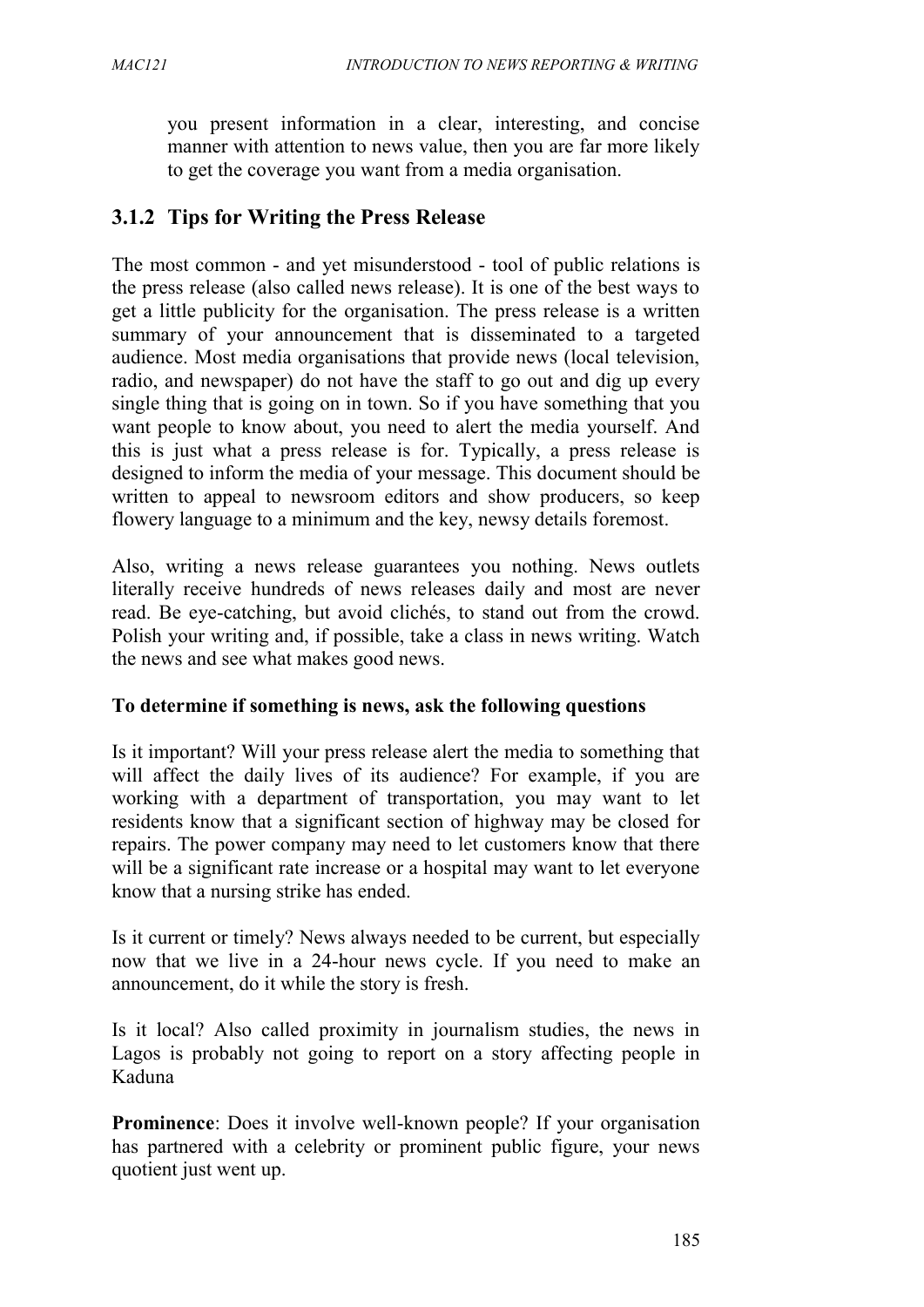you present information in a clear, interesting, and concise manner with attention to news value, then you are far more likely to get the coverage you want from a media organisation.

## **3.1.2 Tips for Writing the Press Release**

The most common - and yet misunderstood - tool of public relations is the press release (also called news release). It is one of the best ways to get a little publicity for the organisation. The press release is a written summary of your announcement that is disseminated to a targeted audience. Most media organisations that provide news (local television, radio, and newspaper) do not have the staff to go out and dig up every single thing that is going on in town. So if you have something that you want people to know about, you need to alert the media yourself. And this is just what a press release is for. Typically, a press release is designed to inform the media of your message. This document should be written to appeal to newsroom editors and show producers, so keep flowery language to a minimum and the key, newsy details foremost.

Also, writing a news release guarantees you nothing. News outlets literally receive hundreds of news releases daily and most are never read. Be eye-catching, but avoid clichés, to stand out from the crowd. Polish your writing and, if possible, take a class in news writing. Watch the news and see what makes good news.

#### **To determine if something is news, ask the following questions**

Is it important? Will your press release alert the media to something that will affect the daily lives of its audience? For example, if you are working with a department of transportation, you may want to let residents know that a significant section of highway may be closed for repairs. The power company may need to let customers know that there will be a significant rate increase or a hospital may want to let everyone know that a nursing strike has ended.

Is it current or timely? News always needed to be current, but especially now that we live in a 24-hour news cycle. If you need to make an announcement, do it while the story is fresh.

Is it local? Also called proximity in journalism studies, the news in Lagos is probably not going to report on a story affecting people in Kaduna

**Prominence**: Does it involve well-known people? If your organisation has partnered with a celebrity or prominent public figure, your news quotient just went up.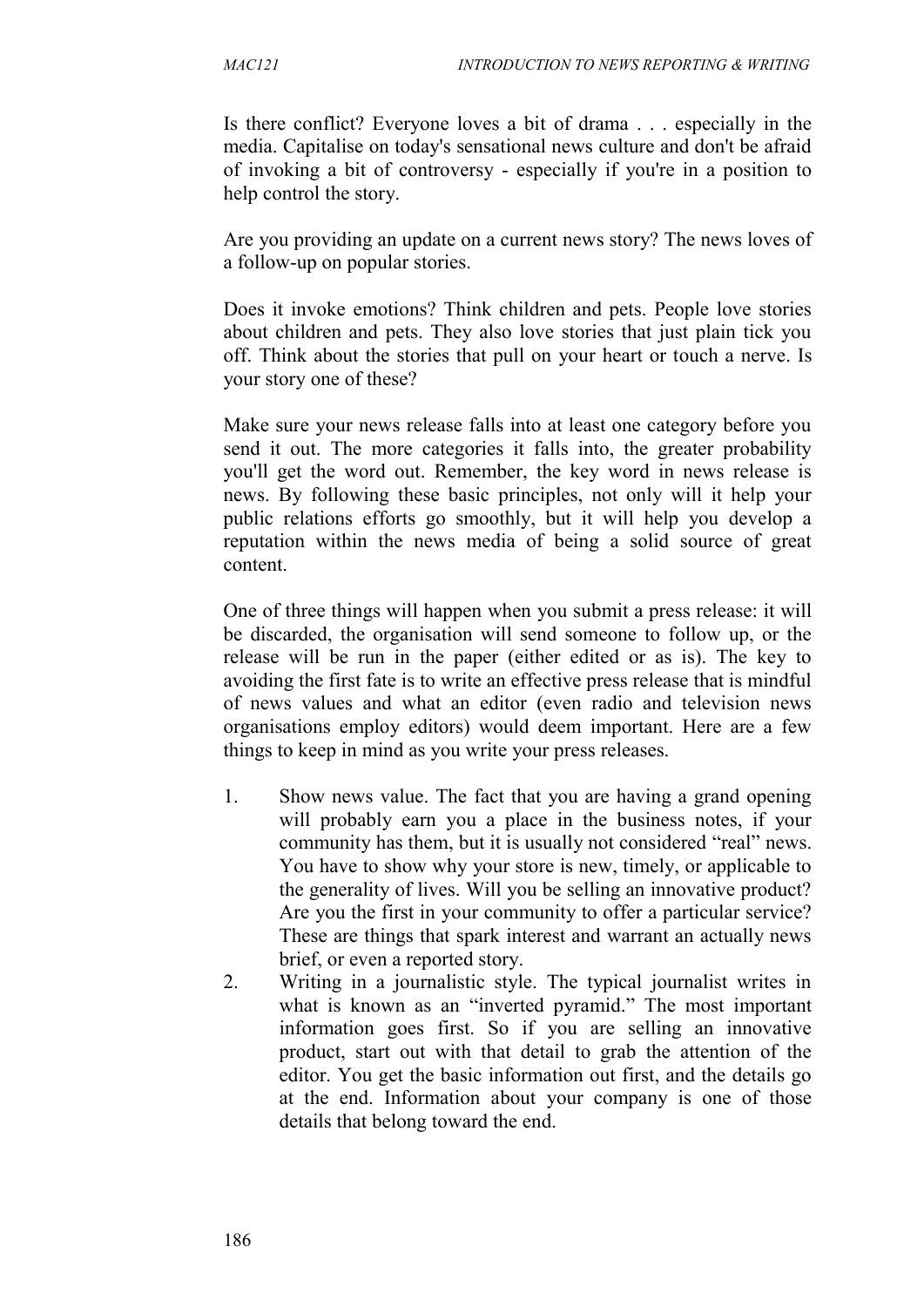Is there conflict? Everyone loves a bit of drama . . . especially in the media. Capitalise on today's sensational news culture and don't be afraid of invoking a bit of controversy - especially if you're in a position to help control the story.

Are you providing an update on a current news story? The news loves of a follow-up on popular stories.

Does it invoke emotions? Think children and pets. People love stories about children and pets. They also love stories that just plain tick you off. Think about the stories that pull on your heart or touch a nerve. Is your story one of these?

Make sure your news release falls into at least one category before you send it out. The more categories it falls into, the greater probability you'll get the word out. Remember, the key word in news release is news. By following these basic principles, not only will it help your public relations efforts go smoothly, but it will help you develop a reputation within the news media of being a solid source of great content.

One of three things will happen when you submit a press release: it will be discarded, the organisation will send someone to follow up, or the release will be run in the paper (either edited or as is). The key to avoiding the first fate is to write an effective press release that is mindful of news values and what an editor (even radio and television news organisations employ editors) would deem important. Here are a few things to keep in mind as you write your press releases.

- 1. Show news value. The fact that you are having a grand opening will probably earn you a place in the business notes, if your community has them, but it is usually not considered "real" news. You have to show why your store is new, timely, or applicable to the generality of lives. Will you be selling an innovative product? Are you the first in your community to offer a particular service? These are things that spark interest and warrant an actually news brief, or even a reported story.
- 2. Writing in a journalistic style. The typical journalist writes in what is known as an "inverted pyramid." The most important information goes first. So if you are selling an innovative product, start out with that detail to grab the attention of the editor. You get the basic information out first, and the details go at the end. Information about your company is one of those details that belong toward the end.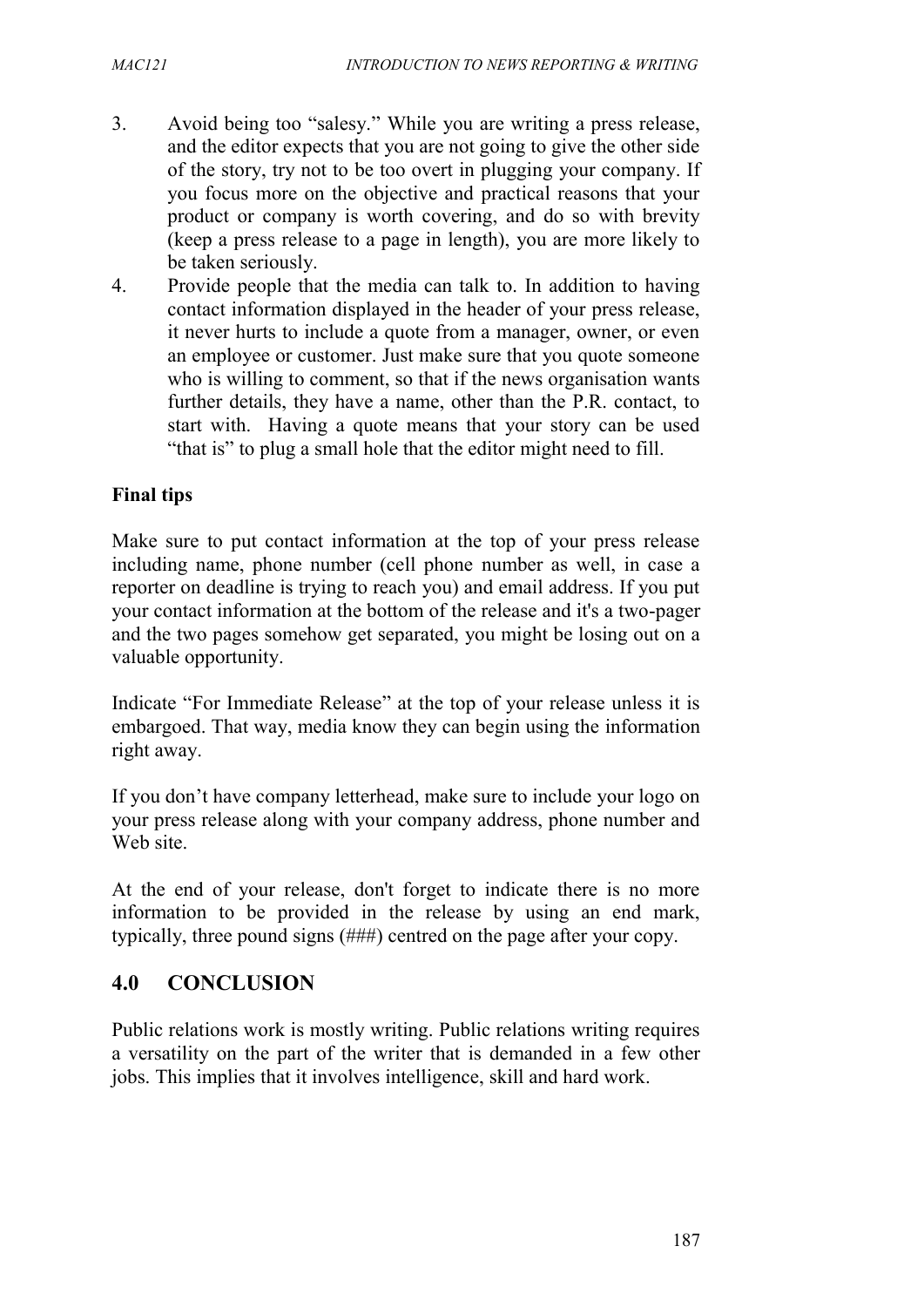- 3. Avoid being too "salesy." While you are writing a press release, and the editor expects that you are not going to give the other side of the story, try not to be too overt in plugging your company. If you focus more on the objective and practical reasons that your product or company is worth covering, and do so with brevity (keep a press release to a page in length), you are more likely to be taken seriously.
- 4. Provide people that the media can talk to. In addition to having contact information displayed in the header of your press release, it never hurts to include a quote from a manager, owner, or even an employee or customer. Just make sure that you quote someone who is willing to comment, so that if the news organisation wants further details, they have a name, other than the P.R. contact, to start with. Having a quote means that your story can be used "that is" to plug a small hole that the editor might need to fill.

### **Final tips**

Make sure to put contact information at the top of your press release including name, phone number (cell phone number as well, in case a reporter on deadline is trying to reach you) and email address. If you put your contact information at the bottom of the release and it's a two-pager and the two pages somehow get separated, you might be losing out on a valuable opportunity.

Indicate "For Immediate Release" at the top of your release unless it is embargoed. That way, media know they can begin using the information right away.

If you don't have company letterhead, make sure to include your logo on your press release along with your company address, phone number and Web site.

At the end of your release, don't forget to indicate there is no more information to be provided in the release by using an end mark, typically, three pound signs (###) centred on the page after your copy.

### **4.0 CONCLUSION**

Public relations work is mostly writing. Public relations writing requires a versatility on the part of the writer that is demanded in a few other jobs. This implies that it involves intelligence, skill and hard work.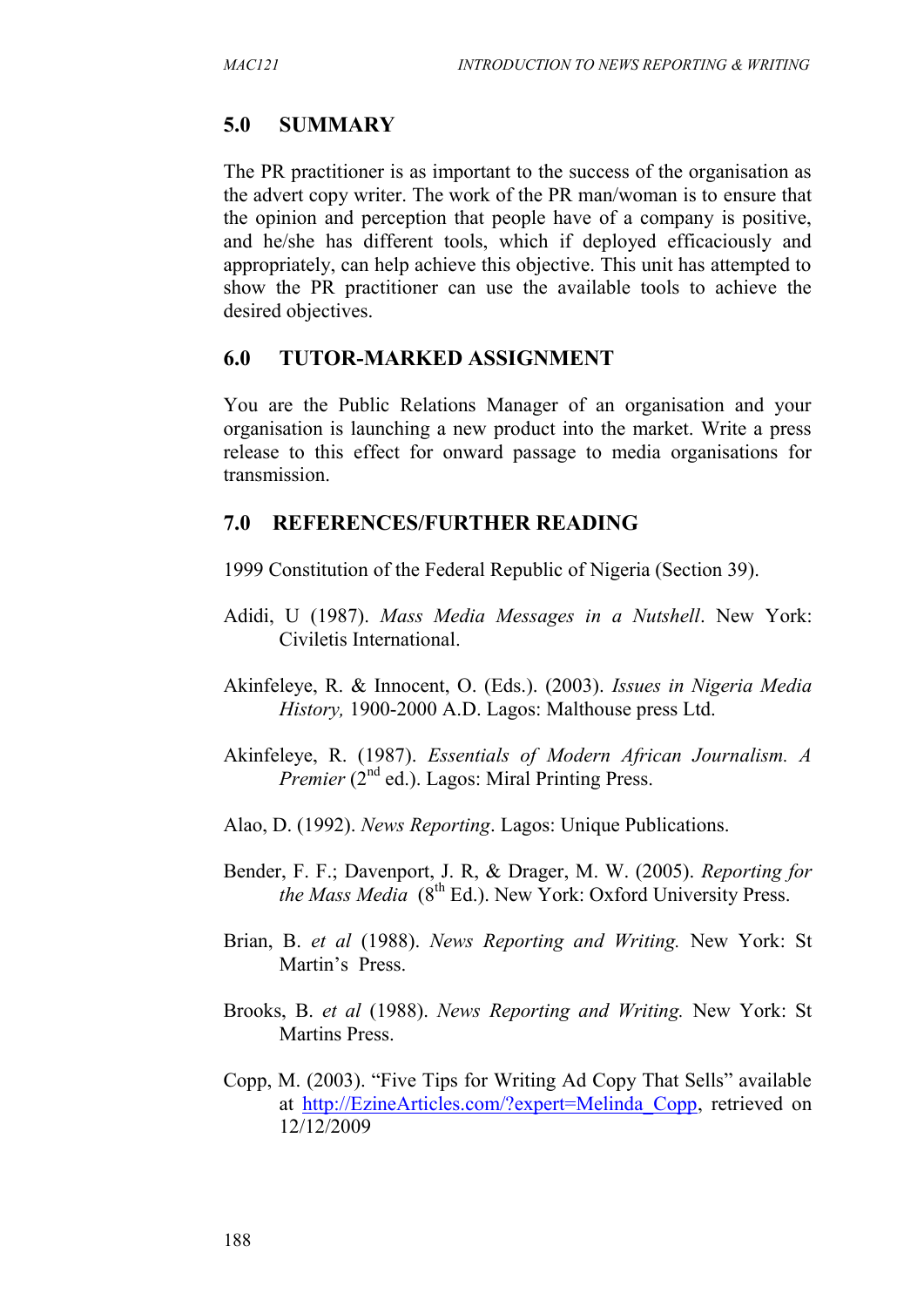#### **5.0 SUMMARY**

The PR practitioner is as important to the success of the organisation as the advert copy writer. The work of the PR man/woman is to ensure that the opinion and perception that people have of a company is positive, and he/she has different tools, which if deployed efficaciously and appropriately, can help achieve this objective. This unit has attempted to show the PR practitioner can use the available tools to achieve the desired objectives.

#### **6.0 TUTOR-MARKED ASSIGNMENT**

You are the Public Relations Manager of an organisation and your organisation is launching a new product into the market. Write a press release to this effect for onward passage to media organisations for transmission.

#### **7.0 REFERENCES/FURTHER READING**

1999 Constitution of the Federal Republic of Nigeria (Section 39).

- Adidi, U (1987). *Mass Media Messages in a Nutshell*. New York: Civiletis International.
- Akinfeleye, R. & Innocent, O. (Eds.). (2003). *Issues in Nigeria Media History,* 1900-2000 A.D. Lagos: Malthouse press Ltd.
- Akinfeleye, R. (1987). *Essentials of Modern African Journalism. A Premier* (2<sup>nd</sup> ed.). Lagos: Miral Printing Press.
- Alao, D. (1992). *News Reporting*. Lagos: Unique Publications.
- Bender, F. F.; Davenport, J. R, & Drager, M. W. (2005). *Reporting for the Mass Media* (8<sup>th</sup> Ed.). New York: Oxford University Press.
- Brian, B. *et al* (1988). *News Reporting and Writing.* New York: St Martin's Press.
- Brooks, B. *et al* (1988). *News Reporting and Writing.* New York: St Martins Press.
- Copp, M. (2003). "Five Tips for Writing Ad Copy That Sells" available at http://EzineArticles.com/?expert=Melinda\_Copp, retrieved on 12/12/2009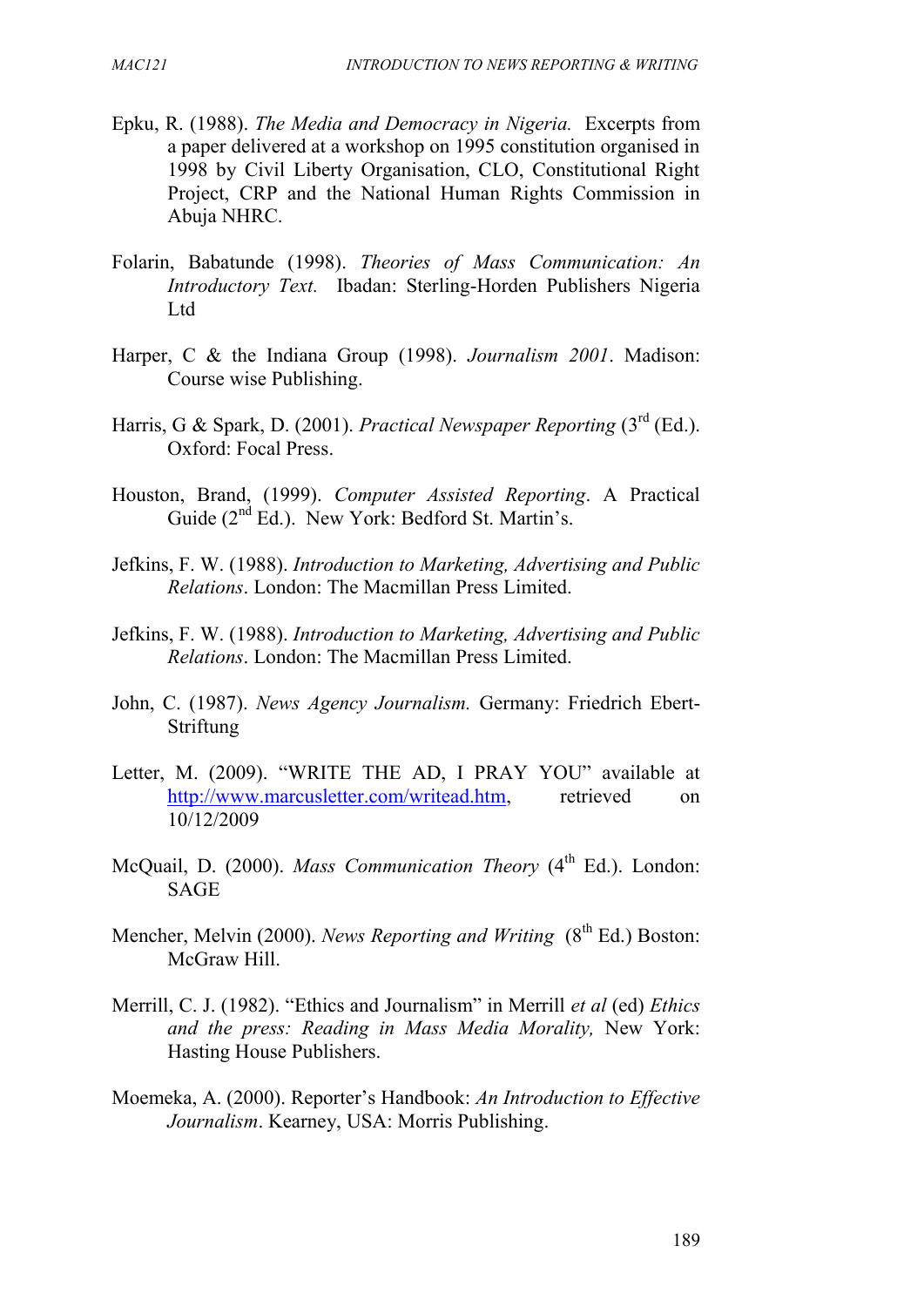- Epku, R. (1988). *The Media and Democracy in Nigeria.* Excerpts from a paper delivered at a workshop on 1995 constitution organised in 1998 by Civil Liberty Organisation, CLO, Constitutional Right Project, CRP and the National Human Rights Commission in Abuja NHRC.
- Folarin, Babatunde (1998). *Theories of Mass Communication: An Introductory Text.* Ibadan: Sterling-Horden Publishers Nigeria Ltd
- Harper, C & the Indiana Group (1998). *Journalism 2001*. Madison: Course wise Publishing.
- Harris, G & Spark, D. (2001). *Practical Newspaper Reporting* (3<sup>rd</sup> (Ed.). Oxford: Focal Press.
- Houston, Brand, (1999). *Computer Assisted Reporting*. A Practical Guide  $(2^{nd} Ed.)$ . New York: Bedford St. Martin's.
- Jefkins, F. W. (1988). *Introduction to Marketing, Advertising and Public Relations*. London: The Macmillan Press Limited.
- Jefkins, F. W. (1988). *Introduction to Marketing, Advertising and Public Relations*. London: The Macmillan Press Limited.
- John, C. (1987). *News Agency Journalism.* Germany: Friedrich Ebert- Striftung
- Letter, M. (2009). "WRITE THE AD, I PRAY YOU" available at http://www.marcusletter.com/writead.htm, retrieved on 10/12/2009
- McQuail, D. (2000). *Mass Communication Theory* (4<sup>th</sup> Ed.). London: SAGE
- Mencher, Melvin (2000). *News Reporting and Writing* (8<sup>th</sup> Ed.) Boston: McGraw Hill.
- Merrill, C. J. (1982). "Ethics and Journalism" in Merrill *et al* (ed) *Ethics and the press: Reading in Mass Media Morality,* New York: Hasting House Publishers.
- Moemeka, A. (2000). Reporter's Handbook: *An Introduction to Effective Journalism*. Kearney, USA: Morris Publishing.